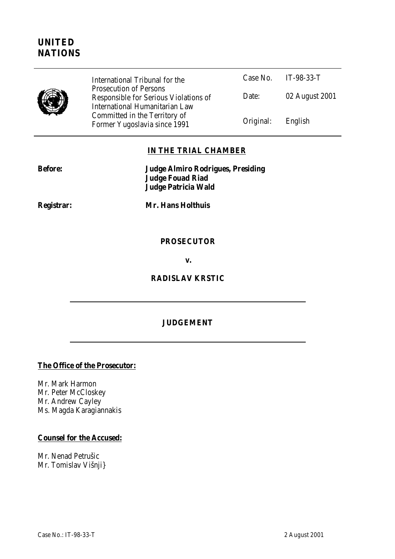

Case No. IT-98-33-T Date: 02 August 2001 International Tribunal for the Prosecution of Persons Responsible for Serious Violations of International Humanitarian Law Committed in the Territory of Former Yugoslavia since 1991 Original: English

### **IN THE TRIAL CHAMBER**

| Before: | Judge Almiro Rodrigues, Presiding |
|---------|-----------------------------------|
|         | Judge Fouad Riad                  |
|         | Judge Patricia Wald               |

**Registrar: Mr. Hans Holthuis**

#### **PROSECUTOR**

**v.**

### **RADISLAV KRSTIC**

#### **JUDGEMENT**

#### **The Office of the Prosecutor:**

Mr. Mark Harmon Mr. Peter McCloskey Mr. Andrew Cayley Ms. Magda Karagiannakis

#### **Counsel for the Accused:**

Mr. Nenad Petrušic Mr. Tomislav Višnji}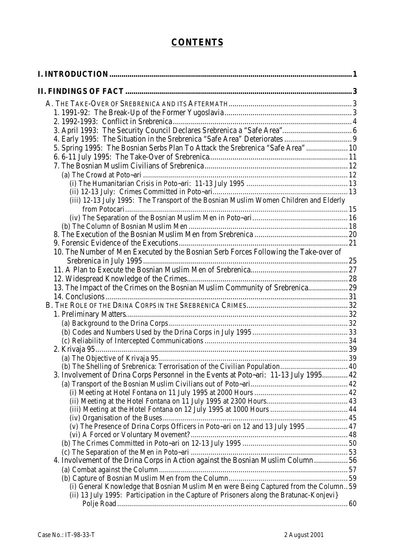# **CONTENTS**

| 5. Spring 1995: The Bosnian Serbs Plan To Attack the Srebrenica "Safe Area"  10          |  |
|------------------------------------------------------------------------------------------|--|
|                                                                                          |  |
|                                                                                          |  |
|                                                                                          |  |
|                                                                                          |  |
|                                                                                          |  |
| (iii) 12-13 July 1995: The Transport of the Bosnian Muslim Women Children and Elderly    |  |
|                                                                                          |  |
|                                                                                          |  |
|                                                                                          |  |
|                                                                                          |  |
| 10. The Number of Men Executed by the Bosnian Serb Forces Following the Take-over of     |  |
|                                                                                          |  |
|                                                                                          |  |
|                                                                                          |  |
| 13. The Impact of the Crimes on the Bosnian Muslim Community of Srebrenica 29            |  |
|                                                                                          |  |
|                                                                                          |  |
|                                                                                          |  |
|                                                                                          |  |
|                                                                                          |  |
|                                                                                          |  |
|                                                                                          |  |
|                                                                                          |  |
| (b) The Shelling of Srebrenica: Terrorisation of the Civilian Population 40              |  |
| 3. Involvement of Drina Corps Personnel in the Events at Poto~ari: 11-13 July 1995 42    |  |
|                                                                                          |  |
|                                                                                          |  |
| (iii) Meeting at the Hotel Fontana on 12 July 1995 at 1000 Hours  44                     |  |
|                                                                                          |  |
| (v) The Presence of Drina Corps Officers in Poto~ari on 12 and 13 July 1995  47          |  |
|                                                                                          |  |
|                                                                                          |  |
|                                                                                          |  |
| 4. Involvement of the Drina Corps in Action against the Bosnian Muslim Column 56         |  |
|                                                                                          |  |
|                                                                                          |  |
| (i) General Knowledge that Bosnian Muslim Men were Being Captured from the Column59      |  |
| (ii) 13 July 1995: Participation in the Capture of Prisoners along the Bratunac-Konjevi} |  |
|                                                                                          |  |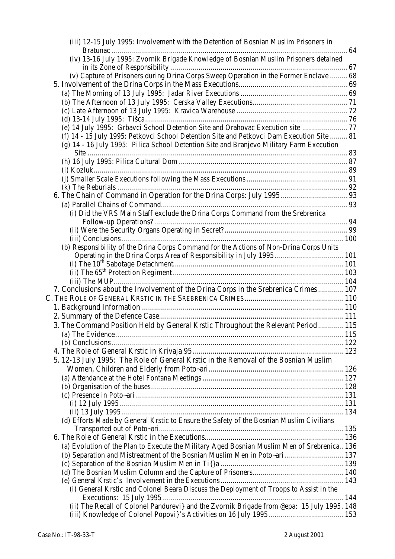|  | (iii) 12-15 July 1995: Involvement with the Detention of Bosnian Muslim Prisoners in        |     |
|--|---------------------------------------------------------------------------------------------|-----|
|  |                                                                                             |     |
|  | (iv) 13-16 July 1995: Zvornik Brigade Knowledge of Bosnian Muslim Prisoners detained        |     |
|  |                                                                                             |     |
|  | (v) Capture of Prisoners during Drina Corps Sweep Operation in the Former Enclave  68       |     |
|  |                                                                                             |     |
|  |                                                                                             |     |
|  |                                                                                             |     |
|  |                                                                                             |     |
|  |                                                                                             |     |
|  | (e) 14 July 1995: Grbavci School Detention Site and Orahovac Execution site 77              |     |
|  | (f) 14 - 15 July 1995: Petkovci School Detention Site and Petkovci Dam Execution Site  81   |     |
|  | (g) 14 - 16 July 1995: Pilica School Detention Site and Branjevo Military Farm Execution    |     |
|  |                                                                                             |     |
|  |                                                                                             |     |
|  |                                                                                             |     |
|  |                                                                                             |     |
|  |                                                                                             |     |
|  |                                                                                             |     |
|  |                                                                                             |     |
|  | (i) Did the VRS Main Staff exclude the Drina Corps Command from the Srebrenica              |     |
|  |                                                                                             |     |
|  |                                                                                             |     |
|  |                                                                                             |     |
|  | (b) Responsibility of the Drina Corps Command for the Actions of Non-Drina Corps Units      |     |
|  | Operating in the Drina Corps Area of Responsibility in July 1995 101                        |     |
|  |                                                                                             |     |
|  |                                                                                             |     |
|  | (iii) The MUP                                                                               |     |
|  | 7. Conclusions about the Involvement of the Drina Corps in the Srebrenica Crimes 107        |     |
|  |                                                                                             |     |
|  |                                                                                             |     |
|  |                                                                                             |     |
|  | 3. The Command Position Held by General Krstic Throughout the Relevant Period 115           |     |
|  | (a) The Evidence                                                                            | 115 |
|  |                                                                                             |     |
|  |                                                                                             |     |
|  | 5. 12-13 July 1995: The Role of General Krstic in the Removal of the Bosnian Muslim         |     |
|  |                                                                                             |     |
|  |                                                                                             |     |
|  |                                                                                             |     |
|  |                                                                                             |     |
|  |                                                                                             |     |
|  |                                                                                             |     |
|  | (d) Efforts Made by General Krstic to Ensure the Safety of the Bosnian Muslim Civilians     |     |
|  |                                                                                             |     |
|  |                                                                                             |     |
|  | (a) Evolution of the Plan to Execute the Military Aged Bosnian Muslim Men of Srebrenica 136 |     |
|  | (b) Separation and Mistreatment of the Bosnian Muslim Men in Poto~ari 137                   |     |
|  |                                                                                             |     |
|  |                                                                                             |     |
|  |                                                                                             |     |
|  | (i) General Krstic and Colonel Beara Discuss the Deployment of Troops to Assist in the      |     |
|  |                                                                                             |     |
|  | (ii) The Recall of Colonel Pandurevi} and the Zvornik Brigade from @epa: 15 July 1995.148   |     |
|  |                                                                                             |     |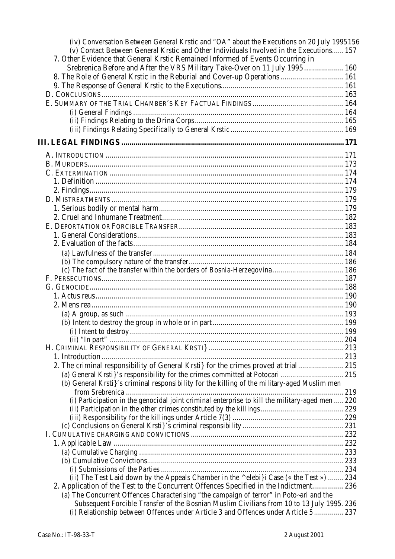| (iv) Conversation Between General Krstic and "OA" about the Executions on 20 July 1995156<br>(v) Contact Between General Krstic and Other Individuals Involved in the Executions 157<br>7. Other Evidence that General Krstic Remained Informed of Events Occurring in |  |
|------------------------------------------------------------------------------------------------------------------------------------------------------------------------------------------------------------------------------------------------------------------------|--|
|                                                                                                                                                                                                                                                                        |  |
| Srebrenica Before and After the VRS Military Take-Over on 11 July 1995 160                                                                                                                                                                                             |  |
| 8. The Role of General Krstic in the Reburial and Cover-up Operations 161                                                                                                                                                                                              |  |
|                                                                                                                                                                                                                                                                        |  |
|                                                                                                                                                                                                                                                                        |  |
|                                                                                                                                                                                                                                                                        |  |
|                                                                                                                                                                                                                                                                        |  |
|                                                                                                                                                                                                                                                                        |  |
|                                                                                                                                                                                                                                                                        |  |
|                                                                                                                                                                                                                                                                        |  |
|                                                                                                                                                                                                                                                                        |  |
|                                                                                                                                                                                                                                                                        |  |
|                                                                                                                                                                                                                                                                        |  |
|                                                                                                                                                                                                                                                                        |  |
|                                                                                                                                                                                                                                                                        |  |
|                                                                                                                                                                                                                                                                        |  |
|                                                                                                                                                                                                                                                                        |  |
|                                                                                                                                                                                                                                                                        |  |
|                                                                                                                                                                                                                                                                        |  |
|                                                                                                                                                                                                                                                                        |  |
|                                                                                                                                                                                                                                                                        |  |
|                                                                                                                                                                                                                                                                        |  |
|                                                                                                                                                                                                                                                                        |  |
|                                                                                                                                                                                                                                                                        |  |
|                                                                                                                                                                                                                                                                        |  |
|                                                                                                                                                                                                                                                                        |  |
|                                                                                                                                                                                                                                                                        |  |
|                                                                                                                                                                                                                                                                        |  |
|                                                                                                                                                                                                                                                                        |  |
|                                                                                                                                                                                                                                                                        |  |
|                                                                                                                                                                                                                                                                        |  |
|                                                                                                                                                                                                                                                                        |  |
|                                                                                                                                                                                                                                                                        |  |
|                                                                                                                                                                                                                                                                        |  |
| 2. The criminal responsibility of General Krsti} for the crimes proved at trial 215                                                                                                                                                                                    |  |
|                                                                                                                                                                                                                                                                        |  |
| (b) General Krsti}'s criminal responsibility for the killing of the military-aged Muslim men                                                                                                                                                                           |  |
|                                                                                                                                                                                                                                                                        |  |
| (i) Participation in the genocidal joint criminal enterprise to kill the military-aged men  220                                                                                                                                                                        |  |
|                                                                                                                                                                                                                                                                        |  |
|                                                                                                                                                                                                                                                                        |  |
|                                                                                                                                                                                                                                                                        |  |
|                                                                                                                                                                                                                                                                        |  |
|                                                                                                                                                                                                                                                                        |  |
|                                                                                                                                                                                                                                                                        |  |
|                                                                                                                                                                                                                                                                        |  |
|                                                                                                                                                                                                                                                                        |  |
| (ii) The Test Laid down by the Appeals Chamber in the ^elebi}i Case (« the Test »)  234<br>2. Application of the Test to the Concurrent Offences Specified in the Indictment 236                                                                                       |  |
| (a) The Concurrent Offences Characterising "the campaign of terror" in Poto~ari and the                                                                                                                                                                                |  |
| Subsequent Forcible Transfer of the Bosnian Muslim Civilians from 10 to 13 July 1995.236                                                                                                                                                                               |  |
| (i) Relationship between Offences under Article 3 and Offences under Article 5 237                                                                                                                                                                                     |  |
|                                                                                                                                                                                                                                                                        |  |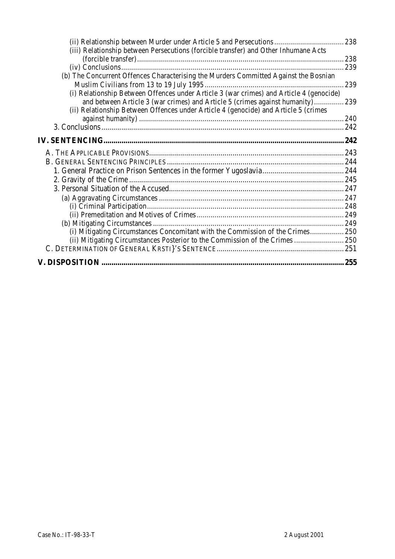| (ii) Relationship between Murder under Article 5 and Persecutions                       | 238 |  |
|-----------------------------------------------------------------------------------------|-----|--|
| (iii) Relationship between Persecutions (forcible transfer) and Other Inhumane Acts     | 238 |  |
|                                                                                         | 239 |  |
| (b) The Concurrent Offences Characterising the Murders Committed Against the Bosnian    |     |  |
|                                                                                         | 239 |  |
| (i) Relationship Between Offences under Article 3 (war crimes) and Article 4 (genocide) |     |  |
| and between Article 3 (war crimes) and Article 5 (crimes against humanity)              | 239 |  |
| (ii) Relationship Between Offences under Article 4 (genocide) and Article 5 (crimes     |     |  |
|                                                                                         |     |  |
|                                                                                         |     |  |
|                                                                                         |     |  |
|                                                                                         | 243 |  |
|                                                                                         |     |  |
|                                                                                         |     |  |
|                                                                                         |     |  |
|                                                                                         |     |  |
|                                                                                         |     |  |
|                                                                                         |     |  |
|                                                                                         |     |  |
|                                                                                         |     |  |
| (i) Mitigating Circumstances Concomitant with the Commission of the Crimes 250          |     |  |
| (ii) Mitigating Circumstances Posterior to the Commission of the Crimes  250            |     |  |
|                                                                                         |     |  |
|                                                                                         | 255 |  |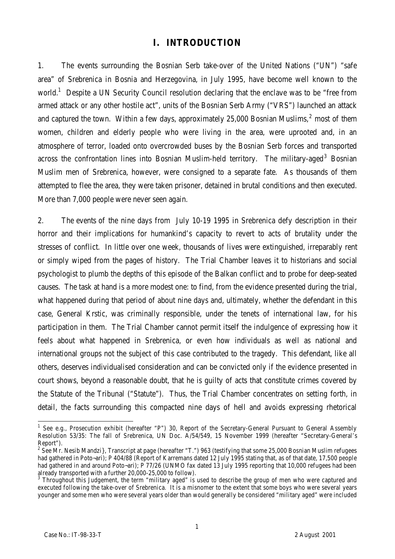# **I. INTRODUCTION**

1. The events surrounding the Bosnian Serb take-over of the United Nations ("UN") "safe area" of Srebrenica in Bosnia and Herzegovina, in July 1995, have become well known to the world.<sup>1</sup> Despite a UN Security Council resolution declaring that the enclave was to be "free from armed attack or any other hostile act", units of the Bosnian Serb Army ("VRS") launched an attack and captured the town. Within a few days, approximately 25,000 Bosnian Muslims,<sup>2</sup> most of them women, children and elderly people who were living in the area, were uprooted and, in an atmosphere of terror, loaded onto overcrowded buses by the Bosnian Serb forces and transported across the confrontation lines into Bosnian Muslim-held territory. The military-aged<sup>3</sup> Bosnian Muslim men of Srebrenica, however, were consigned to a separate fate. As thousands of them attempted to flee the area, they were taken prisoner, detained in brutal conditions and then executed. More than 7,000 people were never seen again.

2. The events of the nine days from July 10-19 1995 in Srebrenica defy description in their horror and their implications for humankind's capacity to revert to acts of brutality under the stresses of conflict. In little over one week, thousands of lives were extinguished, irreparably rent or simply wiped from the pages of history. The Trial Chamber leaves it to historians and social psychologist to plumb the depths of this episode of the Balkan conflict and to probe for deep-seated causes. The task at hand is a more modest one: to find, from the evidence presented during the trial, what happened during that period of about nine days and, ultimately, whether the defendant in this case, General Krstic, was criminally responsible, under the tenets of international law, for his participation in them. The Trial Chamber cannot permit itself the indulgence of expressing how it feels about what happened in Srebrenica, or even how individuals as well as national and international groups not the subject of this case contributed to the tragedy. This defendant, like all others, deserves individualised consideration and can be convicted only if the evidence presented in court shows, beyond a reasonable doubt, that he is guilty of acts that constitute crimes covered by the Statute of the Tribunal ("Statute"). Thus, the Trial Chamber concentrates on setting forth, in detail, the facts surrounding this compacted nine days of hell and avoids expressing rhetorical

<sup>&</sup>lt;u>.</u><br><sup>1</sup> See e.g., Prosecution exhibit (hereafter "P") 30, Report of the Secretary-General Pursuant to General Assembly Resolution 53/35: The fall of Srebrenica, UN Doc. A/54/549, 15 November 1999 (hereafter "Secretary-General's Report").

 $^2$  See Mr. Nesib Mandzi}, Transcript at page (hereafter "T.") 963 (testifying that some 25,000 Bosnian Muslim refugees had gathered in Poto~ari); P 404/88 (Report of Karremans dated 12 July 1995 stating that, as of that date, 17,500 people had gathered in and around Poto~ari); P 77/26 (UNMO fax dated 13 July 1995 reporting that 10,000 refugees had been already transported with a further 20,000-25,000 to follow).

<sup>&</sup>lt;sup>3</sup> Throughout this Judgement, the term "military aged" is used to describe the group of men who were captured and executed following the take-over of Srebrenica. It is a misnomer to the extent that some boys who were several years younger and some men who were several years older than would generally be considered "military aged" were included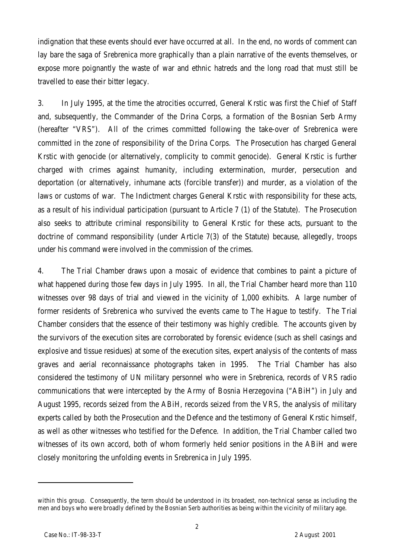indignation that these events should ever have occurred at all. In the end, no words of comment can lay bare the saga of Srebrenica more graphically than a plain narrative of the events themselves, or expose more poignantly the waste of war and ethnic hatreds and the long road that must still be travelled to ease their bitter legacy.

3. In July 1995, at the time the atrocities occurred, General Krstic was first the Chief of Staff and, subsequently, the Commander of the Drina Corps, a formation of the Bosnian Serb Army (hereafter "VRS"). All of the crimes committed following the take-over of Srebrenica were committed in the zone of responsibility of the Drina Corps. The Prosecution has charged General Krstic with genocide (or alternatively, complicity to commit genocide). General Krstic is further charged with crimes against humanity, including extermination, murder, persecution and deportation (or alternatively, inhumane acts (forcible transfer)) and murder, as a violation of the laws or customs of war. The Indictment charges General Krstic with responsibility for these acts, as a result of his individual participation (pursuant to Article 7 (1) of the Statute). The Prosecution also seeks to attribute criminal responsibility to General Krstic for these acts, pursuant to the doctrine of command responsibility (under Article 7(3) of the Statute) because, allegedly, troops under his command were involved in the commission of the crimes.

4. The Trial Chamber draws upon a mosaic of evidence that combines to paint a picture of what happened during those few days in July 1995. In all, the Trial Chamber heard more than 110 witnesses over 98 days of trial and viewed in the vicinity of 1,000 exhibits. A large number of former residents of Srebrenica who survived the events came to The Hague to testify. The Trial Chamber considers that the essence of their testimony was highly credible. The accounts given by the survivors of the execution sites are corroborated by forensic evidence (such as shell casings and explosive and tissue residues) at some of the execution sites, expert analysis of the contents of mass graves and aerial reconnaissance photographs taken in 1995. The Trial Chamber has also considered the testimony of UN military personnel who were in Srebrenica, records of VRS radio communications that were intercepted by the Army of Bosnia Herzegovina ("ABiH") in July and August 1995, records seized from the ABiH, records seized from the VRS, the analysis of military experts called by both the Prosecution and the Defence and the testimony of General Krstic himself, as well as other witnesses who testified for the Defence. In addition, the Trial Chamber called two witnesses of its own accord, both of whom formerly held senior positions in the ABiH and were closely monitoring the unfolding events in Srebrenica in July 1995.

l

within this group. Consequently, the term should be understood in its broadest, non-technical sense as including the men and boys who were broadly defined by the Bosnian Serb authorities as being within the vicinity of military age.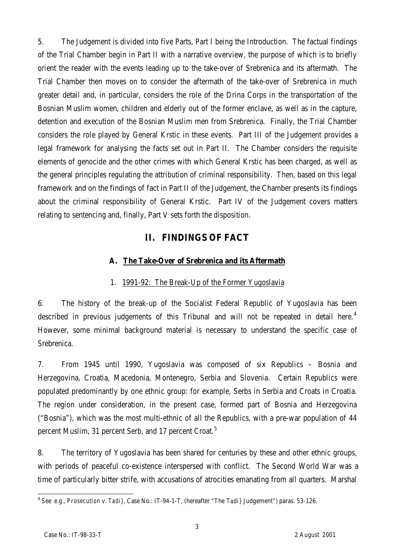5. The Judgement is divided into five Parts, Part I being the Introduction. The factual findings of the Trial Chamber begin in Part II with a narrative overview, the purpose of which is to briefly orient the reader with the events leading up to the take-over of Srebrenica and its aftermath. The Trial Chamber then moves on to consider the aftermath of the take-over of Srebrenica in much greater detail and, in particular, considers the role of the Drina Corps in the transportation of the Bosnian Muslim women, children and elderly out of the former enclave, as well as in the capture, detention and execution of the Bosnian Muslim men from Srebrenica. Finally, the Trial Chamber considers the role played by General Krstic in these events. Part III of the Judgement provides a legal framework for analysing the facts set out in Part II. The Chamber considers the requisite elements of genocide and the other crimes with which General Krstic has been charged, as well as the general principles regulating the attribution of criminal responsibility. Then, based on this legal framework and on the findings of fact in Part II of the Judgement, the Chamber presents its findings about the criminal responsibility of General Krstic. Part IV of the Judgement covers matters relating to sentencing and, finally, Part V sets forth the disposition.

# **II. FINDINGS OF FACT**

## **A. The Take-Over of Srebrenica and its Aftermath**

### 1. 1991-92: The Break-Up of the Former Yugoslavia

6. The history of the break-up of the Socialist Federal Republic of Yugoslavia has been described in previous judgements of this Tribunal and will not be repeated in detail here.<sup>4</sup> However, some minimal background material is necessary to understand the specific case of Srebrenica.

7. From 1945 until 1990, Yugoslavia was composed of six Republics – Bosnia and Herzegovina, Croatia, Macedonia, Montenegro, Serbia and Slovenia. Certain Republics were populated predominantly by one ethnic group: for example, Serbs in Serbia and Croats in Croatia. The region under consideration, in the present case, formed part of Bosnia and Herzegovina ("Bosnia"), which was the most multi-ethnic of all the Republics, with a pre-war population of 44 percent Muslim, 31 percent Serb, and 17 percent Croat.<sup>5</sup>

8. The territory of Yugoslavia has been shared for centuries by these and other ethnic groups, with periods of peaceful co-existence interspersed with conflict. The Second World War was a time of particularly bitter strife, with accusations of atrocities emanating from all quarters. Marshal

 4 See e.g., *Prosecution* v. *Tadi}*, Case No.: IT-94-1-T, (hereafter "The *Tadi}* Judgement"*)* paras. 53-126.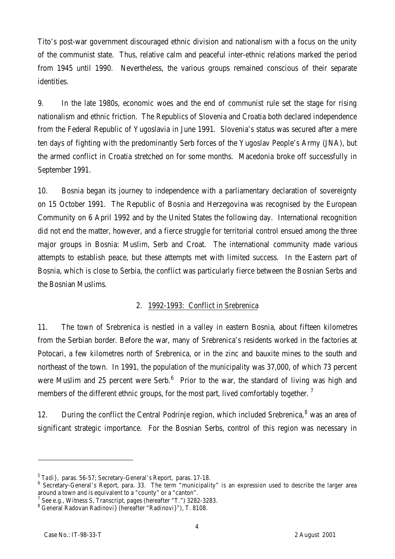Tito's post-war government discouraged ethnic division and nationalism with a focus on the unity of the communist state. Thus, relative calm and peaceful inter-ethnic relations marked the period from 1945 until 1990. Nevertheless, the various groups remained conscious of their separate identities.

9. In the late 1980s, economic woes and the end of communist rule set the stage for rising nationalism and ethnic friction. The Republics of Slovenia and Croatia both declared independence from the Federal Republic of Yugoslavia in June 1991. Slovenia's status was secured after a mere ten days of fighting with the predominantly Serb forces of the Yugoslav People's Army (JNA), but the armed conflict in Croatia stretched on for some months. Macedonia broke off successfully in September 1991.

10. Bosnia began its journey to independence with a parliamentary declaration of sovereignty on 15 October 1991. The Republic of Bosnia and Herzegovina was recognised by the European Community on 6 April 1992 and by the United States the following day. International recognition did not end the matter, however, and a fierce struggle for territorial control ensued among the three major groups in Bosnia: Muslim, Serb and Croat. The international community made various attempts to establish peace, but these attempts met with limited success. In the Eastern part of Bosnia, which is close to Serbia, the conflict was particularly fierce between the Bosnian Serbs and the Bosnian Muslims.

### 2. 1992-1993: Conflict in Srebrenica

11. The town of Srebrenica is nestled in a valley in eastern Bosnia, about fifteen kilometres from the Serbian border. Before the war, many of Srebrenica's residents worked in the factories at Potocari, a few kilometres north of Srebrenica, or in the zinc and bauxite mines to the south and northeast of the town. In 1991, the population of the municipality was 37,000, of which 73 percent were Muslim and 25 percent were Serb.<sup>6</sup> Prior to the war, the standard of living was high and members of the different ethnic groups, for the most part, lived comfortably together.<sup>7</sup>

12. During the conflict the Central Podrinje region, which included Srebrenica, <sup>8</sup> was an area of significant strategic importance. For the Bosnian Serbs, control of this region was necessary in

l

<sup>5</sup> *Tadi}*, paras. 56-57; Secretary-General's Report, paras. 17-18.

<sup>&</sup>lt;sup>6</sup> Secretary-General's Report, para. 33. The term "municipality" is an expression used to describe the larger area around a town and is equivalent to a "county" or a "canton".

 $7$  See e.g., Witness S, Transcript, pages (hereafter "T.") 3282-3283.

<sup>&</sup>lt;sup>8</sup> General Radovan Radinovi} (hereafter "Radinovi}"), T. 8108.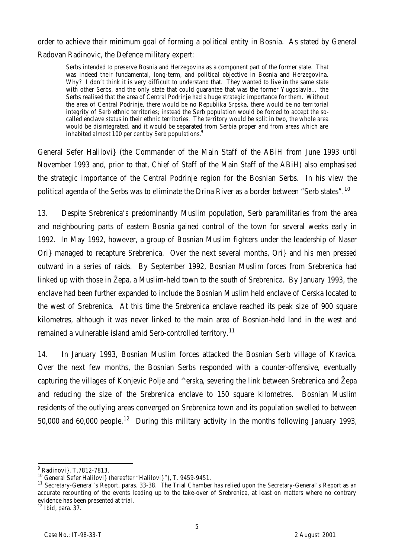order to achieve their minimum goal of forming a political entity in Bosnia. As stated by General Radovan Radinovic, the Defence military expert:

Serbs intended to preserve Bosnia and Herzegovina as a component part of the former state. That was indeed their fundamental, long-term, and political objective in Bosnia and Herzegovina. Why? I don't think it is very difficult to understand that. They wanted to live in the same state with other Serbs, and the only state that could guarantee that was the former Yugoslavia... the Serbs realised that the area of Central Podrinje had a huge strategic importance for them. Without the area of Central Podrinje, there would be no Republika Srpska, there would be no territorial integrity of Serb ethnic territories; instead the Serb population would be forced to accept the socalled enclave status in their ethnic territories. The territory would be split in two, the whole area would be disintegrated, and it would be separated from Serbia proper and from areas which are inhabited almost 100 per cent by Serb populations.<sup>9</sup>

General Sefer Halilovi} (the Commander of the Main Staff of the ABiH from June 1993 until November 1993 and, prior to that, Chief of Staff of the Main Staff of the ABiH) also emphasised the strategic importance of the Central Podrinje region for the Bosnian Serbs. In his view the political agenda of the Serbs was to eliminate the Drina River as a border between "Serb states".<sup>10</sup>

13. Despite Srebrenica's predominantly Muslim population, Serb paramilitaries from the area and neighbouring parts of eastern Bosnia gained control of the town for several weeks early in 1992. In May 1992, however, a group of Bosnian Muslim fighters under the leadership of Naser Ori} managed to recapture Srebrenica. Over the next several months, Ori} and his men pressed outward in a series of raids. By September 1992, Bosnian Muslim forces from Srebrenica had linked up with those in Žepa, a Muslim-held town to the south of Srebrenica. By January 1993, the enclave had been further expanded to include the Bosnian Muslim held enclave of Cerska located to the west of Srebrenica. At this time the Srebrenica enclave reached its peak size of 900 square kilometres, although it was never linked to the main area of Bosnian-held land in the west and remained a vulnerable island amid Serb-controlled territory.<sup>11</sup>

14. In January 1993, Bosnian Muslim forces attacked the Bosnian Serb village of Kravica. Over the next few months, the Bosnian Serbs responded with a counter-offensive, eventually capturing the villages of Konjevic Polje and ^erska, severing the link between Srebrenica and Žepa and reducing the size of the Srebrenica enclave to 150 square kilometres. Bosnian Muslim residents of the outlying areas converged on Srebrenica town and its population swelled to between 50,000 and 60,000 people.<sup>12</sup> During this military activity in the months following January 1993,

 9 Radinovi}, T.7812-7813.

<sup>10</sup> General Sefer Halilovi} (hereafter "Halilovi}"), T. 9459-9451.

<sup>&</sup>lt;sup>11</sup> Secretary-General's Report, paras. 33-38. The Trial Chamber has relied upon the Secretary-General's Report as an accurate recounting of the events leading up to the take-over of Srebrenica, at least on matters where no contrary evidence has been presented at trial.

<sup>12</sup> *Ibid*, para. 37.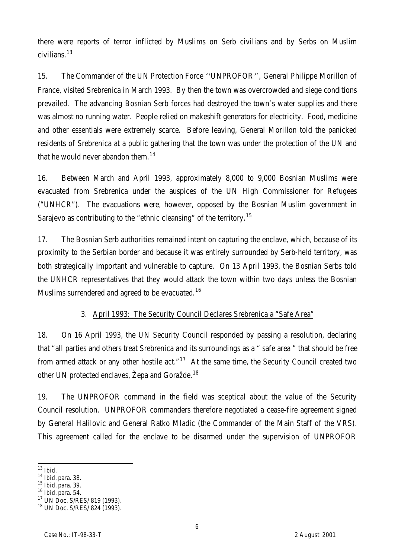there were reports of terror inflicted by Muslims on Serb civilians and by Serbs on Muslim civilians.<sup>13</sup>

15. The Commander of the UN Protection Force ''UNPROFOR'', General Philippe Morillon of France, visited Srebrenica in March 1993. By then the town was overcrowded and siege conditions prevailed. The advancing Bosnian Serb forces had destroyed the town's water supplies and there was almost no running water. People relied on makeshift generators for electricity. Food, medicine and other essentials were extremely scarce. Before leaving, General Morillon told the panicked residents of Srebrenica at a public gathering that the town was under the protection of the UN and that he would never abandon them.<sup>14</sup>

16. Between March and April 1993, approximately 8,000 to 9,000 Bosnian Muslims were evacuated from Srebrenica under the auspices of the UN High Commissioner for Refugees ("UNHCR"). The evacuations were, however, opposed by the Bosnian Muslim government in Sarajevo as contributing to the "ethnic cleansing" of the territory.<sup>15</sup>

17. The Bosnian Serb authorities remained intent on capturing the enclave, which, because of its proximity to the Serbian border and because it was entirely surrounded by Serb-held territory, was both strategically important and vulnerable to capture. On 13 April 1993, the Bosnian Serbs told the UNHCR representatives that they would attack the town within two days unless the Bosnian Muslims surrendered and agreed to be evacuated.<sup>16</sup>

# 3. April 1993: The Security Council Declares Srebrenica a "Safe Area"

18. On 16 April 1993, the UN Security Council responded by passing a resolution, declaring that "all parties and others treat Srebrenica and its surroundings as a " safe area " that should be free from armed attack or any other hostile act."<sup>17</sup> At the same time, the Security Council created two other UN protected enclaves, Žepa and Goražde.<sup>18</sup>

19. The UNPROFOR command in the field was sceptical about the value of the Security Council resolution. UNPROFOR commanders therefore negotiated a cease-fire agreement signed by General Halilovic and General Ratko Mladic (the Commander of the Main Staff of the VRS). This agreement called for the enclave to be disarmed under the supervision of UNPROFOR

 $\overline{a}$ <sup>13</sup> *Ibid.*

<sup>14</sup> *Ibid.* para. 38.

<sup>15</sup> *Ibid.* para. 39.

<sup>16</sup> *Ibid.* para. 54.

<sup>17</sup> UN Doc. S/RES/ 819 (1993).

<sup>18</sup> UN Doc. S/RES/ 824 (1993).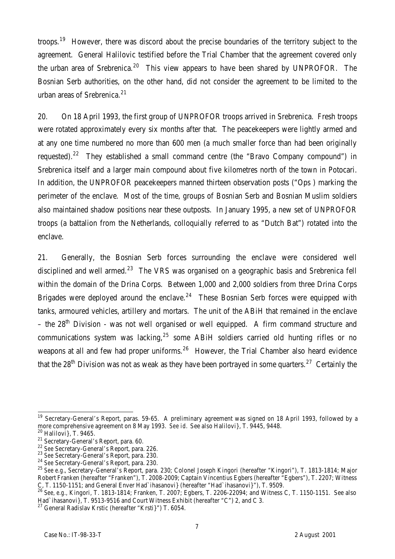troops.<sup>19</sup> However, there was discord about the precise boundaries of the territory subject to the agreement. General Halilovic testified before the Trial Chamber that the agreement covered only the urban area of Srebrenica.<sup>20</sup> This view appears to have been shared by UNPROFOR. The Bosnian Serb authorities, on the other hand, did not consider the agreement to be limited to the urban areas of Srebrenica.<sup>21</sup>

20. On 18 April 1993, the first group of UNPROFOR troops arrived in Srebrenica. Fresh troops were rotated approximately every six months after that. The peacekeepers were lightly armed and at any one time numbered no more than 600 men (a much smaller force than had been originally requested).<sup>22</sup> They established a small command centre (the "Bravo Company compound") in Srebrenica itself and a larger main compound about five kilometres north of the town in Potocari. In addition, the UNPROFOR peacekeepers manned thirteen observation posts ("Ops ) marking the perimeter of the enclave. Most of the time, groups of Bosnian Serb and Bosnian Muslim soldiers also maintained shadow positions near these outposts. In January 1995, a new set of UNPROFOR troops (a battalion from the Netherlands, colloquially referred to as "Dutch Bat") rotated into the enclave.

21. Generally, the Bosnian Serb forces surrounding the enclave were considered well disciplined and well armed.<sup>23</sup> The VRS was organised on a geographic basis and Srebrenica fell within the domain of the Drina Corps. Between 1,000 and 2,000 soldiers from three Drina Corps Brigades were deployed around the enclave. $24$  These Bosnian Serb forces were equipped with tanks, armoured vehicles, artillery and mortars. The unit of the ABiH that remained in the enclave  $-$  the 28<sup>th</sup> Division - was not well organised or well equipped. A firm command structure and communications system was lacking, $25$  some ABiH soldiers carried old hunting rifles or no weapons at all and few had proper uniforms.<sup>26</sup> However, the Trial Chamber also heard evidence that the 28<sup>th</sup> Division was not as weak as they have been portrayed in some quarters.<sup>27</sup> Certainly the

 $\overline{a}$ <sup>19</sup> Secretary-General's Report, paras. 59-65. A preliminary agreement was signed on 18 April 1993, followed by a more comprehensive agreement on 8 May 1993. *See id.* See also Halilovi}, T. 9445, 9448.

<sup>20</sup> Halilovi}, T. 9465.

<sup>21</sup> Secretary-General's Report, para. 60.

<sup>22</sup> *See* Secretary-General's Report, para. 226.

<sup>23</sup> *See* Secretary-General's Report, para. 230.

<sup>24</sup> *See* Secretary-General's Report, para. 230.

<sup>25</sup> *See e.g.*, Secretary-General's Report, para. 230; Colonel Joseph Kingori (hereafter "Kingori"), T. 1813-1814; Major Robert Franken (hereafter "Franken"), T. 2008-2009; Captain Vincentius Egbers (hereafter "Egbers"), T. 2207; Witness C, T. 1150-1151; and General Enver Had`ihasanovi} (hereafter "Had`ihasanovi}"), T. 9509.

<sup>26</sup> *See, e.g.,* Kingori, T. 1813-1814; Franken, T. 2007; Egbers, T. 2206-22094; and Witness C, T. 1150-1151. See also Had`ihasanovi}, T. 9513-9516 and Court Witness Exhibit (hereafter "C") 2, and C 3.

<sup>27</sup> General Radislav Krstic (hereafter "Krsti}") T. 6054.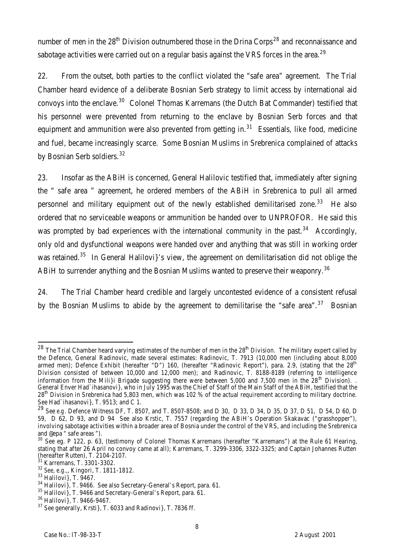number of men in the  $28<sup>th</sup>$  Division outnumbered those in the Drina Corps<sup>28</sup> and reconnaissance and sabotage activities were carried out on a regular basis against the VRS forces in the area.<sup>29</sup>

22. From the outset, both parties to the conflict violated the "safe area" agreement. The Trial Chamber heard evidence of a deliberate Bosnian Serb strategy to limit access by international aid convoys into the enclave.<sup>30</sup> Colonel Thomas Karremans (the Dutch Bat Commander) testified that his personnel were prevented from returning to the enclave by Bosnian Serb forces and that equipment and ammunition were also prevented from getting in. $31$  Essentials, like food, medicine and fuel, became increasingly scarce. Some Bosnian Muslims in Srebrenica complained of attacks by Bosnian Serb soldiers.<sup>32</sup>

23. Insofar as the ABiH is concerned, General Halilovic testified that, immediately after signing the " safe area " agreement, he ordered members of the ABiH in Srebrenica to pull all armed personnel and military equipment out of the newly established demilitarised zone.<sup>33</sup> He also ordered that no serviceable weapons or ammunition be handed over to UNPROFOR. He said this was prompted by bad experiences with the international community in the past.<sup>34</sup> Accordingly, only old and dysfunctional weapons were handed over and anything that was still in working order was retained.<sup>35</sup> In General Halilovi<sup>3</sup>'s view, the agreement on demilitarisation did not oblige the ABIH to surrender anything and the Bosnian Muslims wanted to preserve their weaponry.<sup>36</sup>

24. The Trial Chamber heard credible and largely uncontested evidence of a consistent refusal by the Bosnian Muslims to abide by the agreement to demilitarise the "safe area".<sup>37</sup> Bosnian

j

 $^{28}$  The Trial Chamber heard varying estimates of the number of men in the 28<sup>th</sup> Division. The military expert called by the Defence, General Radinovic, made several estimates: Radinovic, T. 7913 (10,000 men (including about 8,000 armed men); Defence Exhibit (hereafter "D") 160, (hereafter "Radinovic Report"), para. 2.9, (stating that the 28<sup>th</sup> Division consisted of between 10,000 and 12,000 men); and Radinovic, T. 8188-8189 (referring to intelligence information from the Mili}i Brigade suggesting there were between 5,000 and 7,500 men in the  $28<sup>th</sup>$  Division). General Enver Had`ihasanovi}, who in July 1995 was the Chief of Staff of the Main Staff of the ABiH, testified that the  $28<sup>th</sup>$  Division in Srebrenica had 5,803 men, which was 102 % of the actual requirement according to military doctrine. See Had`ihasanovi}, T. 9513; and C 1.

<sup>29</sup> See *e.g*. Defence Witness DF, T. 8507, and T. 8507-8508; and D 30, D 33, D 34, D 35, D 37, D 51, D 54, D 60, D 59, D 62, D 93, and D 94 See also Krstic, T. 7557 (regarding the ABiH's Operation Skakavac ("grasshopper"), involving sabotage activities within a broader area of Bosnia under the control of the VRS, and including the Srebrenica and @epa " safe areas ").

<sup>&</sup>lt;sup>30</sup> See eq. P 122, p. 63, (testimony of Colonel Thomas Karremans (hereafter "Karremans") at the Rule 61 Hearing, stating that after 26 April no convoy came at all); Karremans, T. 3299-3306, 3322-3325; and Captain Johannes Rutten (hereafter Rutten), T. 2104-2107.

 $1$  Karremans, T. 3301-3302.

<sup>32</sup> *See, e.g.,*, Kingori, T. 1811-1812.

<sup>33</sup> Halilovi}, T. 9467.

<sup>&</sup>lt;sup>34</sup> Halilovi}, T. 9466. See also Secretary-General's Report, para. 61.

<sup>35</sup> Halilovi}, T. 9466 and Secretary-General's Report, para. 61.

<sup>36</sup> Halilovi}, T. 9466-9467.

<sup>37</sup> See generally, Krsti}, T. 6033 and Radinovi}, T. 7836 ff.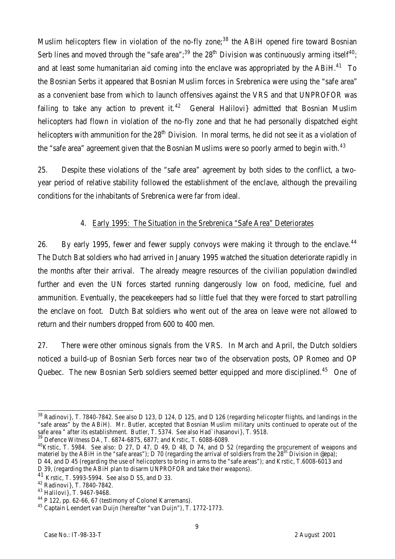Muslim helicopters flew in violation of the no-fly zone;<sup>38</sup> the ABiH opened fire toward Bosnian Serb lines and moved through the "safe area";<sup>39</sup> the 28<sup>th</sup> Division was continuously arming itself<sup>40</sup>; and at least some humanitarian aid coming into the enclave was appropriated by the ABiH. $^{41}$  To the Bosnian Serbs it appeared that Bosnian Muslim forces in Srebrenica were using the "safe area" as a convenient base from which to launch offensives against the VRS and that UNPROFOR was failing to take any action to prevent it.<sup>42</sup> General Halilovi} admitted that Bosnian Muslim helicopters had flown in violation of the no-fly zone and that he had personally dispatched eight helicopters with ammunition for the 28<sup>th</sup> Division. In moral terms, he did not see it as a violation of the "safe area" agreement given that the Bosnian Muslims were so poorly armed to begin with.<sup>43</sup>

25. Despite these violations of the "safe area" agreement by both sides to the conflict, a twoyear period of relative stability followed the establishment of the enclave, although the prevailing conditions for the inhabitants of Srebrenica were far from ideal.

### 4. Early 1995: The Situation in the Srebrenica "Safe Area" Deteriorates

26. By early 1995, fewer and fewer supply convoys were making it through to the enclave.<sup>44</sup> The Dutch Bat soldiers who had arrived in January 1995 watched the situation deteriorate rapidly in the months after their arrival. The already meagre resources of the civilian population dwindled further and even the UN forces started running dangerously low on food, medicine, fuel and ammunition. Eventually, the peacekeepers had so little fuel that they were forced to start patrolling the enclave on foot. Dutch Bat soldiers who went out of the area on leave were not allowed to return and their numbers dropped from 600 to 400 men.

27. There were other ominous signals from the VRS. In March and April, the Dutch soldiers noticed a build-up of Bosnian Serb forces near two of the observation posts, OP Romeo and OP Quebec. The new Bosnian Serb soldiers seemed better equipped and more disciplined.<sup>45</sup> One of

 $\overline{a}$ <sup>38</sup> Radinovi}, T. 7840-7842. See also D 123, D 124, D 125, and D 126 (regarding helicopter flights, and landings in the "safe areas" by the ABiH). Mr. Butler, accepted that Bosnian Muslim military units continued to operate out of the safe area " after its establishment. Butler, T. 5374. See also Had`ihasanovi}, T. 9518.

<sup>39</sup> Defence Witness DA, T. 6874-6875, 6877; and Krstic, T. 6088-6089.

<sup>40</sup>Krstic, T. 5984. See also: D 27, D 47, D 49, D 48, D 74, and D 52 (regarding the procurement of weapons and materiel by the ABiH in the "safe areas"); D 70 (regarding the arrival of soldiers from the 28th Division in @epa); D 44, and D 45 (regarding the use of helicopters to bring in arms to the "safe areas"); and Krstic, T.6008-6013 and

D 39, (regarding the ABiH plan to disarm UNPROFOR and take their weapons).

<sup>41</sup> Krstic, T. 5993-5994. See also D 55, and D 33.

<sup>42</sup> Radinovi}, T. 7840-7842.

<sup>43</sup> Halilovi}, T. 9467-9468.

<sup>44</sup> P 122, pp. 62-66, 67 (testimony of Colonel Karremans).

<sup>45</sup> Captain Leendert van Duijn (hereafter "van Duijn"), T. 1772-1773.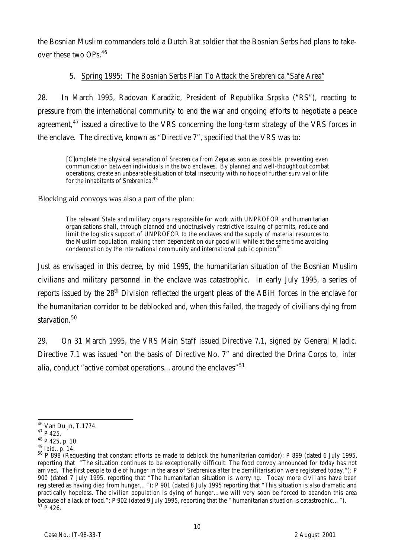the Bosnian Muslim commanders told a Dutch Bat soldier that the Bosnian Serbs had plans to takeover these two OPs.<sup>46</sup>

### 5. Spring 1995: The Bosnian Serbs Plan To Attack the Srebrenica "Safe Area"

28. In March 1995, Radovan Karadžic, President of Republika Srpska ("RS"), reacting to pressure from the international community to end the war and ongoing efforts to negotiate a peace agreement, $47$  issued a directive to the VRS concerning the long-term strategy of the VRS forces in the enclave. The directive, known as "Directive 7", specified that the VRS was to:

[C]omplete the physical separation of Srebrenica from Žepa as soon as possible, preventing even communication between individuals in the two enclaves. By planned and well-thought out combat operations, create an unbearable situation of total insecurity with no hope of further survival or life for the inhabitants of Srebrenica.<sup>48</sup>

Blocking aid convoys was also a part of the plan:

The relevant State and military organs responsible for work with UNPROFOR and humanitarian organisations shall, through planned and unobtrusively restrictive issuing of permits, reduce and limit the logistics support of UNPROFOR to the enclaves and the supply of material resources to the Muslim population, making them dependent on our good will while at the same time avoiding condemnation by the international community and international public opinion.<sup>49</sup>

Just as envisaged in this decree, by mid 1995, the humanitarian situation of the Bosnian Muslim civilians and military personnel in the enclave was catastrophic. In early July 1995, a series of reports issued by the 28<sup>th</sup> Division reflected the urgent pleas of the ABiH forces in the enclave for the humanitarian corridor to be deblocked and, when this failed, the tragedy of civilians dying from starvation.<sup>50</sup>

29. On 31 March 1995, the VRS Main Staff issued Directive 7.1, signed by General Mladic. Directive 7.1 was issued "on the basis of Directive No. 7" and directed the Drina Corps to, *inter* alia, conduct "active combat operations...around the enclaves"<sup>51</sup>

 $\overline{a}$ <sup>46</sup> Van Duijn, T.1774.

<sup>47</sup> P 425.

<sup>48</sup> P 425, p. 10.

<sup>49</sup> *Ibid.,* p. 14.

<sup>50</sup> P 898 (Requesting that constant efforts be made to deblock the humanitarian corridor); P 899 (dated 6 July 1995, reporting that "The situation continues to be exceptionally difficult. The food convoy announced for today has not arrived. The first people to die of hunger in the area of Srebrenica after the demilitarisation were registered today."); P 900 (dated 7 July 1995, reporting that "The humanitarian situation is worrying. Today more civilians have been registered as having died from hunger…"); P 901 (dated 8 July 1995 reporting that "This situation is also dramatic and practically hopeless. The civilian population is dying of hunger…we will very soon be forced to abandon this area because of a lack of food."; P 902 (dated 9 July 1995, reporting that the " humanitarian situation is catastrophic…").  $51$  P 426.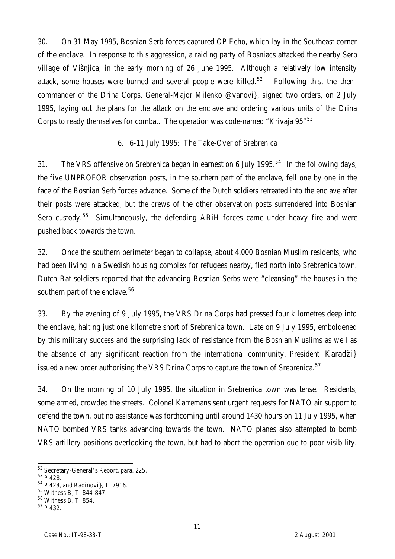30. On 31 May 1995, Bosnian Serb forces captured OP Echo, which lay in the Southeast corner of the enclave. In response to this aggression, a raiding party of Bosniacs attacked the nearby Serb village of Višnjica, in the early morning of 26 June 1995. Although a relatively low intensity attack, some houses were burned and several people were killed.<sup>52</sup> Following this, the thencommander of the Drina Corps, General-Major Milenko @ivanovi}, signed two orders, on 2 July 1995, laying out the plans for the attack on the enclave and ordering various units of the Drina Corps to ready themselves for combat. The operation was code-named "Krivaja 95"<sup>53</sup>

### 6. 6-11 July 1995: The Take-Over of Srebrenica

31. The VRS offensive on Srebrenica began in earnest on 6 July 1995.<sup>54</sup> In the following days, the five UNPROFOR observation posts, in the southern part of the enclave, fell one by one in the face of the Bosnian Serb forces advance. Some of the Dutch soldiers retreated into the enclave after their posts were attacked, but the crews of the other observation posts surrendered into Bosnian Serb custody.<sup>55</sup> Simultaneously, the defending ABiH forces came under heavy fire and were pushed back towards the town.

32. Once the southern perimeter began to collapse, about 4,000 Bosnian Muslim residents, who had been living in a Swedish housing complex for refugees nearby, fled north into Srebrenica town. Dutch Bat soldiers reported that the advancing Bosnian Serbs were "cleansing" the houses in the southern part of the enclave.<sup>56</sup>

33. By the evening of 9 July 1995, the VRS Drina Corps had pressed four kilometres deep into the enclave, halting just one kilometre short of Srebrenica town. Late on 9 July 1995, emboldened by this military success and the surprising lack of resistance from the Bosnian Muslims as well as the absence of any significant reaction from the international community, President Karadži} issued a new order authorising the VRS Drina Corps to capture the town of Srebrenica.<sup>57</sup>

34. On the morning of 10 July 1995, the situation in Srebrenica town was tense. Residents, some armed, crowded the streets. Colonel Karremans sent urgent requests for NATO air support to defend the town, but no assistance was forthcoming until around 1430 hours on 11 July 1995, when NATO bombed VRS tanks advancing towards the town. NATO planes also attempted to bomb VRS artillery positions overlooking the town, but had to abort the operation due to poor visibility.

 $\overline{a}$ <sup>52</sup> Secretary-General's Report, para. 225.

<sup>53</sup> P 428.

<sup>54</sup> P 428, and Radinovi}, T. 7916.

<sup>55</sup> Witness B, T. 844-847.

<sup>56</sup> Witness B, T. 854.

<sup>57</sup> P 432.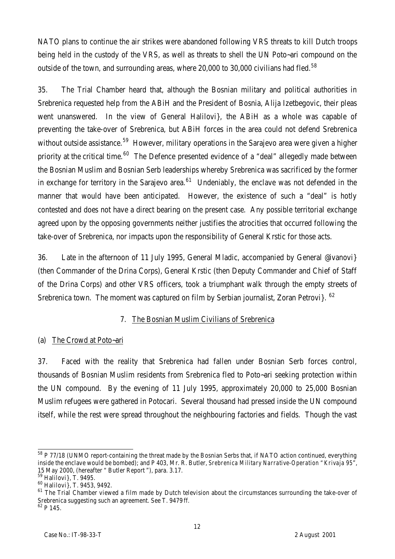NATO plans to continue the air strikes were abandoned following VRS threats to kill Dutch troops being held in the custody of the VRS, as well as threats to shell the UN Poto~ari compound on the outside of the town, and surrounding areas, where 20,000 to 30,000 civilians had fled.<sup>58</sup>

35. The Trial Chamber heard that, although the Bosnian military and political authorities in Srebrenica requested help from the ABiH and the President of Bosnia, Alija Izetbegovic, their pleas went unanswered. In the view of General Halilovi}, the ABiH as a whole was capable of preventing the take-over of Srebrenica, but ABiH forces in the area could not defend Srebrenica without outside assistance.<sup>59</sup> However, military operations in the Sarajevo area were given a higher priority at the critical time.<sup>60</sup> The Defence presented evidence of a "deal" allegedly made between the Bosnian Muslim and Bosnian Serb leaderships whereby Srebrenica was sacrificed by the former in exchange for territory in the Sarajevo area.<sup>61</sup> Undeniably, the enclave was not defended in the manner that would have been anticipated. However, the existence of such a "deal" is hotly contested and does not have a direct bearing on the present case. Any possible territorial exchange agreed upon by the opposing governments neither justifies the atrocities that occurred following the take-over of Srebrenica, nor impacts upon the responsibility of General Krstic for those acts.

36. Late in the afternoon of 11 July 1995, General Mladic, accompanied by General @ivanovi} (then Commander of the Drina Corps), General Krstic (then Deputy Commander and Chief of Staff of the Drina Corps) and other VRS officers, took a triumphant walk through the empty streets of Srebrenica town. The moment was captured on film by Serbian journalist, Zoran Petrovi}. <sup>62</sup>

# 7. The Bosnian Muslim Civilians of Srebrenica

### (a) The Crowd at Poto~ari

37. Faced with the reality that Srebrenica had fallen under Bosnian Serb forces control, thousands of Bosnian Muslim residents from Srebrenica fled to Poto~ari seeking protection within the UN compound. By the evening of 11 July 1995, approximately 20,000 to 25,000 Bosnian Muslim refugees were gathered in Potocari. Several thousand had pressed inside the UN compound itself, while the rest were spread throughout the neighbouring factories and fields. Though the vast

 $\overline{a}$  $58$  P 77/18 (UNMO report-containing the threat made by the Bosnian Serbs that, if NATO action continued, everything inside the enclave would be bombed); and P 403, Mr. R. Butler, *Srebrenica Military Narrative-Operation "Krivaja 95*", 15 May 2000, (hereafter " Butler Report "), para. 3.17.

<sup>59</sup> Halilovi}, T. 9495.

<sup>60</sup> Halilovi}, T. 9453, 9492.

<sup>&</sup>lt;sup>61</sup> The Trial Chamber viewed a film made by Dutch television about the circumstances surrounding the take-over of Srebrenica suggesting such an agreement. See T. 9479 *ff.*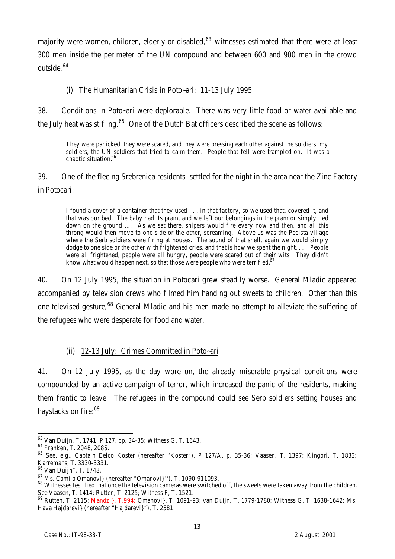majority were women, children, elderly or disabled,<sup>63</sup> witnesses estimated that there were at least 300 men inside the perimeter of the UN compound and between 600 and 900 men in the crowd outside.<sup>64</sup>

### (i) The Humanitarian Crisis in Poto~ari: 11-13 July 1995

38. Conditions in Poto~ari were deplorable. There was very little food or water available and the July heat was stifling. $65$  One of the Dutch Bat officers described the scene as follows:

They were panicked, they were scared, and they were pressing each other against the soldiers, my soldiers, the UN soldiers that tried to calm them. People that fell were trampled on. It was a chaotic situation.<sup>66</sup>

39. One of the fleeing Srebrenica residents settled for the night in the area near the Zinc Factory in Potocari:

I found a cover of a container that they used . . . in that factory, so we used that, covered it, and that was our bed. The baby had its pram, and we left our belongings in the pram or simply lied down on the ground …. As we sat there, snipers would fire every now and then, and all this throng would then move to one side or the other, screaming. Above us was the Pecista village where the Serb soldiers were firing at houses. The sound of that shell, again we would simply dodge to one side or the other with frightened cries, and that is how we spent the night. . . . People were all frightened, people were all hungry, people were scared out of their wits. They didn't know what would happen next, so that those were people who were terrified.<sup>67</sup>

40. On 12 July 1995, the situation in Potocari grew steadily worse. General Mladic appeared accompanied by television crews who filmed him handing out sweets to children. Other than this one televised gesture,<sup>68</sup> General Mladic and his men made no attempt to alleviate the suffering of the refugees who were desperate for food and water.

### (ii) 12-13 July: Crimes Committed in Poto~ari

41. On 12 July 1995, as the day wore on, the already miserable physical conditions were compounded by an active campaign of terror, which increased the panic of the residents, making them frantic to leave. The refugees in the compound could see Serb soldiers setting houses and haystacks on fire:<sup>69</sup>

 $\overline{a}$  $^{63}$  Van Duijn, T. 1741; P 127, pp. 34-35; Witness G, T. 1643.

<sup>64</sup> Franken, T. 2048, 2085.

<sup>65</sup> See, e.g., Captain Eelco Koster (hereafter "Koster"), P 127/A, p. 35-36; Vaasen, T. 1397; Kingori, T. 1833; Karremans, T. 3330-3331.

<sup>66</sup> Van Duijn", T. 1748.

<sup>67</sup> Ms. Camila Omanovi} (hereafter "Omanovi}''), T. 1090-911093.

<sup>&</sup>lt;sup>68</sup> Witnesses testified that once the television cameras were switched off, the sweets were taken away from the children. See Vaasen, T. 1414; Rutten, T. 2125; Witness F, T. 1521.

<sup>69</sup> Rutten, T. 2115; Mandzi}, T.994; Omanovi}, T. 1091-93; van Duijn, T. 1779-1780; Witness G, T. 1638-1642; Ms. Hava Hajdarevi} (hereafter "Hajdarevi}"), T. 2581.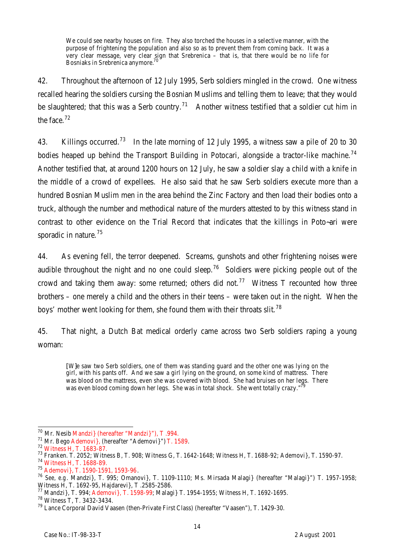We could see nearby houses on fire. They also torched the houses in a selective manner, with the purpose of frightening the population and also so as to prevent them from coming back. It was a very clear message, very clear sign that Srebrenica – that is, that there would be no life for Bosniaks in Srebrenica anymore.<sup>70</sup>

42. Throughout the afternoon of 12 July 1995, Serb soldiers mingled in the crowd. One witness recalled hearing the soldiers cursing the Bosnian Muslims and telling them to leave; that they would be slaughtered; that this was a Serb country.<sup>71</sup> Another witness testified that a soldier cut him in the face. $72$ 

43. Killings occurred.<sup>73</sup> In the late morning of 12 July 1995, a witness saw a pile of 20 to 30 bodies heaped up behind the Transport Building in Potocari, alongside a tractor-like machine.<sup>74</sup> Another testified that, at around 1200 hours on 12 July, he saw a soldier slay a child with a knife in the middle of a crowd of expellees. He also said that he saw Serb soldiers execute more than a hundred Bosnian Muslim men in the area behind the Zinc Factory and then load their bodies onto a truck, although the number and methodical nature of the murders attested to by this witness stand in contrast to other evidence on the Trial Record that indicates that the killings in Poto~ari were sporadic in nature.<sup>75</sup>

44. As evening fell, the terror deepened. Screams, gunshots and other frightening noises were audible throughout the night and no one could sleep.<sup>76</sup> Soldiers were picking people out of the crowd and taking them away: some returned; others did not.<sup>77</sup> Witness T recounted how three brothers – one merely a child and the others in their teens – were taken out in the night. When the boys' mother went looking for them, she found them with their throats slit.<sup>78</sup>

45. That night, a Dutch Bat medical orderly came across two Serb soldiers raping a young woman:

[W]e saw two Serb soldiers, one of them was standing guard and the other one was lying on the girl, with his pants off. And we saw a girl lying on the ground, on some kind of mattress. There was blood on the mattress, even she was covered with blood. She had bruises on her legs. There was even blood coming down her legs. She was in total shock. She went totally crazy."

 $\overline{a}$ <sup>70</sup> Mr. Nesib Mandzi} (hereafter "Mandzi}"), T.994.

<sup>71</sup> Mr. Bego Ademovi}, (hereafter "Ademovi}") T. 1589.

<sup>72</sup> Witness H, T. 1683-87.

<sup>73</sup> Franken. T. 2052; Witness B, T. 908; Witness G, T. 1642-1648; Witness H, T. 1688-92; Ademovi}, T. 1590-97.

<sup>74</sup> Witness H, T. 1688-89.

<sup>75</sup> Ademovi}, T. 1590-1591, 1593-96.

<sup>76</sup> *See, e.g*. Mandzi}, T. 995; Omanovi}, T. 1109-1110; Ms. Mirsada Malagi} (hereafter "Malagi}") T. 1957-1958; Witness H, T. 1692-95, Hajdarevi}, T .2585-2586.

Mandzi}, T. 994; Ademovi}, T. 1598-99; Malagi} T. 1954-1955; Witness H, T. 1692-1695.

<sup>78</sup> Witness T, T. 3432-3434.

<sup>&</sup>lt;sup>79</sup> Lance Corporal David Vaasen (then-Private First Class) (hereafter "Vaasen"), T. 1429-30.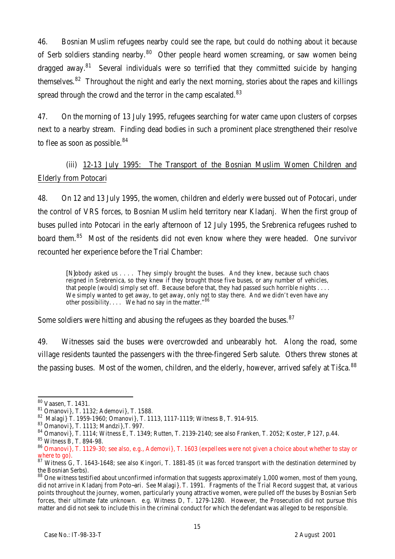46. Bosnian Muslim refugees nearby could see the rape, but could do nothing about it because of Serb soldiers standing nearby.<sup>80</sup> Other people heard women screaming, or saw women being dragged away.<sup>81</sup> Several individuals were so terrified that they committed suicide by hanging themselves.<sup>82</sup> Throughout the night and early the next morning, stories about the rapes and killings spread through the crowd and the terror in the camp escalated.<sup>83</sup>

47. On the morning of 13 July 1995, refugees searching for water came upon clusters of corpses next to a nearby stream. Finding dead bodies in such a prominent place strengthened their resolve to flee as soon as possible.  $84$ 

# (iii) 12-13 July 1995: The Transport of the Bosnian Muslim Women Children and Elderly from Potocari

48. On 12 and 13 July 1995, the women, children and elderly were bussed out of Potocari, under the control of VRS forces, to Bosnian Muslim held territory near Kladanj. When the first group of buses pulled into Potocari in the early afternoon of 12 July 1995, the Srebrenica refugees rushed to board them.<sup>85</sup> Most of the residents did not even know where they were headed. One survivor recounted her experience before the Trial Chamber:

[N]obody asked us . . . . They simply brought the buses. And they knew, because such chaos reigned in Srebrenica, so they knew if they brought those five buses, or any number of vehicles, that people (would) simply set off. Because before that, they had passed such horrible nights . . . . We simply wanted to get away, to get away, only not to stay there. And we didn't even have any other possibility.  $\ldots$  We had no say in the matter."

Some soldiers were hitting and abusing the refugees as they boarded the buses.  $87$ 

49. Witnesses said the buses were overcrowded and unbearably hot. Along the road, some village residents taunted the passengers with the three-fingered Serb salute. Others threw stones at the passing buses. Most of the women, children, and the elderly, however, arrived safely at Tišca.<sup>88</sup>

 $\overline{a}$ <sup>80</sup> Vaasen, T. 1431.

<sup>81</sup> Omanovi}, T. 1132; Ademovi}, T. 1588.

<sup>82</sup> Malagi} T. 1959-1960; Omanovi}, T. 1113, 1117-1119; Witness B, T. 914-915.

<sup>83</sup> Omanovi}, T. 1113; Mandzi},T. 997.

<sup>84</sup> Omanovi}, T. 1114; Witness E, T. 1349; Rutten, T. 2139-2140; see also Franken, T. 2052; Koster, P 127, p.44.

<sup>85</sup> Witness B, T. 894-98.

<sup>86</sup> Omanovi}, T. 1129-30; see also, e.g., Ademovi}, T. 1603 (expellees were not given a choice about whether to stay or where to go).

<sup>&</sup>lt;sup>87</sup> Witness G, T. 1643-1648; see also Kingori, T. 1881-85 (it was forced transport with the destination determined by the Bosnian Serbs).

<sup>&</sup>lt;sup>88</sup> One witness testified about unconfirmed information that suggests approximately 1,000 women, most of them young, did not arrive in Kladanj from Poto~ari. See Malagi}, T. 1991. Fragments of the Trial Record suggest that, at various points throughout the journey, women, particularly young attractive women, were pulled off the buses by Bosnian Serb forces, their ultimate fate unknown. e.g. Witness D, T. 1279-1280. However, the Prosecution did not pursue this matter and did not seek to include this in the criminal conduct for which the defendant was alleged to be responsible.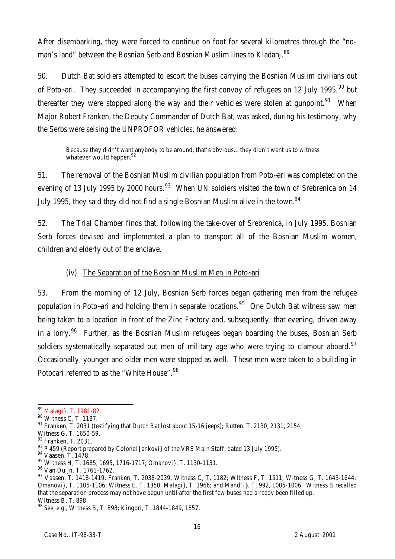After disembarking, they were forced to continue on foot for several kilometres through the "noman's land" between the Bosnian Serb and Bosnian Muslim lines to Kladanj.<sup>89</sup>

50. Dutch Bat soldiers attempted to escort the buses carrying the Bosnian Muslim civilians out of Poto~ari. They succeeded in accompanying the first convoy of refugees on 12 July 1995,<sup>90</sup> but thereafter they were stopped along the way and their vehicles were stolen at gunpoint.<sup>91</sup> When Major Robert Franken, the Deputy Commander of Dutch Bat, was asked, during his testimony, why the Serbs were seising the UNPROFOR vehicles, he answered:

Because they didn't want anybody to be around; that's obvious…they didn't want us to witness whatever would happen.<sup>92</sup>

51. The removal of the Bosnian Muslim civilian population from Poto~ari was completed on the evening of 13 July 1995 by 2000 hours.<sup>93</sup> When UN soldiers visited the town of Srebrenica on 14 July 1995, they said they did not find a single Bosnian Muslim alive in the town.<sup>94</sup>

52. The Trial Chamber finds that, following the take-over of Srebrenica, in July 1995, Bosnian Serb forces devised and implemented a plan to transport all of the Bosnian Muslim women, children and elderly out of the enclave.

# (iv) The Separation of the Bosnian Muslim Men in Poto~ari

53. From the morning of 12 July, Bosnian Serb forces began gathering men from the refugee population in Poto~ari and holding them in separate locations.<sup>95</sup> One Dutch Bat witness saw men being taken to a location in front of the Zinc Factory and, subsequently, that evening, driven away in a lorry.<sup>96</sup> Further, as the Bosnian Muslim refugees began boarding the buses, Bosnian Serb soldiers systematically separated out men of military age who were trying to clamour aboard.<sup>97</sup> Occasionally, younger and older men were stopped as well. These men were taken to a building in Potocari referred to as the "White House".<sup>98</sup>

 $\overline{a}$ <sup>89</sup> Malagi}, T. 1981-82.

<sup>90</sup> Witness C, T. 1187.

<sup>&</sup>lt;sup>91</sup> Franken, T. 2031 (testifying that Dutch Bat lost about 15-16 jeeps); Rutten, T. 2130, 2131, 2154;

Witness G, T. 1650-59.

<sup>92</sup> Franken, T. 2031.

<sup>&</sup>lt;sup>93</sup> P 459 (Report prepared by Colonel Jankovi} of the VRS Main Staff, dated 13 July 1995).

<sup>94</sup> Vaasen, T. 1478.

<sup>95</sup> Witness H, T. 1685, 1695, 1716-1717; Omanovi}, T. 1130-1131.

<sup>96</sup> Van Duijn, T. 1761-1762.

<sup>97</sup> Vaasen, T. 1418-1419; Franken, T. 2038-2039; Witness C, T. 1182; Witness F, T. 1511; Witness G, T. 1643-1644; Omanovi}, T. 1105-1106; Witness E, T. 1350; Malagi}, T. 1966; and Mand`i}, T. 992, 1005-1006. Witness B recalled that the separation process may not have begun until after the first few buses had already been filled up. Witness B, T. 898.

<sup>98</sup> *See, e.g.,* Witness B, T. 898; Kingori, T. 1844-1849, 1857.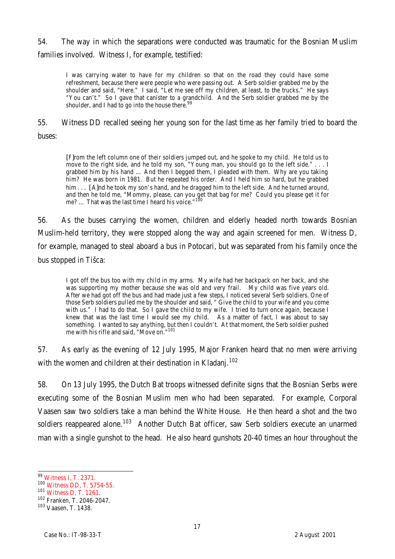54. The way in which the separations were conducted was traumatic for the Bosnian Muslim families involved. Witness I, for example, testified:

I was carrying water to have for my children so that on the road they could have some refreshment, because there were people who were passing out. A Serb soldier grabbed me by the shoulder and said, "Here." I said, "Let me see off my children, at least, to the trucks." He says "You can't." So I gave that canister to a grandchild. And the Serb soldier grabbed me by the shoulder, and I had to go into the house there.<sup>99</sup>

55. Witness DD recalled seeing her young son for the last time as her family tried to board the buses:

[F]rom the left column one of their soldiers jumped out, and he spoke to my child. He told us to move to the right side, and he told my son, "Young man, you should go to the left side." . . . I grabbed him by his hand … And then I begged them, I pleaded with them. Why are you taking him? He was born in 1981. But he repeated his order. And I held him so hard, but he grabbed him . . . [A]nd he took my son's hand, and he dragged him to the left side. And he turned around, and then he told me, "Mommy, please, can you get that bag for me? Could you please get it for me?  $\ldots$  That was the last time I heard his voice."<sup>10</sup>

56. As the buses carrying the women, children and elderly headed north towards Bosnian Muslim-held territory, they were stopped along the way and again screened for men. Witness D, for example, managed to steal aboard a bus in Potocari, but was separated from his family once the bus stopped in Tišca:

I got off the bus too with my child in my arms. My wife had her backpack on her back, and she was supporting my mother because she was old and very frail. My child was five years old. After we had got off the bus and had made just a few steps, I noticed several Serb soldiers. One of those Serb soldiers pulled me by the shoulder and said, " Give the child to your wife and you come with us." I had to do that. So I gave the child to my wife. I tried to turn once again, because I knew that was the last time I would see my child. As a matter of fact, I was about to say something. I wanted to say anything, but then I couldn't. At that moment, the Serb soldier pushed me with his rifle and said, "Move on."<sup>101</sup>

57. As early as the evening of 12 July 1995, Major Franken heard that no men were arriving with the women and children at their destination in Kladani.<sup>102</sup>

58. On 13 July 1995, the Dutch Bat troops witnessed definite signs that the Bosnian Serbs were executing some of the Bosnian Muslim men who had been separated. For example, Corporal Vaasen saw two soldiers take a man behind the White House. He then heard a shot and the two soldiers reappeared alone.<sup>103</sup> Another Dutch Bat officer, saw Serb soldiers execute an unarmed man with a single gunshot to the head. He also heard gunshots 20-40 times an hour throughout the

 $\overline{a}$ <sup>99</sup> Witness I, T. 2371.

<sup>100</sup> Witness DD, T. 5754-55.

<sup>101</sup> Witness D, T. 1261.

<sup>102</sup> Franken, T. 2046-2047.

<sup>103</sup> Vaasen, T. 1438.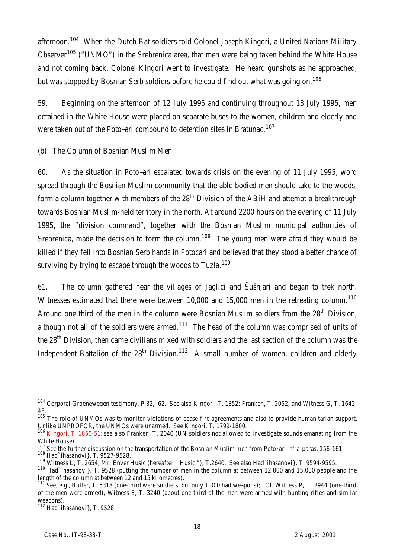afternoon.<sup>104</sup> When the Dutch Bat soldiers told Colonel Joseph Kingori, a United Nations Military Observer<sup>105</sup> ("UNMO") in the Srebrenica area, that men were being taken behind the White House and not coming back, Colonel Kingori went to investigate. He heard gunshots as he approached, but was stopped by Bosnian Serb soldiers before he could find out what was going on.<sup>106</sup>

59. Beginning on the afternoon of 12 July 1995 and continuing throughout 13 July 1995, men detained in the White House were placed on separate buses to the women, children and elderly and were taken out of the Poto~ari compound to detention sites in Bratunac.<sup>107</sup>

### (b) The Column of Bosnian Muslim Men

60. As the situation in Poto~ari escalated towards crisis on the evening of 11 July 1995, word spread through the Bosnian Muslim community that the able-bodied men should take to the woods, form a column together with members of the  $28<sup>th</sup>$  Division of the ABiH and attempt a breakthrough towards Bosnian Muslim-held territory in the north. At around 2200 hours on the evening of 11 July 1995, the "division command", together with the Bosnian Muslim municipal authorities of Srebrenica, made the decision to form the column.<sup>108</sup> The young men were afraid they would be killed if they fell into Bosnian Serb hands in Potocari and believed that they stood a better chance of surviving by trying to escape through the woods to Tuzla.<sup>109</sup>

61. The column gathered near the villages of Jaglici and Šušnjari and began to trek north. Witnesses estimated that there were between 10,000 and 15,000 men in the retreating column.<sup>110</sup> Around one third of the men in the column were Bosnian Muslim soldiers from the 28<sup>th</sup> Division. although not all of the soldiers were armed.<sup>111</sup> The head of the column was comprised of units of the 28<sup>th</sup> Division, then came civilians mixed with soldiers and the last section of the column was the Independent Battalion of the  $28<sup>th</sup>$  Division.<sup>112</sup> A small number of women, children and elderly

 $\overline{a}$ <sup>104</sup> Corporal Groenewegen testimony, P 32, .62. See also Kingori, T. 1852; Franken, T. 2052; and Witness G, T. 1642-48.

<sup>&</sup>lt;sup>105</sup> The role of UNMOs was to monitor violations of cease-fire agreements and also to provide humanitarian support. Unlike UNPROFOR, the UNMOs were unarmed. See Kingori, T. 1799-1800.

<sup>&</sup>lt;sup>106</sup> Kingori, T. 1850-51; see also Franken, T. 2040 (UN soldiers not allowed to investigate sounds emanating from the White House).

<sup>107</sup> See the further discussion on the transportation of the Bosnian Muslim men from Poto~ari *Infra* paras. 156-161.

<sup>&</sup>lt;sup>108</sup> Had`ihasanovi}, T. 9527-9528.

<sup>109</sup> Witness L, T. 2654; Mr. Enver Husic (hereafter " Husic "), T.2640. See also Had`ihasanovi}, T. 9594-9595.

<sup>&</sup>lt;sup>110</sup> Had`ihasanovi}, T. 9528 (putting the number of men in the column at between 12,000 and 15,000 people and the length of the column at between 12 and 15 kilometres).

<sup>111</sup> *See, e.g.*, Butler, T. 5318 (one-third were soldiers, but only 1,000 had weapons);. *Cf.* Witness P, T. 2944 (one-third of the men were armed); Witness S, T. 3240 (about one third of the men were armed with hunting rifles and similar weapons).

 $112$  Had` ihasanovi }, T. 9528.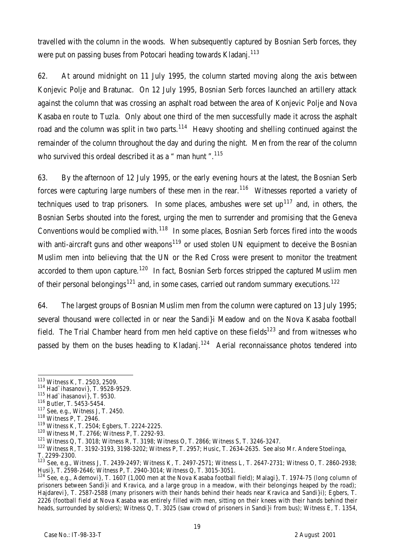travelled with the column in the woods. When subsequently captured by Bosnian Serb forces, they were put on passing buses from Potocari heading towards Kladanj.<sup>113</sup>

62. At around midnight on 11 July 1995, the column started moving along the axis between Konjevic Polje and Bratunac. On 12 July 1995, Bosnian Serb forces launched an artillery attack against the column that was crossing an asphalt road between the area of Konjevic Polje and Nova Kasaba *en route* to Tuzla. Only about one third of the men successfully made it across the asphalt road and the column was split in two parts.<sup>114</sup> Heavy shooting and shelling continued against the remainder of the column throughout the day and during the night. Men from the rear of the column who survived this ordeal described it as a " man hunt ".<sup>115</sup>

63. By the afternoon of 12 July 1995, or the early evening hours at the latest, the Bosnian Serb forces were capturing large numbers of these men in the rear.<sup>116</sup> Witnesses reported a variety of techniques used to trap prisoners. In some places, ambushes were set up<sup>117</sup> and, in others, the Bosnian Serbs shouted into the forest, urging the men to surrender and promising that the Geneva Conventions would be complied with.<sup>118</sup> In some places, Bosnian Serb forces fired into the woods with anti-aircraft guns and other weapons<sup>119</sup> or used stolen UN equipment to deceive the Bosnian Muslim men into believing that the UN or the Red Cross were present to monitor the treatment accorded to them upon capture.<sup>120</sup> In fact, Bosnian Serb forces stripped the captured Muslim men of their personal belongings<sup>121</sup> and, in some cases, carried out random summary executions.<sup>122</sup>

64. The largest groups of Bosnian Muslim men from the column were captured on 13 July 1995; several thousand were collected in or near the Sandili Meadow and on the Nova Kasaba football field. The Trial Chamber heard from men held captive on these fields<sup>123</sup> and from witnesses who passed by them on the buses heading to Kladanj.<sup>124</sup> Aerial reconnaissance photos tendered into

 $\overline{a}$  $^{113}_{11}$  Witness K, T. 2503, 2509.

<sup>114</sup> Had`ihasanovi}, T. 9528-9529.

<sup>115</sup> Had`ihasanovi}, T. 9530.

<sup>116</sup> Butler, T. 5453-5454.

<sup>117</sup> See, e.g., Witness J, T. 2450.

<sup>118</sup> Witness P, T. 2946.

<sup>119</sup> Witness K, T. 2504; Egbers, T. 2224-2225.

<sup>120</sup> Witness M, T. 2766; Witness P, T. 2292-93.

<sup>121</sup> Witness Q, T. 3018; Witness R, T. 3198; Witness O, T. 2866; Witness S, T. 3246-3247.

<sup>122</sup> Witness R, T. 3192-3193, 3198-3202; Witness P, T. 2957; Husic, T. 2634-2635. See also Mr. Andere Stoelinga, T. 2299-2300.

<sup>123</sup> See, e.g., Witness J, T. 2439-2497; Witness K, T. 2497-2571; Witness L, T. 2647-2731; Witness O, T. 2860-2938; Husi}, T. 2598-2646; Witness P, T. 2940-3014; Witness Q, T. 3015-3051.

<sup>&</sup>lt;sup>124</sup> See, e.g., Ademovi}, T. 1607 (1,000 men at the Nova Kasaba football field); Malagi}, T. 1974-75 (long column of prisoners between Sandi}i and Kravica, and a large group in a meadow, with their belongings heaped by the road); Hajdarevi}, T. 2587-2588 (many prisoners with their hands behind their heads near Kravica and Sandi}i); Egbers, T. 2226 (football field at Nova Kasaba was entirely filled with men, sitting on their knees with their hands behind their heads, surrounded by soldiers); Witness Q, T. 3025 (saw crowd of prisoners in Sandi}i from bus); Witness E, T. 1354,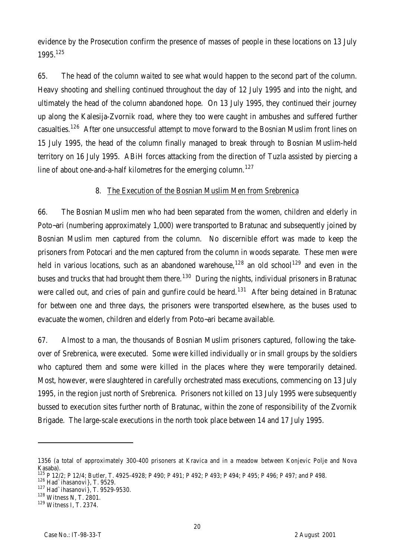evidence by the Prosecution confirm the presence of masses of people in these locations on 13 July 1995.<sup>125</sup>

65. The head of the column waited to see what would happen to the second part of the column. Heavy shooting and shelling continued throughout the day of 12 July 1995 and into the night, and ultimately the head of the column abandoned hope. On 13 July 1995, they continued their journey up along the Kalesija-Zvornik road, where they too were caught in ambushes and suffered further casualties.<sup>126</sup> After one unsuccessful attempt to move forward to the Bosnian Muslim front lines on 15 July 1995, the head of the column finally managed to break through to Bosnian Muslim-held territory on 16 July 1995. ABiH forces attacking from the direction of Tuzla assisted by piercing a line of about one-and-a-half kilometres for the emerging column.<sup>127</sup>

### 8. The Execution of the Bosnian Muslim Men from Srebrenica

66. The Bosnian Muslim men who had been separated from the women, children and elderly in Poto~ari (numbering approximately 1,000) were transported to Bratunac and subsequently joined by Bosnian Muslim men captured from the column. No discernible effort was made to keep the prisoners from Potocari and the men captured from the column in woods separate. These men were held in various locations, such as an abandoned warehouse,  $128$  an old school  $129$  and even in the buses and trucks that had brought them there.<sup>130</sup> During the nights, individual prisoners in Bratunac were called out, and cries of pain and gunfire could be heard.<sup>131</sup> After being detained in Bratunac for between one and three days, the prisoners were transported elsewhere, as the buses used to evacuate the women, children and elderly from Poto~ari became available.

67. Almost to a man, the thousands of Bosnian Muslim prisoners captured, following the takeover of Srebrenica, were executed. Some were killed individually or in small groups by the soldiers who captured them and some were killed in the places where they were temporarily detained. Most, however, were slaughtered in carefully orchestrated mass executions, commencing on 13 July 1995, in the region just north of Srebrenica. Prisoners not killed on 13 July 1995 were subsequently bussed to execution sites further north of Bratunac, within the zone of responsibility of the Zvornik Brigade. The large-scale executions in the north took place between 14 and 17 July 1995.

l

20

<sup>1356 (</sup>a total of approximately 300-400 prisoners at Kravica and in a meadow between Konjevic Polje and Nova Kasaba).

 $^{125}$  P 12/2; P 12/4; Butler, T. 4925-4928; P 490; P 491; P 492; P 493; P 494; P 495; P 496; P 497; and P 498.

<sup>126</sup> Had`ihasanovi}, T. 9529.

<sup>127</sup> Had`ihasanovi}, T. 9529-9530.

<sup>128</sup> Witness N, T. 2801.

<sup>129</sup> Witness I, T. 2374.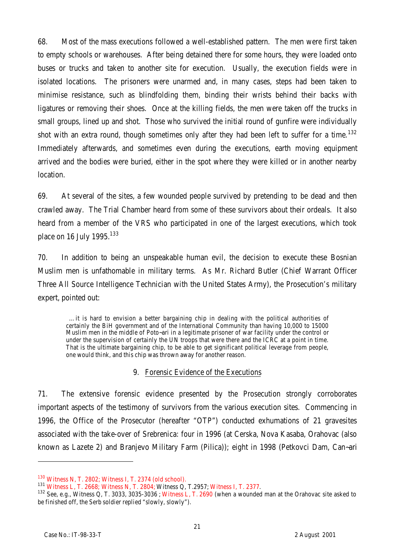68. Most of the mass executions followed a well-established pattern. The men were first taken to empty schools or warehouses. After being detained there for some hours, they were loaded onto buses or trucks and taken to another site for execution. Usually, the execution fields were in isolated locations. The prisoners were unarmed and, in many cases, steps had been taken to minimise resistance, such as blindfolding them, binding their wrists behind their backs with ligatures or removing their shoes. Once at the killing fields, the men were taken off the trucks in small groups, lined up and shot. Those who survived the initial round of gunfire were individually shot with an extra round, though sometimes only after they had been left to suffer for a time.<sup>132</sup> Immediately afterwards, and sometimes even during the executions, earth moving equipment arrived and the bodies were buried, either in the spot where they were killed or in another nearby location.

69. At several of the sites, a few wounded people survived by pretending to be dead and then crawled away. The Trial Chamber heard from some of these survivors about their ordeals. It also heard from a member of the VRS who participated in one of the largest executions, which took place on 16 July 1995.<sup>133</sup>

70. In addition to being an unspeakable human evil, the decision to execute these Bosnian Muslim men is unfathomable in military terms. As Mr. Richard Butler (Chief Warrant Officer Three All Source Intelligence Technician with the United States Army), the Prosecution's military expert, pointed out:

 …it is hard to envision a better bargaining chip in dealing with the political authorities of certainly the BiH government and of the International Community than having 10,000 to 15000 Muslim men in the middle of Poto~ari in a legitimate prisoner of war facility under the control or under the supervision of certainly the UN troops that were there and the ICRC at a point in time. That is the ultimate bargaining chip, to be able to get significant political leverage from people, one would think, and this chip was thrown away for another reason.

#### 9. Forensic Evidence of the Executions

71. The extensive forensic evidence presented by the Prosecution strongly corroborates important aspects of the testimony of survivors from the various execution sites. Commencing in 1996, the Office of the Prosecutor (hereafter "OTP") conducted exhumations of 21 gravesites associated with the take-over of Srebrenica: four in 1996 (at Cerska, Nova Kasaba, Orahovac (also known as Lazete 2) and Branjevo Military Farm (Pilica)); eight in 1998 (Petkovci Dam, Can~ari

l

<sup>130</sup> Witness N, T. 2802; Witness I, T. 2374 (old school).

<sup>131</sup> Witness L, T. 2668; Witness N, T. 2804; Witness Q, T.2957; Witness I, T. 2377.

<sup>132</sup> See, e.g., Witness Q, T. 3033, 3035-3036 ; Witness L, T. 2690 (when a wounded man at the Orahovac site asked to be finished off, the Serb soldier replied "slowly, slowly").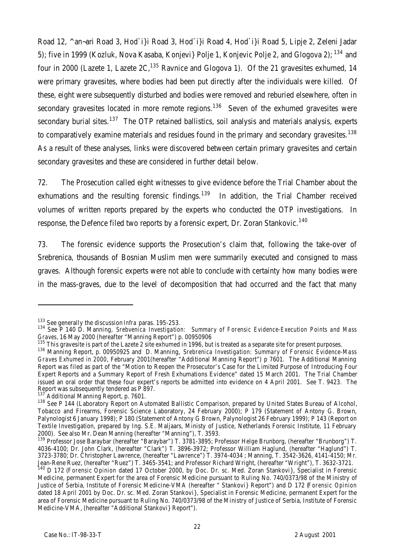Road 12, ^an~ari Road 3, Hod`i}i Road 3, Hod`i}i Road 4, Hod`i}i Road 5, Lipje 2, Zeleni Jadar 5); five in 1999 (Kozluk, Nova Kasaba, Konjevi} Polje 1, Konjevic Polje 2, and Glogova 2); <sup>134</sup> and four in 2000 (Lazete 1, Lazete  $2C<sub>1</sub><sup>135</sup>$  Ravnice and Glogova 1). Of the 21 gravesites exhumed, 14 were primary gravesites, where bodies had been put directly after the individuals were killed. Of these, eight were subsequently disturbed and bodies were removed and reburied elsewhere, often in secondary gravesites located in more remote regions.<sup>136</sup> Seven of the exhumed gravesites were secondary burial sites.<sup>137</sup> The OTP retained ballistics, soil analysis and materials analysis, experts to comparatively examine materials and residues found in the primary and secondary gravesites.<sup>138</sup> As a result of these analyses, links were discovered between certain primary gravesites and certain secondary gravesites and these are considered in further detail below.

72. The Prosecution called eight witnesses to give evidence before the Trial Chamber about the exhumations and the resulting forensic findings.<sup>139</sup> In addition, the Trial Chamber received volumes of written reports prepared by the experts who conducted the OTP investigations. In response, the Defence filed two reports by a forensic expert, Dr. Zoran Stankovic.<sup>140</sup>

73. The forensic evidence supports the Prosecution's claim that, following the take-over of Srebrenica, thousands of Bosnian Muslim men were summarily executed and consigned to mass graves. Although forensic experts were not able to conclude with certainty how many bodies were in the mass-graves, due to the level of decomposition that had occurred and the fact that many

j

<sup>133</sup> See generally the discussion *Infra* paras. 195-253.

<sup>134</sup> See P 140 D. Manning, *Srebvenica Investigation: Summary of Forensic Evidence-Execution Points and Mass Graves*, 16 May 2000 (hereafter "Manning Report") p. 00950906

 $135$  This gravesite is part of the Lazete 2 site exhumed in 1996, but is treated as a separate site for present purposes.

<sup>136</sup> Manning Report, p. 00950925 and D. Manning, *Srebrenica Investigation: Summary of Forensic Evidence-Mass Graves Exhumed in 2000*, February 2001(hereafter "Additional Manning Report") p 7601. The Additional Manning Report was filed as part of the "Motion to Reopen the Prosecutor's Case for the Limited Purpose of Introducing Four Expert Reports and a Summary Report of Fresh Exhumations Evidence" dated 15 March 2001. The Trial Chamber issued an oral order that these four expert's reports be admitted into evidence on 4 April 2001. See T. 9423. The Report was subsequently tendered as P 897.

Additional Manning Report, p. 7601.

<sup>&</sup>lt;sup>138</sup> See P 144 (Laboratory Report on Automated Ballistic Comparison, prepared by United States Bureau of Alcohol, Tobacco and Firearms, Forensic Science Laboratory, 24 February 2000); P 179 (Statement of Antony G. Brown, Palynologist 6 January 1998); P 180 (Statement of Antony G Brown, Palynologist 26 February 1999); P 143 (Report on Textile Investigation, prepared by Ing. S.E. Maljaars, Ministy of Justice, Netherlands Forensic Institute, 11 February 2000). See also Mr. Dean Manning (hereafter "Manning"), T. 3593.

<sup>&</sup>lt;sup>139</sup> Professor Jose Baraybar (hereafter "Baraybar") T. 3781-3895; Professor Helge Brunborg, (hereafter "Brunborg") T. 4036-4100; Dr. John Clark, (hereafter "Clark") T. 3896-3972; Professor William Haglund, (hereafter "Haglund") T. 3723-3780; Dr. Christopher Lawrence, (hereafter "Lawrence") T. 3974-4034 ; Manning, T. 3542-3626, 4141-4150; Mr. Jean-Rene Ruez, (hereafter "Ruez") T. 3465-3541; and Professor Richard Wright, (hereafter "Wright"), T. 3632-3721.

<sup>140</sup> D 172 (*Forensic Opinion* dated 17 October 2000, by Doc. Dr. sc. Med. Zoran Stankovi}, Specialist in Forensic Medicine, permanent Expert for the area of Forensic Medicine pursuant to Ruling No. 740/0373/98 of the Ministry of Justice of Serbia, Institute of Forensic Medicine-VMA (hereafter " Stankovi} Report") and D 172 (*Forensic Opinion* dated 18 April 2001 by Doc. Dr. sc. Med. Zoran Stankovi}, Specialist in Forensic Medicine, permanent Expert for the area of Forensic Medicine pursuant to Ruling No. 740/0373/98 of the Ministry of Justice of Serbia, Institute of Forensic Medicine-VMA, (hereafter "Additional Stankovi} Report").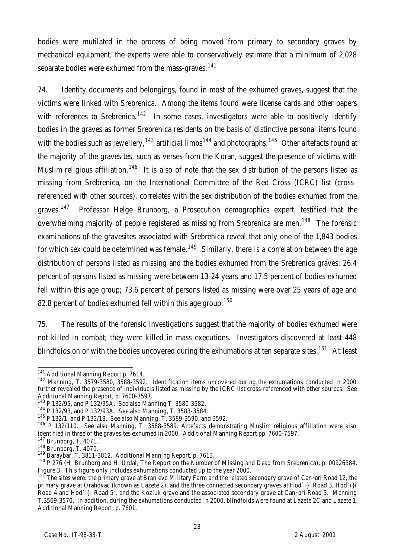bodies were mutilated in the process of being moved from primary to secondary graves by mechanical equipment, the experts were able to conservatively estimate that a minimum of 2,028 separate bodies were exhumed from the mass-graves.<sup>141</sup>

74. Identity documents and belongings, found in most of the exhumed graves, suggest that the victims were linked with Srebrenica. Among the items found were license cards and other papers with references to Srebrenica.<sup>142</sup> In some cases, investigators were able to positively identify bodies in the graves as former Srebrenica residents on the basis of distinctive personal items found with the bodies such as jewellery,  $143$  artificial limbs  $144$  and photographs.  $145$  Other artefacts found at the majority of the gravesites, such as verses from the Koran, suggest the presence of victims with Muslim religious affiliation.<sup>146</sup> It is also of note that the sex distribution of the persons listed as missing from Srebrenica, on the International Committee of the Red Cross (ICRC) list (crossreferenced with other sources), correlates with the sex distribution of the bodies exhumed from the graves.<sup>147</sup> Professor Helge Brunborg, a Prosecution demographics expert, testified that the overwhelming majority of people registered as missing from Srebrenica are men.<sup>148</sup> The forensic examinations of the gravesites associated with Srebrenica reveal that only one of the 1,843 bodies for which sex could be determined was female.<sup>149</sup> Similarly, there is a correlation between the age distribution of persons listed as missing and the bodies exhumed from the Srebrenica graves: 26.4 percent of persons listed as missing were between 13-24 years and 17.5 percent of bodies exhumed fell within this age group; 73.6 percent of persons listed as missing were over 25 years of age and 82.8 percent of bodies exhumed fell within this age group.<sup>150</sup>

75. The results of the forensic investigations suggest that the majority of bodies exhumed were not killed in combat; they were killed in mass executions. Investigators discovered at least 448 blindfolds on or with the bodies uncovered during the exhumations at ten separate sites.<sup>151</sup> At least

 $\overline{a}$ <sup>141</sup> Additional Manning Report p. 7614.

<sup>142</sup> Manning, T. 3579-3580, 3588-3592. Identification items uncovered during the exhumations conducted in 2000 further revealed the presence of individuals listed as missing by the ICRC list cross-referenced with other sources. See Additional Manning Report, p. 7600-7597.

<sup>143</sup> P 132/95, and P 132/95A. See also Manning T. 3580-3582.

<sup>144</sup> P 132/93, and P 132/93A. See also Manning, T. 3583-3584.

<sup>145</sup> P 132/1, and P 132/18. See also Manning, T. 3589-3590, and 3592.

<sup>146</sup> P 132/110. See also Manning, T. 3588-3589. Artefacts demonstrating Muslim religious affiliation were also identified in three of the gravesites exhumed in 2000. Additional Manning Report pp. 7600-7597.

 $^7$  Brunborg, T. 4071.

<sup>148</sup> Brunborg, T. 4070.

<sup>149</sup> Baraybar, T. 3811-3812. Additional Manning Report, p. 7613.

<sup>150</sup> P 276 (H. Brunborg and H. Urdal, The Report on the Number of Missing and Dead from Srebrenica), p. 00926384, Figure 3. This figure only includes exhumations conducted up to the year 2000.

 $\Gamma$ The sites were: the primary grave at Branjevo Military Farm and the related secondary grave of Can~ari Road 12; the primary grave at Orahovac (known as Lazete 2), and the three connected secondary graves at Hod`i}i Road 3, Hod`i}i Road 4 and Hod`i}i Road 5 ; and the Kozluk grave and the associated secondary grave at Can~ari Road 3. Manning T.3569-3570. In addition, during the exhumations conducted in 2000, blindfolds were found at Lazete 2C and Lazete 1. Additional Manning Report, p. 7601.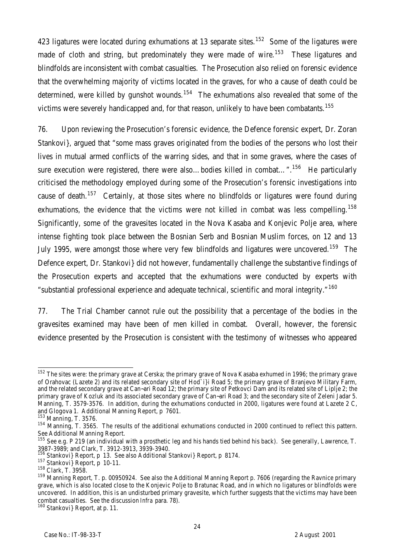423 ligatures were located during exhumations at 13 separate sites.<sup>152</sup> Some of the ligatures were made of cloth and string, but predominately they were made of wire.<sup>153</sup> These ligatures and blindfolds are inconsistent with combat casualties. The Prosecution also relied on forensic evidence that the overwhelming majority of victims located in the graves, for who a cause of death could be determined, were killed by gunshot wounds.<sup>154</sup> The exhumations also revealed that some of the victims were severely handicapped and, for that reason, unlikely to have been combatants.<sup>155</sup>

76. Upon reviewing the Prosecution's forensic evidence, the Defence forensic expert, Dr. Zoran Stankovi}, argued that "some mass graves originated from the bodies of the persons who lost their lives in mutual armed conflicts of the warring sides, and that in some graves, where the cases of sure execution were registered, there were also...bodies killed in combat...".<sup>156</sup> He particularly criticised the methodology employed during some of the Prosecution's forensic investigations into cause of death.<sup>157</sup> Certainly, at those sites where no blindfolds or ligatures were found during exhumations, the evidence that the victims were not killed in combat was less compelling.<sup>158</sup> Significantly, some of the gravesites located in the Nova Kasaba and Konjevic Polje area, where intense fighting took place between the Bosnian Serb and Bosnian Muslim forces, on 12 and 13 July 1995, were amongst those where very few blindfolds and ligatures were uncovered.<sup>159</sup> The Defence expert, Dr. Stankovi} did not however, fundamentally challenge the substantive findings of the Prosecution experts and accepted that the exhumations were conducted by experts with "substantial professional experience and adequate technical, scientific and moral integrity."<sup>160</sup>

77. The Trial Chamber cannot rule out the possibility that a percentage of the bodies in the gravesites examined may have been of men killed in combat. Overall, however, the forensic evidence presented by the Prosecution is consistent with the testimony of witnesses who appeared

 $\overline{a}$ <sup>152</sup> The sites were: the primary grave at Cerska; the primary grave of Nova Kasaba exhumed in 1996; the primary grave of Orahovac (Lazete 2) and its related secondary site of Hod`i}i Road 5; the primary grave of Branjevo Military Farm, and the related secondary grave at Can~ari Road 12; the primary site of Petkovci Dam and its related site of Liplje 2; the primary grave of Kozluk and its associated secondary grave of Can~ari Road 3; and the secondary site of Zeleni Jadar 5. Manning, T. 3579-3576. In addition, during the exhumations conducted in 2000, ligatures were found at Lazete 2 C, and Glogova 1. Additional Manning Report, p 7601.

<sup>153</sup> Manning, T. 3576.

<sup>&</sup>lt;sup>154</sup> Manning, T. 3565. The results of the additional exhumations conducted in 2000 continued to reflect this pattern. See Additional Manning Report.

 $155$  See e.g. P 219 (an individual with a prosthetic leg and his hands tied behind his back). See generally, Lawrence, T. 3987-3989; and Clark, T. 3912-3913, 3939-3940.

<sup>156</sup> Stankovi} Report, p 13. See also Additional Stankovi} Report, p 8174.

<sup>157</sup> Stankovi Report, p 10-11.

<sup>158</sup> Clark, T. 3958.

<sup>&</sup>lt;sup>159</sup> Manning Report, T. p. 00950924. See also the Additional Manning Report p. 7606 (regarding the Ravnice primary grave, which is also located close to the Konjevic Polje to Bratunac Road, and in which no ligatures or blindfolds were uncovered. In addition, this is an undisturbed primary gravesite, which further suggests that the victims may have been combat casualties. See the discussion *Infra* para. 78).

<sup>160</sup> Stankovi} Report, at p. 11.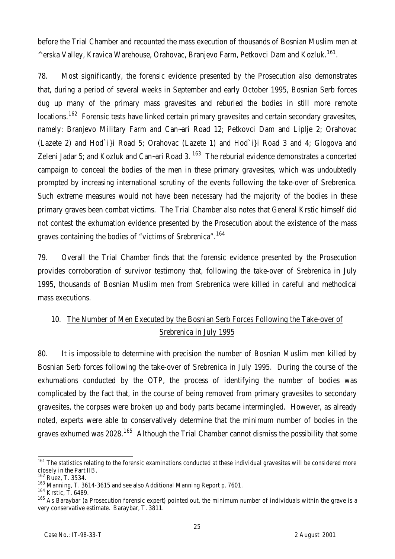before the Trial Chamber and recounted the mass execution of thousands of Bosnian Muslim men at ^erska Valley, Kravica Warehouse, Orahovac, Branjevo Farm, Petkovci Dam and Kozluk.<sup>161</sup>.

78. Most significantly, the forensic evidence presented by the Prosecution also demonstrates that, during a period of several weeks in September and early October 1995, Bosnian Serb forces dug up many of the primary mass gravesites and reburied the bodies in still more remote locations.<sup>162</sup> Forensic tests have linked certain primary gravesites and certain secondary gravesites, namely: Branjevo Military Farm and Can~ari Road 12; Petkovci Dam and Liplje 2; Orahovac (Lazete 2) and Hod`i}i Road 5; Orahovac (Lazete 1) and Hod`i}i Road 3 and 4; Glogova and Zeleni Jadar 5; and Kozluk and Can~ari Road 3.  $^{163}$  The reburial evidence demonstrates a concerted campaign to conceal the bodies of the men in these primary gravesites, which was undoubtedly prompted by increasing international scrutiny of the events following the take-over of Srebrenica. Such extreme measures would not have been necessary had the majority of the bodies in these primary graves been combat victims. The Trial Chamber also notes that General Krstic himself did not contest the exhumation evidence presented by the Prosecution about the existence of the mass graves containing the bodies of "victims of Srebrenica".<sup>164</sup>

79. Overall the Trial Chamber finds that the forensic evidence presented by the Prosecution provides corroboration of survivor testimony that, following the take-over of Srebrenica in July 1995, thousands of Bosnian Muslim men from Srebrenica were killed in careful and methodical mass executions.

# 10. The Number of Men Executed by the Bosnian Serb Forces Following the Take-over of Srebrenica in July 1995

80. It is impossible to determine with precision the number of Bosnian Muslim men killed by Bosnian Serb forces following the take-over of Srebrenica in July 1995. During the course of the exhumations conducted by the OTP, the process of identifying the number of bodies was complicated by the fact that, in the course of being removed from primary gravesites to secondary gravesites, the corpses were broken up and body parts became intermingled. However, as already noted, experts were able to conservatively determine that the minimum number of bodies in the graves exhumed was 2028.<sup>165</sup> Although the Trial Chamber cannot dismiss the possibility that some

 $\overline{a}$ <sup>161</sup> The statistics relating to the forensic examinations conducted at these individual gravesites will be considered more closely in the Part IIB.

<sup>162</sup> Ruez, T. 3534.

<sup>163</sup> Manning, T. 3614-3615 and see also Additional Manning Report p. 7601.

<sup>164</sup> Krstic, T. 6489.

<sup>&</sup>lt;sup>165</sup> As Baraybar (a Prosecution forensic expert) pointed out, the minimum number of individuals within the grave is a very conservative estimate. Baraybar, T. 3811.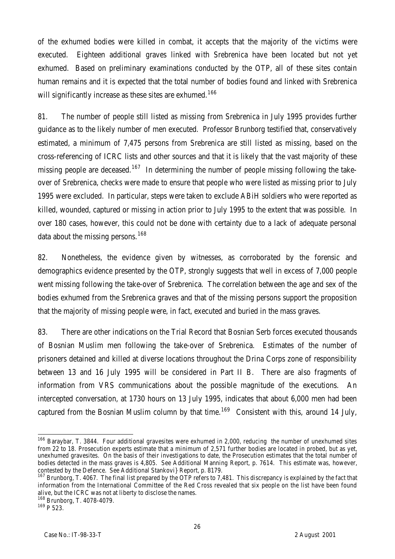of the exhumed bodies were killed in combat, it accepts that the majority of the victims were executed. Eighteen additional graves linked with Srebrenica have been located but not yet exhumed. Based on preliminary examinations conducted by the OTP, all of these sites contain human remains and it is expected that the total number of bodies found and linked with Srebrenica will significantly increase as these sites are exhumed.<sup>166</sup>

81. The number of people still listed as missing from Srebrenica in July 1995 provides further guidance as to the likely number of men executed. Professor Brunborg testified that, conservatively estimated, a minimum of 7,475 persons from Srebrenica are still listed as missing, based on the cross-referencing of ICRC lists and other sources and that it is likely that the vast majority of these missing people are deceased.<sup>167</sup> In determining the number of people missing following the takeover of Srebrenica, checks were made to ensure that people who were listed as missing prior to July 1995 were excluded. In particular, steps were taken to exclude ABiH soldiers who were reported as killed, wounded, captured or missing in action prior to July 1995 to the extent that was possible. In over 180 cases, however, this could not be done with certainty due to a lack of adequate personal data about the missing persons.<sup>168</sup>

82. Nonetheless, the evidence given by witnesses, as corroborated by the forensic and demographics evidence presented by the OTP, strongly suggests that well in excess of 7,000 people went missing following the take-over of Srebrenica. The correlation between the age and sex of the bodies exhumed from the Srebrenica graves and that of the missing persons support the proposition that the majority of missing people were, in fact, executed and buried in the mass graves.

83. There are other indications on the Trial Record that Bosnian Serb forces executed thousands of Bosnian Muslim men following the take-over of Srebrenica. Estimates of the number of prisoners detained and killed at diverse locations throughout the Drina Corps zone of responsibility between 13 and 16 July 1995 will be considered in Part II B. There are also fragments of information from VRS communications about the possible magnitude of the executions. An intercepted conversation, at 1730 hours on 13 July 1995, indicates that about 6,000 men had been captured from the Bosnian Muslim column by that time.<sup>169</sup> Consistent with this, around 14 July,

 $\overline{a}$ <sup>166</sup> Baraybar, T. 3844. Four additional gravesites were exhumed in 2,000, reducing the number of unexhumed sites from 22 to 18. Prosecution experts estimate that a minimum of 2,571 further bodies are located in probed, but as yet, unexhumed gravesites. On the basis of their investigations to date, the Prosecution estimates that the total number of bodies detected in the mass graves is 4,805. See Additional Manning Report, p. 7614. This estimate was, however, contested by the Defence. See Additional Stankovi} Report, p. 8179.

<sup>&</sup>lt;sup>167</sup> Brunborg, T. 4067. The final list prepared by the OTP refers to 7,481. This discrepancy is explained by the fact that information from the International Committee of the Red Cross revealed that six people on the list have been found alive, but the ICRC was not at liberty to disclose the names.

<sup>&</sup>lt;sup>168</sup> Brunborg, T. 4078-4079.

<sup>&</sup>lt;sup>169</sup> P 523.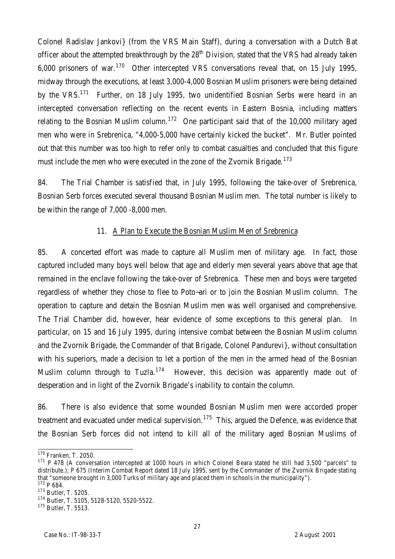Colonel Radislav Jankovi} (from the VRS Main Staff), during a conversation with a Dutch Bat officer about the attempted breakthrough by the  $28<sup>th</sup>$  Division, stated that the VRS had already taken 6,000 prisoners of war.<sup>170</sup> Other intercepted VRS conversations reveal that, on 15 July 1995, midway through the executions, at least 3,000-4,000 Bosnian Muslim prisoners were being detained by the VRS.<sup>171</sup> Further, on 18 July 1995, two unidentified Bosnian Serbs were heard in an intercepted conversation reflecting on the recent events in Eastern Bosnia, including matters relating to the Bosnian Muslim column.<sup>172</sup> One participant said that of the 10,000 military aged men who were in Srebrenica, "4,000-5,000 have certainly kicked the bucket". Mr. Butler pointed out that this number was too high to refer only to combat casualties and concluded that this figure must include the men who were executed in the zone of the Zvornik Brigade.<sup>173</sup>

84. The Trial Chamber is satisfied that, in July 1995, following the take-over of Srebrenica, Bosnian Serb forces executed several thousand Bosnian Muslim men. The total number is likely to be within the range of 7,000 -8,000 men.

### 11. A Plan to Execute the Bosnian Muslim Men of Srebrenica

85. A concerted effort was made to capture all Muslim men of military age. In fact, those captured included many boys well below that age and elderly men several years above that age that remained in the enclave following the take-over of Srebrenica. These men and boys were targeted regardless of whether they chose to flee to Poto~ari or to join the Bosnian Muslim column. The operation to capture and detain the Bosnian Muslim men was well organised and comprehensive. The Trial Chamber did, however, hear evidence of some exceptions to this general plan. In particular, on 15 and 16 July 1995, during intensive combat between the Bosnian Muslim column and the Zvornik Brigade, the Commander of that Brigade, Colonel Pandurevi}, without consultation with his superiors, made a decision to let a portion of the men in the armed head of the Bosnian Muslim column through to Tuzla.<sup>174</sup> However, this decision was apparently made out of desperation and in light of the Zvornik Brigade's inability to contain the column.

86. There is also evidence that some wounded Bosnian Muslim men were accorded proper treatment and evacuated under medical supervision.<sup>175</sup> This, argued the Defence, was evidence that the Bosnian Serb forces did not intend to kill all of the military aged Bosnian Muslims of

 $\overline{a}$ <sup>170</sup> Franken, T. 2050.

<sup>&</sup>lt;sup>171</sup> P 478 (A conversation intercepted at 1000 hours in which Colonel Beara stated he still had 3,500 "parcels" to distribute.); P 675 (Interim Combat Report dated 18 July 1995, sent by the Commander of the Zvornik Brigade stating that "someone brought in 3,000 Turks of military age and placed them in schools in the municipality").  $172$  P 684.

<sup>173</sup> Butler, T. 5205.

<sup>174</sup> Butler, T. 5105, 5128-5120, 5520-5522.

<sup>175</sup> Butler, T. 5513.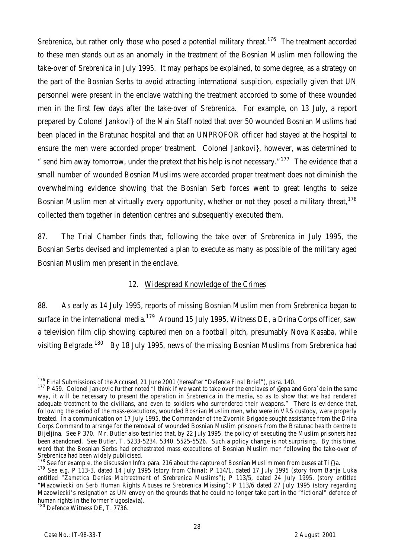Srebrenica, but rather only those who posed a potential military threat.<sup>176</sup> The treatment accorded to these men stands out as an anomaly in the treatment of the Bosnian Muslim men following the take-over of Srebrenica in July 1995. It may perhaps be explained, to some degree, as a strategy on the part of the Bosnian Serbs to avoid attracting international suspicion, especially given that UN personnel were present in the enclave watching the treatment accorded to some of these wounded men in the first few days after the take-over of Srebrenica. For example, on 13 July, a report prepared by Colonel Jankovi} of the Main Staff noted that over 50 wounded Bosnian Muslims had been placed in the Bratunac hospital and that an UNPROFOR officer had stayed at the hospital to ensure the men were accorded proper treatment. Colonel Jankovi}, however, was determined to " send him away tomorrow, under the pretext that his help is not necessary." $177$  The evidence that a small number of wounded Bosnian Muslims were accorded proper treatment does not diminish the overwhelming evidence showing that the Bosnian Serb forces went to great lengths to seize Bosnian Muslim men at virtually every opportunity, whether or not they posed a military threat, <sup>178</sup> collected them together in detention centres and subsequently executed them.

87. The Trial Chamber finds that, following the take over of Srebrenica in July 1995, the Bosnian Serbs devised and implemented a plan to execute as many as possible of the military aged Bosnian Muslim men present in the enclave.

### 12. Widespread Knowledge of the Crimes

88. As early as 14 July 1995, reports of missing Bosnian Muslim men from Srebrenica began to surface in the international media.<sup>179</sup> Around 15 July 1995, Witness DE, a Drina Corps officer, saw a television film clip showing captured men on a football pitch, presumably Nova Kasaba, while visiting Belgrade.<sup>180</sup> By 18 July 1995, news of the missing Bosnian Muslims from Srebrenica had

<sup>178</sup> See for example, the discussion *Infra* para. 216 about the capture of Bosnian Muslim men from buses at Ti{}a.

180 Defence Witness DE, T. 7736.

 $\overline{a}$  $\frac{176}{12}$  Final Submissions of the Accused, 21 June 2001 (hereafter "Defence Final Brief"), para. 140.

<sup>&</sup>lt;sup>177</sup> P 459. Colonel Jankovic further noted "I think if we want to take over the enclaves of @epa and Gora`de in the same way, it will be necessary to present the operation in Srebrenica in the media, so as to show that we had rendered adequate treatment to the civilians, and even to soldiers who surrendered their weapons." There is evidence that, following the period of the mass-executions, wounded Bosnian Muslim men, who were in VRS custody, were properly treated. In a communication on 17 July 1995, the Commander of the Zvornik Brigade sought assistance from the Drina Corps Command to arrange for the removal of wounded Bosnian Muslim prisoners from the Bratunac health centre to Bijeljina. See P 370. Mr. Butler also testified that, by 22 July 1995, the policy of executing the Muslim prisoners had been abandoned. See Butler, T. 5233-5234, 5340, 5525-5526. Such a policy change is not surprising. By this time, word that the Bosnian Serbs had orchestrated mass executions of Bosnian Muslim men following the take-over of Srebrenica had been widely publicised.

 $179$  See e.g. P 113-3, dated 14 July 1995 (story from China); P 114/1, dated 17 July 1995 (story from Banja Luka entitled "Zametica Denies Maltreatment of Srebrenica Muslims"); P 113/5, dated 24 July 1995, (story entitled "Mazowiecki on Serb Human Rights Abuses re Srebrenica Missing"; P 113/6 dated 27 July 1995 (story regarding Mazowiecki's resignation as UN envoy on the grounds that he could no longer take part in the "fictional" defence of human rights in the former Yugoslavia).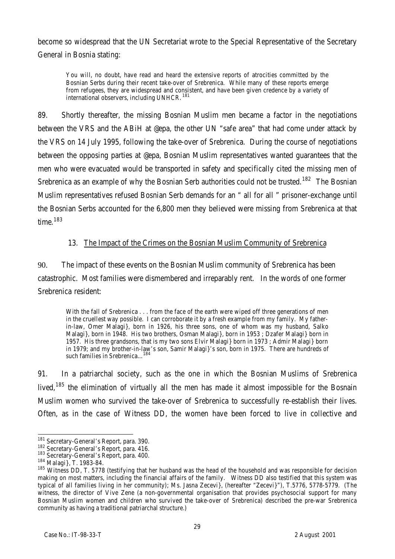become so widespread that the UN Secretariat wrote to the Special Representative of the Secretary General in Bosnia stating:

You will, no doubt, have read and heard the extensive reports of atrocities committed by the Bosnian Serbs during their recent take-over of Srebrenica. While many of these reports emerge from refugees, they are widespread and consistent, and have been given credence by a variety of international observers, including UNHCR. <sup>181</sup>

89. Shortly thereafter, the missing Bosnian Muslim men became a factor in the negotiations between the VRS and the ABiH at @epa, the other UN "safe area" that had come under attack by the VRS on 14 July 1995, following the take-over of Srebrenica. During the course of negotiations between the opposing parties at @epa, Bosnian Muslim representatives wanted guarantees that the men who were evacuated would be transported in safety and specifically cited the missing men of Srebrenica as an example of why the Bosnian Serb authorities could not be trusted.<sup>182</sup> The Bosnian Muslim representatives refused Bosnian Serb demands for an " all for all " prisoner-exchange until the Bosnian Serbs accounted for the 6,800 men they believed were missing from Srebrenica at that time. $183$ 

### 13. The Impact of the Crimes on the Bosnian Muslim Community of Srebrenica

90. The impact of these events on the Bosnian Muslim community of Srebrenica has been catastrophic. Most families were dismembered and irreparably rent. In the words of one former Srebrenica resident:

With the fall of Srebrenica . . . from the face of the earth were wiped off three generations of men in the cruellest way possible. I can corroborate it by a fresh example from my family. My fatherin-law, Omer Malagi}, born in 1926, his three sons, one of whom was my husband, Salko Malagi}, born in 1948. His two brothers, Osman Malagi}, born in 1953 ; Dzafer Malagi} born in 1957. His three grandsons, that is my two sons Elvir Malagi} born in 1973 ; Admir Malagi} born in 1979; and my brother-in-law's son, Samir Malagi}'s son, born in 1975. There are hundreds of such families in Srebrenica...

91. In a patriarchal society, such as the one in which the Bosnian Muslims of Srebrenica lived,<sup>185</sup> the elimination of virtually all the men has made it almost impossible for the Bosnain Muslim women who survived the take-over of Srebrenica to successfully re-establish their lives. Often, as in the case of Witness DD, the women have been forced to live in collective and

 $\overline{a}$ <sup>181</sup> Secretary-General's Report, para. 390.

<sup>182</sup> Secretary-General's Report, para. 416.

<sup>183</sup> Secretary-General's Report, para. 400.

<sup>184</sup> Malagi}, T. 1983-84.

<sup>185</sup> Witness DD, T. 5778 (testifying that her husband was the head of the household and was responsible for decision making on most matters, including the financial affairs of the family. Witness DD also testified that this system was typical of all families living in her community); Ms. Jasna Zecevi}, (hereafter "Zecevi}"), T.5776, 5778-5779. (The witness, the director of Vive Zene (a non-governmental organisation that provides psychosocial support for many Bosnian Muslim women and children who survived the take-over of Srebrenica) described the pre-war Srebrenica community as having a traditional patriarchal structure.)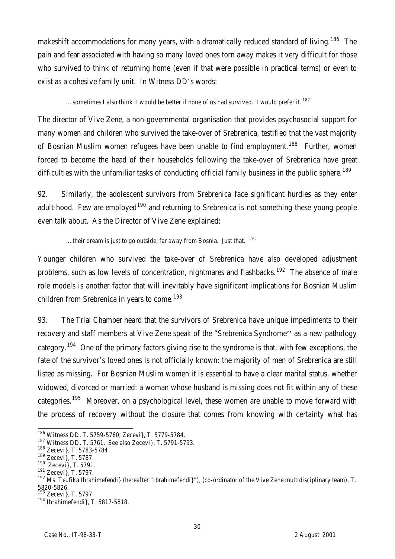makeshift accommodations for many years, with a dramatically reduced standard of living.<sup>186</sup> The pain and fear associated with having so many loved ones torn away makes it very difficult for those who survived to think of returning home (even if that were possible in practical terms) or even to exist as a cohesive family unit. In Witness DD's words:

...sometimes I also think it would be better if none of us had survived. I would prefer it.  $^{187}$ 

The director of Vive Zene, a non-governmental organisation that provides psychosocial support for many women and children who survived the take-over of Srebrenica, testified that the vast majority of Bosnian Muslim women refugees have been unable to find employment.<sup>188</sup> Further, women forced to become the head of their households following the take-over of Srebrenica have great difficulties with the unfamiliar tasks of conducting official family business in the public sphere.<sup>189</sup>

92. Similarly, the adolescent survivors from Srebrenica face significant hurdles as they enter adult-hood. Few are employed<sup>190</sup> and returning to Srebrenica is not something these young people even talk about. As the Director of Vive Zene explained:

...their dream is just to go outside, far away from Bosnia. Just that.  $191$ 

Younger children who survived the take-over of Srebrenica have also developed adjustment problems, such as low levels of concentration, nightmares and flashbacks.<sup>192</sup> The absence of male role models is another factor that will inevitably have significant implications for Bosnian Muslim children from Srebrenica in years to come.<sup>193</sup>

93. The Trial Chamber heard that the survivors of Srebrenica have unique impediments to their recovery and staff members at Vive Zene speak of the "Srebrenica Syndrome'' as a new pathology category.<sup>194</sup> One of the primary factors giving rise to the syndrome is that, with few exceptions, the fate of the survivor's loved ones is not officially known: the majority of men of Srebrenica are still listed as missing. For Bosnian Muslim women it is essential to have a clear marital status, whether widowed, divorced or married: a woman whose husband is missing does not fit within any of these categories.<sup>195</sup> Moreover, on a psychological level, these women are unable to move forward with the process of recovery without the closure that comes from knowing with certainty what has

 $\overline{a}$ <sup>186</sup> Witness DD, T. 5759-5760; Zecevi}, T. 5779-5784.

<sup>187</sup> Witness DD, T. 5761. See also Zecevi}, T. 5791-5793.

<sup>188</sup> Zecevi}, T. 5783-5784

<sup>189</sup> Zecevi}, T. 5787.

<sup>190</sup> Zecevi}, T. 5791.

<sup>191</sup> Zecevi}, T. 5797.

<sup>&</sup>lt;sup>192</sup> Ms. Teufika Ibrahimefendi} (hereafter "Ibrahimefendi}"), (co-ordinator of the Vive Zene multidisciplinary team), T. 5820-5826.

<sup>&</sup>lt;sup>193</sup> Zecevi}, T. 5797.

<sup>194</sup> Ibrahimefendi}, T. 5817-5818.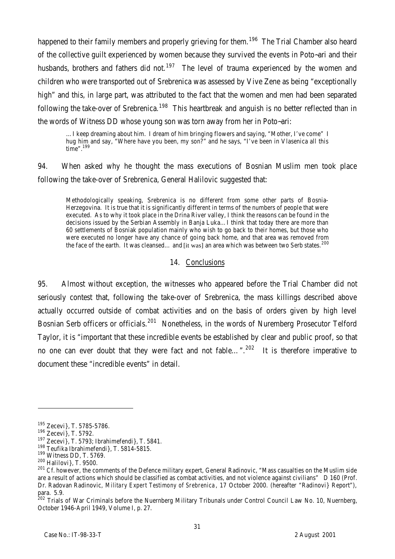happened to their family members and properly grieving for them.<sup>196</sup> The Trial Chamber also heard of the collective guilt experienced by women because they survived the events in Poto~ari and their husbands, brothers and fathers did not.<sup>197</sup> The level of trauma experienced by the women and children who were transported out of Srebrenica was assessed by Vive Zene as being "exceptionally high" and this, in large part, was attributed to the fact that the women and men had been separated following the take-over of Srebrenica.<sup>198</sup> This heartbreak and anguish is no better reflected than in the words of Witness DD whose young son was torn away from her in Poto~ari:

…I keep dreaming about him. I dream of him bringing flowers and saying, "Mother, I've come" I hug him and say, "Where have you been, my son?" and he says, "I've been in Vlasenica all this time". $199$ 

94. When asked why he thought the mass executions of Bosnian Muslim men took place following the take-over of Srebrenica, General Halilovic suggested that:

Methodologically speaking, Srebrenica is no different from some other parts of Bosnia-Herzegovina. It is true that it is significantly different in terms of the numbers of people that were executed. As to why it took place in the Drina River valley, I think the reasons can be found in the decisions issued by the Serbian Assembly in Banja Luka…I think that today there are more than 60 settlements of Bosniak population mainly who wish to go back to their homes, but those who were executed no longer have any chance of going back home, and that area was removed from the face of the earth. It was cleansed... and [it was] an area which was between two Serb states. <sup>200</sup>

### 14. Conclusions

95. Almost without exception, the witnesses who appeared before the Trial Chamber did not seriously contest that, following the take-over of Srebrenica, the mass killings described above actually occurred outside of combat activities and on the basis of orders given by high level Bosnian Serb officers or officials.<sup>201</sup> Nonetheless, in the words of Nuremberg Prosecutor Telford Taylor, it is "important that these incredible events be established by clear and public proof, so that no one can ever doubt that they were fact and not fable...".<sup>202</sup> It is therefore imperative to document these "incredible events" in detail.

l

<sup>195</sup> Zecevi}, T. 5785-5786.

<sup>196</sup> Zecevi}, T. 5792.

<sup>197</sup> Zecevi}, T. 5793; Ibrahimefendi}, T. 5841.

<sup>198</sup> Teufika Ibrahimefendi}, T. 5814-5815.

<sup>199</sup> Witness DD, T. 5769.

<sup>200</sup> Halilovi}, T. 9500.

<sup>&</sup>lt;sup>201</sup> *Cf.* however, the comments of the Defence military expert, General Radinovic, "Mass casualties on the Muslim side are a result of actions which should be classified as combat activities, and not violence against civilians" D 160 (Prof. Dr. Radovan Radinovic, *Military Expert Testimony of Srebrenica*, 17 October 2000. (hereafter "Radinovi} Report"), para. 5.9.

<sup>&</sup>lt;sup>202</sup> Trials of War Criminals before the Nuernberg Military Tribunals under Control Council Law No. 10, Nuernberg, October 1946-April 1949, Volume I, p. 27.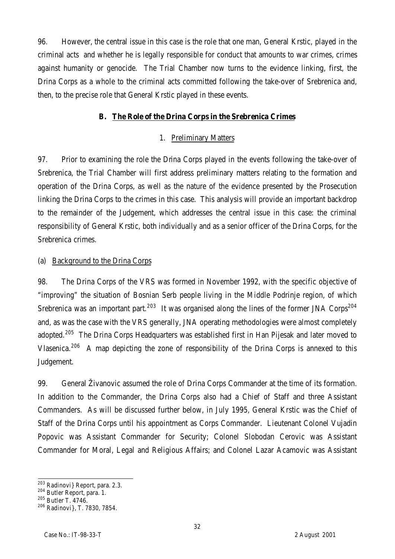96. However, the central issue in this case is the role that one man, General Krstic, played in the criminal acts and whether he is legally responsible for conduct that amounts to war crimes, crimes against humanity or genocide. The Trial Chamber now turns to the evidence linking, first, the Drina Corps as a whole to the criminal acts committed following the take-over of Srebrenica and, then, to the precise role that General Krstic played in these events.

## **B. The Role of the Drina Corps in the Srebrenica Crimes**

#### 1. Preliminary Matters

97. Prior to examining the role the Drina Corps played in the events following the take-over of Srebrenica, the Trial Chamber will first address preliminary matters relating to the formation and operation of the Drina Corps, as well as the nature of the evidence presented by the Prosecution linking the Drina Corps to the crimes in this case. This analysis will provide an important backdrop to the remainder of the Judgement, which addresses the central issue in this case: the criminal responsibility of General Krstic, both individually and as a senior officer of the Drina Corps, for the Srebrenica crimes.

#### (a) Background to the Drina Corps

98. The Drina Corps of the VRS was formed in November 1992, with the specific objective of "improving" the situation of Bosnian Serb people living in the Middle Podrinje region, of which Srebrenica was an important part.<sup>203</sup> It was organised along the lines of the former JNA Corps<sup>204</sup> and, as was the case with the VRS generally, JNA operating methodologies were almost completely adopted.<sup>205</sup> The Drina Corps Headquarters was established first in Han Pijesak and later moved to Vlasenica.<sup>206</sup> A map depicting the zone of responsibility of the Drina Corps is annexed to this Judgement.

99. General Živanovic assumed the role of Drina Corps Commander at the time of its formation. In addition to the Commander, the Drina Corps also had a Chief of Staff and three Assistant Commanders. As will be discussed further below, in July 1995, General Krstic was the Chief of Staff of the Drina Corps until his appointment as Corps Commander. Lieutenant Colonel Vujadin Popovic was Assistant Commander for Security; Colonel Slobodan Cerovic was Assistant Commander for Moral, Legal and Religious Affairs; and Colonel Lazar Acamovic was Assistant

 $\overline{a}$ <sup>203</sup> Radinovi} Report, para. 2.3.

<sup>204</sup> Butler Report, para. 1.

<sup>205</sup> Butler T. 4746.

<sup>206</sup> Radinovi}, T. 7830, 7854.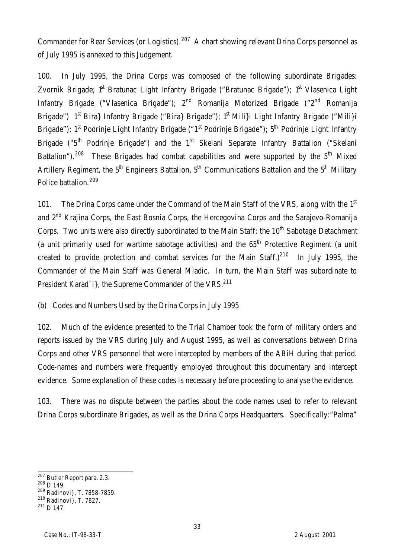Commander for Rear Services (or Logistics).<sup>207</sup> A chart showing relevant Drina Corps personnel as of July 1995 is annexed to this Judgement.

100. In July 1995, the Drina Corps was composed of the following subordinate Brigades: Zvornik Brigade; <sup>1st</sup> Bratunac Light Infantry Brigade ("Bratunac Brigade"); 1<sup>st</sup> Vlasenica Light Infantry Brigade ("Vlasenica Brigade"); 2<sup>nd</sup> Romanija Motorized Brigade ("2<sup>nd</sup> Romanija Brigade") 1<sup>st</sup> Bira} Infantry Brigade ("Bira} Brigade"); 1<sup>st</sup> Mili}i Light Infantry Brigade ("Mili}i Brigade"); 1<sup>st</sup> Podrinje Light Infantry Brigade ("1<sup>st</sup> Podrinje Brigade"); 5<sup>th</sup> Podrinje Light Infantry Brigade ("5<sup>th</sup> Podrinje Brigade") and the 1<sup>st</sup> Skelani Separate Infantry Battalion ("Skelani Battalion").<sup>208</sup> These Brigades had combat capabilities and were supported by the 5<sup>th</sup> Mixed Artillery Regiment, the 5<sup>th</sup> Engineers Battalion, 5<sup>th</sup> Communications Battalion and the 5<sup>th</sup> Military Police battalion.<sup>209</sup>

101. The Drina Corps came under the Command of the Main Staff of the VRS, along with the 1<sup>st</sup> and 2<sup>nd</sup> Krajina Corps, the East Bosnia Corps, the Hercegovina Corps and the Sarajevo-Romanija Corps. Two units were also directly subordinated to the Main Staff: the 10<sup>th</sup> Sabotage Detachment (a unit primarily used for wartime sabotage activities) and the  $65<sup>th</sup>$  Protective Regiment (a unit created to provide protection and combat services for the Main Staff.) $^{210}$  In July 1995, the Commander of the Main Staff was General Mladic. In turn, the Main Staff was subordinate to President Karad`i}, the Supreme Commander of the VRS.<sup>211</sup>

## (b) Codes and Numbers Used by the Drina Corps in July 1995

102. Much of the evidence presented to the Trial Chamber took the form of military orders and reports issued by the VRS during July and August 1995, as well as conversations between Drina Corps and other VRS personnel that were intercepted by members of the ABiH during that period. Code-names and numbers were frequently employed throughout this documentary and intercept evidence. Some explanation of these codes is necessary before proceeding to analyse the evidence.

103. There was no dispute between the parties about the code names used to refer to relevant Drina Corps subordinate Brigades, as well as the Drina Corps Headquarters. Specifically:"Palma"

 $\overline{a}$ <sup>207</sup> Butler Report para. 2.3.

<sup>208</sup> D 149.

<sup>209</sup> Radinovi}, T. 7858-7859.

<sup>210</sup> Radinovi}, T. 7827.

<sup>211</sup> D 147.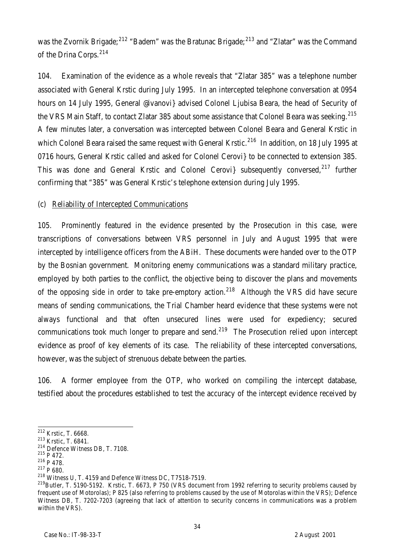was the Zvornik Brigade;<sup>212</sup> "Badem" was the Bratunac Brigade;<sup>213</sup> and "Zlatar" was the Command of the Drina Corps.<sup>214</sup>

104. Examination of the evidence as a whole reveals that "Zlatar 385" was a telephone number associated with General Krstic during July 1995. In an intercepted telephone conversation at 0954 hours on 14 July 1995, General @ivanovi} advised Colonel Ljubisa Beara, the head of Security of the VRS Main Staff, to contact Zlatar 385 about some assistance that Colonel Beara was seeking.<sup>215</sup> A few minutes later, a conversation was intercepted between Colonel Beara and General Krstic in which Colonel Beara raised the same request with General Krstic.<sup>216</sup> In addition, on 18 July 1995 at 0716 hours, General Krstic called and asked for Colonel Cerovi} to be connected to extension 385. This was done and General Krstic and Colonel Cerovi} subsequently conversed.<sup>217</sup> further confirming that "385" was General Krstic's telephone extension during July 1995.

#### (c) Reliability of Intercepted Communications

105. Prominently featured in the evidence presented by the Prosecution in this case, were transcriptions of conversations between VRS personnel in July and August 1995 that were intercepted by intelligence officers from the ABiH. These documents were handed over to the OTP by the Bosnian government. Monitoring enemy communications was a standard military practice, employed by both parties to the conflict, the objective being to discover the plans and movements of the opposing side in order to take pre-emptory action.<sup>218</sup> Although the VRS did have secure means of sending communications, the Trial Chamber heard evidence that these systems were not always functional and that often unsecured lines were used for expediency; secured communications took much longer to prepare and send.<sup>219</sup> The Prosecution relied upon intercept evidence as proof of key elements of its case. The reliability of these intercepted conversations, however, was the subject of strenuous debate between the parties.

106. A former employee from the OTP, who worked on compiling the intercept database, testified about the procedures established to test the accuracy of the intercept evidence received by

 $\overline{a}$ 

<sup>&</sup>lt;sup>212</sup> Krstic, T. 6668.

<sup>213</sup> Krstic, T. 6841.

<sup>214</sup> Defence Witness DB, T. 7108.

<sup>215</sup> P 472.

<sup>216</sup> P 478.

<sup>217</sup> P 680.

<sup>218</sup> Witness U, T. 4159 and Defence Witness DC, T7518-7519.

<sup>&</sup>lt;sup>219</sup>Butler, T. 5190-5192. Krstic, T. 6673, P 750 (VRS document from 1992 referring to security problems caused by frequent use of Motorolas); P 825 (also referring to problems caused by the use of Motorolas within the VRS); Defence Witness DB, T. 7202-7203 (agreeing that lack of attention to security concerns in communications was a problem within the VRS).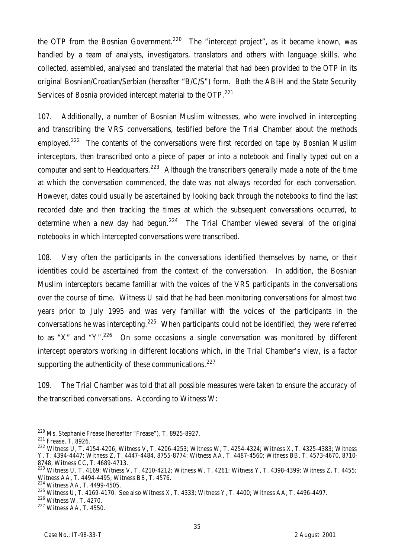the OTP from the Bosnian Government.<sup>220</sup> The "intercept project", as it became known, was handled by a team of analysts, investigators, translators and others with language skills, who collected, assembled, analysed and translated the material that had been provided to the OTP in its original Bosnian/Croatian/Serbian (hereafter "B/C/S") form. Both the ABiH and the State Security Services of Bosnia provided intercept material to the OTP.<sup>221</sup>

107. Additionally, a number of Bosnian Muslim witnesses, who were involved in intercepting and transcribing the VRS conversations, testified before the Trial Chamber about the methods employed.<sup>222</sup> The contents of the conversations were first recorded on tape by Bosnian Muslim interceptors, then transcribed onto a piece of paper or into a notebook and finally typed out on a computer and sent to Headquarters.<sup>223</sup> Although the transcribers generally made a note of the time at which the conversation commenced, the date was not always recorded for each conversation. However, dates could usually be ascertained by looking back through the notebooks to find the last recorded date and then tracking the times at which the subsequent conversations occurred, to determine when a new day had begun.<sup>224</sup> The Trial Chamber viewed several of the original notebooks in which intercepted conversations were transcribed.

108. Very often the participants in the conversations identified themselves by name, or their identities could be ascertained from the context of the conversation. In addition, the Bosnian Muslim interceptors became familiar with the voices of the VRS participants in the conversations over the course of time. Witness U said that he had been monitoring conversations for almost two years prior to July 1995 and was very familiar with the voices of the participants in the conversations he was intercepting.<sup>225</sup> When participants could not be identified, they were referred to as "X" and "Y".<sup>226</sup> On some occasions a single conversation was monitored by different intercept operators working in different locations which, in the Trial Chamber's view, is a factor supporting the authenticity of these communications.<sup>227</sup>

109. The Trial Chamber was told that all possible measures were taken to ensure the accuracy of the transcribed conversations. According to Witness W:

 $\overline{a}$ <sup>220</sup> Ms. Stephanie Frease (hereafter "Frease"), T. 8925-8927.

<sup>221</sup> Frease, T. 8926.

<sup>222</sup> Witness U, T. 4154-4206; Witness V, T. 4206-4253; Witness W, T. 4254-4324; Witness X, T. 4325-4383; Witness Y, T. 4394-4447; Witness Z, T. 4447-4484, 8755-8774; Witness AA, T. 4487-4560; Witness BB, T. 4573-4670, 8710- 8748; Witness CC, T. 4689-4713.

<sup>223</sup> Witness U, T. 4169; Witness V, T. 4210-4212; Witness W, T. 4261; Witness Y, T. 4398-4399; Witness Z, T. 4455; Witness AA, T. 4494-4495; Witness BB, T. 4576.

<sup>224</sup> Witness AA, T. 4499-4505.

<sup>225</sup> Witness U, T. 4169-4170. See also Witness X, T. 4333; Witness Y, T. 4400; Witness AA, T. 4496-4497.

<sup>226</sup> Witness W, T. 4270.

<sup>227</sup> Witness AA, T. 4550.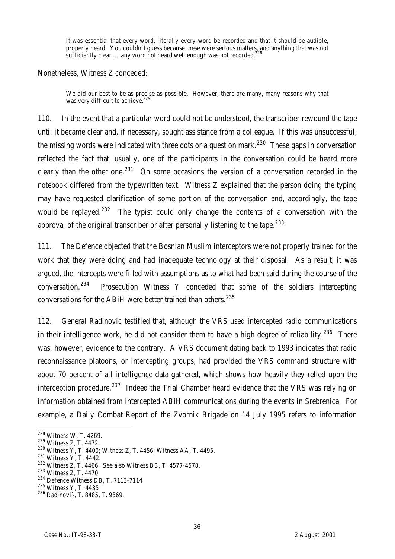It was essential that every word, literally every word be recorded and that it should be audible, properly heard. You couldn't guess because these were serious matters, and anything that was not sufficiently clear  $\ldots$  any word not heard well enough was not recorded. $^{228}$ 

Nonetheless, Witness Z conceded:

We did our best to be as precise as possible. However, there are many, many reasons why that was very difficult to achieve.<sup>229</sup>

110. In the event that a particular word could not be understood, the transcriber rewound the tape until it became clear and, if necessary, sought assistance from a colleague. If this was unsuccessful, the missing words were indicated with three dots or a question mark.<sup>230</sup> These gaps in conversation reflected the fact that, usually, one of the participants in the conversation could be heard more clearly than the other one.<sup>231</sup> On some occasions the version of a conversation recorded in the notebook differed from the typewritten text. Witness Z explained that the person doing the typing may have requested clarification of some portion of the conversation and, accordingly, the tape would be replayed.<sup>232</sup> The typist could only change the contents of a conversation with the approval of the original transcriber or after personally listening to the tape.<sup>233</sup>

111. The Defence objected that the Bosnian Muslim interceptors were not properly trained for the work that they were doing and had inadequate technology at their disposal. As a result, it was argued, the intercepts were filled with assumptions as to what had been said during the course of the conversation.<sup>234</sup> Prosecution Witness Y conceded that some of the soldiers intercepting conversations for the ABiH were better trained than others.<sup>235</sup>

112. General Radinovic testified that, although the VRS used intercepted radio communications in their intelligence work, he did not consider them to have a high degree of reliability.<sup>236</sup> There was, however, evidence to the contrary. A VRS document dating back to 1993 indicates that radio reconnaissance platoons, or intercepting groups, had provided the VRS command structure with about 70 percent of all intelligence data gathered, which shows how heavily they relied upon the interception procedure.<sup>237</sup> Indeed the Trial Chamber heard evidence that the VRS was relying on information obtained from intercepted ABiH communications during the events in Srebrenica. For example, a Daily Combat Report of the Zvornik Brigade on 14 July 1995 refers to information

 $\overline{a}$ <sup>228</sup> Witness W, T. 4269.

<sup>&</sup>lt;sup>229</sup> Witness Z, T. 4472.

 $^{230}$  Witness Y, T. 4400; Witness Z, T. 4456; Witness AA, T. 4495.

<sup>&</sup>lt;sup>231</sup> Witness Y, T. 4442.

 $^{232}$  Witness Z, T. 4466. See also Witness BB, T. 4577-4578.

<sup>&</sup>lt;sup>233</sup> Witness Z, T. 4470.

<sup>&</sup>lt;sup>234</sup> Defence Witness DB, T. 7113-7114

<sup>235</sup> Witness Y, T. 4435

<sup>236</sup> Radinovi}, T. 8485, T. 9369.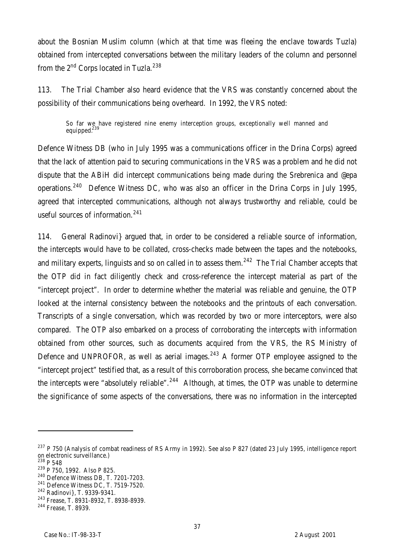about the Bosnian Muslim column (which at that time was fleeing the enclave towards Tuzla) obtained from intercepted conversations between the military leaders of the column and personnel from the  $2^{nd}$  Corps located in Tuzla.<sup>238</sup>

113. The Trial Chamber also heard evidence that the VRS was constantly concerned about the possibility of their communications being overheard. In 1992, the VRS noted:

So far we have registered nine enemy interception groups, exceptionally well manned and equipped.<sup>239</sup>

Defence Witness DB (who in July 1995 was a communications officer in the Drina Corps) agreed that the lack of attention paid to securing communications in the VRS was a problem and he did not dispute that the ABiH did intercept communications being made during the Srebrenica and @epa operations.<sup>240</sup> Defence Witness DC, who was also an officer in the Drina Corps in July 1995, agreed that intercepted communications, although not always trustworthy and reliable, could be useful sources of information.<sup>241</sup>

114. General Radinovi} argued that, in order to be considered a reliable source of information, the intercepts would have to be collated, cross-checks made between the tapes and the notebooks, and military experts, linguists and so on called in to assess them.<sup>242</sup> The Trial Chamber accepts that the OTP did in fact diligently check and cross-reference the intercept material as part of the "intercept project". In order to determine whether the material was reliable and genuine, the OTP looked at the internal consistency between the notebooks and the printouts of each conversation. Transcripts of a single conversation, which was recorded by two or more interceptors, were also compared. The OTP also embarked on a process of corroborating the intercepts with information obtained from other sources, such as documents acquired from the VRS, the RS Ministry of Defence and UNPROFOR, as well as aerial images.<sup>243</sup> A former OTP employee assigned to the "intercept project" testified that, as a result of this corroboration process, she became convinced that the intercepts were "absolutely reliable".<sup>244</sup> Although, at times, the OTP was unable to determine the significance of some aspects of the conversations, there was no information in the intercepted

<sup>&</sup>lt;sup>237</sup> P 750 (Analysis of combat readiness of RS Army in 1992). See also P 827 (dated 23 July 1995, intelligence report on electronic surveillance.)

<sup>238</sup> P 548

<sup>239</sup> P 750, 1992. Also P 825.

<sup>240</sup> Defence Witness DB, T. 7201-7203.

<sup>241</sup> Defence Witness DC, T. 7519-7520.

<sup>242</sup> Radinovi}, T. 9339-9341.

<sup>243</sup> Frease, T. 8931-8932, T. 8938-8939.

<sup>244</sup> Frease, T. 8939.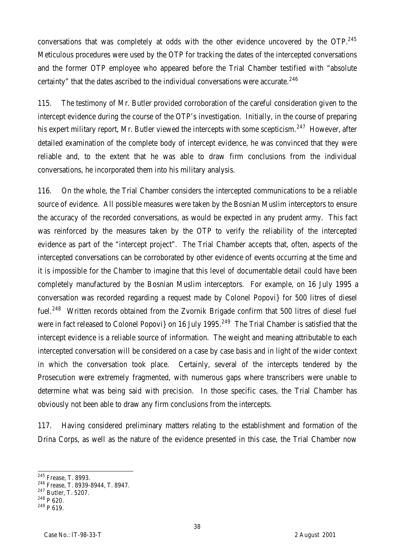conversations that was completely at odds with the other evidence uncovered by the  $\text{OTP}^{245}$ Meticulous procedures were used by the OTP for tracking the dates of the intercepted conversations and the former OTP employee who appeared before the Trial Chamber testified with "absolute certainty" that the dates ascribed to the individual conversations were accurate.<sup>246</sup>

115. The testimony of Mr. Butler provided corroboration of the careful consideration given to the intercept evidence during the course of the OTP's investigation. Initially, in the course of preparing his expert military report, Mr. Butler viewed the intercepts with some scepticism.<sup>247</sup> However, after detailed examination of the complete body of intercept evidence, he was convinced that they were reliable and, to the extent that he was able to draw firm conclusions from the individual conversations, he incorporated them into his military analysis.

116. On the whole, the Trial Chamber considers the intercepted communications to be a reliable source of evidence. All possible measures were taken by the Bosnian Muslim interceptors to ensure the accuracy of the recorded conversations, as would be expected in any prudent army. This fact was reinforced by the measures taken by the OTP to verify the reliability of the intercepted evidence as part of the "intercept project". The Trial Chamber accepts that, often, aspects of the intercepted conversations can be corroborated by other evidence of events occurring at the time and it is impossible for the Chamber to imagine that this level of documentable detail could have been completely manufactured by the Bosnian Muslim interceptors. For example, on 16 July 1995 a conversation was recorded regarding a request made by Colonel Popovi} for 500 litres of diesel fuel.<sup>248</sup> Written records obtained from the Zvornik Brigade confirm that 500 litres of diesel fuel were in fact released to Colonel Popovi on 16 July 1995.<sup>249</sup> The Trial Chamber is satisfied that the intercept evidence is a reliable source of information. The weight and meaning attributable to each intercepted conversation will be considered on a case by case basis and in light of the wider context in which the conversation took place. Certainly, several of the intercepts tendered by the Prosecution were extremely fragmented, with numerous gaps where transcribers were unable to determine what was being said with precision. In those specific cases, the Trial Chamber has obviously not been able to draw any firm conclusions from the intercepts.

117. Having considered preliminary matters relating to the establishment and formation of the Drina Corps, as well as the nature of the evidence presented in this case, the Trial Chamber now

 $\overline{a}$ <sup>245</sup> Frease, T. 8993.

<sup>246</sup> Frease, T. 8939-8944, T. 8947.

<sup>&</sup>lt;sup>247</sup> Butler, T. 5207.

<sup>&</sup>lt;sup>248</sup> P 620. <sup>249</sup> P 619.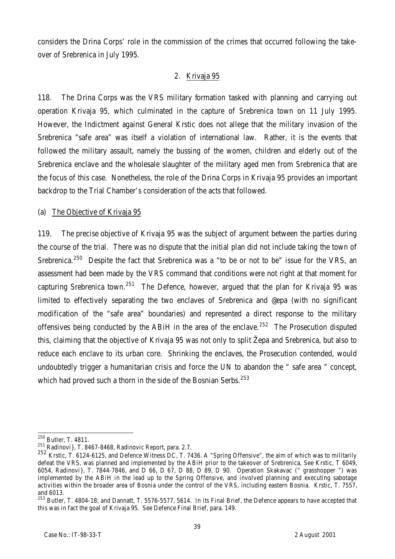considers the Drina Corps' role in the commission of the crimes that occurred following the takeover of Srebrenica in July 1995.

# 2. Krivaja 95

118. The Drina Corps was the VRS military formation tasked with planning and carrying out operation Krivaja 95, which culminated in the capture of Srebrenica town on 11 July 1995. However, the Indictment against General Krstic does not allege that the military invasion of the Srebrenica "safe area" was itself a violation of international law. Rather, it is the events that followed the military assault, namely the bussing of the women, children and elderly out of the Srebrenica enclave and the wholesale slaughter of the military aged men from Srebrenica that are the focus of this case. Nonetheless, the role of the Drina Corps in Krivaja 95 provides an important backdrop to the Trial Chamber's consideration of the acts that followed.

## (a) The Objective of Krivaja 95

119. The precise objective of Krivaja 95 was the subject of argument between the parties during the course of the trial. There was no dispute that the initial plan did not include taking the town of Srebrenica.<sup>250</sup> Despite the fact that Srebrenica was a "to be or not to be" issue for the VRS, an assessment had been made by the VRS command that conditions were not right at that moment for capturing Srebrenica town.<sup>251</sup> The Defence, however, argued that the plan for Krivaja 95 was limited to effectively separating the two enclaves of Srebrenica and @epa (with no significant modification of the "safe area" boundaries) and represented a direct response to the military offensives being conducted by the ABiH in the area of the enclave.<sup>252</sup> The Prosecution disputed this, claiming that the objective of Krivaja 95 was not only to split Žepa and Srebrenica, but also to reduce each enclave to its urban core. Shrinking the enclaves, the Prosecution contended, would undoubtedly trigger a humanitarian crisis and force the UN to abandon the " safe area " concept, which had proved such a thorn in the side of the Bosnian Serbs.  $253$ 

 $\overline{a}$ <sup>250</sup> Butler, T. 4811.

<sup>251</sup> Radinovi}, T. 8467-8468, Radinovic Report, para. 2.7.

<sup>252</sup> Krstic, T. 6124-6125, and Defence Witness DC, T. 7436. A "Spring Offensive", the aim of which was to militarily defeat the VRS, was planned and implemented by the ABiH prior to the takeover of Srebrenica, See Krstic, T 6049, 6054, Radinovi}, T. 7844-7846, and D 66, D 67, D 88, D 89, D 90. Operation Skakavac (" grasshopper ") was implemented by the ABiH in the lead up to the Spring Offensive, and involved planning and executing sabotage activities within the broader area of Bosnia under the control of the VRS, including eastern Bosnia. Krstic, T. 7557, and 6013.

<sup>&</sup>lt;sup>253</sup> Butler, T. 4804-18; and Dannatt, T. 5576-5577, 5614. In its Final Brief, the Defence appears to have accepted that this was in fact the goal of Krivaja 95. See Defence Final Brief, para. 149.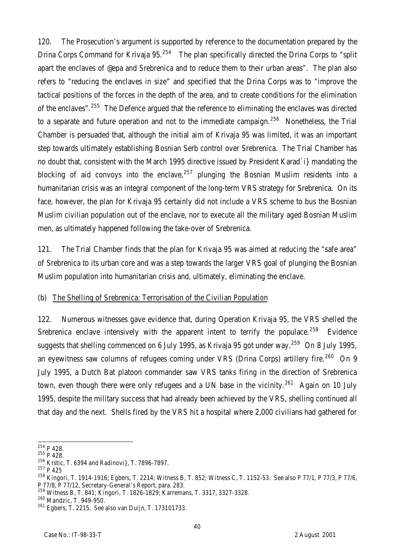120. The Prosecution's argument is supported by reference to the documentation prepared by the Drina Corps Command for Krivaja 95.<sup>254</sup> The plan specifically directed the Drina Corps to "split apart the enclaves of @epa and Srebrenica and to reduce them to their urban areas". The plan also refers to "reducing the enclaves in size" and specified that the Drina Corps was to "improve the tactical positions of the forces in the depth of the area, and to create conditions for the elimination of the enclaves".<sup>255</sup> The Defence argued that the reference to eliminating the enclaves was directed to a separate and future operation and not to the immediate campaign.<sup>256</sup> Nonetheless, the Trial Chamber is persuaded that, although the initial aim of Krivaja 95 was limited, it was an important step towards ultimately establishing Bosnian Serb control over Srebrenica. The Trial Chamber has no doubt that, consistent with the March 1995 directive issued by President Karad`i} mandating the blocking of aid convoys into the enclave,  $257$  plunging the Bosnian Muslim residents into a humanitarian crisis was an integral component of the long-term VRS strategy for Srebrenica. On its face, however, the plan for Krivaja 95 certainly did not include a VRS scheme to bus the Bosnian Muslim civilian population out of the enclave, nor to execute all the military aged Bosnian Muslim men, as ultimately happened following the take-over of Srebrenica.

121. The Trial Chamber finds that the plan for Krivaja 95 was aimed at reducing the "safe area" of Srebrenica to its urban core and was a step towards the larger VRS goal of plunging the Bosnian Muslim population into humanitarian crisis and, ultimately, eliminating the enclave.

## (b) The Shelling of Srebrenica: Terrorisation of the Civilian Population

122. Numerous witnesses gave evidence that, during Operation Krivaja 95, the VRS shelled the Srebrenica enclave intensively with the apparent intent to terrify the populace.<sup>258</sup> Evidence suggests that shelling commenced on 6 July 1995, as Krivaja 95 got under way.<sup>259</sup> On 8 July 1995, an eyewitness saw columns of refugees coming under VRS (Drina Corps) artillery fire.<sup>260</sup> On 9 July 1995, a Dutch Bat platoon commander saw VRS tanks firing in the direction of Srebrenica town, even though there were only refugees and a UN base in the vicinity.<sup>261</sup> Again on 10 July 1995, despite the military success that had already been achieved by the VRS, shelling continued all that day and the next. Shells fired by the VRS hit a hospital where 2,000 civilians had gathered for

 $\overline{a}$  $^{254}$  P 428.

<sup>255</sup> P 428.

<sup>256</sup> Krstic, T. 6394 and Radinovi}, T. 7896-7897.

<sup>257</sup> P 425

<sup>258</sup> Kingori, T. 1914-1916; Egbers, T. 2214; Witness B, T. 852; Witness C, T. 1152-53. See also P 77/1, P 77/3, P 77/6, P 77/8, P 77/12, Secretary-General's Report, para. 283.

<sup>&</sup>lt;sup>259</sup> Witness B, T. 841; Kingori, T. 1826-1829; Karremans, T. 3317, 3327-3328.

<sup>260</sup> Mandzic, T. 949-950.

<sup>261</sup> Egbers, T. 2215. See also van Duijn, T. 173101733.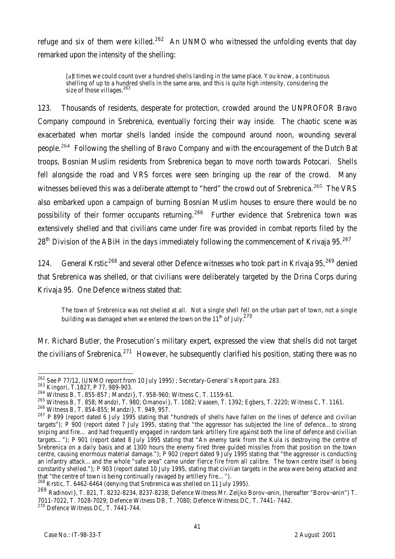refuge and six of them were killed.<sup>262</sup> An UNMO who witnessed the unfolding events that day remarked upon the intensity of the shelling:

[a]t times we could count over a hundred shells landing in the same place. You know, a continuous shelling of up to a hundred shells in the same area, and this is quite high intensity, considering the size of those villages.<sup>263</sup>

123. Thousands of residents, desperate for protection, crowded around the UNPROFOR Bravo Company compound in Srebrenica, eventually forcing their way inside. The chaotic scene was exacerbated when mortar shells landed inside the compound around noon, wounding several people.<sup>264</sup> Following the shelling of Bravo Company and with the encouragement of the Dutch Bat troops, Bosnian Muslim residents from Srebrenica began to move north towards Potocari. Shells fell alongside the road and VRS forces were seen bringing up the rear of the crowd. Many witnesses believed this was a deliberate attempt to "herd" the crowd out of Srebrenica.<sup>265</sup> The VRS also embarked upon a campaign of burning Bosnian Muslim houses to ensure there would be no possibility of their former occupants returning.<sup>266</sup> Further evidence that Srebrenica town was extensively shelled and that civilians came under fire was provided in combat reports filed by the  $28<sup>th</sup>$  Division of the ABiH in the days immediately following the commencement of Krivaia 95.<sup>267</sup>

124. General Krstic<sup>268</sup> and several other Defence witnesses who took part in Krivaja 95,  $269$  denied that Srebrenica was shelled, or that civilians were deliberately targeted by the Drina Corps during Krivaja 95. One Defence witness stated that:

The town of Srebrenica was not shelled at all. Not a single shell fell on the urban part of town, not a single building was damaged when we entered the town on the  $11<sup>th</sup>$  of July.<sup>270</sup>

Mr. Richard Butler, the Prosecution's military expert, expressed the view that shells did not target the civilians of Srebrenica.<sup>271</sup> However, he subsequently clarified his position, stating there was no

<sup>266</sup> Witness B, T. 854-855; Mandzi}, T. 949, 957.

 $\overline{a}$  $^{262}_{22}$  See P 77/12, (UNMO report from 10 July 1995) ; Secretary-General's Report para. 283.

<sup>263</sup> Kingori, T.1827, P 77, 989-903.

<sup>264</sup> Witness B, T. 855-857 ; Mandzi}, T. 958-960; Witness C, T. 1159-61.

<sup>265</sup> Witness B, T. 858; Mandzi, T. 980; Omanovi}, T. 1082; Vaasen, T. 1392; Egbers, T. 2220; Witness C, T. 1161.

<sup>&</sup>lt;sup>267</sup> P 899 (report dated 6 July 1995 stating that "hundreds of shells have fallen on the lines of defence and civilian targets"); P 900 (report dated 7 July 1995, stating that "the aggressor has subjected the line of defence…to strong sniping and fire… and had frequently engaged in random tank artillery fire against both the line of defence and civilian targets…"); P 901 (report dated 8 July 1995 stating that "An enemy tank from the Kula is destroying the centre of Srebrenica on a daily basis and at 1300 hours the enemy fired three guided missiles from that position on the town centre, causing enormous material damage."); P 902 (report dated 9 July 1995 stating that "the aggressor is conducting an infantry attack…and the whole "safe area" came under fierce fire from all calibre. The town centre itself is being constantly shelled."); P 903 (report dated 10 July 1995, stating that civilian targets in the area were being attacked and that "the centre of town is being continually ravaged by artillery fire…").

<sup>&</sup>lt;sup>268</sup> Krstic, T. 6462-6464 (denying that Srebrenica was shelled on 11 July 1995).

<sup>269</sup> Radinovi}, T. 821, T. 8232-8234, 8237-8238; Defence Witness Mr. Zeljko Borov~anin, (hereafter "Borov~anin") T. 7011-7022, T. 7028-7029; Defence Witness DB, T. 7080; Defence Witness DC, T. 7441- 7442.

<sup>270</sup> Defence Witness DC, T. 7441-744.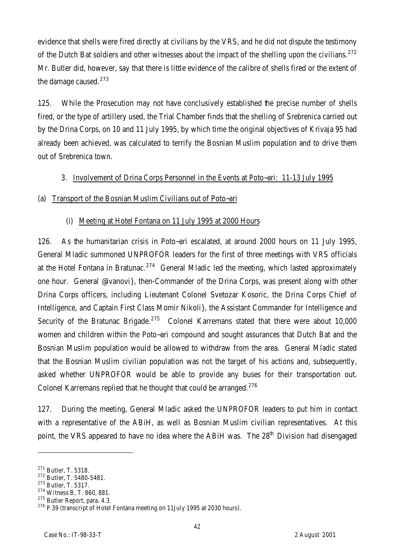evidence that shells were fired directly at civilians by the VRS, and he did not dispute the testimony of the Dutch Bat soldiers and other witnesses about the impact of the shelling upon the civilians.<sup>272</sup> Mr. Butler did, however, say that there is little evidence of the calibre of shells fired or the extent of the damage caused.<sup>273</sup>

125. While the Prosecution may not have conclusively established the precise number of shells fired, or the type of artillery used, the Trial Chamber finds that the shelling of Srebrenica carried out by the Drina Corps, on 10 and 11 July 1995, by which time the original objectives of Krivaja 95 had already been achieved, was calculated to terrify the Bosnian Muslim population and to drive them out of Srebrenica town.

# 3. Involvement of Drina Corps Personnel in the Events at Poto~ari: 11-13 July 1995

# (a) Transport of the Bosnian Muslim Civilians out of Poto~ari

# (i) Meeting at Hotel Fontana on 11 July 1995 at 2000 Hours

126. As the humanitarian crisis in Poto~ari escalated, at around 2000 hours on 11 July 1995, General Mladic summoned UNPROFOR leaders for the first of three meetings with VRS officials at the Hotel Fontana in Bratunac.<sup>274</sup> General Mladic led the meeting, which lasted approximately one hour. General @ivanovi}, then-Commander of the Drina Corps, was present along with other Drina Corps officers, including Lieutenant Colonel Svetozar Kosoric, the Drina Corps Chief of Intelligence, and Captain First Class Momir Nikoli}, the Assistant Commander for Intelligence and Security of the Bratunac Brigade.<sup>275</sup> Colonel Karremans stated that there were about 10,000 women and children within the Poto~ari compound and sought assurances that Dutch Bat and the Bosnian Muslim population would be allowed to withdraw from the area. General Mladic stated that the Bosnian Muslim civilian population was not the target of his actions and, subsequently, asked whether UNPROFOR would be able to provide any buses for their transportation out. Colonel Karremans replied that he thought that could be arranged.<sup>276</sup>

127. During the meeting, General Mladic asked the UNPROFOR leaders to put him in contact with a representative of the ABiH, as well as Bosnian Muslim civilian representatives. At this point, the VRS appeared to have no idea where the ABiH was. The 28<sup>th</sup> Division had disengaged

<sup>271</sup> Butler, T. 5318.

<sup>272</sup> Butler, T. 5480-5481.

<sup>273</sup> Butler, T. 5317.

<sup>274</sup> Witness B, T. 860, 881.

<sup>275</sup> Butler Report, para. 4.3.

<sup>&</sup>lt;sup>276</sup> P 39 (transcript of Hotel Fontana meeting on 11July 1995 at 2030 hours).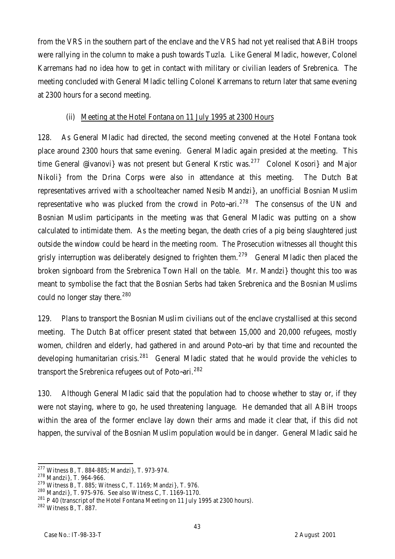from the VRS in the southern part of the enclave and the VRS had not yet realised that ABiH troops were rallying in the column to make a push towards Tuzla. Like General Mladic, however, Colonel Karremans had no idea how to get in contact with military or civilian leaders of Srebrenica. The meeting concluded with General Mladic telling Colonel Karremans to return later that same evening at 2300 hours for a second meeting.

## (ii) Meeting at the Hotel Fontana on 11 July 1995 at 2300 Hours

128. As General Mladic had directed, the second meeting convened at the Hotel Fontana took place around 2300 hours that same evening. General Mladic again presided at the meeting. This time General @ivanovi} was not present but General Krstic was.<sup>277</sup> Colonel Kosori} and Major Nikoli} from the Drina Corps were also in attendance at this meeting. The Dutch Bat representatives arrived with a schoolteacher named Nesib Mandzi}, an unofficial Bosnian Muslim representative who was plucked from the crowd in Poto~ari.<sup>278</sup> The consensus of the UN and Bosnian Muslim participants in the meeting was that General Mladic was putting on a show calculated to intimidate them. As the meeting began, the death cries of a pig being slaughtered just outside the window could be heard in the meeting room. The Prosecution witnesses all thought this grisly interruption was deliberately designed to frighten them.<sup>279</sup> General Mladic then placed the broken signboard from the Srebrenica Town Hall on the table. Mr. Mandzi} thought this too was meant to symbolise the fact that the Bosnian Serbs had taken Srebrenica and the Bosnian Muslims could no longer stay there.<sup>280</sup>

129. Plans to transport the Bosnian Muslim civilians out of the enclave crystallised at this second meeting. The Dutch Bat officer present stated that between 15,000 and 20,000 refugees, mostly women, children and elderly, had gathered in and around Poto~ari by that time and recounted the developing humanitarian crisis.<sup>281</sup> General Mladic stated that he would provide the vehicles to transport the Srebrenica refugees out of Poto~ari.<sup>282</sup>

130. Although General Mladic said that the population had to choose whether to stay or, if they were not staying, where to go, he used threatening language. He demanded that all ABiH troops within the area of the former enclave lay down their arms and made it clear that, if this did not happen, the survival of the Bosnian Muslim population would be in danger. General Mladic said he

 $\overline{a}$ <sup>277</sup> Witness B, T. 884-885; Mandzi}, T. 973-974.

<sup>278</sup> Mandzi}, T. 964-966.

<sup>279</sup> Witness B, T. 885; Witness C, T. 1169; Mandzi}, T. 976.

<sup>280</sup> Mandzi}, T. 975-976. See also Witness C, T. 1169-1170.

<sup>&</sup>lt;sup>281</sup> P 40 (transcript of the Hotel Fontana Meeting on 11 July 1995 at 2300 hours).

<sup>282</sup> Witness B, T. 887.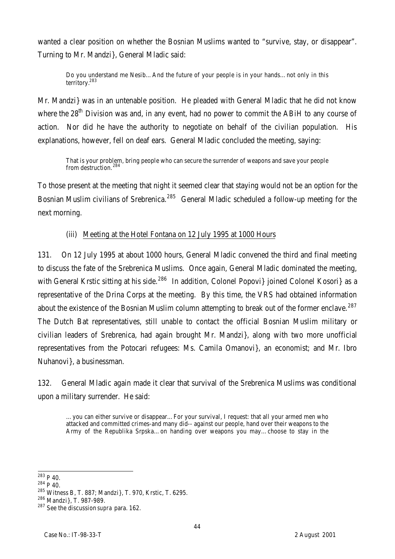wanted a clear position on whether the Bosnian Muslims wanted to "survive, stay, or disappear". Turning to Mr. Mandzi}, General Mladic said:

Do you understand me Nesib…And the future of your people is in your hands…not only in this territory.<sup>283</sup>

Mr. Mandzi} was in an untenable position. He pleaded with General Mladic that he did not know where the 28<sup>th</sup> Division was and, in any event, had no power to commit the ABiH to any course of action. Nor did he have the authority to negotiate on behalf of the civilian population. His explanations, however, fell on deaf ears. General Mladic concluded the meeting, saying:

That is your problem, bring people who can secure the surrender of weapons and save your people from destruction.<sup>284</sup>

To those present at the meeting that night it seemed clear that staying would not be an option for the Bosnian Muslim civilians of Srebrenica.<sup>285</sup> General Mladic scheduled a follow-up meeting for the next morning.

#### (iii) Meeting at the Hotel Fontana on 12 July 1995 at 1000 Hours

131. On 12 July 1995 at about 1000 hours, General Mladic convened the third and final meeting to discuss the fate of the Srebrenica Muslims. Once again, General Mladic dominated the meeting, with General Krstic sitting at his side.<sup>286</sup> In addition, Colonel Popovi} joined Colonel Kosori} as a representative of the Drina Corps at the meeting. By this time, the VRS had obtained information about the existence of the Bosnian Muslim column attempting to break out of the former enclave.<sup>287</sup> The Dutch Bat representatives, still unable to contact the official Bosnian Muslim military or civilian leaders of Srebrenica, had again brought Mr. Mandzi}, along with two more unofficial representatives from the Potocari refugees: Ms. Camila Omanovi}, an economist; and Mr. Ibro Nuhanovi}, a businessman.

132. General Mladic again made it clear that survival of the Srebrenica Muslims was conditional upon a military surrender. He said:

…you can either survive or disappear…For your survival, I request: that all your armed men who attacked and committed crimes-and many did-- against our people, hand over their weapons to the Army of the Republika Srpska…on handing over weapons you may…choose to stay in the

 $\overline{a}$ <sup>283</sup> P 40.

 $^{284}$  P 40.

<sup>285</sup> Witness B, T. 887; Mandzi}, T. 970, Krstic, T. 6295.

<sup>286</sup> Mandzi}, T. 987-989.

<sup>287</sup> See the discussion *supra* para. 162.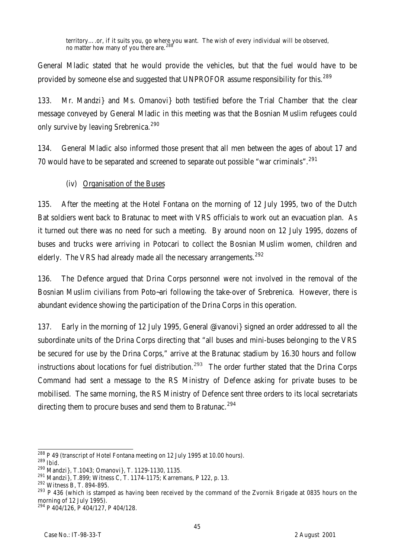territory….or, if it suits you, go where you want. The wish of every individual will be observed, no matter how many of you there are.<sup>288</sup>

General Mladic stated that he would provide the vehicles, but that the fuel would have to be provided by someone else and suggested that UNPROFOR assume responsibility for this.<sup>289</sup>

133. Mr. Mandzi} and Ms. Omanovi} both testified before the Trial Chamber that the clear message conveyed by General Mladic in this meeting was that the Bosnian Muslim refugees could only survive by leaving Srebrenica.<sup>290</sup>

134. General Mladic also informed those present that all men between the ages of about 17 and 70 would have to be separated and screened to separate out possible "war criminals".<sup>291</sup>

## (iv) Organisation of the Buses

135. After the meeting at the Hotel Fontana on the morning of 12 July 1995, two of the Dutch Bat soldiers went back to Bratunac to meet with VRS officials to work out an evacuation plan. As it turned out there was no need for such a meeting. By around noon on 12 July 1995, dozens of buses and trucks were arriving in Potocari to collect the Bosnian Muslim women, children and elderly. The VRS had already made all the necessary arrangements.<sup>292</sup>

136. The Defence argued that Drina Corps personnel were not involved in the removal of the Bosnian Muslim civilians from Poto~ari following the take-over of Srebrenica. However, there is abundant evidence showing the participation of the Drina Corps in this operation.

137. Early in the morning of 12 July 1995, General @ivanovi} signed an order addressed to all the subordinate units of the Drina Corps directing that "all buses and mini-buses belonging to the VRS be secured for use by the Drina Corps," arrive at the Bratunac stadium by 16.30 hours and follow instructions about locations for fuel distribution.<sup>293</sup> The order further stated that the Drina Corps Command had sent a message to the RS Ministry of Defence asking for private buses to be mobilised. The same morning, the RS Ministry of Defence sent three orders to its local secretariats directing them to procure buses and send them to Bratunac.<sup>294</sup>

 $\overline{\phantom{a}}$  $^{288}$  P 49 (transcript of Hotel Fontana meeting on 12 July 1995 at 10.00 hours).

<sup>289</sup> *Ibid*.

<sup>290</sup> Mandzi}, T.1043; Omanovi}, T. 1129-1130, 1135.

<sup>291</sup> Mandzi}, T.899; Witness C, T. 1174-1175; Karremans, P 122, p. 13.

<sup>292</sup> Witness B, T. 894-895.

<sup>&</sup>lt;sup>293</sup> P 436 (which is stamped as having been received by the command of the Zvornik Brigade at 0835 hours on the morning of 12 July 1995).

<sup>294</sup> P 404/126, P 404/127, P 404/128.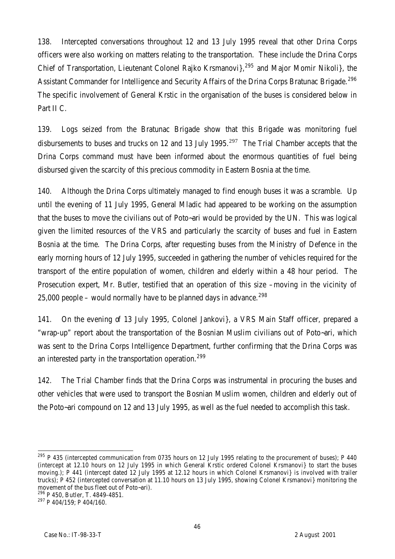138. Intercepted conversations throughout 12 and 13 July 1995 reveal that other Drina Corps officers were also working on matters relating to the transportation. These include the Drina Corps Chief of Transportation, Lieutenant Colonel Rajko Krsmanovi},<sup>295</sup> and Major Momir Nikoli}, the Assistant Commander for Intelligence and Security Affairs of the Drina Corps Bratunac Brigade.<sup>296</sup> The specific involvement of General Krstic in the organisation of the buses is considered below in Part II C.

139. Logs seized from the Bratunac Brigade show that this Brigade was monitoring fuel disbursements to buses and trucks on 12 and 13 July 1995.<sup>297</sup> The Trial Chamber accepts that the Drina Corps command must have been informed about the enormous quantities of fuel being disbursed given the scarcity of this precious commodity in Eastern Bosnia at the time.

140. Although the Drina Corps ultimately managed to find enough buses it was a scramble. Up until the evening of 11 July 1995, General Mladic had appeared to be working on the assumption that the buses to move the civilians out of Poto~ari would be provided by the UN. This was logical given the limited resources of the VRS and particularly the scarcity of buses and fuel in Eastern Bosnia at the time. The Drina Corps, after requesting buses from the Ministry of Defence in the early morning hours of 12 July 1995, succeeded in gathering the number of vehicles required for the transport of the entire population of women, children and elderly within a 48 hour period. The Prosecution expert, Mr. Butler, testified that an operation of this size –moving in the vicinity of 25,000 people – would normally have to be planned days in advance.<sup>298</sup>

141. On the evening of 13 July 1995, Colonel Jankovi}, a VRS Main Staff officer, prepared a "wrap-up" report about the transportation of the Bosnian Muslim civilians out of Poto~ari, which was sent to the Drina Corps Intelligence Department, further confirming that the Drina Corps was an interested party in the transportation operation.<sup>299</sup>

142. The Trial Chamber finds that the Drina Corps was instrumental in procuring the buses and other vehicles that were used to transport the Bosnian Muslim women, children and elderly out of the Poto~ari compound on 12 and 13 July 1995, as well as the fuel needed to accomplish this task.

 $\overline{a}$  $^{295}$  P 435 (intercepted communication from 0735 hours on 12 July 1995 relating to the procurement of buses); P 440 (intercept at 12.10 hours on 12 July 1995 in which General Krstic ordered Colonel Krsmanovi} to start the buses moving.); P 441 (intercept dated 12 July 1995 at 12.12 hours in which Colonel Krsmanovi} is involved with trailer trucks); P 452 (intercepted conversation at 11.10 hours on 13 July 1995, showing Colonel Krsmanovi} monitoring the movement of the bus fleet out of Poto~ari).

<sup>296</sup> P 450, Butler, T. 4849-4851. <sup>297</sup> P 404/159; P 404/160.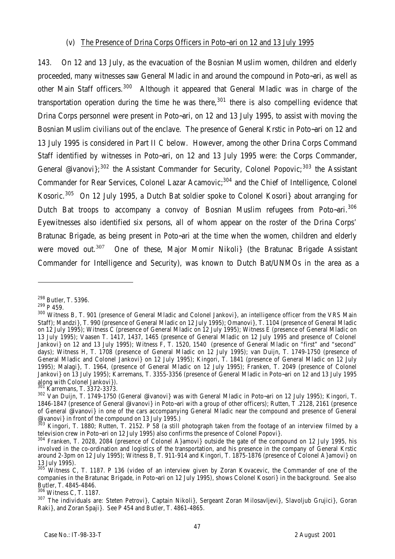#### (v) The Presence of Drina Corps Officers in Poto~ari on 12 and 13 July 1995

143. On 12 and 13 July, as the evacuation of the Bosnian Muslim women, children and elderly proceeded, many witnesses saw General Mladic in and around the compound in Poto~ari, as well as other Main Staff officers.<sup>300</sup> Although it appeared that General Mladic was in charge of the transportation operation during the time he was there,  $301$  there is also compelling evidence that Drina Corps personnel were present in Poto~ari, on 12 and 13 July 1995, to assist with moving the Bosnian Muslim civilians out of the enclave. The presence of General Krstic in Poto~ari on 12 and 13 July 1995 is considered in Part II C below. However, among the other Drina Corps Command Staff identified by witnesses in Poto~ari, on 12 and 13 July 1995 were: the Corps Commander, General @ivanovi};<sup>302</sup> the Assistant Commander for Security, Colonel Popovic;<sup>303</sup> the Assistant Commander for Rear Services, Colonel Lazar Acamovic;<sup>304</sup> and the Chief of Intelligence, Colonel Kosoric.<sup>305</sup> On 12 July 1995, a Dutch Bat soldier spoke to Colonel Kosori} about arranging for Dutch Bat troops to accompany a convoy of Bosnian Muslim refugees from Poto~ari.<sup>306</sup> Eyewitnesses also identified six persons, all of whom appear on the roster of the Drina Corps' Bratunac Brigade, as being present in Poto~ari at the time when the women, children and elderly were moved out.<sup>307</sup> One of these, Major Momir Nikoli} (the Bratunac Brigade Assistant Commander for Intelligence and Security), was known to Dutch Bat/UNMOs in the area as a

j

 $^{31}$  Karremans, T. 3372-3373.

<sup>298</sup> Butler, T. 5396.

<sup>299</sup> P 459.

<sup>&</sup>lt;sup>300</sup> Witness B, T. 901 (presence of General Mladic and Colonel Jankovi}, an intelligence officer from the VRS Main Staff); Mandzi}, T. 990 (presence of General Mladic on 12 July 1995); Omanovi}, T. 1104 (presence of General Mladic on 12 July 1995); Witness C (presence of General Mladic on 12 July 1995); Witness E (presence of General Mladic on 13 July 1995); Vaasen T. 1417, 1437, 1465 (presence of General Mladic on 12 July 1995 and presence of Colonel Jankovi} on 12 and 13 July 1995); Witness F, T. 1520, 1540 (presence of General Mladic on "first" and "second" days); Witness H, T. 1708 (presence of General Mladic on 12 July 1995); van Duijn, T. 1749-1750 (presence of General Mladic and Colonel Jankovi} on 12 July 1995); Kingori, T. 1841 (presence of General Mladic on 12 July 1995); Malagi}, T. 1964, (presence of General Mladic on 12 July 1995); Franken, T. 2049 (presence of Colonel Jankovi} on 13 July 1995); Karremans, T. 3355-3356 (presence of General Mladic in Poto~ari on 12 and 13 July 1995 along with Colonel Jankovi}).

<sup>302</sup> Van Duijn, T. 1749-1750 (General @ivanovi} was with General Mladic in Poto~ari on 12 July 1995); Kingori, T. 1846-1847 (presence of General @ivanovi} in Poto~ari with a group of other officers); Rutten, T .2128, 2161 (presence of General @ivanovi} in one of the cars accompanying General Mladic near the compound and presence of General @ivanovi} in front of the compound on 13 July 1995.)

<sup>303</sup> Kingori, T. 1880; Rutten, T. 2152. P 58 (a still photograph taken from the footage of an interview filmed by a television crew in Poto~ari on 12 July 1995) also confirms the presence of Colonel Popovi}.

<sup>&</sup>lt;sup>304</sup> Franken, T. 2028, 2084 (presence of Colonel A}amovi} outside the gate of the compound on 12 July 1995, his involved in the co-ordination and logistics of the transportation, and his presence in the company of General Krstic around 2-3pm on 12 July 1995); Witness B, T. 911-914 and Kingori, T. 1875-1876 (presence of Colonel A}amovi} on 13 July 1995).

<sup>&</sup>lt;sup>305</sup> Witness C, T. 1187. P 136 (video of an interview given by Zoran Kovacevic, the Commander of one of the companies in the Bratunac Brigade, in Poto~ari on 12 July 1995), shows Colonel Kosori} in the background. See also Butler, T. 4845-4846.

<sup>306</sup> Witness C, T. 1187.

<sup>307</sup> The individuals are: Steten Petrovi}, Captain Nikoli}, Sergeant Zoran Milosavljevi}, Slavoljub Grujici}, Goran Raki}, and Zoran Spaji}. See P 454 and Butler, T. 4861-4865.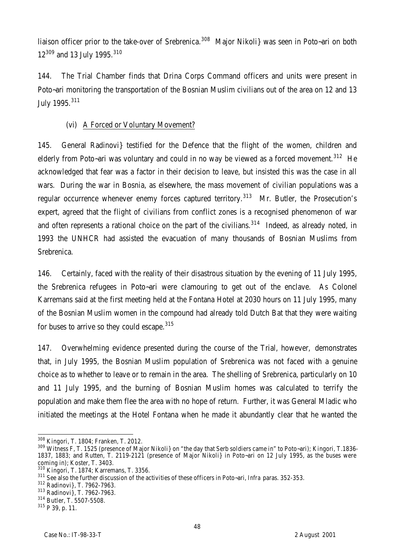liaison officer prior to the take-over of Srebrenica.<sup>308</sup> Major Nikoli} was seen in Poto~ari on both 12<sup>309</sup> and 13 July 1995.<sup>310</sup>

144. The Trial Chamber finds that Drina Corps Command officers and units were present in Poto~ari monitoring the transportation of the Bosnian Muslim civilians out of the area on 12 and 13 July 1995.<sup>311</sup>

# (vi) A Forced or Voluntary Movement?

145. General Radinovi} testified for the Defence that the flight of the women, children and elderly from Poto~ari was voluntary and could in no way be viewed as a forced movement.<sup>312</sup> He acknowledged that fear was a factor in their decision to leave, but insisted this was the case in all wars. During the war in Bosnia, as elsewhere, the mass movement of civilian populations was a regular occurrence whenever enemy forces captured territory.<sup>313</sup> Mr. Butler, the Prosecution's expert, agreed that the flight of civilians from conflict zones is a recognised phenomenon of war and often represents a rational choice on the part of the civilians.<sup>314</sup> Indeed, as already noted, in 1993 the UNHCR had assisted the evacuation of many thousands of Bosnian Muslims from Srebrenica.

146. Certainly, faced with the reality of their disastrous situation by the evening of 11 July 1995, the Srebrenica refugees in Poto~ari were clamouring to get out of the enclave. As Colonel Karremans said at the first meeting held at the Fontana Hotel at 2030 hours on 11 July 1995, many of the Bosnian Muslim women in the compound had already told Dutch Bat that they were waiting for buses to arrive so they could escape.  $315$ 

147. Overwhelming evidence presented during the course of the Trial, however, demonstrates that, in July 1995, the Bosnian Muslim population of Srebrenica was not faced with a genuine choice as to whether to leave or to remain in the area. The shelling of Srebrenica, particularly on 10 and 11 July 1995, and the burning of Bosnian Muslim homes was calculated to terrify the population and make them flee the area with no hope of return. Further, it was General Mladic who initiated the meetings at the Hotel Fontana when he made it abundantly clear that he wanted the

 $\overline{a}$ <sup>308</sup> Kingori, T. 1804; Franken, T. 2012.

 $309$  Witness F, T. 1525 (presence of Major Nikoli } on "the day that Serb soldiers came in" to Poto~ari); Kingori, T.1836-1837, 1883; and Rutten, T. 2119-2121 (presence of Major Nikoli} in Poto~ari on 12 July 1995, as the buses were coming in); Koster, T. 3403.

<sup>310</sup> Kingori, T. 1874; Karremans, T. 3356.

<sup>311</sup> See also the further discussion of the activities of these officers in Poto~ari, *Infra* paras. 352-353.

<sup>312</sup> Radinovi}, T. 7962-7963.

<sup>313</sup> Radinovi}, T. 7962-7963.

<sup>314</sup> Butler, T. 5507-5508.

 $315$  P 39, p. 11.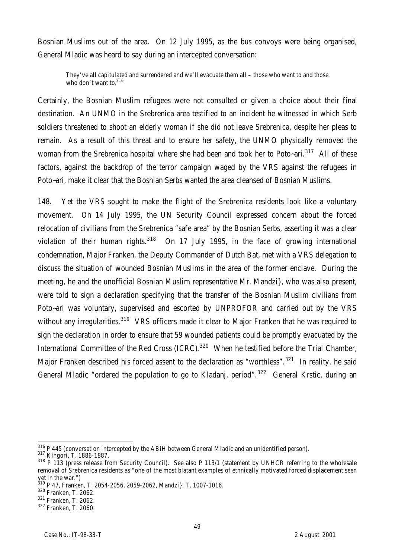Bosnian Muslims out of the area. On 12 July 1995, as the bus convoys were being organised, General Mladic was heard to say during an intercepted conversation:

They've all capitulated and surrendered and we'll evacuate them all – those who want to and those who don't want to.<sup>316</sup>

Certainly, the Bosnian Muslim refugees were not consulted or given a choice about their final destination. An UNMO in the Srebrenica area testified to an incident he witnessed in which Serb soldiers threatened to shoot an elderly woman if she did not leave Srebrenica, despite her pleas to remain. As a result of this threat and to ensure her safety, the UNMO physically removed the woman from the Srebrenica hospital where she had been and took her to Poto~ari.<sup>317</sup> All of these factors, against the backdrop of the terror campaign waged by the VRS against the refugees in Poto~ari, make it clear that the Bosnian Serbs wanted the area cleansed of Bosnian Muslims.

148. Yet the VRS sought to make the flight of the Srebrenica residents look like a voluntary movement. On 14 July 1995, the UN Security Council expressed concern about the forced relocation of civilians from the Srebrenica "safe area" by the Bosnian Serbs, asserting it was a clear violation of their human rights. $318$  On 17 July 1995, in the face of growing international condemnation, Major Franken, the Deputy Commander of Dutch Bat, met with a VRS delegation to discuss the situation of wounded Bosnian Muslims in the area of the former enclave. During the meeting, he and the unofficial Bosnian Muslim representative Mr. Mandzi}, who was also present, were told to sign a declaration specifying that the transfer of the Bosnian Muslim civilians from Poto~ari was voluntary, supervised and escorted by UNPROFOR and carried out by the VRS without any irregularities.<sup>319</sup> VRS officers made it clear to Major Franken that he was required to sign the declaration in order to ensure that 59 wounded patients could be promptly evacuated by the International Committee of the Red Cross (ICRC).<sup>320</sup> When he testified before the Trial Chamber, Major Franken described his forced assent to the declaration as "worthless".<sup>321</sup> In reality, he said General Mladic "ordered the population to go to Kladani, period".<sup>322</sup> General Krstic, during an

 $\overline{a}$  $\frac{316}{10}$  P 445 (conversation intercepted by the ABiH between General Mladic and an unidentified person).

<sup>317</sup> Kingori, T. 1886-1887.

<sup>&</sup>lt;sup>318</sup> P 113 (press release from Security Council). See also P 113/1 (statement by UNHCR referring to the wholesale removal of Srebrenica residents as "one of the most blatant examples of ethnically motivated forced displacement seen yet in the war.")

<sup>319</sup> P 47, Franken, T. 2054-2056, 2059-2062, Mandzi}, T. 1007-1016.

<sup>320</sup> Franken, T. 2062.

<sup>321</sup> Franken, T. 2062.

<sup>322</sup> Franken, T. 2060.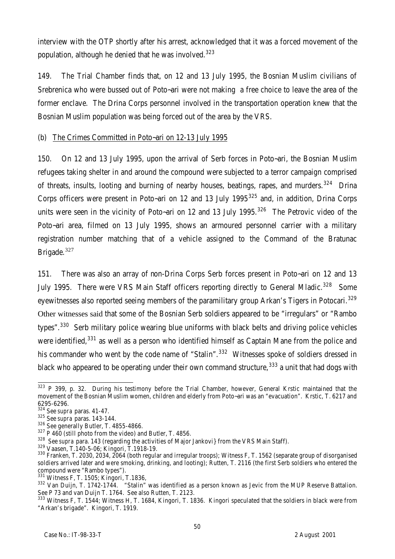interview with the OTP shortly after his arrest, acknowledged that it was a forced movement of the population, although he denied that he was involved.<sup>323</sup>

149. The Trial Chamber finds that, on 12 and 13 July 1995, the Bosnian Muslim civilians of Srebrenica who were bussed out of Poto~ari were not making a free choice to leave the area of the former enclave. The Drina Corps personnel involved in the transportation operation knew that the Bosnian Muslim population was being forced out of the area by the VRS.

## (b) The Crimes Committed in Poto~ari on 12-13 July 1995

150. On 12 and 13 July 1995, upon the arrival of Serb forces in Poto~ari, the Bosnian Muslim refugees taking shelter in and around the compound were subjected to a terror campaign comprised of threats, insults, looting and burning of nearby houses, beatings, rapes, and murders.<sup>324</sup> Drina Corps officers were present in Poto~ari on 12 and 13 July 1995 $325$  and, in addition, Drina Corps units were seen in the vicinity of Poto~ari on 12 and 13 July 1995.<sup>326</sup> The Petrovic video of the Poto~ari area, filmed on 13 July 1995, shows an armoured personnel carrier with a military registration number matching that of a vehicle assigned to the Command of the Bratunac Brigade.<sup>327</sup>

151. There was also an array of non-Drina Corps Serb forces present in Poto~ari on 12 and 13 July 1995. There were VRS Main Staff officers reporting directly to General Mladic.<sup>328</sup> Some eyewitnesses also reported seeing members of the paramilitary group Arkan's Tigers in Potocari.<sup>329</sup> Other witnesses said that some of the Bosnian Serb soldiers appeared to be "irregulars" or "Rambo types".<sup>330</sup> Serb military police wearing blue uniforms with black belts and driving police vehicles were identified,<sup>331</sup> as well as a person who identified himself as Captain Mane from the police and his commander who went by the code name of "Stalin".<sup>332</sup> Witnesses spoke of soldiers dressed in black who appeared to be operating under their own command structure,  $333$  a unit that had dogs with

 $\overline{a}$  $323$  P 399, p. 32. During his testimony before the Trial Chamber, however, General Krstic maintained that the movement of the Bosnian Muslim women, children and elderly from Poto~ari was an "evacuation". Krstic, T. 6217 and 6295-6296.

<sup>324</sup> See *supra* paras. 41-47.

<sup>325</sup> See *supra* paras. 143-144.

<sup>326</sup> See generally Butler, T. 4855-4866.

<sup>&</sup>lt;sup>327</sup> P 460 (still photo from the video) and Butler, T. 4856.

<sup>&</sup>lt;sup>328</sup> See *supra* para. 143 (regarding the activities of Major Jankovi} from the VRS Main Staff).

<sup>329</sup> Vaasen, T.140-5-06; Kingori, T.1918-19.

<sup>330</sup> Franken, T. 2030, 2034, 2064 (both regular and irregular troops); Witness F, T. 1562 (separate group of disorganised soldiers arrived later and were smoking, drinking, and looting); Rutten, T. 2116 (the first Serb soldiers who entered the compound were "Rambo types").

<sup>331</sup> Witness F, T. 1505; Kingori, T.1836,

<sup>332</sup> Van Duijn, T. 1742-1744. "Stalin" was identified as a person known as Jevic from the MUP Reserve Battalion. See P 73 and van Duijn T. 1764. See also Rutten, T. 2123.

<sup>333</sup> Witness F, T. 1544; Witness H, T. 1684, Kingori, T. 1836. Kingori speculated that the soldiers in black were from "Arkan's brigade". Kingori, T. 1919.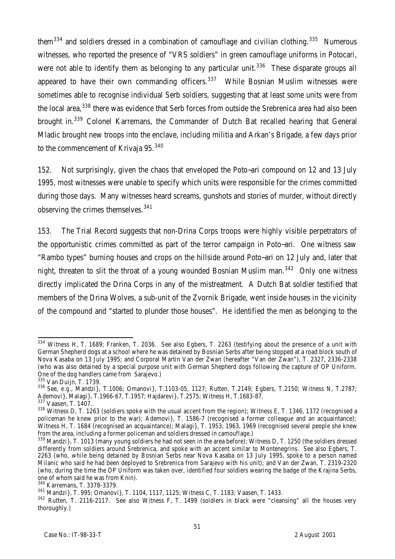them<sup>334</sup> and soldiers dressed in a combination of camouflage and civilian clothing.<sup>335</sup> Numerous witnesses, who reported the presence of "VRS soldiers" in green camouflage uniforms in Potocari, were not able to identify them as belonging to any particular unit.<sup>336</sup> These disparate groups all appeared to have their own commanding officers. $337$  While Bosnian Muslim witnesses were sometimes able to recognise individual Serb soldiers, suggesting that at least some units were from the local area,<sup>338</sup> there was evidence that Serb forces from outside the Srebrenica area had also been brought in.<sup>339</sup> Colonel Karremans, the Commander of Dutch Bat recalled hearing that General Mladic brought new troops into the enclave, including militia and Arkan's Brigade, a few days prior to the commencement of Krivaja 95.<sup>340</sup>

152. Not surprisingly, given the chaos that enveloped the Poto~ari compound on 12 and 13 July 1995, most witnesses were unable to specify which units were responsible for the crimes committed during those days. Many witnesses heard screams, gunshots and stories of murder, without directly observing the crimes themselves.<sup>341</sup>

153. The Trial Record suggests that non-Drina Corps troops were highly visible perpetrators of the opportunistic crimes committed as part of the terror campaign in Poto~ari. One witness saw "Rambo types" burning houses and crops on the hillside around Poto~ari on 12 July and, later that night, threaten to slit the throat of a young wounded Bosnian Muslim man. $342$  Only one witness directly implicated the Drina Corps in any of the mistreatment. A Dutch Bat soldier testified that members of the Drina Wolves, a sub-unit of the Zvornik Brigade, went inside houses in the vicinity of the compound and "started to plunder those houses". He identified the men as belonging to the

j  $334$  Witness H, T. 1689; Franken, T. 2036. See also Egbers, T. 2263 (testifying about the presence of a unit with German Shepherd dogs at a school where he was detained by Bosnian Serbs after being stopped at a road block south of Nova Kasaba on 13 July 1995; and Corporal Martin Van der Zwan (hereafter "Van der Zwan"), T. 2327, 2336-2338 (who was also detained by a special purpose unit with German Shepherd dogs following the capture of OP Uniform. One of the dog handlers came from Sarajevo.)

<sup>335</sup> Van Duijn, T. 1739.

<sup>336</sup> See, *e.g.*, Mandzi}, T.1006; Omanovi}, T.1103-05, 1127; Rutten, T.2149; Egbers, T.2150; Witness N, T.2787; Ademovi}, Malagi}, T.1966-67, T.1957; Hajdarevi}, T.2575; Witness H, T.1683-87.

<sup>337</sup> Vaasen, T. 1407.

<sup>338</sup> Witness D, T. 1263 (soldiers spoke with the usual accent from the region); Witness E, T. 1346, 1372 (recognised a policeman he knew prior to the war); Ademovi}, T. 1586-7 (recognised a former colleague and an acquaintance); Witness H, T. 1684 (recognised an acquaintance); Malagi}, T. 1953, 1963, 1969 (recognised several people she knew from the area, including a former policeman and soldiers dressed in camouflage.)

<sup>339</sup> Mandzi}, T. 1013 (many young soldiers he had not seen in the area before); Witness D, T. 1250 (the soldiers dressed differently from soldiers around Srebrenica, and spoke with an accent similar to Montenegrins. See also Egbers, T. 2263 (who, while being detained by Bosnian Serbs near Nova Kasaba on 13 July 1995, spoke to a person named Milanic who said he had been deployed to Srebrenica from Sarajevo with his unit); and Van der Zwan, T. 2319-2320 (who, during the time the OP Uniform was taken over, identified four soldiers wearing the badge of the Krajina Serbs, one of whom said he was from Knin).

<sup>340</sup> Karremans, T. 3378-3379.

<sup>341</sup> Mandzi}, T. 995; Omanovi}, T. 1104, 1117, 1125; Witness C, T. 1183; Vaasen, T. 1433.

<sup>&</sup>lt;sup>342</sup> Rutten, T. 2116-2117. See also Witness F, T. 1499 (soldiers in black were "cleansing" all the houses very thoroughly.)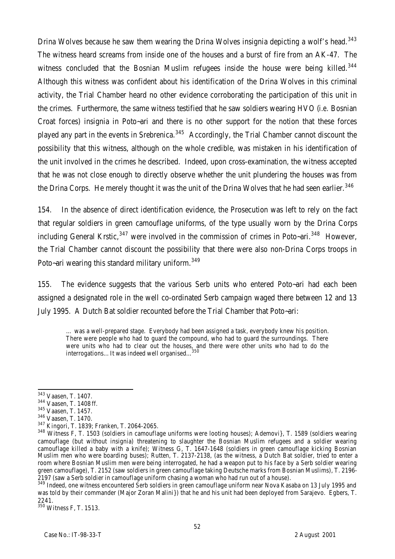Drina Wolves because he saw them wearing the Drina Wolves insignia depicting a wolf's head.<sup>343</sup> The witness heard screams from inside one of the houses and a burst of fire from an AK-47. The witness concluded that the Bosnian Muslim refugees inside the house were being killed.<sup>344</sup> Although this witness was confident about his identification of the Drina Wolves in this criminal activity, the Trial Chamber heard no other evidence corroborating the participation of this unit in the crimes. Furthermore, the same witness testified that he saw soldiers wearing HVO (*i.e.* Bosnian Croat forces) insignia in Poto~ari and there is no other support for the notion that these forces played any part in the events in Srebrenica.<sup>345</sup> Accordingly, the Trial Chamber cannot discount the possibility that this witness, although on the whole credible, was mistaken in his identification of the unit involved in the crimes he described. Indeed, upon cross-examination, the witness accepted that he was not close enough to directly observe whether the unit plundering the houses was from the Drina Corps. He merely thought it was the unit of the Drina Wolves that he had seen earlier.<sup>346</sup>

154. In the absence of direct identification evidence, the Prosecution was left to rely on the fact that regular soldiers in green camouflage uniforms, of the type usually worn by the Drina Corps including General Krstic,  $347$  were involved in the commission of crimes in Poto~ari.  $348$  However, the Trial Chamber cannot discount the possibility that there were also non-Drina Corps troops in Poto-ari wearing this standard military uniform.<sup>349</sup>

155. The evidence suggests that the various Serb units who entered Poto~ari had each been assigned a designated role in the well co-ordinated Serb campaign waged there between 12 and 13 July 1995. A Dutch Bat soldier recounted before the Trial Chamber that Poto~ari:

… was a well-prepared stage. Everybody had been assigned a task, everybody knew his position. There were people who had to guard the compound, who had to guard the surroundings. There were units who had to clear out the houses, and there were other units who had to do the interrogations…It was indeed well organised…<sup>350</sup>

 $\overline{a}$ <sup>343</sup> Vaasen, T. 1407.

<sup>344</sup> Vaasen, T. 1408 *ff.*

<sup>345</sup> Vaasen, T. 1457.

<sup>346</sup> Vaasen, T. 1470.

<sup>347</sup> Kingori, T. 1839; Franken, T. 2064-2065.

<sup>348</sup> Witness F, T. 1503 (soldiers in camouflage uniforms were looting houses); Ademovi}, T. 1589 (soldiers wearing camouflage (but without insignia) threatening to slaughter the Bosnian Muslim refugees and a soldier wearing camouflage killed a baby with a knife); Witness G, T. 1647-1648 (soldiers in green camouflage kicking Bosnian Muslim men who were boarding buses); Rutten, T. 2137-2138, (as the witness, a Dutch Bat soldier, tried to enter a room where Bosnian Muslim men were being interrogated, he had a weapon put to his face by a Serb soldier wearing green camouflage), T. 2152 (saw soldiers in green camouflage taking Deutsche marks from Bosnian Muslims), T. 2196- 2197 (saw a Serb soldier in camouflage uniform chasing a woman who had run out of a house).

<sup>&</sup>lt;sup>349</sup> Indeed, one witness encountered Serb soldiers in green camouflage uniform near Nova Kasaba on 13 July 1995 and was told by their commander (Major Zoran Malini}) that he and his unit had been deployed from Sarajevo. Egbers, T. 2241.

<sup>&</sup>lt;sup>350</sup> Witness F, T. 1513.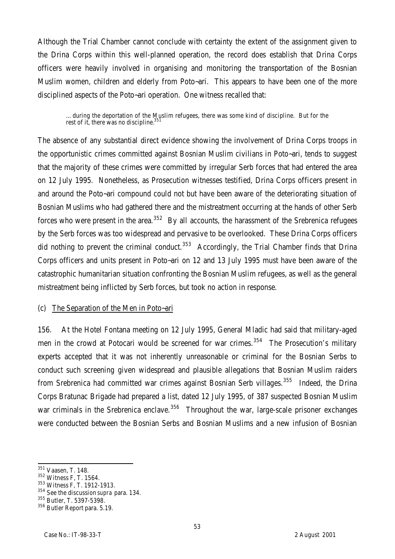Although the Trial Chamber cannot conclude with certainty the extent of the assignment given to the Drina Corps within this well-planned operation, the record does establish that Drina Corps officers were heavily involved in organising and monitoring the transportation of the Bosnian Muslim women, children and elderly from Poto~ari. This appears to have been one of the more disciplined aspects of the Poto~ari operation. One witness recalled that:

…during the deportation of the Muslim refugees, there was some kind of discipline. But for the rest of it, there was no discipline.<sup>351</sup>

The absence of any substantial direct evidence showing the involvement of Drina Corps troops in the opportunistic crimes committed against Bosnian Muslim civilians in Poto~ari, tends to suggest that the majority of these crimes were committed by irregular Serb forces that had entered the area on 12 July 1995. Nonetheless, as Prosecution witnesses testified, Drina Corps officers present in and around the Poto~ari compound could not but have been aware of the deteriorating situation of Bosnian Muslims who had gathered there and the mistreatment occurring at the hands of other Serb forces who were present in the area.<sup>352</sup> By all accounts, the harassment of the Srebrenica refugees by the Serb forces was too widespread and pervasive to be overlooked. These Drina Corps officers did nothing to prevent the criminal conduct.<sup>353</sup> Accordingly, the Trial Chamber finds that Drina Corps officers and units present in Poto~ari on 12 and 13 July 1995 must have been aware of the catastrophic humanitarian situation confronting the Bosnian Muslim refugees, as well as the general mistreatment being inflicted by Serb forces, but took no action in response.

#### (c) The Separation of the Men in Poto~ari

156. At the Hotel Fontana meeting on 12 July 1995, General Mladic had said that military-aged men in the crowd at Potocari would be screened for war crimes. $354$  The Prosecution's military experts accepted that it was not inherently unreasonable or criminal for the Bosnian Serbs to conduct such screening given widespread and plausible allegations that Bosnian Muslim raiders from Srebrenica had committed war crimes against Bosnian Serb villages.<sup>355</sup> Indeed, the Drina Corps Bratunac Brigade had prepared a list, dated 12 July 1995, of 387 suspected Bosnian Muslim war criminals in the Srebrenica enclave.<sup>356</sup> Throughout the war, large-scale prisoner exchanges were conducted between the Bosnian Serbs and Bosnian Muslims and a new infusion of Bosnian

 $\overline{a}$ 

<sup>&</sup>lt;sup>351</sup> Vaasen, T. 148.

 $352$  Witness F, T. 1564.

<sup>353</sup> Witness F, T. 1912-1913.

<sup>354</sup> See the discussion *supra* para. 134.

<sup>355</sup> Butler, T. 5397-5398.

<sup>356</sup> Butler Report para. 5.19.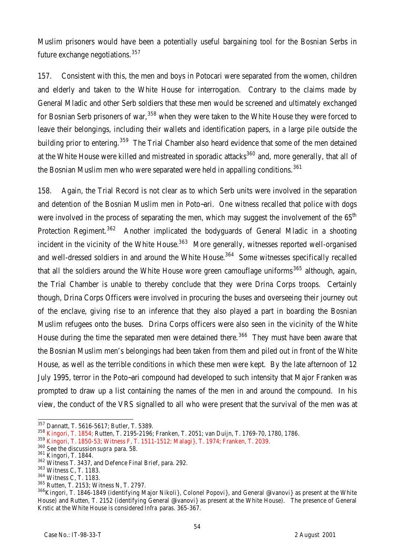Muslim prisoners would have been a potentially useful bargaining tool for the Bosnian Serbs in future exchange negotiations.<sup>357</sup>

157. Consistent with this, the men and boys in Potocari were separated from the women, children and elderly and taken to the White House for interrogation. Contrary to the claims made by General Mladic and other Serb soldiers that these men would be screened and ultimately exchanged for Bosnian Serb prisoners of war, <sup>358</sup> when they were taken to the White House they were forced to leave their belongings, including their wallets and identification papers, in a large pile outside the building prior to entering.<sup>359</sup> The Trial Chamber also heard evidence that some of the men detained at the White House were killed and mistreated in sporadic attacks<sup>360</sup> and, more generally, that all of the Bosnian Muslim men who were separated were held in appalling conditions.<sup>361</sup>

158. Again, the Trial Record is not clear as to which Serb units were involved in the separation and detention of the Bosnian Muslim men in Poto~ari. One witness recalled that police with dogs were involved in the process of separating the men, which may suggest the involvement of the 65<sup>th</sup> Protection Regiment.<sup>362</sup> Another implicated the bodyguards of General Mladic in a shooting incident in the vicinity of the White House.<sup>363</sup> More generally, witnesses reported well-organised and well-dressed soldiers in and around the White House.<sup>364</sup> Some witnesses specifically recalled that all the soldiers around the White House wore green camouflage uniforms<sup>365</sup> although, again, the Trial Chamber is unable to thereby conclude that they were Drina Corps troops. Certainly though, Drina Corps Officers were involved in procuring the buses and overseeing their journey out of the enclave, giving rise to an inference that they also played a part in boarding the Bosnian Muslim refugees onto the buses. Drina Corps officers were also seen in the vicinity of the White House during the time the separated men were detained there.<sup>366</sup> They must have been aware that the Bosnian Muslim men's belongings had been taken from them and piled out in front of the White House, as well as the terrible conditions in which these men were kept. By the late afternoon of 12 July 1995, terror in the Poto~ari compound had developed to such intensity that Major Franken was prompted to draw up a list containing the names of the men in and around the compound. In his view, the conduct of the VRS signalled to all who were present that the survival of the men was at

<sup>359</sup> Kingori, T. 1850-53; Witness F, T. 1511-1512; Malagi}, T. 1974; Franken, T. 2039.

<sup>365</sup> Rutten, T. 2153; Witness N, T. 2797.

 $\overline{a}$ <sup>357</sup> Dannatt, T. 5616-5617; Butler, T. 5389.

<sup>358</sup> Kingori, T. 1854; Rutten, T. 2195-2196; Franken, T. 2051; van Duijn, T. 1769-70, 1780, 1786.

<sup>360</sup> See the discussion *supra* para. 58.

<sup>361</sup> Kingori, T. 1844.

<sup>&</sup>lt;sup>362</sup> Witness T. 3437, and Defence Final Brief, para. 292.

<sup>&</sup>lt;sup>363</sup> Witness C, T. 1183.

<sup>364</sup> Witness C, T. 1183.

<sup>366</sup> Kingori, T. 1846-1849 (identifying Major Nikoli}, Colonel Popovi}, and General @ivanovi} as present at the White House) and Rutten, T. 2152 (identifying General @ivanovi} as present at the White House). The presence of General Krstic at the White House is considered *Infra* paras. 365-367.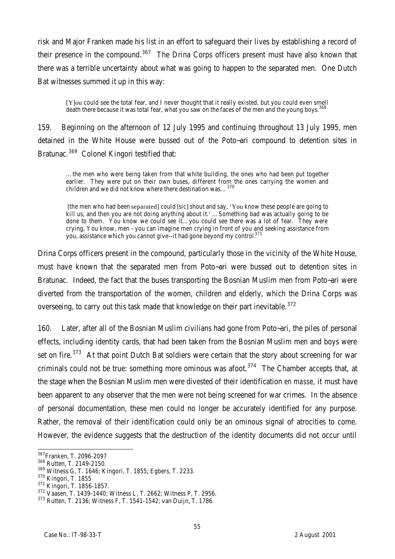risk and Major Franken made his list in an effort to safeguard their lives by establishing a record of their presence in the compound.<sup>367</sup> The Drina Corps officers present must have also known that there was a terrible uncertainty about what was going to happen to the separated men. One Dutch Bat witnesses summed it up in this way:

[Y]ou could see the total fear, and I never thought that it really existed, but you could even smell death there because it was total fear, what you saw on the faces of the men and the young boys.<sup>368</sup>

159. Beginning on the afternoon of 12 July 1995 and continuing throughout 13 July 1995, men detained in the White House were bussed out of the Poto~ari compound to detention sites in Bratunac.<sup>369</sup> Colonel Kingori testified that:

…the men who were being taken from that white building, the ones who had been put together earlier. They were put on their own buses, different from the ones carrying the women and children and we did not know where there destination was…<sup>370</sup>

Ithe men who had been separated] could [sic] shout and say, 'You know these people are going to kill us, and then you are not doing anything about it.' …Something bad was actually going to be done to them. You know we could see it…you could see there was a lot of fear. They were crying, You know, men –you can imagine men crying in front of you and seeking assistance from you, assistance which you cannot give--it had gone beyond my control.<sup>371</sup>

Drina Corps officers present in the compound, particularly those in the vicinity of the White House, must have known that the separated men from Poto~ari were bussed out to detention sites in Bratunac. Indeed, the fact that the buses transporting the Bosnian Muslim men from Poto~ari were diverted from the transportation of the women, children and elderly, which the Drina Corps was overseeing, to carry out this task made that knowledge on their part inevitable.<sup>372</sup>

160. Later, after all of the Bosnian Muslim civilians had gone from Poto~ari, the piles of personal effects, including identity cards, that had been taken from the Bosnian Muslim men and boys were set on fire.<sup>373</sup> At that point Dutch Bat soldiers were certain that the story about screening for war criminals could not be true: something more ominous was afoot.<sup>374</sup> The Chamber accepts that, at the stage when the Bosnian Muslim men were divested of their identification *en masse*, it must have been apparent to any observer that the men were not being screened for war crimes. In the absence of personal documentation, these men could no longer be accurately identified for any purpose. Rather, the removal of their identification could only be an ominous signal of atrocities to come. However, the evidence suggests that the destruction of the identity documents did not occur until

 $\overline{a}$ 

<sup>&</sup>lt;sup>367</sup>Franken, T. 2096-2097

<sup>368</sup> Rutten, T. 2149-2150.

<sup>369</sup> Witness G, T. 1646; Kingori, T. 1855; Egbers, T. 2233.

<sup>370</sup> Kingori, T. 1855

<sup>371</sup> Kingori, T. 1856-1857.

<sup>372</sup> Vaasen, T. 1439-1440; Witness L, T. 2662; Witness P, T. 2956.

<sup>373</sup> Rutten, T. 2136; Witness F, T. 1541-1542; van Duijn, T. 1786.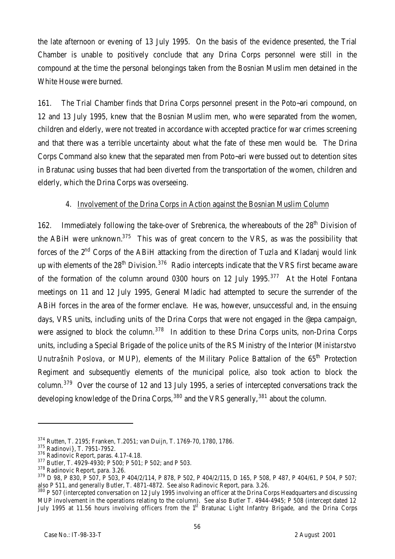the late afternoon or evening of 13 July 1995. On the basis of the evidence presented, the Trial Chamber is unable to positively conclude that any Drina Corps personnel were still in the compound at the time the personal belongings taken from the Bosnian Muslim men detained in the White House were burned.

161. The Trial Chamber finds that Drina Corps personnel present in the Poto~ari compound, on 12 and 13 July 1995, knew that the Bosnian Muslim men, who were separated from the women, children and elderly, were not treated in accordance with accepted practice for war crimes screening and that there was a terrible uncertainty about what the fate of these men would be. The Drina Corps Command also knew that the separated men from Poto~ari were bussed out to detention sites in Bratunac using busses that had been diverted from the transportation of the women, children and elderly, which the Drina Corps was overseeing.

## 4. Involvement of the Drina Corps in Action against the Bosnian Muslim Column

162. Immediately following the take-over of Srebrenica, the whereabouts of the 28<sup>th</sup> Division of the ABiH were unknown.<sup>375</sup> This was of great concern to the VRS, as was the possibility that forces of the 2<sup>nd</sup> Corps of the ABiH attacking from the direction of Tuzla and Kladanj would link up with elements of the  $28<sup>th</sup>$  Division.<sup>376</sup> Radio intercepts indicate that the VRS first became aware of the formation of the column around 0300 hours on 12 July 1995.<sup>377</sup> At the Hotel Fontana meetings on 11 and 12 July 1995, General Mladic had attempted to secure the surrender of the ABiH forces in the area of the former enclave. He was, however, unsuccessful and, in the ensuing days, VRS units, including units of the Drina Corps that were not engaged in the @epa campaign, were assigned to block the column.<sup>378</sup> In addition to these Drina Corps units, non-Drina Corps units, including a Special Brigade of the police units of the RS Ministry of the Interior (*Ministarstvo Unutrašnih Poslova*, or MUP), elements of the Military Police Battalion of the 65<sup>th</sup> Protection Regiment and subsequently elements of the municipal police, also took action to block the column.<sup>379</sup> Over the course of 12 and 13 July 1995, a series of intercepted conversations track the developing knowledge of the Drina Corps,  $380$  and the VRS generally,  $381$  about the column.

<sup>374</sup> Rutten, T. 2195; Franken, T.2051; van Duijn, T. 1769-70, 1780, 1786.

<sup>375</sup> Radinovi}, T. 7951-7952.

<sup>376</sup> Radinovic Report, paras. 4.17-4.18.

<sup>377</sup> Butler, T. 4929-4930; P 500; P 501; P 502; and P 503.

<sup>378</sup> Radinovic Report, para. 3.26.

<sup>379</sup> D 98, P 830, P 507, P 503, P 404/2/114, P 878, P 502, P 404/2/115, D 165, P 508, P 487, P 404/61, P 504, P 507; also P 511, and generally Butler, T. 4871-4872. See also Radinovic Report, para. 3.26.

<sup>380</sup> P 507 (intercepted conversation on 12 July 1995 involving an officer at the Drina Corps Headquarters and discussing MUP involvement in the operations relating to the column). See also Butler T. 4944-4945; P 508 (intercept dated 12 July 1995 at 11.56 hours involving officers from the 1<sup>st</sup> Bratunac Light Infantry Brigade, and the Drina Corps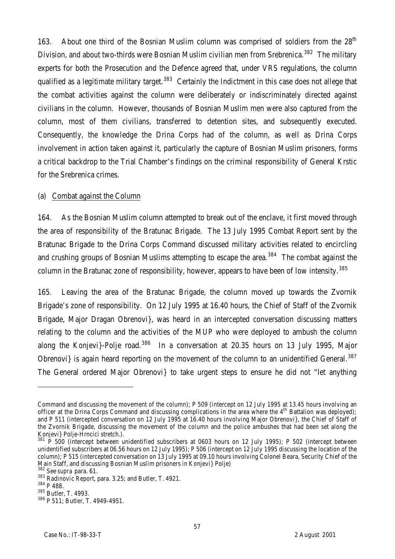163. About one third of the Bosnian Muslim column was comprised of soldiers from the 28<sup>th</sup> Division, and about two-thirds were Bosnian Muslim civilian men from Srebrenica.<sup>382</sup> The military experts for both the Prosecution and the Defence agreed that, under VRS regulations, the column qualified as a legitimate military target.<sup>383</sup> Certainly the Indictment in this case does not allege that the combat activities against the column were deliberately or indiscriminately directed against civilians in the column. However, thousands of Bosnian Muslim men were also captured from the column, most of them civilians, transferred to detention sites, and subsequently executed. Consequently, the knowledge the Drina Corps had of the column, as well as Drina Corps involvement in action taken against it, particularly the capture of Bosnian Muslim prisoners, forms a critical backdrop to the Trial Chamber's findings on the criminal responsibility of General Krstic for the Srebrenica crimes.

#### (a) Combat against the Column

164. As the Bosnian Muslim column attempted to break out of the enclave, it first moved through the area of responsibility of the Bratunac Brigade. The 13 July 1995 Combat Report sent by the Bratunac Brigade to the Drina Corps Command discussed military activities related to encircling and crushing groups of Bosnian Muslims attempting to escape the area.<sup>384</sup> The combat against the column in the Bratunac zone of responsibility, however, appears to have been of low intensity.<sup>385</sup>

165. Leaving the area of the Bratunac Brigade, the column moved up towards the Zvornik Brigade's zone of responsibility. On 12 July 1995 at 16.40 hours, the Chief of Staff of the Zvornik Brigade, Major Dragan Obrenovi}, was heard in an intercepted conversation discussing matters relating to the column and the activities of the MUP who were deployed to ambush the column along the Konjevi}-Polje road.<sup>386</sup> In a conversation at 20.35 hours on 13 July 1995, Major Obrenovi} is again heard reporting on the movement of the column to an unidentified General.<sup>387</sup> The General ordered Major Obrenovi} to take urgent steps to ensure he did not "let anything

<sup>384</sup> P 488.

Command and discussing the movement of the column); P 509 (intercept on 12 July 1995 at 13.45 hours involving an officer at the Drina Corps Command and discussing complications in the area where the 4<sup>th</sup> Battalion was deployed): and P 511 (intercepted conversation on 12 July 1995 at 16.40 hours involving Major Obrenovi}, the Chief of Staff of the Zvornik Brigade, discussing the movement of the column and the police ambushes that had been set along the Konjevi} Polje-Hrncici stretch.).

<sup>381</sup> P 500 (intercept between unidentified subscribers at 0603 hours on 12 July 1995); P 502 (intercept between unidentified subscribers at 06.56 hours on 12 July 1995); P 506 (intercept on 12 July 1995 discussing the location of the column); P 515 (intercepted conversation on 13 July 1995 at 09.10 hours involving Colonel Beara, Security Chief of the Main Staff, and discussing Bosnian Muslim prisoners in Konjevi} Polje)

<sup>382</sup> See *supra* para. 61.

<sup>383</sup> Radinovic Report, para. 3.25; and Butler, T. 4921.

<sup>385</sup> Butler, T. 4993.

<sup>386</sup> P 511; Butler, T. 4949-4951.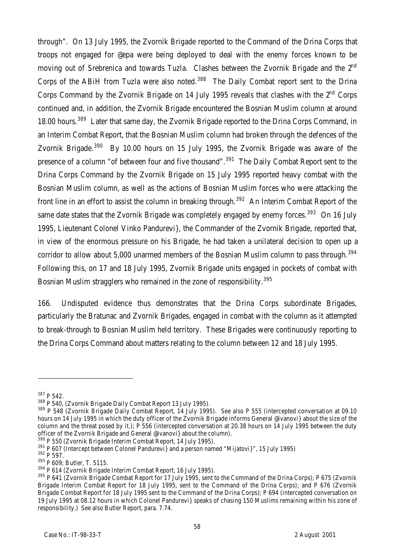through". On 13 July 1995, the Zvornik Brigade reported to the Command of the Drina Corps that troops not engaged for @epa were being deployed to deal with the enemy forces known to be moving out of Srebrenica and towards Tuzla. Clashes between the Zvornik Brigade and the  $2^{nd}$ Corps of the ABiH from Tuzla were also noted.<sup>388</sup> The Daily Combat report sent to the Drina Corps Command by the Zvornik Brigade on 14 July 1995 reveals that clashes with the  $2<sup>nd</sup>$  Corps continued and, in addition, the Zvornik Brigade encountered the Bosnian Muslim column at around 18.00 hours.<sup>389</sup> Later that same day, the Zvornik Brigade reported to the Drina Corps Command, in an Interim Combat Report, that the Bosnian Muslim column had broken through the defences of the Zvornik Brigade.<sup>390</sup> By 10.00 hours on 15 July 1995, the Zvornik Brigade was aware of the presence of a column "of between four and five thousand".<sup>391</sup> The Daily Combat Report sent to the Drina Corps Command by the Zvornik Brigade on 15 July 1995 reported heavy combat with the Bosnian Muslim column, as well as the actions of Bosnian Muslim forces who were attacking the front line in an effort to assist the column in breaking through.<sup>392</sup> An Interim Combat Report of the same date states that the Zvornik Brigade was completely engaged by enemy forces.<sup>393</sup> On 16 July 1995, Lieutenant Colonel Vinko Pandurevi}, the Commander of the Zvornik Brigade, reported that, in view of the enormous pressure on his Brigade, he had taken a unilateral decision to open up a corridor to allow about 5,000 unarmed members of the Bosnian Muslim column to pass through.<sup>394</sup> Following this, on 17 and 18 July 1995, Zvornik Brigade units engaged in pockets of combat with Bosnian Muslim stragglers who remained in the zone of responsibility.<sup>395</sup>

166. Undisputed evidence thus demonstrates that the Drina Corps subordinate Brigades, particularly the Bratunac and Zvornik Brigades, engaged in combat with the column as it attempted to break-through to Bosnian Muslim held territory. These Brigades were continuously reporting to the Drina Corps Command about matters relating to the column between 12 and 18 July 1995.

l

390 P 550 (Zvornik Brigade Interim Combat Report, 14 July 1995).

<sup>392</sup> P 597.

<sup>387</sup> P 542.

<sup>388</sup> P 540, (Zvornik Brigade Daily Combat Report 13 July 1995).

<sup>389</sup> P 548 (Zvornik Brigade Daily Combat Report, 14 July 1995). See also P 555 (intercepted conversation at 09.10 hours on 14 July 1995 in which the duty officer of the Zvornik Brigade informs General @ivanovi} about the size of the column and the threat posed by it.); P 556 (intercepted conversation at 20.38 hours on 14 July 1995 between the duty officer of the Zvornik Brigade and General @ivanovi} about the column).

<sup>&</sup>lt;sup>391</sup> P 607 (Intercept between Colonel Pandurevi) and a person named "Mijatovi}", 15 July 1995)

<sup>393</sup> P 609; Butler, T. 5115.

<sup>394</sup> P 614 (Zvornik Brigade Interim Combat Report, 16 July 1995).

<sup>&</sup>lt;sup>395</sup> P 641 (Zvornik Brigade Combat Report for 17 July 1995, sent to the Command of the Drina Corps); P 675 (Zvornik Brigade Interim Combat Report for 18 July 1995, sent to the Command of the Drina Corps); and P 676 (Zvornik Brigade Combat Report for 18 July 1995 sent to the Command of the Drina Corps); P 694 (intercepted conversation on 19 July 1995 at 08.12 hours in which Colonel Pandurevi} speaks of chasing 150 Muslims remaining within his zone of responsibility.) See also Butler Report, para. 7.74.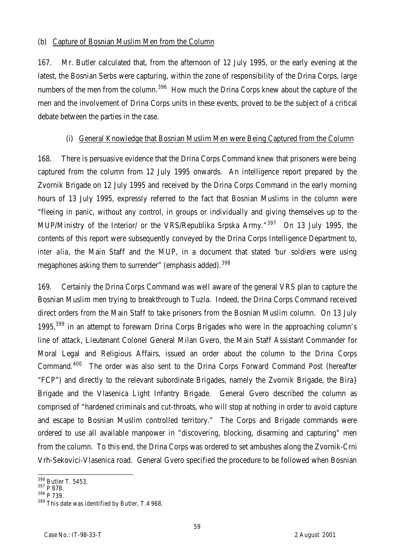#### (b) Capture of Bosnian Muslim Men from the Column

167. Mr. Butler calculated that, from the afternoon of 12 July 1995, or the early evening at the latest, the Bosnian Serbs were capturing, within the zone of responsibility of the Drina Corps, large numbers of the men from the column.<sup>396</sup> How much the Drina Corps knew about the capture of the men and the involvement of Drina Corps units in these events, proved to be the subject of a critical debate between the parties in the case.

## (i) General Knowledge that Bosnian Muslim Men were Being Captured from the Column

168. There is persuasive evidence that the Drina Corps Command knew that prisoners were being captured from the column from 12 July 1995 onwards. An intelligence report prepared by the Zvornik Brigade on 12 July 1995 and received by the Drina Corps Command in the early morning hours of 13 July 1995, expressly referred to the fact that Bosnian Muslims in the column were "fleeing in panic, without any control, in groups or individually and giving themselves up to the MUP/Ministry of the Interior/ or the VRS/Republika Srpska Army."<sup>397</sup> On 13 July 1995, the contents of this report were subsequently conveyed by the Drina Corps Intelligence Department to, *inter alia*, the Main Staff and the MUP, in a document that stated "*our* soldiers were using megaphones asking them to surrender" (emphasis added).<sup>398</sup>

169. Certainly the Drina Corps Command was well aware of the general VRS plan to capture the Bosnian Muslim men trying to breakthrough to Tuzla. Indeed, the Drina Corps Command received direct orders from the Main Staff to take prisoners from the Bosnian Muslim column. On 13 July 1995,<sup>399</sup> in an attempt to forewarn Drina Corps Brigades who were in the approaching column's line of attack, Lieutenant Colonel General Milan Gvero, the Main Staff Assistant Commander for Moral Legal and Religious Affairs, issued an order about the column to the Drina Corps Command.<sup>400</sup> The order was also sent to the Drina Corps Forward Command Post (hereafter "FCP") and directly to the relevant subordinate Brigades, namely the Zvornik Brigade, the Bira} Brigade and the Vlasenica Light Infantry Brigade. General Gvero described the column as comprised of "hardened criminals and cut-throats, who will stop at nothing in order to avoid capture and escape to Bosnian Muslim controlled territory." The Corps and Brigade commands were ordered to use all available manpower in "discovering, blocking, disarming and capturing" men from the column. To this end, the Drina Corps was ordered to set ambushes along the Zvornik-Crni Vrh-Sekovici-Vlasenica road. General Gvero specified the procedure to be followed when Bosnian

 $\overline{a}$  $^{396}_{11}$  Butler T. 5453.

 $397 P8.$ 

<sup>398</sup> P 739.

 $399$  This date was identified by Butler, T.4 968.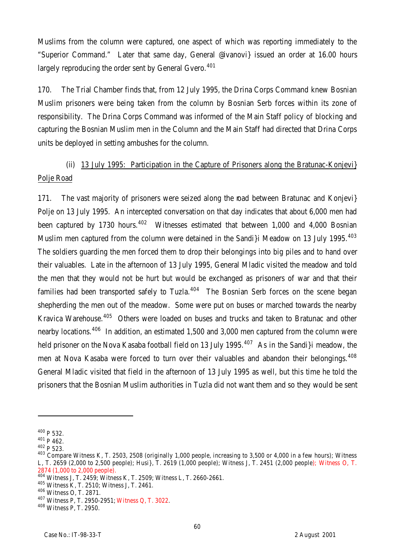Muslims from the column were captured, one aspect of which was reporting immediately to the "Superior Command." Later that same day, General @ivanovi} issued an order at 16.00 hours largely reproducing the order sent by General Gvero.<sup>401</sup>

170. The Trial Chamber finds that, from 12 July 1995, the Drina Corps Command knew Bosnian Muslim prisoners were being taken from the column by Bosnian Serb forces within its zone of responsibility. The Drina Corps Command was informed of the Main Staff policy of blocking and capturing the Bosnian Muslim men in the Column and the Main Staff had directed that Drina Corps units be deployed in setting ambushes for the column.

# (ii) 13 July 1995: Participation in the Capture of Prisoners along the Bratunac-Konjevi} Polje Road

171. The vast majority of prisoners were seized along the road between Bratunac and Konjevi} Polje on 13 July 1995. An intercepted conversation on that day indicates that about 6,000 men had been captured by 1730 hours.<sup>402</sup> Witnesses estimated that between 1,000 and 4,000 Bosnian Muslim men captured from the column were detained in the Sandi}i Meadow on 13 July 1995.<sup>403</sup> The soldiers guarding the men forced them to drop their belongings into big piles and to hand over their valuables. Late in the afternoon of 13 July 1995, General Mladic visited the meadow and told the men that they would not be hurt but would be exchanged as prisoners of war and that their families had been transported safely to Tuzla.<sup>404</sup> The Bosnian Serb forces on the scene began shepherding the men out of the meadow. Some were put on buses or marched towards the nearby Kravica Warehouse.<sup>405</sup> Others were loaded on buses and trucks and taken to Bratunac and other nearby locations.<sup>406</sup> In addition, an estimated 1,500 and 3,000 men captured from the column were held prisoner on the Nova Kasaba football field on 13 July 1995.<sup>407</sup> As in the Sandi i meadow, the men at Nova Kasaba were forced to turn over their valuables and abandon their belongings.<sup>408</sup> General Mladic visited that field in the afternoon of 13 July 1995 as well, but this time he told the prisoners that the Bosnian Muslim authorities in Tuzla did not want them and so they would be sent

<sup>400</sup> P 532.

<sup>401</sup> P 462.

<sup>402</sup> P 523.

<sup>&</sup>lt;sup>403</sup> Compare Witness K, T. 2503, 2508 (originally 1,000 people, increasing to 3,500 or 4,000 in a few hours); Witness L, T. 2659 (2,000 to 2,500 people); Husi}, T. 2619 (1,000 people); Witness J, T. 2451 (2,000 people); Witness O, T. 2874 (1,000 to 2,000 people).

<sup>404</sup> Witness J, T. 2459; Witness K, T. 2509; Witness L, T. 2660-2661.

<sup>405</sup> Witness K, T. 2510; Witness J, T. 2461.

<sup>406</sup> Witness O, T. 2871.

<sup>407</sup> Witness P, T. 2950-2951; Witness Q, T. 3022.

<sup>408</sup> Witness P, T. 2950.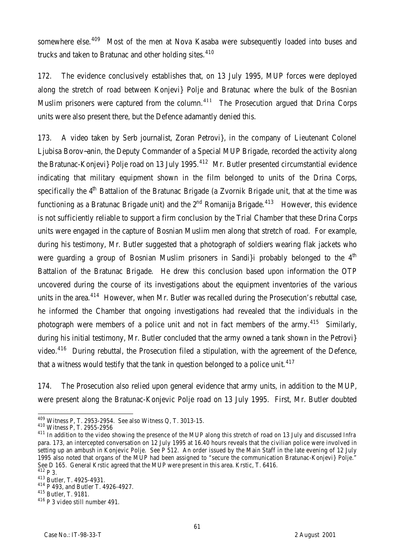somewhere else.<sup>409</sup> Most of the men at Nova Kasaba were subsequently loaded into buses and trucks and taken to Bratunac and other holding sites.<sup>410</sup>

172. The evidence conclusively establishes that, on 13 July 1995, MUP forces were deployed along the stretch of road between Konjevi} Polje and Bratunac where the bulk of the Bosnian Muslim prisoners were captured from the column. $411$  The Prosecution argued that Drina Corps units were also present there, but the Defence adamantly denied this.

173. A video taken by Serb journalist, Zoran Petrovi}, in the company of Lieutenant Colonel Ljubisa Borov~anin, the Deputy Commander of a Special MUP Brigade, recorded the activity along the Bratunac-Konjevi} Polje road on 13 July 1995.<sup>412</sup> Mr. Butler presented circumstantial evidence indicating that military equipment shown in the film belonged to units of the Drina Corps, specifically the  $4<sup>th</sup>$  Battalion of the Bratunac Brigade (a Zvornik Brigade unit, that at the time was functioning as a Bratunac Brigade unit) and the  $2^{nd}$  Romanija Brigade.<sup>413</sup> However, this evidence is not sufficiently reliable to support a firm conclusion by the Trial Chamber that these Drina Corps units were engaged in the capture of Bosnian Muslim men along that stretch of road. For example, during his testimony, Mr. Butler suggested that a photograph of soldiers wearing flak jackets who were guarding a group of Bosnian Muslim prisoners in Sandi}i probably belonged to the 4<sup>th</sup> Battalion of the Bratunac Brigade. He drew this conclusion based upon information the OTP uncovered during the course of its investigations about the equipment inventories of the various units in the area.<sup>414</sup> However, when Mr. Butler was recalled during the Prosecution's rebuttal case, he informed the Chamber that ongoing investigations had revealed that the individuals in the photograph were members of a police unit and not in fact members of the army.<sup>415</sup> Similarly, during his initial testimony, Mr. Butler concluded that the army owned a tank shown in the Petrovi} video.<sup>416</sup> During rebuttal, the Prosecution filed a stipulation, with the agreement of the Defence, that a witness would testify that the tank in question belonged to a police unit.<sup>417</sup>

174. The Prosecution also relied upon general evidence that army units, in addition to the MUP, were present along the Bratunac-Konjevic Polje road on 13 July 1995. First, Mr. Butler doubted

 $\overline{a}$  $^{409}$  Witness P, T. 2953-2954. See also Witness Q, T. 3013-15.

<sup>410</sup> Witness P, T. 2955-2956

<sup>411</sup> In addition to the video showing the presence of the MUP along this stretch of road on 13 July and discussed *Infra* para. 173, an intercepted conversation on 12 July 1995 at 16.40 hours reveals that the civilian police were involved in setting up an ambush in Konjevic Polje. See P 512. An order issued by the Main Staff in the late evening of 12 July 1995 also noted that organs of the MUP had been assigned to "secure the communication Bratunac-Konjevi} Polje." See D 165. General Krstic agreed that the MUP were present in this area. Krstic, T. 6416.  $412 P3$ .

<sup>413</sup> Butler, T. 4925-4931.

<sup>414</sup> P 493, and Butler T. 4926-4927.

<sup>415</sup> Butler, T. 9181.

<sup>416</sup> P 3 video still number 491.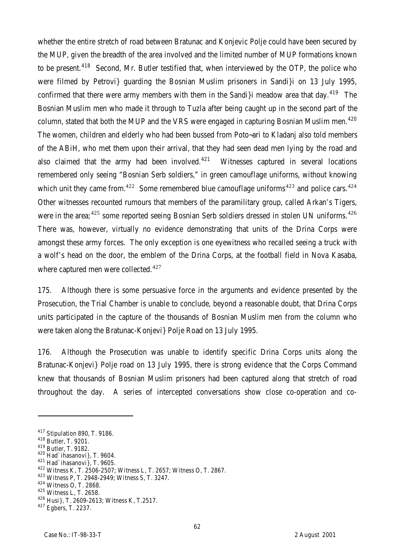whether the entire stretch of road between Bratunac and Konjevic Polje could have been secured by the MUP, given the breadth of the area involved and the limited number of MUP formations known to be present.<sup>418</sup> Second, Mr. Butler testified that, when interviewed by the OTP, the police who were filmed by Petrovi} guarding the Bosnian Muslim prisoners in Sandi}i on 13 July 1995, confirmed that there were army members with them in the Sandi i meadow area that day.<sup>419</sup> The Bosnian Muslim men who made it through to Tuzla after being caught up in the second part of the column, stated that both the MUP and the VRS were engaged in capturing Bosnian Muslim men.<sup>420</sup> The women, children and elderly who had been bussed from Poto~ari to Kladanj also told members of the ABiH, who met them upon their arrival, that they had seen dead men lying by the road and also claimed that the army had been involved. $421$  Witnesses captured in several locations remembered only seeing "Bosnian Serb soldiers," in green camouflage uniforms, without knowing which unit they came from.<sup>422</sup> Some remembered blue camouflage uniforms<sup>423</sup> and police cars.<sup>424</sup> Other witnesses recounted rumours that members of the paramilitary group, called Arkan's Tigers, were in the area;<sup>425</sup> some reported seeing Bosnian Serb soldiers dressed in stolen UN uniforms.<sup>426</sup> There was, however, virtually no evidence demonstrating that units of the Drina Corps were amongst these army forces. The only exception is one eyewitness who recalled seeing a truck with a wolf's head on the door, the emblem of the Drina Corps, at the football field in Nova Kasaba, where captured men were collected.<sup>427</sup>

175. Although there is some persuasive force in the arguments and evidence presented by the Prosecution, the Trial Chamber is unable to conclude, beyond a reasonable doubt, that Drina Corps units participated in the capture of the thousands of Bosnian Muslim men from the column who were taken along the Bratunac-Konjevi} Polje Road on 13 July 1995.

176. Although the Prosecution was unable to identify specific Drina Corps units along the Bratunac-Konjevi} Polje road on 13 July 1995, there is strong evidence that the Corps Command knew that thousands of Bosnian Muslim prisoners had been captured along that stretch of road throughout the day. A series of intercepted conversations show close co-operation and co-

<sup>417</sup> Stipulation 890, T. 9186.

<sup>418</sup> Butler, T. 9201.

<sup>419</sup> Butler, T. 9182.

<sup>420</sup> Had`ihasanovi}, T. 9604.

<sup>421</sup> Had`ihasanovi}, T. 9605.

<sup>422</sup> Witness K, T. 2506-2507; Witness L, T. 2657; Witness O, T. 2867.

<sup>423</sup> Witness P, T. 2948-2949; Witness S, T. 3247.

<sup>424</sup> Witness O, T. 2868.

<sup>425</sup> Witness L, T. 2658.

<sup>426</sup> Husi}, T. 2609-2613; Witness K, T.2517.

<sup>427</sup> Egbers, T. 2237.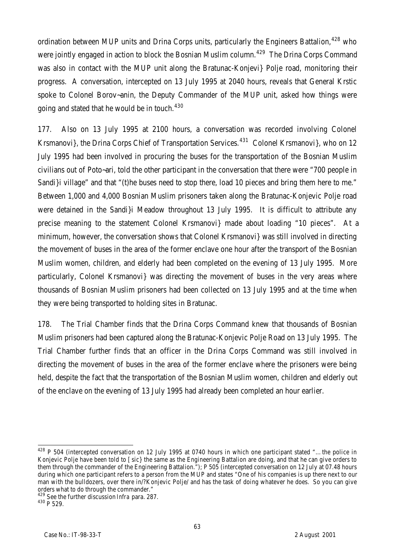ordination between MUP units and Drina Corps units, particularly the Engineers Battalion, <sup>428</sup> who were jointly engaged in action to block the Bosnian Muslim column.<sup>429</sup> The Drina Corps Command was also in contact with the MUP unit along the Bratunac-Konjevi} Polje road, monitoring their progress. A conversation, intercepted on 13 July 1995 at 2040 hours, reveals that General Krstic spoke to Colonel Borov~anin, the Deputy Commander of the MUP unit, asked how things were going and stated that he would be in touch.<sup>430</sup>

177. Also on 13 July 1995 at 2100 hours, a conversation was recorded involving Colonel Krsmanovi}, the Drina Corps Chief of Transportation Services.<sup>431</sup> Colonel Krsmanovi}, who on 12 July 1995 had been involved in procuring the buses for the transportation of the Bosnian Muslim civilians out of Poto~ari, told the other participant in the conversation that there were "700 people in Sandi}i village" and that "(t)he buses need to stop there, load 10 pieces and bring them here to me." Between 1,000 and 4,000 Bosnian Muslim prisoners taken along the Bratunac-Konjevic Polje road were detained in the Sandi}i Meadow throughout 13 July 1995. It is difficult to attribute any precise meaning to the statement Colonel Krsmanovi} made about loading "10 pieces". At a minimum, however, the conversation shows that Colonel Krsmanovi} was still involved in directing the movement of buses in the area of the former enclave one hour after the transport of the Bosnian Muslim women, children, and elderly had been completed on the evening of 13 July 1995. More particularly, Colonel Krsmanovi} was directing the movement of buses in the very areas where thousands of Bosnian Muslim prisoners had been collected on 13 July 1995 and at the time when they were being transported to holding sites in Bratunac.

178. The Trial Chamber finds that the Drina Corps Command knew that thousands of Bosnian Muslim prisoners had been captured along the Bratunac-Konjevic Polje Road on 13 July 1995. The Trial Chamber further finds that an officer in the Drina Corps Command was still involved in directing the movement of buses in the area of the former enclave where the prisoners were being held, despite the fact that the transportation of the Bosnian Muslim women, children and elderly out of the enclave on the evening of 13 July 1995 had already been completed an hour earlier.

 $\overline{a}$  $^{428}$  P 504 (intercepted conversation on 12 July 1995 at 0740 hours in which one participant stated "...the police in Konjevic Polje have been told to [sic} the same as the Engineering Battalion are doing, and that he can give orders to them through the commander of the Engineering Battalion."); P 505 (intercepted conversation on 12 July at 07.48 hours during which one participant refers to a person from the MUP and states "One of his companies is up there next to our man with the bulldozers, over there in/?Konjevic Polje/ and has the task of doing whatever he does. So you can give orders what to do through the commander."

<sup>429</sup> See the further discussion *Infra* para. 287.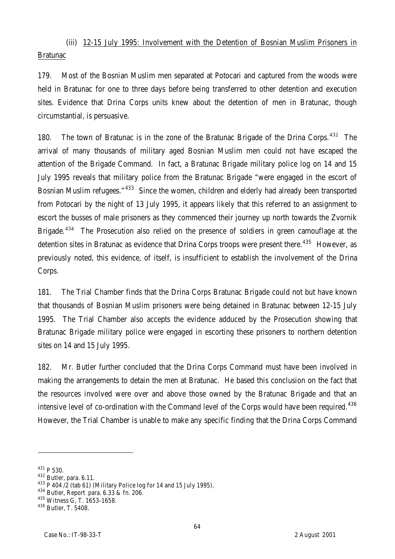(iii) 12-15 July 1995: Involvement with the Detention of Bosnian Muslim Prisoners in

# **Bratunac**

179. Most of the Bosnian Muslim men separated at Potocari and captured from the woods were held in Bratunac for one to three days before being transferred to other detention and execution sites. Evidence that Drina Corps units knew about the detention of men in Bratunac, though circumstantial, is persuasive.

180. The town of Bratunac is in the zone of the Bratunac Brigade of the Drina Corps.<sup>432</sup> The arrival of many thousands of military aged Bosnian Muslim men could not have escaped the attention of the Brigade Command. In fact, a Bratunac Brigade military police log on 14 and 15 July 1995 reveals that military police from the Bratunac Brigade "were engaged in the escort of Bosnian Muslim refugees."<sup>433</sup> Since the women, children and elderly had already been transported from Potocari by the night of 13 July 1995, it appears likely that this referred to an assignment to escort the busses of male prisoners as they commenced their journey up north towards the Zvornik Brigade.<sup>434</sup> The Prosecution also relied on the presence of soldiers in green camouflage at the detention sites in Bratunac as evidence that Drina Corps troops were present there.<sup>435</sup> However, as previously noted, this evidence, of itself, is insufficient to establish the involvement of the Drina Corps.

181. The Trial Chamber finds that the Drina Corps Bratunac Brigade could not but have known that thousands of Bosnian Muslim prisoners were being detained in Bratunac between 12-15 July 1995. The Trial Chamber also accepts the evidence adduced by the Prosecution showing that Bratunac Brigade military police were engaged in escorting these prisoners to northern detention sites on 14 and 15 July 1995.

182. Mr. Butler further concluded that the Drina Corps Command must have been involved in making the arrangements to detain the men at Bratunac. He based this conclusion on the fact that the resources involved were over and above those owned by the Bratunac Brigade and that an intensive level of co-ordination with the Command level of the Corps would have been required.<sup>436</sup> However, the Trial Chamber is unable to make any specific finding that the Drina Corps Command

<sup>431</sup> P 530.

<sup>432</sup> Butler, para. 6.11.

<sup>433</sup> P 404 /2 (tab 61) (Military Police log for 14 and 15 July 1995).

<sup>434</sup> Butler, Report para. 6.33 & fn. 206.

<sup>435</sup> Witness G, T. 1653-1658.

<sup>436</sup> Butler, T. 5408.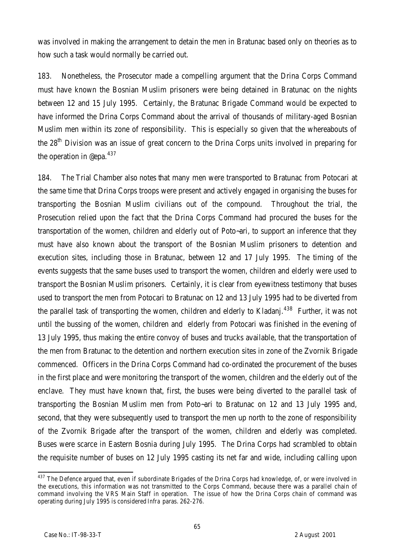was involved in making the arrangement to detain the men in Bratunac based only on theories as to how such a task would normally be carried out.

183. Nonetheless, the Prosecutor made a compelling argument that the Drina Corps Command must have known the Bosnian Muslim prisoners were being detained in Bratunac on the nights between 12 and 15 July 1995. Certainly, the Bratunac Brigade Command would be expected to have informed the Drina Corps Command about the arrival of thousands of military-aged Bosnian Muslim men within its zone of responsibility. This is especially so given that the whereabouts of the 28<sup>th</sup> Division was an issue of great concern to the Drina Corps units involved in preparing for the operation in @epa. $437$ 

184. The Trial Chamber also notes that many men were transported to Bratunac from Potocari at the same time that Drina Corps troops were present and actively engaged in organising the buses for transporting the Bosnian Muslim civilians out of the compound. Throughout the trial, the Prosecution relied upon the fact that the Drina Corps Command had procured the buses for the transportation of the women, children and elderly out of Poto~ari, to support an inference that they must have also known about the transport of the Bosnian Muslim prisoners to detention and execution sites, including those in Bratunac, between 12 and 17 July 1995. The timing of the events suggests that the same buses used to transport the women, children and elderly were used to transport the Bosnian Muslim prisoners. Certainly, it is clear from eyewitness testimony that buses used to transport the men from Potocari to Bratunac on 12 and 13 July 1995 had to be diverted from the parallel task of transporting the women, children and elderly to Kladani.<sup>438</sup> Further, it was not until the bussing of the women, children and elderly from Potocari was finished in the evening of 13 July 1995, thus making the entire convoy of buses and trucks available, that the transportation of the men from Bratunac to the detention and northern execution sites in zone of the Zvornik Brigade commenced. Officers in the Drina Corps Command had co-ordinated the procurement of the buses in the first place and were monitoring the transport of the women, children and the elderly out of the enclave. They must have known that, first, the buses were being diverted to the parallel task of transporting the Bosnian Muslim men from Poto~ari to Bratunac on 12 and 13 July 1995 and, second, that they were subsequently used to transport the men up north to the zone of responsibility of the Zvornik Brigade after the transport of the women, children and elderly was completed. Buses were scarce in Eastern Bosnia during July 1995. The Drina Corps had scrambled to obtain the requisite number of buses on 12 July 1995 casting its net far and wide, including calling upon

 $\overline{a}$  $^{437}$  The Defence argued that, even if subordinate Brigades of the Drina Corps had knowledge, of, or were involved in the executions, this information was not transmitted to the Corps Command, because there was a parallel chain of command involving the VRS Main Staff in operation. The issue of how the Drina Corps chain of command was operating during July 1995 is considered *Infra* paras. 262-276.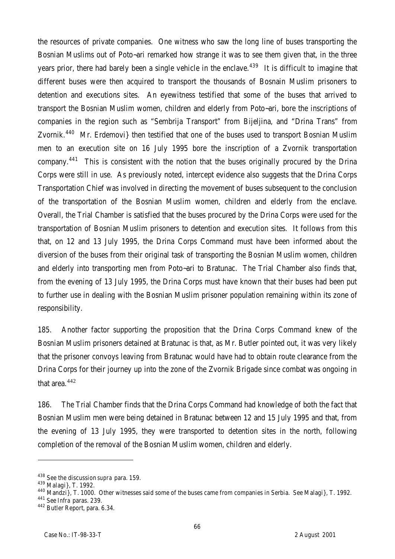the resources of private companies. One witness who saw the long line of buses transporting the Bosnian Muslims out of Poto~ari remarked how strange it was to see them given that, in the three years prior, there had barely been a single vehicle in the enclave.<sup>439</sup> It is difficult to imagine that different buses were then acquired to transport the thousands of Bosnain Muslim prisoners to detention and executions sites. An eyewitness testified that some of the buses that arrived to transport the Bosnian Muslim women, children and elderly from Poto~ari, bore the inscriptions of companies in the region such as "Sembrija Transport" from Bijeljina, and "Drina Trans" from Zvornik.<sup>440</sup> Mr. Erdemovi} then testified that one of the buses used to transport Bosnian Muslim men to an execution site on 16 July 1995 bore the inscription of a Zvornik transportation company.<sup>441</sup> This is consistent with the notion that the buses originally procured by the Drina Corps were still in use. As previously noted, intercept evidence also suggests that the Drina Corps Transportation Chief was involved in directing the movement of buses subsequent to the conclusion of the transportation of the Bosnian Muslim women, children and elderly from the enclave. Overall, the Trial Chamber is satisfied that the buses procured by the Drina Corps were used for the transportation of Bosnian Muslim prisoners to detention and execution sites. It follows from this that, on 12 and 13 July 1995, the Drina Corps Command must have been informed about the diversion of the buses from their original task of transporting the Bosnian Muslim women, children and elderly into transporting men from Poto~ari to Bratunac. The Trial Chamber also finds that, from the evening of 13 July 1995, the Drina Corps must have known that their buses had been put to further use in dealing with the Bosnian Muslim prisoner population remaining within its zone of responsibility.

185. Another factor supporting the proposition that the Drina Corps Command knew of the Bosnian Muslim prisoners detained at Bratunac is that, as Mr. Butler pointed out, it was very likely that the prisoner convoys leaving from Bratunac would have had to obtain route clearance from the Drina Corps for their journey up into the zone of the Zvornik Brigade since combat was ongoing in that area. $442$ 

186. The Trial Chamber finds that the Drina Corps Command had knowledge of both the fact that Bosnian Muslim men were being detained in Bratunac between 12 and 15 July 1995 and that, from the evening of 13 July 1995, they were transported to detention sites in the north, following completion of the removal of the Bosnian Muslim women, children and elderly.

<sup>438</sup> See the discussion *supra* para. 159.

<sup>439</sup> Malagi}, T. 1992.

<sup>440</sup> Mandzi}, T. 1000. Other witnesses said some of the buses came from companies in Serbia. See Malagi}, T. 1992.

<sup>441</sup> See *Infra* paras. 239.

<sup>442</sup> Butler Report, para. 6.34.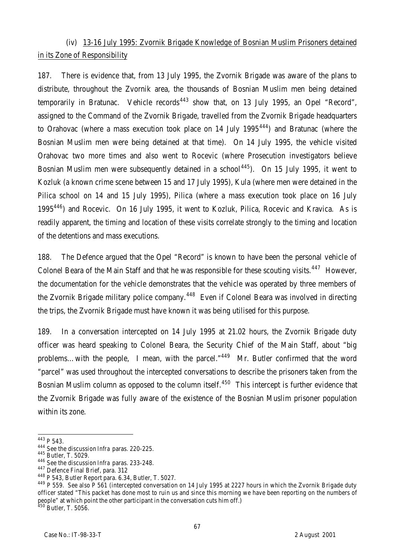# (iv) 13-16 July 1995: Zvornik Brigade Knowledge of Bosnian Muslim Prisoners detained in its Zone of Responsibility

187. There is evidence that, from 13 July 1995, the Zvornik Brigade was aware of the plans to distribute, throughout the Zvornik area, the thousands of Bosnian Muslim men being detained temporarily in Bratunac. Vehicle records<sup>443</sup> show that, on 13 July 1995, an Opel "Record", assigned to the Command of the Zvornik Brigade, travelled from the Zvornik Brigade headquarters to Orahovac (where a mass execution took place on 14 July 1995 $^{444}$ ) and Bratunac (where the Bosnian Muslim men were being detained at that time). On 14 July 1995, the vehicle visited Orahovac two more times and also went to Rocevic (where Prosecution investigators believe Bosnian Muslim men were subsequently detained in a school<sup>445</sup>). On 15 July 1995, it went to Kozluk (a known crime scene between 15 and 17 July 1995), Kula (where men were detained in the Pilica school on 14 and 15 July 1995), Pilica (where a mass execution took place on 16 July 1995<sup>446</sup>) and Rocevic. On 16 July 1995, it went to Kozluk, Pilica, Rocevic and Kravica. As is readily apparent, the timing and location of these visits correlate strongly to the timing and location of the detentions and mass executions.

188. The Defence argued that the Opel "Record" is known to have been the personal vehicle of Colonel Beara of the Main Staff and that he was responsible for these scouting visits.<sup>447</sup> However, the documentation for the vehicle demonstrates that the vehicle was operated by three members of the Zvornik Brigade military police company.<sup>448</sup> Even if Colonel Beara was involved in directing the trips, the Zvornik Brigade must have known it was being utilised for this purpose.

189. In a conversation intercepted on 14 July 1995 at 21.02 hours, the Zvornik Brigade duty officer was heard speaking to Colonel Beara, the Security Chief of the Main Staff, about "big problems...with the people, I mean, with the parcel. $1449}$  Mr. Butler confirmed that the word "parcel" was used throughout the intercepted conversations to describe the prisoners taken from the Bosnian Muslim column as opposed to the column itself.<sup>450</sup> This intercept is further evidence that the Zvornik Brigade was fully aware of the existence of the Bosnian Muslim prisoner population within its zone.

<sup>450</sup> Butler, T. 5056.

 $\overline{a}$ <sup>443</sup> P 543.

<sup>444</sup> See the discussion *Infra* paras. 220-225.

<sup>445</sup> Butler, T. 5029.

<sup>446</sup> See the discussion *Infra* paras. 233-248.

<sup>447</sup> Defence Final Brief, para. 312

<sup>448</sup> P 543, Butler Report para. 6.34, Butler, T. 5027.

<sup>&</sup>lt;sup>449</sup> P 559. See also P 561 (intercepted conversation on 14 July 1995 at 2227 hours in which the Zvornik Brigade duty officer stated "This packet has done most to ruin us and since this morning we have been reporting on the numbers of people" at which point the other participant in the conversation cuts him off.)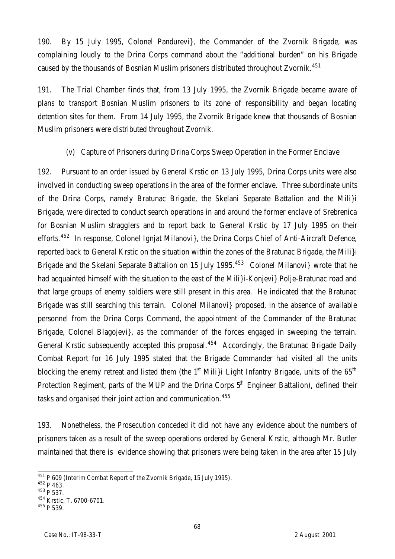190. By 15 July 1995, Colonel Pandurevi}, the Commander of the Zvornik Brigade, was complaining loudly to the Drina Corps command about the "additional burden" on his Brigade caused by the thousands of Bosnian Muslim prisoners distributed throughout Zvornik.<sup>451</sup>

191. The Trial Chamber finds that, from 13 July 1995, the Zvornik Brigade became aware of plans to transport Bosnian Muslim prisoners to its zone of responsibility and began locating detention sites for them. From 14 July 1995, the Zvornik Brigade knew that thousands of Bosnian Muslim prisoners were distributed throughout Zvornik.

# (v) Capture of Prisoners during Drina Corps Sweep Operation in the Former Enclave

192. Pursuant to an order issued by General Krstic on 13 July 1995, Drina Corps units were also involved in conducting sweep operations in the area of the former enclave. Three subordinate units of the Drina Corps, namely Bratunac Brigade, the Skelani Separate Battalion and the Mili}i Brigade, were directed to conduct search operations in and around the former enclave of Srebrenica for Bosnian Muslim stragglers and to report back to General Krstic by 17 July 1995 on their efforts.<sup>452</sup> In response, Colonel Ignjat Milanovi}, the Drina Corps Chief of Anti-Aircraft Defence, reported back to General Krstic on the situation within the zones of the Bratunac Brigade, the Mili}i Brigade and the Skelani Separate Battalion on 15 July 1995.<sup>453</sup> Colonel Milanovi} wrote that he had acquainted himself with the situation to the east of the Mili}i-Konjevi} Polje-Bratunac road and that large groups of enemy soldiers were still present in this area. He indicated that the Bratunac Brigade was still searching this terrain. Colonel Milanovi} proposed, in the absence of available personnel from the Drina Corps Command, the appointment of the Commander of the Bratunac Brigade, Colonel Blagojevi}, as the commander of the forces engaged in sweeping the terrain. General Krstic subsequently accepted this proposal.<sup>454</sup> Accordingly, the Bratunac Brigade Daily Combat Report for 16 July 1995 stated that the Brigade Commander had visited all the units blocking the enemy retreat and listed them (the  $1<sup>st</sup>$  Mili}i Light Infantry Brigade, units of the 65<sup>th</sup> Protection Regiment, parts of the MUP and the Drina Corps 5<sup>th</sup> Engineer Battalion), defined their tasks and organised their joint action and communication.<sup>455</sup>

193. Nonetheless, the Prosecution conceded it did not have any evidence about the numbers of prisoners taken as a result of the sweep operations ordered by General Krstic, although Mr. Butler maintained that there is evidence showing that prisoners were being taken in the area after 15 July

 $\overline{a}$  $^{451}$  P 609 (Interim Combat Report of the Zvornik Brigade, 15 July 1995).

<sup>452</sup> P 463.

<sup>453</sup> P 537.

<sup>454</sup> Krstic, T. 6700-6701.

<sup>455</sup> P 539.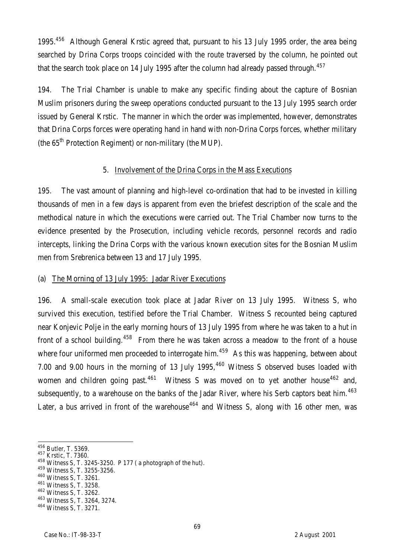1995.<sup>456</sup> Although General Krstic agreed that, pursuant to his 13 July 1995 order, the area being searched by Drina Corps troops coincided with the route traversed by the column, he pointed out that the search took place on 14 July 1995 after the column had already passed through.<sup>457</sup>

194. The Trial Chamber is unable to make any specific finding about the capture of Bosnian Muslim prisoners during the sweep operations conducted pursuant to the 13 July 1995 search order issued by General Krstic. The manner in which the order was implemented, however, demonstrates that Drina Corps forces were operating hand in hand with non-Drina Corps forces, whether military (the  $65<sup>th</sup>$  Protection Regiment) or non-military (the MUP).

# 5. Involvement of the Drina Corps in the Mass Executions

195. The vast amount of planning and high-level co-ordination that had to be invested in killing thousands of men in a few days is apparent from even the briefest description of the scale and the methodical nature in which the executions were carried out. The Trial Chamber now turns to the evidence presented by the Prosecution, including vehicle records, personnel records and radio intercepts, linking the Drina Corps with the various known execution sites for the Bosnian Muslim men from Srebrenica between 13 and 17 July 1995.

#### (a) The Morning of 13 July 1995: Jadar River Executions

196. A small-scale execution took place at Jadar River on 13 July 1995. Witness S, who survived this execution, testified before the Trial Chamber. Witness S recounted being captured near Konjevic Polje in the early morning hours of 13 July 1995 from where he was taken to a hut in front of a school building.<sup>458</sup> From there he was taken across a meadow to the front of a house where four uniformed men proceeded to interrogate him.<sup>459</sup> As this was happening, between about 7.00 and 9.00 hours in the morning of 13 July 1995,<sup>460</sup> Witness S observed buses loaded with women and children going past.<sup>461</sup> Witness S was moved on to yet another house<sup>462</sup> and, subsequently, to a warehouse on the banks of the Jadar River, where his Serb captors beat him.<sup>463</sup> Later, a bus arrived in front of the warehouse<sup>464</sup> and Witness S, along with 16 other men, was

 $^{456}$  Butler, T. 5369.

<sup>457</sup> Krstic, T. 7360.

<sup>458</sup> Witness S, T. 3245-3250. P 177 ( a photograph of the hut).

<sup>459</sup> Witness S, T. 3255-3256.

<sup>460</sup> Witness S, T. 3261.

<sup>461</sup> Witness S, T. 3258.

<sup>462</sup> Witness S, T. 3262.

<sup>463</sup> Witness S, T. 3264, 3274.

<sup>464</sup> Witness S, T. 3271.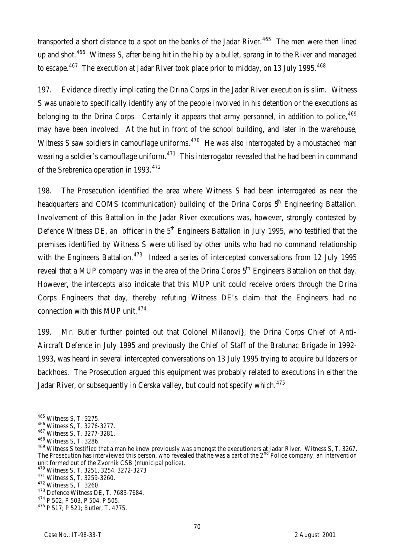transported a short distance to a spot on the banks of the Jadar River.<sup>465</sup> The men were then lined up and shot.<sup>466</sup> Witness S, after being hit in the hip by a bullet, sprang in to the River and managed to escape.<sup>467</sup> The execution at Jadar River took place prior to midday, on 13 July 1995.<sup>468</sup>

197. Evidence directly implicating the Drina Corps in the Jadar River execution is slim. Witness S was unable to specifically identify any of the people involved in his detention or the executions as belonging to the Drina Corps. Certainly it appears that army personnel, in addition to police.<sup>469</sup> may have been involved. At the hut in front of the school building, and later in the warehouse, Witness S saw soldiers in camouflage uniforms.<sup>470</sup> He was also interrogated by a moustached man wearing a soldier's camouflage uniform.<sup>471</sup> This interrogator revealed that he had been in command of the Srebrenica operation in 1993.<sup>472</sup>

198. The Prosecution identified the area where Witness S had been interrogated as near the headquarters and COMS (communication) building of the Drina Corps 5<sup>th</sup> Engineering Battalion. Involvement of this Battalion in the Jadar River executions was, however, strongly contested by Defence Witness DE, an officer in the 5<sup>th</sup> Engineers Battalion in July 1995, who testified that the premises identified by Witness S were utilised by other units who had no command relationship with the Engineers Battalion.<sup>473</sup> Indeed a series of intercepted conversations from 12 July 1995 reveal that a MUP company was in the area of the Drina Corps  $5<sup>th</sup>$  Engineers Battalion on that day. However, the intercepts also indicate that this MUP unit could receive orders through the Drina Corps Engineers that day, thereby refuting Witness DE's claim that the Engineers had no connection with this MUP unit.<sup>474</sup>

199. Mr. Butler further pointed out that Colonel Milanovi}, the Drina Corps Chief of Anti-Aircraft Defence in July 1995 and previously the Chief of Staff of the Bratunac Brigade in 1992- 1993, was heard in several intercepted conversations on 13 July 1995 trying to acquire bulldozers or backhoes. The Prosecution argued this equipment was probably related to executions in either the Jadar River, or subsequently in Cerska valley, but could not specify which.<sup>475</sup>

<sup>465</sup> Witness S, T. 3275.

<sup>466</sup> Witness S, T. 3276-3277.

<sup>467</sup> Witness S, T. 3277-3281.

<sup>468</sup> Witness S, T. 3286.

<sup>469</sup> Witness S testified that a man he knew previously was amongst the executioners at Jadar River. Witness S, T. 3267. The Prosecution has interviewed this person, who revealed that he was a part of the 2<sup>nd</sup> Police company, an intervention unit formed out of the Zvornik CSB (municipal police).

<sup>470</sup> Witness S, T. 3251, 3254, 3272-3273

<sup>471</sup> Witness S, T. 3259-3260.

<sup>&</sup>lt;sup>472</sup> Witness S, T. 3260.

<sup>473</sup> Defence Witness DE, T. 7683-7684.

<sup>474</sup> P 502, P 503, P 504, P 505.

<sup>475</sup> P 517; P 521; Butler, T. 4775.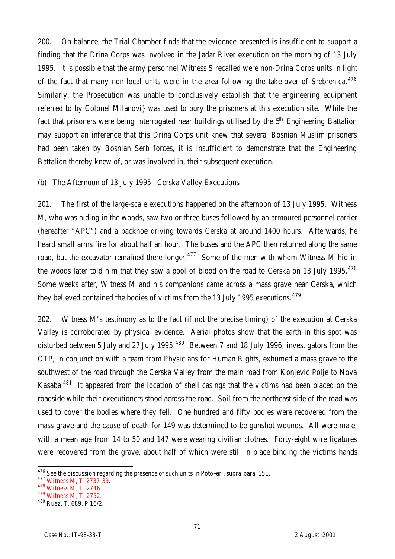200. On balance, the Trial Chamber finds that the evidence presented is insufficient to support a finding that the Drina Corps was involved in the Jadar River execution on the morning of 13 July 1995. It is possible that the army personnel Witness S recalled were non-Drina Corps units in light of the fact that many non-local units were in the area following the take-over of Srebrenica.<sup>476</sup> Similarly, the Prosecution was unable to conclusively establish that the engineering equipment referred to by Colonel Milanovi} was used to bury the prisoners at this execution site. While the fact that prisoners were being interrogated near buildings utilised by the  $5<sup>th</sup>$  Engineering Battalion may support an inference that this Drina Corps unit knew that several Bosnian Muslim prisoners had been taken by Bosnian Serb forces, it is insufficient to demonstrate that the Engineering Battalion thereby knew of, or was involved in, their subsequent execution.

#### (b) The Afternoon of 13 July 1995: Cerska Valley Executions

201. The first of the large-scale executions happened on the afternoon of 13 July 1995. Witness M, who was hiding in the woods, saw two or three buses followed by an armoured personnel carrier (hereafter "APC") and a backhoe driving towards Cerska at around 1400 hours. Afterwards, he heard small arms fire for about half an hour. The buses and the APC then returned along the same road, but the excavator remained there longer.<sup>477</sup> Some of the men with whom Witness M hid in the woods later told him that they saw a pool of blood on the road to Cerska on 13 July 1995.<sup>478</sup> Some weeks after, Witness M and his companions came across a mass grave near Cerska, which they believed contained the bodies of victims from the 13 July 1995 executions.  $479$ 

202. Witness M's testimony as to the fact (if not the precise timing) of the execution at Cerska Valley is corroborated by physical evidence. Aerial photos show that the earth in this spot was disturbed between 5 July and 27 July 1995.<sup>480</sup> Between 7 and 18 July 1996, investigators from the OTP, in conjunction with a team from Physicians for Human Rights, exhumed a mass grave to the southwest of the road through the Cerska Valley from the main road from Konjevic Polje to Nova Kasaba.<sup>481</sup> It appeared from the location of shell casings that the victims had been placed on the roadside while their executioners stood across the road. Soil from the northeast side of the road was used to cover the bodies where they fell. One hundred and fifty bodies were recovered from the mass grave and the cause of death for 149 was determined to be gunshot wounds. All were male, with a mean age from 14 to 50 and 147 were wearing civilian clothes. Forty-eight wire ligatures were recovered from the grave, about half of which were still in place binding the victims hands

 $\overline{a}$ <sup>476</sup> See the discussion regarding the presence of such units in Poto~ari, *supra* para. 151.

<sup>477</sup> Witness M, T. 2737-39.

<sup>478</sup> Witness M, T. 2746.

<sup>479</sup> Witness M, T. 2752.

<sup>480</sup> Ruez, T. 689, P 16/2.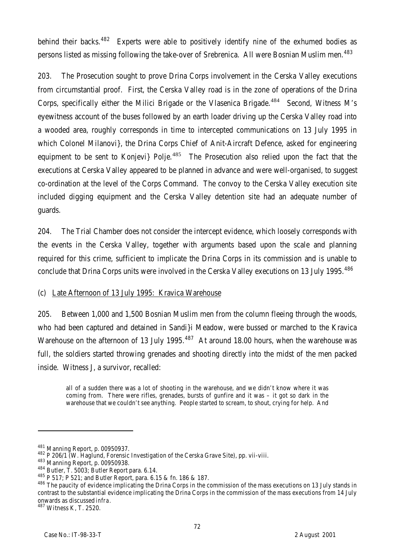behind their backs.<sup>482</sup> Experts were able to positively identify nine of the exhumed bodies as persons listed as missing following the take-over of Srebrenica. All were Bosnian Muslim men.<sup>483</sup>

203. The Prosecution sought to prove Drina Corps involvement in the Cerska Valley executions from circumstantial proof. First, the Cerska Valley road is in the zone of operations of the Drina Corps, specifically either the Milici Brigade or the Vlasenica Brigade.<sup>484</sup> Second, Witness M's eyewitness account of the buses followed by an earth loader driving up the Cerska Valley road into a wooded area, roughly corresponds in time to intercepted communications on 13 July 1995 in which Colonel Milanovi}, the Drina Corps Chief of Anit-Aircraft Defence, asked for engineering equipment to be sent to Konjevi} Polje.<sup>485</sup> The Prosecution also relied upon the fact that the executions at Cerska Valley appeared to be planned in advance and were well-organised, to suggest co-ordination at the level of the Corps Command. The convoy to the Cerska Valley execution site included digging equipment and the Cerska Valley detention site had an adequate number of guards.

204. The Trial Chamber does not consider the intercept evidence, which loosely corresponds with the events in the Cerska Valley, together with arguments based upon the scale and planning required for this crime, sufficient to implicate the Drina Corps in its commission and is unable to conclude that Drina Corps units were involved in the Cerska Valley executions on 13 July 1995.<sup>486</sup>

# (c) Late Afternoon of 13 July 1995: Kravica Warehouse

205. Between 1,000 and 1,500 Bosnian Muslim men from the column fleeing through the woods, who had been captured and detained in Sandi i Meadow, were bussed or marched to the Kravica Warehouse on the afternoon of 13 July 1995.<sup>487</sup> At around 18.00 hours, when the warehouse was full, the soldiers started throwing grenades and shooting directly into the midst of the men packed inside. Witness J, a survivor, recalled:

all of a sudden there was a lot of shooting in the warehouse, and we didn't know where it was coming from. There were rifles, grenades, bursts of gunfire and it was – it got so dark in the warehouse that we couldn't see anything. People started to scream, to shout, crying for help. And

<sup>481</sup> Manning Report, p. 00950937.

<sup>482</sup> P 206/1 (W. Haglund, Forensic Investigation of the Cerska Grave Site), pp. vii-viii.

<sup>483</sup> Manning Report, p. 00950938.

<sup>484</sup> Butler, T. 5003; Butler Report para. 6.14.

<sup>485</sup> P 517; P 521; and Butler Report, para. 6.15 & fn. 186 & 187.

<sup>&</sup>lt;sup>486</sup> The paucity of evidence implicating the Drina Corps in the commission of the mass executions on 13 July stands in contrast to the substantial evidence implicating the Drina Corps in the commission of the mass executions from 14 July onwards as discussed *infra.*

<sup>487</sup> Witness K, T. 2520.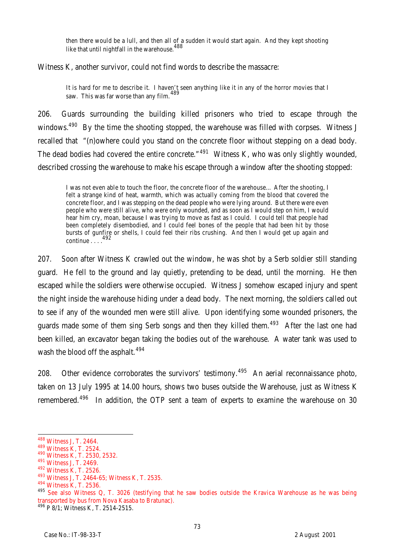then there would be a lull, and then all of a sudden it would start again. And they kept shooting like that until nightfall in the warehouse. $^{488}$ 

Witness K, another survivor, could not find words to describe the massacre:

It is hard for me to describe it. I haven't seen anything like it in any of the horror movies that I saw. This was far worse than any film.  $489$ 

206. Guards surrounding the building killed prisoners who tried to escape through the windows.<sup>490</sup> By the time the shooting stopped, the warehouse was filled with corpses. Witness J recalled that "(n)owhere could you stand on the concrete floor without stepping on a dead body. The dead bodies had covered the entire concrete."<sup>491</sup> Witness K, who was only slightly wounded, described crossing the warehouse to make his escape through a window after the shooting stopped:

I was not even able to touch the floor, the concrete floor of the warehouse… After the shooting, I felt a strange kind of heat, warmth, which was actually coming from the blood that covered the concrete floor, and I was stepping on the dead people who were lying around. But there were even people who were still alive, who were only wounded, and as soon as I would step on him, I would hear him cry, moan, because I was trying to move as fast as I could. I could tell that people had been completely disembodied, and I could feel bones of the people that had been hit by those bursts of gunfire or shells, I could feel their ribs crushing. And then I would get up again and  $control$ <sub>continue</sub>  $(1, 1, 492)$ 

207. Soon after Witness K crawled out the window, he was shot by a Serb soldier still standing guard. He fell to the ground and lay quietly, pretending to be dead, until the morning. He then escaped while the soldiers were otherwise occupied. Witness J somehow escaped injury and spent the night inside the warehouse hiding under a dead body. The next morning, the soldiers called out to see if any of the wounded men were still alive. Upon identifying some wounded prisoners, the guards made some of them sing Serb songs and then they killed them.<sup>493</sup> After the last one had been killed, an excavator began taking the bodies out of the warehouse. A water tank was used to wash the blood off the asphalt.<sup>494</sup>

208. Other evidence corroborates the survivors' testimony.<sup>495</sup> An aerial reconnaissance photo, taken on 13 July 1995 at 14.00 hours, shows two buses outside the Warehouse, just as Witness K remembered.<sup>496</sup> In addition, the OTP sent a team of experts to examine the warehouse on 30

<sup>&</sup>lt;sup>488</sup> Witness J, T. 2464.

 $^{489}$  Witness K, T. 2524.

<sup>490</sup> Witness K, T. 2530, 2532.

<sup>491</sup> Witness J, T. 2469.

<sup>492</sup> Witness K, T. 2526.

<sup>493</sup> Witness J, T. 2464-65; Witness K, T. 2535.

<sup>494</sup> Witness K, T. 2536.

<sup>495</sup> See also Witness Q, T. 3026 (testifying that he saw bodies outside the Kravica Warehouse as he was being transported by bus from Nova Kasaba to Bratunac).

<sup>&</sup>lt;sup>496</sup> P 8/1; Witness K, T. 2514-2515.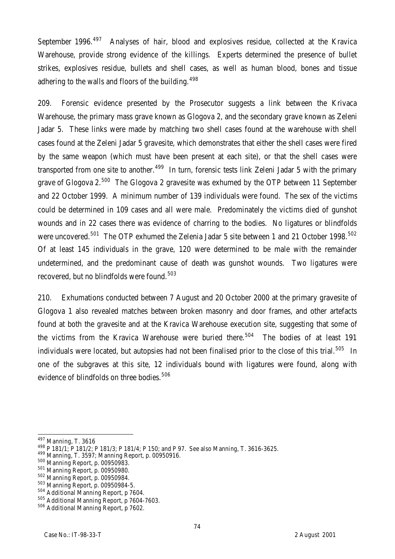September 1996.<sup>497</sup> Analyses of hair, blood and explosives residue, collected at the Kravica Warehouse, provide strong evidence of the killings. Experts determined the presence of bullet strikes, explosives residue, bullets and shell cases, as well as human blood, bones and tissue adhering to the walls and floors of the building.<sup>498</sup>

209. Forensic evidence presented by the Prosecutor suggests a link between the Krivaca Warehouse, the primary mass grave known as Glogova 2, and the secondary grave known as Zeleni Jadar 5. These links were made by matching two shell cases found at the warehouse with shell cases found at the Zeleni Jadar 5 gravesite, which demonstrates that either the shell cases were fired by the same weapon (which must have been present at each site), or that the shell cases were transported from one site to another.<sup>499</sup> In turn, forensic tests link Zeleni Jadar 5 with the primary grave of Glogova 2.<sup>500</sup> The Glogova 2 gravesite was exhumed by the OTP between 11 September and 22 October 1999. A minimum number of 139 individuals were found. The sex of the victims could be determined in 109 cases and all were male. Predominately the victims died of gunshot wounds and in 22 cases there was evidence of charring to the bodies. No ligatures or blindfolds were uncovered.<sup>501</sup> The OTP exhumed the Zelenia Jadar 5 site between 1 and 21 October 1998.<sup>502</sup> Of at least 145 individuals in the grave, 120 were determined to be male with the remainder undetermined, and the predominant cause of death was gunshot wounds. Two ligatures were recovered, but no blindfolds were found.<sup>503</sup>

210. Exhumations conducted between 7 August and 20 October 2000 at the primary gravesite of Glogova 1 also revealed matches between broken masonry and door frames, and other artefacts found at both the gravesite and at the Kravica Warehouse execution site, suggesting that some of the victims from the Kravica Warehouse were buried there.<sup>504</sup> The bodies of at least 191 individuals were located, but autopsies had not been finalised prior to the close of this trial.<sup>505</sup> In one of the subgraves at this site, 12 individuals bound with ligatures were found, along with evidence of blindfolds on three bodies.<sup>506</sup>

<sup>&</sup>lt;sup>497</sup> Manning, T. 3616

<sup>498</sup> P 181/1; P 181/2; P 181/3; P 181/4; P 150; and P 97. See also Manning, T. 3616-3625.

<sup>499</sup> Manning, T. 3597; Manning Report, p. 00950916.

<sup>500</sup> Manning Report, p. 00950983.

<sup>501</sup> Manning Report, p. 00950980.

<sup>502</sup> Manning Report, p. 00950984.

<sup>503</sup> Manning Report, p. 00950984-5.

<sup>504</sup> Additional Manning Report, p 7604.

<sup>505</sup> Additional Manning Report, p 7604-7603.

<sup>506</sup> Additional Manning Report, p 7602.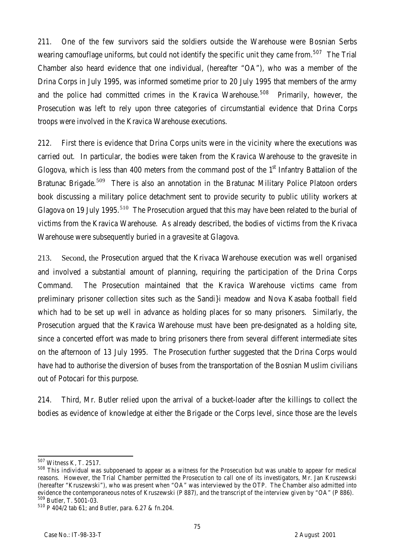211. One of the few survivors said the soldiers outside the Warehouse were Bosnian Serbs wearing camouflage uniforms, but could not identify the specific unit they came from.<sup>507</sup> The Trial Chamber also heard evidence that one individual, (hereafter "OA"), who was a member of the Drina Corps in July 1995, was informed sometime prior to 20 July 1995 that members of the army and the police had committed crimes in the Kravica Warehouse.<sup>508</sup> Primarily, however, the Prosecution was left to rely upon three categories of circumstantial evidence that Drina Corps troops were involved in the Kravica Warehouse executions.

212. First there is evidence that Drina Corps units were in the vicinity where the executions was carried out. In particular, the bodies were taken from the Kravica Warehouse to the gravesite in Glogova, which is less than 400 meters from the command post of the 1<sup>st</sup> Infantry Battalion of the Bratunac Brigade.<sup>509</sup> There is also an annotation in the Bratunac Military Police Platoon orders book discussing a military police detachment sent to provide security to public utility workers at Glagova on 19 July 1995.<sup>510</sup> The Prosecution argued that this may have been related to the burial of victims from the Kravica Warehouse. As already described, the bodies of victims from the Krivaca Warehouse were subsequently buried in a gravesite at Glagova.

213. Second, the Prosecution argued that the Krivaca Warehouse execution was well organised and involved a substantial amount of planning, requiring the participation of the Drina Corps Command. The Prosecution maintained that the Kravica Warehouse victims came from preliminary prisoner collection sites such as the Sandi}i meadow and Nova Kasaba football field which had to be set up well in advance as holding places for so many prisoners. Similarly, the Prosecution argued that the Kravica Warehouse must have been pre-designated as a holding site, since a concerted effort was made to bring prisoners there from several different intermediate sites on the afternoon of 13 July 1995. The Prosecution further suggested that the Drina Corps would have had to authorise the diversion of buses from the transportation of the Bosnian Muslim civilians out of Potocari for this purpose.

214. Third, Mr. Butler relied upon the arrival of a bucket-loader after the killings to collect the bodies as evidence of knowledge at either the Brigade or the Corps level, since those are the levels

 $\overline{a}$ <sup>507</sup> Witness K, T. 2517.

<sup>508</sup> This individual was subpoenaed to appear as a witness for the Prosecution but was unable to appear for medical reasons. However, the Trial Chamber permitted the Prosecution to call one of its investigators, Mr. Jan Kruszewski (hereafter "Kruszewski"), who was present when "OA" was interviewed by the OTP. The Chamber also admitted into evidence the contemporaneous notes of Kruszewski (P 887), and the transcript of the interview given by "OA" (P 886). <sup>509</sup> Butler, T. 5001-03.

<sup>510</sup> P 404/2 tab 61; and Butler, para. 6.27 & fn.204.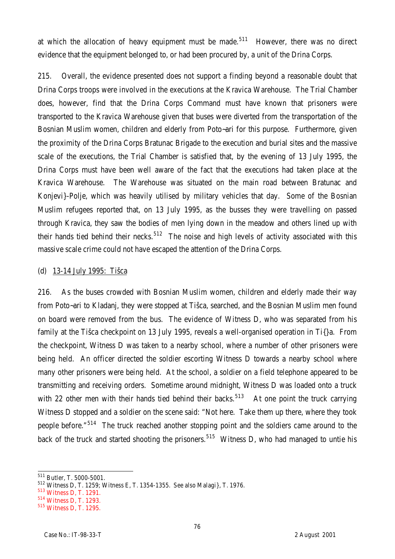at which the allocation of heavy equipment must be made.<sup>511</sup> However, there was no direct evidence that the equipment belonged to, or had been procured by, a unit of the Drina Corps.

215. Overall, the evidence presented does not support a finding beyond a reasonable doubt that Drina Corps troops were involved in the executions at the Kravica Warehouse. The Trial Chamber does, however, find that the Drina Corps Command must have known that prisoners were transported to the Kravica Warehouse given that buses were diverted from the transportation of the Bosnian Muslim women, children and elderly from Poto~ari for this purpose. Furthermore, given the proximity of the Drina Corps Bratunac Brigade to the execution and burial sites and the massive scale of the executions, the Trial Chamber is satisfied that, by the evening of 13 July 1995, the Drina Corps must have been well aware of the fact that the executions had taken place at the Kravica Warehouse. The Warehouse was situated on the main road between Bratunac and Konjevi}-Polje, which was heavily utilised by military vehicles that day. Some of the Bosnian Muslim refugees reported that, on 13 July 1995, as the busses they were travelling on passed through Kravica, they saw the bodies of men lying down in the meadow and others lined up with their hands tied behind their necks.<sup>512</sup> The noise and high levels of activity associated with this massive scale crime could not have escaped the attention of the Drina Corps.

#### (d) 13-14 July 1995: Tišca

216. As the buses crowded with Bosnian Muslim women, children and elderly made their way from Poto~ari to Kladanj, they were stopped at Tišca, searched, and the Bosnian Muslim men found on board were removed from the bus. The evidence of Witness D, who was separated from his family at the Tišca checkpoint on 13 July 1995, reveals a well-organised operation in Ti{}a. From the checkpoint, Witness D was taken to a nearby school, where a number of other prisoners were being held. An officer directed the soldier escorting Witness D towards a nearby school where many other prisoners were being held. At the school, a soldier on a field telephone appeared to be transmitting and receiving orders. Sometime around midnight, Witness D was loaded onto a truck with 22 other men with their hands tied behind their backs.<sup>513</sup> At one point the truck carrying Witness D stopped and a soldier on the scene said: "Not here. Take them up there, where they took people before.<sup>"514</sup> The truck reached another stopping point and the soldiers came around to the back of the truck and started shooting the prisoners.<sup>515</sup> Witness D, who had managed to untie his

 $\overline{a}$ <sup>511</sup> Butler, T. 5000-5001.

<sup>512</sup> Witness D, T. 1259; Witness E, T. 1354-1355. See also Malagi}, T. 1976.

<sup>513</sup> Witness D, T. 1291.

<sup>514</sup> Witness D, T. 1293.

<sup>515</sup> Witness D, T. 1295.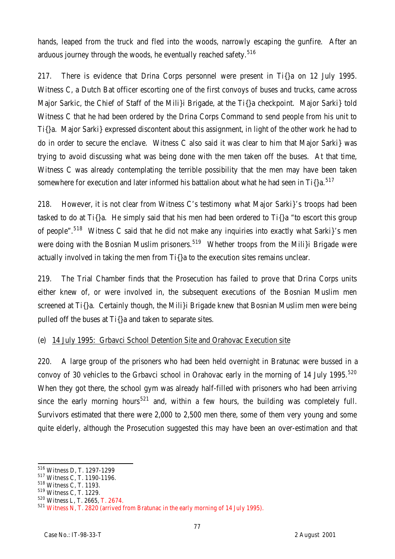hands, leaped from the truck and fled into the woods, narrowly escaping the gunfire. After an arduous journey through the woods, he eventually reached safety.<sup>516</sup>

217. There is evidence that Drina Corps personnel were present in  $Ti\$ a on 12 July 1995. Witness C, a Dutch Bat officer escorting one of the first convoys of buses and trucks, came across Major Sarkic, the Chief of Staff of the Mili}i Brigade, at the Ti{}a checkpoint. Major Sarki} told Witness C that he had been ordered by the Drina Corps Command to send people from his unit to Ti{}a. Major Sarki} expressed discontent about this assignment, in light of the other work he had to do in order to secure the enclave. Witness C also said it was clear to him that Major Sarki} was trying to avoid discussing what was being done with the men taken off the buses. At that time, Witness C was already contemplating the terrible possibility that the men may have been taken somewhere for execution and later informed his battalion about what he had seen in Ti{}a.<sup>517</sup>

218. However, it is not clear from Witness C's testimony what Major Sarki}'s troops had been tasked to do at Ti $\{\}$ a. He simply said that his men had been ordered to Ti $\{\}$ a "to escort this group of people".<sup>518</sup> Witness C said that he did not make any inquiries into exactly what Sarki}'s men were doing with the Bosnian Muslim prisoners.<sup>519</sup> Whether troops from the Mili}i Brigade were actually involved in taking the men from Ti{}a to the execution sites remains unclear.

219. The Trial Chamber finds that the Prosecution has failed to prove that Drina Corps units either knew of, or were involved in, the subsequent executions of the Bosnian Muslim men screened at Ti{}a. Certainly though, the Mili}i Brigade knew that Bosnian Muslim men were being pulled off the buses at Ti{}a and taken to separate sites.

# (e) 14 July 1995: Grbavci School Detention Site and Orahovac Execution site

220. A large group of the prisoners who had been held overnight in Bratunac were bussed in a convoy of 30 vehicles to the Grbavci school in Orahovac early in the morning of 14 July 1995.<sup>520</sup> When they got there, the school gym was already half-filled with prisoners who had been arriving since the early morning hours<sup>521</sup> and, within a few hours, the building was completely full. Survivors estimated that there were 2,000 to 2,500 men there, some of them very young and some quite elderly, although the Prosecution suggested this may have been an over-estimation and that

<sup>516</sup> Witness D, T. 1297-1299

<sup>517</sup> Witness C, T. 1190-1196.

<sup>&</sup>lt;sup>518</sup> Witness C, T. 1193.

<sup>519</sup> Witness C, T. 1229.

<sup>520</sup> Witness L, T. 2665, T. 2674.

<sup>521</sup> Witness N, T. 2820 (arrived from Bratunac in the early morning of 14 July 1995).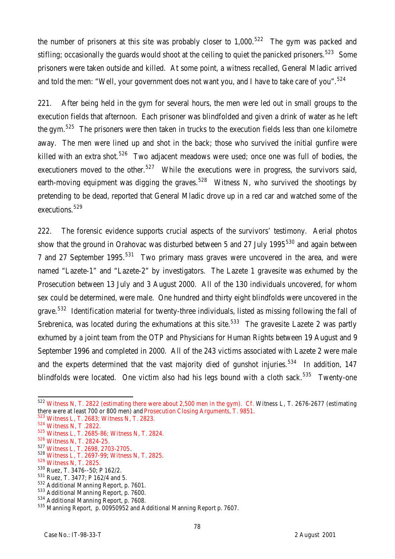the number of prisoners at this site was probably closer to  $1,000$ .<sup>522</sup> The gym was packed and stifling; occasionally the quards would shoot at the ceiling to quiet the panicked prisoners.<sup>523</sup> Some prisoners were taken outside and killed. At some point, a witness recalled, General Mladic arrived and told the men: "Well, your government does not want you, and I have to take care of you".<sup>524</sup>

221. After being held in the gym for several hours, the men were led out in small groups to the execution fields that afternoon. Each prisoner was blindfolded and given a drink of water as he left the gym.<sup>525</sup> The prisoners were then taken in trucks to the execution fields less than one kilometre away. The men were lined up and shot in the back; those who survived the initial gunfire were killed with an extra shot.<sup>526</sup> Two adjacent meadows were used; once one was full of bodies, the executioners moved to the other.<sup>527</sup> While the executions were in progress, the survivors said, earth-moving equipment was digging the graves.<sup>528</sup> Witness N, who survived the shootings by pretending to be dead, reported that General Mladic drove up in a red car and watched some of the executions.<sup>529</sup>

222. The forensic evidence supports crucial aspects of the survivors' testimony. Aerial photos show that the ground in Orahovac was disturbed between 5 and 27 July 1995<sup>530</sup> and again between 7 and 27 September 1995.<sup>531</sup> Two primary mass graves were uncovered in the area, and were named "Lazete-1" and "Lazete-2" by investigators. The Lazete 1 gravesite was exhumed by the Prosecution between 13 July and 3 August 2000. All of the 130 individuals uncovered, for whom sex could be determined, were male. One hundred and thirty eight blindfolds were uncovered in the grave.<sup>532</sup> Identification material for twenty-three individuals, listed as missing following the fall of Srebrenica, was located during the exhumations at this site.<sup>533</sup> The gravesite Lazete 2 was partly exhumed by a joint team from the OTP and Physicians for Human Rights between 19 August and 9 September 1996 and completed in 2000. All of the 243 victims associated with Lazete 2 were male and the experts determined that the vast majority died of gunshot injuries.<sup>534</sup> In addition, 147 blindfolds were located. One victim also had his legs bound with a cloth sack.<sup>535</sup> Twenty-one

 $\overline{a}$  $522$  Witness N, T. 2822 (estimating there were about 2,500 men in the gym). Cf. Witness L, T. 2676-2677 (estimating there were at least 700 or 800 men) and Prosecution Closing Arguments, T. 9851.

<sup>523</sup> Witness L, T. 2683; Witness N, T. 2823.

<sup>524</sup> Witness N, T .2822.

<sup>525</sup> Witness L, T. 2685-86; Witness N, T. 2824.

<sup>526</sup> Witness N, T. 2824-25.

<sup>&</sup>lt;sup>527</sup> Witness L, T. 2698, 2703-2705.

<sup>528</sup> Witness L, T. 2697-99; Witness N, T. 2825.

<sup>529</sup> Witness N, T. 2825.

<sup>530</sup> Ruez, T. 3476--50; P 162/2.

<sup>531</sup> Ruez, T. 3477; P 162/4 and 5.

<sup>532</sup> Additional Manning Report, p. 7601.

<sup>533</sup> Additional Manning Report, p. 7600. <sup>534</sup> Additional Manning Report, p. 7608.

<sup>&</sup>lt;sup>535</sup> Manning Report, p. 00950952 and Additional Manning Report p. 7607.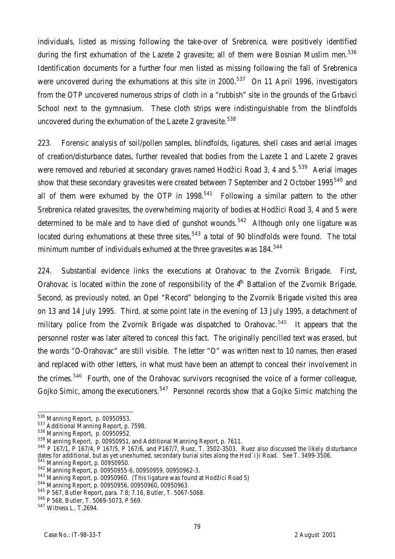individuals, listed as missing following the take-over of Srebrenica, were positively identified during the first exhumation of the Lazete 2 gravesite; all of them were Bosnian Muslim men.<sup>536</sup> Identification documents for a further four men listed as missing following the fall of Srebrenica were uncovered during the exhumations at this site in 2000.<sup>537</sup> On 11 April 1996, investigators from the OTP uncovered numerous strips of cloth in a "rubbish" site in the grounds of the Grbavci School next to the gymnasium. These cloth strips were indistinguishable from the blindfolds uncovered during the exhumation of the Lazete 2 gravesite.<sup>538</sup>

223. Forensic analysis of soil/pollen samples, blindfolds, ligatures, shell cases and aerial images of creation/disturbance dates, further revealed that bodies from the Lazete 1 and Lazete 2 graves were removed and reburied at secondary graves named Hodžici Road 3, 4 and 5.<sup>539</sup> Aerial images show that these secondary gravesites were created between 7 September and 2 October 1995<sup>540</sup> and all of them were exhumed by the OTP in  $1998<sup>541</sup>$  Following a similar pattern to the other Srebrenica related gravesites, the overwhelming majority of bodies at Hodžici Road 3, 4 and 5 were determined to be male and to have died of gunshot wounds.<sup>542</sup> Although only one ligature was located during exhumations at these three sites.<sup>543</sup> a total of 90 blindfolds were found. The total minimum number of individuals exhumed at the three gravesites was 184.<sup>544</sup>

224. Substantial evidence links the executions at Orahovac to the Zvornik Brigade. First, Orahovac is located within the zone of responsibility of the  $4<sup>th</sup>$  Battalion of the Zvornik Brigade. Second, as previously noted, an Opel "Record" belonging to the Zvornik Brigade visited this area on 13 and 14 July 1995. Third, at some point late in the evening of 13 July 1995, a detachment of military police from the Zvornik Brigade was dispatched to Orahovac.<sup>545</sup> It appears that the personnel roster was later altered to conceal this fact. The originally pencilled text was erased, but the words "O-Orahovac" are still visible. The letter "O" was written next to 10 names, then erased and replaced with other letters, in what must have been an attempt to conceal their involvement in the crimes.<sup>546</sup> Fourth, one of the Orahovac survivors recognised the voice of a former colleague, Gojko Simic, among the executioners.<sup>547</sup> Personnel records show that a Gojko Simic matching the

 $\overline{a}$ <sup>536</sup> Manning Report, p. 00950953.

<sup>537</sup> Additional Manning Report, p. 7598.

<sup>538</sup> Manning Report, p. 00950952.

<sup>539</sup> Manning Report, p. 00950951, and Additional Manning Report, p. 7611.

<sup>540</sup> P 167/1, P 167/4, P 167/5, P 167/6, and P167/7, Ruez, T. 3502-3503. Ruez also discussed the likely disturbance dates for additional, but as yet unexhumed, secondary burial sites along the Hod`i}i Road. See T. 3499-3506.

<sup>541</sup> Manning Report, p. 00950950.

<sup>542</sup> Manning Report, p. 00950955-6, 00950959, 00950962-3.

<sup>543</sup> Manning Report, p. 00950960. (This ligature was found at Hodžici Road 5)

<sup>544</sup> Manning Report, p. 00950956, 00950960, 00950963.

<sup>545</sup> P 567, Butler Report, para. 7.8; 7.16, Butler, T. 5067-5068.

<sup>546</sup> P 568, Butler, T. 5069-5073, P 569.

<sup>547</sup> Witness L, T.2694.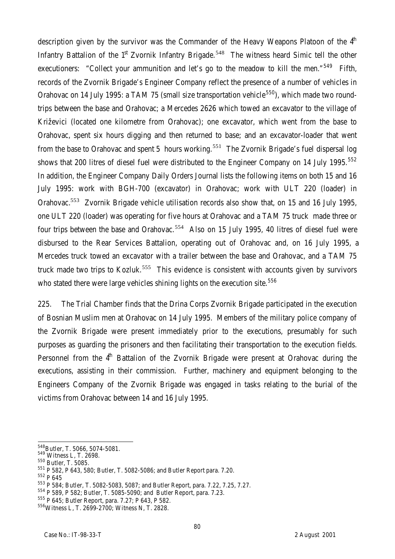description given by the survivor was the Commander of the Heavy Weapons Platoon of the  $4<sup>h</sup>$ Infantry Battalion of the  $1<sup>st</sup>$  Zvornik Infantry Brigade.<sup>548</sup> The witness heard Simic tell the other executioners: "Collect your ammunition and let's go to the meadow to kill the men."<sup>549</sup> Fifth, records of the Zvornik Brigade's Engineer Company reflect the presence of a number of vehicles in Orahovac on 14 July 1995: a TAM 75 (small size transportation vehicle<sup>550</sup>), which made two roundtrips between the base and Orahovac; a Mercedes 2626 which towed an excavator to the village of Križevici (located one kilometre from Orahovac); one excavator, which went from the base to Orahovac, spent six hours digging and then returned to base; and an excavator-loader that went from the base to Orahovac and spent 5 hours working.<sup>551</sup> The Zvornik Brigade's fuel dispersal log shows that 200 litres of diesel fuel were distributed to the Engineer Company on 14 July 1995.<sup>552</sup> In addition, the Engineer Company Daily Orders Journal lists the following items on both 15 and 16 July 1995: work with BGH-700 (excavator) in Orahovac; work with ULT 220 (loader) in Orahovac.<sup>553</sup> Zvornik Brigade vehicle utilisation records also show that, on 15 and 16 July 1995, one ULT 220 (loader) was operating for five hours at Orahovac and a TAM 75 truck made three or four trips between the base and Orahovac.<sup>554</sup> Also on 15 July 1995, 40 litres of diesel fuel were disbursed to the Rear Services Battalion, operating out of Orahovac and, on 16 July 1995, a Mercedes truck towed an excavator with a trailer between the base and Orahovac, and a TAM 75 truck made two trips to Kozluk.<sup>555</sup> This evidence is consistent with accounts given by survivors who stated there were large vehicles shining lights on the execution site.<sup>556</sup>

225. The Trial Chamber finds that the Drina Corps Zvornik Brigade participated in the execution of Bosnian Muslim men at Orahovac on 14 July 1995. Members of the military police company of the Zvornik Brigade were present immediately prior to the executions, presumably for such purposes as guarding the prisoners and then facilitating their transportation to the execution fields. Personnel from the  $4<sup>h</sup>$  Battalion of the Zvornik Brigade were present at Orahovac during the executions, assisting in their commission. Further, machinery and equipment belonging to the Engineers Company of the Zvornik Brigade was engaged in tasks relating to the burial of the victims from Orahovac between 14 and 16 July 1995.

 $^{548}_{-2}$ Butler, T. 5066, 5074-5081.

<sup>549</sup> Witness L, T. 2698.

<sup>550</sup> Butler, T. 5085.

<sup>551</sup> P 582, P 643, 580; Butler, T. 5082-5086; and Butler Report para. 7.20.

<sup>552</sup> P 645

<sup>553</sup> P 584; Butler, T. 5082-5083, 5087; and Butler Report, para. 7.22, 7.25, 7.27.

<sup>554</sup> P 589, P 582; Butler, T. 5085-5090; and Butler Report, para. 7.23.

<sup>555</sup> P 645; Butler Report, para. 7.27; P 643, P 582.

<sup>556</sup>Witness L, T. 2699-2700; Witness N, T. 2828.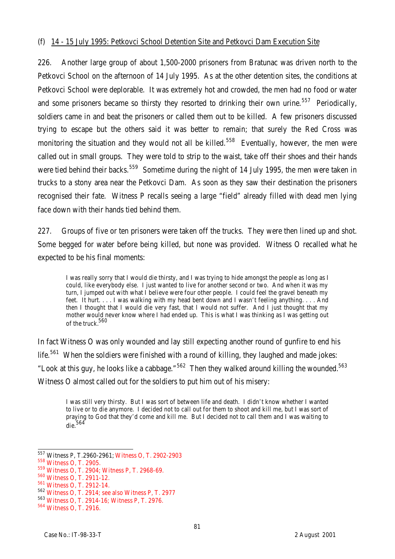#### (f) 14 - 15 July 1995: Petkovci School Detention Site and Petkovci Dam Execution Site

226. Another large group of about 1,500-2000 prisoners from Bratunac was driven north to the Petkovci School on the afternoon of 14 July 1995. As at the other detention sites, the conditions at Petkovci School were deplorable. It was extremely hot and crowded, the men had no food or water and some prisoners became so thirsty they resorted to drinking their own urine.<sup>557</sup> Periodically, soldiers came in and beat the prisoners or called them out to be killed. A few prisoners discussed trying to escape but the others said it was better to remain; that surely the Red Cross was monitoring the situation and they would not all be killed.<sup>558</sup> Eventually, however, the men were called out in small groups. They were told to strip to the waist, take off their shoes and their hands were tied behind their backs.<sup>559</sup> Sometime during the night of 14 July 1995, the men were taken in trucks to a stony area near the Petkovci Dam. As soon as they saw their destination the prisoners recognised their fate. Witness P recalls seeing a large "field" already filled with dead men lying face down with their hands tied behind them.

227. Groups of five or ten prisoners were taken off the trucks. They were then lined up and shot. Some begged for water before being killed, but none was provided. Witness O recalled what he expected to be his final moments:

I was really sorry that I would die thirsty, and I was trying to hide amongst the people as long as I could, like everybody else. I just wanted to live for another second or two. And when it was my turn, I jumped out with what I believe were four other people. I could feel the gravel beneath my feet. It hurt. . . . I was walking with my head bent down and I wasn't feeling anything. . . . And then I thought that I would die very fast, that I would not suffer. And I just thought that my mother would never know where I had ended up. This is what I was thinking as I was getting out of the truck 560

In fact Witness O was only wounded and lay still expecting another round of gunfire to end his life.<sup>561</sup> When the soldiers were finished with a round of killing, they laughed and made jokes: "Look at this guy, he looks like a cabbage."<sup>562</sup> Then they walked around killing the wounded.<sup>563</sup> Witness O almost called out for the soldiers to put him out of his misery:

I was still very thirsty. But I was sort of between life and death. I didn't know whether I wanted to live or to die anymore. I decided not to call out for them to shoot and kill me, but I was sort of praying to God that they'd come and kill me. But I decided not to call them and I was waiting to  $die.<sup>564</sup>$ 

 $\overline{a}$ <sup>557</sup> Witness P, T.2960-2961; Witness O, T. 2902-2903

<sup>558</sup> Witness O, T. 2905.

<sup>559</sup> Witness O, T. 2904; Witness P, T. 2968-69.

<sup>560</sup> Witness O, T. 2911-12.

<sup>561</sup> Witness O, T. 2912-14.

<sup>562</sup> Witness O, T. 2914; see also Witness P, T. 2977

<sup>563</sup> Witness O, T. 2914-16; Witness P, T. 2976.

<sup>564</sup> Witness O, T. 2916.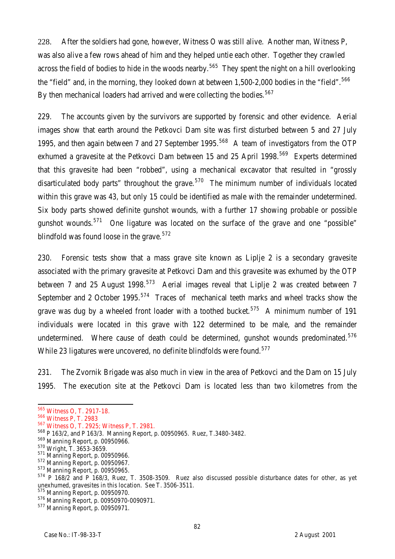228. After the soldiers had gone, however, Witness O was still alive. Another man, Witness P, was also alive a few rows ahead of him and they helped untie each other. Together they crawled across the field of bodies to hide in the woods nearby.<sup>565</sup> They spent the night on a hill overlooking the "field" and, in the morning, they looked down at between 1,500-2,000 bodies in the "field".<sup>566</sup> By then mechanical loaders had arrived and were collecting the bodies.<sup>567</sup>

229. The accounts given by the survivors are supported by forensic and other evidence. Aerial images show that earth around the Petkovci Dam site was first disturbed between 5 and 27 July 1995, and then again between 7 and 27 September 1995.<sup>568</sup> A team of investigators from the OTP exhumed a gravesite at the Petkovci Dam between 15 and 25 April 1998.<sup>569</sup> Experts determined that this gravesite had been "robbed", using a mechanical excavator that resulted in "grossly disarticulated body parts" throughout the grave.<sup>570</sup> The minimum number of individuals located within this grave was 43, but only 15 could be identified as male with the remainder undetermined. Six body parts showed definite gunshot wounds, with a further 17 showing probable or possible gunshot wounds.<sup>571</sup> One ligature was located on the surface of the grave and one "possible" blindfold was found loose in the grave.<sup>572</sup>

230. Forensic tests show that a mass grave site known as Liplje 2 is a secondary gravesite associated with the primary gravesite at Petkovci Dam and this gravesite was exhumed by the OTP between 7 and 25 August 1998.<sup>573</sup> Aerial images reveal that Liplie 2 was created between 7 September and 2 October 1995.<sup>574</sup> Traces of mechanical teeth marks and wheel tracks show the grave was dug by a wheeled front loader with a toothed bucket.<sup>575</sup> A minimum number of 191 individuals were located in this grave with 122 determined to be male, and the remainder undetermined. Where cause of death could be determined, gunshot wounds predominated.<sup>576</sup> While 23 ligatures were uncovered, no definite blindfolds were found.<sup>577</sup>

231. The Zvornik Brigade was also much in view in the area of Petkovci and the Dam on 15 July 1995. The execution site at the Petkovci Dam is located less than two kilometres from the

<sup>565</sup> Witness O, T. 2917-18.

<sup>566</sup> Witness P, T. 2983

<sup>567</sup> Witness O, T. 2925; Witness P, T. 2981.

<sup>568</sup> P 163/2, and P 163/3. Manning Report, p. 00950965. Ruez, T.3480-3482.

<sup>569</sup> Manning Report, p. 00950966.

<sup>570</sup> Wright, T. 3653-3659.

<sup>571</sup> Manning Report, p. 00950966.

<sup>572</sup> Manning Report, p. 00950967.

<sup>573</sup> Manning Report, p. 00950965.

<sup>574</sup> P 168/2 and P 168/3, Ruez, T. 3508-3509. Ruez also discussed possible disturbance dates for other, as yet unexhumed, gravesites in this location. See T. 3506-3511.

<sup>575</sup> Manning Report, p. 00950970.

<sup>576</sup> Manning Report, p. 00950970-0090971.

<sup>577</sup> Manning Report, p. 00950971.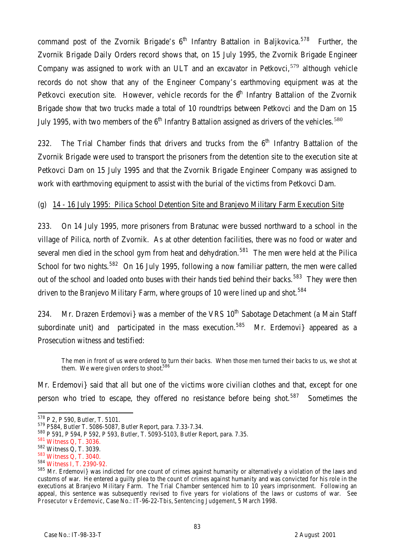command post of the Zvornik Brigade's 6<sup>th</sup> Infantry Battalion in Baljkovica.<sup>578</sup> Further, the Zvornik Brigade Daily Orders record shows that, on 15 July 1995, the Zvornik Brigade Engineer Company was assigned to work with an ULT and an excavator in Petkovci,<sup>579</sup> although vehicle records do not show that any of the Engineer Company's earthmoving equipment was at the Petkovci execution site. However, vehicle records for the  $6<sup>th</sup>$  Infantry Battalion of the Zvornik Brigade show that two trucks made a total of 10 roundtrips between Petkovci and the Dam on 15 July 1995, with two members of the  $6<sup>th</sup>$  Infantry Battalion assigned as drivers of the vehicles.<sup>580</sup>

232. The Trial Chamber finds that drivers and trucks from the  $6<sup>th</sup>$  Infantry Battalion of the Zvornik Brigade were used to transport the prisoners from the detention site to the execution site at Petkovci Dam on 15 July 1995 and that the Zvornik Brigade Engineer Company was assigned to work with earthmoving equipment to assist with the burial of the victims from Petkovci Dam.

#### (g) 14 - 16 July 1995: Pilica School Detention Site and Branjevo Military Farm Execution Site

233. On 14 July 1995, more prisoners from Bratunac were bussed northward to a school in the village of Pilica, north of Zvornik. As at other detention facilities, there was no food or water and several men died in the school gym from heat and dehydration.<sup>581</sup> The men were held at the Pilica School for two nights.<sup>582</sup> On 16 July 1995, following a now familiar pattern, the men were called out of the school and loaded onto buses with their hands tied behind their backs.<sup>583</sup> They were then driven to the Branjevo Military Farm, where groups of 10 were lined up and shot.<sup>584</sup>

234. Mr. Drazen Erdemovi} was a member of the VRS  $10<sup>th</sup>$  Sabotage Detachment (a Main Staff subordinate unit) and participated in the mass execution.<sup>585</sup> Mr. Erdemovi} appeared as a Prosecution witness and testified:

The men in front of us were ordered to turn their backs. When those men turned their backs to us, we shot at them. We were given orders to shoot.<sup>586</sup>

Mr. Erdemovi} said that all but one of the victims wore civilian clothes and that, except for one person who tried to escape, they offered no resistance before being shot.<sup>587</sup> Sometimes the

 $\overline{a}$  $^{578}_{--}$  P 2, P 590, Butler, T. 5101.

<sup>579</sup> P584, Butler T. 5086-5087, Butler Report, para. 7.33-7.34.

<sup>580</sup> P 591, P 594, P 592, P 593, Butler, T. 5093-5103, Butler Report, para. 7.35.

<sup>581</sup> Witness Q, T. 3036.

<sup>582</sup> Witness Q, T. 3039.

<sup>583</sup> Witness Q, T. 3040.

<sup>584</sup> Witness I, T. 2390-92.

<sup>585</sup> Mr. Erdemovi} was indicted for one count of crimes against humanity or alternatively a violation of the laws and customs of war. He entered a guilty plea to the count of crimes against humanity and was convicted for his role in the executions at Branjevo Military Farm. The Trial Chamber sentenced him to 10 years imprisonment. Following an appeal, this sentence was subsequently revised to five years for violations of the laws or customs of war. See *Prosecutor* v *Erdemovic*, Case No.: IT-96-22-T*bis*, *Sentencing Judgement*, 5 March 1998.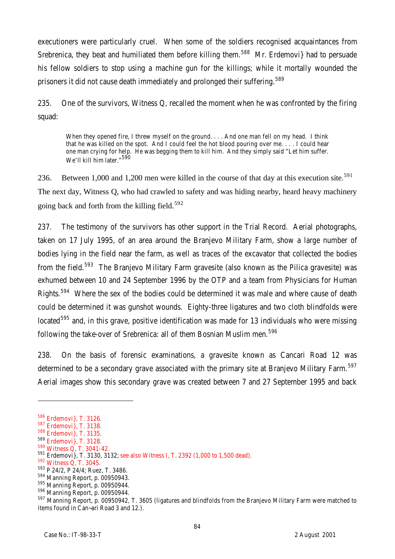executioners were particularly cruel. When some of the soldiers recognised acquaintances from Srebrenica, they beat and humiliated them before killing them.<sup>588</sup> Mr. Erdemovi} had to persuade his fellow soldiers to stop using a machine gun for the killings; while it mortally wounded the prisoners it did not cause death immediately and prolonged their suffering.<sup>589</sup>

235. One of the survivors, Witness Q, recalled the moment when he was confronted by the firing squad:

When they opened fire, I threw myself on the ground. . . . And one man fell on my head. I think that he was killed on the spot. And I could feel the hot blood pouring over me. . . . I could hear one man crying for help. He was begging them to kill him. And they simply said "Let him suffer. We'll kill him later."<sup>590</sup>

236. Between 1,000 and 1,200 men were killed in the course of that day at this execution site.<sup>591</sup> The next day, Witness Q, who had crawled to safety and was hiding nearby, heard heavy machinery going back and forth from the killing field. $592$ 

237. The testimony of the survivors has other support in the Trial Record. Aerial photographs, taken on 17 July 1995, of an area around the Branjevo Military Farm, show a large number of bodies lying in the field near the farm, as well as traces of the excavator that collected the bodies from the field.<sup>593</sup> The Branjevo Military Farm gravesite (also known as the Pilica gravesite) was exhumed between 10 and 24 September 1996 by the OTP and a team from Physicians for Human Rights.<sup>594</sup> Where the sex of the bodies could be determined it was male and where cause of death could be determined it was gunshot wounds. Eighty-three ligatures and two cloth blindfolds were located<sup>595</sup> and, in this grave, positive identification was made for 13 individuals who were missing following the take-over of Srebrenica: all of them Bosnian Muslim men.<sup>596</sup>

238. On the basis of forensic examinations, a gravesite known as Cancari Road 12 was determined to be a secondary grave associated with the primary site at Branjevo Military Farm.<sup>597</sup> Aerial images show this secondary grave was created between 7 and 27 September 1995 and back

<sup>586</sup> Erdemovi}, T. 3126.

<sup>587</sup> Erdemovi}, T. 3138.

<sup>588</sup> Erdemovi}, T. 3135.

<sup>589</sup> Erdemovi}, T. 3128.

<sup>590</sup> Witness Q, T. 3041-42.

<sup>591</sup> Erdemovi}, T. 3130, 3132; see also Witness I, T. 2392 (1,000 to 1,500 dead).

<sup>592</sup> Witness Q, T. 3045.

<sup>593</sup> P 24/2, P 24/4; Ruez, T. 3486.

<sup>594</sup> Manning Report, p. 00950943.

<sup>595</sup> Manning Report, p. 00950944.

<sup>596</sup> Manning Report, p. 00950944.

<sup>597</sup> Manning Report, p. 00950942, T. 3605 (ligatures and blindfolds from the Branjevo Military Farm were matched to items found in Can~ari Road 3 and 12.).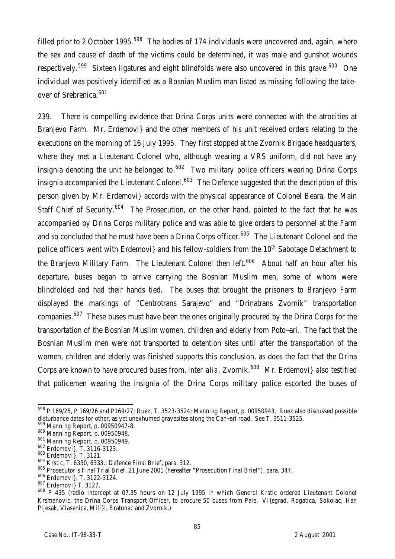filled prior to 2 October 1995.<sup>598</sup> The bodies of 174 individuals were uncovered and, again, where the sex and cause of death of the victims could be determined, it was male and gunshot wounds respectively.<sup>599</sup> Sixteen ligatures and eight blindfolds were also uncovered in this grave.<sup>600</sup> One individual was positively identified as a Bosnian Muslim man listed as missing following the takeover of Srebrenica.<sup>601</sup>

239. There is compelling evidence that Drina Corps units were connected with the atrocities at Branjevo Farm. Mr. Erdemovi} and the other members of his unit received orders relating to the executions on the morning of 16 July 1995. They first stopped at the Zvornik Brigade headquarters, where they met a Lieutenant Colonel who, although wearing a VRS uniform, did not have any insignia denoting the unit he belonged to.<sup>602</sup> Two military police officers wearing Drina Corps insignia accompanied the Lieutenant Colonel.<sup>603</sup> The Defence suggested that the description of this person given by Mr. Erdemovi} accords with the physical appearance of Colonel Beara, the Main Staff Chief of Security.<sup>604</sup> The Prosecution, on the other hand, pointed to the fact that he was accompanied by Drina Corps military police and was able to give orders to personnel at the Farm and so concluded that he must have been a Drina Corps officer.<sup>605</sup> The Lieutenant Colonel and the police officers went with Erdemovi} and his fellow-soldiers from the 10<sup>th</sup> Sabotage Detachment to the Branjevo Military Farm. The Lieutenant Colonel then left.<sup>606</sup> About half an hour after his departure, buses began to arrive carrying the Bosnian Muslim men, some of whom were blindfolded and had their hands tied. The buses that brought the prisoners to Branjevo Farm displayed the markings of "Centrotrans Sarajevo" and "Drinatrans Zvornik" transportation companies.<sup>607</sup> These buses must have been the ones originally procured by the Drina Corps for the transportation of the Bosnian Muslim women, children and elderly from Poto~ari. The fact that the Bosnian Muslim men were not transported to detention sites until after the transportation of the women, children and elderly was finished supports this conclusion, as does the fact that the Drina Corps are known to have procured buses from, *inter alia*, Zvornik.<sup>608</sup> Mr. Erdemovi} also testified that policemen wearing the insignia of the Drina Corps military police escorted the buses of

 $^{598}$  P 169/25, P 169/26 and P169/27; Ruez, T. 3523-3524; Manning Report, p. 00950943. Ruez also discussed possible disturbance dates for other, as yet unexhumed gravesites along the Can~ari road. See T. 3511-3525.

<sup>599</sup> Manning Report, p. 00950947-8.

<sup>600</sup> Manning Report, p. 00950948.

<sup>601</sup> Manning Report, p. 00950949.

<sup>602</sup> Erdemovi}, T. 3116-3123. <sup>603</sup> Erdemovi}, T. 3121.

<sup>604</sup> Krstic, T. 6330, 6333.; Defence Final Brief, para. 312.

<sup>605</sup> Prosecutor's Final Trial Brief, 21 June 2001 (hereafter "Prosecution Final Brief"), para. 347.

<sup>606</sup> Erdemovi}, T. 3122-3124.

<sup>607</sup> Erdemovi} T. 3127.

<sup>&</sup>lt;sup>608</sup> P 435 (radio intercept at 07.35 hours on 12 July 1995 in which General Krstic ordered Lieutenant Colonel Krsmanovic, the Drina Corps Transport Officer, to procure 50 buses from Pale, Vi{egrad, Rogatica, Sokolac, Han Pijesak, Vlasenica, Mili}i, Bratunac and Zvornik.)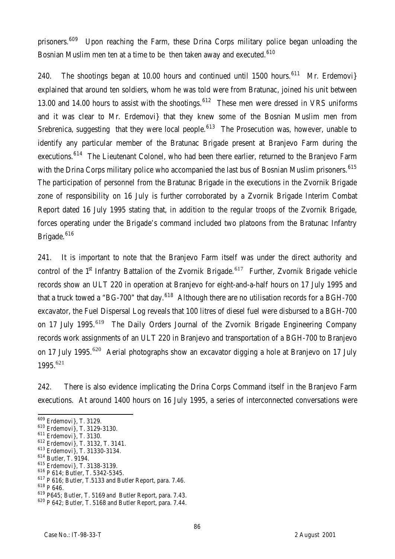prisoners.<sup>609</sup> Upon reaching the Farm, these Drina Corps military police began unloading the Bosnian Muslim men ten at a time to be then taken away and executed.<sup>610</sup>

240. The shootings began at 10.00 hours and continued until 1500 hours.<sup>611</sup> Mr. Erdemovi explained that around ten soldiers, whom he was told were from Bratunac, joined his unit between 13.00 and 14.00 hours to assist with the shootings.<sup>612</sup> These men were dressed in VRS uniforms and it was clear to Mr. Erdemovi} that they knew some of the Bosnian Muslim men from Srebrenica, suggesting that they were local people.<sup>613</sup> The Prosecution was, however, unable to identify any particular member of the Bratunac Brigade present at Branjevo Farm during the executions.<sup>614</sup> The Lieutenant Colonel, who had been there earlier, returned to the Branievo Farm with the Drina Corps military police who accompanied the last bus of Bosnian Muslim prisoners.<sup>615</sup> The participation of personnel from the Bratunac Brigade in the executions in the Zvornik Brigade zone of responsibility on 16 July is further corroborated by a Zvornik Brigade Interim Combat Report dated 16 July 1995 stating that, in addition to the regular troops of the Zvornik Brigade, forces operating under the Brigade's command included two platoons from the Bratunac Infantry Brigade.<sup>616</sup>

241. It is important to note that the Branjevo Farm itself was under the direct authority and control of the  $1<sup>st</sup>$  Infantry Battalion of the Zvornik Brigade.<sup>617</sup> Further, Zvornik Brigade vehicle records show an ULT 220 in operation at Branjevo for eight-and-a-half hours on 17 July 1995 and that a truck towed a "BG-700" that day.<sup>618</sup> Although there are no utilisation records for a BGH-700 excavator, the Fuel Dispersal Log reveals that 100 litres of diesel fuel were disbursed to a BGH-700 on 17 July 1995.<sup>619</sup> The Daily Orders Journal of the Zvornik Brigade Engineering Company records work assignments of an ULT 220 in Branjevo and transportation of a BGH-700 to Branjevo on 17 July 1995.<sup>620</sup> Aerial photographs show an excavator digging a hole at Branjevo on 17 July 1995.<sup>621</sup>

242. There is also evidence implicating the Drina Corps Command itself in the Branjevo Farm executions. At around 1400 hours on 16 July 1995, a series of interconnected conversations were

 $\overline{a}$ <sup>609</sup> Erdemovi}, T. 3129.

<sup>610</sup> Erdemovi}, T. 3129-3130.

<sup>611</sup> Erdemovi}, T. 3130.

<sup>612</sup> Erdemovi}, T. 3132, T. 3141.

<sup>613</sup> Erdemovi}, T. 31330-3134.

<sup>614</sup> Butler, T. 9194.

<sup>615</sup> Erdemovi}, T. 3138-3139. <sup>616</sup> P 614; Butler, T. 5342-5345.

<sup>617</sup> P 616; Butler, T.5133 and Butler Report, para. 7.46.

<sup>618</sup> P 646.

<sup>619</sup> P645; Butler, T. 5169 and Butler Report, para. 7.43.

<sup>620</sup> P 642; Butler, T. 5168 and Butler Report, para. 7.44.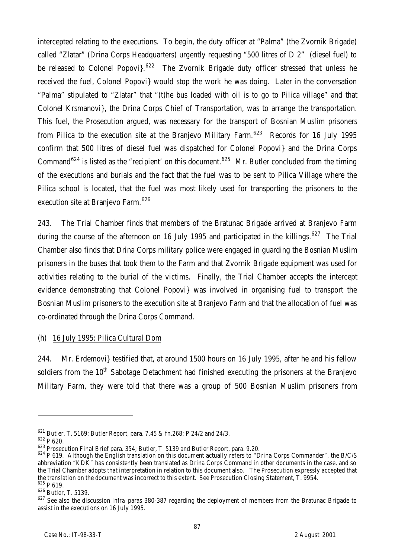intercepted relating to the executions. To begin, the duty officer at "Palma" (the Zvornik Brigade) called "Zlatar" (Drina Corps Headquarters) urgently requesting "500 litres of D 2" (diesel fuel) to be released to Colonel Popovi}.<sup>622</sup> The Zvornik Brigade duty officer stressed that unless he received the fuel, Colonel Popovi} would stop the work he was doing. Later in the conversation "Palma" stipulated to "Zlatar" that "(t)he bus loaded with oil is to go to Pilica village" and that Colonel Krsmanovi}, the Drina Corps Chief of Transportation, was to arrange the transportation. This fuel, the Prosecution argued, was necessary for the transport of Bosnian Muslim prisoners from Pilica to the execution site at the Branievo Military Farm.<sup>623</sup> Records for 16 July 1995 confirm that 500 litres of diesel fuel was dispatched for Colonel Popovi} and the Drina Corps Command<sup>624</sup> is listed as the "recipient' on this document.<sup>625</sup> Mr. Butler concluded from the timing of the executions and burials and the fact that the fuel was to be sent to Pilica Village where the Pilica school is located, that the fuel was most likely used for transporting the prisoners to the execution site at Branjevo Farm.<sup>626</sup>

243. The Trial Chamber finds that members of the Bratunac Brigade arrived at Branjevo Farm during the course of the afternoon on 16 July 1995 and participated in the killings.<sup>627</sup> The Trial Chamber also finds that Drina Corps military police were engaged in guarding the Bosnian Muslim prisoners in the buses that took them to the Farm and that Zvornik Brigade equipment was used for activities relating to the burial of the victims. Finally, the Trial Chamber accepts the intercept evidence demonstrating that Colonel Popovi} was involved in organising fuel to transport the Bosnian Muslim prisoners to the execution site at Branjevo Farm and that the allocation of fuel was co-ordinated through the Drina Corps Command.

#### (h) 16 July 1995: Pilica Cultural Dom

244. Mr. Erdemovi} testified that, at around 1500 hours on 16 July 1995, after he and his fellow soldiers from the 10<sup>th</sup> Sabotage Detachment had finished executing the prisoners at the Branjevo Military Farm, they were told that there was a group of 500 Bosnian Muslim prisoners from

 $621$  Butler, T. 5169; Butler Report, para. 7.45 & fn.268; P 24/2 and 24/3.

<sup>622</sup> P 620.

<sup>623</sup> Prosecution Final Brief para. 354; Butler, T 5139 and Butler Report, para. 9.20.

<sup>624</sup> P 619. Although the English translation on this document actually refers to "Drina Corps Commander", the B/C/S abbreviation "KDK" has consistently been translated as Drina Corps Command in other documents in the case, and so the Trial Chamber adopts that interpretation in relation to this document also. The Prosecution expressly accepted that the translation on the document was incorrect to this extent. See Prosecution Closing Statement, T. 9954. <sup>625</sup> P 619.

<sup>626</sup> Butler, T. 5139.

<sup>&</sup>lt;sup>627</sup> See also the discussion *Infra* paras 380-387 regarding the deployment of members from the Bratunac Brigade to assist in the executions on 16 July 1995.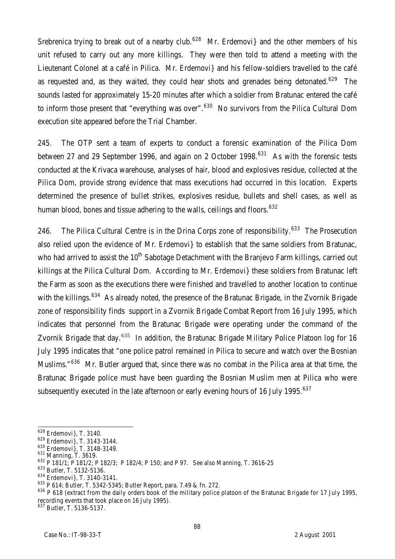Srebrenica trying to break out of a nearby club.<sup>628</sup> Mr. Erdemovi} and the other members of his unit refused to carry out any more killings. They were then told to attend a meeting with the Lieutenant Colonel at a café in Pilica. Mr. Erdemovi} and his fellow-soldiers travelled to the café as requested and, as they waited, they could hear shots and grenades being detonated.<sup>629</sup> The sounds lasted for approximately 15-20 minutes after which a soldier from Bratunac entered the café to inform those present that "everything was over".<sup>630</sup> No survivors from the Pilica Cultural Dom execution site appeared before the Trial Chamber.

245. The OTP sent a team of experts to conduct a forensic examination of the Pilica Dom between 27 and 29 September 1996, and again on 2 October 1998.<sup>631</sup> As with the forensic tests conducted at the Krivaca warehouse, analyses of hair, blood and explosives residue, collected at the Pilica Dom, provide strong evidence that mass executions had occurred in this location. Experts determined the presence of bullet strikes, explosives residue, bullets and shell cases, as well as human blood, bones and tissue adhering to the walls, ceilings and floors.<sup>632</sup>

246. The Pilica Cultural Centre is in the Drina Corps zone of responsibility.<sup>633</sup> The Prosecution also relied upon the evidence of Mr. Erdemovi} to establish that the same soldiers from Bratunac, who had arrived to assist the 10<sup>th</sup> Sabotage Detachment with the Branjevo Farm killings, carried out killings at the Pilica Cultural Dom. According to Mr. Erdemovi} these soldiers from Bratunac left the Farm as soon as the executions there were finished and travelled to another location to continue with the killings.<sup>634</sup> As already noted, the presence of the Bratunac Brigade, in the Zvornik Brigade zone of responsibility finds support in a Zvornik Brigade Combat Report from 16 July 1995, which indicates that personnel from the Bratunac Brigade were operating under the command of the Zvornik Brigade that day.<sup>635</sup> In addition, the Bratunac Brigade Military Police Platoon log for 16 July 1995 indicates that "one police patrol remained in Pilica to secure and watch over the Bosnian Muslims."<sup>636</sup> Mr. Butler argued that, since there was no combat in the Pilica area at that time, the Bratunac Brigade police must have been guarding the Bosnian Muslim men at Pilica who were subsequently executed in the late afternoon or early evening hours of 16 July 1995. $637$ 

 $\overline{a}$ <sup>628</sup> Erdemovi}, T. 3140.

<sup>629</sup> Erdemovi}, T. 3143-3144.

<sup>630</sup> Erdemovi}, T. 3148-3149.

<sup>&</sup>lt;sup>631</sup> Manning, T. 3619.

<sup>632</sup> P 181/1; P 181/2; P 182/3; P 182/4; P 150; and P 97. See also Manning, T. 3616-25

<sup>633</sup> Butler, T. 5132-5136.

<sup>634</sup> Erdemovi}, T. 3140-3141.

<sup>635</sup> P 614; Butler, T. 5342-5345; Butler Report, para. 7.49 & fn. 272.

<sup>&</sup>lt;sup>636</sup> P 618 (extract from the daily orders book of the military police platoon of the Bratunac Brigade for 17 July 1995, recording events that took place on 16 July 1995).

<sup>637</sup> Butler, T. 5136-5137.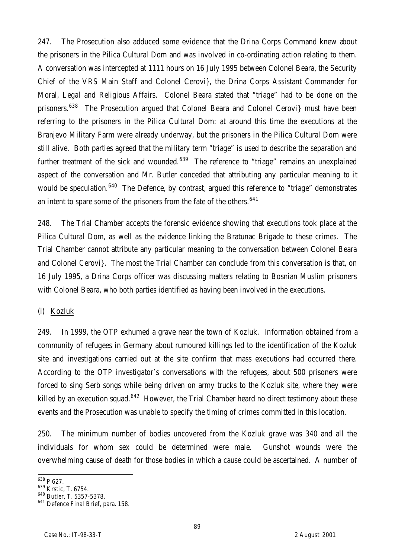247. The Prosecution also adduced some evidence that the Drina Corps Command knew about the prisoners in the Pilica Cultural Dom and was involved in co-ordinating action relating to them. A conversation was intercepted at 1111 hours on 16 July 1995 between Colonel Beara, the Security Chief of the VRS Main Staff and Colonel Cerovi}, the Drina Corps Assistant Commander for Moral, Legal and Religious Affairs. Colonel Beara stated that "triage" had to be done on the prisoners.<sup>638</sup> The Prosecution argued that Colonel Beara and Colonel Cerovi} must have been referring to the prisoners in the Pilica Cultural Dom: at around this time the executions at the Branjevo Military Farm were already underway, but the prisoners in the Pilica Cultural Dom were still alive. Both parties agreed that the military term "triage" is used to describe the separation and further treatment of the sick and wounded.<sup>639</sup> The reference to "triage" remains an unexplained aspect of the conversation and Mr. Butler conceded that attributing any particular meaning to it would be speculation.<sup>640</sup> The Defence, by contrast, argued this reference to "triage" demonstrates an intent to spare some of the prisoners from the fate of the others.<sup>641</sup>

248. The Trial Chamber accepts the forensic evidence showing that executions took place at the Pilica Cultural Dom, as well as the evidence linking the Bratunac Brigade to these crimes. The Trial Chamber cannot attribute any particular meaning to the conversation between Colonel Beara and Colonel Cerovi}. The most the Trial Chamber can conclude from this conversation is that, on 16 July 1995, a Drina Corps officer was discussing matters relating to Bosnian Muslim prisoners with Colonel Beara, who both parties identified as having been involved in the executions.

#### (i) Kozluk

249. In 1999, the OTP exhumed a grave near the town of Kozluk. Information obtained from a community of refugees in Germany about rumoured killings led to the identification of the Kozluk site and investigations carried out at the site confirm that mass executions had occurred there. According to the OTP investigator's conversations with the refugees, about 500 prisoners were forced to sing Serb songs while being driven on army trucks to the Kozluk site, where they were killed by an execution squad.<sup>642</sup> However, the Trial Chamber heard no direct testimony about these events and the Prosecution was unable to specify the timing of crimes committed in this location.

250. The minimum number of bodies uncovered from the Kozluk grave was 340 and all the individuals for whom sex could be determined were male. Gunshot wounds were the overwhelming cause of death for those bodies in which a cause could be ascertained. A number of

 $\overline{a}$ <sup>638</sup> P 627.

<sup>&</sup>lt;sup>639</sup> Krstic, T. 6754.

<sup>640</sup> Butler, T. 5357-5378.

<sup>641</sup> Defence Final Brief, para. 158.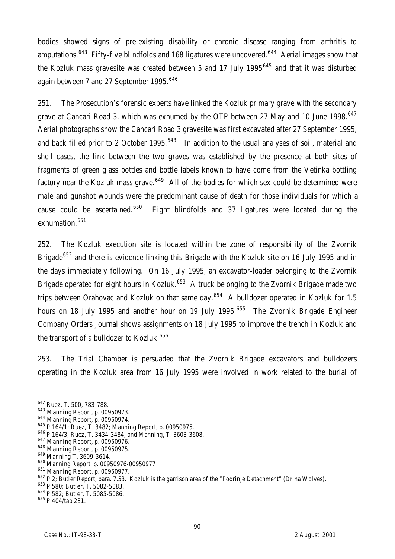bodies showed signs of pre-existing disability or chronic disease ranging from arthritis to amputations.<sup>643</sup> Fifty-five blindfolds and 168 ligatures were uncovered.<sup>644</sup> Aerial images show that the Kozluk mass gravesite was created between 5 and 17 July 1995<sup>645</sup> and that it was disturbed again between 7 and 27 September 1995.<sup>646</sup>

251. The Prosecution's forensic experts have linked the Kozluk primary grave with the secondary grave at Cancari Road 3, which was exhumed by the OTP between 27 May and 10 June 1998.<sup>647</sup> Aerial photographs show the Cancari Road 3 gravesite was first excavated after 27 September 1995, and back filled prior to 2 October 1995.<sup>648</sup> In addition to the usual analyses of soil, material and shell cases, the link between the two graves was established by the presence at both sites of fragments of green glass bottles and bottle labels known to have come from the Vetinka bottling factory near the Kozluk mass grave.<sup>649</sup> All of the bodies for which sex could be determined were male and gunshot wounds were the predominant cause of death for those individuals for which a cause could be ascertained.<sup>650</sup> Eight blindfolds and 37 ligatures were located during the exhumation.<sup>651</sup>

252. The Kozluk execution site is located within the zone of responsibility of the Zvornik Brigade<sup>652</sup> and there is evidence linking this Brigade with the Kozluk site on 16 July 1995 and in the days immediately following. On 16 July 1995, an excavator-loader belonging to the Zvornik Brigade operated for eight hours in Kozluk.<sup>653</sup> A truck belonging to the Zvornik Brigade made two trips between Orahovac and Kozluk on that same day. $654$  A bulldozer operated in Kozluk for 1.5 hours on 18 July 1995 and another hour on 19 July 1995.<sup>655</sup> The Zvornik Brigade Engineer Company Orders Journal shows assignments on 18 July 1995 to improve the trench in Kozluk and the transport of a bulldozer to Kozluk.<sup>656</sup>

253. The Trial Chamber is persuaded that the Zvornik Brigade excavators and bulldozers operating in the Kozluk area from 16 July 1995 were involved in work related to the burial of

<sup>642</sup> Ruez, T. 500, 783-788.

<sup>643</sup> Manning Report, p. 00950973.

<sup>644</sup> Manning Report, p. 00950974.

<sup>645</sup> P 164/1; Ruez, T. 3482; Manning Report, p. 00950975.

<sup>646</sup> P 164/3; Ruez, T. 3434-3484; and Manning, T. 3603-3608.

<sup>647</sup> Manning Report, p. 00950976.

<sup>648</sup> Manning Report, p. 00950975.

<sup>649</sup> Manning T. 3609-3614.

<sup>650</sup> Manning Report, p. 00950976-00950977

<sup>651</sup> Manning Report, p. 00950977.

<sup>652</sup> P 2; Butler Report, para. 7.53. Kozluk is the garrison area of the "Podrinje Detachment" (Drina Wolves).

<sup>653</sup> P 580; Butler, T. 5082-5083.

<sup>654</sup> P 582; Butler, T. 5085-5086.

<sup>655</sup> P 404/tab 281.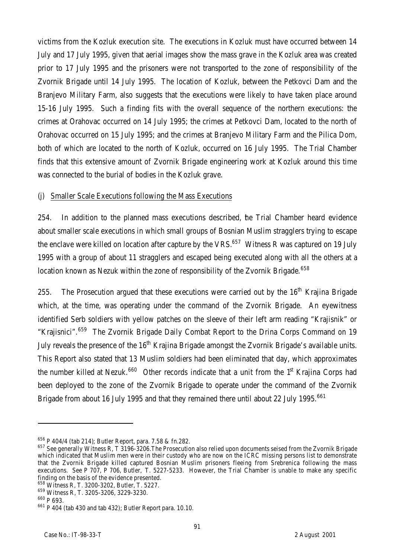victims from the Kozluk execution site. The executions in Kozluk must have occurred between 14 July and 17 July 1995, given that aerial images show the mass grave in the Kozluk area was created prior to 17 July 1995 and the prisoners were not transported to the zone of responsibility of the Zvornik Brigade until 14 July 1995. The location of Kozluk, between the Petkovci Dam and the Branjevo Military Farm, also suggests that the executions were likely to have taken place around 15-16 July 1995. Such a finding fits with the overall sequence of the northern executions: the crimes at Orahovac occurred on 14 July 1995; the crimes at Petkovci Dam, located to the north of Orahovac occurred on 15 July 1995; and the crimes at Branjevo Military Farm and the Pilica Dom, both of which are located to the north of Kozluk, occurred on 16 July 1995. The Trial Chamber finds that this extensive amount of Zvornik Brigade engineering work at Kozluk around this time was connected to the burial of bodies in the Kozluk grave.

# (j) Smaller Scale Executions following the Mass Executions

254. In addition to the planned mass executions described, the Trial Chamber heard evidence about smaller scale executions in which small groups of Bosnian Muslim stragglers trying to escape the enclave were killed on location after capture by the VRS. $657$  Witness R was captured on 19 July 1995 with a group of about 11 stragglers and escaped being executed along with all the others at a location known as Nezuk within the zone of responsibility of the Zvornik Brigade.<sup>658</sup>

255. The Prosecution argued that these executions were carried out by the  $16<sup>th</sup>$  Krajina Brigade which, at the time, was operating under the command of the Zvornik Brigade. An eyewitness identified Serb soldiers with yellow patches on the sleeve of their left arm reading "Krajisnik" or "Krajisnici".<sup>659</sup> The Zvornik Brigade Daily Combat Report to the Drina Corps Command on 19 July reveals the presence of the 16<sup>th</sup> Krajina Brigade amongst the Zvornik Brigade's available units. This Report also stated that 13 Muslim soldiers had been eliminated that day, which approximates the number killed at Nezuk.<sup>660</sup> Other records indicate that a unit from the  $1<sup>st</sup>$  Krajina Corps had been deployed to the zone of the Zvornik Brigade to operate under the command of the Zvornik Brigade from about 16 July 1995 and that they remained there until about 22 July 1995.<sup>661</sup>

<sup>656</sup> P 404/4 (tab 214); Butler Report, para. 7.58 & fn.282.

<sup>&</sup>lt;sup>657</sup> See generally Witness R, T 3196-3206. The Prosecution also relied upon documents seised from the Zvornik Brigade which indicated that Muslim men were in their custody who are now on the ICRC missing persons list to demonstrate that the Zvornik Brigade killed captured Bosnian Muslim prisoners fleeing from Srebrenica following the mass executions. See P 707, P 706, Butler, T. 5227-5233. However, the Trial Chamber is unable to make any specific finding on the basis of the evidence presented.

<sup>658</sup> Witness R, T. 3200-3202, Butler, T. 5227.

<sup>659</sup> Witness R, T. 3205-3206, 3229-3230.

<sup>660</sup> P 693.

<sup>661</sup> P 404 (tab 430 and tab 432); Butler Report para. 10.10.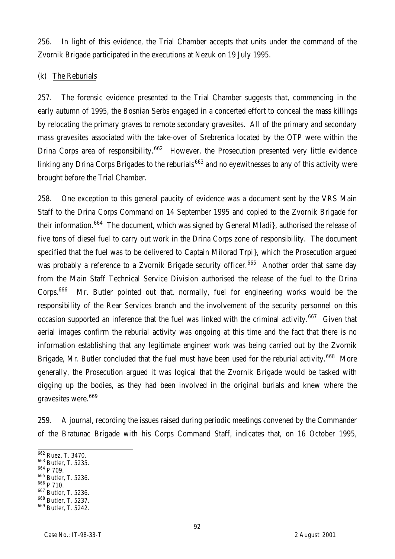256. In light of this evidence, the Trial Chamber accepts that units under the command of the Zvornik Brigade participated in the executions at Nezuk on 19 July 1995.

# (k) The Reburials

257. The forensic evidence presented to the Trial Chamber suggests that, commencing in the early autumn of 1995, the Bosnian Serbs engaged in a concerted effort to conceal the mass killings by relocating the primary graves to remote secondary gravesites. All of the primary and secondary mass gravesites associated with the take-over of Srebrenica located by the OTP were within the Drina Corps area of responsibility.<sup>662</sup> However, the Prosecution presented very little evidence linking any Drina Corps Brigades to the reburials<sup>663</sup> and no eyewitnesses to any of this activity were brought before the Trial Chamber.

258. One exception to this general paucity of evidence was a document sent by the VRS Main Staff to the Drina Corps Command on 14 September 1995 and copied to the Zvornik Brigade for their information.<sup>664</sup> The document, which was signed by General Mladi}, authorised the release of five tons of diesel fuel to carry out work in the Drina Corps zone of responsibility. The document specified that the fuel was to be delivered to Captain Milorad Trpi}, which the Prosecution argued was probably a reference to a Zvornik Brigade security officer.<sup>665</sup> Another order that same day from the Main Staff Technical Service Division authorised the release of the fuel to the Drina Corps.<sup>666</sup> Mr. Butler pointed out that, normally, fuel for engineering works would be the responsibility of the Rear Services branch and the involvement of the security personnel on this occasion supported an inference that the fuel was linked with the criminal activity.<sup>667</sup> Given that aerial images confirm the reburial activity was ongoing at this time and the fact that there is no information establishing that any legitimate engineer work was being carried out by the Zvornik Brigade, Mr. Butler concluded that the fuel must have been used for the reburial activity.<sup>668</sup> More generally, the Prosecution argued it was logical that the Zvornik Brigade would be tasked with digging up the bodies, as they had been involved in the original burials and knew where the gravesites were.<sup>669</sup>

259. A journal, recording the issues raised during periodic meetings convened by the Commander of the Bratunac Brigade with his Corps Command Staff, indicates that, on 16 October 1995,

- <sup>663</sup> Butler, T. 5235.
- <sup>664</sup> P 709.
- <sup>665</sup> Butler, T. 5236. <sup>666</sup> P 710.
- <sup>667</sup> Butler, T. 5236.
- <sup>668</sup> Butler, T. 5237.

 $\overline{1}$ <sup>662</sup> Ruez, T. 3470.

<sup>669</sup> Butler, T. 5242.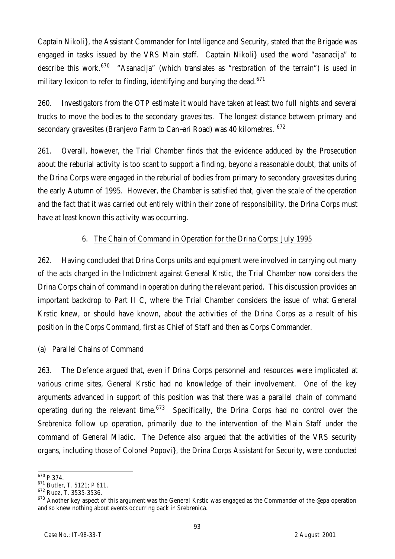Captain Nikoli}, the Assistant Commander for Intelligence and Security, stated that the Brigade was engaged in tasks issued by the VRS Main staff. Captain Nikoli} used the word "asanacija" to describe this work.<sup>670</sup> "Asanacija" (which translates as "restoration of the terrain") is used in military lexicon to refer to finding, identifying and burying the dead.<sup>671</sup>

260. Investigators from the OTP estimate it would have taken at least two full nights and several trucks to move the bodies to the secondary gravesites. The longest distance between primary and secondary gravesites (Branjevo Farm to Can~ari Road) was 40 kilometres. <sup>672</sup>

261. Overall, however, the Trial Chamber finds that the evidence adduced by the Prosecution about the reburial activity is too scant to support a finding, beyond a reasonable doubt, that units of the Drina Corps were engaged in the reburial of bodies from primary to secondary gravesites during the early Autumn of 1995. However, the Chamber is satisfied that, given the scale of the operation and the fact that it was carried out entirely within their zone of responsibility, the Drina Corps must have at least known this activity was occurring.

# 6. The Chain of Command in Operation for the Drina Corps: July 1995

262. Having concluded that Drina Corps units and equipment were involved in carrying out many of the acts charged in the Indictment against General Krstic, the Trial Chamber now considers the Drina Corps chain of command in operation during the relevant period. This discussion provides an important backdrop to Part II C, where the Trial Chamber considers the issue of what General Krstic knew, or should have known, about the activities of the Drina Corps as a result of his position in the Corps Command, first as Chief of Staff and then as Corps Commander.

# (a) Parallel Chains of Command

263. The Defence argued that, even if Drina Corps personnel and resources were implicated at various crime sites, General Krstic had no knowledge of their involvement. One of the key arguments advanced in support of this position was that there was a parallel chain of command operating during the relevant time.<sup>673</sup> Specifically, the Drina Corps had no control over the Srebrenica follow up operation, primarily due to the intervention of the Main Staff under the command of General Mladic. The Defence also argued that the activities of the VRS security organs, including those of Colonel Popovi}, the Drina Corps Assistant for Security, were conducted

 $\overline{a}$ <sup>670</sup> P 374.

<sup>671</sup> Butler, T. 5121; P 611.

<sup>672</sup> Ruez, T. 3535-3536.

 $673$  Another key aspect of this argument was the General Krstic was engaged as the Commander of the @epa operation and so knew nothing about events occurring back in Srebrenica.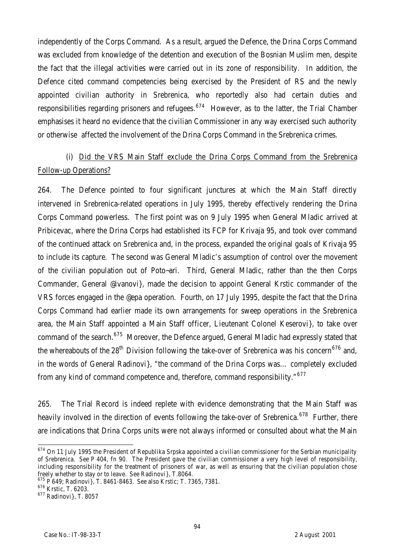independently of the Corps Command. As a result, argued the Defence, the Drina Corps Command was excluded from knowledge of the detention and execution of the Bosnian Muslim men, despite the fact that the illegal activities were carried out in its zone of responsibility. In addition, the Defence cited command competencies being exercised by the President of RS and the newly appointed civilian authority in Srebrenica, who reportedly also had certain duties and responsibilities regarding prisoners and refugees.<sup>674</sup> However, as to the latter, the Trial Chamber emphasises it heard no evidence that the civilian Commissioner in any way exercised such authority or otherwise affected the involvement of the Drina Corps Command in the Srebrenica crimes.

# (i) Did the VRS Main Staff exclude the Drina Corps Command from the Srebrenica Follow-up Operations?

264. The Defence pointed to four significant junctures at which the Main Staff directly intervened in Srebrenica-related operations in July 1995, thereby effectively rendering the Drina Corps Command powerless. The first point was on 9 July 1995 when General Mladic arrived at Pribicevac, where the Drina Corps had established its FCP for Krivaja 95, and took over command of the continued attack on Srebrenica and, in the process, expanded the original goals of Krivaja 95 to include its capture. The second was General Mladic's assumption of control over the movement of the civilian population out of Poto~ari. Third, General Mladic, rather than the then Corps Commander, General @ivanovi}, made the decision to appoint General Krstic commander of the VRS forces engaged in the @epa operation. Fourth, on 17 July 1995, despite the fact that the Drina Corps Command had earlier made its own arrangements for sweep operations in the Srebrenica area, the Main Staff appointed a Main Staff officer, Lieutenant Colonel Keserovi}, to take over command of the search.<sup>675</sup> Moreover, the Defence argued, General Mladic had expressly stated that the whereabouts of the 28<sup>th</sup> Division following the take-over of Srebrenica was his concern<sup>676</sup> and, in the words of General Radinovi}, "the command of the Drina Corps was… completely excluded from any kind of command competence and, therefore, command responsibility."<sup>677</sup>

265. The Trial Record is indeed replete with evidence demonstrating that the Main Staff was heavily involved in the direction of events following the take-over of Srebrenica.<sup>678</sup> Further, there are indications that Drina Corps units were not always informed or consulted about what the Main

 $\overline{a}$  $^{674}$  On 11 July 1995 the President of Republika Srpska appointed a civilian commissioner for the Serbian municipality of Srebrenica. See P 404, fn 90. The President gave the civilian commissioner a very high level of responsibility, including responsibility for the treatment of prisoners of war, as well as ensuring that the civilian population chose freely whether to stay or to leave. See Radinovi}, T.8064.

<sup>675</sup> P 649; Radinovi}, T. 8461-8463. See also Krstic; T. 7365, 7381.

<sup>676</sup> Krstic, T. 6203.

<sup>677</sup> Radinovi}, T. 8057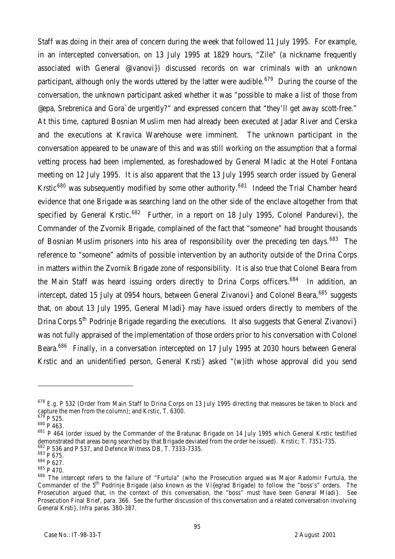Staff was doing in their area of concern during the week that followed 11 July 1995. For example, in an intercepted conversation, on 13 July 1995 at 1829 hours, "Zile" (a nickname frequently associated with General @ivanovi}) discussed records on war criminals with an unknown participant, although only the words uttered by the latter were audible.<sup>679</sup> During the course of the conversation, the unknown participant asked whether it was "possible to make a list of those from @epa, Srebrenica and Gora`de urgently?" and expressed concern that "they'll get away scott-free." At this time, captured Bosnian Muslim men had already been executed at Jadar River and Cerska and the executions at Kravica Warehouse were imminent. The unknown participant in the conversation appeared to be unaware of this and was still working on the assumption that a formal vetting process had been implemented, as foreshadowed by General Mladic at the Hotel Fontana meeting on 12 July 1995. It is also apparent that the 13 July 1995 search order issued by General Krstic<sup>680</sup> was subsequently modified by some other authority.<sup>681</sup> Indeed the Trial Chamber heard evidence that one Brigade was searching land on the other side of the enclave altogether from that specified by General Krstic.<sup>682</sup> Further, in a report on 18 July 1995, Colonel Pandurevi}, the Commander of the Zvornik Brigade, complained of the fact that "someone" had brought thousands of Bosnian Muslim prisoners into his area of responsibility over the preceding ten days.<sup>683</sup> The reference to "someone" admits of possible intervention by an authority outside of the Drina Corps in matters within the Zvornik Brigade zone of responsibility. It is also true that Colonel Beara from the Main Staff was heard issuing orders directly to Drina Corps officers.<sup>684</sup> In addition, an intercept, dated 15 July at 0954 hours, between General Zivanovi and Colonel Beara,  $685$  suggests that, on about 13 July 1995, General Mladi} may have issued orders directly to members of the Drina Corps  $5<sup>th</sup>$  Podrinje Brigade regarding the executions. It also suggests that General Zivanovi} was not fully appraised of the implementation of those orders prior to his conversation with Colonel Beara.<sup>686</sup> Finally, in a conversation intercepted on 17 July 1995 at 2030 hours between General Krstic and an unidentified person, General Krsti} asked "(w)ith whose approval did you send

<sup>678</sup> *E.g.* P 532 (Order from Main Staff to Drina Corps on 13 July 1995 directing that measures be taken to block and capture the men from the column); and Krstic, T. 6300.

 $9^9$  P 525.

<sup>680</sup> P 463.

<sup>&</sup>lt;sup>681</sup> P 464 (order issued by the Commander of the Bratunac Brigade on 14 July 1995 which General Krstic testified demonstrated that areas being searched by that Brigade deviated from the order he issued). Krstic; T. 7351-735. <sup>682</sup> P 536 and P 537, and Defence Witness DB, T. 7333-7335.

<sup>683</sup> P 675.

<sup>684</sup> P 627.

<sup>685</sup> P 470.

<sup>&</sup>lt;sup>686</sup> The intercept refers to the failure of "Furtula" (who the Prosecution argued was Major Radomir Furtula, the Commander of the 5<sup>th</sup> Podrinje Brigade (also known as the Vi{egrad Brigade) to follow the "boss's" orders. The Prosecution argued that, in the context of this conversation, the "boss" must have been General Mladi}. See Prosecution Final Brief, para. 366. See the further discussion of this conversation and a related conversation involving General Krsti}, *Infra* paras. 380-387.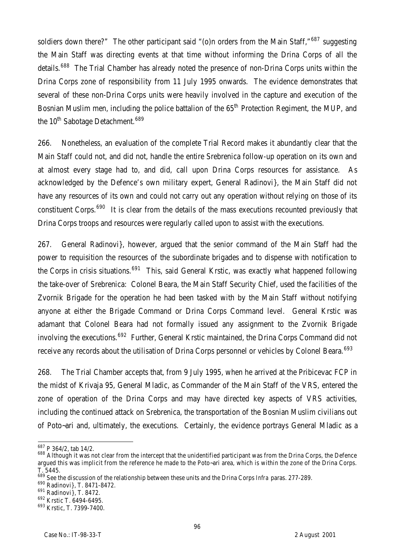soldiers down there?" The other participant said "(o)n orders from the Main Staff,  $0.687$  suggesting the Main Staff was directing events at that time without informing the Drina Corps of all the details.<sup>688</sup> The Trial Chamber has already noted the presence of non-Drina Corps units within the Drina Corps zone of responsibility from 11 July 1995 onwards. The evidence demonstrates that several of these non-Drina Corps units were heavily involved in the capture and execution of the Bosnian Muslim men, including the police battalion of the 65<sup>th</sup> Protection Regiment, the MUP, and the 10<sup>th</sup> Sabotage Detachment.<sup>689</sup>

266. Nonetheless, an evaluation of the complete Trial Record makes it abundantly clear that the Main Staff could not, and did not, handle the entire Srebrenica follow-up operation on its own and at almost every stage had to, and did, call upon Drina Corps resources for assistance. As acknowledged by the Defence's own military expert, General Radinovi}, the Main Staff did not have any resources of its own and could not carry out any operation without relying on those of its constituent Corps.<sup>690</sup> It is clear from the details of the mass executions recounted previously that Drina Corps troops and resources were regularly called upon to assist with the executions.

267. General Radinovi}, however, argued that the senior command of the Main Staff had the power to requisition the resources of the subordinate brigades and to dispense with notification to the Corps in crisis situations.<sup>691</sup> This, said General Krstic, was exactly what happened following the take-over of Srebrenica: Colonel Beara, the Main Staff Security Chief, used the facilities of the Zvornik Brigade for the operation he had been tasked with by the Main Staff without notifying anyone at either the Brigade Command or Drina Corps Command level. General Krstic was adamant that Colonel Beara had not formally issued any assignment to the Zvornik Brigade involving the executions.<sup>692</sup> Further, General Krstic maintained, the Drina Corps Command did not receive any records about the utilisation of Drina Corps personnel or vehicles by Colonel Beara.<sup>693</sup>

268. The Trial Chamber accepts that, from 9 July 1995, when he arrived at the Pribicevac FCP in the midst of Krivaja 95, General Mladic, as Commander of the Main Staff of the VRS, entered the zone of operation of the Drina Corps and may have directed key aspects of VRS activities, including the continued attack on Srebrenica, the transportation of the Bosnian Muslim civilians out of Poto~ari and, ultimately, the executions. Certainly, the evidence portrays General Mladic as a

 $\overline{a}$  $^{687}$  P 364/2, tab 14/2.

<sup>688</sup> Although it was not clear from the intercept that the unidentified participant was from the Drina Corps, the Defence argued this was implicit from the reference he made to the Poto~ari area, which is within the zone of the Drina Corps. T. 5445.

<sup>689</sup> See the discussion of the relationship between these units and the Drina Corps *Infra* paras. 277-289.

<sup>690</sup> Radinovi}, T. 8471-8472.

<sup>691</sup> Radinovi}, T. 8472.

<sup>692</sup> Krstic T. 6494-6495.

<sup>693</sup> Krstic, T. 7399-7400.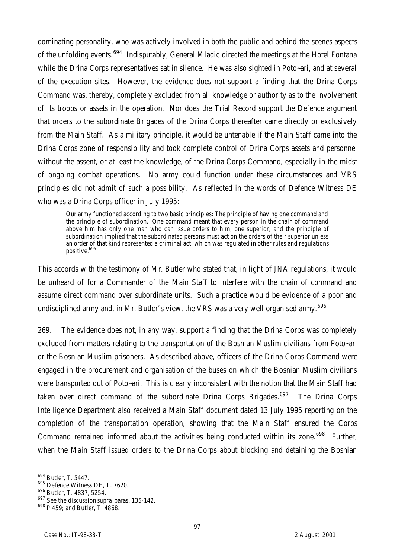dominating personality, who was actively involved in both the public and behind-the-scenes aspects of the unfolding events.<sup>694</sup> Indisputably, General Mladic directed the meetings at the Hotel Fontana while the Drina Corps representatives sat in silence. He was also sighted in Poto~ari, and at several of the execution sites. However, the evidence does not support a finding that the Drina Corps Command was, thereby, completely excluded from all knowledge or authority as to the involvement of its troops or assets in the operation. Nor does the Trial Record support the Defence argument that orders to the subordinate Brigades of the Drina Corps thereafter came directly or exclusively from the Main Staff. As a military principle, it would be untenable if the Main Staff came into the Drina Corps zone of responsibility and took complete control of Drina Corps assets and personnel without the assent, or at least the knowledge, of the Drina Corps Command, especially in the midst of ongoing combat operations. No army could function under these circumstances and VRS principles did not admit of such a possibility. As reflected in the words of Defence Witness DE who was a Drina Corps officer in July 1995:

Our army functioned according to two basic principles: The principle of having one command and the principle of subordination. One command meant that every person in the chain of command above him has only one man who can issue orders to him, one superior; and the principle of subordination implied that the subordinated persons must act on the orders of their superior unless an order of that kind represented a criminal act, which was regulated in other rules and regulations positive.<sup>695</sup>

This accords with the testimony of Mr. Butler who stated that, in light of JNA regulations, it would be unheard of for a Commander of the Main Staff to interfere with the chain of command and assume direct command over subordinate units. Such a practice would be evidence of a poor and undisciplined army and, in Mr. Butler's view, the VRS was a very well organised army.<sup>696</sup>

269. The evidence does not, in any way, support a finding that the Drina Corps was completely excluded from matters relating to the transportation of the Bosnian Muslim civilians from Poto~ari or the Bosnian Muslim prisoners. As described above, officers of the Drina Corps Command were engaged in the procurement and organisation of the buses on which the Bosnian Muslim civilians were transported out of Poto~ari. This is clearly inconsistent with the notion that the Main Staff had taken over direct command of the subordinate Drina Corps Brigades.<sup>697</sup> The Drina Corps Intelligence Department also received a Main Staff document dated 13 July 1995 reporting on the completion of the transportation operation, showing that the Main Staff ensured the Corps Command remained informed about the activities being conducted within its zone.<sup>698</sup> Further, when the Main Staff issued orders to the Drina Corps about blocking and detaining the Bosnian

 $\overline{a}$ <sup>694</sup> Butler, T. 5447.

<sup>695</sup> Defence Witness DE, T. 7620.

<sup>696</sup> Butler, T. 4837, 5254.

<sup>697</sup> See the discussion *supra* paras. 135-142.

 $698$  P 459; and Butler, T. 4868.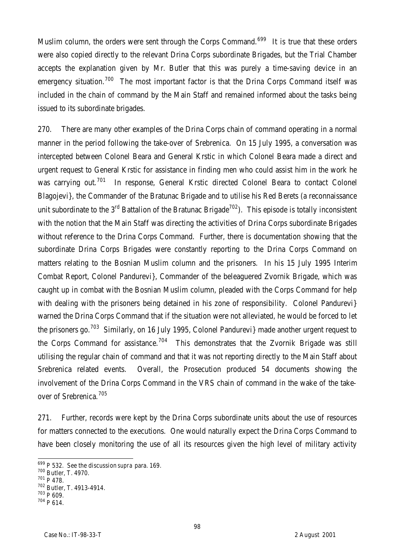Muslim column, the orders were sent through the Corps Command.<sup>699</sup> It is true that these orders were also copied directly to the relevant Drina Corps subordinate Brigades, but the Trial Chamber accepts the explanation given by Mr. Butler that this was purely a time-saving device in an emergency situation.<sup>700</sup> The most important factor is that the Drina Corps Command itself was included in the chain of command by the Main Staff and remained informed about the tasks being issued to its subordinate brigades.

270. There are many other examples of the Drina Corps chain of command operating in a normal manner in the period following the take-over of Srebrenica. On 15 July 1995, a conversation was intercepted between Colonel Beara and General Krstic in which Colonel Beara made a direct and urgent request to General Krstic for assistance in finding men who could assist him in the work he was carrying out.<sup>701</sup> In response, General Krstic directed Colonel Beara to contact Colonel Blagojevi}, the Commander of the Bratunac Brigade and to utilise his Red Berets (a reconnaissance unit subordinate to the  $3^{rd}$  Battalion of the Bratunac Brigade<sup>702</sup>). This episode is totally inconsistent with the notion that the Main Staff was directing the activities of Drina Corps subordinate Brigades without reference to the Drina Corps Command. Further, there is documentation showing that the subordinate Drina Corps Brigades were constantly reporting to the Drina Corps Command on matters relating to the Bosnian Muslim column and the prisoners. In his 15 July 1995 Interim Combat Report, Colonel Pandurevi}, Commander of the beleaguered Zvornik Brigade, which was caught up in combat with the Bosnian Muslim column, pleaded with the Corps Command for help with dealing with the prisoners being detained in his zone of responsibility. Colonel Pandurevi warned the Drina Corps Command that if the situation were not alleviated, he would be forced to let the prisoners go.<sup>703</sup> Similarly, on 16 July 1995, Colonel Pandurevi} made another urgent request to the Corps Command for assistance.<sup>704</sup> This demonstrates that the Zvornik Brigade was still utilising the regular chain of command and that it was not reporting directly to the Main Staff about Srebrenica related events. Overall, the Prosecution produced 54 documents showing the involvement of the Drina Corps Command in the VRS chain of command in the wake of the takeover of Srebrenica.<sup>705</sup>

271. Further, records were kept by the Drina Corps subordinate units about the use of resources for matters connected to the executions. One would naturally expect the Drina Corps Command to have been closely monitoring the use of all its resources given the high level of military activity

<sup>699</sup> P 532. See the discussion *supra* para. 169.

<sup>700</sup> Butler, T. 4970.

<sup>701</sup> P 478.

<sup>702</sup> Butler, T. 4913-4914.

 $703 \overline{P}$  609. <sup>704</sup> P 614.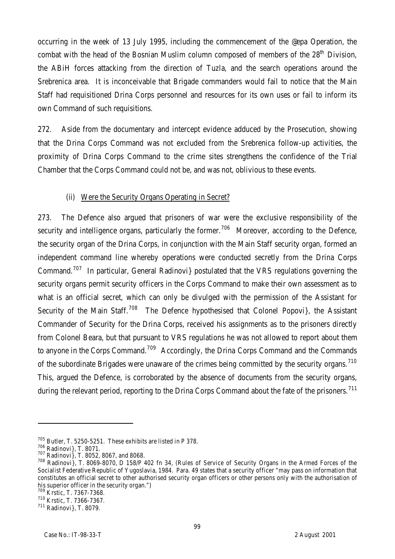occurring in the week of 13 July 1995, including the commencement of the @epa Operation, the combat with the head of the Bosnian Muslim column composed of members of the  $28<sup>th</sup>$  Division, the ABiH forces attacking from the direction of Tuzla, and the search operations around the Srebrenica area. It is inconceivable that Brigade commanders would fail to notice that the Main Staff had requisitioned Drina Corps personnel and resources for its own uses or fail to inform its own Command of such requisitions.

272. Aside from the documentary and intercept evidence adduced by the Prosecution, showing that the Drina Corps Command was not excluded from the Srebrenica follow-up activities, the proximity of Drina Corps Command to the crime sites strengthens the confidence of the Trial Chamber that the Corps Command could not be, and was not, oblivious to these events.

# (ii) Were the Security Organs Operating in Secret?

273. The Defence also argued that prisoners of war were the exclusive responsibility of the security and intelligence organs, particularly the former.<sup>706</sup> Moreover, according to the Defence, the security organ of the Drina Corps, in conjunction with the Main Staff security organ, formed an independent command line whereby operations were conducted secretly from the Drina Corps Command.<sup>707</sup> In particular, General Radinovi} postulated that the VRS regulations governing the security organs permit security officers in the Corps Command to make their own assessment as to what is an official secret, which can only be divulged with the permission of the Assistant for Security of the Main Staff.<sup>708</sup> The Defence hypothesised that Colonel Popovi}, the Assistant Commander of Security for the Drina Corps, received his assignments as to the prisoners directly from Colonel Beara, but that pursuant to VRS regulations he was not allowed to report about them to anyone in the Corps Command.<sup>709</sup> Accordingly, the Drina Corps Command and the Commands of the subordinate Brigades were unaware of the crimes being committed by the security organs.<sup>710</sup> This, argued the Defence, is corroborated by the absence of documents from the security organs, during the relevant period, reporting to the Drina Corps Command about the fate of the prisoners.<sup>711</sup>

<sup>705</sup> Butler, T. 5250-5251. These exhibits are listed in P 378.

<sup>706</sup> Radinovi}, T. 8071.

<sup>707</sup> Radinovi}, T. 8052, 8067, and 8068.

<sup>708</sup> Radinovi}, T. 8069-8070, D 158/P 402 fn 34, (Rules of Service of Security Organs in the Armed Forces of the Socialist Federative Republic of Yugoslavia, 1984. Para. 49 states that a security officer "may pass on information that constitutes an official secret to other authorised security organ officers or other persons only with the authorisation of his superior officer in the security organ.")

<sup>709</sup> Krstic, T. 7367-7368.

<sup>710</sup> Krstic, T. 7366-7367.

<sup>711</sup> Radinovi}, T. 8079.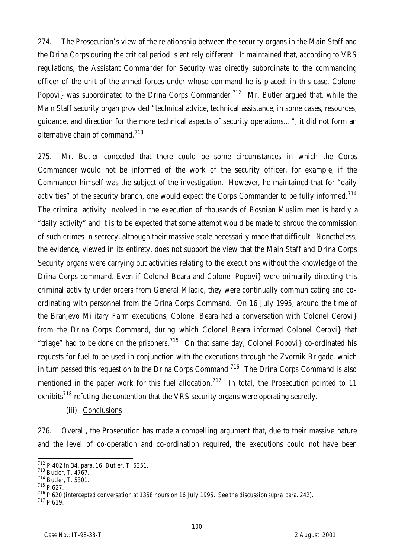274. The Prosecution's view of the relationship between the security organs in the Main Staff and the Drina Corps during the critical period is entirely different. It maintained that, according to VRS regulations, the Assistant Commander for Security was directly subordinate to the commanding officer of the unit of the armed forces under whose command he is placed: in this case, Colonel Popovi} was subordinated to the Drina Corps Commander.<sup>712</sup> Mr. Butler argued that, while the Main Staff security organ provided "technical advice, technical assistance, in some cases, resources, guidance, and direction for the more technical aspects of security operations…", it did not form an alternative chain of command.<sup>713</sup>

275. Mr. Butler conceded that there could be some circumstances in which the Corps Commander would not be informed of the work of the security officer, for example, if the Commander himself was the subject of the investigation. However, he maintained that for "daily activities" of the security branch, one would expect the Corps Commander to be fully informed.<sup>714</sup> The criminal activity involved in the execution of thousands of Bosnian Muslim men is hardly a "daily activity" and it is to be expected that some attempt would be made to shroud the commission of such crimes in secrecy, although their massive scale necessarily made that difficult. Nonetheless, the evidence, viewed in its entirety, does not support the view that the Main Staff and Drina Corps Security organs were carrying out activities relating to the executions without the knowledge of the Drina Corps command. Even if Colonel Beara and Colonel Popovi} were primarily directing this criminal activity under orders from General Mladic, they were continually communicating and coordinating with personnel from the Drina Corps Command. On 16 July 1995, around the time of the Branjevo Military Farm executions, Colonel Beara had a conversation with Colonel Cerovi} from the Drina Corps Command, during which Colonel Beara informed Colonel Cerovi} that "triage" had to be done on the prisoners.<sup>715</sup> On that same day, Colonel Popovi} co-ordinated his requests for fuel to be used in conjunction with the executions through the Zvornik Brigade, which in turn passed this request on to the Drina Corps Command.<sup>716</sup> The Drina Corps Command is also mentioned in the paper work for this fuel allocation.<sup>717</sup> In total, the Prosecution pointed to 11 exhibits<sup>718</sup> refuting the contention that the VRS security organs were operating secretly.

(iii) Conclusions

276. Overall, the Prosecution has made a compelling argument that, due to their massive nature and the level of co-operation and co-ordination required, the executions could not have been

 $\overline{a}$  $^{712}$  P 402 fn 34, para. 16; Butler, T. 5351.

<sup>713</sup> Butler, T. 4767.

<sup>714</sup> Butler, T. 5301.

<sup>715</sup> P 627.

<sup>716</sup> P 620 (intercepted conversation at 1358 hours on 16 July 1995. See the discussion *supra* para. 242).

 $717 P 619.$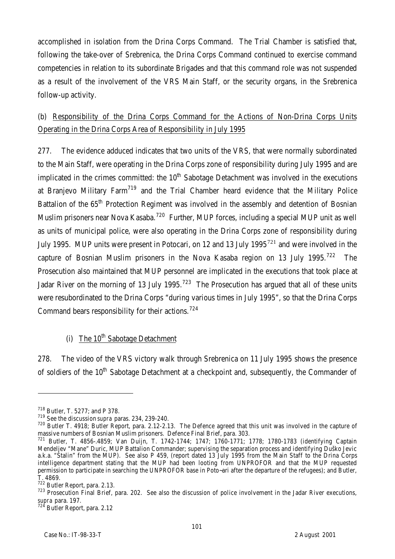accomplished in isolation from the Drina Corps Command. The Trial Chamber is satisfied that, following the take-over of Srebrenica, the Drina Corps Command continued to exercise command competencies in relation to its subordinate Brigades and that this command role was not suspended as a result of the involvement of the VRS Main Staff, or the security organs, in the Srebrenica follow-up activity.

# (b) Responsibility of the Drina Corps Command for the Actions of Non-Drina Corps Units Operating in the Drina Corps Area of Responsibility in July 1995

277. The evidence adduced indicates that two units of the VRS, that were normally subordinated to the Main Staff, were operating in the Drina Corps zone of responsibility during July 1995 and are implicated in the crimes committed: the 10<sup>th</sup> Sabotage Detachment was involved in the executions at Branjevo Military Farm<sup>719</sup> and the Trial Chamber heard evidence that the Military Police Battalion of the 65<sup>th</sup> Protection Regiment was involved in the assembly and detention of Bosnian Muslim prisoners near Nova Kasaba.<sup>720</sup> Further, MUP forces, including a special MUP unit as well as units of municipal police, were also operating in the Drina Corps zone of responsibility during July 1995. MUP units were present in Potocari, on 12 and 13 July 1995<sup>721</sup> and were involved in the capture of Bosnian Muslim prisoners in the Nova Kasaba region on 13 July 1995.<sup>722</sup> The Prosecution also maintained that MUP personnel are implicated in the executions that took place at Jadar River on the morning of 13 July 1995.<sup>723</sup> The Prosecution has argued that all of these units were resubordinated to the Drina Corps "during various times in July 1995", so that the Drina Corps Command bears responsibility for their actions.<sup>724</sup>

# (i) The 10<sup>th</sup> Sabotage Detachment

278. The video of the VRS victory walk through Srebrenica on 11 July 1995 shows the presence of soldiers of the 10<sup>th</sup> Sabotage Detachment at a checkpoint and, subsequently, the Commander of

<sup>718</sup> Butler, T. 5277; and P 378.

<sup>719</sup> See the discussion *supra* paras. 234, 239-240.

<sup>&</sup>lt;sup>720</sup> Butler T. 4918; Butler Report, para. 2.12-2.13. The Defence agreed that this unit was involved in the capture of massive numbers of Bosnian Muslim prisoners. Defence Final Brief, para. 303.

<sup>721</sup> Butler, T. 4856-.4859; Van Duijn, T. 1742-1744; 1747; 1760-1771; 1778; 1780-1783 (identifying Captain Mendeljev "Mane" Duric, MUP Battalion Commander; supervising the separation process and identifying Duško Jevic a.k.a. "Stalin" from the MUP). See also P 459, (report dated 13 July 1995 from the Main Staff to the Drina Corps intelligence department stating that the MUP had been looting from UNPROFOR and that the MUP requested permission to participate in searching the UNPROFOR base in Poto~ari after the departure of the refugees); and Butler, T. 4869.

<sup>&</sup>lt;sup>722</sup> Butler Report, para. 2.13.

<sup>&</sup>lt;sup>723</sup> Prosecution Final Brief, para. 202. See also the discussion of police involvement in the Jadar River executions, *supra* para. 197.

<sup>&</sup>lt;sup>724</sup> Butler Report, para. 2.12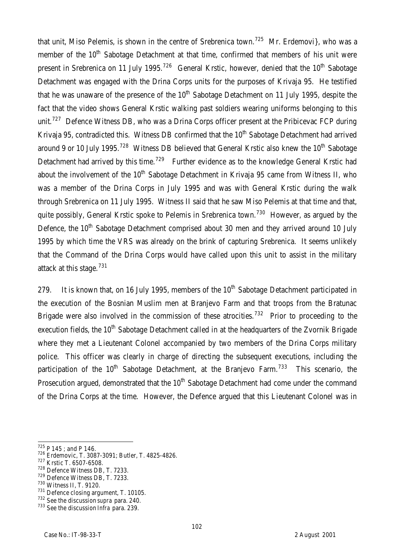that unit, Miso Pelemis, is shown in the centre of Srebrenica town.<sup>725</sup> Mr. Erdemovi}, who was a member of the 10<sup>th</sup> Sabotage Detachment at that time, confirmed that members of his unit were present in Srebrenica on 11 July 1995.<sup>726</sup> General Krstic, however, denied that the 10<sup>th</sup> Sabotage Detachment was engaged with the Drina Corps units for the purposes of Krivaja 95. He testified that he was unaware of the presence of the  $10<sup>th</sup>$  Sabotage Detachment on 11 July 1995, despite the fact that the video shows General Krstic walking past soldiers wearing uniforms belonging to this unit.<sup>727</sup> Defence Witness DB, who was a Drina Corps officer present at the Pribicevac FCP during Krivaja 95, contradicted this. Witness DB confirmed that the  $10<sup>th</sup>$  Sabotage Detachment had arrived around 9 or 10 July 1995.<sup>728</sup> Witness DB believed that General Krstic also knew the 10<sup>th</sup> Sabotage Detachment had arrived by this time.<sup>729</sup> Further evidence as to the knowledge General Krstic had about the involvement of the 10<sup>th</sup> Sabotage Detachment in Krivaja 95 came from Witness II, who was a member of the Drina Corps in July 1995 and was with General Krstic during the walk through Srebrenica on 11 July 1995. Witness II said that he saw Miso Pelemis at that time and that, quite possibly, General Krstic spoke to Pelemis in Srebrenica town.<sup>730</sup> However, as arqued by the Defence, the 10<sup>th</sup> Sabotage Detachment comprised about 30 men and they arrived around 10 July 1995 by which time the VRS was already on the brink of capturing Srebrenica. It seems unlikely that the Command of the Drina Corps would have called upon this unit to assist in the military attack at this stage.<sup>731</sup>

279. It is known that, on 16 July 1995, members of the  $10<sup>th</sup>$  Sabotage Detachment participated in the execution of the Bosnian Muslim men at Branjevo Farm and that troops from the Bratunac Brigade were also involved in the commission of these atrocities.<sup>732</sup> Prior to proceeding to the execution fields, the 10<sup>th</sup> Sabotage Detachment called in at the headquarters of the Zvornik Brigade where they met a Lieutenant Colonel accompanied by two members of the Drina Corps military police. This officer was clearly in charge of directing the subsequent executions, including the participation of the 10<sup>th</sup> Sabotage Detachment, at the Branjevo Farm.<sup>733</sup> This scenario, the Prosecution argued, demonstrated that the 10<sup>th</sup> Sabotage Detachment had come under the command of the Drina Corps at the time. However, the Defence argued that this Lieutenant Colonel was in

- <sup>728</sup> Defence Witness DB, T. 7233.
- <sup>729</sup> Defence Witness DB, T. 7233.

 $\overline{a}$  $^{725}$  P 145 ; and P 146.

<sup>726</sup> Erdemovic, T. 3087-3091; Butler, T. 4825-4826.

<sup>727</sup> Krstic T. 6507-6508.

<sup>730</sup> Witness II, T. 9120.

<sup>&</sup>lt;sup>731</sup> Defence closing argument, T. 10105.

<sup>732</sup> See the discussion *supra* para. 240.

<sup>733</sup> See the discussion *Infra* para. 239.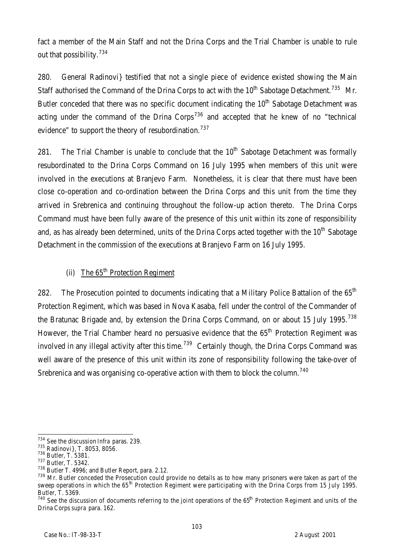fact a member of the Main Staff and not the Drina Corps and the Trial Chamber is unable to rule out that possibility.<sup>734</sup>

280. General Radinovi} testified that not a single piece of evidence existed showing the Main Staff authorised the Command of the Drina Corps to act with the  $10<sup>th</sup>$  Sabotage Detachment.<sup>735</sup> Mr. Butler conceded that there was no specific document indicating the 10<sup>th</sup> Sabotage Detachment was acting under the command of the Drina Corps<sup>736</sup> and accepted that he knew of no "technical evidence" to support the theory of resubordination.<sup>737</sup>

281. The Trial Chamber is unable to conclude that the  $10<sup>th</sup>$  Sabotage Detachment was formally resubordinated to the Drina Corps Command on 16 July 1995 when members of this unit were involved in the executions at Branjevo Farm. Nonetheless, it is clear that there must have been close co-operation and co-ordination between the Drina Corps and this unit from the time they arrived in Srebrenica and continuing throughout the follow-up action thereto. The Drina Corps Command must have been fully aware of the presence of this unit within its zone of responsibility and, as has already been determined, units of the Drina Corps acted together with the 10<sup>th</sup> Sabotage Detachment in the commission of the executions at Branjevo Farm on 16 July 1995.

# (ii) The  $65<sup>th</sup>$  Protection Regiment

282. The Prosecution pointed to documents indicating that a Military Police Battalion of the 65<sup>th</sup> Protection Regiment, which was based in Nova Kasaba, fell under the control of the Commander of the Bratunac Brigade and, by extension the Drina Corps Command, on or about 15 July 1995.<sup>738</sup> However, the Trial Chamber heard no persuasive evidence that the 65<sup>th</sup> Protection Regiment was involved in any illegal activity after this time.<sup>739</sup> Certainly though, the Drina Corps Command was well aware of the presence of this unit within its zone of responsibility following the take-over of Srebrenica and was organising co-operative action with them to block the column.<sup>740</sup>

 $\overline{a}$ <sup>734</sup> See the discussion *Infra* paras. 239.

<sup>735</sup> Radinovi}, T. 8053, 8056.

<sup>736</sup> Butler, T. 5381.

<sup>737</sup> Butler, T. 5342.

<sup>738</sup> Butler T. 4996; and Butler Report, para. 2.12.

 $739$  Mr. Butler conceded the Prosecution could provide no details as to how many prisoners were taken as part of the sweep operations in which the 65<sup>th</sup> Protection Regiment were participating with the Drina Corps from 15 July 1995. Butler, T. 5369.

 $^{740}$  See the discussion of documents referring to the joint operations of the 65<sup>th</sup> Protection Regiment and units of the Drina Corps *supra* para. 162.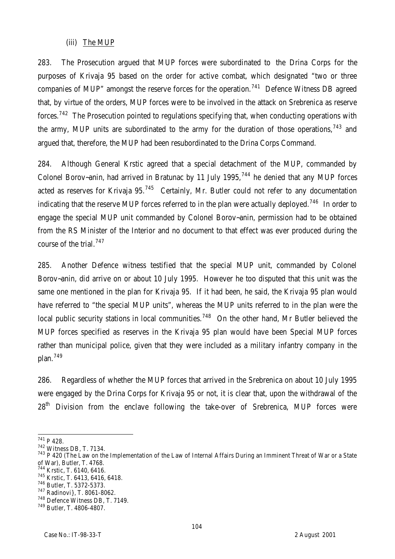#### (iii) The MUP

283. The Prosecution argued that MUP forces were subordinated to the Drina Corps for the purposes of Krivaja 95 based on the order for active combat, which designated "two or three companies of MUP" amongst the reserve forces for the operation.<sup>741</sup> Defence Witness DB agreed that, by virtue of the orders, MUP forces were to be involved in the attack on Srebrenica as reserve forces.<sup>742</sup> The Prosecution pointed to regulations specifying that, when conducting operations with the army, MUP units are subordinated to the army for the duration of those operations,  $743$  and argued that, therefore, the MUP had been resubordinated to the Drina Corps Command.

284. Although General Krstic agreed that a special detachment of the MUP, commanded by Colonel Borov~anin, had arrived in Bratunac by 11 July 1995,  $744$  he denied that any MUP forces acted as reserves for Krivaja 95.<sup>745</sup> Certainly, Mr. Butler could not refer to any documentation indicating that the reserve MUP forces referred to in the plan were actually deployed.<sup>746</sup> In order to engage the special MUP unit commanded by Colonel Borov~anin, permission had to be obtained from the RS Minister of the Interior and no document to that effect was ever produced during the course of the trial.<sup>747</sup>

285. Another Defence witness testified that the special MUP unit, commanded by Colonel Borov~anin, did arrive on or about 10 July 1995. However he too disputed that this unit was the same one mentioned in the plan for Krivaja 95. If it had been, he said, the Krivaja 95 plan would have referred to "the special MUP units", whereas the MUP units referred to in the plan were the local public security stations in local communities.<sup>748</sup> On the other hand, Mr Butler believed the MUP forces specified as reserves in the Krivaja 95 plan would have been Special MUP forces rather than municipal police, given that they were included as a military infantry company in the plan.<sup>749</sup>

286. Regardless of whether the MUP forces that arrived in the Srebrenica on about 10 July 1995 were engaged by the Drina Corps for Krivaja 95 or not, it is clear that, upon the withdrawal of the  $28<sup>th</sup>$  Division from the enclave following the take-over of Srebrenica, MUP forces were

 $\overline{a}$ <sup>741</sup> P 428.

<sup>742</sup> Witness DB, T. 7134.

<sup>&</sup>lt;sup>743</sup> P 420 (The Law on the Implementation of the Law of Internal Affairs During an Imminent Threat of War or a State of War), Butler, T. 4768.

<sup>744</sup> Krstic, T. 6140, 6416.

<sup>745</sup> Krstic, T. 6413, 6416, 6418.

<sup>746</sup> Butler, T. 5372-5373.

<sup>747</sup> Radinovi}, T. 8061-8062.

<sup>748</sup> Defence Witness DB, T. 7149.

<sup>749</sup> Butler, T. 4806-4807.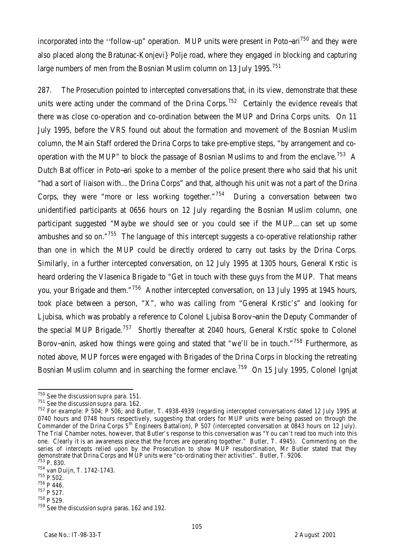incorporated into the "follow-up" operation. MUP units were present in Poto-ari<sup>750</sup> and they were also placed along the Bratunac-Konjevi} Polje road, where they engaged in blocking and capturing large numbers of men from the Bosnian Muslim column on 13 July 1995.<sup>751</sup>

287. The Prosecution pointed to intercepted conversations that, in its view, demonstrate that these units were acting under the command of the Drina Corps.<sup>752</sup> Certainly the evidence reveals that there was close co-operation and co-ordination between the MUP and Drina Corps units. On 11 July 1995, before the VRS found out about the formation and movement of the Bosnian Muslim column, the Main Staff ordered the Drina Corps to take pre-emptive steps, "by arrangement and cooperation with the MUP" to block the passage of Bosnian Muslims to and from the enclave.<sup>753</sup> A Dutch Bat officer in Poto~ari spoke to a member of the police present there who said that his unit "had a sort of liaison with…the Drina Corps" and that, although his unit was not a part of the Drina Corps, they were "more or less working together." $754$  During a conversation between two unidentified participants at 0656 hours on 12 July regarding the Bosnian Muslim column, one participant suggested "Maybe we should see or you could see if the MUP…can set up some ambushes and so on.<sup>"755</sup> The language of this intercept suggests a co-operative relationship rather than one in which the MUP could be directly ordered to carry out tasks by the Drina Corps. Similarly, in a further intercepted conversation, on 12 July 1995 at 1305 hours, General Krstic is heard ordering the Vlasenica Brigade to "Get in touch with these guys from the MUP. That means you, your Brigade and them."<sup>756</sup> Another intercepted conversation, on 13 July 1995 at 1945 hours, took place between a person, "X", who was calling from "General Krstic's" and looking for Ljubisa, which was probably a reference to Colonel Ljubisa Borov~anin the Deputy Commander of the special MUP Brigade.<sup>757</sup> Shortly thereafter at 2040 hours, General Krstic spoke to Colonel Borov~anin, asked how things were going and stated that "we'll be in touch."<sup>758</sup> Furthermore, as noted above, MUP forces were engaged with Brigades of the Drina Corps in blocking the retreating Bosnian Muslim column and in searching the former enclave.<sup>759</sup> On 15 July 1995, Colonel Igniat

 $\overline{a}$ 

<sup>750</sup> See the discussion *supra* para. 151.

<sup>751</sup> See the discussion *supra* para. 162.

 $752$  For example: P 504; P 506; and Butler, T. 4938-4939 (regarding intercepted conversations dated 12 July 1995 at 0740 hours and 0748 hours respectively, suggesting that orders for MUP units were being passed on through the Commander of the Drina Corps 5<sup>th</sup> Engineers Battalion), P 507 (intercepted conversation at 0843 hours on 12 July). The Trial Chamber notes, however, that Butler's response to this conversation was "You can't read too much into this one. Clearly it is an awareness piece that the forces are operating together." Butler, T. 4945). Commenting on the series of intercepts relied upon by the Prosecution to show MUP resubordination, Mr Butler stated that they demonstrate that Drina Corps and MUP units were "co-ordinating their activities". Butler, T. 9206. <sup>753</sup> P. 830.

<sup>754</sup> van Duijn, T. 1742-1743.

<sup>755</sup> P 502.

<sup>756</sup> P 446.

<sup>757</sup> P 527.

<sup>758</sup> P 529.

<sup>759</sup> See the discussion *supra* paras. 162 and 192.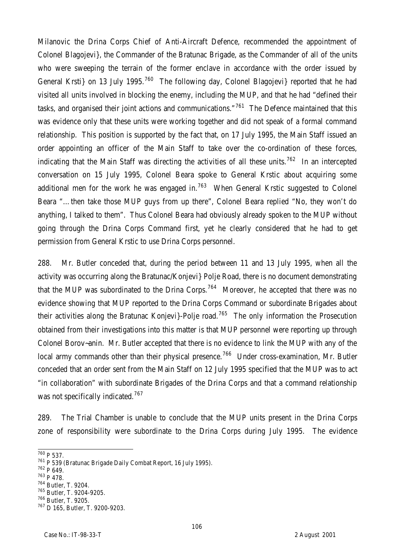Milanovic the Drina Corps Chief of Anti-Aircraft Defence, recommended the appointment of Colonel Blagojevi}, the Commander of the Bratunac Brigade, as the Commander of all of the units who were sweeping the terrain of the former enclave in accordance with the order issued by General Krsti} on 13 July 1995.<sup>760</sup> The following day, Colonel Blagojevi} reported that he had visited all units involved in blocking the enemy, including the MUP, and that he had "defined their tasks, and organised their joint actions and communications."<sup>761</sup> The Defence maintained that this was evidence only that these units were working together and did not speak of a formal command relationship. This position is supported by the fact that, on 17 July 1995, the Main Staff issued an order appointing an officer of the Main Staff to take over the co-ordination of these forces, indicating that the Main Staff was directing the activities of all these units.<sup>762</sup> In an intercepted conversation on 15 July 1995, Colonel Beara spoke to General Krstic about acquiring some additional men for the work he was engaged in.<sup>763</sup> When General Krstic suggested to Colonel Beara "…then take those MUP guys from up there", Colonel Beara replied "No, they won't do anything, I talked to them". Thus Colonel Beara had obviously already spoken to the MUP without going through the Drina Corps Command first, yet he clearly considered that he had to get permission from General Krstic to use Drina Corps personnel.

288. Mr. Butler conceded that, during the period between 11 and 13 July 1995, when all the activity was occurring along the Bratunac/Konjevi} Polje Road, there is no document demonstrating that the MUP was subordinated to the Drina Corps.<sup>764</sup> Moreover, he accepted that there was no evidence showing that MUP reported to the Drina Corps Command or subordinate Brigades about their activities along the Bratunac Konjevi}-Polje road.<sup>765</sup> The only information the Prosecution obtained from their investigations into this matter is that MUP personnel were reporting up through Colonel Borov~anin. Mr. Butler accepted that there is no evidence to link the MUP with any of the local army commands other than their physical presence.<sup>766</sup> Under cross-examination, Mr. Butler conceded that an order sent from the Main Staff on 12 July 1995 specified that the MUP was to act "in collaboration" with subordinate Brigades of the Drina Corps and that a command relationship was not specifically indicated.<sup>767</sup>

289. The Trial Chamber is unable to conclude that the MUP units present in the Drina Corps zone of responsibility were subordinate to the Drina Corps during July 1995. The evidence

 $\overline{a}$ <sup>760</sup> P 537.

<sup>&</sup>lt;sup>761</sup> P 539 (Bratunac Brigade Daily Combat Report, 16 July 1995).

<sup>762</sup> P 649.

<sup>763</sup> P 478.

<sup>764</sup> Butler, T. 9204.

<sup>765</sup> Butler, T. 9204-9205.

<sup>766</sup> Butler, T. 9205.

<sup>767</sup> D 165, Butler, T. 9200-9203.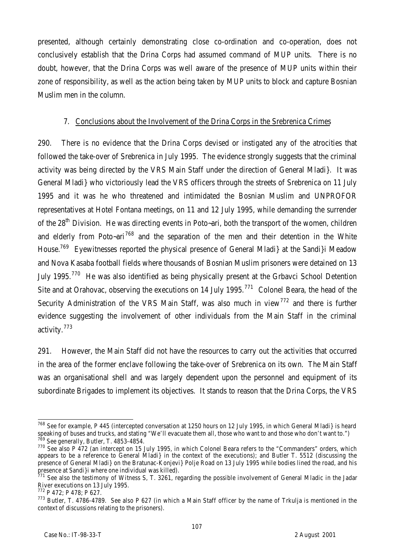presented, although certainly demonstrating close co-ordination and co-operation, does not conclusively establish that the Drina Corps had assumed command of MUP units. There is no doubt, however, that the Drina Corps was well aware of the presence of MUP units within their zone of responsibility, as well as the action being taken by MUP units to block and capture Bosnian Muslim men in the column.

### 7. Conclusions about the Involvement of the Drina Corps in the Srebrenica Crimes

290. There is no evidence that the Drina Corps devised or instigated any of the atrocities that followed the take-over of Srebrenica in July 1995. The evidence strongly suggests that the criminal activity was being directed by the VRS Main Staff under the direction of General Mladi}. It was General Mladi} who victoriously lead the VRS officers through the streets of Srebrenica on 11 July 1995 and it was he who threatened and intimidated the Bosnian Muslim and UNPROFOR representatives at Hotel Fontana meetings, on 11 and 12 July 1995, while demanding the surrender of the 28<sup>th</sup> Division. He was directing events in Poto~ari, both the transport of the women, children and elderly from Poto~ari<sup>768</sup> and the separation of the men and their detention in the White House.<sup>769</sup> Eyewitnesses reported the physical presence of General Mladi} at the Sandi}i Meadow and Nova Kasaba football fields where thousands of Bosnian Muslim prisoners were detained on 13 July 1995.<sup>770</sup> He was also identified as being physically present at the Grbavci School Detention Site and at Orahovac, observing the executions on 14 July 1995.<sup>771</sup> Colonel Beara, the head of the Security Administration of the VRS Main Staff, was also much in view<sup>772</sup> and there is further evidence suggesting the involvement of other individuals from the Main Staff in the criminal activity.<sup>773</sup>

291. However, the Main Staff did not have the resources to carry out the activities that occurred in the area of the former enclave following the take-over of Srebrenica on its own. The Main Staff was an organisational shell and was largely dependent upon the personnel and equipment of its subordinate Brigades to implement its objectives. It stands to reason that the Drina Corps, the VRS

 $\overline{a}$ <sup>768</sup> See for example, P 445 (intercepted conversation at 1250 hours on 12 July 1995, in which General Mladi} is heard speaking of buses and trucks, and stating "We'll evacuate them all, those who want to and those who don't want to.") See generally, Butler, T. 4853-4854.

<sup>770</sup> See also P 472 (an intercept on 15 July 1995, in which Colonel Beara refers to the "Commanders" orders, which appears to be a reference to General Mladi} in the context of the executions); and Butler T. 5512 (discussing the presence of General Mladi} on the Bratunac-Konjevi} Polje Road on 13 July 1995 while bodies lined the road, and his presence at Sandi}i where one individual was killed).

<sup>&</sup>lt;sup>771</sup> See also the testimony of Witness S, T. 3261, regarding the possible involvement of General Mladic in the Jadar River executions on 13 July 1995.

<sup>772</sup> P 472; P 478; P 627.

 $^{773}$  Butler, T. 4786-4789. See also P 627 (in which a Main Staff officer by the name of Trkulja is mentioned in the context of discussions relating to the prisoners).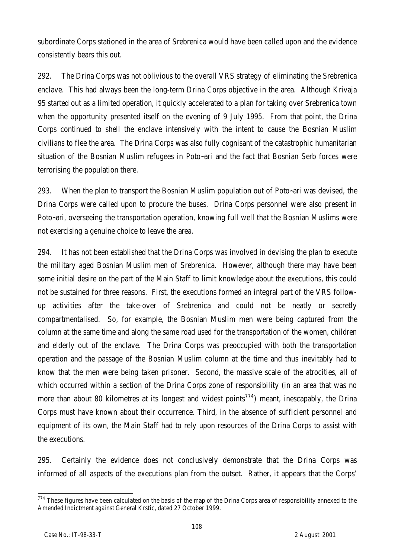subordinate Corps stationed in the area of Srebrenica would have been called upon and the evidence consistently bears this out.

292. The Drina Corps was not oblivious to the overall VRS strategy of eliminating the Srebrenica enclave. This had always been the long-term Drina Corps objective in the area. Although Krivaja 95 started out as a limited operation, it quickly accelerated to a plan for taking over Srebrenica town when the opportunity presented itself on the evening of 9 July 1995. From that point, the Drina Corps continued to shell the enclave intensively with the intent to cause the Bosnian Muslim civilians to flee the area. The Drina Corps was also fully cognisant of the catastrophic humanitarian situation of the Bosnian Muslim refugees in Poto~ari and the fact that Bosnian Serb forces were terrorising the population there.

293. When the plan to transport the Bosnian Muslim population out of Poto~ari was devised, the Drina Corps were called upon to procure the buses. Drina Corps personnel were also present in Poto~ari, overseeing the transportation operation, knowing full well that the Bosnian Muslims were not exercising a genuine choice to leave the area.

294. It has not been established that the Drina Corps was involved in devising the plan to execute the military aged Bosnian Muslim men of Srebrenica. However, although there may have been some initial desire on the part of the Main Staff to limit knowledge about the executions, this could not be sustained for three reasons. First, the executions formed an integral part of the VRS followup activities after the take-over of Srebrenica and could not be neatly or secretly compartmentalised. So, for example, the Bosnian Muslim men were being captured from the column at the same time and along the same road used for the transportation of the women, children and elderly out of the enclave. The Drina Corps was preoccupied with both the transportation operation and the passage of the Bosnian Muslim column at the time and thus inevitably had to know that the men were being taken prisoner. Second, the massive scale of the atrocities, all of which occurred within a section of the Drina Corps zone of responsibility (in an area that was no more than about 80 kilometres at its longest and widest points<sup>774</sup>) meant, inescapably, the Drina Corps must have known about their occurrence. Third, in the absence of sufficient personnel and equipment of its own, the Main Staff had to rely upon resources of the Drina Corps to assist with the executions.

295. Certainly the evidence does not conclusively demonstrate that the Drina Corps was informed of all aspects of the executions plan from the outset. Rather, it appears that the Corps'

 $\overline{a}$  $^{774}$  These figures have been calculated on the basis of the map of the Drina Corps area of responsibility annexed to the Amended Indictment against General Krstic, dated 27 October 1999.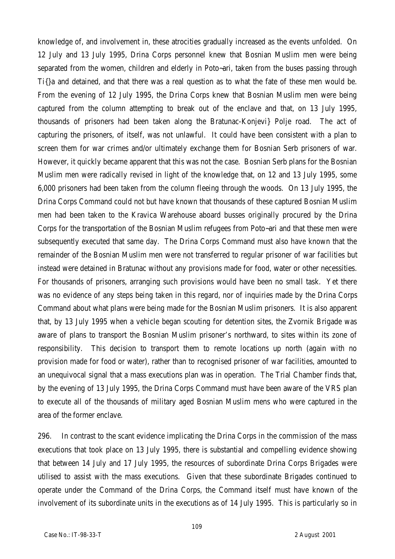knowledge of, and involvement in, these atrocities gradually increased as the events unfolded. On 12 July and 13 July 1995, Drina Corps personnel knew that Bosnian Muslim men were being separated from the women, children and elderly in Poto~ari, taken from the buses passing through Ti{}a and detained, and that there was a real question as to what the fate of these men would be. From the evening of 12 July 1995, the Drina Corps knew that Bosnian Muslim men were being captured from the column attempting to break out of the enclave and that, on 13 July 1995, thousands of prisoners had been taken along the Bratunac-Konjevi} Polje road. The act of capturing the prisoners, of itself, was not unlawful. It could have been consistent with a plan to screen them for war crimes and/or ultimately exchange them for Bosnian Serb prisoners of war. However, it quickly became apparent that this was not the case. Bosnian Serb plans for the Bosnian Muslim men were radically revised in light of the knowledge that, on 12 and 13 July 1995, some 6,000 prisoners had been taken from the column fleeing through the woods. On 13 July 1995, the Drina Corps Command could not but have known that thousands of these captured Bosnian Muslim men had been taken to the Kravica Warehouse aboard busses originally procured by the Drina Corps for the transportation of the Bosnian Muslim refugees from Poto~ari and that these men were subsequently executed that same day. The Drina Corps Command must also have known that the remainder of the Bosnian Muslim men were not transferred to regular prisoner of war facilities but instead were detained in Bratunac without any provisions made for food, water or other necessities. For thousands of prisoners, arranging such provisions would have been no small task. Yet there was no evidence of any steps being taken in this regard, nor of inquiries made by the Drina Corps Command about what plans were being made for the Bosnian Muslim prisoners. It is also apparent that, by 13 July 1995 when a vehicle began scouting for detention sites, the Zvornik Brigade was aware of plans to transport the Bosnian Muslim prisoner's northward, to sites within its zone of responsibility. This decision to transport them to remote locations up north (again with no provision made for food or water), rather than to recognised prisoner of war facilities, amounted to an unequivocal signal that a mass executions plan was in operation. The Trial Chamber finds that, by the evening of 13 July 1995, the Drina Corps Command must have been aware of the VRS plan to execute all of the thousands of military aged Bosnian Muslim mens who were captured in the area of the former enclave.

296. In contrast to the scant evidence implicating the Drina Corps in the commission of the mass executions that took place on 13 July 1995, there is substantial and compelling evidence showing that between 14 July and 17 July 1995, the resources of subordinate Drina Corps Brigades were utilised to assist with the mass executions. Given that these subordinate Brigades continued to operate under the Command of the Drina Corps, the Command itself must have known of the involvement of its subordinate units in the executions as of 14 July 1995. This is particularly so in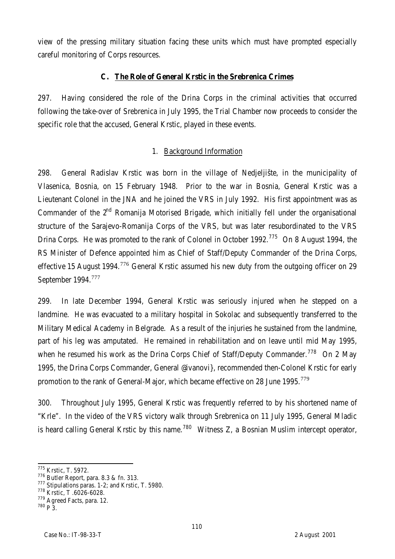view of the pressing military situation facing these units which must have prompted especially careful monitoring of Corps resources.

### **C. The Role of General Krstic in the Srebrenica Crimes**

297. Having considered the role of the Drina Corps in the criminal activities that occurred following the take-over of Srebrenica in July 1995, the Trial Chamber now proceeds to consider the specific role that the accused, General Krstic, played in these events.

# 1. Background Information

298. General Radislav Krstic was born in the village of Nedjeljište, in the municipality of Vlasenica, Bosnia, on 15 February 1948. Prior to the war in Bosnia, General Krstic was a Lieutenant Colonel in the JNA and he joined the VRS in July 1992. His first appointment was as Commander of the 2<sup>nd</sup> Romanija Motorised Brigade, which initially fell under the organisational structure of the Sarajevo-Romanija Corps of the VRS, but was later resubordinated to the VRS Drina Corps. He was promoted to the rank of Colonel in October 1992.<sup>775</sup> On 8 August 1994, the RS Minister of Defence appointed him as Chief of Staff/Deputy Commander of the Drina Corps, effective 15 August 1994.<sup>776</sup> General Krstic assumed his new duty from the outgoing officer on 29 September 1994.<sup>777</sup>

299. In late December 1994, General Krstic was seriously injured when he stepped on a landmine. He was evacuated to a military hospital in Sokolac and subsequently transferred to the Military Medical Academy in Belgrade. As a result of the injuries he sustained from the landmine, part of his leg was amputated. He remained in rehabilitation and on leave until mid May 1995, when he resumed his work as the Drina Corps Chief of Staff/Deputy Commander.<sup>778</sup> On 2 May 1995, the Drina Corps Commander, General @ivanovi}, recommended then-Colonel Krstic for early promotion to the rank of General-Major, which became effective on 28 June 1995.<sup>779</sup>

300. Throughout July 1995, General Krstic was frequently referred to by his shortened name of "Krle". In the video of the VRS victory walk through Srebrenica on 11 July 1995, General Mladic is heard calling General Krstic by this name.<sup>780</sup> Witness Z, a Bosnian Muslim intercept operator,

 $\overline{a}$ <sup>775</sup> Krstic, T. 5972.

<sup>776</sup> Butler Report, para. 8.3 & fn. 313.

<sup>777</sup> Stipulations paras. 1-2; and Krstic, T. 5980.

<sup>778</sup> Krstic, T .6026-6028.

<sup>779</sup> Agreed Facts, para. 12.

 $780 \text{ p } 3.$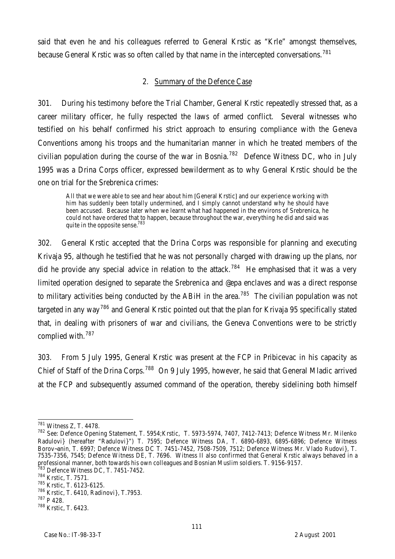said that even he and his colleagues referred to General Krstic as "Krle" amongst themselves, because General Krstic was so often called by that name in the intercepted conversations.<sup>781</sup>

# 2. Summary of the Defence Case

301. During his testimony before the Trial Chamber, General Krstic repeatedly stressed that, as a career military officer, he fully respected the laws of armed conflict. Several witnesses who testified on his behalf confirmed his strict approach to ensuring compliance with the Geneva Conventions among his troops and the humanitarian manner in which he treated members of the civilian population during the course of the war in Bosnia.<sup>782</sup> Defence Witness DC, who in July 1995 was a Drina Corps officer, expressed bewilderment as to why General Krstic should be the one on trial for the Srebrenica crimes:

All that we were able to see and hear about him [General Krstic] and our experience working with him has suddenly been totally undermined, and I simply cannot understand why he should have been accused. Because later when we learnt what had happened in the environs of Srebrenica, he could not have ordered that to happen, because throughout the war, everything he did and said was quite in the opposite sense.<sup>783</sup>

302. General Krstic accepted that the Drina Corps was responsible for planning and executing Krivaja 95, although he testified that he was not personally charged with drawing up the plans, nor did he provide any special advice in relation to the attack.<sup>784</sup> He emphasised that it was a very limited operation designed to separate the Srebrenica and @epa enclaves and was a direct response to military activities being conducted by the ABiH in the area.<sup>785</sup> The civilian population was not targeted in any way<sup>786</sup> and General Krstic pointed out that the plan for Krivaja 95 specifically stated that, in dealing with prisoners of war and civilians, the Geneva Conventions were to be strictly complied with.<sup>787</sup>

303. From 5 July 1995, General Krstic was present at the FCP in Pribicevac in his capacity as Chief of Staff of the Drina Corps.<sup>788</sup> On 9 July 1995, however, he said that General Mladic arrived at the FCP and subsequently assumed command of the operation, thereby sidelining both himself

 $\overline{a}$ <sup>781</sup> Witness Z, T. 4478.

<sup>782</sup> See: Defence Opening Statement, T. 5954;Krstic, T. 5973-5974, 7407, 7412-7413; Defence Witness Mr. Milenko Radulovi} (hereafter "Radulovi}") T. 7595; Defence Witness DA, T. 6890-6893, 6895-6896; Defence Witness Borov~anin, T. 6997; Defence Witness DC T. 7451-7452, 7508-7509, 7512; Defence Witness Mr. Vlado Rudovi}, T. 7535-7356, 7545; Defence Witness DE, T. 7696. Witness II also confirmed that General Krstic always behaved in a professional manner, both towards his own colleagues and Bosnian Muslim soldiers. T. 9156-9157.

<sup>&</sup>lt;sup>783</sup> Defence Witness DC, T. 7451-7452.

<sup>784</sup> Krstic, T. 7571.

<sup>785</sup> Krstic, T. 6123-6125.

<sup>786</sup> Krstic, T. 6410, Radinovi}, T.7953.

<sup>787</sup> P 428.

<sup>788</sup> Krstic, T. 6423.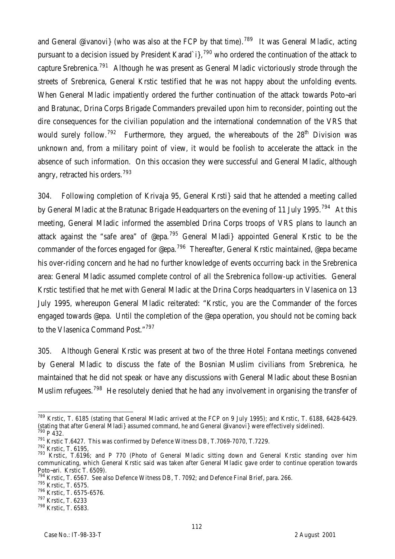and General @ivanovi} (who was also at the FCP by that time).<sup>789</sup> It was General Mladic, acting pursuant to a decision issued by President Karad`i},<sup>790</sup> who ordered the continuation of the attack to capture Srebrenica.<sup>791</sup> Although he was present as General Mladic victoriously strode through the streets of Srebrenica, General Krstic testified that he was not happy about the unfolding events. When General Mladic impatiently ordered the further continuation of the attack towards Poto~ari and Bratunac, Drina Corps Brigade Commanders prevailed upon him to reconsider, pointing out the dire consequences for the civilian population and the international condemnation of the VRS that would surely follow.<sup>792</sup> Furthermore, they argued, the whereabouts of the  $28<sup>th</sup>$  Division was unknown and, from a military point of view, it would be foolish to accelerate the attack in the absence of such information. On this occasion they were successful and General Mladic, although angry, retracted his orders.<sup>793</sup>

304. Following completion of Krivaja 95, General Krsti} said that he attended a meeting called by General Mladic at the Bratunac Brigade Headquarters on the evening of 11 July 1995.<sup>794</sup> At this meeting, General Mladic informed the assembled Drina Corps troops of VRS plans to launch an attack against the "safe area" of @epa.<sup>795</sup> General Mladi} appointed General Krstic to be the commander of the forces engaged for @epa.<sup>796</sup> Thereafter, General Krstic maintained, @epa became his over-riding concern and he had no further knowledge of events occurring back in the Srebrenica area: General Mladic assumed complete control of all the Srebrenica follow-up activities. General Krstic testified that he met with General Mladic at the Drina Corps headquarters in Vlasenica on 13 July 1995, whereupon General Mladic reiterated: "Krstic, you are the Commander of the forces engaged towards @epa. Until the completion of the @epa operation, you should not be coming back to the Vlasenica Command Post."<sup>797</sup>

305. Although General Krstic was present at two of the three Hotel Fontana meetings convened by General Mladic to discuss the fate of the Bosnian Muslim civilians from Srebrenica, he maintained that he did not speak or have any discussions with General Mladic about these Bosnian Muslim refugees.<sup>798</sup> He resolutely denied that he had any involvement in organising the transfer of

 $\overline{a}$ <sup>789</sup> Krstic, T. 6185 (stating that General Mladic arrived at the FCP on 9 July 1995); and Krstic, T. 6188, 6428-6429. (stating that after General Mladi} assumed command, he and General @ivanovi} were effectively sidelined). <sup>790</sup> P 432.

<sup>&</sup>lt;sup>791</sup> Krstic T.6427. This was confirmed by Defence Witness DB, T.7069-7070, T.7229.

<sup>792</sup> Krstic, T. 6195,

<sup>793</sup> Krstic, T.6196; and P 770 (Photo of General Mladic sitting down and General Krstic standing over him communicating, which General Krstic said was taken after General Mladic gave order to continue operation towards Poto~ari. Krstic T. 6509).

 $^{794}$  Krstic, T. 6567. See also Defence Witness DB, T. 7092; and Defence Final Brief, para. 266.

<sup>&</sup>lt;sup>795</sup> Krstic, T. 6575.

<sup>796</sup> Krstic, T. 6575-6576.

<sup>797</sup> Krstic, T. 6233

<sup>798</sup> Krstic, T. 6583.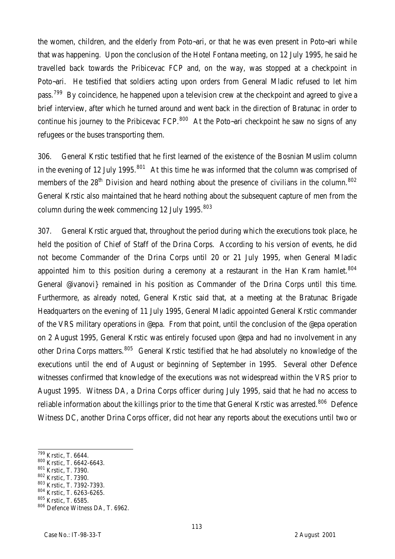the women, children, and the elderly from Poto~ari, or that he was even present in Poto~ari while that was happening. Upon the conclusion of the Hotel Fontana meeting, on 12 July 1995, he said he travelled back towards the Pribicevac FCP and, on the way, was stopped at a checkpoint in Poto~ari. He testified that soldiers acting upon orders from General Mladic refused to let him pass.<sup>799</sup> By coincidence, he happened upon a television crew at the checkpoint and agreed to give a brief interview, after which he turned around and went back in the direction of Bratunac in order to continue his journey to the Pribicevac FCP.<sup>800</sup> At the Poto~ari checkpoint he saw no signs of any refugees or the buses transporting them.

306. General Krstic testified that he first learned of the existence of the Bosnian Muslim column in the evening of 12 July 1995. $801$  At this time he was informed that the column was comprised of members of the 28<sup>th</sup> Division and heard nothing about the presence of civilians in the column.<sup>802</sup> General Krstic also maintained that he heard nothing about the subsequent capture of men from the column during the week commencing 12 July 1995. $803$ 

307. General Krstic argued that, throughout the period during which the executions took place, he held the position of Chief of Staff of the Drina Corps. According to his version of events, he did not become Commander of the Drina Corps until 20 or 21 July 1995, when General Mladic appointed him to this position during a ceremony at a restaurant in the Han Kram hamlet.<sup>804</sup> General @ivanovi} remained in his position as Commander of the Drina Corps until this time. Furthermore, as already noted, General Krstic said that, at a meeting at the Bratunac Brigade Headquarters on the evening of 11 July 1995, General Mladic appointed General Krstic commander of the VRS military operations in @epa. From that point, until the conclusion of the @epa operation on 2 August 1995, General Krstic was entirely focused upon @epa and had no involvement in any other Drina Corps matters.<sup>805</sup> General Krstic testified that he had absolutely no knowledge of the executions until the end of August or beginning of September in 1995. Several other Defence witnesses confirmed that knowledge of the executions was not widespread within the VRS prior to August 1995. Witness DA, a Drina Corps officer during July 1995, said that he had no access to reliable information about the killings prior to the time that General Krstic was arrested.<sup>806</sup> Defence Witness DC, another Drina Corps officer, did not hear any reports about the executions until two or

<sup>801</sup> Krstic, T. 7390.

 $\overline{a}$ <sup>799</sup> Krstic, T. 6644.

<sup>800</sup> Krstic, T. 6642-6643.

<sup>802</sup> Krstic, T. 7390.

<sup>803</sup> Krstic, T. 7392-7393.

<sup>804</sup> Krstic, T. 6263-6265.

<sup>805</sup> Krstic, T. 6585.

<sup>806</sup> Defence Witness DA, T. 6962.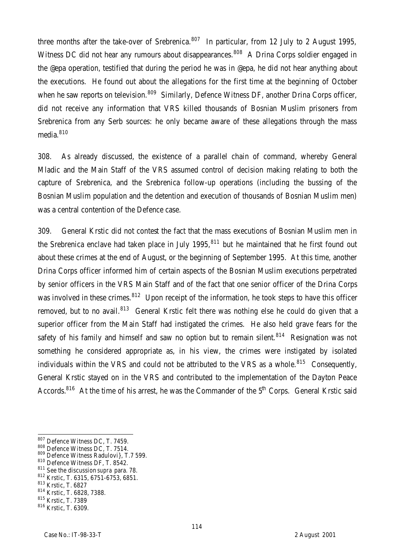three months after the take-over of Srebrenica.<sup>807</sup> In particular, from 12 July to 2 August 1995, Witness DC did not hear any rumours about disappearances.<sup>808</sup> A Drina Corps soldier engaged in the @epa operation, testified that during the period he was in @epa, he did not hear anything about the executions. He found out about the allegations for the first time at the beginning of October when he saw reports on television.<sup>809</sup> Similarly, Defence Witness DF, another Drina Corps officer, did not receive any information that VRS killed thousands of Bosnian Muslim prisoners from Srebrenica from any Serb sources: he only became aware of these allegations through the mass media.<sup>810</sup>

308. As already discussed, the existence of a parallel chain of command, whereby General Mladic and the Main Staff of the VRS assumed control of decision making relating to both the capture of Srebrenica, and the Srebrenica follow-up operations (including the bussing of the Bosnian Muslim population and the detention and execution of thousands of Bosnian Muslim men) was a central contention of the Defence case.

309. General Krstic did not contest the fact that the mass executions of Bosnian Muslim men in the Srebrenica enclave had taken place in July 1995,  $811$  but he maintained that he first found out about these crimes at the end of August, or the beginning of September 1995. At this time, another Drina Corps officer informed him of certain aspects of the Bosnian Muslim executions perpetrated by senior officers in the VRS Main Staff and of the fact that one senior officer of the Drina Corps was involved in these crimes.<sup>812</sup> Upon receipt of the information, he took steps to have this officer removed, but to no avail.<sup>813</sup> General Krstic felt there was nothing else he could do given that a superior officer from the Main Staff had instigated the crimes. He also held grave fears for the safety of his family and himself and saw no option but to remain silent.<sup>814</sup> Resignation was not something he considered appropriate as, in his view, the crimes were instigated by isolated individuals within the VRS and could not be attributed to the VRS as a whole.<sup>815</sup> Consequently, General Krstic stayed on in the VRS and contributed to the implementation of the Dayton Peace Accords.<sup>816</sup> At the time of his arrest, he was the Commander of the 5<sup>th</sup> Corps. General Krstic said

<sup>812</sup> Krstic, T. 6315, 6751-6753, 6851.

 $\overline{a}$ 

<sup>807</sup> Defence Witness DC, T. 7459.

<sup>808</sup> Defence Witness DC, T. 7514.

<sup>809</sup> Defence Witness Radulovi}, T.7 599.

<sup>810</sup> Defence Witness DF, T. 8542.

<sup>811</sup> See the discussion *supra* para. 78.

<sup>813</sup> Krstic, T. 6827

<sup>814</sup> Krstic, T. 6828, 7388.

<sup>815</sup> Krstic, T. 7389

<sup>816</sup> Krstic, T. 6309.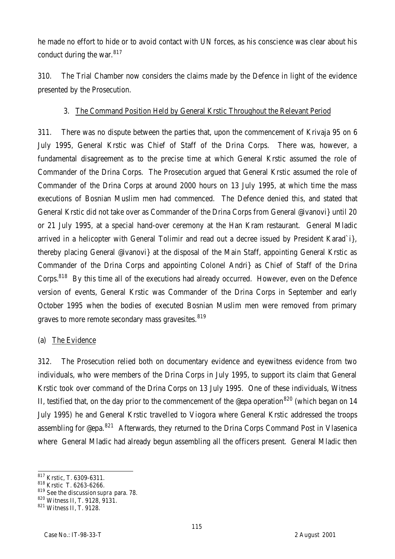he made no effort to hide or to avoid contact with UN forces, as his conscience was clear about his conduct during the war.<sup>817</sup>

310. The Trial Chamber now considers the claims made by the Defence in light of the evidence presented by the Prosecution.

# 3. The Command Position Held by General Krstic Throughout the Relevant Period

311. There was no dispute between the parties that, upon the commencement of Krivaja 95 on 6 July 1995, General Krstic was Chief of Staff of the Drina Corps. There was, however, a fundamental disagreement as to the precise time at which General Krstic assumed the role of Commander of the Drina Corps. The Prosecution argued that General Krstic assumed the role of Commander of the Drina Corps at around 2000 hours on 13 July 1995, at which time the mass executions of Bosnian Muslim men had commenced. The Defence denied this, and stated that General Krstic did not take over as Commander of the Drina Corps from General @ivanovi} until 20 or 21 July 1995, at a special hand-over ceremony at the Han Kram restaurant. General Mladic arrived in a helicopter with General Tolimir and read out a decree issued by President Karad`i}, thereby placing General @ivanovi} at the disposal of the Main Staff, appointing General Krstic as Commander of the Drina Corps and appointing Colonel Andri} as Chief of Staff of the Drina Corps.<sup>818</sup> By this time all of the executions had already occurred. However, even on the Defence version of events, General Krstic was Commander of the Drina Corps in September and early October 1995 when the bodies of executed Bosnian Muslim men were removed from primary graves to more remote secondary mass gravesites.<sup>819</sup>

### (a) The Evidence

312. The Prosecution relied both on documentary evidence and eyewitness evidence from two individuals, who were members of the Drina Corps in July 1995, to support its claim that General Krstic took over command of the Drina Corps on 13 July 1995. One of these individuals, Witness II, testified that, on the day prior to the commencement of the @epa operation<sup>820</sup> (which began on 14 July 1995) he and General Krstic travelled to Viogora where General Krstic addressed the troops assembling for @epa.<sup>821</sup> Afterwards, they returned to the Drina Corps Command Post in Vlasenica where General Mladic had already begun assembling all the officers present. General Mladic then

 $\overline{a}$ <sup>817</sup> Krstic, T. 6309-6311.

<sup>818</sup> Krstic T. 6263-6266.

<sup>819</sup> See the discussion *supra* para. 78.

<sup>820</sup> Witness II, T. 9128, 9131.

<sup>821</sup> Witness II, T. 9128.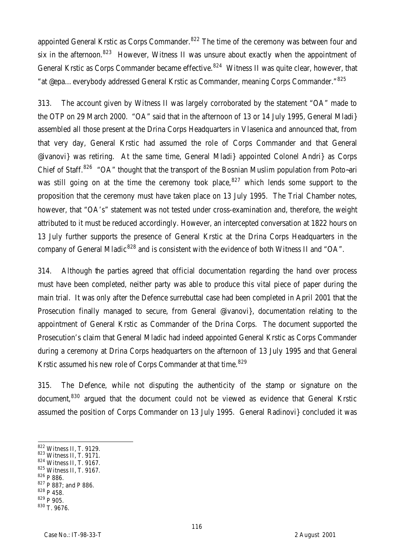appointed General Krstic as Corps Commander.<sup>822</sup> The time of the ceremony was between four and six in the afternoon.<sup>823</sup> However, Witness II was unsure about exactly when the appointment of General Krstic as Corps Commander became effective.<sup>824</sup> Witness II was quite clear, however, that "at @epa...everybody addressed General Krstic as Commander, meaning Corps Commander." 825

313. The account given by Witness II was largely corroborated by the statement "OA" made to the OTP on 29 March 2000. "OA" said that in the afternoon of 13 or 14 July 1995, General Mladi} assembled all those present at the Drina Corps Headquarters in Vlasenica and announced that, from that very day, General Krstic had assumed the role of Corps Commander and that General @ivanovi} was retiring. At the same time, General Mladi} appointed Colonel Andri} as Corps Chief of Staff.<sup>826</sup> "OA" thought that the transport of the Bosnian Muslim population from Poto-ari was still going on at the time the ceremony took place, $827$  which lends some support to the proposition that the ceremony must have taken place on 13 July 1995. The Trial Chamber notes, however, that "OA's" statement was not tested under cross-examination and, therefore, the weight attributed to it must be reduced accordingly. However, an intercepted conversation at 1822 hours on 13 July further supports the presence of General Krstic at the Drina Corps Headquarters in the company of General Mladic<sup>828</sup> and is consistent with the evidence of both Witness II and "OA".

314. Although the parties agreed that official documentation regarding the hand over process must have been completed, neither party was able to produce this vital piece of paper during the main trial. It was only after the Defence surrebuttal case had been completed in April 2001 that the Prosecution finally managed to secure, from General @ivanovi}, documentation relating to the appointment of General Krstic as Commander of the Drina Corps. The document supported the Prosecution's claim that General Mladic had indeed appointed General Krstic as Corps Commander during a ceremony at Drina Corps headquarters on the afternoon of 13 July 1995 and that General Krstic assumed his new role of Corps Commander at that time.<sup>829</sup>

315. The Defence, while not disputing the authenticity of the stamp or signature on the document,<sup>830</sup> arqued that the document could not be viewed as evidence that General Krstic assumed the position of Corps Commander on 13 July 1995. General Radinovi} concluded it was

- <sup>824</sup> Witness II, T. 9167. 825 Witness II, T. 9167.
- <sup>826</sup> P 886.
- <sup>827</sup> P 887; and P 886.
- <sup>828</sup> P 458.
- $829$  P 905.
- <sup>830</sup> T. 9676.

 $\overline{a}$ 822 Witness II, T. 9129.

<sup>823</sup> Witness II, T. 9171.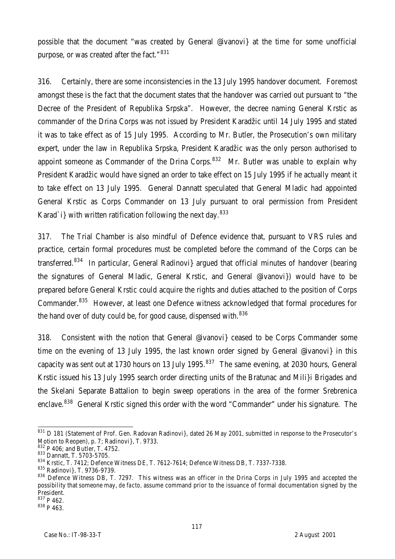possible that the document "was created by General @ivanovi} at the time for some unofficial purpose, or was created after the fact."<sup>831</sup>

316. Certainly, there are some inconsistencies in the 13 July 1995 handover document. Foremost amongst these is the fact that the document states that the handover was carried out pursuant to "the Decree of the President of Republika Srpska". However, the decree naming General Krstic as commander of the Drina Corps was not issued by President Karadžic until 14 July 1995 and stated it was to take effect as of 15 July 1995. According to Mr. Butler, the Prosecution's own military expert, under the law in Republika Srpska, President Karadžic was the only person authorised to appoint someone as Commander of the Drina Corps.  $832$  Mr. Butler was unable to explain why President Karadžic would have signed an order to take effect on 15 July 1995 if he actually meant it to take effect on 13 July 1995. General Dannatt speculated that General Mladic had appointed General Krstic as Corps Commander on 13 July pursuant to oral permission from President Karad`i} with written ratification following the next day.  $833$ 

317. The Trial Chamber is also mindful of Defence evidence that, pursuant to VRS rules and practice, certain formal procedures must be completed before the command of the Corps can be transferred.<sup>834</sup> In particular, General Radinovi} argued that official minutes of handover (bearing the signatures of General Mladic, General Krstic, and General @ivanovi}) would have to be prepared before General Krstic could acquire the rights and duties attached to the position of Corps Commander.<sup>835</sup> However, at least one Defence witness acknowledged that formal procedures for the hand over of duty could be, for good cause, dispensed with.<sup>836</sup>

318. Consistent with the notion that General @ivanovi} ceased to be Corps Commander some time on the evening of 13 July 1995, the last known order signed by General @ivanovi} in this capacity was sent out at 1730 hours on 13 July 1995. $837$  The same evening, at 2030 hours, General Krstic issued his 13 July 1995 search order directing units of the Bratunac and Mili}i Brigades and the Skelani Separate Battalion to begin sweep operations in the area of the former Srebrenica enclave.<sup>838</sup> General Krstic signed this order with the word "Commander" under his signature. The

 $\overline{a}$ <sup>831</sup> D 181 (Statement of Prof. Gen. Radovan Radinovi}, dated 26 May 2001, submitted in response to the Prosecutor's Motion to Reopen), p. 7; Radinovi}, T. 9733.

 $832$  P 406; and Butler, T. 4752.

<sup>833</sup> Dannatt, T. 5703-5705.

<sup>834</sup> Krstic, T. 7412; Defence Witness DE, T. 7612-7614; Defence Witness DB, T. 7337-7338.

<sup>835</sup> Radinovi}, T. 9736-9739.

<sup>836</sup> Defence Witness DB, T. 7297. This witness was an officer in the Drina Corps in July 1995 and accepted the possibility that someone may, *de facto,* assume command prior to the issuance of formal documentation signed by the President.

<sup>&</sup>lt;sup>837</sup> P 462.

<sup>838</sup> P 463.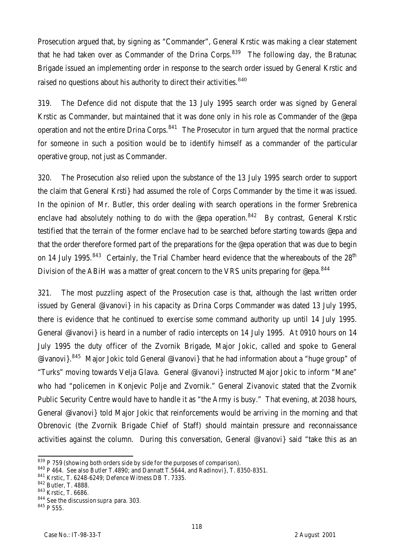Prosecution argued that, by signing as "Commander", General Krstic was making a clear statement that he had taken over as Commander of the Drina Corps.<sup>839</sup> The following day, the Bratunac Brigade issued an implementing order in response to the search order issued by General Krstic and raised no questions about his authority to direct their activities.<sup>840</sup>

319. The Defence did not dispute that the 13 July 1995 search order was signed by General Krstic as Commander, but maintained that it was done only in his role as Commander of the @epa operation and not the entire Drina Corps.<sup>841</sup> The Prosecutor in turn argued that the normal practice for someone in such a position would be to identify himself as a commander of the particular operative group, not just as Commander.

320. The Prosecution also relied upon the substance of the 13 July 1995 search order to support the claim that General Krsti} had assumed the role of Corps Commander by the time it was issued. In the opinion of Mr. Butler, this order dealing with search operations in the former Srebrenica enclave had absolutely nothing to do with the @epa operation.  $842$  By contrast, General Krstic testified that the terrain of the former enclave had to be searched before starting towards @epa and that the order therefore formed part of the preparations for the @epa operation that was due to begin on 14 July 1995.<sup>843</sup> Certainly, the Trial Chamber heard evidence that the whereabouts of the 28<sup>th</sup> Division of the ABiH was a matter of great concern to the VRS units preparing for @epa.<sup>844</sup>

321. The most puzzling aspect of the Prosecution case is that, although the last written order issued by General @ivanovi} in his capacity as Drina Corps Commander was dated 13 July 1995, there is evidence that he continued to exercise some command authority up until 14 July 1995. General @ivanovi} is heard in a number of radio intercepts on 14 July 1995. At 0910 hours on 14 July 1995 the duty officer of the Zvornik Brigade, Major Jokic, called and spoke to General @ivanovi}.<sup>845</sup> Major Jokic told General @ivanovi} that he had information about a "huge group" of "Turks" moving towards Velja Glava. General @ivanovi} instructed Major Jokic to inform "Mane" who had "policemen in Konjevic Polje and Zvornik." General Zivanovic stated that the Zvornik Public Security Centre would have to handle it as "the Army is busy." That evening, at 2038 hours, General @ivanovi} told Major Jokic that reinforcements would be arriving in the morning and that Obrenovic (the Zvornik Brigade Chief of Staff) should maintain pressure and reconnaissance activities against the column. During this conversation, General @ivanovi} said "take this as an

 $\overline{a}$  $839$  P 759 (showing both orders side by side for the purposes of comparison).

<sup>840</sup> P 464. See also Butler T.4890; and Dannatt T.5644, and Radinovi}, T. 8350-8351.

<sup>841</sup> Krstic, T. 6248-6249; Defence Witness DB T. 7335.

<sup>842</sup> Butler, T. 4888.

<sup>843</sup> Krstic, T. 6686.

<sup>844</sup> See the discussion *supra* para. 303.

<sup>845</sup> P 555.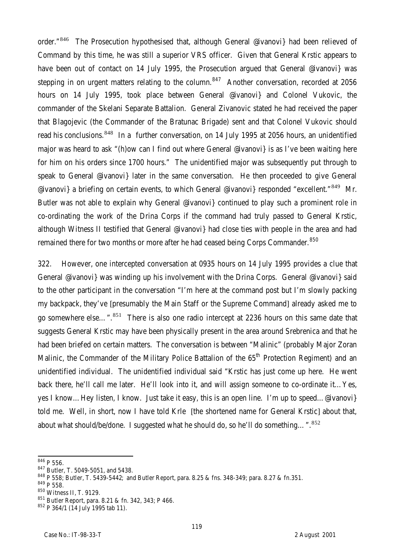order."<sup>846</sup> The Prosecution hypothesised that, although General @ivanovi} had been relieved of Command by this time, he was still a superior VRS officer. Given that General Krstic appears to have been out of contact on 14 July 1995, the Prosecution argued that General @ivanovi} was stepping in on urgent matters relating to the column.<sup>847</sup> Another conversation, recorded at 2056 hours on 14 July 1995, took place between General @ivanovi} and Colonel Vukovic, the commander of the Skelani Separate Battalion. General Zivanovic stated he had received the paper that Blagojevic (the Commander of the Bratunac Brigade) sent and that Colonel Vukovic should read his conclusions.<sup>848</sup> In a further conversation, on 14 July 1995 at 2056 hours, an unidentified major was heard to ask "(h)ow can I find out where General @ivanovi} is as I've been waiting here for him on his orders since 1700 hours." The unidentified major was subsequently put through to speak to General @ivanovi} later in the same conversation. He then proceeded to give General @ivanovi} a briefing on certain events, to which General @ivanovi} responded "excellent."<sup>849</sup> Mr. Butler was not able to explain why General @ivanovi} continued to play such a prominent role in co-ordinating the work of the Drina Corps if the command had truly passed to General Krstic, although Witness II testified that General @ivanovi} had close ties with people in the area and had remained there for two months or more after he had ceased being Corps Commander. 850

322. However, one intercepted conversation at 0935 hours on 14 July 1995 provides a clue that General @ivanovi} was winding up his involvement with the Drina Corps. General @ivanovi} said to the other participant in the conversation "I'm here at the command post but I'm slowly packing my backpack, they've [presumably the Main Staff or the Supreme Command] already asked me to go somewhere else...".<sup>851</sup> There is also one radio intercept at 2236 hours on this same date that suggests General Krstic may have been physically present in the area around Srebrenica and that he had been briefed on certain matters. The conversation is between "Malinic" (probably Major Zoran Malinic, the Commander of the Military Police Battalion of the 65<sup>th</sup> Protection Regiment) and an unidentified individual. The unidentified individual said "Krstic has just come up here. He went back there, he'll call me later. He'll look into it, and will assign someone to co-ordinate it... Yes, yes I know…Hey listen, I know. Just take it easy, this is an open line. I'm up to speed…@ivanovi} told me. Well, in short, now I have told Krle [the shortened name for General Krstic] about that, about what should/be/done. I suggested what he should do, so he'll do something...".  $852$ 

 $\overline{a}$ <sup>846</sup> P 556.

<sup>847</sup> Butler, T. 5049-5051, and 5438.

<sup>848</sup> P 558; Butler, T. 5439-5442; and Butler Report, para. 8.25 & fns. 348-349; para. 8.27 & fn.351.

<sup>849</sup> P 558.

<sup>850</sup> Witness II, T. 9129.

<sup>851</sup> Butler Report, para. 8.21 & fn. 342, 343; P 466.

<sup>852</sup> P 364/1 (14 July 1995 tab 11).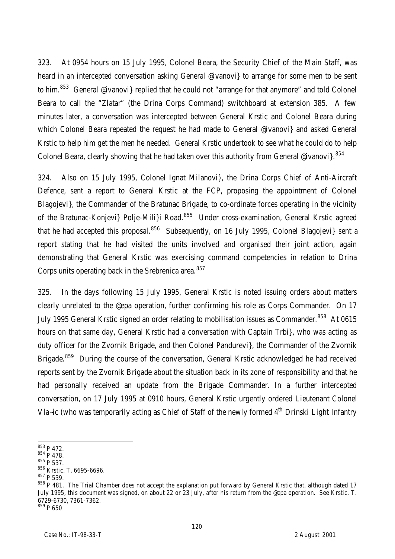323. At 0954 hours on 15 July 1995, Colonel Beara, the Security Chief of the Main Staff, was heard in an intercepted conversation asking General @ivanovi} to arrange for some men to be sent to him.<sup>853</sup> General @ivanovi} replied that he could not "arrange for that anymore" and told Colonel Beara to call the "Zlatar" (the Drina Corps Command) switchboard at extension 385. A few minutes later, a conversation was intercepted between General Krstic and Colonel Beara during which Colonel Beara repeated the request he had made to General @ivanovi} and asked General Krstic to help him get the men he needed. General Krstic undertook to see what he could do to help Colonel Beara, clearly showing that he had taken over this authority from General @ivanovi}.<sup>854</sup>

324. Also on 15 July 1995, Colonel Ignat Milanovi}, the Drina Corps Chief of Anti-Aircraft Defence, sent a report to General Krstic at the FCP, proposing the appointment of Colonel Blagojevi}, the Commander of the Bratunac Brigade, to co-ordinate forces operating in the vicinity of the Bratunac-Konjevi} Polje-Mili}i Road.<sup>855</sup> Under cross-examination, General Krstic agreed that he had accepted this proposal.<sup>856</sup> Subsequently, on 16 July 1995, Colonel Blagojevi sent a report stating that he had visited the units involved and organised their joint action, again demonstrating that General Krstic was exercising command competencies in relation to Drina Corps units operating back in the Srebrenica area.<sup>857</sup>

325. In the days following 15 July 1995, General Krstic is noted issuing orders about matters clearly unrelated to the @epa operation, further confirming his role as Corps Commander. On 17 July 1995 General Krstic signed an order relating to mobilisation issues as Commander.<sup>858</sup> At 0615 hours on that same day, General Krstic had a conversation with Captain Trbi}, who was acting as duty officer for the Zvornik Brigade, and then Colonel Pandurevi}, the Commander of the Zvornik Brigade.<sup>859</sup> During the course of the conversation, General Krstic acknowledged he had received reports sent by the Zvornik Brigade about the situation back in its zone of responsibility and that he had personally received an update from the Brigade Commander. In a further intercepted conversation, on 17 July 1995 at 0910 hours, General Krstic urgently ordered Lieutenant Colonel Vla~ic (who was temporarily acting as Chief of Staff of the newly formed  $4<sup>th</sup>$  Drinski Light Infantry

<sup>857</sup> P 539.

 $\overline{a}$  $^{853}$  P 472.

<sup>854</sup> P 478.

<sup>855</sup> P 537.

<sup>856</sup> Krstic, T. 6695-6696.

<sup>&</sup>lt;sup>858</sup> P 481. The Trial Chamber does not accept the explanation put forward by General Krstic that, although dated 17 July 1995, this document was signed, on about 22 or 23 July, after his return from the @epa operation. See Krstic, T. 6729-6730, 7361-7362.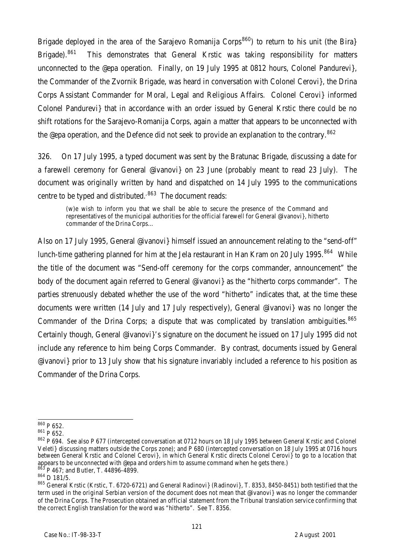Brigade deployed in the area of the Sarajevo Romanija Corps<sup>860</sup>) to return to his unit (the Bira) Brigade).<sup>861</sup> This demonstrates that General Krstic was taking responsibility for matters unconnected to the @epa operation. Finally, on 19 July 1995 at 0812 hours, Colonel Pandurevi}, the Commander of the Zvornik Brigade, was heard in conversation with Colonel Cerovi}, the Drina Corps Assistant Commander for Moral, Legal and Religious Affairs. Colonel Cerovi} informed Colonel Pandurevi} that in accordance with an order issued by General Krstic there could be no shift rotations for the Sarajevo-Romanija Corps, again a matter that appears to be unconnected with the @epa operation, and the Defence did not seek to provide an explanation to the contrary.<sup>862</sup>

326. On 17 July 1995, a typed document was sent by the Bratunac Brigade, discussing a date for a farewell ceremony for General @ivanovi} on 23 June (probably meant to read 23 July). The document was originally written by hand and dispatched on 14 July 1995 to the communications centre to be typed and distributed. $863$  The document reads:

(w)e wish to inform you that we shall be able to secure the presence of the Command and representatives of the municipal authorities for the official farewell for General @ivanovi}, hitherto commander of the Drina Corps…

Also on 17 July 1995, General @ivanovi} himself issued an announcement relating to the "send-off" lunch-time gathering planned for him at the Jela restaurant in Han Kram on 20 July 1995.<sup>864</sup> While the title of the document was "Send-off ceremony for the corps commander, announcement" the body of the document again referred to General @ivanovi} as the "hitherto corps commander". The parties strenuously debated whether the use of the word "hitherto" indicates that, at the time these documents were written (14 July and 17 July respectively), General @ivanovi} was no longer the Commander of the Drina Corps; a dispute that was complicated by translation ambiquities.<sup>865</sup> Certainly though, General @ivanovi}'s signature on the document he issued on 17 July 1995 did not include any reference to him being Corps Commander. By contrast, documents issued by General @ivanovi} prior to 13 July show that his signature invariably included a reference to his position as Commander of the Drina Corps.

 $\overline{a}$ <sup>860</sup> P 652.

<sup>861</sup> P 652.

<sup>862</sup> P 694. See also P 677 (intercepted conversation at 0712 hours on 18 July 1995 between General Krstic and Colonel Veleti} discussing matters outside the Corps zone); and P 680 (intercepted conversation on 18 July 1995 at 0716 hours between General Krstic and Colonel Cerovi}, in which General Krstic directs Colonel Cerovi} to go to a location that appears to be unconnected with @epa and orders him to assume command when he gets there.)

<sup>863</sup> P 467; and Butler, T. 44896-4899.

<sup>864</sup> D 181/5.

<sup>865</sup> General Krstic (Krstic, T. 6720-6721) and General Radinovi} (Radinovi}, T. 8353, 8450-8451) both testified that the term used in the original Serbian version of the document does not mean that @ivanovi} was no longer the commander of the Drina Corps. The Prosecution obtained an official statement from the Tribunal translation service confirming that the correct English translation for the word was "hitherto". See T. 8356.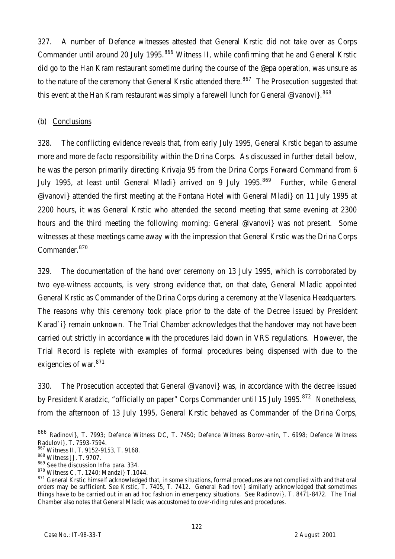327. A number of Defence witnesses attested that General Krstic did not take over as Corps Commander until around 20 July 1995.<sup>866</sup> Witness II, while confirming that he and General Krstic did go to the Han Kram restaurant sometime during the course of the @epa operation, was unsure as to the nature of the ceremony that General Krstic attended there.<sup>867</sup> The Prosecution suggested that this event at the Han Kram restaurant was simply a farewell lunch for General @ivanovi}.<sup>868</sup>

### (b) Conclusions

328. The conflicting evidence reveals that, from early July 1995, General Krstic began to assume more and more *de facto* responsibility within the Drina Corps. As discussed in further detail below, he was the person primarily directing Krivaja 95 from the Drina Corps Forward Command from 6 July 1995, at least until General Mladi} arrived on 9 July 1995.<sup>869</sup> Further, while General @ivanovi} attended the first meeting at the Fontana Hotel with General Mladi} on 11 July 1995 at 2200 hours, it was General Krstic who attended the second meeting that same evening at 2300 hours and the third meeting the following morning: General @ivanovi} was not present. Some witnesses at these meetings came away with the impression that General Krstic was the Drina Corps Commander. 870

329. The documentation of the hand over ceremony on 13 July 1995, which is corroborated by two eye-witness accounts, is very strong evidence that, on that date, General Mladic appointed General Krstic as Commander of the Drina Corps during a ceremony at the Vlasenica Headquarters. The reasons why this ceremony took place prior to the date of the Decree issued by President Karad`i} remain unknown. The Trial Chamber acknowledges that the handover may not have been carried out strictly in accordance with the procedures laid down in VRS regulations. However, the Trial Record is replete with examples of formal procedures being dispensed with due to the exigencies of war.<sup>871</sup>

330. The Prosecution accepted that General @ivanovi} was, in accordance with the decree issued by President Karadzic, "officially on paper" Corps Commander until 15 July 1995.<sup>872</sup> Nonetheless, from the afternoon of 13 July 1995, General Krstic behaved as Commander of the Drina Corps,

l

<sup>&</sup>lt;sup>866</sup> Radinovi}, T. 7993; Defence Witness DC, T. 7450; Defence Witness Borov~anin, T. 6998; Defence Witness Radulovi}, T. 7593-7594.

<sup>867</sup> Witness II, T. 9152-9153, T. 9168.

<sup>868</sup> Witness JJ, T. 9707.

<sup>869</sup> See the discussion *Infra* para. 334.

<sup>870</sup> Witness C, T. 1240; Mandzi} T.1044.

<sup>871</sup> General Krstic himself acknowledged that, in some situations, formal procedures are not complied with and that oral orders may be sufficient. See Krstic, T. 7405, T. 7412. General Radinovi} similarly acknowledged that sometimes things have to be carried out in an ad hoc fashion in emergency situations. See Radinovi}, T. 8471-8472. The Trial Chamber also notes that General Mladic was accustomed to over-riding rules and procedures.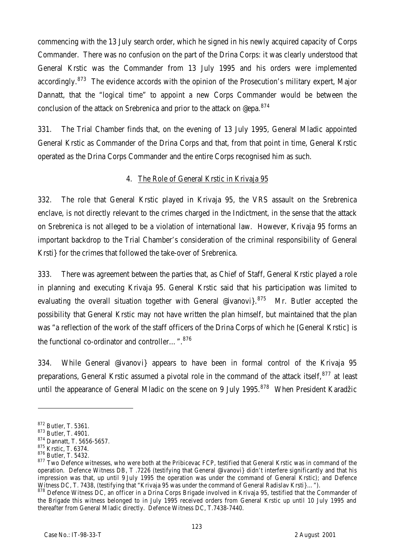commencing with the 13 July search order, which he signed in his newly acquired capacity of Corps Commander. There was no confusion on the part of the Drina Corps: it was clearly understood that General Krstic was the Commander from 13 July 1995 and his orders were implemented accordingly.<sup>873</sup> The evidence accords with the opinion of the Prosecution's military expert, Major Dannatt, that the "logical time" to appoint a new Corps Commander would be between the conclusion of the attack on Srebrenica and prior to the attack on @epa.<sup>874</sup>

331. The Trial Chamber finds that, on the evening of 13 July 1995, General Mladic appointed General Krstic as Commander of the Drina Corps and that, from that point in time, General Krstic operated as the Drina Corps Commander and the entire Corps recognised him as such.

# 4. The Role of General Krstic in Krivaja 95

332. The role that General Krstic played in Krivaja 95, the VRS assault on the Srebrenica enclave, is not directly relevant to the crimes charged in the Indictment, in the sense that the attack on Srebrenica is not alleged to be a violation of international law. However, Krivaja 95 forms an important backdrop to the Trial Chamber's consideration of the criminal responsibility of General Krsti} for the crimes that followed the take-over of Srebrenica.

333. There was agreement between the parties that, as Chief of Staff, General Krstic played a role in planning and executing Krivaja 95. General Krstic said that his participation was limited to evaluating the overall situation together with General @ivanovi $\frac{1}{2}$ . Mr. Butler accepted the possibility that General Krstic may not have written the plan himself, but maintained that the plan was "a reflection of the work of the staff officers of the Drina Corps of which he [General Krstic] is the functional co-ordinator and controller…".<sup>876</sup>

334. While General @ivanovi} appears to have been in formal control of the Krivaja 95 preparations, General Krstic assumed a pivotal role in the command of the attack itself.<sup>877</sup> at least until the appearance of General Mladic on the scene on 9 July 1995.<sup>878</sup> When President Karadžic

l

<sup>872</sup> Butler, T. 5361.

<sup>873</sup> Butler, T. 4901.

<sup>874</sup> Dannatt, T. 5656-5657.

<sup>875</sup> Krstic, T. 6374.

<sup>876</sup> Butler, T. 5432.

<sup>877</sup> Two Defence witnesses, who were both at the Pribicevac FCP, testified that General Krstic was in command of the operation. Defence Witness DB, T .7226 (testifying that General @ivanovi} didn't interfere significantly and that his impression was that, up until 9 July 1995 the operation was under the command of General Krstic); and Defence Witness DC, T. 7438, (testifying that "Krivaja 95 was under the command of General Radislav Krsti}…").

<sup>878</sup> Defence Witness DC, an officer in a Drina Corps Brigade involved in Krivaja 95, testified that the Commander of the Brigade this witness belonged to in July 1995 received orders from General Krstic up until 10 July 1995 and thereafter from General Mladic directly. Defence Witness DC, T.7438-7440.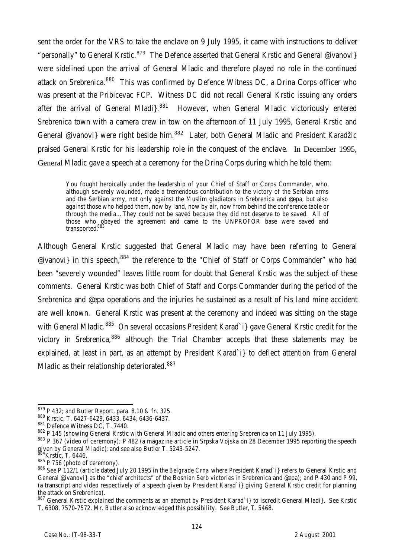sent the order for the VRS to take the enclave on 9 July 1995, it came with instructions to deliver "personally" to General Krstic.<sup>879</sup> The Defence asserted that General Krstic and General @ivanovi} were sidelined upon the arrival of General Mladic and therefore played no role in the continued attack on Srebrenica.<sup>880</sup> This was confirmed by Defence Witness DC, a Drina Corps officer who was present at the Pribicevac FCP. Witness DC did not recall General Krstic issuing any orders after the arrival of General Mladi}.<sup>881</sup> However, when General Mladic victoriously entered Srebrenica town with a camera crew in tow on the afternoon of 11 July 1995, General Krstic and General @ivanovi} were right beside him.<sup>882</sup> Later, both General Mladic and President Karadžic praised General Krstic for his leadership role in the conquest of the enclave. In December 1995, General Mladic gave a speech at a ceremony for the Drina Corps during which he told them:

You fought heroically under the leadership of your Chief of Staff or Corps Commander, who, although severely wounded, made a tremendous contribution to the victory of the Serbian arms and the Serbian army, not only against the Muslim gladiators in Srebrenica and @epa, but also against those who helped them, now by land, now by air, now from behind the conference table or through the media…They could not be saved because they did not deserve to be saved. All of those who obeyed the agreement and came to the UNPROFOR base were saved and transported.<sup>883</sup>

Although General Krstic suggested that General Mladic may have been referring to General  $\infty$ ivanovi} in this speech,  $884$  the reference to the "Chief of Staff or Corps Commander" who had been "severely wounded" leaves little room for doubt that General Krstic was the subject of these comments. General Krstic was both Chief of Staff and Corps Commander during the period of the Srebrenica and @epa operations and the injuries he sustained as a result of his land mine accident are well known. General Krstic was present at the ceremony and indeed was sitting on the stage with General Mladic.<sup>885</sup> On several occasions President Karad`i} gave General Krstic credit for the victory in Srebrenica, <sup>886</sup> although the Trial Chamber accepts that these statements may be explained, at least in part, as an attempt by President Karad`i} to deflect attention from General Mladic as their relationship deteriorated.<sup>887</sup>

 $\overline{a}$  $879$  P 432; and Butler Report, para. 8.10 & fn. 325.

<sup>880</sup> Krstic, T. 6427-6429, 6433, 6434, 6436-6437.

<sup>881</sup> Defence Witness DC, T. 7440.

<sup>882</sup> P 145 (showing General Krstic with General Mladic and others entering Srebrenica on 11 July 1995).

<sup>883</sup> P 367 (video of ceremony); P 482 (a magazine article in Srpska Vojska on 28 December 1995 reporting the speech given by General Mladic); and see also Butler T. 5243-5247.

<sup>884</sup>Krstic, T. 6446.

 $885$  P 756 (photo of ceremony).

<sup>886</sup> See P 112/1 (article dated July 20 1995 in the *Belgrade Crna* where President Karad`i} refers to General Krstic and General @ivanovi} as the "chief architects" of the Bosnian Serb victories in Srebrenica and @epa); and P 430 and P 99, (a transcript and video respectively of a speech given by President Karad`i} giving General Krstic credit for planning the attack on Srebrenica).

<sup>887</sup> General Krstic explained the comments as an attempt by President Karad`i} to iscredit General Mladi}. See Krstic T. 6308, 7570-7572. Mr. Butler also acknowledged this possibility. See Butler, T. 5468.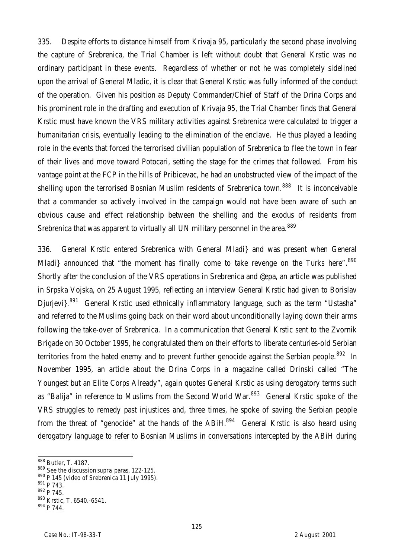335. Despite efforts to distance himself from Krivaja 95, particularly the second phase involving the capture of Srebrenica, the Trial Chamber is left without doubt that General Krstic was no ordinary participant in these events. Regardless of whether or not he was completely sidelined upon the arrival of General Mladic, it is clear that General Krstic was fully informed of the conduct of the operation. Given his position as Deputy Commander/Chief of Staff of the Drina Corps and his prominent role in the drafting and execution of Krivaja 95, the Trial Chamber finds that General Krstic must have known the VRS military activities against Srebrenica were calculated to trigger a humanitarian crisis, eventually leading to the elimination of the enclave. He thus played a leading role in the events that forced the terrorised civilian population of Srebrenica to flee the town in fear of their lives and move toward Potocari, setting the stage for the crimes that followed. From his vantage point at the FCP in the hills of Pribicevac, he had an unobstructed view of the impact of the shelling upon the terrorised Bosnian Muslim residents of Srebrenica town.<sup>888</sup> It is inconceivable that a commander so actively involved in the campaign would not have been aware of such an obvious cause and effect relationship between the shelling and the exodus of residents from Srebrenica that was apparent to virtually all UN military personnel in the area.<sup>889</sup>

336. General Krstic entered Srebrenica with General Mladi} and was present when General Mladi} announced that "the moment has finally come to take revenge on the Turks here".<sup>890</sup> Shortly after the conclusion of the VRS operations in Srebrenica and @epa, an article was published in Srpska Vojska, on 25 August 1995, reflecting an interview General Krstic had given to Borislav Diurievi}.<sup>891</sup> General Krstic used ethnically inflammatory language, such as the term "Ustasha" and referred to the Muslims going back on their word about unconditionally laying down their arms following the take-over of Srebrenica. In a communication that General Krstic sent to the Zvornik Brigade on 30 October 1995, he congratulated them on their efforts to liberate centuries-old Serbian territories from the hated enemy and to prevent further genocide against the Serbian people.<sup>892</sup> In November 1995, an article about the Drina Corps in a magazine called Drinski called "The Youngest but an Elite Corps Already", again quotes General Krstic as using derogatory terms such as "Balija" in reference to Muslims from the Second World War.<sup>893</sup> General Krstic spoke of the VRS struggles to remedy past injustices and, three times, he spoke of saving the Serbian people from the threat of "genocide" at the hands of the  $ABiH<sup>894</sup>$  General Krstic is also heard using derogatory language to refer to Bosnian Muslims in conversations intercepted by the ABiH during

- <sup>889</sup> See the discussion *supra* paras. 122-125.
- 890 P 145 (video of Srebrenica 11 July 1995).

 $\overline{a}$ <sup>888</sup> Butler, T. 4187.

<sup>891</sup> P 743.

<sup>892</sup> P 745.

<sup>893</sup> Krstic, T. 6540.-6541.

<sup>894</sup> P 744.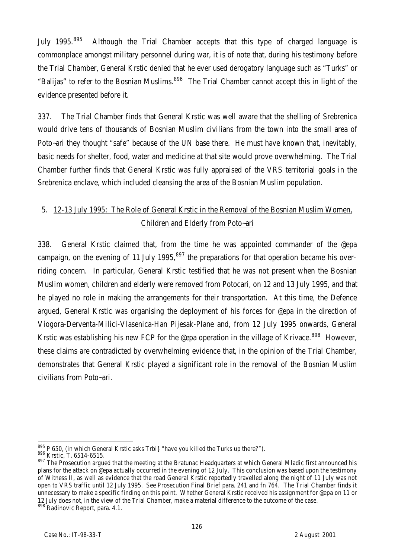July 1995.<sup>895</sup> Although the Trial Chamber accepts that this type of charged language is commonplace amongst military personnel during war, it is of note that, during his testimony before the Trial Chamber, General Krstic denied that he ever used derogatory language such as "Turks" or "Balijas" to refer to the Bosnian Muslims.<sup>896</sup> The Trial Chamber cannot accept this in light of the evidence presented before it.

337. The Trial Chamber finds that General Krstic was well aware that the shelling of Srebrenica would drive tens of thousands of Bosnian Muslim civilians from the town into the small area of Poto~ari they thought "safe" because of the UN base there. He must have known that, inevitably, basic needs for shelter, food, water and medicine at that site would prove overwhelming. The Trial Chamber further finds that General Krstic was fully appraised of the VRS territorial goals in the Srebrenica enclave, which included cleansing the area of the Bosnian Muslim population.

# 5. 12-13 July 1995: The Role of General Krstic in the Removal of the Bosnian Muslim Women, Children and Elderly from Poto~ari

338. General Krstic claimed that, from the time he was appointed commander of the @epa campaign, on the evening of 11 July 1995,  $897$  the preparations for that operation became his overriding concern. In particular, General Krstic testified that he was not present when the Bosnian Muslim women, children and elderly were removed from Potocari, on 12 and 13 July 1995, and that he played no role in making the arrangements for their transportation. At this time, the Defence argued, General Krstic was organising the deployment of his forces for @epa in the direction of Viogora-Derventa-Milici-Vlasenica-Han Pijesak-Plane and, from 12 July 1995 onwards, General Krstic was establishing his new FCP for the @epa operation in the village of Krivace.<sup>898</sup> However, these claims are contradicted by overwhelming evidence that, in the opinion of the Trial Chamber, demonstrates that General Krstic played a significant role in the removal of the Bosnian Muslim civilians from Poto~ari.

 $\overline{a}$  $\frac{895}{10}$  P 650, (in which General Krstic asks Trbi} "have you killed the Turks up there?").

<sup>896</sup> Krstic, T. 6514-6515.

<sup>897</sup> The Prosecution argued that the meeting at the Bratunac Headquarters at which General Mladic first announced his plans for the attack on @epa actually occurred in the evening of 12 July. This conclusion was based upon the testimony of Witness II, as well as evidence that the road General Krstic reportedly travelled along the night of 11 July was not open to VRS traffic until 12 July 1995. See Prosecution Final Brief para. 241 and fn 764. The Trial Chamber finds it unnecessary to make a specific finding on this point. Whether General Krstic received his assignment for @epa on 11 or 12 July does not, in the view of the Trial Chamber, make a material difference to the outcome of the case.

<sup>898</sup> Radinovic Report, para. 4.1.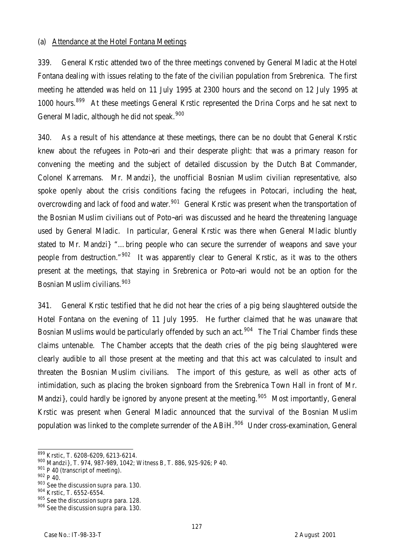#### (a) Attendance at the Hotel Fontana Meetings

339. General Krstic attended two of the three meetings convened by General Mladic at the Hotel Fontana dealing with issues relating to the fate of the civilian population from Srebrenica. The first meeting he attended was held on 11 July 1995 at 2300 hours and the second on 12 July 1995 at 1000 hours.<sup>899</sup> At these meetings General Krstic represented the Drina Corps and he sat next to General Mladic, although he did not speak.<sup>900</sup>

340. As a result of his attendance at these meetings, there can be no doubt that General Krstic knew about the refugees in Poto~ari and their desperate plight: that was a primary reason for convening the meeting and the subject of detailed discussion by the Dutch Bat Commander, Colonel Karremans. Mr. Mandzi}, the unofficial Bosnian Muslim civilian representative, also spoke openly about the crisis conditions facing the refugees in Potocari, including the heat, overcrowding and lack of food and water.<sup>901</sup> General Krstic was present when the transportation of the Bosnian Muslim civilians out of Poto~ari was discussed and he heard the threatening language used by General Mladic. In particular, General Krstic was there when General Mladic bluntly stated to Mr. Mandzi} "…bring people who can secure the surrender of weapons and save your people from destruction."<sup>902</sup> It was apparently clear to General Krstic, as it was to the others present at the meetings, that staying in Srebrenica or Poto~ari would not be an option for the Bosnian Muslim civilians.<sup>903</sup>

341. General Krstic testified that he did not hear the cries of a pig being slaughtered outside the Hotel Fontana on the evening of 11 July 1995. He further claimed that he was unaware that Bosnian Muslims would be particularly offended by such an act.<sup>904</sup> The Trial Chamber finds these claims untenable. The Chamber accepts that the death cries of the pig being slaughtered were clearly audible to all those present at the meeting and that this act was calculated to insult and threaten the Bosnian Muslim civilians. The import of this gesture, as well as other acts of intimidation, such as placing the broken signboard from the Srebrenica Town Hall in front of Mr. Mandzi}, could hardly be ignored by anyone present at the meeting.<sup>905</sup> Most importantly, General Krstic was present when General Mladic announced that the survival of the Bosnian Muslim population was linked to the complete surrender of the ABiH.<sup>906</sup> Under cross-examination, General

 $\overline{a}$ <sup>899</sup> Krstic, T. 6208-6209, 6213-6214.

<sup>900</sup> Mandzi}, T. 974, 987-989, 1042; Witness B, T. 886, 925-926; P 40.

<sup>&</sup>lt;sup>901</sup> P 40 (transcript of meeting).

<sup>902</sup> P 40.

<sup>903</sup> See the discussion *supra* para. 130.

<sup>904</sup> Krstic, T. 6552-6554.

<sup>905</sup> See the discussion *supra* para. 128.

<sup>906</sup> See the discussion *supra* para. 130.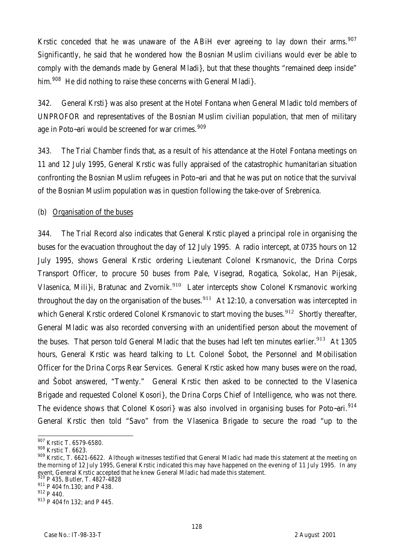Krstic conceded that he was unaware of the ABiH ever agreeing to lay down their arms.  $907$ Significantly, he said that he wondered how the Bosnian Muslim civilians would ever be able to comply with the demands made by General Mladi}, but that these thoughts "remained deep inside" him.<sup>908</sup> He did nothing to raise these concerns with General Mladi}.

342. General Krsti} was also present at the Hotel Fontana when General Mladic told members of UNPROFOR and representatives of the Bosnian Muslim civilian population, that men of military age in Poto~ari would be screened for war crimes.<sup>909</sup>

343. The Trial Chamber finds that, as a result of his attendance at the Hotel Fontana meetings on 11 and 12 July 1995, General Krstic was fully appraised of the catastrophic humanitarian situation confronting the Bosnian Muslim refugees in Poto~ari and that he was put on notice that the survival of the Bosnian Muslim population was in question following the take-over of Srebrenica.

### (b) Organisation of the buses

344. The Trial Record also indicates that General Krstic played a principal role in organising the buses for the evacuation throughout the day of 12 July 1995. A radio intercept, at 0735 hours on 12 July 1995, shows General Krstic ordering Lieutenant Colonel Krsmanovic, the Drina Corps Transport Officer, to procure 50 buses from Pale, Visegrad, Rogatica, Sokolac, Han Pijesak, Vlasenica, Mili}i, Bratunac and Zvornik.<sup>910</sup> Later intercepts show Colonel Krsmanovic working throughout the day on the organisation of the buses.<sup>911</sup> At 12:10, a conversation was intercepted in which General Krstic ordered Colonel Krsmanovic to start moving the buses.<sup>912</sup> Shortly thereafter, General Mladic was also recorded conversing with an unidentified person about the movement of the buses. That person told General Mladic that the buses had left ten minutes earlier.<sup>913</sup> At 1305 hours, General Krstic was heard talking to Lt. Colonel Šobot, the Personnel and Mobilisation Officer for the Drina Corps Rear Services. General Krstic asked how many buses were on the road, and Šobot answered, "Twenty." General Krstic then asked to be connected to the Vlasenica Brigade and requested Colonel Kosori}, the Drina Corps Chief of Intelligence, who was not there. The evidence shows that Colonel Kosori} was also involved in organising buses for Poto~ari.<sup>914</sup> General Krstic then told "Savo" from the Vlasenica Brigade to secure the road "up to the

 $\overline{a}$ <sup>907</sup> Krstic T. 6579-6580.

<sup>908</sup> Krstic T. 6623.

<sup>909</sup> Krstic, T. 6621-6622. Although witnesses testified that General Mladic had made this statement at the meeting on the morning of 12 July 1995, General Krstic indicated this may have happened on the evening of 11 July 1995. In any event, General Krstic accepted that he knew General Mladic had made this statement.

<sup>910</sup> P 435, Butler, T. 4827-4828

<sup>911</sup> P 404 fn.130; and P 438.

<sup>&</sup>lt;sup>912</sup> P 440.

<sup>913</sup> P 404 fn 132; and P 445.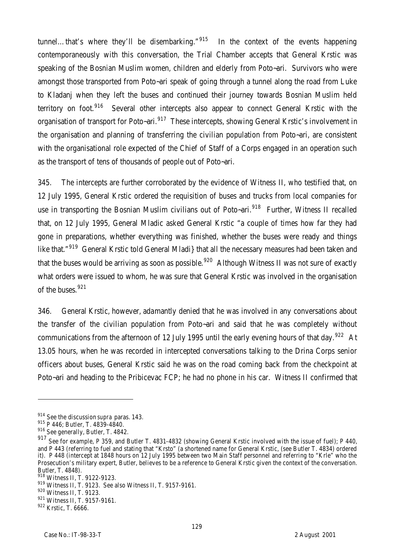tunnel...that's where they'll be disembarking." $915$  In the context of the events happening contemporaneously with this conversation, the Trial Chamber accepts that General Krstic was speaking of the Bosnian Muslim women, children and elderly from Poto~ari. Survivors who were amongst those transported from Poto~ari speak of going through a tunnel along the road from Luke to Kladanj when they left the buses and continued their journey towards Bosnian Muslim held territory on foot.<sup>916</sup> Several other intercepts also appear to connect General Krstic with the organisation of transport for Poto~ari.<sup>917</sup> These intercepts, showing General Krstic's involvement in the organisation and planning of transferring the civilian population from Poto~ari, are consistent with the organisational role expected of the Chief of Staff of a Corps engaged in an operation such as the transport of tens of thousands of people out of Poto~ari.

345. The intercepts are further corroborated by the evidence of Witness II, who testified that, on 12 July 1995, General Krstic ordered the requisition of buses and trucks from local companies for use in transporting the Bosnian Muslim civilians out of Poto~ari.<sup>918</sup> Further, Witness II recalled that, on 12 July 1995, General Mladic asked General Krstic "a couple of times how far they had gone in preparations, whether everything was finished, whether the buses were ready and things like that."<sup>919</sup> General Krstic told General Mladi} that all the necessary measures had been taken and that the buses would be arriving as soon as possible.<sup>920</sup> Although Witness II was not sure of exactly what orders were issued to whom, he was sure that General Krstic was involved in the organisation of the buses.<sup>921</sup>

346. General Krstic, however, adamantly denied that he was involved in any conversations about the transfer of the civilian population from Poto~ari and said that he was completely without communications from the afternoon of 12 July 1995 until the early evening hours of that day.<sup>922</sup> At 13.05 hours, when he was recorded in intercepted conversations talking to the Drina Corps senior officers about buses, General Krstic said he was on the road coming back from the checkpoint at Poto~ari and heading to the Pribicevac FCP; he had no phone in his car. Witness II confirmed that

l

<sup>914</sup> See the discussion *supra* paras. 143.

<sup>915</sup> P 446; Butler, T. 4839-4840.

<sup>916</sup> See generally, Butler, T. 4842.

<sup>917</sup> See for example, P 359, and Butler T. 4831-4832 (showing General Krstic involved with the issue of fuel); P 440, and P 443 (referring to fuel and stating that "Krsto" (a shortened name for General Krstic, (see Butler T. 4834) ordered it). P 448 (intercept at 1848 hours on 12 July 1995 between two Main Staff personnel and referring to "Krle" who the Prosecution's military expert, Butler, believes to be a reference to General Krstic given the context of the conversation. Butler, T. 4848).

<sup>918</sup> Witness II, T. 9122-9123.

<sup>919</sup> Witness II, T. 9123. See also Witness II, T. 9157-9161.

<sup>920</sup> Witness II, T. 9123.

<sup>921</sup> Witness II, T. 9157-9161.

<sup>922</sup> Krstic, T. 6666.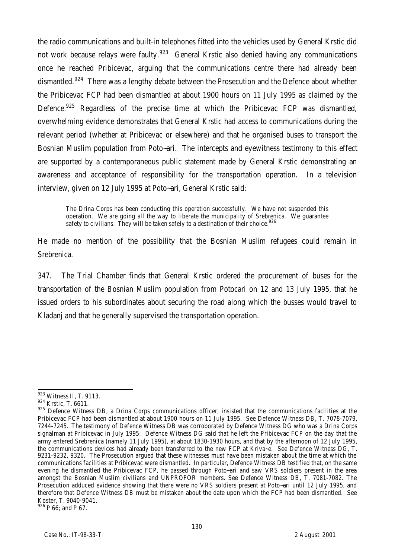the radio communications and built-in telephones fitted into the vehicles used by General Krstic did not work because relays were faulty.<sup>923</sup> General Krstic also denied having any communications once he reached Pribicevac, arguing that the communications centre there had already been dismantled.<sup>924</sup> There was a lengthy debate between the Prosecution and the Defence about whether the Pribicevac FCP had been dismantled at about 1900 hours on 11 July 1995 as claimed by the Defence.<sup>925</sup> Regardless of the precise time at which the Pribicevac FCP was dismantled, overwhelming evidence demonstrates that General Krstic had access to communications during the relevant period (whether at Pribicevac or elsewhere) and that he organised buses to transport the Bosnian Muslim population from Poto~ari. The intercepts and eyewitness testimony to this effect are supported by a contemporaneous public statement made by General Krstic demonstrating an awareness and acceptance of responsibility for the transportation operation. In a television interview, given on 12 July 1995 at Poto~ari, General Krstic said:

The Drina Corps has been conducting this operation successfully. We have not suspended this operation. We are going all the way to liberate the municipality of Srebrenica. We guarantee safety to civilians. They will be taken safely to a destination of their choice.<sup>926</sup>

He made no mention of the possibility that the Bosnian Muslim refugees could remain in Srebrenica.

347. The Trial Chamber finds that General Krstic ordered the procurement of buses for the transportation of the Bosnian Muslim population from Potocari on 12 and 13 July 1995, that he issued orders to his subordinates about securing the road along which the busses would travel to Kladanj and that he generally supervised the transportation operation.

 $\overline{a}$ <sup>923</sup> Witness II, T. 9113.

<sup>924</sup> Krstic, T. 6611.

<sup>925</sup> Defence Witness DB, a Drina Corps communications officer, insisted that the communications facilities at the Pribicevac FCP had been dismantled at about 1900 hours on 11 July 1995. See Defence Witness DB, T. 7078-7079, 7244-7245. The testimony of Defence Witness DB was corroborated by Defence Witness DG who was a Drina Corps signalman at Pribicevac in July 1995. Defence Witness DG said that he left the Pribicevac FCP on the day that the army entered Srebrenica (namely 11 July 1995), at about 1830-1930 hours, and that by the afternoon of 12 July 1995, the communications devices had already been transferred to the new FCP at Kriva~e. See Defence Witness DG, T. 9231-9232, 9320. The Prosecution argued that these witnesses must have been mistaken about the time at which the communications facilities at Pribicevac were dismantled. In particular, Defence Witness DB testified that, on the same evening he dismantled the Pribicevac FCP, he passed through Poto~ari and saw VRS soldiers present in the area amongst the Bosnian Muslim civilians and UNPROFOR members. See Defence Witness DB, T. 7081-7082. The Prosecution adduced evidence showing that there were no VRS soldiers present at Poto~ari until 12 July 1995, and therefore that Defence Witness DB must be mistaken about the date upon which the FCP had been dismantled. See Koster, T. 9040-9041.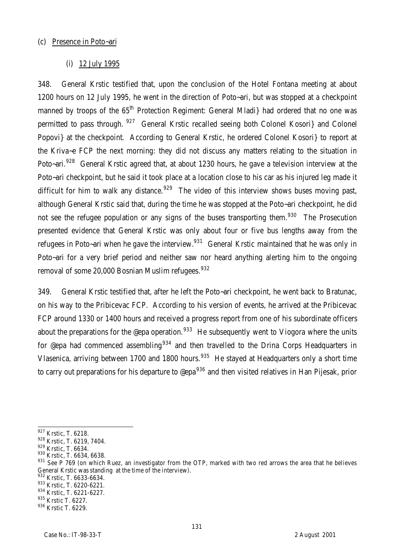#### (c) Presence in Poto~ari

### (i) 12 July 1995

348. General Krstic testified that, upon the conclusion of the Hotel Fontana meeting at about 1200 hours on 12 July 1995, he went in the direction of Poto~ari, but was stopped at a checkpoint manned by troops of the 65<sup>th</sup> Protection Regiment: General Mladi} had ordered that no one was permitted to pass through. <sup>927</sup> General Krstic recalled seeing both Colonel Kosori} and Colonel Popovi} at the checkpoint. According to General Krstic, he ordered Colonel Kosori} to report at the Kriva~e FCP the next morning: they did not discuss any matters relating to the situation in Poto-ari.<sup>928</sup> General Krstic agreed that, at about 1230 hours, he gave a television interview at the Poto~ari checkpoint, but he said it took place at a location close to his car as his injured leg made it difficult for him to walk any distance.<sup>929</sup> The video of this interview shows buses moving past, although General Krstic said that, during the time he was stopped at the Poto~ari checkpoint, he did not see the refugee population or any signs of the buses transporting them.<sup>930</sup> The Prosecution presented evidence that General Krstic was only about four or five bus lengths away from the refugees in Poto-ari when he gave the interview.<sup>931</sup> General Krstic maintained that he was only in Poto~ari for a very brief period and neither saw nor heard anything alerting him to the ongoing removal of some 20,000 Bosnian Muslim refugees.<sup>932</sup>

349. General Krstic testified that, after he left the Poto~ari checkpoint, he went back to Bratunac, on his way to the Pribicevac FCP. According to his version of events, he arrived at the Pribicevac FCP around 1330 or 1400 hours and received a progress report from one of his subordinate officers about the preparations for the @epa operation.<sup>933</sup> He subsequently went to Viogora where the units for eepa had commenced assembling<sup>934</sup> and then travelled to the Drina Corps Headquarters in Vlasenica, arriving between 1700 and 1800 hours.<sup>935</sup> He stayed at Headquarters only a short time to carry out preparations for his departure to @epa<sup>936</sup> and then visited relatives in Han Pijesak, prior

 $\overline{a}$ <sup>927</sup> Krstic, T. 6218.

<sup>928</sup> Krstic, T. 6219, 7404.

<sup>929</sup> Krstic, T. 6634.

<sup>930</sup> Krstic, T. 6634, 6638.

<sup>931</sup> See P 769 (on which Ruez, an investigator from the OTP, marked with two red arrows the area that he believes General Krstic was standing at the time of the interview).

<sup>932</sup> Krstic, T. 6633-6634.

<sup>933</sup> Krstic, T. 6220-6221.

<sup>934</sup> Krstic, T. 6221-6227.

<sup>935</sup> Krstic T. 6227.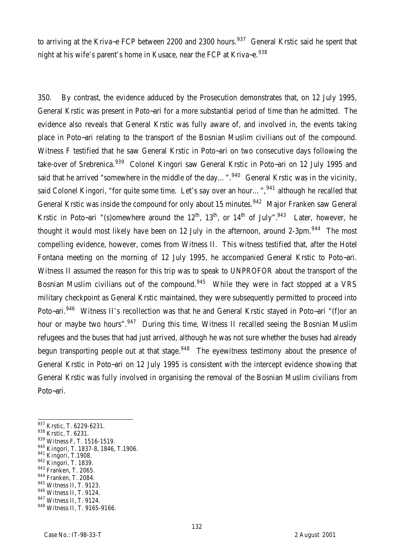to arriving at the Kriva~e FCP between 2200 and 2300 hours.<sup>937</sup> General Krstic said he spent that night at his wife's parent's home in Kusace, near the FCP at Kriva-e.  $938$ 

350. By contrast, the evidence adduced by the Prosecution demonstrates that, on 12 July 1995, General Krstic was present in Poto~ari for a more substantial period of time than he admitted. The evidence also reveals that General Krstic was fully aware of, and involved in, the events taking place in Poto~ari relating to the transport of the Bosnian Muslim civilians out of the compound. Witness F testified that he saw General Krstic in Poto~ari on two consecutive days following the take-over of Srebrenica.<sup>939</sup> Colonel Kingori saw General Krstic in Poto~ari on 12 July 1995 and said that he arrived "somewhere in the middle of the day...".<sup>940</sup> General Krstic was in the vicinity, said Colonel Kingori, "for quite some time. Let's say over an hour...",  $941$  although he recalled that General Krstic was inside the compound for only about 15 minutes.<sup>942</sup> Major Franken saw General Krstic in Poto~ari "(s)omewhere around the 12<sup>th</sup>, 13<sup>th</sup>, or 14<sup>th</sup> of July".<sup>943</sup> Later, however, he thought it would most likely have been on 12 July in the afternoon, around 2-3pm.  $944$  The most compelling evidence, however, comes from Witness II. This witness testified that, after the Hotel Fontana meeting on the morning of 12 July 1995, he accompanied General Krstic to Poto~ari. Witness II assumed the reason for this trip was to speak to UNPROFOR about the transport of the Bosnian Muslim civilians out of the compound.<sup>945</sup> While they were in fact stopped at a VRS military checkpoint as General Krstic maintained, they were subsequently permitted to proceed into Poto~ari.<sup>946</sup> Witness II's recollection was that he and General Krstic stayed in Poto~ari "(f)or an hour or maybe two hours".<sup>947</sup> During this time, Witness II recalled seeing the Bosnian Muslim refugees and the buses that had just arrived, although he was not sure whether the buses had already begun transporting people out at that stage.<sup>948</sup> The eyewitness testimony about the presence of General Krstic in Poto~ari on 12 July 1995 is consistent with the intercept evidence showing that General Krstic was fully involved in organising the removal of the Bosnian Muslim civilians from Poto~ari.

 $\overline{a}$ 

- <sup>942</sup> Kingori, T. 1839.
- <sup>943</sup> Franken, T. 2065.
- <sup>944</sup> Franken, T. 2084.
- <sup>945</sup> Witness II, T. 9123.
- <sup>946</sup> Witness II, T. 9124.
- 947 Witness II, T. 9124.

<sup>&</sup>lt;sup>937</sup> Krstic, T. 6229-6231.

<sup>938</sup> Krstic, T. 6231.

<sup>939</sup> Witness F, T. 1516-1519.

<sup>940</sup> Kingori, T. 1837-8, 1846, T.1906. 941 Kingori, T.1908.

<sup>948</sup> Witness II, T. 9165-9166.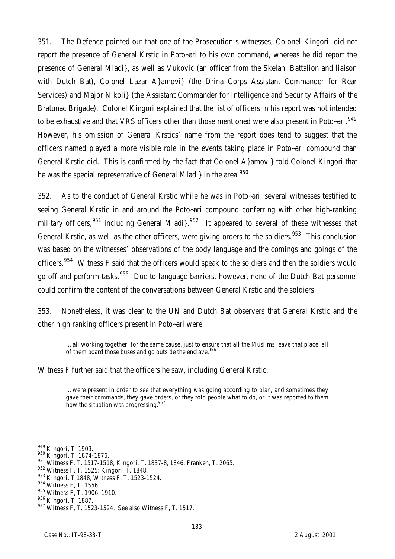351. The Defence pointed out that one of the Prosecution's witnesses, Colonel Kingori, did not report the presence of General Krstic in Poto~ari to his own command, whereas he did report the presence of General Mladi}, as well as Vukovic (an officer from the Skelani Battalion and liaison with Dutch Bat), Colonel Lazar A}amovi} (the Drina Corps Assistant Commander for Rear Services) and Major Nikoli} (the Assistant Commander for Intelligence and Security Affairs of the Bratunac Brigade). Colonel Kingori explained that the list of officers in his report was not intended to be exhaustive and that VRS officers other than those mentioned were also present in Poto~ari.<sup>949</sup> However, his omission of General Krstics' name from the report does tend to suggest that the officers named played a more visible role in the events taking place in Poto~ari compound than General Krstic did. This is confirmed by the fact that Colonel A}amovi} told Colonel Kingori that he was the special representative of General Mladi} in the area.<sup>950</sup>

352. As to the conduct of General Krstic while he was in Poto~ari, several witnesses testified to seeing General Krstic in and around the Poto~ari compound conferring with other high-ranking military officers,  $951$  including General Mladi).  $952$  It appeared to several of these witnesses that General Krstic, as well as the other officers, were giving orders to the soldiers.<sup>953</sup> This conclusion was based on the witnesses' observations of the body language and the comings and goings of the officers.<sup>954</sup> Witness F said that the officers would speak to the soldiers and then the soldiers would go off and perform tasks.<sup>955</sup> Due to language barriers, however, none of the Dutch Bat personnel could confirm the content of the conversations between General Krstic and the soldiers.

353. Nonetheless, it was clear to the UN and Dutch Bat observers that General Krstic and the other high ranking officers present in Poto~ari were:

…all working together, for the same cause, just to ensure that all the Muslims leave that place, all of them board those buses and go outside the enclave.<sup>956</sup>

Witness F further said that the officers he saw, including General Krstic:

…were present in order to see that everything was going according to plan, and sometimes they gave their commands, they gave orders, or they told people what to do, or it was reported to them how the situation was progressing.<sup>957</sup>

 $\overline{a}$ <sup>949</sup> Kingori, T. 1909.

<sup>950</sup> Kingori, T. 1874-1876.

<sup>&</sup>lt;sup>951</sup> Witness F, T. 1517-1518; Kingori, T. 1837-8, 1846; Franken, T. 2065.

<sup>&</sup>lt;sup>952</sup> Witness F, T. 1525; Kingori, T. 1848.

<sup>953</sup> Kingori, T.1848, Witness F, T. 1523-1524.

<sup>&</sup>lt;sup>954</sup> Witness F, T. 1556.

<sup>&</sup>lt;sup>955</sup> Witness F, T. 1906, 1910.

<sup>956</sup> Kingori, T. 1887.

<sup>957</sup> Witness F, T. 1523-1524. See also Witness F, T. 1517.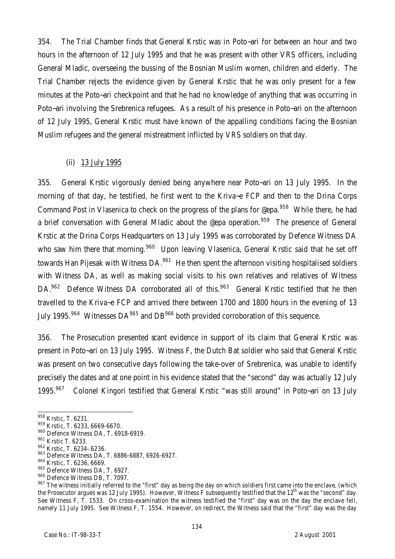354. The Trial Chamber finds that General Krstic was in Poto~ari for between an hour and two hours in the afternoon of 12 July 1995 and that he was present with other VRS officers, including General Mladic, overseeing the bussing of the Bosnian Muslim women, children and elderly. The Trial Chamber rejects the evidence given by General Krstic that he was only present for a few minutes at the Poto~ari checkpoint and that he had no knowledge of anything that was occurring in Poto~ari involving the Srebrenica refugees. As a result of his presence in Poto~ari on the afternoon of 12 July 1995, General Krstic must have known of the appalling conditions facing the Bosnian Muslim refugees and the general mistreatment inflicted by VRS soldiers on that day.

### (ii) 13 July 1995

355. General Krstic vigorously denied being anywhere near Poto~ari on 13 July 1995. In the morning of that day, he testified, he first went to the Kriva~e FCP and then to the Drina Corps Command Post in Vlasenica to check on the progress of the plans for @epa.<sup>958</sup> While there, he had a brief conversation with General Mladic about the @epa operation.<sup>959</sup> The presence of General Krstic at the Drina Corps Headquarters on 13 July 1995 was corroborated by Defence Witness DA who saw him there that morning.<sup>960</sup> Upon leaving Vlasenica, General Krstic said that he set off towards Han Pijesak with Witness DA.<sup>961</sup> He then spent the afternoon visiting hospitalised soldiers with Witness DA, as well as making social visits to his own relatives and relatives of Witness DA.<sup>962</sup> Defence Witness DA corroborated all of this.<sup>963</sup> General Krstic testified that he then travelled to the Kriva~e FCP and arrived there between 1700 and 1800 hours in the evening of 13 July 1995.<sup>964</sup> Witnesses DA<sup>965</sup> and DB<sup>966</sup> both provided corroboration of this sequence.

356. The Prosecution presented scant evidence in support of its claim that General Krstic was present in Poto~ari on 13 July 1995. Witness F, the Dutch Bat soldier who said that General Krstic was present on two consecutive days following the take-over of Srebrenica, was unable to identify precisely the dates and at one point in his evidence stated that the "second" day was actually 12 July 1995.<sup>967</sup> Colonel Kingori testified that General Krstic "was still around" in Poto~ari on 13 July

 $\overline{a}$ 

965 Defence Witness DA, T. 6927.

<sup>&</sup>lt;sup>958</sup> Krstic, T. 6231.

<sup>959</sup> Krstic, T. 6233, 6669-6670.

<sup>960</sup> Defence Witness DA, T. 6918-6919.

<sup>961</sup> Krstic T. 6233.

<sup>962</sup> Krstic, T. 6234-.6236.

<sup>963</sup> Defence Witness DA, T. 6886-6887, 6926-6927.

<sup>964</sup> Krstic, T. 6236, 6669.

<sup>966</sup> Defence Witness DB, T. 7097.

<sup>967</sup> The witness initially referred to the "first" day as being the day on which soldiers first came into the enclave, (which the Prosecutor argues was 12 July 1995). However, Witness F subsequently testified that the 12<sup>th</sup> was the "second" day. See Witness F, T. 1533. On cross-examination the witness testified the "first" day was on the day the enclave fell, namely 11 July 1995. See Witness F, T. 1554. However, on redirect, the Witness said that the "first" day was the day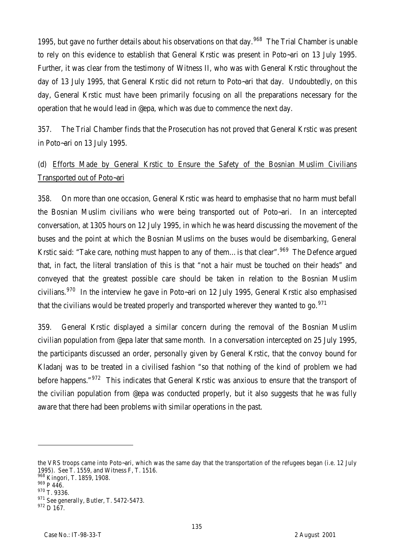1995, but gave no further details about his observations on that day.<sup>968</sup> The Trial Chamber is unable to rely on this evidence to establish that General Krstic was present in Poto~ari on 13 July 1995. Further, it was clear from the testimony of Witness II, who was with General Krstic throughout the day of 13 July 1995, that General Krstic did not return to Poto~ari that day. Undoubtedly, on this day, General Krstic must have been primarily focusing on all the preparations necessary for the operation that he would lead in @epa, which was due to commence the next day.

357. The Trial Chamber finds that the Prosecution has not proved that General Krstic was present in Poto~ari on 13 July 1995.

# (d) Efforts Made by General Krstic to Ensure the Safety of the Bosnian Muslim Civilians Transported out of Poto~ari

358. On more than one occasion, General Krstic was heard to emphasise that no harm must befall the Bosnian Muslim civilians who were being transported out of Poto~ari. In an intercepted conversation, at 1305 hours on 12 July 1995, in which he was heard discussing the movement of the buses and the point at which the Bosnian Muslims on the buses would be disembarking, General Krstic said: "Take care, nothing must happen to any of them... is that clear".<sup>969</sup> The Defence arqued that, in fact, the literal translation of this is that "not a hair must be touched on their heads" and conveyed that the greatest possible care should be taken in relation to the Bosnian Muslim civilians.<sup>970</sup> In the interview he gave in Poto~ari on 12 July 1995, General Krstic also emphasised that the civilians would be treated properly and transported wherever they wanted to  $\alpha$ .<sup>971</sup>

359. General Krstic displayed a similar concern during the removal of the Bosnian Muslim civilian population from @epa later that same month. In a conversation intercepted on 25 July 1995, the participants discussed an order, personally given by General Krstic, that the convoy bound for Kladanj was to be treated in a civilised fashion "so that nothing of the kind of problem we had before happens."<sup>972</sup> This indicates that General Krstic was anxious to ensure that the transport of the civilian population from @epa was conducted properly, but it also suggests that he was fully aware that there had been problems with similar operations in the past.

l

the VRS troops came into Poto~ari, which was the same day that the transportation of the refugees began (i.e. 12 July 1995). See T. 1559, and Witness F, T. 1516.

<sup>968</sup> Kingori, T. 1859, 1908.

 $969$  P 446.

<sup>970</sup> T. 9336.

<sup>971</sup> See generally, Butler, T. 5472-5473.

 $972$  D  $167$ .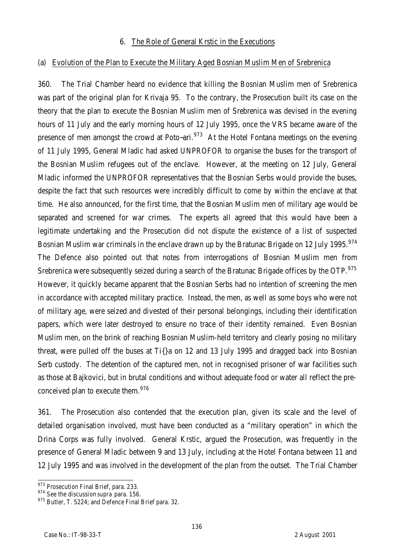#### 6. The Role of General Krstic in the Executions

### (a) Evolution of the Plan to Execute the Military Aged Bosnian Muslim Men of Srebrenica

360. The Trial Chamber heard no evidence that killing the Bosnian Muslim men of Srebrenica was part of the original plan for Krivaja 95. To the contrary, the Prosecution built its case on the theory that the plan to execute the Bosnian Muslim men of Srebrenica was devised in the evening hours of 11 July and the early morning hours of 12 July 1995, once the VRS became aware of the presence of men amongst the crowd at Poto~ari.<sup>973</sup> At the Hotel Fontana meetings on the evening of 11 July 1995, General Mladic had asked UNPROFOR to organise the buses for the transport of the Bosnian Muslim refugees out of the enclave. However, at the meeting on 12 July, General Mladic informed the UNPROFOR representatives that the Bosnian Serbs would provide the buses, despite the fact that such resources were incredibly difficult to come by within the enclave at that time. He also announced, for the first time, that the Bosnian Muslim men of military age would be separated and screened for war crimes. The experts all agreed that this would have been a legitimate undertaking and the Prosecution did not dispute the existence of a list of suspected Bosnian Muslim war criminals in the enclave drawn up by the Bratunac Brigade on 12 July 1995.<sup>974</sup> The Defence also pointed out that notes from interrogations of Bosnian Muslim men from Srebrenica were subsequently seized during a search of the Bratunac Brigade offices by the OTP.<sup>975</sup> However, it quickly became apparent that the Bosnian Serbs had no intention of screening the men in accordance with accepted military practice. Instead, the men, as well as some boys who were not of military age, were seized and divested of their personal belongings, including their identification papers, which were later destroyed to ensure no trace of their identity remained. Even Bosnian Muslim men, on the brink of reaching Bosnian Muslim-held territory and clearly posing no military threat, were pulled off the buses at Ti{}a on 12 and 13 July 1995 and dragged back into Bosnian Serb custody. The detention of the captured men, not in recognised prisoner of war facilities such as those at Bajkovici, but in brutal conditions and without adequate food or water all reflect the preconceived plan to execute them.<sup>976</sup>

361. The Prosecution also contended that the execution plan, given its scale and the level of detailed organisation involved, must have been conducted as a "military operation" in which the Drina Corps was fully involved. General Krstic, argued the Prosecution, was frequently in the presence of General Mladic between 9 and 13 July, including at the Hotel Fontana between 11 and 12 July 1995 and was involved in the development of the plan from the outset. The Trial Chamber

 $\overline{a}$ <sup>973</sup> Prosecution Final Brief, para. 233.

<sup>974</sup> See the discussion *supra* para. 156.

<sup>975</sup> Butler, T. 5224; and Defence Final Brief para. 32.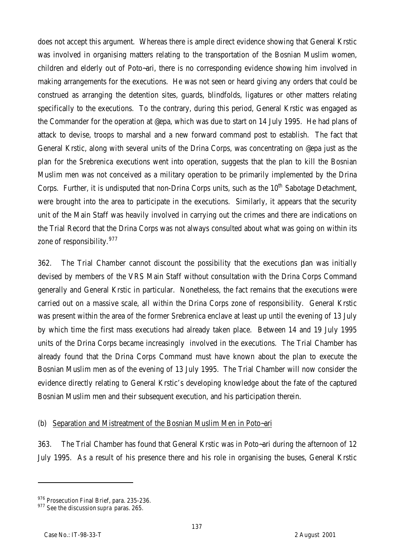does not accept this argument. Whereas there is ample direct evidence showing that General Krstic was involved in organising matters relating to the transportation of the Bosnian Muslim women, children and elderly out of Poto~ari, there is no corresponding evidence showing him involved in making arrangements for the executions. He was not seen or heard giving any orders that could be construed as arranging the detention sites, guards, blindfolds, ligatures or other matters relating specifically to the executions. To the contrary, during this period, General Krstic was engaged as the Commander for the operation at @epa, which was due to start on 14 July 1995. He had plans of attack to devise, troops to marshal and a new forward command post to establish. The fact that General Krstic, along with several units of the Drina Corps, was concentrating on @epa just as the plan for the Srebrenica executions went into operation, suggests that the plan to kill the Bosnian Muslim men was not conceived as a military operation to be primarily implemented by the Drina Corps. Further, it is undisputed that non-Drina Corps units, such as the  $10<sup>th</sup>$  Sabotage Detachment, were brought into the area to participate in the executions. Similarly, it appears that the security unit of the Main Staff was heavily involved in carrying out the crimes and there are indications on the Trial Record that the Drina Corps was not always consulted about what was going on within its zone of responsibility.<sup>977</sup>

362. The Trial Chamber cannot discount the possibility that the executions plan was initially devised by members of the VRS Main Staff without consultation with the Drina Corps Command generally and General Krstic in particular. Nonetheless, the fact remains that the executions were carried out on a massive scale, all within the Drina Corps zone of responsibility. General Krstic was present within the area of the former Srebrenica enclave at least up until the evening of 13 July by which time the first mass executions had already taken place. Between 14 and 19 July 1995 units of the Drina Corps became increasingly involved in the executions. The Trial Chamber has already found that the Drina Corps Command must have known about the plan to execute the Bosnian Muslim men as of the evening of 13 July 1995. The Trial Chamber will now consider the evidence directly relating to General Krstic's developing knowledge about the fate of the captured Bosnian Muslim men and their subsequent execution, and his participation therein.

#### (b) Separation and Mistreatment of the Bosnian Muslim Men in Poto~ari

363. The Trial Chamber has found that General Krstic was in Poto~ari during the afternoon of 12 July 1995. As a result of his presence there and his role in organising the buses, General Krstic

l

<sup>976</sup> Prosecution Final Brief, para. 235-236.

<sup>977</sup> See the discussion *supra* paras. 265.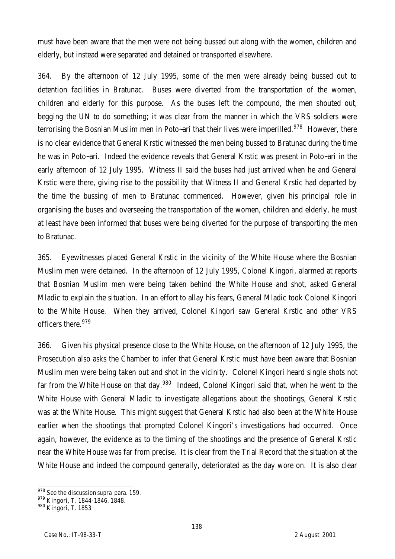must have been aware that the men were not being bussed out along with the women, children and elderly, but instead were separated and detained or transported elsewhere.

364. By the afternoon of 12 July 1995, some of the men were already being bussed out to detention facilities in Bratunac. Buses were diverted from the transportation of the women, children and elderly for this purpose. As the buses left the compound, the men shouted out, begging the UN to do something; it was clear from the manner in which the VRS soldiers were terrorising the Bosnian Muslim men in Poto~ari that their lives were imperilled.<sup>978</sup> However, there is no clear evidence that General Krstic witnessed the men being bussed to Bratunac during the time he was in Poto~ari. Indeed the evidence reveals that General Krstic was present in Poto~ari in the early afternoon of 12 July 1995. Witness II said the buses had just arrived when he and General Krstic were there, giving rise to the possibility that Witness II and General Krstic had departed by the time the bussing of men to Bratunac commenced. However, given his principal role in organising the buses and overseeing the transportation of the women, children and elderly, he must at least have been informed that buses were being diverted for the purpose of transporting the men to Bratunac.

365. Eyewitnesses placed General Krstic in the vicinity of the White House where the Bosnian Muslim men were detained. In the afternoon of 12 July 1995, Colonel Kingori, alarmed at reports that Bosnian Muslim men were being taken behind the White House and shot, asked General Mladic to explain the situation. In an effort to allay his fears, General Mladic took Colonel Kingori to the White House. When they arrived, Colonel Kingori saw General Krstic and other VRS officers there. 979

366. Given his physical presence close to the White House, on the afternoon of 12 July 1995, the Prosecution also asks the Chamber to infer that General Krstic must have been aware that Bosnian Muslim men were being taken out and shot in the vicinity. Colonel Kingori heard single shots not far from the White House on that day.<sup>980</sup> Indeed, Colonel Kingori said that, when he went to the White House with General Mladic to investigate allegations about the shootings, General Krstic was at the White House. This might suggest that General Krstic had also been at the White House earlier when the shootings that prompted Colonel Kingori's investigations had occurred. Once again, however, the evidence as to the timing of the shootings and the presence of General Krstic near the White House was far from precise. It is clear from the Trial Record that the situation at the White House and indeed the compound generally, deteriorated as the day wore on. It is also clear

 $\overline{a}$ <sup>978</sup> See the discussion *supra* para. 159.

<sup>979</sup> Kingori, T. 1844-1846, 1848.

<sup>980</sup> Kingori, T. 1853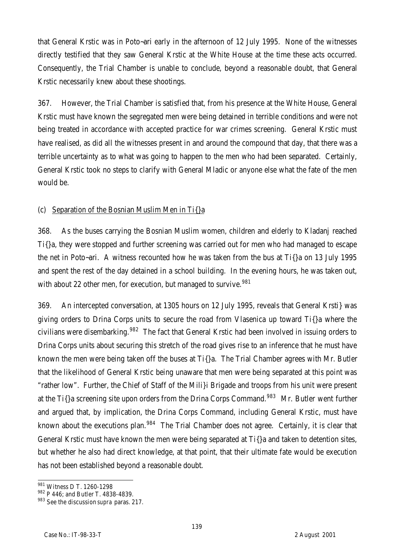that General Krstic was in Poto~ari early in the afternoon of 12 July 1995. None of the witnesses directly testified that they saw General Krstic at the White House at the time these acts occurred. Consequently, the Trial Chamber is unable to conclude, beyond a reasonable doubt, that General Krstic necessarily knew about these shootings.

367. However, the Trial Chamber is satisfied that, from his presence at the White House, General Krstic must have known the segregated men were being detained in terrible conditions and were not being treated in accordance with accepted practice for war crimes screening. General Krstic must have realised, as did all the witnesses present in and around the compound that day, that there was a terrible uncertainty as to what was going to happen to the men who had been separated. Certainly, General Krstic took no steps to clarify with General Mladic or anyone else what the fate of the men would be.

# (c) Separation of the Bosnian Muslim Men in Ti{}a

368. As the buses carrying the Bosnian Muslim women, children and elderly to Kladanj reached Ti{}a, they were stopped and further screening was carried out for men who had managed to escape the net in Poto~ari. A witness recounted how he was taken from the bus at Ti{}a on 13 July 1995 and spent the rest of the day detained in a school building. In the evening hours, he was taken out, with about 22 other men, for execution, but managed to survive.<sup>981</sup>

369. An intercepted conversation, at 1305 hours on 12 July 1995, reveals that General Krsti} was giving orders to Drina Corps units to secure the road from Vlasenica up toward Ti{}a where the civilians were disembarking.<sup>982</sup> The fact that General Krstic had been involved in issuing orders to Drina Corps units about securing this stretch of the road gives rise to an inference that he must have known the men were being taken off the buses at Ti{}a. The Trial Chamber agrees with Mr. Butler that the likelihood of General Krstic being unaware that men were being separated at this point was "rather low". Further, the Chief of Staff of the Mili}i Brigade and troops from his unit were present at the Ti{}a screening site upon orders from the Drina Corps Command.<sup>983</sup> Mr. Butler went further and argued that, by implication, the Drina Corps Command, including General Krstic, must have known about the executions plan.<sup>984</sup> The Trial Chamber does not agree. Certainly, it is clear that General Krstic must have known the men were being separated at Ti{}a and taken to detention sites, but whether he also had direct knowledge, at that point, that their ultimate fate would be execution has not been established beyond a reasonable doubt.

 $\overline{a}$ <sup>981</sup> Witness D T. 1260-1298

<sup>982</sup> P 446; and Butler T. 4838-4839.

<sup>983</sup> See the discussion *supra* paras. 217.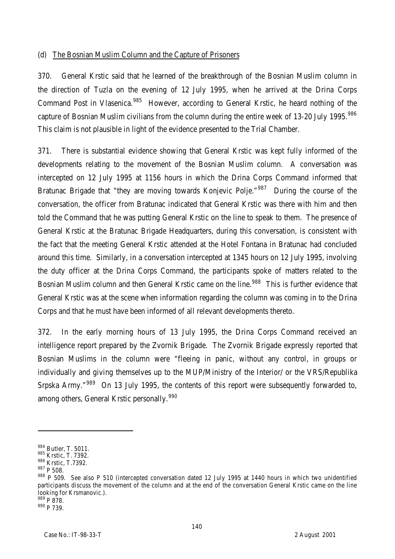### (d) The Bosnian Muslim Column and the Capture of Prisoners

370. General Krstic said that he learned of the breakthrough of the Bosnian Muslim column in the direction of Tuzla on the evening of 12 July 1995, when he arrived at the Drina Corps Command Post in Vlasenica.<sup>985</sup> However, according to General Krstic, he heard nothing of the capture of Bosnian Muslim civilians from the column during the entire week of 13-20 July 1995.<sup>986</sup> This claim is not plausible in light of the evidence presented to the Trial Chamber.

371. There is substantial evidence showing that General Krstic was kept fully informed of the developments relating to the movement of the Bosnian Muslim column. A conversation was intercepted on 12 July 1995 at 1156 hours in which the Drina Corps Command informed that Bratunac Brigade that "they are moving towards Konjevic Polje."<sup>987</sup> During the course of the conversation, the officer from Bratunac indicated that General Krstic was there with him and then told the Command that he was putting General Krstic on the line to speak to them. The presence of General Krstic at the Bratunac Brigade Headquarters, during this conversation, is consistent with the fact that the meeting General Krstic attended at the Hotel Fontana in Bratunac had concluded around this time. Similarly, in a conversation intercepted at 1345 hours on 12 July 1995, involving the duty officer at the Drina Corps Command, the participants spoke of matters related to the Bosnian Muslim column and then General Krstic came on the line.<sup>988</sup> This is further evidence that General Krstic was at the scene when information regarding the column was coming in to the Drina Corps and that he must have been informed of all relevant developments thereto.

372. In the early morning hours of 13 July 1995, the Drina Corps Command received an intelligence report prepared by the Zvornik Brigade. The Zvornik Brigade expressly reported that Bosnian Muslims in the column were "fleeing in panic, without any control, in groups or individually and giving themselves up to the MUP/Ministry of the Interior/ or the VRS/Republika Srpska Army."<sup>989</sup> On 13 July 1995, the contents of this report were subsequently forwarded to, among others, General Krstic personally.<sup>990</sup>

<sup>984</sup> Butler, T. 5011.

<sup>985</sup> Krstic, T. 7392.

<sup>986</sup> Krstic, T.7392.

<sup>987</sup> P 508.

<sup>988</sup> P 509. See also P 510 (intercepted conversation dated 12 July 1995 at 1440 hours in which two unidentified participants discuss the movement of the column and at the end of the conversation General Krstic came on the line looking for Krsmanovic.). 989 P 878.

<sup>990</sup> P 739.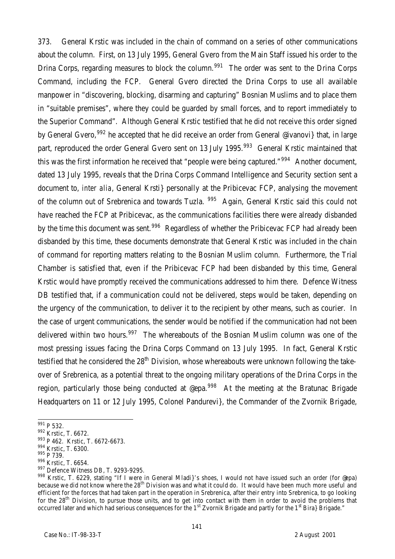373. General Krstic was included in the chain of command on a series of other communications about the column. First, on 13 July 1995, General Gvero from the Main Staff issued his order to the Drina Corps, regarding measures to block the column.<sup>991</sup> The order was sent to the Drina Corps Command, including the FCP. General Gvero directed the Drina Corps to use all available manpower in "discovering, blocking, disarming and capturing" Bosnian Muslims and to place them in "suitable premises", where they could be guarded by small forces, and to report immediately to the Superior Command". Although General Krstic testified that he did not receive this order signed by General Gvero,<sup>992</sup> he accepted that he did receive an order from General @ivanovi} that, in large part, reproduced the order General Gvero sent on 13 July 1995.<sup>993</sup> General Krstic maintained that this was the first information he received that "people were being captured."<sup>994</sup> Another document, dated 13 July 1995, reveals that the Drina Corps Command Intelligence and Security section sent a document to, *inter alia*, General Krsti} personally at the Pribicevac FCP, analysing the movement of the column out of Srebrenica and towards Tuzla. <sup>995</sup> Again, General Krstic said this could not have reached the FCP at Pribicevac, as the communications facilities there were already disbanded by the time this document was sent.<sup>996</sup> Regardless of whether the Pribicevac FCP had already been disbanded by this time, these documents demonstrate that General Krstic was included in the chain of command for reporting matters relating to the Bosnian Muslim column. Furthermore, the Trial Chamber is satisfied that, even if the Pribicevac FCP had been disbanded by this time, General Krstic would have promptly received the communications addressed to him there. Defence Witness DB testified that, if a communication could not be delivered, steps would be taken, depending on the urgency of the communication, to deliver it to the recipient by other means, such as courier. In the case of urgent communications, the sender would be notified if the communication had not been delivered within two hours.<sup>997</sup> The whereabouts of the Bosnian Muslim column was one of the most pressing issues facing the Drina Corps Command on 13 July 1995. In fact, General Krstic testified that he considered the 28<sup>th</sup> Division, whose whereabouts were unknown following the takeover of Srebrenica, as a potential threat to the ongoing military operations of the Drina Corps in the region, particularly those being conducted at @epa.<sup>998</sup> At the meeting at the Bratunac Brigade Headquarters on 11 or 12 July 1995, Colonel Pandurevi}, the Commander of the Zvornik Brigade,

 $\overline{a}$ <sup>991</sup> P 532.

<sup>992</sup> Krstic, T. 6672.

<sup>993</sup> P 462. Krstic, T. 6672-6673.

<sup>994</sup> Krstic, T. 6300.

<sup>995</sup> P 739.

<sup>996</sup> Krstic, T. 6654.

<sup>997</sup> Defence Witness DB, T. 9293-9295.

<sup>&</sup>lt;sup>998</sup> Krstic, T. 6229, stating "If I were in General Mladi}'s shoes, I would not have issued such an order (for @epa) because we did not know where the 28<sup>th</sup> Division was and what it could do. It would have been much more useful and efficient for the forces that had taken part in the operation in Srebrenica, after their entry into Srebrenica, to go looking for the 28<sup>th</sup> Division, to pursue those units, and to get into contact with them in order to avoid the problems that occurred later and which had serious consequences for the 1<sup>st</sup> Zvornik Brigade and partly for the 1<sup>st</sup> Bira} Brigade."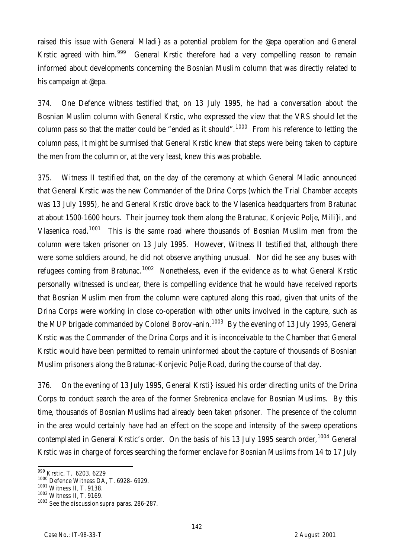raised this issue with General Mladi} as a potential problem for the @epa operation and General Krstic agreed with him.<sup>999</sup> General Krstic therefore had a very compelling reason to remain informed about developments concerning the Bosnian Muslim column that was directly related to his campaign at @epa.

374. One Defence witness testified that, on 13 July 1995, he had a conversation about the Bosnian Muslim column with General Krstic, who expressed the view that the VRS should let the column pass so that the matter could be "ended as it should".<sup>1000</sup> From his reference to letting the column pass, it might be surmised that General Krstic knew that steps were being taken to capture the men from the column or, at the very least, knew this was probable.

375. Witness II testified that, on the day of the ceremony at which General Mladic announced that General Krstic was the new Commander of the Drina Corps (which the Trial Chamber accepts was 13 July 1995), he and General Krstic drove back to the Vlasenica headquarters from Bratunac at about 1500-1600 hours. Their journey took them along the Bratunac, Konjevic Polje, Mili}i, and Vlasenica road.<sup>1001</sup> This is the same road where thousands of Bosnian Muslim men from the column were taken prisoner on 13 July 1995. However, Witness II testified that, although there were some soldiers around, he did not observe anything unusual. Nor did he see any buses with refugees coming from Bratunac.<sup>1002</sup> Nonetheless, even if the evidence as to what General Krstic personally witnessed is unclear, there is compelling evidence that he would have received reports that Bosnian Muslim men from the column were captured along this road, given that units of the Drina Corps were working in close co-operation with other units involved in the capture, such as the MUP brigade commanded by Colonel Borov~anin.<sup>1003</sup> By the evening of 13 July 1995, General Krstic was the Commander of the Drina Corps and it is inconceivable to the Chamber that General Krstic would have been permitted to remain uninformed about the capture of thousands of Bosnian Muslim prisoners along the Bratunac-Konjevic Polje Road, during the course of that day.

376. On the evening of 13 July 1995, General Krsti} issued his order directing units of the Drina Corps to conduct search the area of the former Srebrenica enclave for Bosnian Muslims. By this time, thousands of Bosnian Muslims had already been taken prisoner. The presence of the column in the area would certainly have had an effect on the scope and intensity of the sweep operations contemplated in General Krstic's order. On the basis of his 13 July 1995 search order, <sup>1004</sup> General Krstic was in charge of forces searching the former enclave for Bosnian Muslims from 14 to 17 July

 $\overline{a}$ 

<sup>&</sup>lt;sup>999</sup> Krstic, T. 6203, 6229

<sup>1000</sup> Defence Witness DA, T. 6928- 6929.

<sup>1001</sup> Witness II, T. 9138.

<sup>1002</sup> Witness II, T. 9169.

<sup>1003</sup> See the discussion *supra* paras. 286-287.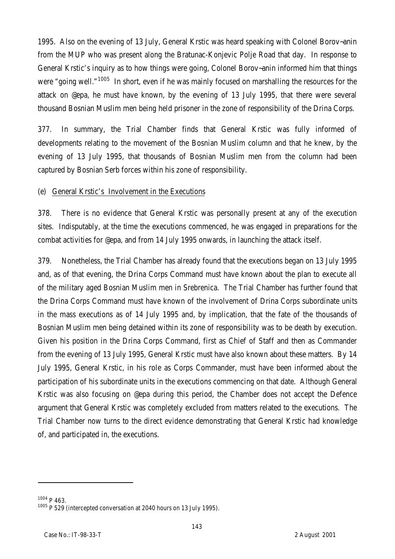1995. Also on the evening of 13 July, General Krstic was heard speaking with Colonel Borov~anin from the MUP who was present along the Bratunac-Konjevic Polje Road that day. In response to General Krstic's inquiry as to how things were going, Colonel Borov~anin informed him that things were "going well."<sup>1005</sup> In short, even if he was mainly focused on marshalling the resources for the attack on @epa, he must have known, by the evening of 13 July 1995, that there were several thousand Bosnian Muslim men being held prisoner in the zone of responsibility of the Drina Corps.

377. In summary, the Trial Chamber finds that General Krstic was fully informed of developments relating to the movement of the Bosnian Muslim column and that he knew, by the evening of 13 July 1995, that thousands of Bosnian Muslim men from the column had been captured by Bosnian Serb forces within his zone of responsibility.

#### (e) General Krstic's Involvement in the Executions

378. There is no evidence that General Krstic was personally present at any of the execution sites. Indisputably, at the time the executions commenced, he was engaged in preparations for the combat activities for @epa, and from 14 July 1995 onwards, in launching the attack itself.

379. Nonetheless, the Trial Chamber has already found that the executions began on 13 July 1995 and, as of that evening, the Drina Corps Command must have known about the plan to execute all of the military aged Bosnian Muslim men in Srebrenica. The Trial Chamber has further found that the Drina Corps Command must have known of the involvement of Drina Corps subordinate units in the mass executions as of 14 July 1995 and, by implication, that the fate of the thousands of Bosnian Muslim men being detained within its zone of responsibility was to be death by execution. Given his position in the Drina Corps Command, first as Chief of Staff and then as Commander from the evening of 13 July 1995, General Krstic must have also known about these matters. By 14 July 1995, General Krstic, in his role as Corps Commander, must have been informed about the participation of his subordinate units in the executions commencing on that date. Although General Krstic was also focusing on @epa during this period, the Chamber does not accept the Defence argument that General Krstic was completely excluded from matters related to the executions. The Trial Chamber now turns to the direct evidence demonstrating that General Krstic had knowledge of, and participated in, the executions.

<sup>1004</sup> P 463.

 $1005$  P 529 (intercepted conversation at 2040 hours on 13 July 1995).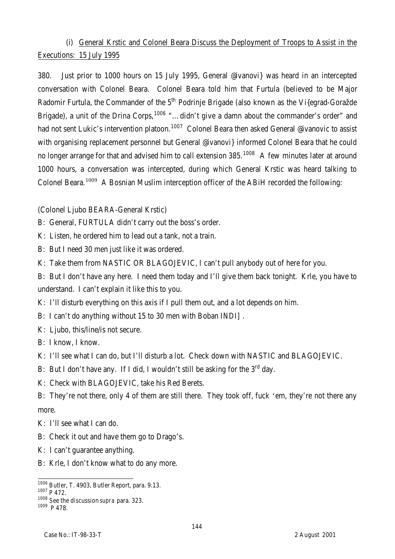# (i) General Krstic and Colonel Beara Discuss the Deployment of Troops to Assist in the Executions: 15 July 1995

380. Just prior to 1000 hours on 15 July 1995, General @ivanovi} was heard in an intercepted conversation with Colonel Beara. Colonel Beara told him that Furtula (believed to be Major Radomir Furtula, the Commander of the 5<sup>th</sup> Podrinje Brigade (also known as the Vi{egrad-Goražde Brigade), a unit of the Drina Corps,<sup>1006</sup> "...didn't give a damn about the commander's order" and had not sent Lukic's intervention platoon.<sup>1007</sup> Colonel Beara then asked General @ivanovic to assist with organising replacement personnel but General @ivanovi} informed Colonel Beara that he could no longer arrange for that and advised him to call extension 385.<sup>1008</sup> A few minutes later at around 1000 hours, a conversation was intercepted, during which General Krstic was heard talking to Colonel Beara.<sup>1009</sup> A Bosnian Muslim interception officer of the ABiH recorded the following:

#### (Colonel Ljubo BEARA-General Krstic)

- B: General, FURTULA didn't carry out the boss's order.
- K: Listen, he ordered him to lead out a tank, not a train.
- B: But I need 30 men just like it was ordered.
- K: Take them from NASTIC OR BLAGOJEVIC, I can't pull anybody out of here for you.

B: But I don't have any here. I need them today and I'll give them back tonight. Krle, you have to understand. I can't explain it like this to you.

- K: I'll disturb everything on this axis if I pull them out, and a lot depends on him.
- B: I can't do anything without 15 to 30 men with Boban INDI].
- K: Ljubo, this/line/is not secure.
- B: I know, I know.
- K: I'll see what I can do, but I'll disturb a lot. Check down with NASTIC and BLAGOJEVIC.
- B: But I don't have any. If I did, I wouldn't still be asking for the  $3<sup>rd</sup>$  day.
- K: Check with BLAGOJEVIC, take his Red Berets.

B: They're not there, only 4 of them are still there. They took off, fuck 'em, they're not there any more.

- K: I'll see what I can do.
- B: Check it out and have them go to Drago's.
- K: I can't guarantee anything.
- B: Krle, I don't know what to do any more.

 $1007 P 472.$ 

 $\overline{a}$ <sup>1006</sup> Butler, T. 4903, Butler Report, para. 9.13.

<sup>1008</sup> See the discussion *supra* para. 323.

<sup>&</sup>lt;sup>1009</sup> P 478.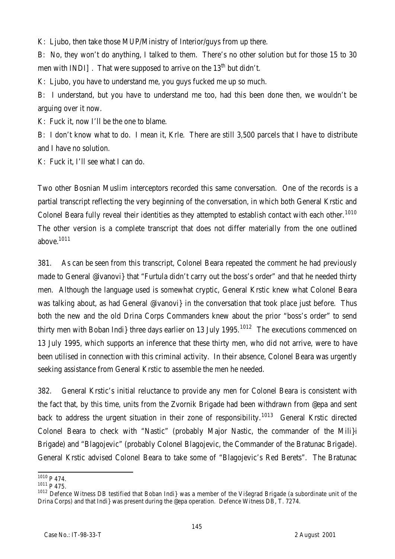K: Ljubo, then take those MUP/Ministry of Interior/guys from up there.

B: No, they won't do anything, I talked to them. There's no other solution but for those 15 to 30 men with INDI]. That were supposed to arrive on the 13<sup>th</sup> but didn't.

K: Ljubo, you have to understand me, you guys fucked me up so much.

B: I understand, but you have to understand me too, had this been done then, we wouldn't be arguing over it now.

K: Fuck it, now I'll be the one to blame.

B: I don't know what to do. I mean it, Krle. There are still 3,500 parcels that I have to distribute and I have no solution.

K: Fuck it, I'll see what I can do.

Two other Bosnian Muslim interceptors recorded this same conversation. One of the records is a partial transcript reflecting the very beginning of the conversation, in which both General Krstic and Colonel Beara fully reveal their identities as they attempted to establish contact with each other.<sup>1010</sup> The other version is a complete transcript that does not differ materially from the one outlined above.<sup>1011</sup>

381. As can be seen from this transcript, Colonel Beara repeated the comment he had previously made to General @ivanovi} that "Furtula didn't carry out the boss's order" and that he needed thirty men. Although the language used is somewhat cryptic, General Krstic knew what Colonel Beara was talking about, as had General @ivanovi} in the conversation that took place just before. Thus both the new and the old Drina Corps Commanders knew about the prior "boss's order" to send thirty men with Boban Indi} three days earlier on 13 July 1995.<sup>1012</sup> The executions commenced on 13 July 1995, which supports an inference that these thirty men, who did not arrive, were to have been utilised in connection with this criminal activity. In their absence, Colonel Beara was urgently seeking assistance from General Krstic to assemble the men he needed.

382. General Krstic's initial reluctance to provide any men for Colonel Beara is consistent with the fact that, by this time, units from the Zvornik Brigade had been withdrawn from @epa and sent back to address the urgent situation in their zone of responsibility.<sup>1013</sup> General Krstic directed Colonel Beara to check with "Nastic" (probably Major Nastic, the commander of the Mili}i Brigade) and "Blagojevic" (probably Colonel Blagojevic, the Commander of the Bratunac Brigade). General Krstic advised Colonel Beara to take some of "Blagojevic's Red Berets". The Bratunac

 $\overline{a}$ <sup>1010</sup> P 474.

<sup>1011</sup> P 475.

<sup>&</sup>lt;sup>1012</sup> Defence Witness DB testified that Boban Indi} was a member of the Višegrad Brigade (a subordinate unit of the Drina Corps) and that Indi} was present during the @epa operation. Defence Witness DB, T. 7274.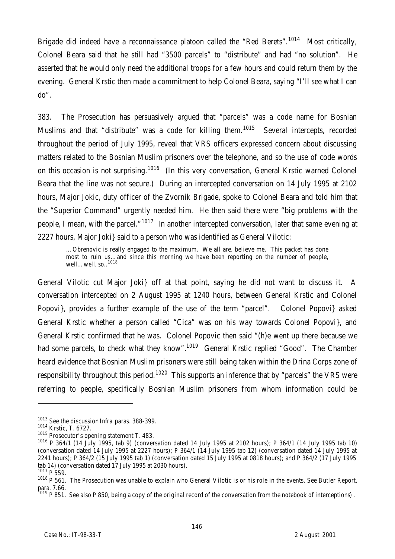Brigade did indeed have a reconnaissance platoon called the "Red Berets".<sup>1014</sup> Most critically, Colonel Beara said that he still had "3500 parcels" to "distribute" and had "no solution". He asserted that he would only need the additional troops for a few hours and could return them by the evening. General Krstic then made a commitment to help Colonel Beara, saying "I'll see what I can do".

383. The Prosecution has persuasively argued that "parcels" was a code name for Bosnian Muslims and that "distribute" was a code for killing them.<sup>1015</sup> Several intercepts, recorded throughout the period of July 1995, reveal that VRS officers expressed concern about discussing matters related to the Bosnian Muslim prisoners over the telephone, and so the use of code words on this occasion is not surprising.<sup>1016</sup> (In this very conversation, General Krstic warned Colonel Beara that the line was not secure.) During an intercepted conversation on 14 July 1995 at 2102 hours, Major Jokic, duty officer of the Zvornik Brigade, spoke to Colonel Beara and told him that the "Superior Command" urgently needed him. He then said there were "big problems with the people, I mean, with the parcel."<sup>1017</sup> In another intercepted conversation, later that same evening at 2227 hours, Major Joki} said to a person who was identified as General Vilotic:

…Obrenovic is really engaged to the maximum. We all are, believe me. This packet has done most to ruin us…and since this morning we have been reporting on the number of people, well…well, so..<sup>1018</sup>

General Vilotic cut Major Joki} off at that point, saying he did not want to discuss it. A conversation intercepted on 2 August 1995 at 1240 hours, between General Krstic and Colonel Popovi}, provides a further example of the use of the term "parcel". Colonel Popovi} asked General Krstic whether a person called "Cica" was on his way towards Colonel Popovi}, and General Krstic confirmed that he was. Colonel Popovic then said "(h)e went up there because we had some parcels, to check what they know".<sup>1019</sup> General Krstic replied "Good". The Chamber heard evidence that Bosnian Muslim prisoners were still being taken within the Drina Corps zone of responsibility throughout this period.<sup>1020</sup> This supports an inference that by "parcels" the VRS were referring to people, specifically Bosnian Muslim prisoners from whom information could be

<sup>1013</sup> See the discussion *Infra* paras. 388-399.

<sup>1014</sup> Krstic, T. 6727.

<sup>&</sup>lt;sup>1015</sup> Prosecutor's opening statement T. 483.

<sup>1016</sup> P 364/1 (14 July 1995, tab 9) (conversation dated 14 July 1995 at 2102 hours); P 364/1 (14 July 1995 tab 10) (conversation dated 14 July 1995 at 2227 hours); P 364/1 (14 July 1995 tab 12) (conversation dated 14 July 1995 at 2241 hours); P 364/2 (15 July 1995 tab 1) (conversation dated 15 July 1995 at 0818 hours); and P 364/2 (17 July 1995 tab 14) (conversation dated 17 July 1995 at 2030 hours).

<sup>1017</sup> P 559.

<sup>&</sup>lt;sup>1018</sup> P 561. The Prosecution was unable to explain who General Vilotic is or his role in the events. See Butler Report, para. 7.66.

<sup>&</sup>lt;sup>1019</sup> P 851. See also P 850, being a copy of the original record of the conversation from the notebook of interceptions).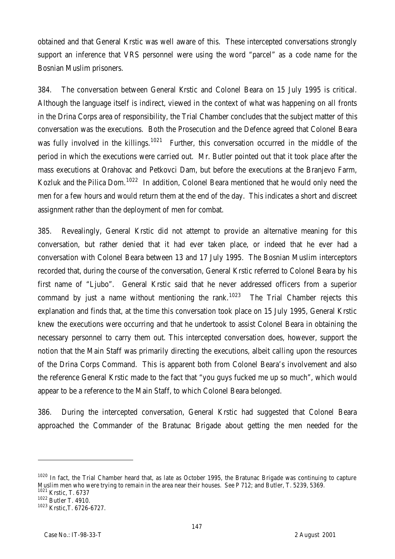obtained and that General Krstic was well aware of this. These intercepted conversations strongly support an inference that VRS personnel were using the word "parcel" as a code name for the Bosnian Muslim prisoners.

384. The conversation between General Krstic and Colonel Beara on 15 July 1995 is critical. Although the language itself is indirect, viewed in the context of what was happening on all fronts in the Drina Corps area of responsibility, the Trial Chamber concludes that the subject matter of this conversation was the executions. Both the Prosecution and the Defence agreed that Colonel Beara was fully involved in the killings.<sup>1021</sup> Further, this conversation occurred in the middle of the period in which the executions were carried out. Mr. Butler pointed out that it took place after the mass executions at Orahovac and Petkovci Dam, but before the executions at the Branjevo Farm, Kozluk and the Pilica Dom.<sup>1022</sup> In addition, Colonel Beara mentioned that he would only need the men for a few hours and would return them at the end of the day. This indicates a short and discreet assignment rather than the deployment of men for combat.

385. Revealingly, General Krstic did not attempt to provide an alternative meaning for this conversation, but rather denied that it had ever taken place, or indeed that he ever had a conversation with Colonel Beara between 13 and 17 July 1995. The Bosnian Muslim interceptors recorded that, during the course of the conversation, General Krstic referred to Colonel Beara by his first name of "Ljubo". General Krstic said that he never addressed officers from a superior command by just a name without mentioning the rank.<sup>1023</sup> The Trial Chamber rejects this explanation and finds that, at the time this conversation took place on 15 July 1995, General Krstic knew the executions were occurring and that he undertook to assist Colonel Beara in obtaining the necessary personnel to carry them out. This intercepted conversation does, however, support the notion that the Main Staff was primarily directing the executions, albeit calling upon the resources of the Drina Corps Command. This is apparent both from Colonel Beara's involvement and also the reference General Krstic made to the fact that "you guys fucked me up so much", which would appear to be a reference to the Main Staff, to which Colonel Beara belonged.

386. During the intercepted conversation, General Krstic had suggested that Colonel Beara approached the Commander of the Bratunac Brigade about getting the men needed for the

<sup>&</sup>lt;sup>1020</sup> In fact, the Trial Chamber heard that, as late as October 1995, the Bratunac Brigade was continuing to capture Muslim men who were trying to remain in the area near their houses. See P 712; and Butler, T. 5239, 5369. <sup>1021</sup> Krstic, T. 6737 <sup>1022</sup> Butler T. 4910.

<sup>1023</sup> Krstic,T. 6726-6727.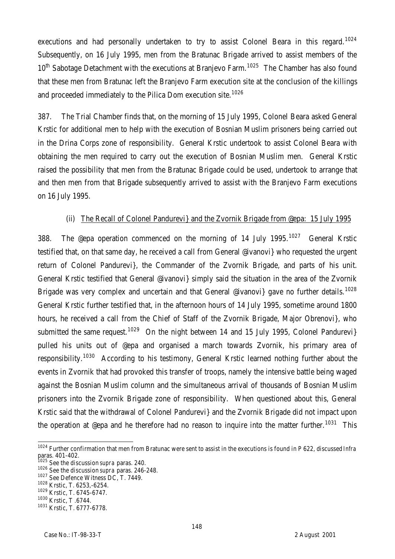executions and had personally undertaken to try to assist Colonel Beara in this regard.<sup>1024</sup> Subsequently, on 16 July 1995, men from the Bratunac Brigade arrived to assist members of the  $10<sup>th</sup>$  Sabotage Detachment with the executions at Branjevo Farm.<sup>1025</sup> The Chamber has also found that these men from Bratunac left the Branjevo Farm execution site at the conclusion of the killings and proceeded immediately to the Pilica Dom execution site.<sup>1026</sup>

387. The Trial Chamber finds that, on the morning of 15 July 1995, Colonel Beara asked General Krstic for additional men to help with the execution of Bosnian Muslim prisoners being carried out in the Drina Corps zone of responsibility. General Krstic undertook to assist Colonel Beara with obtaining the men required to carry out the execution of Bosnian Muslim men. General Krstic raised the possibility that men from the Bratunac Brigade could be used, undertook to arrange that and then men from that Brigade subsequently arrived to assist with the Branjevo Farm executions on 16 July 1995.

#### (ii) The Recall of Colonel Pandurevi} and the Zvornik Brigade from @epa: 15 July 1995

388. The @epa operation commenced on the morning of 14 July 1995.<sup>1027</sup> General Krstic testified that, on that same day, he received a call from General @ivanovi} who requested the urgent return of Colonel Pandurevi}, the Commander of the Zvornik Brigade, and parts of his unit. General Krstic testified that General @ivanovi} simply said the situation in the area of the Zvornik Brigade was very complex and uncertain and that General @ivanovi} gave no further details.<sup>1028</sup> General Krstic further testified that, in the afternoon hours of 14 July 1995, sometime around 1800 hours, he received a call from the Chief of Staff of the Zvornik Brigade, Major Obrenovi}, who submitted the same request.<sup>1029</sup> On the night between 14 and 15 July 1995, Colonel Pandurevi} pulled his units out of @epa and organised a march towards Zvornik, his primary area of responsibility.<sup>1030</sup> According to his testimony, General Krstic learned nothing further about the events in Zvornik that had provoked this transfer of troops, namely the intensive battle being waged against the Bosnian Muslim column and the simultaneous arrival of thousands of Bosnian Muslim prisoners into the Zvornik Brigade zone of responsibility. When questioned about this, General Krstic said that the withdrawal of Colonel Pandurevi} and the Zvornik Brigade did not impact upon the operation at @epa and he therefore had no reason to inquire into the matter further.<sup>1031</sup> This

 $\overline{a}$ 

<sup>1024</sup> Further confirmation that men from Bratunac were sent to assist in the executions is found in P 622, discussed *Infra* paras. 401-402.

<sup>1025</sup> See the discussion *supra* paras. 240.

<sup>1026</sup> See the discussion *supra* paras. 246-248.

<sup>&</sup>lt;sup>1027</sup> See Defence Witness DC, T. 7449.

<sup>1028</sup> Krstic, T. 6253,-6254.

<sup>1029</sup> Krstic, T. 6745-6747.

<sup>1030</sup> Krstic, T .6744.

<sup>1031</sup> Krstic, T. 6777-6778.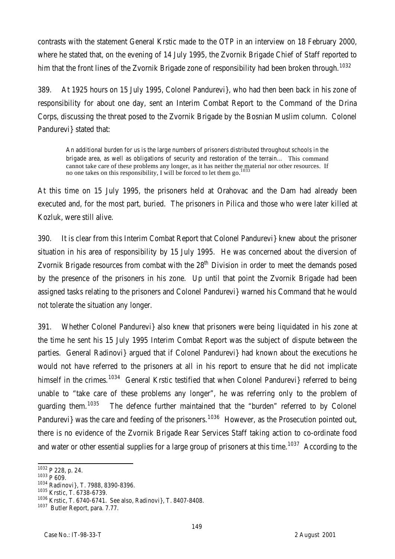contrasts with the statement General Krstic made to the OTP in an interview on 18 February 2000, where he stated that, on the evening of 14 July 1995, the Zvornik Brigade Chief of Staff reported to him that the front lines of the Zvornik Brigade zone of responsibility had been broken through.<sup>1032</sup>

389. At 1925 hours on 15 July 1995, Colonel Pandurevi}, who had then been back in his zone of responsibility for about one day, sent an Interim Combat Report to the Command of the Drina Corps, discussing the threat posed to the Zvornik Brigade by the Bosnian Muslim column. Colonel Pandurevi} stated that:

An additional burden for us is the large numbers of prisoners distributed throughout schools in the brigade area, as well as obligations of security and restoration of the terrain… This command cannot take care of these problems any longer, as it has neither the material nor other resources. If no one takes on this responsibility, I will be forced to let them go.<sup>1033</sup>

At this time on 15 July 1995, the prisoners held at Orahovac and the Dam had already been executed and, for the most part, buried. The prisoners in Pilica and those who were later killed at Kozluk, were still alive.

390. It is clear from this Interim Combat Report that Colonel Pandurevi} knew about the prisoner situation in his area of responsibility by 15 July 1995. He was concerned about the diversion of Zvornik Brigade resources from combat with the  $28<sup>th</sup>$  Division in order to meet the demands posed by the presence of the prisoners in his zone. Up until that point the Zvornik Brigade had been assigned tasks relating to the prisoners and Colonel Pandurevi} warned his Command that he would not tolerate the situation any longer.

391. Whether Colonel Pandurevi} also knew that prisoners were being liquidated in his zone at the time he sent his 15 July 1995 Interim Combat Report was the subject of dispute between the parties. General Radinovi} argued that if Colonel Pandurevi} had known about the executions he would not have referred to the prisoners at all in his report to ensure that he did not implicate himself in the crimes.<sup>1034</sup> General Krstic testified that when Colonel Pandurevi} referred to being unable to "take care of these problems any longer", he was referring only to the problem of guarding them.<sup>1035</sup> The defence further maintained that the "burden" referred to by Colonel Pandurevi} was the care and feeding of the prisoners.<sup>1036</sup> However, as the Prosecution pointed out, there is no evidence of the Zvornik Brigade Rear Services Staff taking action to co-ordinate food and water or other essential supplies for a large group of prisoners at this time.<sup>1037</sup> According to the

 $\overline{a}$ 

<sup>&</sup>lt;sup>1032</sup> P 228, p. 24.

 $1033 P 609.$ 

<sup>1034</sup> Radinovi}, T. 7988, 8390-8396.

<sup>1035</sup> Krstic, T. 6738-6739.

<sup>1036</sup> Krstic, T. 6740-6741. See also, Radinovi}, T. 8407-8408.

<sup>1037</sup> Butler Report, para. 7.77.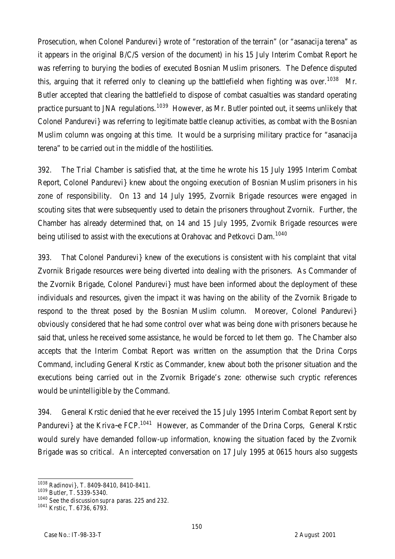Prosecution, when Colonel Pandurevi} wrote of "restoration of the terrain" (or "asanacija terena" as it appears in the original B/C/S version of the document) in his 15 July Interim Combat Report he was referring to burying the bodies of executed Bosnian Muslim prisoners. The Defence disputed this, arguing that it referred only to cleaning up the battlefield when fighting was over.<sup>1038</sup> Mr. Butler accepted that clearing the battlefield to dispose of combat casualties was standard operating practice pursuant to JNA regulations.<sup>1039</sup> However, as Mr. Butler pointed out, it seems unlikely that Colonel Pandurevi} was referring to legitimate battle cleanup activities, as combat with the Bosnian Muslim column was ongoing at this time. It would be a surprising military practice for "asanacija terena" to be carried out in the middle of the hostilities.

392. The Trial Chamber is satisfied that, at the time he wrote his 15 July 1995 Interim Combat Report, Colonel Pandurevi} knew about the ongoing execution of Bosnian Muslim prisoners in his zone of responsibility. On 13 and 14 July 1995, Zvornik Brigade resources were engaged in scouting sites that were subsequently used to detain the prisoners throughout Zvornik. Further, the Chamber has already determined that, on 14 and 15 July 1995, Zvornik Brigade resources were being utilised to assist with the executions at Orahovac and Petkovci Dam.<sup>1040</sup>

393. That Colonel Pandurevi} knew of the executions is consistent with his complaint that vital Zvornik Brigade resources were being diverted into dealing with the prisoners. As Commander of the Zvornik Brigade, Colonel Pandurevi} must have been informed about the deployment of these individuals and resources, given the impact it was having on the ability of the Zvornik Brigade to respond to the threat posed by the Bosnian Muslim column. Moreover, Colonel Pandurevi} obviously considered that he had some control over what was being done with prisoners because he said that, unless he received some assistance, *he* would be forced to let them go. The Chamber also accepts that the Interim Combat Report was written on the assumption that the Drina Corps Command, including General Krstic as Commander, knew about both the prisoner situation and the executions being carried out in the Zvornik Brigade's zone: otherwise such cryptic references would be unintelligible by the Command.

394. General Krstic denied that he ever received the 15 July 1995 Interim Combat Report sent by Pandurevi} at the Kriva~e FCP.<sup>1041</sup> However, as Commander of the Drina Corps, General Krstic would surely have demanded follow-up information, knowing the situation faced by the Zvornik Brigade was so critical. An intercepted conversation on 17 July 1995 at 0615 hours also suggests

 $\overline{a}$ <sup>1038</sup> Radinovi}, T. 8409-8410, 8410-8411.

<sup>1039</sup> Butler, T. 5339-5340.

<sup>1040</sup> See the discussion *supra* paras. 225 and 232.

<sup>1041</sup> Krstic, T. 6736, 6793.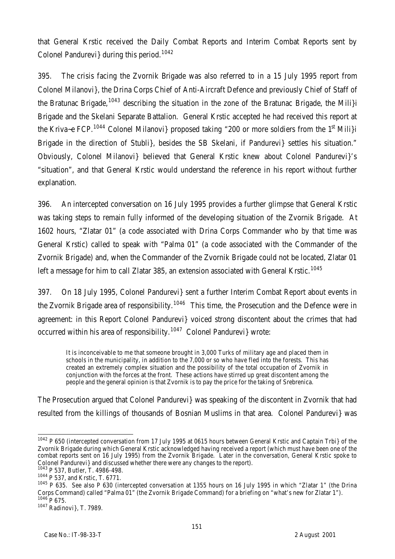that General Krstic received the Daily Combat Reports and Interim Combat Reports sent by Colonel Pandurevi} during this period.<sup>1042</sup>

395. The crisis facing the Zvornik Brigade was also referred to in a 15 July 1995 report from Colonel Milanovi}, the Drina Corps Chief of Anti-Aircraft Defence and previously Chief of Staff of the Bratunac Brigade,<sup>1043</sup> describing the situation in the zone of the Bratunac Brigade, the Mili}i Brigade and the Skelani Separate Battalion. General Krstic accepted he had received this report at the Kriva~e FCP.<sup>1044</sup> Colonel Milanovi} proposed taking "200 or more soldiers from the 1<sup>st</sup> Mili}i Brigade in the direction of Stubli}, besides the SB Skelani, if Pandurevi} settles his situation." Obviously, Colonel Milanovi} believed that General Krstic knew about Colonel Pandurevi}'s "situation", and that General Krstic would understand the reference in his report without further explanation.

396. An intercepted conversation on 16 July 1995 provides a further glimpse that General Krstic was taking steps to remain fully informed of the developing situation of the Zvornik Brigade. At 1602 hours, "Zlatar 01" (a code associated with Drina Corps Commander who by that time was General Krstic) called to speak with "Palma 01" (a code associated with the Commander of the Zvornik Brigade) and, when the Commander of the Zvornik Brigade could not be located, Zlatar 01 left a message for him to call Zlatar 385, an extension associated with General Krstic.<sup>1045</sup>

397. On 18 July 1995, Colonel Pandurevi} sent a further Interim Combat Report about events in the Zvornik Brigade area of responsibility.<sup>1046</sup> This time, the Prosecution and the Defence were in agreement: in this Report Colonel Pandurevi} voiced strong discontent about the crimes that had occurred within his area of responsibility.<sup>1047</sup> Colonel Pandurevi} wrote:

It is inconceivable to me that someone brought in 3,000 Turks of military age and placed them in schools in the municipality, in addition to the 7,000 or so who have fled into the forests. This has created an extremely complex situation and the possibility of the total occupation of Zvornik in conjunction with the forces at the front. These actions have stirred up great discontent among the people and the general opinion is that Zvornik is to pay the price for the taking of Srebrenica.

The Prosecution argued that Colonel Pandurevi} was speaking of the discontent in Zvornik that had resulted from the killings of thousands of Bosnian Muslims in that area. Colonel Pandurevi} was

 $\overline{a}$ <sup>1042</sup> P 650 (intercepted conversation from 17 July 1995 at 0615 hours between General Krstic and Captain Trbi} of the Zvornik Brigade during which General Krstic acknowledged having received a report (which must have been one of the combat reports sent on 16 July 1995) from the Zvornik Brigade. Later in the conversation, General Krstic spoke to Colonel Pandurevi} and discussed whether there were any changes to the report).

<sup>1043</sup> P 537, Butler, T. 4986-498. <sup>1044</sup> P 537, and Krstic, T. 6771.

<sup>&</sup>lt;sup>1045</sup> P 635. See also P 630 (intercepted conversation at 1355 hours on 16 July 1995 in which "Zlatar 1" (the Drina Corps Command) called "Palma 01" (the Zvornik Brigade Command) for a briefing on "what's new for Zlatar 1").  $1046$  P 675.

<sup>1047</sup> Radinovi}, T. 7989.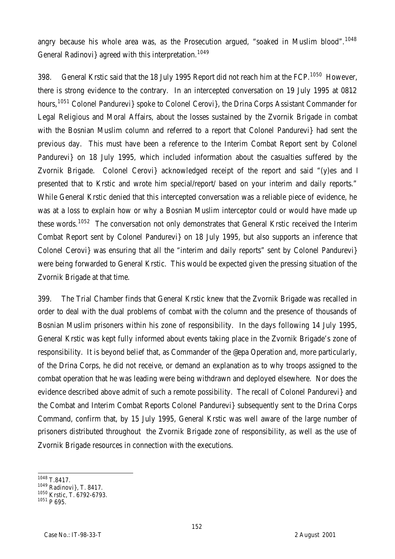angry because his whole area was, as the Prosecution argued, "soaked in Muslim blood".<sup>1048</sup> General Radinovi} agreed with this interpretation.<sup>1049</sup>

398. General Krstic said that the 18 July 1995 Report did not reach him at the FCP.<sup>1050</sup> However, there is strong evidence to the contrary. In an intercepted conversation on 19 July 1995 at 0812 hours,<sup>1051</sup> Colonel Pandurevi} spoke to Colonel Cerovi}, the Drina Corps Assistant Commander for Legal Religious and Moral Affairs, about the losses sustained by the Zvornik Brigade in combat with the Bosnian Muslim column and referred to a report that Colonel Pandurevi} had sent the previous day. This must have been a reference to the Interim Combat Report sent by Colonel Pandurevi} on 18 July 1995, which included information about the casualties suffered by the Zvornik Brigade. Colonel Cerovi} acknowledged receipt of the report and said "(y)es and I presented that to Krstic and wrote him special/report/ based on your interim and daily reports." While General Krstic denied that this intercepted conversation was a reliable piece of evidence, he was at a loss to explain how or why a Bosnian Muslim interceptor could or would have made up these words.<sup>1052</sup> The conversation not only demonstrates that General Krstic received the Interim Combat Report sent by Colonel Pandurevi} on 18 July 1995, but also supports an inference that Colonel Cerovi} was ensuring that all the "interim and daily reports" sent by Colonel Pandurevi} were being forwarded to General Krstic. This would be expected given the pressing situation of the Zvornik Brigade at that time.

399. The Trial Chamber finds that General Krstic knew that the Zvornik Brigade was recalled in order to deal with the dual problems of combat with the column and the presence of thousands of Bosnian Muslim prisoners within his zone of responsibility. In the days following 14 July 1995, General Krstic was kept fully informed about events taking place in the Zvornik Brigade's zone of responsibility. It is beyond belief that, as Commander of the @epa Operation and, more particularly, of the Drina Corps, he did not receive, or demand an explanation as to why troops assigned to the combat operation that he was leading were being withdrawn and deployed elsewhere. Nor does the evidence described above admit of such a remote possibility. The recall of Colonel Pandurevi} and the Combat and Interim Combat Reports Colonel Pandurevi} subsequently sent to the Drina Corps Command, confirm that, by 15 July 1995, General Krstic was well aware of the large number of prisoners distributed throughout the Zvornik Brigade zone of responsibility, as well as the use of Zvornik Brigade resources in connection with the executions.

 $\overline{a}$ <sup>1048</sup> T.8417.

<sup>1049</sup> Radinovi}, T. 8417.

<sup>1050</sup> Krstic, T. 6792-6793.

<sup>1051</sup> P 695.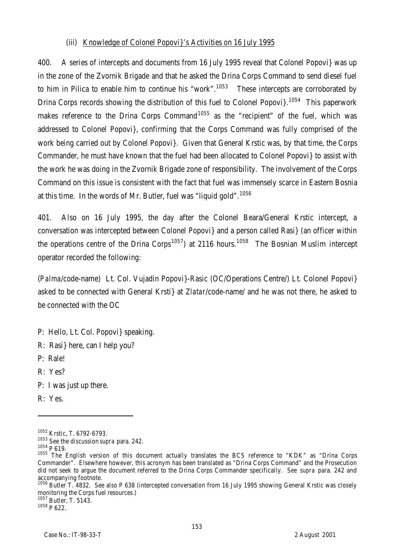#### (iii) Knowledge of Colonel Popovi}'s Activities on 16 July 1995

400. A series of intercepts and documents from 16 July 1995 reveal that Colonel Popovi} was up in the zone of the Zvornik Brigade and that he asked the Drina Corps Command to send diesel fuel to him in Pilica to enable him to continue his "work".<sup>1053</sup> These intercepts are corroborated by Drina Corps records showing the distribution of this fuel to Colonel Popovi}.<sup>1054</sup> This paperwork makes reference to the Drina Corps Command<sup>1055</sup> as the "recipient" of the fuel, which was addressed to Colonel Popovi}, confirming that the Corps Command was fully comprised of the work being carried out by Colonel Popovi}. Given that General Krstic was, by that time, the Corps Commander, he must have known that the fuel had been allocated to Colonel Popovi} to assist with the work he was doing in the Zvornik Brigade zone of responsibility. The involvement of the Corps Command on this issue is consistent with the fact that fuel was immensely scarce in Eastern Bosnia at this time. In the words of Mr. Butler, fuel was "liquid gold".<sup>1056</sup>

401. Also on 16 July 1995, the day after the Colonel Beara/General Krstic intercept, a conversation was intercepted between Colonel Popovi} and a person called Rasi} (an officer within the operations centre of the Drina Corps<sup>1057</sup>) at 2116 hours.<sup>1058</sup> The Bosnian Muslim intercept operator recorded the following:

(*Palma*/code-name) Lt. Col. Vujadin Popovi}-Rasic (OC/Operations Centre/) Lt. Colonel Popovi} asked to be connected with General Krsti} at *Zlatar*/code-name/ and he was not there, he asked to be connected with the OC

- P: Hello, Lt. Col. Popovi} speaking.
- R: Rasi} here, can I help you?
- P: Rale!
- R: Yes?
- P: I was just up there.
- R: Yes.

l

<sup>1057</sup> Butler, T. 5143.

<sup>1052</sup> Krstic, T. 6792-6793.

<sup>1053</sup> See the discussion *supra* para. 242.

<sup>1054</sup> P 619.

<sup>1055</sup> The English version of this document actually translates the BCS reference to "KDK" as "Drina Corps Commander". Elsewhere however, this acronym has been translated as "Drina Corps Command" and the Prosecution did not seek to argue the document referred to the Drina Corps Commander specifically. See *supra* para. 242 and accompanying footnote.

<sup>&</sup>lt;sup>1056</sup> Butler T. 4832. See also P 638 (intercepted conversation from 16 July 1995 showing General Krstic was closely monitoring the Corps fuel resources.)

<sup>1058</sup> P 622.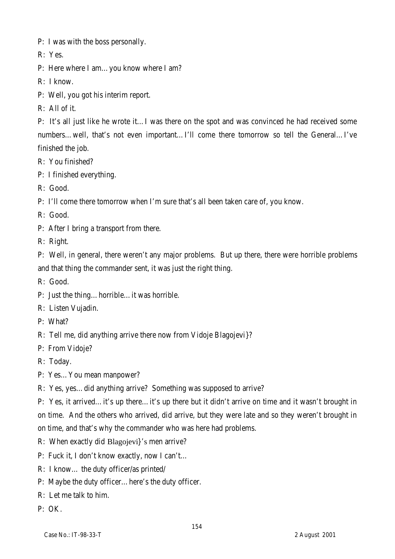- P: I was with the boss personally.
- R: Yes.
- P: Here where I am... you know where I am?
- R: I know.
- P: Well, you got his interim report.
- R: All of it.

P: It's all just like he wrote it…I was there on the spot and was convinced he had received some numbers…well, that's not even important…I'll come there tomorrow so tell the General…I've finished the job.

- R: You finished?
- P: I finished everything.
- R: Good.
- P: I'll come there tomorrow when I'm sure that's all been taken care of, you know.
- R: Good.
- P: After I bring a transport from there.
- R: Right.

P: Well, in general, there weren't any major problems. But up there, there were horrible problems and that thing the commander sent, it was just the right thing.

- R: Good.
- P: Just the thing…horrible…it was horrible.
- R: Listen Vujadin.
- P: What?
- R: Tell me, did anything arrive there now from Vidoje Blagojevi}?
- P: From Vidoje?
- R: Today.
- P: Yes…You mean manpower?
- R: Yes, yes…did anything arrive? Something was supposed to arrive?

P: Yes, it arrived…it's up there…it's up there but it didn't arrive on time and it wasn't brought in on time. And the others who arrived, did arrive, but they were late and so they weren't brought in on time, and that's why the commander who was here had problems.

- R: When exactly did Blagojevi}'s men arrive?
- P: Fuck it, I don't know exactly, now I can't…
- R: I know… the duty officer/as printed/
- P: Maybe the duty officer…here's the duty officer.
- R: Let me talk to him.
- P: OK.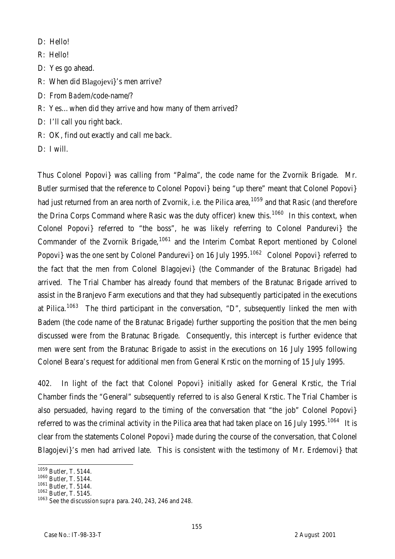- D: Hello!
- R: Hello!
- D: Yes go ahead.
- R: When did Blagojevi}'s men arrive?
- D: From *Badem*/code-name/?
- R: Yes…when did they arrive and how many of them arrived?
- D: I'll call you right back.
- R: OK, find out exactly and call me back.
- D: I will.

Thus Colonel Popovi} was calling from "Palma", the code name for the Zvornik Brigade. Mr. Butler surmised that the reference to Colonel Popovi} being "up there" meant that Colonel Popovi} had just returned from an area north of Zvornik, i.e. the Pilica area,<sup>1059</sup> and that Rasic (and therefore the Drina Corps Command where Rasic was the duty officer) knew this.<sup>1060</sup> In this context. when Colonel Popovi} referred to "the boss", he was likely referring to Colonel Pandurevi} the Commander of the Zvornik Brigade,<sup>1061</sup> and the Interim Combat Report mentioned by Colonel Popovi} was the one sent by Colonel Pandurevi} on 16 July 1995.<sup>1062</sup> Colonel Popovi} referred to the fact that the men from Colonel Blagojevi} (the Commander of the Bratunac Brigade) had arrived. The Trial Chamber has already found that members of the Bratunac Brigade arrived to assist in the Branjevo Farm executions and that they had subsequently participated in the executions at Pilica.<sup>1063</sup> The third participant in the conversation, "D", subsequently linked the men with Badem (the code name of the Bratunac Brigade) further supporting the position that the men being discussed were from the Bratunac Brigade. Consequently, this intercept is further evidence that men were sent from the Bratunac Brigade to assist in the executions on 16 July 1995 following Colonel Beara's request for additional men from General Krstic on the morning of 15 July 1995.

402. In light of the fact that Colonel Popovi} initially asked for General Krstic, the Trial Chamber finds the "General" subsequently referred to is also General Krstic. The Trial Chamber is also persuaded, having regard to the timing of the conversation that "the job" Colonel Popovi} referred to was the criminal activity in the Pilica area that had taken place on 16 July 1995.<sup>1064</sup> It is clear from the statements Colonel Popovi} made during the course of the conversation, that Colonel Blagojevi}'s men had arrived late. This is consistent with the testimony of Mr. Erdemovi} that

 $\overline{a}$ <sup>1059</sup> Butler, T. 5144.

<sup>1060</sup> Butler, T. 5144.

<sup>1061</sup> Butler, T. 5144.

<sup>1062</sup> Butler, T. 5145.

<sup>1063</sup> See the discussion *supra* para. 240, 243, 246 and 248.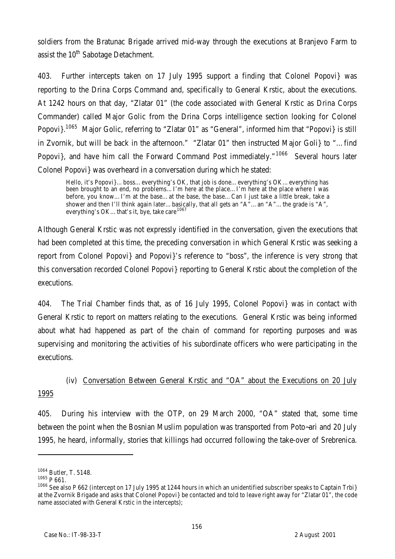soldiers from the Bratunac Brigade arrived mid-way through the executions at Branjevo Farm to assist the 10<sup>th</sup> Sabotage Detachment.

403. Further intercepts taken on 17 July 1995 support a finding that Colonel Popovi} was reporting to the Drina Corps Command and, specifically to General Krstic, about the executions. At 1242 hours on that day, "Zlatar 01" (the code associated with General Krstic as Drina Corps Commander) called Major Golic from the Drina Corps intelligence section looking for Colonel Popovi}.<sup>1065</sup> Major Golic, referring to "Zlatar 01" as "General", informed him that "Popovi} is still in Zvornik, but will be back in the afternoon." "Zlatar 01" then instructed Major Goli} to "…find Popovi}, and have him call the Forward Command Post immediately."<sup>1066</sup> Several hours later Colonel Popovi} was overheard in a conversation during which he stated:

Hello, it's Popovi}…boss…everything's OK, that job is done…everything's OK…everything has been brought to an end, no problems…I'm here at the place…I'm here at the place where I was before, you know…I'm at the base…at the base, the base…Can I just take a little break, take a shower and then I'll think again later...basically, that all gets an "A"...an "A"...the grade is "A", everything's OK...that's it, bye, take care<sup>1067</sup>

Although General Krstic was not expressly identified in the conversation, given the executions that had been completed at this time, the preceding conversation in which General Krstic was seeking a report from Colonel Popovi} and Popovi}'s reference to "boss", the inference is very strong that this conversation recorded Colonel Popovi} reporting to General Krstic about the completion of the executions.

404. The Trial Chamber finds that, as of 16 July 1995, Colonel Popovi} was in contact with General Krstic to report on matters relating to the executions. General Krstic was being informed about what had happened as part of the chain of command for reporting purposes and was supervising and monitoring the activities of his subordinate officers who were participating in the executions.

# (iv) Conversation Between General Krstic and "OA" about the Executions on 20 July

#### 1995

l

405. During his interview with the OTP, on 29 March 2000, "OA" stated that, some time between the point when the Bosnian Muslim population was transported from Poto~ari and 20 July 1995, he heard, informally, stories that killings had occurred following the take-over of Srebrenica.

<sup>1064</sup> Butler, T. 5148.

<sup>1065</sup> P 661.

<sup>1066</sup> See also P 662 (intercept on 17 July 1995 at 1244 hours in which an unidentified subscriber speaks to Captain Trbi} at the Zvornik Brigade and asks that Colonel Popovi} be contacted and told to leave right away for "Zlatar 01", the code name associated with General Krstic in the intercepts);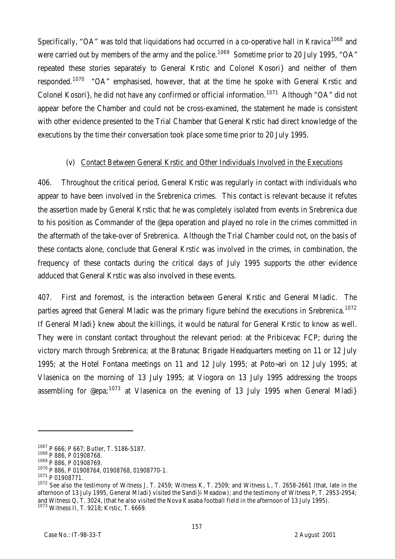Specifically, "OA" was told that liquidations had occurred in a co-operative hall in Kravica<sup>1068</sup> and were carried out by members of the army and the police.<sup>1069</sup> Sometime prior to 20 July 1995, "OA" repeated these stories separately to General Krstic and Colonel Kosori} and neither of them responded.<sup>1070</sup> "OA" emphasised, however, that at the time he spoke with General Krstic and Colonel Kosori}, he did not have any confirmed or official information.<sup>1071</sup> Although "OA" did not appear before the Chamber and could not be cross-examined, the statement he made is consistent with other evidence presented to the Trial Chamber that General Krstic had direct knowledge of the executions by the time their conversation took place some time prior to 20 July 1995.

#### (v) Contact Between General Krstic and Other Individuals Involved in the Executions

406. Throughout the critical period, General Krstic was regularly in contact with individuals who appear to have been involved in the Srebrenica crimes. This contact is relevant because it refutes the assertion made by General Krstic that he was completely isolated from events in Srebrenica due to his position as Commander of the @epa operation and played no role in the crimes committed in the aftermath of the take-over of Srebrenica. Although the Trial Chamber could not, on the basis of these contacts alone, conclude that General Krstic was involved in the crimes, in combination, the frequency of these contacts during the critical days of July 1995 supports the other evidence adduced that General Krstic was also involved in these events.

407. First and foremost, is the interaction between General Krstic and General Mladic. The parties agreed that General Mladic was the primary figure behind the executions in Srebrenica.<sup>1072</sup> If General Mladi} knew about the killings, it would be natural for General Krstic to know as well. They were in constant contact throughout the relevant period: at the Pribicevac FCP; during the victory march through Srebrenica; at the Bratunac Brigade Headquarters meeting on 11 or 12 July 1995; at the Hotel Fontana meetings on 11 and 12 July 1995; at Poto~ari on 12 July 1995; at Vlasenica on the morning of 13 July 1995; at Viogora on 13 July 1995 addressing the troops assembling for @epa;<sup>1073</sup> at Vlasenica on the evening of 13 July 1995 when General Mladi}

<sup>1067</sup> P 666; P 667; Butler, T. 5186-5187.

<sup>1068</sup> P 886, P 01908768.

<sup>1069</sup> P 886, P 01908769.

<sup>1070</sup> P 886, P 01908764, 01908768, 01908770-1.

<sup>1071</sup> P 01908771.

<sup>&</sup>lt;sup>1072</sup> See also the testimony of Witness J, T. 2459; Witness K, T. 2509; and Witness L, T. 2658-2661 (that, late in the afternoon of 13 July 1995, General Mladi} visited the Sandi}i Meadow); and the testimony of Witness P, T. 2953-2954; and Witness Q, T. 3024, (that he also visited the Nova Kasaba football field in the afternoon of 13 July 1995). <sup>1073</sup> Witness II, T. 9218; Krstic, T. 6669.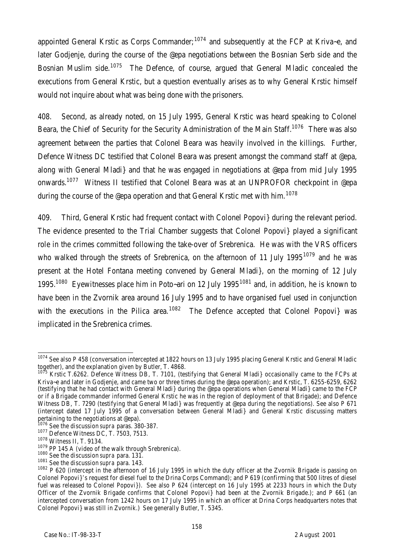appointed General Krstic as Corps Commander;<sup>1074</sup> and subsequently at the FCP at Kriva~e, and later Godjenje, during the course of the @epa negotiations between the Bosnian Serb side and the Bosnian Muslim side.<sup>1075</sup> The Defence, of course, argued that General Mladic concealed the executions from General Krstic, but a question eventually arises as to why General Krstic himself would not inquire about what was being done with the prisoners.

408. Second, as already noted, on 15 July 1995, General Krstic was heard speaking to Colonel Beara, the Chief of Security for the Security Administration of the Main Staff.<sup>1076</sup> There was also agreement between the parties that Colonel Beara was heavily involved in the killings. Further, Defence Witness DC testified that Colonel Beara was present amongst the command staff at @epa, along with General Mladi} and that he was engaged in negotiations at @epa from mid July 1995 onwards.<sup>1077</sup> Witness II testified that Colonel Beara was at an UNPROFOR checkpoint in @epa during the course of the @epa operation and that General Krstic met with him.<sup>1078</sup>

409. Third, General Krstic had frequent contact with Colonel Popovi} during the relevant period. The evidence presented to the Trial Chamber suggests that Colonel Popovi} played a significant role in the crimes committed following the take-over of Srebrenica. He was with the VRS officers who walked through the streets of Srebrenica, on the afternoon of 11 July 1995<sup>1079</sup> and he was present at the Hotel Fontana meeting convened by General Mladi}, on the morning of 12 July 1995.<sup>1080</sup> Eyewitnesses place him in Poto~ari on 12 July 1995<sup>1081</sup> and, in addition, he is known to have been in the Zvornik area around 16 July 1995 and to have organised fuel used in conjunction with the executions in the Pilica area.<sup>1082</sup> The Defence accepted that Colonel Popovi} was implicated in the Srebrenica crimes.

 $\overline{\phantom{a}}$ <sup>1074</sup> See also P 458 (conversation intercepted at 1822 hours on 13 July 1995 placing General Krstic and General Mladic together), and the explanation given by Butler, T. 4868.

<sup>&</sup>lt;sup>1075</sup> Krstic T.6262. Defence Witness DB, T. 7101, (testifying that General Mladi} occasionally came to the FCPs at Kriva~e and later in Godjenje, and came two or three times during the @epa operation); and Krstic, T. 6255-6259, 6262 (testifying that he had contact with General Mladi} during the @epa operations when General Mladi} came to the FCP or if a Brigade commander informed General Krstic he was in the region of deployment of that Brigade); and Defence Witness DB, T. 7290 (testifying that General Mladi) was frequently at @epa during the negotiations). See also P 671 (intercept dated 17 July 1995 of a conversation between General Mladi} and General Krstic discussing matters pertaining to the negotiations at @epa).

<sup>1076</sup> See the discussion *supra* paras. 380-387.

<sup>1077</sup> Defence Witness DC, T. 7503, 7513.

<sup>1078</sup> Witness II, T. 9134.

<sup>1079</sup> PP 145 A (video of the walk through Srebrenica).

<sup>1080</sup> See the discussion *supra* para. 131.

<sup>1081</sup> See the discussion *supra* para. 143.

<sup>1082</sup> P 620 (intercept in the afternoon of 16 July 1995 in which the duty officer at the Zvornik Brigade is passing on Colonel Popovi}'s request for diesel fuel to the Drina Corps Command); and P 619 (confirming that 500 litres of diesel fuel was released to Colonel Popovi}). See also P 624 (intercept on 16 July 1995 at 2233 hours in which the Duty Officer of the Zvornik Brigade confirms that Colonel Popovi} had been at the Zvornik Brigade.); and P 661 (an intercepted conversation from 1242 hours on 17 July 1995 in which an officer at Drina Corps headquarters notes that Colonel Popovi} was still in Zvornik.) See generally Butler, T. 5345.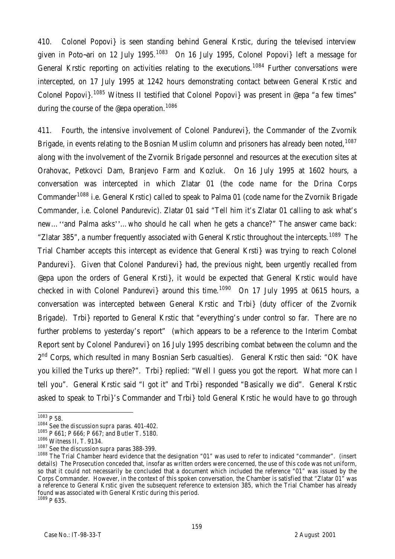410. Colonel Popovi} is seen standing behind General Krstic, during the televised interview given in Poto~ari on 12 July 1995.<sup>1083</sup> On 16 July 1995, Colonel Popovi} left a message for General Krstic reporting on activities relating to the executions.<sup>1084</sup> Further conversations were intercepted, on 17 July 1995 at 1242 hours demonstrating contact between General Krstic and Colonel Popovi}.<sup>1085</sup> Witness II testified that Colonel Popovi} was present in @epa "a few times" during the course of the @epa operation.<sup>1086</sup>

411. Fourth, the intensive involvement of Colonel Pandurevi}, the Commander of the Zvornik Brigade, in events relating to the Bosnian Muslim column and prisoners has already been noted, <sup>1087</sup> along with the involvement of the Zvornik Brigade personnel and resources at the execution sites at Orahovac, Petkovci Dam, Branjevo Farm and Kozluk. On 16 July 1995 at 1602 hours, a conversation was intercepted in which Zlatar 01 (the code name for the Drina Corps Commander<sup>1088</sup> i.e. General Krstic) called to speak to Palma 01 (code name for the Zvornik Brigade Commander, i.e. Colonel Pandurevic). Zlatar 01 said "Tell him it's Zlatar 01 calling to ask what's new…''and Palma asks''…who should he call when he gets a chance?" The answer came back: "Zlatar 385", a number frequently associated with General Krstic throughout the intercepts.<sup>1089</sup> The Trial Chamber accepts this intercept as evidence that General Krsti} was trying to reach Colonel Pandurevi}. Given that Colonel Pandurevi} had, the previous night, been urgently recalled from @epa upon the orders of General Krsti}, it would be expected that General Krstic would have checked in with Colonel Pandurevi} around this time.<sup>1090</sup> On 17 July 1995 at 0615 hours, a conversation was intercepted between General Krstic and Trbi} (duty officer of the Zvornik Brigade). Trbi} reported to General Krstic that "everything's under control so far. There are no further problems to yesterday's report" (which appears to be a reference to the Interim Combat Report sent by Colonel Pandurevi} on 16 July 1995 describing combat between the column and the 2<sup>nd</sup> Corps, which resulted in many Bosnian Serb casualties). General Krstic then said: "OK have you killed the Turks up there?". Trbi} replied: "Well I guess you got the report. What more can I tell you". General Krstic said "I got it" and Trbi} responded "Basically we did". General Krstic asked to speak to Trbi}'s Commander and Trbi} told General Krstic he would have to go through

 $\overline{a}$ <sup>1083</sup> P 58.

<sup>1084</sup> See the discussion *supra* paras. 401-402.

<sup>1085</sup> P 661; P 666; P 667; and Butler T. 5180.

<sup>1086</sup> Witness II, T. 9134.

<sup>1087</sup> See the discussion *supra* paras 388-399.

<sup>1088</sup> The Trial Chamber heard evidence that the designation "01" was used to refer to indicated "commander". (insert details) The Prosecution conceded that, insofar as written orders were concerned, the use of this code was not uniform, so that it could not necessarily be concluded that a document which included the reference "01" was issued by the Corps Commander. However, in the context of this spoken conversation, the Chamber is satisfied that "Zlatar 01" was a reference to General Krstic given the subsequent reference to extension 385, which the Trial Chamber has already found was associated with General Krstic during this period. <sup>1089</sup> P 635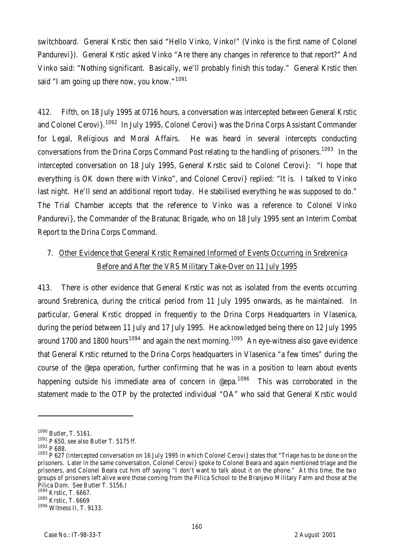switchboard. General Krstic then said "Hello Vinko, Vinko!" (Vinko is the first name of Colonel Pandurevi}). General Krstic asked Vinko "Are there any changes in reference to that report?" And Vinko said: "Nothing significant. Basically, we'll probably finish this today." General Krstic then said "I am going up there now, you know."<sup>1091</sup>

412. Fifth, on 18 July 1995 at 0716 hours, a conversation was intercepted between General Krstic and Colonel Cerovi}.<sup>1092</sup> In July 1995, Colonel Cerovi} was the Drina Corps Assistant Commander for Legal, Religious and Moral Affairs. He was heard in several intercepts conducting conversations from the Drina Corps Command Post relating to the handling of prisoners.<sup>1093</sup> In the intercepted conversation on 18 July 1995, General Krstic said to Colonel Cerovi}: "I hope that everything is OK down there with Vinko", and Colonel Cerovi} replied: "It is. I talked to Vinko last night. He'll send an additional report today. He stabilised everything he was supposed to do." The Trial Chamber accepts that the reference to Vinko was a reference to Colonel Vinko Pandurevi}, the Commander of the Bratunac Brigade, who on 18 July 1995 sent an Interim Combat Report to the Drina Corps Command.

# 7. Other Evidence that General Krstic Remained Informed of Events Occurring in Srebrenica Before and After the VRS Military Take-Over on 11 July 1995

413. There is other evidence that General Krstic was not as isolated from the events occurring around Srebrenica, during the critical period from 11 July 1995 onwards, as he maintained. In particular, General Krstic dropped in frequently to the Drina Corps Headquarters in Vlasenica, during the period between 11 July and 17 July 1995. He acknowledged being there on 12 July 1995 around 1700 and 1800 hours<sup>1094</sup> and again the next morning.<sup>1095</sup> An eye-witness also gave evidence that General Krstic returned to the Drina Corps headquarters in Vlasenica "a few times" during the course of the @epa operation, further confirming that he was in a position to learn about events happening outside his immediate area of concern in @epa.<sup>1096</sup> This was corroborated in the statement made to the OTP by the protected individual "OA" who said that General Krstic would

<sup>1090</sup> Butler, T. 5161.

<sup>1091</sup> P 650, see also Butler T. 5175 *ff.*

<sup>1092</sup> P 688.

<sup>&</sup>lt;sup>1093</sup> P 627 (intercepted conversation on 16 July 1995 in which Colonel Cerovi} states that "Triage has to be done on the prisoners. Later in the same conversation, Colonel Cerovi} spoke to Colonel Beara and again mentioned triage and the prisoners, and Colonel Beara cut him off saying "I don't want to talk about it on the phone." At this time, the two groups of prisoners left alive were those coming from the Pilica School to the Branjevo Military Farm and those at the Pilica Dom. See Butler T. 5156.)

<sup>1094</sup> Krstic, T. 6667.

<sup>1095</sup> Krstic, T. 6669

<sup>1096</sup> Witness II, T. 9133.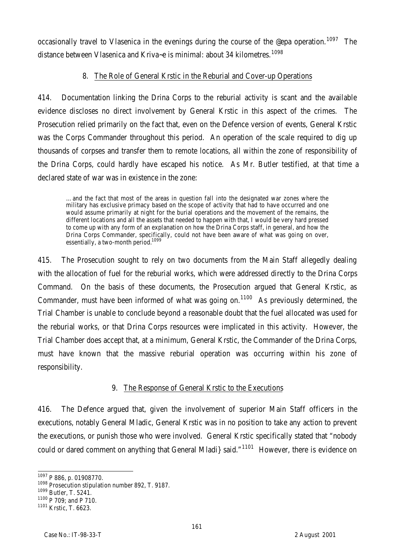occasionally travel to Vlasenica in the evenings during the course of the @epa operation.<sup>1097</sup> The distance between Vlasenica and Kriva~e is minimal: about 34 kilometres.<sup>1098</sup>

### 8. The Role of General Krstic in the Reburial and Cover-up Operations

414. Documentation linking the Drina Corps to the reburial activity is scant and the available evidence discloses no direct involvement by General Krstic in this aspect of the crimes. The Prosecution relied primarily on the fact that, even on the Defence version of events, General Krstic was the Corps Commander throughout this period. An operation of the scale required to dig up thousands of corpses and transfer them to remote locations, all within the zone of responsibility of the Drina Corps, could hardly have escaped his notice. As Mr. Butler testified, at that time a declared state of war was in existence in the zone:

…and the fact that most of the areas in question fall into the designated war zones where the military has exclusive primacy based on the scope of activity that had to have occurred and one would assume primarily at night for the burial operations and the movement of the remains, the different locations and all the assets that needed to happen with that, I would be very hard pressed to come up with any form of an explanation on how the Drina Corps staff, in general, and how the Drina Corps Commander, specifically, could not have been aware of what was going on over, essentially, a two-month period.<sup>1099</sup>

415. The Prosecution sought to rely on two documents from the Main Staff allegedly dealing with the allocation of fuel for the reburial works, which were addressed directly to the Drina Corps Command. On the basis of these documents, the Prosecution argued that General Krstic, as Commander, must have been informed of what was going on.<sup>1100</sup> As previously determined, the Trial Chamber is unable to conclude beyond a reasonable doubt that the fuel allocated was used for the reburial works, or that Drina Corps resources were implicated in this activity. However, the Trial Chamber does accept that, at a minimum, General Krstic, the Commander of the Drina Corps, must have known that the massive reburial operation was occurring within his zone of responsibility.

#### 9. The Response of General Krstic to the Executions

416. The Defence argued that, given the involvement of superior Main Staff officers in the executions, notably General Mladic, General Krstic was in no position to take any action to prevent the executions, or punish those who were involved. General Krstic specifically stated that "nobody could or dared comment on anything that General Mladi} said."<sup>1101</sup> However, there is evidence on

 $\overline{a}$ <sup>1097</sup> P 886, p. 01908770.

<sup>1098</sup> Prosecution stipulation number 892, T. 9187.

<sup>1099</sup> Butler, T. 5241.

<sup>1100</sup> P 709; and P 710.

<sup>1101</sup> Krstic, T. 6623.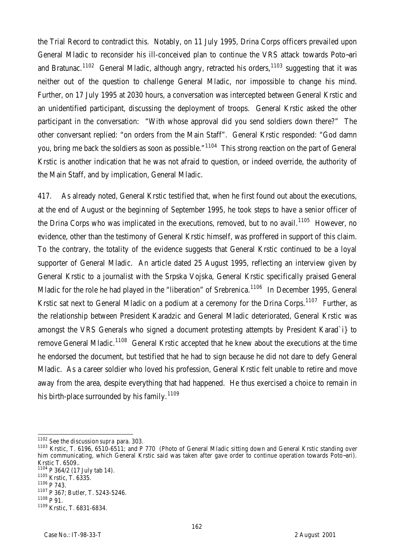the Trial Record to contradict this. Notably, on 11 July 1995, Drina Corps officers prevailed upon General Mladic to reconsider his ill-conceived plan to continue the VRS attack towards Poto~ari and Bratunac.<sup>1102</sup> General Mladic, although angry, retracted his orders,<sup>1103</sup> suggesting that it was neither out of the question to challenge General Mladic, nor impossible to change his mind. Further, on 17 July 1995 at 2030 hours, a conversation was intercepted between General Krstic and an unidentified participant, discussing the deployment of troops. General Krstic asked the other participant in the conversation: "With whose approval did you send soldiers down there?" The other conversant replied: "on orders from the Main Staff". General Krstic responded: "God damn you, bring me back the soldiers as soon as possible."<sup>1104</sup> This strong reaction on the part of General Krstic is another indication that he was not afraid to question, or indeed override, the authority of the Main Staff, and by implication, General Mladic.

417. As already noted, General Krstic testified that, when he first found out about the executions, at the end of August or the beginning of September 1995, he took steps to have a senior officer of the Drina Corps who was implicated in the executions, removed, but to no avail.<sup>1105</sup> However, no evidence, other than the testimony of General Krstic himself, was proffered in support of this claim. To the contrary, the totality of the evidence suggests that General Krstic continued to be a loyal supporter of General Mladic. An article dated 25 August 1995, reflecting an interview given by General Krstic to a journalist with the Srpska Vojska, General Krstic specifically praised General Mladic for the role he had played in the "liberation" of Srebrenica.<sup>1106</sup> In December 1995, General Krstic sat next to General Mladic on a podium at a ceremony for the Drina Corps.<sup>1107</sup> Further, as the relationship between President Karadzic and General Mladic deteriorated, General Krstic was amongst the VRS Generals who signed a document protesting attempts by President Karad`i} to remove General Mladic.<sup>1108</sup> General Krstic accepted that he knew about the executions at the time he endorsed the document, but testified that he had to sign because he did not dare to defy General Mladic. As a career soldier who loved his profession, General Krstic felt unable to retire and move away from the area, despite everything that had happened. He thus exercised a choice to remain in his birth-place surrounded by his family.<sup>1109</sup>

 $\overline{a}$ <sup>1102</sup> See the discussion *supra* para. 303.

<sup>1103</sup> Krstic, T. 6196, 6510-6511; and P 770 (Photo of General Mladic sitting down and General Krstic standing over him communicating, which General Krstic said was taken after gave order to continue operation towards Poto-ari). Krstic T. 6509..

<sup>1104</sup> P 364/2 (17 July tab 14).

<sup>1105</sup> Krstic, T. 6335.

<sup>1106</sup> P 743.

<sup>1107</sup> P 367; Butler, T. 5243-5246.

 $1108$  p 91.

<sup>1109</sup> Krstic, T. 6831-6834.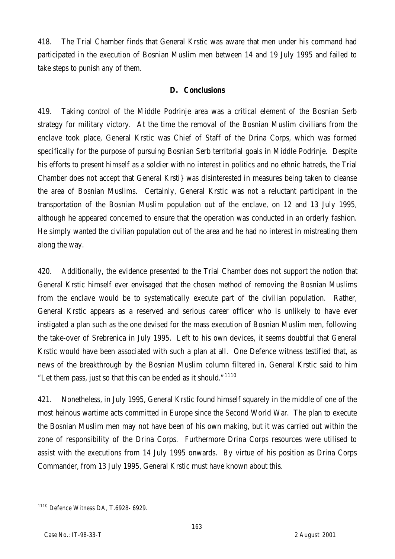418. The Trial Chamber finds that General Krstic was aware that men under his command had participated in the execution of Bosnian Muslim men between 14 and 19 July 1995 and failed to take steps to punish any of them.

### **D. Conclusions**

419. Taking control of the Middle Podrinje area was a critical element of the Bosnian Serb strategy for military victory. At the time the removal of the Bosnian Muslim civilians from the enclave took place, General Krstic was Chief of Staff of the Drina Corps, which was formed specifically for the purpose of pursuing Bosnian Serb territorial goals in Middle Podrinje. Despite his efforts to present himself as a soldier with no interest in politics and no ethnic hatreds, the Trial Chamber does not accept that General Krsti} was disinterested in measures being taken to cleanse the area of Bosnian Muslims. Certainly, General Krstic was not a reluctant participant in the transportation of the Bosnian Muslim population out of the enclave, on 12 and 13 July 1995, although he appeared concerned to ensure that the operation was conducted in an orderly fashion. He simply wanted the civilian population out of the area and he had no interest in mistreating them along the way.

420. Additionally, the evidence presented to the Trial Chamber does not support the notion that General Krstic himself ever envisaged that the chosen method of removing the Bosnian Muslims from the enclave would be to systematically execute part of the civilian population. Rather, General Krstic appears as a reserved and serious career officer who is unlikely to have ever instigated a plan such as the one devised for the mass execution of Bosnian Muslim men, following the take-over of Srebrenica in July 1995. Left to his own devices, it seems doubtful that General Krstic would have been associated with such a plan at all. One Defence witness testified that, as news of the breakthrough by the Bosnian Muslim column filtered in, General Krstic said to him "Let them pass, just so that this can be ended as it should." $1110$ 

421. Nonetheless, in July 1995, General Krstic found himself squarely in the middle of one of the most heinous wartime acts committed in Europe since the Second World War. The plan to execute the Bosnian Muslim men may not have been of his own making, but it was carried out within the zone of responsibility of the Drina Corps. Furthermore Drina Corps resources were utilised to assist with the executions from 14 July 1995 onwards. By virtue of his position as Drina Corps Commander, from 13 July 1995, General Krstic must have known about this.

 $\overline{a}$ <sup>1110</sup> Defence Witness DA, T.6928- 6929.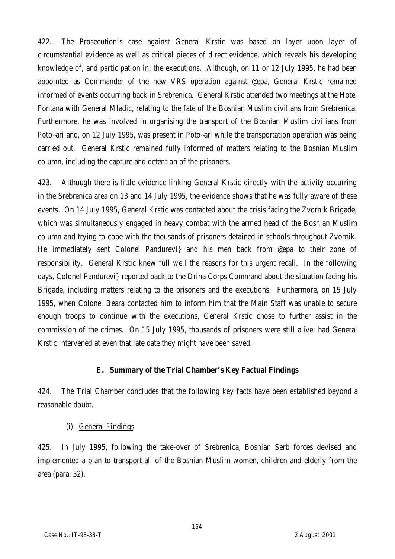422. The Prosecution's case against General Krstic was based on layer upon layer of circumstantial evidence as well as critical pieces of direct evidence, which reveals his developing knowledge of, and participation in, the executions. Although, on 11 or 12 July 1995, he had been appointed as Commander of the new VRS operation against @epa, General Krstic remained informed of events occurring back in Srebrenica. General Krstic attended two meetings at the Hotel Fontana with General Mladic, relating to the fate of the Bosnian Muslim civilians from Srebrenica. Furthermore, he was involved in organising the transport of the Bosnian Muslim civilians from Poto~ari and, on 12 July 1995, was present in Poto~ari while the transportation operation was being carried out. General Krstic remained fully informed of matters relating to the Bosnian Muslim column, including the capture and detention of the prisoners.

423. Although there is little evidence linking General Krstic directly with the activity occurring in the Srebrenica area on 13 and 14 July 1995, the evidence shows that he was fully aware of these events. On 14 July 1995, General Krstic was contacted about the crisis facing the Zvornik Brigade, which was simultaneously engaged in heavy combat with the armed head of the Bosnian Muslim column and trying to cope with the thousands of prisoners detained in schools throughout Zvornik. He immediately sent Colonel Pandurevi} and his men back from @epa to their zone of responsibility. General Krstic knew full well the reasons for this urgent recall. In the following days, Colonel Pandurevi} reported back to the Drina Corps Command about the situation facing his Brigade, including matters relating to the prisoners and the executions. Furthermore, on 15 July 1995, when Colonel Beara contacted him to inform him that the Main Staff was unable to secure enough troops to continue with the executions, General Krstic chose to further assist in the commission of the crimes. On 15 July 1995, thousands of prisoners were still alive; had General Krstic intervened at even that late date they might have been saved.

# **E. Summary of the Trial Chamber's Key Factual Findings**

424. The Trial Chamber concludes that the following key facts have been established beyond a reasonable doubt.

#### (i) General Findings

425. In July 1995, following the take-over of Srebrenica, Bosnian Serb forces devised and implemented a plan to transport all of the Bosnian Muslim women, children and elderly from the area (para. 52).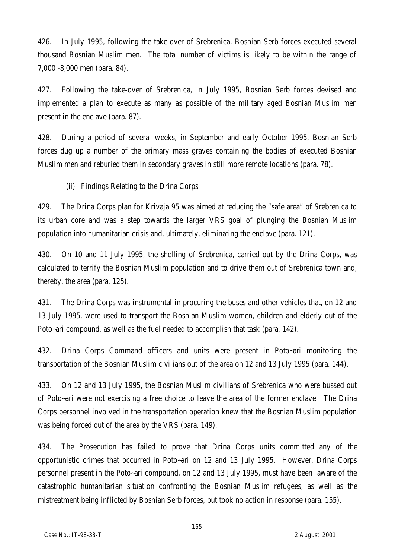426. In July 1995, following the take-over of Srebrenica, Bosnian Serb forces executed several thousand Bosnian Muslim men. The total number of victims is likely to be within the range of 7,000 -8,000 men (para. 84).

427. Following the take-over of Srebrenica, in July 1995, Bosnian Serb forces devised and implemented a plan to execute as many as possible of the military aged Bosnian Muslim men present in the enclave (para. 87).

428. During a period of several weeks, in September and early October 1995, Bosnian Serb forces dug up a number of the primary mass graves containing the bodies of executed Bosnian Muslim men and reburied them in secondary graves in still more remote locations (para. 78).

#### (ii) Findings Relating to the Drina Corps

429. The Drina Corps plan for Krivaja 95 was aimed at reducing the "safe area" of Srebrenica to its urban core and was a step towards the larger VRS goal of plunging the Bosnian Muslim population into humanitarian crisis and, ultimately, eliminating the enclave (para. 121).

430. On 10 and 11 July 1995, the shelling of Srebrenica, carried out by the Drina Corps, was calculated to terrify the Bosnian Muslim population and to drive them out of Srebrenica town and, thereby, the area (para. 125).

431. The Drina Corps was instrumental in procuring the buses and other vehicles that, on 12 and 13 July 1995, were used to transport the Bosnian Muslim women, children and elderly out of the Poto~ari compound, as well as the fuel needed to accomplish that task (para. 142).

432. Drina Corps Command officers and units were present in Poto~ari monitoring the transportation of the Bosnian Muslim civilians out of the area on 12 and 13 July 1995 (para. 144).

433. On 12 and 13 July 1995, the Bosnian Muslim civilians of Srebrenica who were bussed out of Poto~ari were not exercising a free choice to leave the area of the former enclave. The Drina Corps personnel involved in the transportation operation knew that the Bosnian Muslim population was being forced out of the area by the VRS (para. 149).

434. The Prosecution has failed to prove that Drina Corps units committed any of the opportunistic crimes that occurred in Poto~ari on 12 and 13 July 1995. However, Drina Corps personnel present in the Poto~ari compound, on 12 and 13 July 1995, must have been aware of the catastrophic humanitarian situation confronting the Bosnian Muslim refugees, as well as the mistreatment being inflicted by Bosnian Serb forces, but took no action in response (para. 155).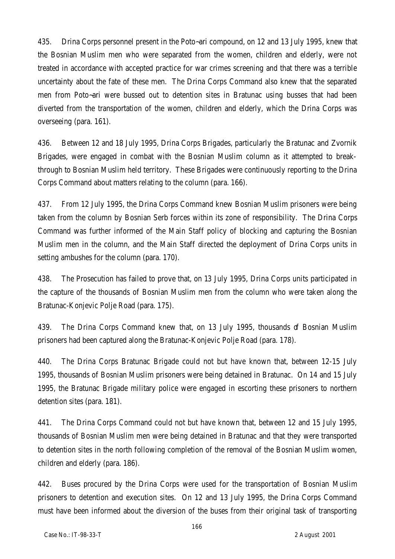435. Drina Corps personnel present in the Poto~ari compound, on 12 and 13 July 1995, knew that the Bosnian Muslim men who were separated from the women, children and elderly, were not treated in accordance with accepted practice for war crimes screening and that there was a terrible uncertainty about the fate of these men. The Drina Corps Command also knew that the separated men from Poto~ari were bussed out to detention sites in Bratunac using busses that had been diverted from the transportation of the women, children and elderly, which the Drina Corps was overseeing (para. 161).

436. Between 12 and 18 July 1995, Drina Corps Brigades, particularly the Bratunac and Zvornik Brigades, were engaged in combat with the Bosnian Muslim column as it attempted to breakthrough to Bosnian Muslim held territory. These Brigades were continuously reporting to the Drina Corps Command about matters relating to the column (para. 166).

437. From 12 July 1995, the Drina Corps Command knew Bosnian Muslim prisoners were being taken from the column by Bosnian Serb forces within its zone of responsibility. The Drina Corps Command was further informed of the Main Staff policy of blocking and capturing the Bosnian Muslim men in the column, and the Main Staff directed the deployment of Drina Corps units in setting ambushes for the column (para. 170).

438. The Prosecution has failed to prove that, on 13 July 1995, Drina Corps units participated in the capture of the thousands of Bosnian Muslim men from the column who were taken along the Bratunac-Konjevic Polje Road (para. 175).

439. The Drina Corps Command knew that, on 13 July 1995, thousands of Bosnian Muslim prisoners had been captured along the Bratunac-Konjevic Polje Road (para. 178).

440. The Drina Corps Bratunac Brigade could not but have known that, between 12-15 July 1995, thousands of Bosnian Muslim prisoners were being detained in Bratunac. On 14 and 15 July 1995, the Bratunac Brigade military police were engaged in escorting these prisoners to northern detention sites (para. 181).

441. The Drina Corps Command could not but have known that, between 12 and 15 July 1995, thousands of Bosnian Muslim men were being detained in Bratunac and that they were transported to detention sites in the north following completion of the removal of the Bosnian Muslim women, children and elderly (para. 186).

442. Buses procured by the Drina Corps were used for the transportation of Bosnian Muslim prisoners to detention and execution sites. On 12 and 13 July 1995, the Drina Corps Command must have been informed about the diversion of the buses from their original task of transporting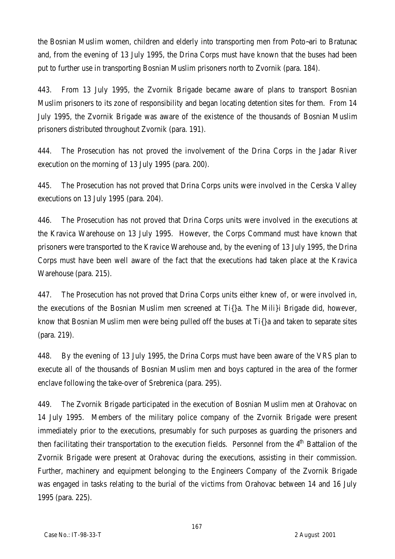the Bosnian Muslim women, children and elderly into transporting men from Poto~ari to Bratunac and, from the evening of 13 July 1995, the Drina Corps must have known that the buses had been put to further use in transporting Bosnian Muslim prisoners north to Zvornik (para. 184).

443. From 13 July 1995, the Zvornik Brigade became aware of plans to transport Bosnian Muslim prisoners to its zone of responsibility and began locating detention sites for them. From 14 July 1995, the Zvornik Brigade was aware of the existence of the thousands of Bosnian Muslim prisoners distributed throughout Zvornik (para. 191).

444. The Prosecution has not proved the involvement of the Drina Corps in the Jadar River execution on the morning of 13 July 1995 (para. 200).

445. The Prosecution has not proved that Drina Corps units were involved in the Cerska Valley executions on 13 July 1995 (para. 204).

446. The Prosecution has not proved that Drina Corps units were involved in the executions at the Kravica Warehouse on 13 July 1995. However, the Corps Command must have known that prisoners were transported to the Kravice Warehouse and, by the evening of 13 July 1995, the Drina Corps must have been well aware of the fact that the executions had taken place at the Kravica Warehouse (para. 215).

447. The Prosecution has not proved that Drina Corps units either knew of, or were involved in, the executions of the Bosnian Muslim men screened at Ti{}a. The Mili}i Brigade did, however, know that Bosnian Muslim men were being pulled off the buses at Ti{}a and taken to separate sites (para. 219).

448. By the evening of 13 July 1995, the Drina Corps must have been aware of the VRS plan to execute all of the thousands of Bosnian Muslim men and boys captured in the area of the former enclave following the take-over of Srebrenica (para. 295).

449. The Zvornik Brigade participated in the execution of Bosnian Muslim men at Orahovac on 14 July 1995. Members of the military police company of the Zvornik Brigade were present immediately prior to the executions, presumably for such purposes as guarding the prisoners and then facilitating their transportation to the execution fields. Personnel from the 4<sup>th</sup> Battalion of the Zvornik Brigade were present at Orahovac during the executions, assisting in their commission. Further, machinery and equipment belonging to the Engineers Company of the Zvornik Brigade was engaged in tasks relating to the burial of the victims from Orahovac between 14 and 16 July 1995 (para. 225).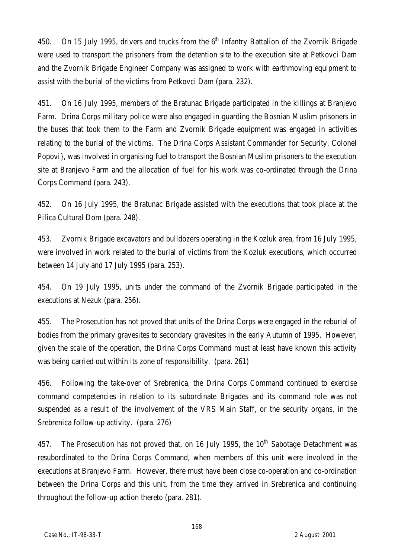450. On 15 July 1995, drivers and trucks from the  $6<sup>th</sup>$  Infantry Battalion of the Zvornik Brigade were used to transport the prisoners from the detention site to the execution site at Petkovci Dam and the Zvornik Brigade Engineer Company was assigned to work with earthmoving equipment to assist with the burial of the victims from Petkovci Dam (para. 232).

451. On 16 July 1995, members of the Bratunac Brigade participated in the killings at Branjevo Farm. Drina Corps military police were also engaged in guarding the Bosnian Muslim prisoners in the buses that took them to the Farm and Zvornik Brigade equipment was engaged in activities relating to the burial of the victims. The Drina Corps Assistant Commander for Security, Colonel Popovi}, was involved in organising fuel to transport the Bosnian Muslim prisoners to the execution site at Branjevo Farm and the allocation of fuel for his work was co-ordinated through the Drina Corps Command (para. 243).

452. On 16 July 1995, the Bratunac Brigade assisted with the executions that took place at the Pilica Cultural Dom (para. 248).

453. Zvornik Brigade excavators and bulldozers operating in the Kozluk area, from 16 July 1995, were involved in work related to the burial of victims from the Kozluk executions, which occurred between 14 July and 17 July 1995 (para. 253).

454. On 19 July 1995, units under the command of the Zvornik Brigade participated in the executions at Nezuk (para. 256).

455. The Prosecution has not proved that units of the Drina Corps were engaged in the reburial of bodies from the primary gravesites to secondary gravesites in the early Autumn of 1995. However, given the scale of the operation, the Drina Corps Command must at least have known this activity was being carried out within its zone of responsibility. (para. 261)

456. Following the take-over of Srebrenica, the Drina Corps Command continued to exercise command competencies in relation to its subordinate Brigades and its command role was not suspended as a result of the involvement of the VRS Main Staff, or the security organs, in the Srebrenica follow-up activity. (para. 276)

457. The Prosecution has not proved that, on 16 July 1995, the 10<sup>th</sup> Sabotage Detachment was resubordinated to the Drina Corps Command, when members of this unit were involved in the executions at Branjevo Farm. However, there must have been close co-operation and co-ordination between the Drina Corps and this unit, from the time they arrived in Srebrenica and continuing throughout the follow-up action thereto (para. 281).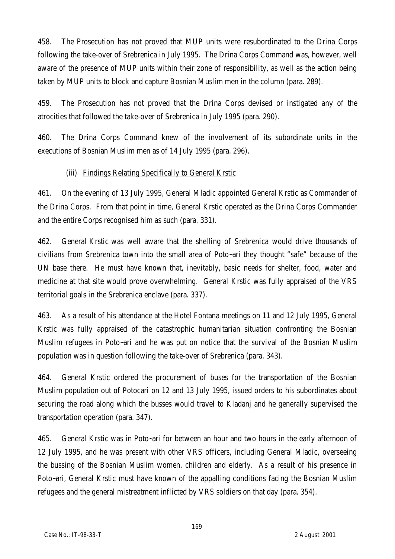458. The Prosecution has not proved that MUP units were resubordinated to the Drina Corps following the take-over of Srebrenica in July 1995. The Drina Corps Command was, however, well aware of the presence of MUP units within their zone of responsibility, as well as the action being taken by MUP units to block and capture Bosnian Muslim men in the column (para. 289).

459. The Prosecution has not proved that the Drina Corps devised or instigated any of the atrocities that followed the take-over of Srebrenica in July 1995 (para. 290).

460. The Drina Corps Command knew of the involvement of its subordinate units in the executions of Bosnian Muslim men as of 14 July 1995 (para. 296).

## (iii) Findings Relating Specifically to General Krstic

461. On the evening of 13 July 1995, General Mladic appointed General Krstic as Commander of the Drina Corps. From that point in time, General Krstic operated as the Drina Corps Commander and the entire Corps recognised him as such (para. 331).

462. General Krstic was well aware that the shelling of Srebrenica would drive thousands of civilians from Srebrenica town into the small area of Poto~ari they thought "safe" because of the UN base there. He must have known that, inevitably, basic needs for shelter, food, water and medicine at that site would prove overwhelming. General Krstic was fully appraised of the VRS territorial goals in the Srebrenica enclave (para. 337).

463. As a result of his attendance at the Hotel Fontana meetings on 11 and 12 July 1995, General Krstic was fully appraised of the catastrophic humanitarian situation confronting the Bosnian Muslim refugees in Poto~ari and he was put on notice that the survival of the Bosnian Muslim population was in question following the take-over of Srebrenica (para. 343).

464. General Krstic ordered the procurement of buses for the transportation of the Bosnian Muslim population out of Potocari on 12 and 13 July 1995, issued orders to his subordinates about securing the road along which the busses would travel to Kladanj and he generally supervised the transportation operation (para. 347).

465. General Krstic was in Poto~ari for between an hour and two hours in the early afternoon of 12 July 1995, and he was present with other VRS officers, including General Mladic, overseeing the bussing of the Bosnian Muslim women, children and elderly. As a result of his presence in Poto~ari, General Krstic must have known of the appalling conditions facing the Bosnian Muslim refugees and the general mistreatment inflicted by VRS soldiers on that day (para. 354).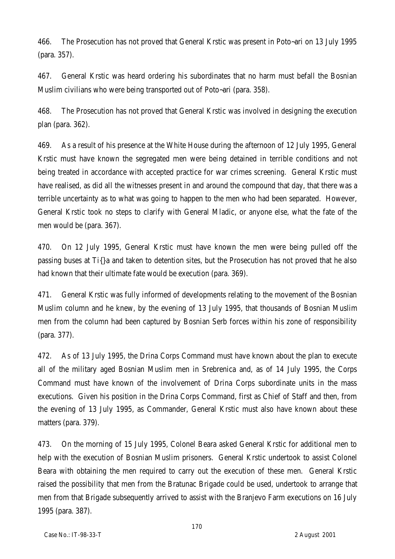466. The Prosecution has not proved that General Krstic was present in Poto~ari on 13 July 1995 (para. 357).

467. General Krstic was heard ordering his subordinates that no harm must befall the Bosnian Muslim civilians who were being transported out of Poto~ari (para. 358).

468. The Prosecution has not proved that General Krstic was involved in designing the execution plan (para. 362).

469. As a result of his presence at the White House during the afternoon of 12 July 1995, General Krstic must have known the segregated men were being detained in terrible conditions and not being treated in accordance with accepted practice for war crimes screening. General Krstic must have realised, as did all the witnesses present in and around the compound that day, that there was a terrible uncertainty as to what was going to happen to the men who had been separated. However, General Krstic took no steps to clarify with General Mladic, or anyone else, what the fate of the men would be (para. 367).

470. On 12 July 1995, General Krstic must have known the men were being pulled off the passing buses at Ti{}a and taken to detention sites, but the Prosecution has not proved that he also had known that their ultimate fate would be execution (para. 369).

471. General Krstic was fully informed of developments relating to the movement of the Bosnian Muslim column and he knew, by the evening of 13 July 1995, that thousands of Bosnian Muslim men from the column had been captured by Bosnian Serb forces within his zone of responsibility (para. 377).

472. As of 13 July 1995, the Drina Corps Command must have known about the plan to execute all of the military aged Bosnian Muslim men in Srebrenica and, as of 14 July 1995, the Corps Command must have known of the involvement of Drina Corps subordinate units in the mass executions. Given his position in the Drina Corps Command, first as Chief of Staff and then, from the evening of 13 July 1995, as Commander, General Krstic must also have known about these matters (para. 379).

473. On the morning of 15 July 1995, Colonel Beara asked General Krstic for additional men to help with the execution of Bosnian Muslim prisoners. General Krstic undertook to assist Colonel Beara with obtaining the men required to carry out the execution of these men. General Krstic raised the possibility that men from the Bratunac Brigade could be used, undertook to arrange that men from that Brigade subsequently arrived to assist with the Branjevo Farm executions on 16 July 1995 (para. 387).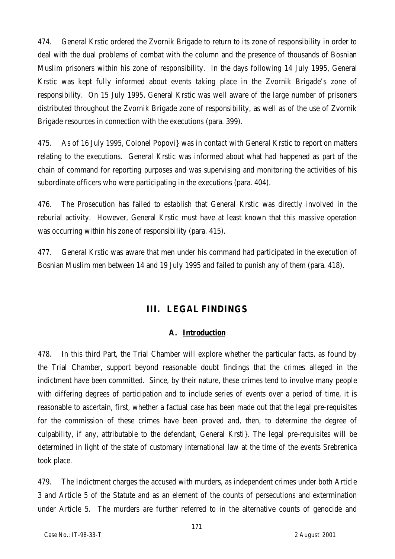474. General Krstic ordered the Zvornik Brigade to return to its zone of responsibility in order to deal with the dual problems of combat with the column and the presence of thousands of Bosnian Muslim prisoners within his zone of responsibility. In the days following 14 July 1995, General Krstic was kept fully informed about events taking place in the Zvornik Brigade's zone of responsibility. On 15 July 1995, General Krstic was well aware of the large number of prisoners distributed throughout the Zvornik Brigade zone of responsibility, as well as of the use of Zvornik Brigade resources in connection with the executions (para. 399).

475. As of 16 July 1995, Colonel Popovi} was in contact with General Krstic to report on matters relating to the executions. General Krstic was informed about what had happened as part of the chain of command for reporting purposes and was supervising and monitoring the activities of his subordinate officers who were participating in the executions (para. 404).

476. The Prosecution has failed to establish that General Krstic was directly involved in the reburial activity. However, General Krstic must have at least known that this massive operation was occurring within his zone of responsibility (para. 415).

477. General Krstic was aware that men under his command had participated in the execution of Bosnian Muslim men between 14 and 19 July 1995 and failed to punish any of them (para. 418).

# **III. LEGAL FINDINGS**

#### **A. Introduction**

478. In this third Part, the Trial Chamber will explore whether the particular facts, as found by the Trial Chamber, support beyond reasonable doubt findings that the crimes alleged in the indictment have been committed. Since, by their nature, these crimes tend to involve many people with differing degrees of participation and to include series of events over a period of time, it is reasonable to ascertain, first, whether a factual case has been made out that the legal pre-requisites for the commission of these crimes have been proved and, then, to determine the degree of culpability, if any, attributable to the defendant, General Krsti}. The legal pre-requisites will be determined in light of the state of customary international law at the time of the events Srebrenica took place.

479. The Indictment charges the accused with murders, as independent crimes under both Article 3 and Article 5 of the Statute and as an element of the counts of persecutions and extermination under Article 5. The murders are further referred to in the alternative counts of genocide and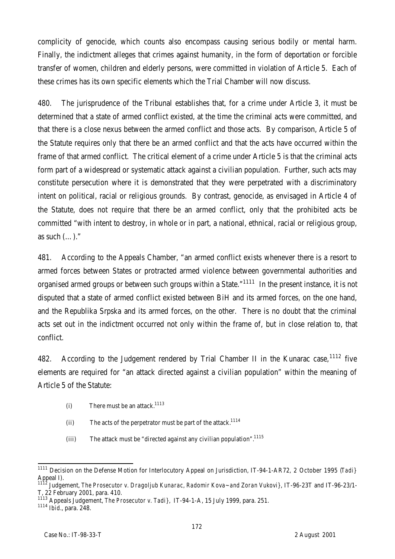complicity of genocide, which counts also encompass causing serious bodily or mental harm. Finally, the indictment alleges that crimes against humanity, in the form of deportation or forcible transfer of women, children and elderly persons, were committed in violation of Article 5. Each of these crimes has its own specific elements which the Trial Chamber will now discuss.

480. The jurisprudence of the Tribunal establishes that, for a crime under Article 3, it must be determined that a state of armed conflict existed, at the time the criminal acts were committed, and that there is a close nexus between the armed conflict and those acts. By comparison, Article 5 of the Statute requires only that there be an armed conflict and that the acts have occurred within the frame of that armed conflict. The critical element of a crime under Article 5 is that the criminal acts form part of a widespread or systematic attack against a civilian population. Further, such acts may constitute persecution where it is demonstrated that they were perpetrated with a discriminatory intent on political, racial or religious grounds. By contrast, genocide, as envisaged in Article 4 of the Statute, does not require that there be an armed conflict, only that the prohibited acts be committed "with intent to destroy, in whole or in part, a national, ethnical, racial or religious group, as such  $(...)'$ 

481. According to the Appeals Chamber, "an armed conflict exists whenever there is a resort to armed forces between States or protracted armed violence between governmental authorities and organised armed groups or between such groups within a State."<sup>1111</sup> In the present instance, it is not disputed that a state of armed conflict existed between BiH and its armed forces, on the one hand, and the Republika Srpska and its armed forces, on the other. There is no doubt that the criminal acts set out in the indictment occurred not only within the frame of, but in close relation to, that conflict.

482. According to the Judgement rendered by Trial Chamber II in the Kunarac case,  $1112$  five elements are required for "an attack directed against a civilian population" within the meaning of Article 5 of the Statute:

- (i) There must be an attack.<sup>1113</sup>
- (ii) The acts of the perpetrator must be part of the attack.<sup>1114</sup>
- (iii) The attack must be "directed against any civilian population".<sup>1115</sup>

 $\overline{a}$ <sup>1111</sup> Decision on the Defense Motion for Interlocutory Appeal on Jurisdiction, IT-94-1-AR72, 2 October 1995 (*Tadi}* Appeal I).

<sup>1112</sup> Judgement, *The Prosecutor v. Dragoljub Kunarac, Radomir Kova~ and Zoran Vukovi}*, IT-96-23T and IT-96-23/1- T, 22 February 2001, para. 410.

<sup>1113</sup> Appeals Judgement, *The Prosecutor v. Tadi}*, IT-94-1-A, 15 July 1999, para. 251.

<sup>1114</sup> *Ibid.*, para. 248.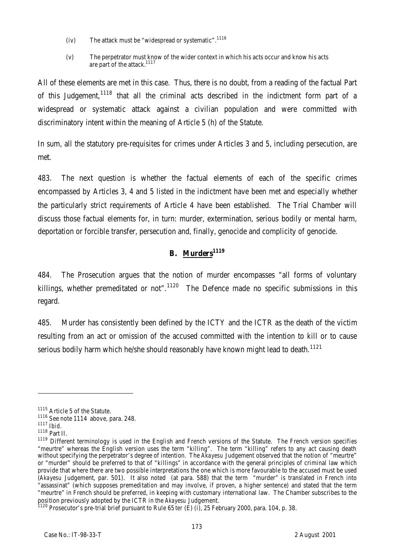- (iv) The attack must be "widespread or systematic". $1116$
- (v) The perpetrator must know of the wider context in which his acts occur and know his acts are part of the attack.<sup>1117</sup>

All of these elements are met in this case. Thus, there is no doubt, from a reading of the factual Part of this Judgement,  $1118$  that all the criminal acts described in the indictment form part of a widespread or systematic attack against a civilian population and were committed with discriminatory intent within the meaning of Article 5 (h) of the Statute.

In sum, all the statutory pre-requisites for crimes under Articles 3 and 5, including persecution, are met.

483. The next question is whether the factual elements of each of the specific crimes encompassed by Articles 3, 4 and 5 listed in the indictment have been met and especially whether the particularly strict requirements of Article 4 have been established. The Trial Chamber will discuss those factual elements for, in turn: murder, extermination, serious bodily or mental harm, deportation or forcible transfer, persecution and, finally, genocide and complicity of genocide.

## **B. Murders<sup>1119</sup>**

484. The Prosecution argues that the notion of murder encompasses "all forms of voluntary killings, whether premeditated or not".<sup>1120</sup> The Defence made no specific submissions in this regard.

485. Murder has consistently been defined by the ICTY and the ICTR as the death of the victim resulting from an act or omission of the accused committed with the intention to kill or to cause serious bodily harm which he/she should reasonably have known might lead to death.<sup>1121</sup>

<sup>1115</sup> Article 5 of the Statute.

<sup>1116</sup> See note 1114 above, para. 248.

<sup>1117</sup> *Ibid*.

<sup>1118</sup> Part II.

<sup>1119</sup> Different terminology is used in the English and French versions of the Statute. The French version specifies "meurtre" whereas the English version uses the term "killing". The term "killing" refers to any act causing death without specifying the perpetrator's degree of intention. The *Akayesu* Judgement observed that the notion of "meurtre" or "murder" should be preferred to that of "killings" in accordance with the general principles of criminal law which provide that where there are two possible interpretations the one which is more favourable to the accused must be used (*Akayesu* Judgement, par. 501). It also noted (at para. 588) that the term "murder" is translated in French into "assassinat" (which supposes premeditation and may involve, if proven, a higher sentence) and stated that the term "meurtre" in French should be preferred, in keeping with customary international law. The Chamber subscribes to the position previously adopted by the ICTR in the *Akayesu* Judgement*.*

<sup>1120</sup> Prosecutor's pre-trial brief pursuant to Rule 65 *ter* (E) (i), 25 February 2000, para. 104, p. 38.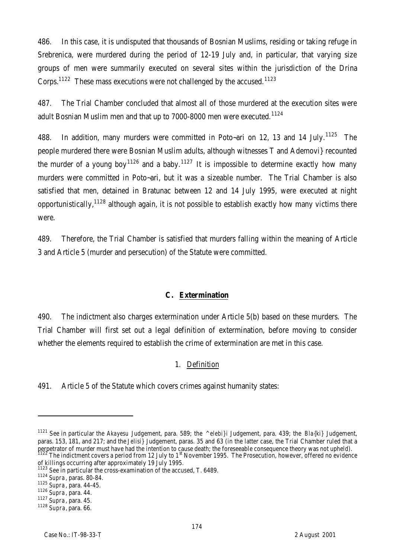486. In this case, it is undisputed that thousands of Bosnian Muslims, residing or taking refuge in Srebrenica, were murdered during the period of 12-19 July and, in particular, that varying size groups of men were summarily executed on several sites within the jurisdiction of the Drina Corps.<sup>1122</sup> These mass executions were not challenged by the accused.<sup>1123</sup>

487. The Trial Chamber concluded that almost all of those murdered at the execution sites were adult Bosnian Muslim men and that up to 7000-8000 men were executed.<sup>1124</sup>

488. In addition, many murders were committed in Poto~ari on 12, 13 and 14 July.<sup>1125</sup> The people murdered there were Bosnian Muslim adults, although witnesses T and Ademovi} recounted the murder of a young boy<sup>1126</sup> and a baby.<sup>1127</sup> It is impossible to determine exactly how many murders were committed in Poto~ari, but it was a sizeable number. The Trial Chamber is also satisfied that men, detained in Bratunac between 12 and 14 July 1995, were executed at night opportunistically,<sup>1128</sup> although again, it is not possible to establish exactly how many victims there were.

489. Therefore, the Trial Chamber is satisfied that murders falling within the meaning of Article 3 and Article 5 (murder and persecution) of the Statute were committed.

#### **C. Extermination**

490. The indictment also charges extermination under Article 5(b) based on these murders. The Trial Chamber will first set out a legal definition of extermination, before moving to consider whether the elements required to establish the crime of extermination are met in this case.

#### 1. Definition

491. Article 5 of the Statute which covers crimes against humanity states:

<sup>1121</sup> See in particular the *Akayesu* Judgement, para. 589; the *^elebi}i* Judgement, para. 439; the *Bla{ki}* Judgement, paras. 153, 181, and 217; and the *Jelisi}* Judgement, paras. 35 and 63 (in the latter case, the Trial Chamber ruled that a perpetrator of murder must have had the intention to cause death; the foreseeable consequence theory was not upheld). The indictment covers a period from 12 July to 1<sup>st</sup> November 1995. The Prosecution, however, offered no evidence of killings occurring after approximately 19 July 1995.

<sup>&</sup>lt;sup>1123</sup> See in particular the cross-examination of the accused, T. 6489.

<sup>1124</sup> *Supra*, paras. 80-84.

<sup>1125</sup> *Supra*, para. 44-45.

<sup>1126</sup> *Supra*, para. 44.

<sup>1127</sup> *Supra*, para. 45.

<sup>1128</sup> *Supra,* para. 66.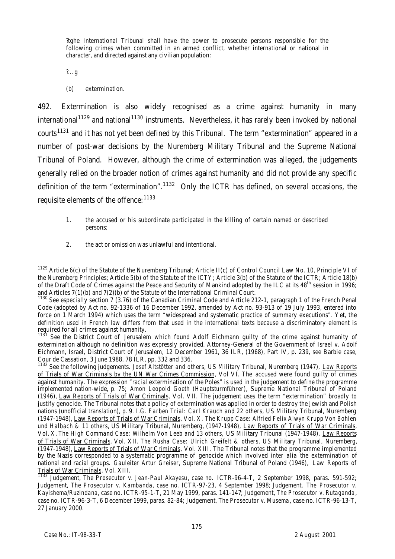?tghe International Tribunal shall have the power to prosecute persons responsible for the following crimes when committed in an armed conflict, whether international or national in character, and directed against any civilian population:

?…g

(b) extermination.

492. Extermination is also widely recognised as a crime against humanity in many international<sup>1129</sup> and national<sup>1130</sup> instruments. Nevertheless, it has rarely been invoked by national courts<sup>1131</sup> and it has not yet been defined by this Tribunal. The term "extermination" appeared in a number of post-war decisions by the Nuremberg Military Tribunal and the Supreme National Tribunal of Poland. However, although the crime of extermination was alleged, the judgements generally relied on the broader notion of crimes against humanity and did not provide any specific definition of the term "extermination".<sup>1132</sup> Only the ICTR has defined, on several occasions, the requisite elements of the offence: <sup>1133</sup>

- 1. the accused or his subordinate participated in the killing of certain named or described persons;
- 2. the act or omission was unlawful and intentional.

 $\overline{\phantom{a}}$ <sup>1129</sup> Article 6(c) of the Statute of the Nuremberg Tribunal; Article II(c) of Control Council Law No. 10, Principle VI of the Nuremberg Principles; Article 5(b) of the Statute of the ICTY; Article 3(b) of the Statute of the ICTR; Article 18(b) of the Draft Code of Crimes against the Peace and Security of Mankind adopted by the ILC at its 48<sup>th</sup> session in 1996; and Articles 7(1)(b) and 7(2)(b) of the Statute of the International Criminal Court.

<sup>&</sup>lt;sup>1130</sup> See especially section 7 (3.76) of the Canadian Criminal Code and Article 212-1, paragraph 1 of the French Penal Code (adopted by Act no. 92-1336 of 16 December 1992, amended by Act no. 93-913 of 19 July 1993, entered into force on 1 March 1994) which uses the term "widespread and systematic practice of summary executions". Yet, the definition used in French law differs from that used in the international texts because a discriminatory element is required for all crimes against humanity.

<sup>&</sup>lt;sup>1131</sup> See the District Court of Jerusalem which found Adolf Eichmann guilty of the crime against humanity of extermination although no definition was expressly provided. Attorney-General of the Government of Israel v. Adolf Eichmann, Israel, District Court of Jerusalem, 12 December 1961, 36 ILR, (1968), Part IV, p. 239, see Barbie case, Cour de Cassation, 3 June 1988, 78 ILR, pp. 332 and 336.

<sup>1132</sup> See the following judgements. *Josef Altstötter and others*, US Military Tribunal, Nuremberg (1947), Law Reports of Trials of War Criminals by the UN War Crimes Commission, Vol VI. The accused were found guilty of crimes against humanity. The expression "racial extermination of the Poles" is used in the judgement to define the programme implemented nation-wide, p. 75; *Amon Leopold Goeth (Hauptsturmführer)*, Supreme National Tribunal of Poland (1946), Law Reports of Trials of War Criminals, Vol. VII. The judgement uses the term "extermination" broadly to justify genocide. The Tribunal notes that a policy of extermination was applied in order to destroy the Jewish and Polish nations (unofficial translation), p. 9. *I.G. Farben Trial: Carl Krauch and 22 others*, US Military Tribunal, Nuremberg (1947-1948), Law Reports of Trials of War Criminals, Vol. X. *The Krupp Case: Alfried Felix Alwyn Krupp Von Bohlen und Halbach & 11 others*, US Military Tribunal, Nuremberg, (1947-1948), Law Reports of Trials of War Criminals, Vol. X. *The High Command Case: Wilhelm Von Leeb and 13 others,* US Military Tribunal (1947-1948), Law Reports of Trials of War Criminals, Vol. XII. *The Rusha Case: Ulrich Greifelt & others*, US Military Tribunal, Nuremberg, (1947-1948), Law Reports of Trials of War Criminals, Vol. XIII. The Tribunal notes that the programme implemented by the Nazis corresponded to a systematic programme of genocide which involved *inter alia* the extermination of national and racial groups. *Gauleiter Artur Greiser*, Supreme National Tribunal of Poland (1946), Law Reports of Trials of War Criminals, Vol. XIII.

<sup>1133</sup> Judgement, *The Prosecutor v. Jean-Paul Akayesu*, case no. ICTR-96-4-T, 2 September 1998, paras. 591-592; Judgement, *The Prosecutor v. Kambanda*, case no. ICTR-97-23, 4 September 1998; Judgement, *The Prosecutor v. Kayishema/Ruzindana*, case no. ICTR-95-1-T, 21 May 1999, paras. 141-147; Judgement, *The Prosecutor v. Rutaganda*, case no. ICTR-96-3-T, 6 December 1999, paras. 82-84; Judgement, *The Prosecutor v. Musema*, case no. ICTR-96-13-T, 27 January 2000.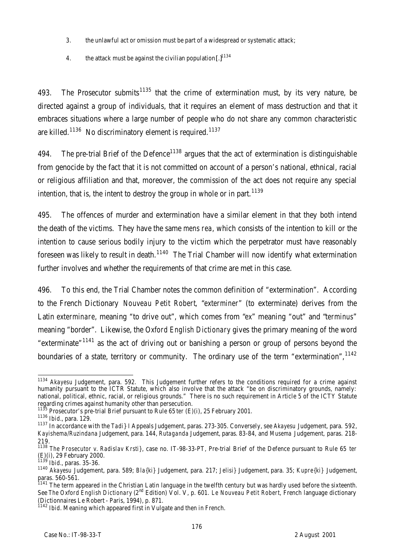- 3. the unlawful act or omission must be part of a widespread or systematic attack;
- 4. the attack must be against the civilian population [.] $^{1134}$

493. The Prosecutor submits<sup>1135</sup> that the crime of extermination must, by its very nature, be directed against a group of individuals, that it requires an element of mass destruction and that it embraces situations where a large number of people who do not share any common characteristic are killed.<sup>1136</sup> No discriminatory element is required.<sup>1137</sup>

494. The pre-trial Brief of the Defence<sup>1138</sup> argues that the act of extermination is distinguishable from genocide by the fact that it is not committed on account of a person's national, ethnical, racial or religious affiliation and that, moreover, the commission of the act does not require any special intention, that is, the intent to destroy the group in whole or in part.  $1139$ 

495. The offences of murder and extermination have a similar element in that they both intend the death of the victims. They have the same *mens rea*, which consists of the intention to kill or the intention to cause serious bodily injury to the victim which the perpetrator must have reasonably foreseen was likely to result in death.<sup>1140</sup> The Trial Chamber will now identify what extermination further involves and whether the requirements of that crime are met in this case.

496. To this end, the Trial Chamber notes the common definition of "extermination". According to the French Dictionary *Nouveau Petit Robert*, "*exterminer*" (to exterminate) derives from the Latin *exterminare*, meaning "to drive out", which comes from "*ex*" meaning "out" and "*terminus*" meaning "border". Likewise, the O*xford English Dictionary* gives the primary meaning of the word "exterminate"<sup>1141</sup> as the act of driving out or banishing a person or group of persons beyond the boundaries of a state, territory or community. The ordinary use of the term "extermination", 1142

 $\overline{a}$ <sup>1134</sup> *Akayesu* Judgement, para. 592. This Judgement further refers to the conditions required for a crime against humanity pursuant to the ICTR Statute, which also involve that the attack "be on discriminatory grounds, namely: national, political, ethnic, racial, or religious grounds." There is no such requirement in Article 5 of the ICTY Statute regarding crimes against humanity other than persecution.

<sup>&</sup>lt;sup>2</sup> Prosecutor's pre-trial Brief pursuant to Rule 65 *ter* (E)(i), 25 February 2001.

<sup>1136</sup> *Ibid.*, para. 129.

<sup>1137</sup> In accordance with the *Tadi*} *I* Appeals Judgement, paras. 273-305. Conversely, see *Akayesu* Judgement, para. 592, *Kayishema/Ruzindana* Judgement, para. 144, *Rutaganda* Judgement, paras. 83-84, and *Musema* Judgement, paras. 218- 219.

<sup>1138</sup> *The Prosecutor v. Radislav Krsti}*, case no. IT-98-33-PT, Pre-trial Brief of the Defence pursuant to Rule 65 *ter* (E)(i), 29 February 2000.

*Ibid.*, paras. 35-36.

<sup>1140</sup> *Akayesu* Judgement, para. 589; *Bla{ki}* Judgement, para. 217; *Jelisi}* Judgement, para. 35; *Kupre{ki}* Judgement, paras. 560-561.

<sup>&</sup>lt;sup>1141</sup> The term appeared in the Christian Latin language in the twelfth century but was hardly used before the sixteenth. See *The Oxford English Dictionary* (2<sup>nd</sup> Edition) Vol. V, p. 601. *Le Nouveau Petit Robert*, French language dictionary (Dictionnaires Le Robert - Paris, 1994), p. 871.

<sup>1142</sup> *Ibid*. Meaning which appeared first in Vulgate and then in French.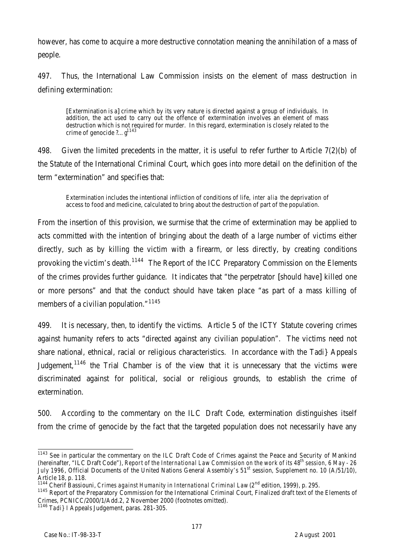however, has come to acquire a more destructive connotation meaning the annihilation of a mass of people.

497. Thus, the International Law Commission insists on the element of mass destruction in defining extermination:

[Extermination is a] crime which by its very nature is directed against a group of individuals. In addition, the act used to carry out the offence of extermination involves an element of mass destruction which is not required for murder. In this regard, extermination is closely related to the crime of genocide ? $\dots$ g $^{1143}$ 

498. Given the limited precedents in the matter, it is useful to refer further to Article 7(2)(b) of the Statute of the International Criminal Court, which goes into more detail on the definition of the term "extermination" and specifies that:

Extermination includes the intentional infliction of conditions of life, *inter alia* the deprivation of access to food and medicine, calculated to bring about the destruction of part of the population.

From the insertion of this provision, we surmise that the crime of extermination may be applied to acts committed with the intention of bringing about the death of a large number of victims either directly, such as by killing the victim with a firearm, or less directly, by creating conditions provoking the victim's death.<sup>1144</sup> The Report of the ICC Preparatory Commission on the Elements of the crimes provides further guidance. It indicates that "the perpetrator [should have] killed one or more persons" and that the conduct should have taken place "as part of a mass killing of members of a civilian population."<sup>1145</sup>

499. It is necessary, then, to identify the victims. Article 5 of the ICTY Statute covering crimes against humanity refers to acts "directed against any civilian population". The victims need not share national, ethnical, racial or religious characteristics. In accordance with the Tadi} Appeals Judgement,<sup>1146</sup> the Trial Chamber is of the view that it is unnecessary that the victims were discriminated against for political, social or religious grounds, to establish the crime of extermination.

500. According to the commentary on the ILC Draft Code, extermination distinguishes itself from the crime of genocide by the fact that the targeted population does not necessarily have any

 $\overline{a}$ <sup>1143</sup> See in particular the commentary on the ILC Draft Code of Crimes against the Peace and Security of Mankind (hereinafter, "ILC Draft Code"), *Report of the International Law Commission on the work of its 48th session, 6 May - 26 July 1996*, Official Documents of the United Nations General Assembly's 51st session, Supplement no. 10 (A/51/10), Article 18, p. 118.

<sup>&</sup>lt;sup>1144</sup> Cherif Bassiouni, *Crimes against Humanity in International Criminal Law* (2<sup>nd</sup> edition, 1999), p. 295.

<sup>1145</sup> Report of the Preparatory Commission for the International Criminal Court, Finalized draft text of the Elements of Crimes, PCNICC/2000/1/Add.2, 2 November 2000 (footnotes omitted).

<sup>1146</sup> T*adi} I* Appeals Judgement, paras. 281-305.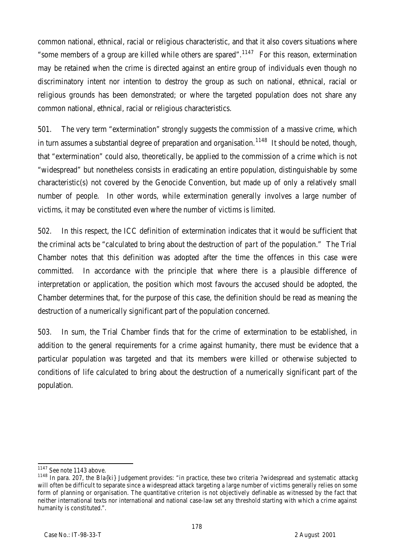common national, ethnical, racial or religious characteristic, and that it also covers situations where "some members of a group are killed while others are spared".<sup>1147</sup> For this reason, extermination may be retained when the crime is directed against an entire group of individuals even though no discriminatory intent nor intention to destroy the group as such on national, ethnical, racial or religious grounds has been demonstrated; or where the targeted population does not share any common national, ethnical, racial or religious characteristics.

501. The very term "extermination" strongly suggests the commission of a massive crime, which in turn assumes a substantial degree of preparation and organisation.<sup>1148</sup> It should be noted, though, that "extermination" could also, theoretically, be applied to the commission of a crime which is not "widespread" but nonetheless consists in eradicating an entire population, distinguishable by some characteristic(s) not covered by the Genocide Convention, but made up of only a relatively small number of people. In other words, while extermination generally involves a large number of victims, it may be constituted even where the number of victims is limited.

502. In this respect, the ICC definition of extermination indicates that it would be sufficient that the criminal acts be "calculated to bring about the destruction of *part* of the population." The Trial Chamber notes that this definition was adopted after the time the offences in this case were committed. In accordance with the principle that where there is a plausible difference of interpretation or application, the position which most favours the accused should be adopted, the Chamber determines that, for the purpose of this case, the definition should be read as meaning the destruction of a numerically significant part of the population concerned.

503. In sum, the Trial Chamber finds that for the crime of extermination to be established, in addition to the general requirements for a crime against humanity, there must be evidence that a particular population was targeted and that its members were killed or otherwise subjected to conditions of life calculated to bring about the destruction of a numerically significant part of the population.

 $\overline{a}$ <sup>1147</sup> See note 1143 above.

<sup>1148</sup> In para. 207, the Bla{ki} Judgement provides: "in practice, these two criteria ?widespread and systematic attackg will often be difficult to separate since a widespread attack targeting a large number of victims generally relies on some form of planning or organisation. The quantitative criterion is not objectively definable as witnessed by the fact that neither international texts nor international and national case-law set any threshold starting with which a crime against humanity is constituted.".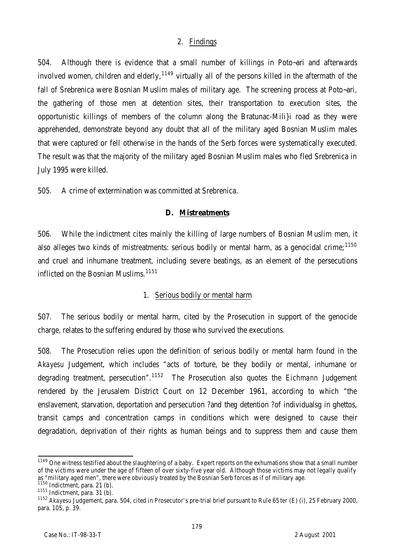#### 2. Findings

504. Although there is evidence that a small number of killings in Poto~ari and afterwards involved women, children and elderly,  $1149$  virtually all of the persons killed in the aftermath of the fall of Srebrenica were Bosnian Muslim males of military age. The screening process at Poto~ari, the gathering of those men at detention sites, their transportation to execution sites, the opportunistic killings of members of the column along the Bratunac-Mili}i road as they were apprehended, demonstrate beyond any doubt that all of the military aged Bosnian Muslim males that were captured or fell otherwise in the hands of the Serb forces were systematically executed. The result was that the majority of the military aged Bosnian Muslim males who fled Srebrenica in July 1995 were killed.

505. A crime of extermination was committed at Srebrenica.

### **D. Mistreatments**

506. While the indictment cites mainly the killing of large numbers of Bosnian Muslim men, it also alleges two kinds of mistreatments: serious bodily or mental harm, as a genocidal crime;<sup>1150</sup> and cruel and inhumane treatment, including severe beatings, as an element of the persecutions inflicted on the Bosnian Muslims.<sup>1151</sup>

## 1. Serious bodily or mental harm

507. The serious bodily or mental harm, cited by the Prosecution in support of the genocide charge, relates to the suffering endured by those who survived the executions.

508. The Prosecution relies upon the definition of serious bodily or mental harm found in the *Akayesu* Judgement, which includes "acts of torture, be they bodily or mental, inhumane or degrading treatment, persecution".<sup>1152</sup> The Prosecution also quotes the *Eichmann* Judgement rendered by the Jerusalem District Court on 12 December 1961, according to which "the enslavement, starvation, deportation and persecution ?and theg detention ?of individualsg in ghettos, transit camps and concentration camps in conditions which were designed to cause their degradation, deprivation of their rights as human beings and to suppress them and cause them

 $\overline{a}$ <sup>1149</sup> One witness testified about the slaughtering of a baby. Expert reports on the exhumations show that a small number of the victims were under the age of fifteen of over sixty-five year old. Although those victims may not legally qualify as "military aged men", there were obviously treated by the Bosnian Serb forces as if of military age.

 $1150$  Indictment, para. 21 (b).

 $1151$  Indictment, para. 31 (b).

<sup>1152</sup> *Akayesu* Judgement, para. 504, cited in Prosecutor's pre-trial brief pursuant to Rule 65 *ter* (E) (i), 25 February 2000, para. 105, p. 39.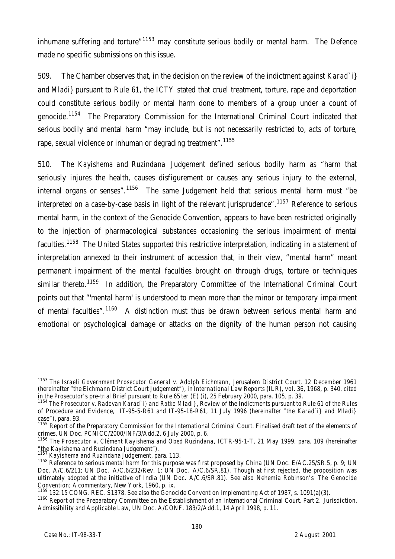inhumane suffering and torture"<sup>1153</sup> may constitute serious bodily or mental harm. The Defence made no specific submissions on this issue.

509. The Chamber observes that, in the decision on the review of the indictment against *Karad`i} and Mladi}* pursuant to Rule 61, the ICTY stated that cruel treatment, torture, rape and deportation could constitute serious bodily or mental harm done to members of a group under a count of genocide.<sup>1154</sup> The Preparatory Commission for the International Criminal Court indicated that serious bodily and mental harm "may include, but is not necessarily restricted to, acts of torture, rape, sexual violence or inhuman or degrading treatment".<sup>1155</sup>

510. The *Kayishema and Ruzindana* Judgement defined serious bodily harm as "harm that seriously injures the health, causes disfigurement or causes any serious injury to the external, internal organs or senses".<sup>1156</sup> The same Judgement held that serious mental harm must "be interpreted on a case-by-case basis in light of the relevant jurisprudence".<sup>1157</sup> Reference to serious mental harm, in the context of the Genocide Convention, appears to have been restricted originally to the injection of pharmacological substances occasioning the serious impairment of mental faculties.<sup>1158</sup> The United States supported this restrictive interpretation, indicating in a statement of interpretation annexed to their instrument of accession that, in their view, "mental harm" meant permanent impairment of the mental faculties brought on through drugs, torture or techniques similar thereto.<sup>1159</sup> In addition, the Preparatory Committee of the International Criminal Court points out that "'mental harm' is understood to mean more than the minor or temporary impairment of mental faculties".<sup>1160</sup> A distinction must thus be drawn between serious mental harm and emotional or psychological damage or attacks on the dignity of the human person not causing

 $\overline{a}$ <sup>1153</sup> *The Israeli Government Prosecutor General v. Adolph Eichmann*, Jerusalem District Court, 12 December 1961 (hereinafter "the *Eichmann* District Court Judgement"), in *International Law Reports* (ILR), vol. 36, 1968, p. 340, cited in the Prosecutor's pre-trial Brief pursuant to Rule 65 *ter* (E) (i), 25 February 2000, para. 105, p. 39.

<sup>1154</sup> *The Prosecutor v. Radovan Karad`i} and Ratko Mladi}*, Review of the Indictments pursuant to Rule 61 of the Rules of Procedure and Evidence, IT-95-5-R61 and IT-95-18-R61, 11 July 1996 (hereinafter "the *Karad`i} and Mladi}* case"), para. 93.

<sup>&</sup>lt;sup>1155</sup> Report of the Preparatory Commission for the International Criminal Court. Finalised draft text of the elements of crimes, UN Doc. PCNICC/2000/INF/3/Add.2, 6 July 2000, p. 6.

<sup>1156</sup> *The Prosecutor v. Clément Kayishema and Obed Ruzindana*, ICTR-95-1-T, 21 May 1999, para. 109 (hereinafter "the *Kayishema and Ruzindana* Judgement").

<sup>1157</sup> *Kayishema and Ruzindana* Judgement, para. 113.

<sup>1158</sup> Reference to serious mental harm for this purpose was first proposed by China (UN Doc. E/AC.25/SR.5, p. 9; UN Doc. A/C.6/211; UN Doc. A/C.6/232/Rev. 1; UN Doc. A/C.6/SR.81). Though at first rejected, the proposition was ultimately adopted at the initiative of India (UN Doc. A/C.6/SR.81). See also Nehemia Robinson's *The Genocide Convention; A commentary*, New York, 1960, p. ix.

<sup>&</sup>lt;sup>1159</sup> 132:15 CONG. REC. S1378. See also the Genocide Convention Implementing Act of 1987, s. 1091(a)(3).

<sup>1160</sup> Report of the Preparatory Committee on the Establishment of an International Criminal Court. Part 2. Jurisdiction, Admissibility and Applicable Law, UN Doc. A/CONF. 183/2/Add.1, 14 April 1998, p. 11.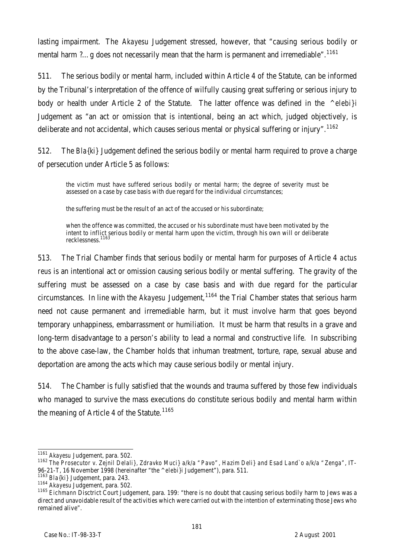lasting impairment. The *Akayesu* Judgement stressed, however, that "causing serious bodily or mental harm ?...g does not necessarily mean that the harm is permanent and irremediable".<sup>1161</sup>

511. The serious bodily or mental harm, included within Article 4 of the Statute, can be informed by the Tribunal's interpretation of the offence of wilfully causing great suffering or serious injury to body or health under Article 2 of the Statute. The latter offence was defined in the *^elebi}i* Judgement as "an act or omission that is intentional, being an act which, judged objectively, is deliberate and not accidental, which causes serious mental or physical suffering or injury".<sup>1162</sup>

512. The *Bla{ki}* Judgement defined the serious bodily or mental harm required to prove a charge of persecution under Article 5 as follows:

the victim must have suffered serious bodily or mental harm; the degree of severity must be assessed on a case by case basis with due regard for the individual circumstances;

the suffering must be the result of an act of the accused or his subordinate;

when the offence was committed, the accused or his subordinate must have been motivated by the intent to inflict serious bodily or mental harm upon the victim, through his own will or deliberate recklessness.<sup>1</sup>

513. The Trial Chamber finds that serious bodily or mental harm for purposes of Article 4 *actus reus* is an intentional act or omission causing serious bodily or mental suffering. The gravity of the suffering must be assessed on a case by case basis and with due regard for the particular circumstances. In line with the *Akayesu* Judgement,<sup>1164</sup> the Trial Chamber states that serious harm need not cause permanent and irremediable harm, but it must involve harm that goes beyond temporary unhappiness, embarrassment or humiliation. It must be harm that results in a grave and long-term disadvantage to a person's ability to lead a normal and constructive life. In subscribing to the above case-law, the Chamber holds that inhuman treatment, torture, rape, sexual abuse and deportation are among the acts which may cause serious bodily or mental injury.

514. The Chamber is fully satisfied that the wounds and trauma suffered by those few individuals who managed to survive the mass executions do constitute serious bodily and mental harm within the meaning of Article 4 of the Statute.<sup>1165</sup>

 $\overline{a}$ <sup>1161</sup> *Akayesu* Judgement, para. 502.

<sup>1162</sup> *The Prosecutor v. Zejnil Delali}, Zdravko Muci} a/k/a "Pavo", Hazim Deli} and Esad Land`o a/k/a "Zenga"*, IT-96-21-T, 16 November 1998 (hereinafter "the *^elebi}i* Judgement"), para. 511.

<sup>1163</sup> *Bla{ki}* Judgement, para. 243.

<sup>1164</sup> *Akayesu* Judgement, para. 502.

<sup>1165</sup> *Eichmann* Disctrict Court Judgement, para. 199: "there is no doubt that causing serious bodily harm to Jews was a direct and unavoidable result of the activities which were carried out with the intention of exterminating those Jews who remained alive".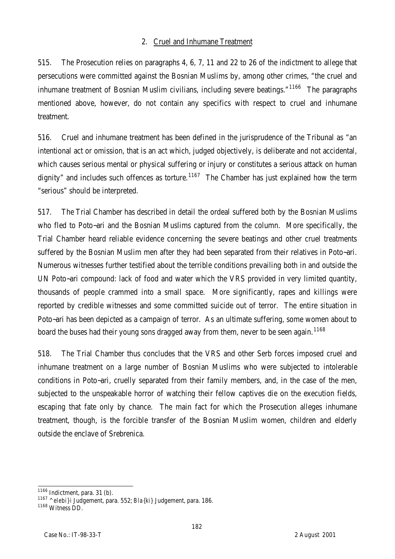### 2. Cruel and Inhumane Treatment

515. The Prosecution relies on paragraphs 4, 6, 7, 11 and 22 to 26 of the indictment to allege that persecutions were committed against the Bosnian Muslims by, among other crimes, "the cruel and inhumane treatment of Bosnian Muslim civilians, including severe beatings."<sup>1166</sup> The paragraphs mentioned above, however, do not contain any specifics with respect to cruel and inhumane treatment.

516. Cruel and inhumane treatment has been defined in the jurisprudence of the Tribunal as "an intentional act or omission, that is an act which, judged objectively, is deliberate and not accidental, which causes serious mental or physical suffering or injury or constitutes a serious attack on human dignity" and includes such offences as torture.<sup>1167</sup> The Chamber has just explained how the term "serious" should be interpreted.

517. The Trial Chamber has described in detail the ordeal suffered both by the Bosnian Muslims who fled to Poto~ari and the Bosnian Muslims captured from the column. More specifically, the Trial Chamber heard reliable evidence concerning the severe beatings and other cruel treatments suffered by the Bosnian Muslim men after they had been separated from their relatives in Poto~ari. Numerous witnesses further testified about the terrible conditions prevailing both in and outside the UN Poto~ari compound: lack of food and water which the VRS provided in very limited quantity, thousands of people crammed into a small space. More significantly, rapes and killings were reported by credible witnesses and some committed suicide out of terror. The entire situation in Poto~ari has been depicted as a campaign of terror. As an ultimate suffering, some women about to board the buses had their young sons dragged away from them, never to be seen again.<sup>1168</sup>

518. The Trial Chamber thus concludes that the VRS and other Serb forces imposed cruel and inhumane treatment on a large number of Bosnian Muslims who were subjected to intolerable conditions in Poto~ari, cruelly separated from their family members, and, in the case of the men, subjected to the unspeakable horror of watching their fellow captives die on the execution fields, escaping that fate only by chance. The main fact for which the Prosecution alleges inhumane treatment, though, is the forcible transfer of the Bosnian Muslim women, children and elderly outside the enclave of Srebrenica.

 $\overline{a}$ <sup>1166</sup> Indictment, para. 31 (b).

<sup>1167</sup> *^elebi}i* Judgement, para. 552; *Bla{ki}* Judgement, para. 186.

<sup>1168</sup> Witness DD.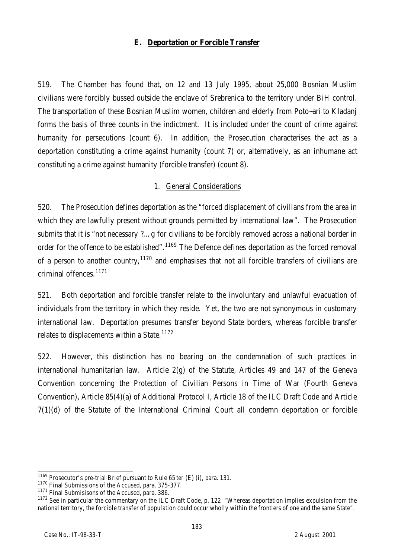# **E. Deportation or Forcible Transfer**

519. The Chamber has found that, on 12 and 13 July 1995, about 25,000 Bosnian Muslim civilians were forcibly bussed outside the enclave of Srebrenica to the territory under BiH control. The transportation of these Bosnian Muslim women, children and elderly from Poto~ari to Kladanj forms the basis of three counts in the indictment. It is included under the count of crime against humanity for persecutions (count 6). In addition, the Prosecution characterises the act as a deportation constituting a crime against humanity (count 7) or, alternatively, as an inhumane act constituting a crime against humanity (forcible transfer) (count 8).

## 1. General Considerations

520. The Prosecution defines deportation as the "forced displacement of civilians from the area in which they are lawfully present without grounds permitted by international law". The Prosecution submits that it is "not necessary ?...g for civilians to be forcibly removed across a national border in order for the offence to be established".<sup>1169</sup> The Defence defines deportation as the forced removal of a person to another country,  $1170$  and emphasises that not all forcible transfers of civilians are criminal offences.<sup>1171</sup>

521. Both deportation and forcible transfer relate to the involuntary and unlawful evacuation of individuals from the territory in which they reside. Yet, the two are not synonymous in customary international law. Deportation presumes transfer beyond State borders, whereas forcible transfer relates to displacements within a State.<sup>1172</sup>

522. However, this distinction has no bearing on the condemnation of such practices in international humanitarian law. Article 2(g) of the Statute, Articles 49 and 147 of the Geneva Convention concerning the Protection of Civilian Persons in Time of War (Fourth Geneva Convention), Article 85(4)(a) of Additional Protocol I, Article 18 of the ILC Draft Code and Article 7(1)(d) of the Statute of the International Criminal Court all condemn deportation or forcible

 $\overline{a}$ <sup>1169</sup> Prosecutor's pre-trial Brief pursuant to Rule 65 *ter* (E) (i), para. 131.

<sup>&</sup>lt;sup>1170</sup> Final Submissions of the Accused, para. 375-377.

<sup>&</sup>lt;sup>1171</sup> Final Submisisons of the Accused, para. 386.

<sup>&</sup>lt;sup>1172</sup> See in particular the commentary on the ILC Draft Code, p. 122 "Whereas deportation implies expulsion from the national territory, the forcible transfer of population could occur wholly within the frontiers of one and the same State".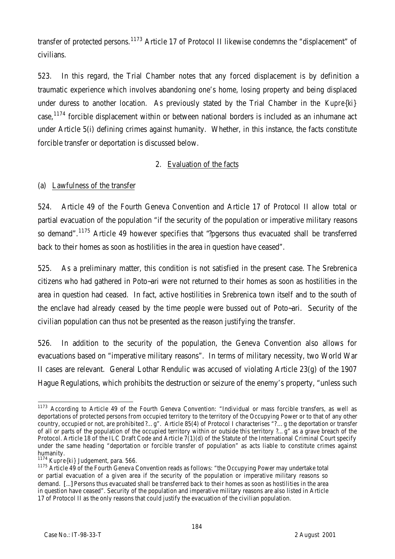transfer of protected persons.<sup>1173</sup> Article 17 of Protocol II likewise condemns the "displacement" of civilians.

523. In this regard, the Trial Chamber notes that any forced displacement is by definition a traumatic experience which involves abandoning one's home, losing property and being displaced under duress to another location. As previously stated by the Trial Chamber in the *Kupre{ki}* case.<sup>1174</sup> forcible displacement within or between national borders is included as an inhumane act under Article 5(i) defining crimes against humanity. Whether, in this instance, the facts constitute forcible transfer or deportation is discussed below.

# 2. Evaluation of the facts

# (a) Lawfulness of the transfer

524. Article 49 of the Fourth Geneva Convention and Article 17 of Protocol II allow total or partial evacuation of the population "if the security of the population or imperative military reasons so demand".<sup>1175</sup> Article 49 however specifies that "?pgersons thus evacuated shall be transferred back to their homes as soon as hostilities in the area in question have ceased".

525. As a preliminary matter, this condition is not satisfied in the present case. The Srebrenica citizens who had gathered in Poto~ari were not returned to their homes as soon as hostilities in the area in question had ceased. In fact, active hostilities in Srebrenica town itself and to the south of the enclave had already ceased by the time people were bussed out of Poto~ari. Security of the civilian population can thus not be presented as the reason justifying the transfer.

526. In addition to the security of the population, the Geneva Convention also allows for evacuations based on "imperative military reasons". In terms of military necessity, two World War II cases are relevant. General Lothar Rendulic was accused of violating Article 23(g) of the 1907 Hague Regulations, which prohibits the destruction or seizure of the enemy's property, "unless such

 $\overline{a}$ <sup>1173</sup> According to Article 49 of the Fourth Geneva Convention: "Individual or mass forcible transfers, as well as deportations of protected persons from occupied territory to the territory of the Occupying Power or to that of any other country, occupied or not, are prohibited ?…g". Article 85(4) of Protocol I characterises "?…g the deportation or transfer of all or parts of the population of the occupied territory within or outside this territory ?…g" as a grave breach of the Protocol. Article 18 of the ILC Draft Code and Article 7(1)(d) of the Statute of the International Criminal Court specify under the same heading "deportation or forcible transfer of population" as acts liable to constitute crimes against humanity.

<sup>1174</sup> *Kupre{ki}* Judgement, para. 566.

<sup>1175</sup> Article 49 of the Fourth Geneva Convention reads as follows: "the Occupying Power may undertake total or partial evacuation of a given area if the security of the population or imperative military reasons so demand. [...] Persons thus evacuated shall be transferred back to their homes as soon as hostilities in the area in question have ceased". Security of the population and imperative military reasons are also listed in Article 17 of Protocol II as the only reasons that could justify the evacuation of the civilian population.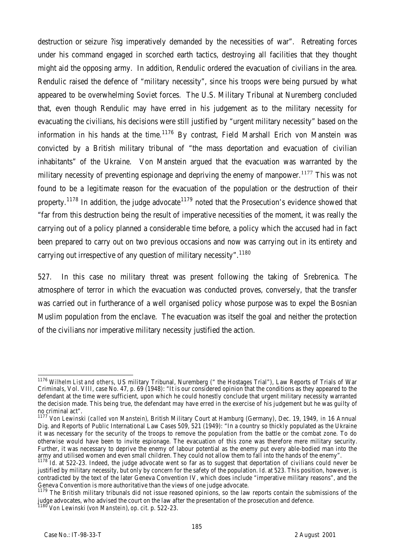destruction or seizure ?isg imperatively demanded by the necessities of war". Retreating forces under his command engaged in scorched earth tactics, destroying all facilities that they thought might aid the opposing army. In addition, Rendulic ordered the evacuation of civilians in the area. Rendulic raised the defence of "military necessity", since his troops were being pursued by what appeared to be overwhelming Soviet forces. The U.S. Military Tribunal at Nuremberg concluded that, even though Rendulic may have erred in his judgement as to the military necessity for evacuating the civilians, his decisions were still justified by "urgent military necessity" based on the information in his hands at the time.<sup>1176</sup> By contrast, Field Marshall Erich von Manstein was convicted by a British military tribunal of "the mass deportation and evacuation of civilian inhabitants" of the Ukraine. Von Manstein argued that the evacuation was warranted by the military necessity of preventing espionage and depriving the enemy of manpower.<sup>1177</sup> This was not found to be a legitimate reason for the evacuation of the population or the destruction of their property.<sup>1178</sup> In addition, the judge advocate<sup>1179</sup> noted that the Prosecution's evidence showed that "far from this destruction being the result of imperative necessities of the moment, it was really the carrying out of a policy planned a considerable time before, a policy which the accused had in fact been prepared to carry out on two previous occasions and now was carrying out in its entirety and carrying out irrespective of any question of military necessity".<sup>1180</sup>

527. In this case no military threat was present following the taking of Srebrenica. The atmosphere of terror in which the evacuation was conducted proves, conversely, that the transfer was carried out in furtherance of a well organised policy whose purpose was to expel the Bosnian Muslim population from the enclave. The evacuation was itself the goal and neither the protection of the civilians nor imperative military necessity justified the action.

 $\overline{a}$ <sup>1176</sup> *Wilhelm List and others*, US military Tribunal, Nuremberg (" the Hostages Trial"), Law Reports of Trials of War Criminals, Vol. VIII, case No. 47, p. 69 (1948): "It is our considered opinion that the conditions as they appeared to the defendant at the time were sufficient, upon which he could honestly conclude that urgent military necessity warranted the decision made. This being true, the defendant may have erred in the exercise of his judgement but he was guilty of no criminal act".

<sup>1177</sup> *Von Lewinski (called von Manstein)*, British Military Court at Hamburg (Germany), Dec. 19, 1949, *in* 16 Annual Dig. and Reports of Public International Law Cases 509, 521 (1949): "In a country so thickly populated as the Ukraine it was necessary for the security of the troops to remove the population from the battle or the combat zone. To do otherwise would have been to invite espionage. The evacuation of this zone was therefore mere military security. Further, it was necessary to deprive the enemy of labour potential as the enemy put every able-bodied man into the army and utilised women and even small children. They could not allow them to fall into the hands of the enemy".

<sup>&</sup>lt;sup>1178</sup> *Id.* at 522-23. Indeed, the judge advocate went so far as to suggest that deportation of civilians could never be justified by military necessity, but only by concern for the safety of the population. *Id.* at 523. This position, however, is contradicted by the text of the later Geneva Convention IV, which does include "imperative military reasons", and the Geneva Convention is more authoritative than the views of one judge advocate.

<sup>&</sup>lt;sup>1179</sup> The British military tribunals did not issue reasoned opinions, so the law reports contain the submissions of the judge advocates, who advised the court on the law after the presentation of the prosecution and defence. <sup>1180</sup> *Von Lewinski* (*von Manstein*), *op. cit.* p. 522-23.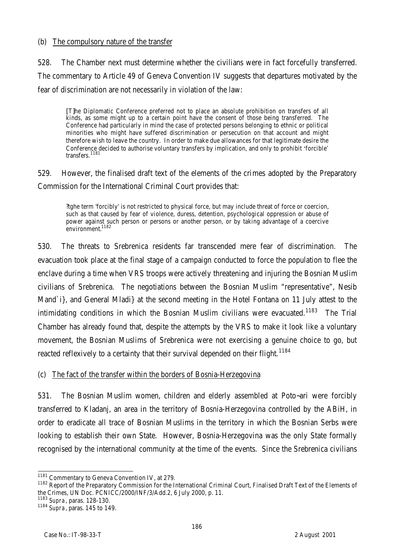#### (b) The compulsory nature of the transfer

528. The Chamber next must determine whether the civilians were in fact forcefully transferred. The commentary to Article 49 of Geneva Convention IV suggests that departures motivated by the fear of discrimination are not necessarily in violation of the law:

[T]he Diplomatic Conference preferred not to place an absolute prohibition on transfers of all kinds, as some might up to a certain point have the consent of those being transferred. The Conference had particularly in mind the case of protected persons belonging to ethnic or political minorities who might have suffered discrimination or persecution on that account and might therefore wish to leave the country. In order to make due allowances for that legitimate desire the Conference decided to authorise voluntary transfers by implication, and only to prohibit 'forcible' transfers.<sup>1181</sup>

529. However, the finalised draft text of the elements of the crimes adopted by the Preparatory Commission for the International Criminal Court provides that:

?tghe term 'forcibly' is not restricted to physical force, but may include threat of force or coercion, such as that caused by fear of violence, duress, detention, psychological oppression or abuse of power against such person or persons or another person, or by taking advantage of a coercive environment.<sup>1182</sup>

530. The threats to Srebrenica residents far transcended mere fear of discrimination. The evacuation took place at the final stage of a campaign conducted to force the population to flee the enclave during a time when VRS troops were actively threatening and injuring the Bosnian Muslim civilians of Srebrenica. The negotiations between the Bosnian Muslim "representative", Nesib Mand`i}, and General Mladi} at the second meeting in the Hotel Fontana on 11 July attest to the intimidating conditions in which the Bosnian Muslim civilians were evacuated.<sup>1183</sup> The Trial Chamber has already found that, despite the attempts by the VRS to make it look like a voluntary movement, the Bosnian Muslims of Srebrenica were not exercising a genuine choice to go, but reacted reflexively to a certainty that their survival depended on their flight.<sup>1184</sup>

#### (c) The fact of the transfer within the borders of Bosnia-Herzegovina

531. The Bosnian Muslim women, children and elderly assembled at Poto~ari were forcibly transferred to Kladanj, an area in the territory of Bosnia-Herzegovina controlled by the ABiH, in order to eradicate all trace of Bosnian Muslims in the territory in which the Bosnian Serbs were looking to establish their own State. However, Bosnia-Herzegovina was the only State formally recognised by the international community at the time of the events. Since the Srebrenica civilians

 $\overline{a}$ <sup>1181</sup> Commentary to Geneva Convention IV, at 279.

<sup>&</sup>lt;sup>1182</sup> Report of the Preparatory Commission for the International Criminal Court, Finalised Draft Text of the Elements of the Crimes, UN Doc. PCNICC/2000/INF/3/Add.2, 6 July 2000, p. 11.

<sup>1183</sup> *Supra*, paras. 128-130.

<sup>1184</sup> *Supra*, paras. 145 to 149.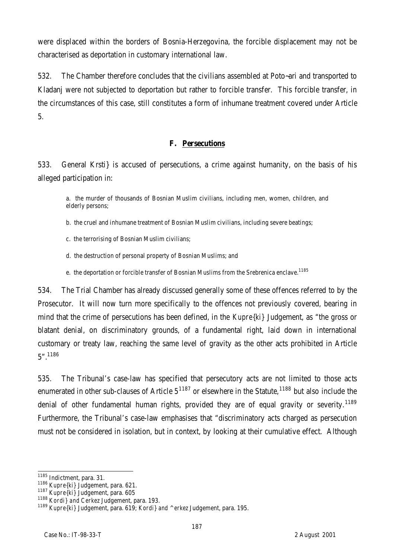were displaced within the borders of Bosnia-Herzegovina, the forcible displacement may not be characterised as deportation in customary international law.

532. The Chamber therefore concludes that the civilians assembled at Poto~ari and transported to Kladanj were not subjected to deportation but rather to forcible transfer. This forcible transfer, in the circumstances of this case, still constitutes a form of inhumane treatment covered under Article 5.

# **F. Persecutions**

533. General Krsti} is accused of persecutions, a crime against humanity, on the basis of his alleged participation in:

a. the murder of thousands of Bosnian Muslim civilians, including men, women, children, and elderly persons;

- b. the cruel and inhumane treatment of Bosnian Muslim civilians, including severe beatings;
- c. the terrorising of Bosnian Muslim civilians;
- d. the destruction of personal property of Bosnian Muslims; and
- e. the deportation or forcible transfer of Bosnian Muslims from the Srebrenica enclave.<sup>1185</sup>

534. The Trial Chamber has already discussed generally some of these offences referred to by the Prosecutor. It will now turn more specifically to the offences not previously covered, bearing in mind that the crime of persecutions has been defined, in the *Kupre{ki}* Judgement, as "the gross or blatant denial, on discriminatory grounds, of a fundamental right, laid down in international customary or treaty law, reaching the same level of gravity as the other acts prohibited in Article 5".<sup>1186</sup>

535. The Tribunal's case-law has specified that persecutory acts are not limited to those acts enumerated in other sub-clauses of Article  $5^{1187}$  or elsewhere in the Statute,<sup>1188</sup> but also include the denial of other fundamental human rights, provided they are of equal gravity or severity.<sup>1189</sup> Furthermore, the Tribunal's case-law emphasises that "discriminatory acts charged as persecution must not be considered in isolation, but in context, by looking at their cumulative effect. Although

 $\overline{a}$ <sup>1185</sup> Indictment, para. 31.

<sup>1186</sup> *Kupre{ki}* Judgement, para. 621.

<sup>1187</sup> *Kupre{ki}* Judgement, para. 605

<sup>1188</sup> *Kordi} and Cerkez* Judgement, para. 193.

<sup>1189</sup> *Kupre{ki}* Judgement, para. 619; *Kordi} and ^erkez* Judgement, para. 195.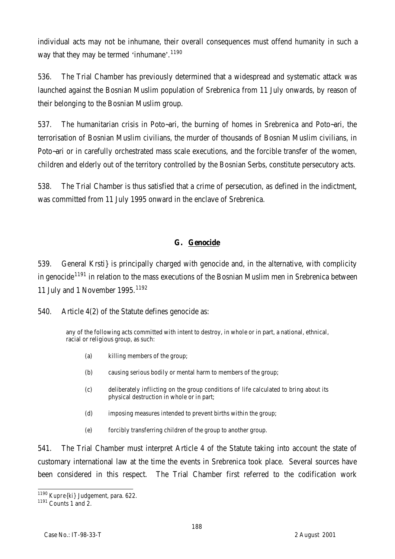individual acts may not be inhumane, their overall consequences must offend humanity in such a way that they may be termed 'inhumane'.<sup>1190</sup>

536. The Trial Chamber has previously determined that a widespread and systematic attack was launched against the Bosnian Muslim population of Srebrenica from 11 July onwards, by reason of their belonging to the Bosnian Muslim group.

537. The humanitarian crisis in Poto~ari, the burning of homes in Srebrenica and Poto~ari, the terrorisation of Bosnian Muslim civilians, the murder of thousands of Bosnian Muslim civilians, in Poto~ari or in carefully orchestrated mass scale executions, and the forcible transfer of the women, children and elderly out of the territory controlled by the Bosnian Serbs, constitute persecutory acts.

538. The Trial Chamber is thus satisfied that a crime of persecution, as defined in the indictment, was committed from 11 July 1995 onward in the enclave of Srebrenica.

# **G. Genocide**

539. General Krsti} is principally charged with genocide and, in the alternative, with complicity in genocide<sup>1191</sup> in relation to the mass executions of the Bosnian Muslim men in Srebrenica between 11 July and 1 November 1995. $1192$ 

540. Article 4(2) of the Statute defines genocide as:

any of the following acts committed with intent to destroy, in whole or in part, a national, ethnical, racial or religious group, as such:

- (a) killing members of the group;
- (b) causing serious bodily or mental harm to members of the group;
- (c) deliberately inflicting on the group conditions of life calculated to bring about its physical destruction in whole or in part;
- (d) imposing measures intended to prevent births within the group;
- (e) forcibly transferring children of the group to another group.

541. The Trial Chamber must interpret Article 4 of the Statute taking into account the state of customary international law at the time the events in Srebrenica took place. Several sources have been considered in this respect. The Trial Chamber first referred to the codification work

 $\overline{a}$ <sup>1190</sup> *Kupre{ki}* Judgement, para. 622.

<sup>1191</sup> Counts 1 and 2.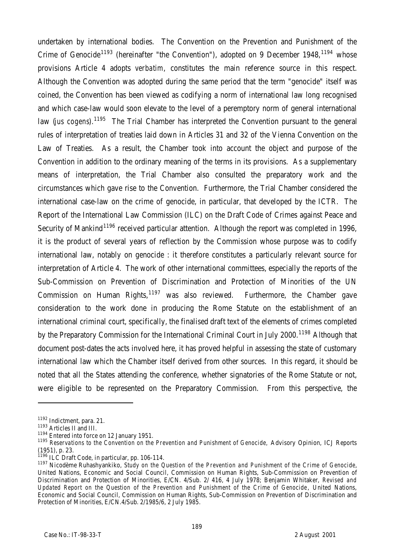undertaken by international bodies. The Convention on the Prevention and Punishment of the Crime of Genocide<sup>1193</sup> (hereinafter "the Convention"), adopted on 9 December 1948,  $194$  whose provisions Article 4 adopts *verbatim*, constitutes the main reference source in this respect. Although the Convention was adopted during the same period that the term "genocide" itself was coined, the Convention has been viewed as codifying a norm of international law long recognised and which case-law would soon elevate to the level of a peremptory norm of general international law (*jus cogens*).<sup>1195</sup> The Trial Chamber has interpreted the Convention pursuant to the general rules of interpretation of treaties laid down in Articles 31 and 32 of the Vienna Convention on the Law of Treaties. As a result, the Chamber took into account the object and purpose of the Convention in addition to the ordinary meaning of the terms in its provisions. As a supplementary means of interpretation, the Trial Chamber also consulted the preparatory work and the circumstances which gave rise to the Convention. Furthermore, the Trial Chamber considered the international case-law on the crime of genocide, in particular, that developed by the ICTR. The Report of the International Law Commission (ILC) on the Draft Code of Crimes against Peace and Security of Mankind<sup>1196</sup> received particular attention. Although the report was completed in 1996, it is the product of several years of reflection by the Commission whose purpose was to codify international law, notably on genocide : it therefore constitutes a particularly relevant source for interpretation of Article 4. The work of other international committees, especially the reports of the Sub-Commission on Prevention of Discrimination and Protection of Minorities of the UN Commission on Human Rights, $1197$  was also reviewed. Furthermore, the Chamber gave consideration to the work done in producing the Rome Statute on the establishment of an international criminal court, specifically, the finalised draft text of the elements of crimes completed by the Preparatory Commission for the International Criminal Court in July 2000.<sup>1198</sup> Although that document post-dates the acts involved here, it has proved helpful in assessing the state of customary international law which the Chamber itself derived from other sources. In this regard, it should be noted that all the States attending the conference, whether signatories of the Rome Statute or not, were eligible to be represented on the Preparatory Commission. From this perspective, the

l

<sup>&</sup>lt;sup>1192</sup> Indictment, para. 21.

<sup>1193</sup> Articles II and III.

<sup>1194</sup> Entered into force on 12 January 1951.

<sup>1195</sup> *Reservations to the Convention on the Prevention and Punishment of Genocide,* Advisory Opinion, ICJ Reports (1951), p. 23.

<sup>&</sup>lt;sup>1196</sup> ILC Draft Code, in particular, pp. 106-114.

<sup>1197</sup> Nicodème Ruhashyankiko, *Study on the Question of the Prevention and Punishment of the Crime of Genocide*, United Nations, Economic and Social Council, Commission on Human Rights, Sub-Commission on Prevention of Discrimination and Protection of Minorities, E/CN. 4/Sub. 2/ 416, 4 July 1978; Benjamin Whitaker, *Revised and Updated Report on the Question of the Prevention and Punishment of the Crime of Genocide*, United Nations, Economic and Social Council, Commission on Human Rights, Sub-Commission on Prevention of Discrimination and Protection of Minorities, E/CN.4/Sub. 2/1985/6, 2 July 1985.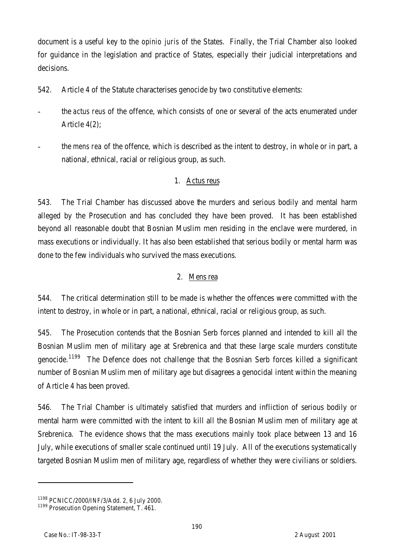document is a useful key to the *opinio juris* of the States. Finally, the Trial Chamber also looked for guidance in the legislation and practice of States, especially their judicial interpretations and decisions.

- 542. Article 4 of the Statute characterises genocide by two constitutive elements:
- the *actus reus* of the offence, which consists of one or several of the acts enumerated under Article 4(2);
- the *mens rea* of the offence, which is described as the intent to destroy, in whole or in part, a national, ethnical, racial or religious group, as such.

## 1. Actus reus

543. The Trial Chamber has discussed above the murders and serious bodily and mental harm alleged by the Prosecution and has concluded they have been proved. It has been established beyond all reasonable doubt that Bosnian Muslim men residing in the enclave were murdered, in mass executions or individually. It has also been established that serious bodily or mental harm was done to the few individuals who survived the mass executions.

## 2. Mens rea

544. The critical determination still to be made is whether the offences were committed with the intent to destroy, in whole or in part, a national, ethnical, racial or religious group, as such.

545. The Prosecution contends that the Bosnian Serb forces planned and intended to kill all the Bosnian Muslim men of military age at Srebrenica and that these large scale murders constitute genocide.<sup>1199</sup> The Defence does not challenge that the Bosnian Serb forces killed a significant number of Bosnian Muslim men of military age but disagrees a genocidal intent within the meaning of Article 4 has been proved.

546. The Trial Chamber is ultimately satisfied that murders and infliction of serious bodily or mental harm were committed with the intent to kill all the Bosnian Muslim men of military age at Srebrenica. The evidence shows that the mass executions mainly took place between 13 and 16 July, while executions of smaller scale continued until 19 July. All of the executions systematically targeted Bosnian Muslim men of military age, regardless of whether they were civilians or soldiers.

l

<sup>&</sup>lt;sup>1198</sup> PCNICC/2000/INF/3/Add. 2, 6 July 2000.

<sup>&</sup>lt;sup>1199</sup> Prosecution Opening Statement, T. 461.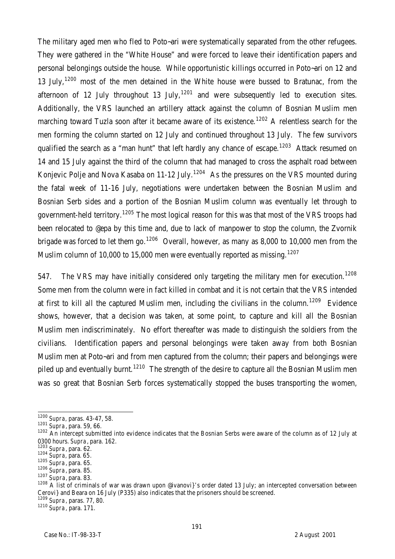The military aged men who fled to Poto~ari were systematically separated from the other refugees. They were gathered in the "White House" and were forced to leave their identification papers and personal belongings outside the house. While opportunistic killings occurred in Poto~ari on 12 and 13 July,<sup>1200</sup> most of the men detained in the White house were bussed to Bratunac, from the afternoon of 12 July throughout 13 July, $1201$  and were subsequently led to execution sites. Additionally, the VRS launched an artillery attack against the column of Bosnian Muslim men marching toward Tuzla soon after it became aware of its existence.<sup>1202</sup> A relentless search for the men forming the column started on 12 July and continued throughout 13 July. The few survivors qualified the search as a "man hunt" that left hardly any chance of escape.<sup>1203</sup> Attack resumed on 14 and 15 July against the third of the column that had managed to cross the asphalt road between Konjevic Polje and Nova Kasaba on 11-12 July.<sup>1204</sup> As the pressures on the VRS mounted during the fatal week of 11-16 July, negotiations were undertaken between the Bosnian Muslim and Bosnian Serb sides and a portion of the Bosnian Muslim column was eventually let through to government-held territory.<sup>1205</sup> The most logical reason for this was that most of the VRS troops had been relocated to @epa by this time and, due to lack of manpower to stop the column, the Zvornik brigade was forced to let them go.<sup>1206</sup> Overall, however, as many as 8,000 to 10,000 men from the Muslim column of 10,000 to 15,000 men were eventually reported as missing.<sup>1207</sup>

547. The VRS may have initially considered only targeting the military men for execution.<sup>1208</sup> Some men from the column were in fact killed in combat and it is not certain that the VRS intended at first to kill all the captured Muslim men, including the civilians in the column.<sup>1209</sup> Evidence shows, however, that a decision was taken, at some point, to capture and kill all the Bosnian Muslim men indiscriminately. No effort thereafter was made to distinguish the soldiers from the civilians. Identification papers and personal belongings were taken away from both Bosnian Muslim men at Poto~ari and from men captured from the column; their papers and belongings were piled up and eventually burnt.<sup>1210</sup> The strength of the desire to capture all the Bosnian Muslim men was so great that Bosnian Serb forces systematically stopped the buses transporting the women,

<sup>1209</sup> *Supra*, paras. 77, 80.

 $\overline{a}$ <sup>1200</sup> *Supra,* paras. 43-47, 58.

<sup>1201</sup> *Supra*, para. 59, 66.

<sup>1202</sup> An intercept submitted into evidence indicates that the Bosnian Serbs were aware of the column as of 12 July at 0300 hours. *Supra*, para. 162.

<sup>1203</sup> *Supra*, para. 62.

<sup>1204</sup> *Supra,* para. 65.

<sup>1205</sup> *Supra*, para. 65.

<sup>1206</sup> *Supra*, para. 85.

<sup>1207</sup> *Supra,* para. 83.

<sup>1208</sup> A list of criminals of war was drawn upon @ivanovi}'s order dated 13 July; an intercepted conversation between Cerovi} and Beara on 16 July (P335) also indicates that the prisoners should be screened.

<sup>1210</sup> *Supra*, para. 171.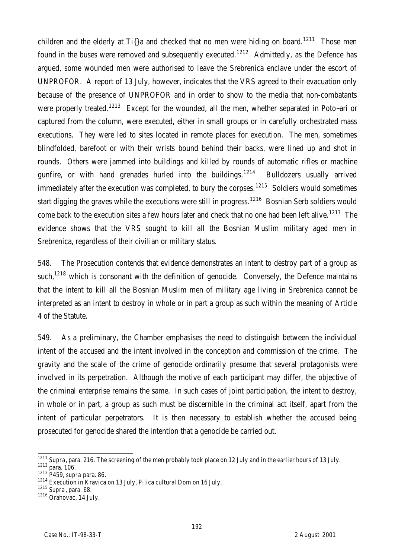children and the elderly at Ti{}a and checked that no men were hiding on board.<sup>1211</sup> Those men found in the buses were removed and subsequently executed.<sup>1212</sup> Admittedly, as the Defence has argued, some wounded men were authorised to leave the Srebrenica enclave under the escort of UNPROFOR. A report of 13 July, however, indicates that the VRS agreed to their evacuation only because of the presence of UNPROFOR and in order to show to the media that non-combatants were properly treated.<sup>1213</sup> Except for the wounded, all the men, whether separated in Poto-ari or captured from the column, were executed, either in small groups or in carefully orchestrated mass executions. They were led to sites located in remote places for execution. The men, sometimes blindfolded, barefoot or with their wrists bound behind their backs, were lined up and shot in rounds. Others were jammed into buildings and killed by rounds of automatic rifles or machine gunfire, or with hand grenades hurled into the buildings.<sup>1214</sup> Bulldozers usually arrived immediately after the execution was completed, to bury the corpses.<sup>1215</sup> Soldiers would sometimes start digging the graves while the executions were still in progress.<sup>1216</sup> Bosnian Serb soldiers would come back to the execution sites a few hours later and check that no one had been left alive.<sup>1217</sup> The evidence shows that the VRS sought to kill all the Bosnian Muslim military aged men in Srebrenica, regardless of their civilian or military status.

548. The Prosecution contends that evidence demonstrates an intent to destroy part of a group as such, $1218$  which is consonant with the definition of genocide. Conversely, the Defence maintains that the intent to kill all the Bosnian Muslim men of military age living in Srebrenica cannot be interpreted as an intent to destroy in whole or in part a group as such within the meaning of Article 4 of the Statute.

549. As a preliminary, the Chamber emphasises the need to distinguish between the individual intent of the accused and the intent involved in the conception and commission of the crime. The gravity and the scale of the crime of genocide ordinarily presume that several protagonists were involved in its perpetration. Although the motive of each participant may differ, the objective of the criminal enterprise remains the same. In such cases of joint participation, the intent to destroy, in whole or in part, a group as such must be discernible in the criminal act itself, apart from the intent of particular perpetrators. It is then necessary to establish whether the accused being prosecuted for genocide shared the intention that a genocide be carried out.

 $\overline{a}$ <sup>1211</sup> Supra, para. 216. The screening of the men probably took place on 12 July and in the earlier hours of 13 July.

<sup>1212</sup> para. 106.

<sup>1213</sup> P459, *supra* para. 86.

<sup>&</sup>lt;sup>1214</sup> Execution in Kravica on 13 July, Pilica cultural Dom on 16 July.

<sup>1215</sup> *Supra*, para. 68.

<sup>1216</sup> Orahovac, 14 July.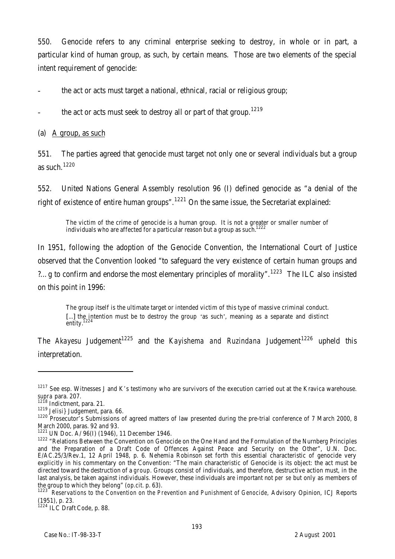550. Genocide refers to any criminal enterprise seeking to destroy, in whole or in part, a particular kind of human group, as such, by certain means. Those are two elements of the special intent requirement of genocide:

the act or acts must target a national, ethnical, racial or religious group;

the act or acts must seek to destroy all or part of that group.<sup>1219</sup>

### (a) A group, as such

551. The parties agreed that genocide must target not only one or several individuals but a group as such.<sup>1220</sup>

552. United Nations General Assembly resolution 96 (I) defined genocide as "a denial of the right of existence of entire human groups".<sup>1221</sup> On the same issue, the Secretariat explained:

The victim of the crime of genocide is a human group. It is not a greater or smaller number of individuals who are affected for a particular reason but a group as such.<sup>1222</sup>

In 1951, following the adoption of the Genocide Convention, the International Court of Justice observed that the Convention looked "to safeguard the very existence of certain human groups and ?...g to confirm and endorse the most elementary principles of morality".<sup>1223</sup> The ILC also insisted on this point in 1996:

The group itself is the ultimate target or intended victim of this type of massive criminal conduct. [...] the intention must be to destroy the group 'as such', meaning as a separate and distinct entity.

The *Akayesu* Judgement<sup>1225</sup> and the *Kayishema and Ruzindana* Judgement<sup>1226</sup> upheld this interpretation.

l

 $1217$  See esp. Witnesses J and K's testimony who are survivors of the execution carried out at the Kravica warehouse. *supra* para. 207.

 $3$  Indictment, para. 21.

<sup>1219</sup> *Jelisi}* Judgement, para. 66.

<sup>1220</sup> Prosecutor's Submissions of agreed matters of law presented during the pre-trial conference of 7 March 2000, 8 March 2000, paras. 92 and 93.

<sup>1221</sup> UN Doc. A/ 96(I) (1946), 11 December 1946.

<sup>&</sup>lt;sup>1222</sup> "Relations Between the Convention on Genocide on the One Hand and the Formulation of the Nurnberg Principles and the Preparation of a Draft Code of Offences Against Peace and Security on the Other", U.N. Doc. E/AC.25/3/Rev.1, 12 April 1948, p. 6. Nehemia Robinson set forth this essential characteristic of genocide very explicitly in his commentary on the Convention: "The main characteristic of Genocide is its object: the act must be directed toward the destruction of a *group*. Groups consist of individuals, and therefore, destructive action must, in the last analysis, be taken against individuals. However, these individuals are important not *per se* but only as members of the group to which they belong" (*op.cit.* p. 63).

<sup>1223</sup> *Reservations to the Convention on the Prevention and Punishment of Genocide,* Advisory Opinion, ICJ Reports (1951), p. 23.

<sup>&</sup>lt;sup>1224</sup> ILC Draft Code, p. 88.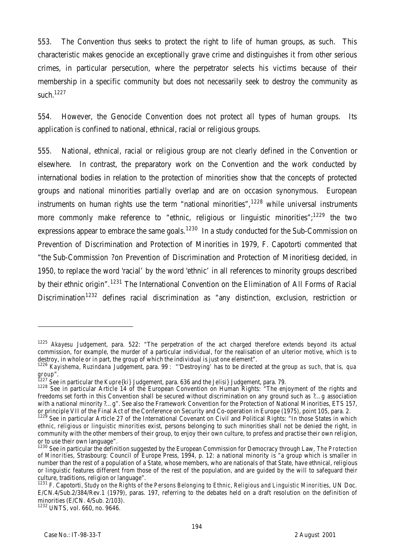553. The Convention thus seeks to protect the right to life of human groups, as such. This characteristic makes genocide an exceptionally grave crime and distinguishes it from other serious crimes, in particular persecution, where the perpetrator selects his victims because of their membership in a specific community but does not necessarily seek to destroy the community as such.<sup>1227</sup>

554. However, the Genocide Convention does not protect all types of human groups. Its application is confined to national, ethnical, racial or religious groups.

555. National, ethnical, racial or religious group are not clearly defined in the Convention or elsewhere. In contrast, the preparatory work on the Convention and the work conducted by international bodies in relation to the protection of minorities show that the concepts of protected groups and national minorities partially overlap and are on occasion synonymous. European instruments on human rights use the term "national minorities",  $1228$  while universal instruments more commonly make reference to "ethnic, religious or linguistic minorities";<sup>1229</sup> the two expressions appear to embrace the same goals.<sup>1230</sup> In a study conducted for the Sub-Commission on Prevention of Discrimination and Protection of Minorities in 1979, F. Capotorti commented that "the Sub-Commission ?on Prevention of Discrimination and Protection of Minoritiesg decided, in 1950, to replace the word 'racial' by the word 'ethnic' in all references to minority groups described by their ethnic origin".<sup>1231</sup> The International Convention on the Elimination of All Forms of Racial Discrimination<sup>1232</sup> defines racial discrimination as "any distinction, exclusion, restriction or

<sup>1232</sup> UNTS, vol. 660, no. 9646.

j

<sup>1225</sup> *Akayesu* Judgement*,* para. 522: "The perpetration of the act charged therefore extends beyond its actual commission, for example, the murder of a particular individual, for the realisation of an ulterior motive, which is to destroy, in whole or in part, the group of which the individual is just one element".

<sup>1226</sup> *Kayishema, Ruzindana* Judgement, para. 99 : "'Destroying' has to be directed at the group *as such*, that is, *qua group*".

<sup>1227</sup> See in particular the *Kupre{ki}* Judgement, para. 636 and the *Jelisi}* Judgement, para. 79.

<sup>1228</sup> See in particular Article 14 of the European Convention on Human Rights: "The enjoyment of the rights and freedoms set forth in this Convention shall be secured without discrimination on any ground such as ?…g association with a national minority ?…g". See also the Framework Convention for the Protection of National Minorities, ETS 157, or principle VII of the Final Act of the Conference on Security and Co-operation in Europe (1975), point 105, para. 2.

<sup>&</sup>lt;sup>1229</sup> See in particular Article 27 of the International Covenant on Civil and Political Rights: "In those States in which *ethnic, religious or linguistic minorities* exist, persons belonging to such minorities shall not be denied the right, in community with the other members of their group, to enjoy their own culture, to profess and practise their own religion, or to use their own language".

<sup>1230</sup> See in particular the definition suggested by the European Commission for Democracy through Law, *The Protection of Minorities*, Strasbourg: Council of Europe Press, 1994, p. 12: a national minority is "a group which is smaller in number than the rest of a population of a State, whose members, who are nationals of that State, have ethnical, religious or linguistic features different from those of the rest of the population, and are guided by the will to safeguard their culture, traditions, religion or language".

<sup>1231</sup> F. Capotorti, *Study on the Rights of the Persons Belonging to Ethnic, Religious and Linguistic Minorities*, UN Doc. E/CN.4/Sub.2/384/Rev.1 (1979), paras. 197, referring to the debates held on a draft resolution on the definition of minorities (E/CN. 4/Sub. 2/103).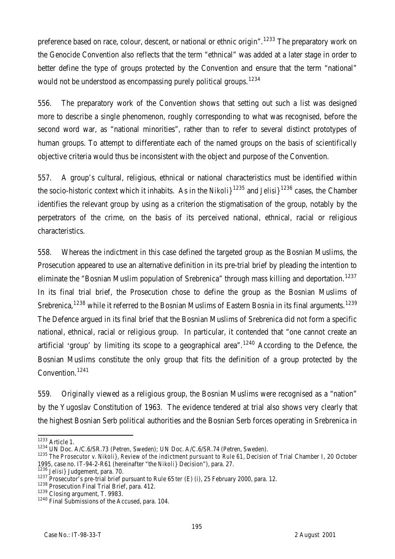preference based on race, colour, descent, or national or ethnic origin".<sup>1233</sup> The preparatory work on the Genocide Convention also reflects that the term "ethnical" was added at a later stage in order to better define the type of groups protected by the Convention and ensure that the term "national" would not be understood as encompassing purely political groups.<sup>1234</sup>

556. The preparatory work of the Convention shows that setting out such a list was designed more to describe a single phenomenon, roughly corresponding to what was recognised, before the second word war, as "national minorities", rather than to refer to several distinct prototypes of human groups. To attempt to differentiate each of the named groups on the basis of scientifically objective criteria would thus be inconsistent with the object and purpose of the Convention.

557. A group's cultural, religious, ethnical or national characteristics must be identified within the socio-historic context which it inhabits. As in the *Nikoli}*<sup>1235</sup> and *Jelisi}*<sup>1236</sup> cases, the Chamber identifies the relevant group by using as a criterion the stigmatisation of the group, notably by the perpetrators of the crime, on the basis of its perceived national, ethnical, racial or religious characteristics.

558. Whereas the indictment in this case defined the targeted group as the Bosnian Muslims, the Prosecution appeared to use an alternative definition in its pre-trial brief by pleading the intention to eliminate the "Bosnian Muslim population of Srebrenica" through mass killing and deportation.<sup>1237</sup> In its final trial brief, the Prosecution chose to define the group as the Bosnian Muslims of Srebrenica,<sup>1238</sup> while it referred to the Bosnian Muslims of Eastern Bosnia in its final arguments.<sup>1239</sup> The Defence argued in its final brief that the Bosnian Muslims of Srebrenica did not form a specific national, ethnical, racial or religious group. In particular, it contended that "one cannot create an artificial 'group' by limiting its scope to a geographical area".<sup>1240</sup> According to the Defence, the Bosnian Muslims constitute the only group that fits the definition of a group protected by the Convention.<sup>1241</sup>

559. Originally viewed as a religious group, the Bosnian Muslims were recognised as a "nation" by the Yugoslav Constitution of 1963. The evidence tendered at trial also shows very clearly that the highest Bosnian Serb political authorities and the Bosnian Serb forces operating in Srebrenica in

 $\overline{a}$  $1233$  Article 1.

<sup>1234</sup> UN Doc. A/C.6/SR.73 (Petren, Sweden); UN Doc. A/C.6/SR.74 (Petren, Sweden).

<sup>1235</sup> *The Prosecutor v. Nikoli}, Review of the indictment pursuant to Rule 61,* Decision of Trial Chamber I, 20 October 1995, case no. IT-94-2-R61 (hereinafter "the *Nikoli}* Decision"), para. 27.

<sup>1236</sup> *Jelisi}* Judgement, para. 70.

<sup>1237</sup> Prosecutor's pre-trial brief pursuant to Rule 65 *ter* (E) (i), 25 February 2000, para. 12.

<sup>1238</sup> Prosecution Final Trial Brief, para. 412.

<sup>1239</sup> Closing argument, T. 9983.

<sup>&</sup>lt;sup>1240</sup> Final Submissions of the Accused, para. 104.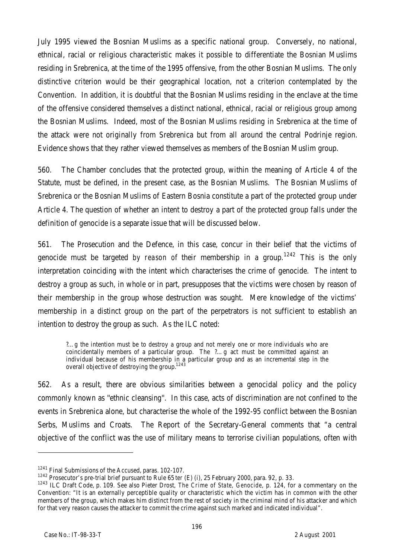July 1995 viewed the Bosnian Muslims as a specific national group. Conversely, no national, ethnical, racial or religious characteristic makes it possible to differentiate the Bosnian Muslims residing in Srebrenica, at the time of the 1995 offensive, from the other Bosnian Muslims. The only distinctive criterion would be their geographical location, not a criterion contemplated by the Convention. In addition, it is doubtful that the Bosnian Muslims residing in the enclave at the time of the offensive considered themselves a distinct national, ethnical, racial or religious group among the Bosnian Muslims. Indeed, most of the Bosnian Muslims residing in Srebrenica at the time of the attack were not originally from Srebrenica but from all around the central Podrinje region. Evidence shows that they rather viewed themselves as members of the Bosnian Muslim group.

560. The Chamber concludes that the protected group, within the meaning of Article 4 of the Statute, must be defined, in the present case, as the Bosnian Muslims. The Bosnian Muslims of Srebrenica or the Bosnian Muslims of Eastern Bosnia constitute a part of the protected group under Article 4. The question of whether an intent to destroy a part of the protected group falls under the definition of genocide is a separate issue that will be discussed below.

561. The Prosecution and the Defence, in this case, concur in their belief that the victims of genocide must be targeted *by reason of* their membership in a group.<sup>1242</sup> This is the only interpretation coinciding with the intent which characterises the crime of genocide. The intent to destroy a group as such, in whole or in part, presupposes that the victims were chosen by reason of their membership in the group whose destruction was sought. Mere knowledge of the victims' membership in a distinct group on the part of the perpetrators is not sufficient to establish an intention to destroy the group as such. As the ILC noted:

?…g the intention must be to destroy a group and not merely one or more individuals who are coincidentally members of a particular group. The ?…g act must be committed against an individual because of his membership in a particular group and as an incremental step in the overall objective of destroying the group.<sup>1243</sup>

562. As a result, there are obvious similarities between a genocidal policy and the policy commonly known as ''ethnic cleansing''. In this case, acts of discrimination are not confined to the events in Srebrenica alone, but characterise the whole of the 1992-95 conflict between the Bosnian Serbs, Muslims and Croats. The Report of the Secretary-General comments that "a central objective of the conflict was the use of military means to terrorise civilian populations, often with

l

<sup>&</sup>lt;sup>1241</sup> Final Submissions of the Accused, paras. 102-107.

<sup>1242</sup> Prosecutor's pre-trial brief pursuant to Rule 65 *ter* (E) (i), 25 February 2000, para. 92, p. 33.

<sup>1243</sup> ILC Draft Code, p. 109. See also Pieter Drost, *The Crime of State, Genocide*, p. 124, for a commentary on the Convention: "It is an externally perceptible quality or characteristic which the victim has in common with the other members of the group, which makes him distinct from the rest of society in the criminal mind of his attacker and which for that very reason causes the attacker to commit the crime against such marked and indicated individual".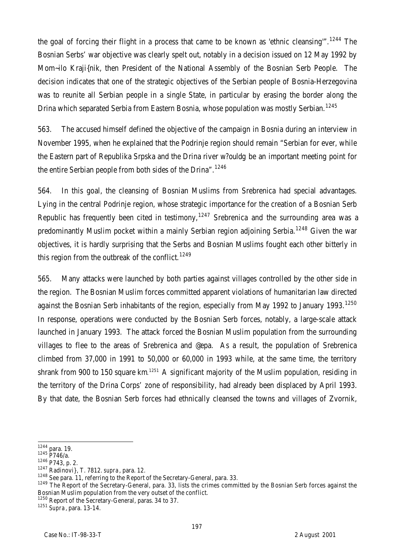the goal of forcing their flight in a process that came to be known as 'ethnic cleansing'".  $1244$  The Bosnian Serbs' war objective was clearly spelt out, notably in a decision issued on 12 May 1992 by Mom~ilo Kraji{nik, then President of the National Assembly of the Bosnian Serb People. The decision indicates that one of the strategic objectives of the Serbian people of Bosnia-Herzegovina was to reunite all Serbian people in a single State, in particular by erasing the border along the Drina which separated Serbia from Eastern Bosnia, whose population was mostly Serbian.<sup>1245</sup>

563. The accused himself defined the objective of the campaign in Bosnia during an interview in November 1995, when he explained that the Podrinje region should remain "Serbian for ever, while the Eastern part of Republika Srpska and the Drina river w?ouldg be an important meeting point for the entire Serbian people from both sides of the Drina".<sup>1246</sup>

564. In this goal, the cleansing of Bosnian Muslims from Srebrenica had special advantages. Lying in the central Podrinje region, whose strategic importance for the creation of a Bosnian Serb Republic has frequently been cited in testimony,  $1247$  Srebrenica and the surrounding area was a predominantly Muslim pocket within a mainly Serbian region adjoining Serbia.<sup>1248</sup> Given the war objectives, it is hardly surprising that the Serbs and Bosnian Muslims fought each other bitterly in this region from the outbreak of the conflict.<sup>1249</sup>

565. Many attacks were launched by both parties against villages controlled by the other side in the region. The Bosnian Muslim forces committed apparent violations of humanitarian law directed against the Bosnian Serb inhabitants of the region, especially from May 1992 to January 1993.<sup>1250</sup> In response, operations were conducted by the Bosnian Serb forces, notably, a large-scale attack launched in January 1993. The attack forced the Bosnian Muslim population from the surrounding villages to flee to the areas of Srebrenica and @epa. As a result, the population of Srebrenica climbed from 37,000 in 1991 to 50,000 or 60,000 in 1993 while, at the same time, the territory shrank from 900 to 150 square km.<sup>1251</sup> A significant majority of the Muslim population, residing in the territory of the Drina Corps' zone of responsibility, had already been displaced by April 1993. By that date, the Bosnian Serb forces had ethnically cleansed the towns and villages of Zvornik,

 $\overline{a}$  $1244$  para. 19.

<sup>&</sup>lt;sup>1245</sup> P746/a.

<sup>1246</sup> P743, p. 2.

<sup>1247</sup> Radinovi}, T. 7812. *supra*, para. 12.

<sup>1248</sup> See para. 11, referring to the Report of the Secretary-General, para. 33.

<sup>&</sup>lt;sup>1249</sup> The Report of the Secretary-General, para. 33, lists the crimes committed by the Bosnian Serb forces against the Bosnian Muslim population from the very outset of the conflict.

<sup>&</sup>lt;sup>1250</sup> Report of the Secretary-General, paras. 34 to 37.

<sup>1251</sup> *Supra*, para. 13-14.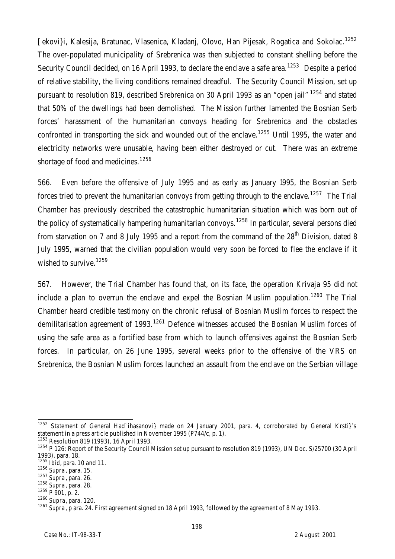[ekovi}i, Kalesija, Bratunac, Vlasenica, Kladanj, Olovo, Han Pijesak, Rogatica and Sokolac.<sup>1252</sup> The over-populated municipality of Srebrenica was then subjected to constant shelling before the Security Council decided, on 16 April 1993, to declare the enclave a safe area.<sup>1253</sup> Despite a period of relative stability, the living conditions remained dreadful. The Security Council Mission, set up pursuant to resolution 819, described Srebrenica on 30 April 1993 as an "open jail" <sup>1254</sup> and stated that 50% of the dwellings had been demolished. The Mission further lamented the Bosnian Serb forces' harassment of the humanitarian convoys heading for Srebrenica and the obstacles confronted in transporting the sick and wounded out of the enclave.<sup>1255</sup> Until 1995, the water and electricity networks were unusable, having been either destroyed or cut. There was an extreme shortage of food and medicines.<sup>1256</sup>

566. Even before the offensive of July 1995 and as early as January 1995, the Bosnian Serb forces tried to prevent the humanitarian convoys from getting through to the enclave.<sup>1257</sup> The Trial Chamber has previously described the catastrophic humanitarian situation which was born out of the policy of systematically hampering humanitarian convoys.<sup>1258</sup> In particular, several persons died from starvation on 7 and 8 July 1995 and a report from the command of the  $28<sup>th</sup>$  Division, dated 8 July 1995, warned that the civilian population would very soon be forced to flee the enclave if it wished to survive.<sup>1259</sup>

567. However, the Trial Chamber has found that, on its face, the operation Krivaja 95 did not include a plan to overrun the enclave and expel the Bosnian Muslim population.<sup>1260</sup> The Trial Chamber heard credible testimony on the chronic refusal of Bosnian Muslim forces to respect the demilitarisation agreement of 1993.<sup>1261</sup> Defence witnesses accused the Bosnian Muslim forces of using the safe area as a fortified base from which to launch offensives against the Bosnian Serb forces. In particular, on 26 June 1995, several weeks prior to the offensive of the VRS on Srebrenica, the Bosnian Muslim forces launched an assault from the enclave on the Serbian village

 $\overline{a}$ <sup>1252</sup> Statement of General Had`ihasanovi} made on 24 January 2001, para. 4, corroborated by General Krsti}'s statement in a press article published in November 1995 (P744/c, p. 1).

<sup>&</sup>lt;sup>1253</sup> Resolution 819 (1993), 16 April 1993.

<sup>&</sup>lt;sup>1254</sup> P 126: Report of the Security Council Mission set up pursuant to resolution 819 (1993), UN Doc. S/25700 (30 April 1993), para. 18.

<sup>1255</sup> *Ibid*, para. 10 and 11.

<sup>1256</sup> *Supra*, para. 15.

<sup>1257</sup> *Supra*, para. 26.

<sup>1258</sup> *Supra*, para. 28.

 $1259$  P 901, p. 2.

<sup>1260</sup> *Supra,* para. 120.

<sup>1261</sup> *Supra,* p ara. 24. First agreement signed on 18 April 1993, followed by the agreement of 8 May 1993.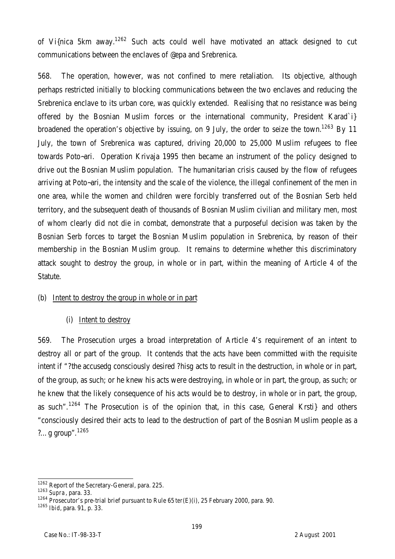of Vi{nica 5km away.<sup>1262</sup> Such acts could well have motivated an attack designed to cut communications between the enclaves of @epa and Srebrenica.

568. The operation, however, was not confined to mere retaliation. Its objective, although perhaps restricted initially to blocking communications between the two enclaves and reducing the Srebrenica enclave to its urban core, was quickly extended. Realising that no resistance was being offered by the Bosnian Muslim forces or the international community, President Karad`i} broadened the operation's objective by issuing, on 9 July, the order to seize the town.<sup>1263</sup> By 11 July, the town of Srebrenica was captured, driving 20,000 to 25,000 Muslim refugees to flee towards Poto~ari. Operation Krivaja 1995 then became an instrument of the policy designed to drive out the Bosnian Muslim population. The humanitarian crisis caused by the flow of refugees arriving at Poto~ari, the intensity and the scale of the violence, the illegal confinement of the men in one area, while the women and children were forcibly transferred out of the Bosnian Serb held territory, and the subsequent death of thousands of Bosnian Muslim civilian and military men, most of whom clearly did not die in combat, demonstrate that a purposeful decision was taken by the Bosnian Serb forces to target the Bosnian Muslim population in Srebrenica, by reason of their membership in the Bosnian Muslim group. It remains to determine whether this discriminatory attack sought to destroy the group, in whole or in part, within the meaning of Article 4 of the Statute.

#### (b) Intent to destroy the group in whole or in part

## (i) Intent to destroy

569. The Prosecution urges a broad interpretation of Article 4's requirement of an intent to destroy all or part of the group. It contends that the acts have been committed with the requisite intent if "?the accusedg consciously desired ?hisg acts to result in the destruction, in whole or in part, of the group, as such; or he knew his acts were destroying, in whole or in part, the group, as such; or he knew that the likely consequence of his acts would be to destroy, in whole or in part, the group, as such".<sup>1264</sup> The Prosecution is of the opinion that, in this case, General Krsti} and others "consciously desired their acts to lead to the destruction of part of the Bosnian Muslim people as a ?...g group".  $1265$ 

 $\overline{a}$ <sup>1262</sup> Report of the Secretary-General, para. 225.

<sup>1263</sup> *Supra*, para. 33.

<sup>1264</sup> Prosecutor's pre-trial brief pursuant to Rule 65 *ter*(E)(i), 25 February 2000, para. 90.

<sup>1265</sup> *Ibid*, para. 91, p. 33.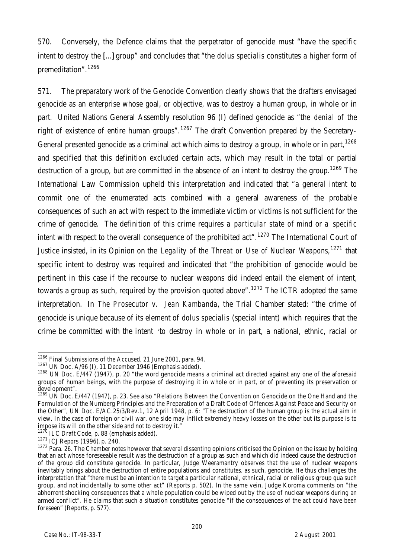570. Conversely, the Defence claims that the perpetrator of genocide must "have the specific intent to destroy the [...] group" and concludes that "the *dolus specialis* constitutes a higher form of premeditation".<sup>1266</sup>

571. The preparatory work of the Genocide Convention clearly shows that the drafters envisaged genocide as an enterprise whose goal, or objective, was to destroy a human group, in whole or in part. United Nations General Assembly resolution 96 (I) defined genocide as "the *denial* of the right of existence of entire human groups".<sup>1267</sup> The draft Convention prepared by the Secretary-General presented genocide as a criminal act which aims to destroy a group, in whole or in part,  $1268$ and specified that this definition excluded certain acts, which may result in the total or partial destruction of a group, but are committed in the absence of an intent to destroy the group.<sup>1269</sup> The International Law Commission upheld this interpretation and indicated that "a general intent to commit one of the enumerated acts combined with a general awareness of the probable consequences of such an act with respect to the immediate victim or victims is not sufficient for the crime of genocide. The definition of this crime requires a *particular state of mind* or a *specific intent* with respect to the overall consequence of the prohibited act".<sup>1270</sup> The International Court of Justice insisted, in its Opinion on the *Legality of the Threat or Use of Nuclear Weapons,*<sup>1271</sup> that specific intent to destroy was required and indicated that "the prohibition of genocide would be pertinent in this case if the recourse to nuclear weapons did indeed entail the element of intent, towards a group as such, required by the provision quoted above".<sup>1272</sup> The ICTR adopted the same interpretation. In *The Prosecutor v. Jean Kambanda,* the Trial Chamber stated: "the crime of genocide is unique because of its element of *dolus specialis* (special intent) which requires that the crime be committed with the intent 'to destroy in whole or in part, a national, ethnic, racial or

 $\overline{\phantom{a}}$ <sup>1266</sup> Final Submissions of the Accused, 21 June 2001, para. 94.

<sup>1267</sup> UN Doc. A/96 (I), 11 December 1946 (Emphasis added).

<sup>&</sup>lt;sup>1268</sup> UN Doc. E/447 (1947), p. 20 "the word genocide means a criminal act directed against any one of the aforesaid groups of human beings, with the purpose of destroying it in whole or in part, or of preventing its preservation or development".

<sup>1269</sup> UN Doc. E/447 (1947), p. 23. See also "Relations Between the Convention on Genocide on the One Hand and the Formulation of the Nurnberg Principles and the Preparation of a Draft Code of Offences Against Peace and Security on the Other", UN Doc. E/AC.25/3/Rev.1, 12 April 1948, p. 6: "The destruction of the human group is the actual aim in view. In the case of foreign or civil war, one side may inflict extremely heavy losses on the other but its purpose is to impose its will on the other side and not to destroy it."

<sup>1270</sup> ILC Draft Code, p. 88 (emphasis added).

<sup>1271</sup> ICJ Repors (1996), p. 240.

<sup>1272</sup> Para. 26. The Chamber notes however that several dissenting opinions criticised the Opinion on the issue by holding that an act whose foreseeable result was the destruction of a group as such and which did indeed cause the destruction of the group did constitute genocide. In particular, Judge Weeramantry observes that the use of nuclear weapons inevitably brings about the destruction of entire populations and constitutes, as such, genocide. He thus challenges the interpretation that "there must be an intention to target a particular national, ethnical, racial or religious group qua such group, and not incidentally to some other act" (Reports p. 502). In the same vein, Judge Koroma comments on "the abhorrent shocking consequences that a whole population could be wiped out by the use of nuclear weapons during an armed conflict". He claims that such a situation constitutes genocide "if the consequences of the act could have been foreseen" (Reports, p. 577).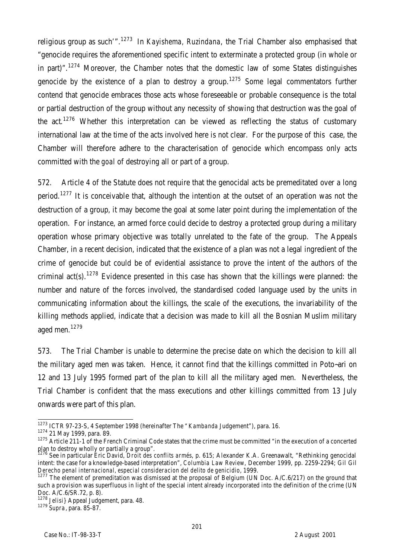religious group as such'".<sup>1273</sup> In *Kayishema, Ruzindana*, the Trial Chamber also emphasised that "genocide requires the aforementioned specific intent to exterminate a protected group (in whole or in part)".<sup>1274</sup> Moreover, the Chamber notes that the domestic law of some States distinguishes genocide by the existence of a plan to destroy a group.<sup>1275</sup> Some legal commentators further contend that genocide embraces those acts whose foreseeable or probable consequence is the total or partial destruction of the group without any necessity of showing that destruction was the goal of the act.<sup>1276</sup> Whether this interpretation can be viewed as reflecting the status of customary international law at the time of the acts involved here is not clear. For the purpose of this case, the Chamber will therefore adhere to the characterisation of genocide which encompass only acts committed with the *goal* of destroying all or part of a group.

572. Article 4 of the Statute does not require that the genocidal acts be premeditated over a long period.<sup>1277</sup> It is conceivable that, although the intention at the outset of an operation was not the destruction of a group, it may become the goal at some later point during the implementation of the operation. For instance, an armed force could decide to destroy a protected group during a military operation whose primary objective was totally unrelated to the fate of the group. The Appeals Chamber, in a recent decision, indicated that the existence of a plan was not a legal ingredient of the crime of genocide but could be of evidential assistance to prove the intent of the authors of the criminal act(s).<sup>1278</sup> Evidence presented in this case has shown that the killings were planned: the number and nature of the forces involved, the standardised coded language used by the units in communicating information about the killings, the scale of the executions, the invariability of the killing methods applied, indicate that a decision was made to kill all the Bosnian Muslim military aged men.<sup>1279</sup>

573. The Trial Chamber is unable to determine the precise date on which the decision to kill all the military aged men was taken. Hence, it cannot find that the killings committed in Poto~ari on 12 and 13 July 1995 formed part of the plan to kill all the military aged men. Nevertheless, the Trial Chamber is confident that the mass executions and other killings committed from 13 July onwards were part of this plan.

 $\overline{a}$ <sup>1273</sup> ICTR 97-23-S, 4 September 1998 (hereinafter The *"Kambanda* Judgement"), para. 16.

 $1274$  21 May 1999, para. 89.

<sup>&</sup>lt;sup>1275</sup> Article 211-1 of the French Criminal Code states that the crime must be committed "in the execution of a concerted plan to destroy wholly or partially a group".

<sup>1276</sup> See in particular Eric David, *Droit des conflits armés*, p. 615; Alexander K.A. Greenawalt, "Rethinking genocidal intent: the case for a knowledge-based interpretation", *Columbia Law Review*, December 1999, pp. 2259-2294; Gil Gil *Derecho penal internacional, especial consideracion del delito de genicidio*, 1999.

 $1277$  The element of premeditation was dismissed at the proposal of Belgium (UN Doc. A/C.6/217) on the ground that such a provision was superfluous in light of the special intent already incorporated into the definition of the crime (UN Doc. A/C.6/SR.72, p. 8).

<sup>1278</sup> *Jelisi}* Appeal Judgement, para. 48.

<sup>1279</sup> *Supra*, para. 85-87.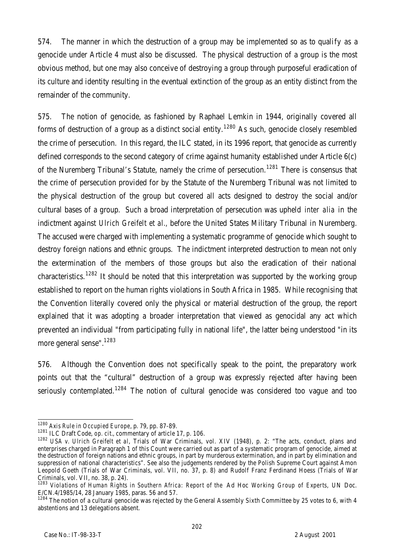574. The manner in which the destruction of a group may be implemented so as to qualify as a genocide under Article 4 must also be discussed. The physical destruction of a group is the most obvious method, but one may also conceive of destroying a group through purposeful eradication of its culture and identity resulting in the eventual extinction of the group as an entity distinct from the remainder of the community.

575. The notion of genocide, as fashioned by Raphael Lemkin in 1944, originally covered all forms of destruction of a group as a distinct social entity.<sup>1280</sup> As such, genocide closely resembled the crime of persecution. In this regard, the ILC stated, in its 1996 report, that genocide as currently defined corresponds to the second category of crime against humanity established under Article 6(c) of the Nuremberg Tribunal's Statute, namely the crime of persecution.<sup>1281</sup> There is consensus that the crime of persecution provided for by the Statute of the Nuremberg Tribunal was not limited to the physical destruction of the group but covered all acts designed to destroy the social and/or cultural bases of a group. Such a broad interpretation of persecution was upheld *inter alia* in the indictment against *Ulrich Greifelt et al.,* before the United States Military Tribunal in Nuremberg. The accused were charged with implementing a systematic programme of genocide which sought to destroy foreign nations and ethnic groups. The indictment interpreted destruction to mean not only the extermination of the members of those groups but also the eradication of their national characteristics.<sup>1282</sup> It should be noted that this interpretation was supported by the working group established to report on the human rights violations in South Africa in 1985. While recognising that the Convention literally covered only the physical or material destruction of the group, the report explained that it was adopting a broader interpretation that viewed as genocidal any act which prevented an individual "from participating fully in national life", the latter being understood "in its more general sense".<sup>1283</sup>

576. Although the Convention does not specifically speak to the point, the preparatory work points out that the "cultural" destruction of a group was expressly rejected after having been seriously contemplated.<sup>1284</sup> The notion of cultural genocide was considered too vague and too

 $\overline{a}$ <sup>1280</sup> *Axis Rule in Occupied Europe*, p. 79, pp. 87-89.

<sup>1281</sup> ILC Draft Code, *op. cit.*, commentary of article 17, p. 106.

<sup>1282</sup> *USA v. Ulrich Greifelt et al*, Trials of War Criminals, vol. XIV (1948), p. 2: "The acts, conduct, plans and enterprises charged in Paragraph 1 of this Count were carried out as part of a systematic program of genocide, aimed at the destruction of foreign nations and ethnic groups, in part by murderous extermination, and in part by elimination and suppression of national characteristics". See also the judgements rendered by the Polish Supreme Court against Amon Leopold Goeth (Trials of War Criminals, vol. VII, no. 37, p. 8) and Rudolf Franz Ferdinand Hoess (Trials of War Criminals, vol. VII, no. 38, p. 24).

<sup>1283</sup> *Violations of Human Rights in Southern Africa: Report of the* Ad Hoc *Working Group of Experts*, UN Doc. E/CN.4/1985/14, 28 January 1985, paras. 56 and 57.

<sup>&</sup>lt;sup>1284</sup> The notion of a cultural genocide was rejected by the General Assembly Sixth Committee by 25 votes to 6, with 4 abstentions and 13 delegations absent.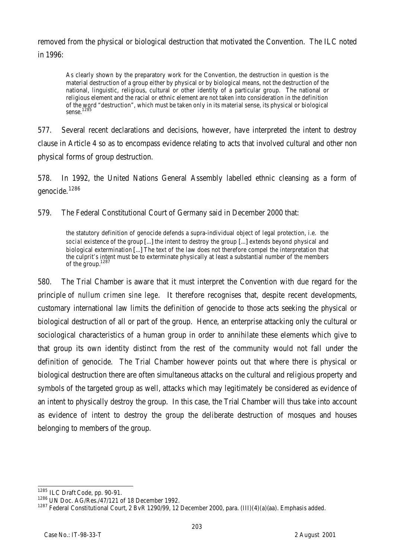removed from the physical or biological destruction that motivated the Convention. The ILC noted in 1996:

As clearly shown by the preparatory work for the Convention, the destruction in question is the material destruction of a group either by physical or by biological means, not the destruction of the national, linguistic, religious, cultural or other identity of a particular group. The national or religious element and the racial or ethnic element are not taken into consideration in the definition of the word "destruction", which must be taken only in its material sense, its physical or biological sense.<sup>1285</sup>

577. Several recent declarations and decisions, however, have interpreted the intent to destroy clause in Article 4 so as to encompass evidence relating to acts that involved cultural and other non physical forms of group destruction.

578. In 1992, the United Nations General Assembly labelled ethnic cleansing as a form of genocide.<sup>1286</sup>

579. The Federal Constitutional Court of Germany said in December 2000 that:

the statutory definition of genocide defends a supra-individual object of legal protection, i.e. the *social* existence of the group [...] the intent to destroy the group [...] extends beyond physical and biological extermination [...] The text of the law does not therefore compel the interpretation that the culprit's intent must be to exterminate physically at least a substantial number of the members of the group.<sup>1287</sup>

580. The Trial Chamber is aware that it must interpret the Convention with due regard for the principle of *nullum crimen sine lege*. It therefore recognises that, despite recent developments, customary international law limits the definition of genocide to those acts seeking the physical or biological destruction of all or part of the group. Hence, an enterprise attacking only the cultural or sociological characteristics of a human group in order to annihilate these elements which give to that group its own identity distinct from the rest of the community would not fall under the definition of genocide. The Trial Chamber however points out that where there is physical or biological destruction there are often simultaneous attacks on the cultural and religious property and symbols of the targeted group as well, attacks which may legitimately be considered as evidence of an intent to physically destroy the group. In this case, the Trial Chamber will thus take into account as evidence of intent to destroy the group the deliberate destruction of mosques and houses belonging to members of the group.

 $\overline{a}$ <sup>1285</sup> ILC Draft Code, pp. 90-91.

<sup>1286</sup> UN Doc. AG/Res./47/121 of 18 December 1992.

<sup>&</sup>lt;sup>1287</sup> Federal Constitutional Court, 2 BvR 1290/99, 12 December 2000, para. (III)(4)(a)(aa). Emphasis added.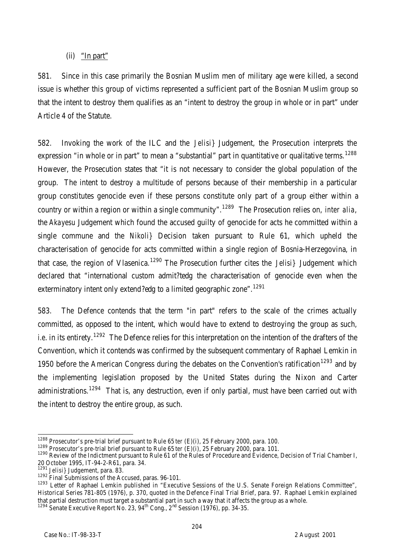# (ii) "In part"

581. Since in this case primarily the Bosnian Muslim men of military age were killed, a second issue is whether this group of victims represented a sufficient part of the Bosnian Muslim group so that the intent to destroy them qualifies as an "intent to destroy the group in whole or in part" under Article 4 of the Statute.

582. Invoking the work of the ILC and the *Jelisi}* Judgement, the Prosecution interprets the expression "in whole or in part" to mean a "substantial" part in quantitative or qualitative terms.<sup>1288</sup> However, the Prosecution states that "it is not necessary to consider the global population of the group. The intent to destroy a multitude of persons because of their membership in a particular group constitutes genocide even if these persons constitute only part of a group either within a country or within a region or within a single community".<sup>1289</sup> The Prosecution relies on, *inter alia*, the *Akayesu* Judgement which found the accused guilty of genocide for acts he committed within a single commune and the *Nikoli}* Decision taken pursuant to Rule 61, which upheld the characterisation of genocide for acts committed within a single region of Bosnia-Herzegovina, in that case, the region of Vlasenica.<sup>1290</sup> The Prosecution further cites the *Jelisi}* Judgement which declared that "international custom admit?tedg the characterisation of genocide even when the exterminatory intent only extend?edg to a limited geographic zone".<sup>1291</sup>

583. The Defence contends that the term "in part" refers to the scale of the crimes actually committed, as opposed to the intent, which would have to extend to destroying the group as such, *i.e.* in its entirety.<sup>1292</sup> The Defence relies for this interpretation on the intention of the drafters of the Convention, which it contends was confirmed by the subsequent commentary of Raphael Lemkin in 1950 before the American Congress during the debates on the Convention's ratification<sup>1293</sup> and by the implementing legislation proposed by the United States during the Nixon and Carter administrations.<sup>1294</sup> That is, any destruction, even if only partial, must have been carried out with the intent to destroy the entire group, as such.

 $\overline{a}$ <sup>1288</sup> Prosecutor's pre-trial brief pursuant to Rule 65 *ter* (E)(i), 25 February 2000, para. 100.

<sup>1289</sup> Prosecutor's pre-trial brief pursuant to Rule 65 *ter* (E)(i), 25 February 2000, para. 101.

<sup>1290</sup> Review of the Indictment pursuant to Rule 61 of the Rules of Procedure and Evidence, Decision of Trial Chamber I, 20 October 1995, IT-94-2-R61, para. 34.

<sup>1291</sup> *Jelisi}* Judgement, para. 83.

<sup>&</sup>lt;sup>1292</sup> Final Submissions of the Accused, paras. 96-101.

<sup>1293</sup> Letter of Raphael Lemkin published in "Executive Sessions of the U.S. Senate Foreign Relations Committee", Historical Series 781-805 (1976), p. 370, quoted in the Defence Final Trial Brief, para. 97. Raphael Lemkin explained that partial destruction must target a substantial part in such a way that it affects the group as a whole.  $1294$  Senate Executive Report No. 23, 94<sup>th</sup> Cong., 2<sup>nd</sup> Session (1976), pp. 34-35.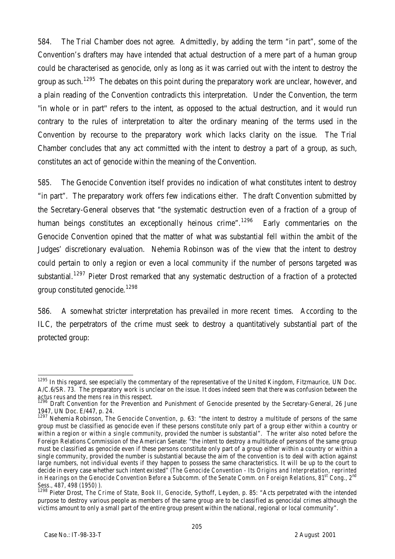584. The Trial Chamber does not agree. Admittedly, by adding the term "in part", some of the Convention's drafters may have intended that actual destruction of a mere part of a human group could be characterised as genocide, only as long as it was carried out with the intent to destroy the aroup as such.<sup>1295</sup> The debates on this point during the preparatory work are unclear, however, and a plain reading of the Convention contradicts this interpretation. Under the Convention, the term ''in whole or in part'' refers to the intent, as opposed to the actual destruction, and it would run contrary to the rules of interpretation to alter the ordinary meaning of the terms used in the Convention by recourse to the preparatory work which lacks clarity on the issue. The Trial Chamber concludes that any act committed with the intent to destroy a part of a group, as such, constitutes an act of genocide within the meaning of the Convention.

585. The Genocide Convention itself provides no indication of what constitutes intent to destroy "in part". The preparatory work offers few indications either. The draft Convention submitted by the Secretary-General observes that "the systematic destruction even of a fraction of a group of human beings constitutes an exceptionally heinous crime".<sup>1296</sup> Early commentaries on the Genocide Convention opined that the matter of what was substantial fell within the ambit of the Judges' discretionary evaluation. Nehemia Robinson was of the view that the intent to destroy could pertain to only a region or even a local community if the number of persons targeted was substantial.<sup>1297</sup> Pieter Drost remarked that any systematic destruction of a fraction of a protected group constituted genocide.<sup>1298</sup>

586. A somewhat stricter interpretation has prevailed in more recent times. According to the ILC, the perpetrators of the crime must seek to destroy a quantitatively substantial part of the protected group:

 $\overline{a}$ <sup>1295</sup> In this regard, see especially the commentary of the representative of the United Kingdom, Fitzmaurice, UN Doc. A/C.6/SR. 73. The preparatory work is unclear on the issue. It does indeed seem that there was confusion between the *actus reus* and the *mens rea* in this respect.

<sup>&</sup>lt;sup>1296</sup> Draft Convention for the Prevention and Punishment of Genocide presented by the Secretary-General, 26 June 1947, UN Doc. E/447, p. 24.

<sup>1297</sup> Nehemia Robinson, *The Genocide Convention*, p. 63: "the intent to destroy a multitude of persons of the same group must be classified as genocide even if these persons constitute only part of a group either within a country or within a region *or within a single community*, provided the number is substantial". The writer also noted before the Foreign Relations Commission of the American Senate: "the intent to destroy a multitude of persons of the same group must be classified as genocide even if these persons constitute only part of a group either within a country or within a single community, provided the number is substantial because the aim of the convention is to deal with action against large numbers, not individual events if they happen to possess the same characteristics. It will be up to the court to decide in every case whether such intent existed" (*The Genocide Convention - Its Origins and Interpretation, reprinted in Hearings on the Genocide Convention Before a Subcomm. of the Senate Comm. on Foreign Relations, 81st Cong., 2nd Sess., 487, 498 (1950)* ).

<sup>1298</sup> Pieter Drost, *The Crime of State, Book II, Genocide*, Sythoff, Leyden, p. 85: "Acts perpetrated with the intended purpose to destroy various people as members of the same group are to be classified as genocidal crimes although the victims amount to only a small part of the entire group present within the national, regional or local community".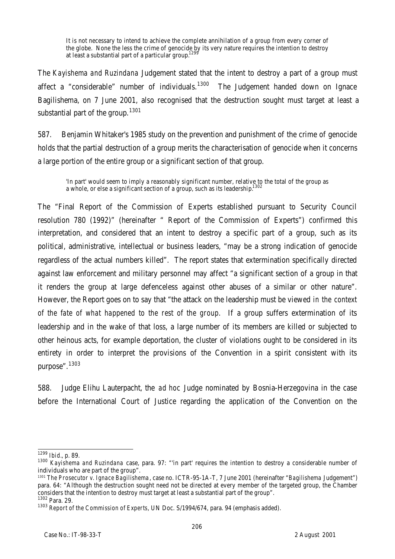It is not necessary to intend to achieve the complete annihilation of a group from every corner of the globe. None the less the crime of genocide by its very nature requires the intention to destroy at least a substantial part of a particular group.<sup>1299</sup>

The *Kayishema and Ruzindana* Judgement stated that the intent to destroy a part of a group must affect a "considerable" number of individuals. $1300$  The Judgement handed down on Ignace Bagilishema, on 7 June 2001, also recognised that the destruction sought must target at least a substantial part of the group.<sup>1301</sup>

587. Benjamin Whitaker's 1985 study on the prevention and punishment of the crime of genocide holds that the partial destruction of a group merits the characterisation of genocide when it concerns a large portion of the entire group or a significant section of that group.

'In part' would seem to imply a reasonably significant number, relative to the total of the group as a whole, or else a significant section of a group, such as its leadership. $^{1302}$ 

The "Final Report of the Commission of Experts established pursuant to Security Council resolution 780 (1992)" (hereinafter " Report of the Commission of Experts") confirmed this interpretation, and considered that an intent to destroy a specific part of a group, such as its political, administrative, intellectual or business leaders, "may be a strong indication of genocide regardless of the actual numbers killed". The report states that extermination specifically directed against law enforcement and military personnel may affect "a significant section of a group in that it renders the group at large defenceless against other abuses of a similar or other nature". However, the Report goes on to say that "the attack on the leadership must be viewed *in the context of the fate of what happened to the rest of the group*. If a group suffers extermination of its leadership and in the wake of that loss, a large number of its members are killed or subjected to other heinous acts, for example deportation, the cluster of violations ought to be considered in its entirety in order to interpret the provisions of the Convention in a spirit consistent with its purpose". 1303

588. Judge Elihu Lauterpacht, the *ad hoc* Judge nominated by Bosnia-Herzegovina in the case before the International Court of Justice regarding the application of the Convention on the

 $\overline{a}$ <sup>1299</sup> *Ibid.*, p. 89.

<sup>1300</sup> *Kayishema and Ruzindana* case, para. 97: "'in part' requires the intention to destroy a considerable number of individuals who are part of the group".

<sup>1301</sup> *The Prosecutor v. Ignace Bagilishema*, case no. ICTR-95-1A-T, 7 June 2001 (hereinafter "*Bagilishema* Judgement") para. 64: "Although the destruction sought need not be directed at every member of the targeted group, the Chamber considers that the intention to destroy must target at least a substantial part of the group". <sup>1302</sup> Para. 29.

<sup>1303</sup> *Report of the Commission of Experts*, UN Doc. S/1994/674, para. 94 (emphasis added).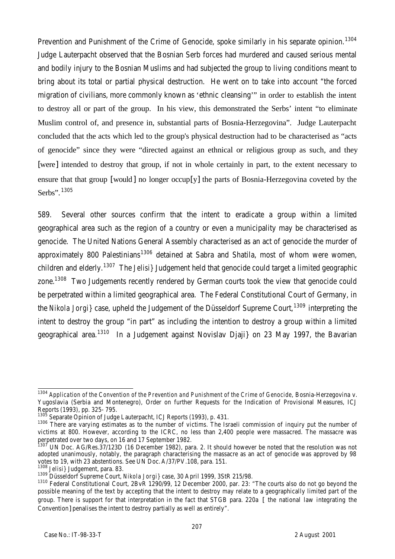Prevention and Punishment of the Crime of Genocide, spoke similarly in his separate opinion.<sup>1304</sup> Judge Lauterpacht observed that the Bosnian Serb forces had murdered and caused serious mental and bodily injury to the Bosnian Muslims and had subjected the group to living conditions meant to bring about its total or partial physical destruction. He went on to take into account "the forced migration of civilians, more commonly known as 'ethnic cleansing'" in order to establish the intent to destroy all or part of the group. In his view, this demonstrated the Serbs' intent "to eliminate Muslim control of, and presence in, substantial parts of Bosnia-Herzegovina". Judge Lauterpacht concluded that the acts which led to the group's physical destruction had to be characterised as "acts of genocide" since they were "directed against an ethnical or religious group as such, and they [were] intended to destroy that group, if not in whole certainly in part, to the extent necessary to ensure that that group [would] no longer occup[y] the parts of Bosnia-Herzegovina coveted by the Serbs". <sup>1305</sup>

589. Several other sources confirm that the intent to eradicate a group within a limited geographical area such as the region of a country or even a municipality may be characterised as genocide. The United Nations General Assembly characterised as an act of genocide the murder of approximately 800 Palestinians<sup>1306</sup> detained at Sabra and Shatila, most of whom were women, children and elderly.<sup>1307</sup> The *Jelisi}* Judgement held that genocide could target a limited geographic zone.<sup>1308</sup> Two Judgements recently rendered by German courts took the view that genocide could be perpetrated within a limited geographical area. The Federal Constitutional Court of Germany, in the *Nikola Jorgi*} case, upheld the Judgement of the Düsseldorf Supreme Court.<sup>1309</sup> interpreting the intent to destroy the group "in part" as including the intention to destroy a group within a limited geographical area.<sup>1310</sup> In a Judgement against Novislav Djaji} on 23 May 1997, the Bavarian

 $\overline{a}$ <sup>1304</sup> *Application of the Convention of the Prevention and Punishment of the Crime of Genocide*, Bosnia-Herzegovina v. Yugoslavia (Serbia and Montenegro), Order on further Requests for the Indication of Provisional Measures, ICJ Reports (1993), pp. 325- 795.

 $^5$  Separate Opinion of Judge Lauterpacht, ICJ Reports (1993), p. 431.

<sup>&</sup>lt;sup>1306</sup> There are varying estimates as to the number of victims. The Israeli commission of inquiry put the number of victims at 800. However, according to the ICRC, no less than 2,400 people were massacred. The massacre was perpetrated over two days, on 16 and 17 September 1982.

<sup>&</sup>lt;sup>1307</sup> UN Doc. AG/Res.37/123D (16 December 1982), para. 2. It should however be noted that the resolution was not adopted unanimously, notably, the paragraph characterising the massacre as an act of genocide was approved by 98 votes to 19, with 23 abstentions. See UN Doc. A/37/PV.108, para. 151.

<sup>1308</sup> *Jelisi}* Judgement, para. 83.

<sup>1309</sup> Düsseldorf Supreme Court, *Nikola Jorgi}* case, 30 April 1999, 3StR 215/98.

<sup>1310</sup> Federal Constitutional Court, 2BvR 1290/99, 12 December 2000, par. 23: "The courts also do not go beyond the possible meaning of the text by accepting that the intent to destroy may relate to a geographically limited part of the group. There is support for that interpretation in the fact that STGB para. 220a [ the national law integrating the Convention] penalises the intent to destroy partially as well as entirely".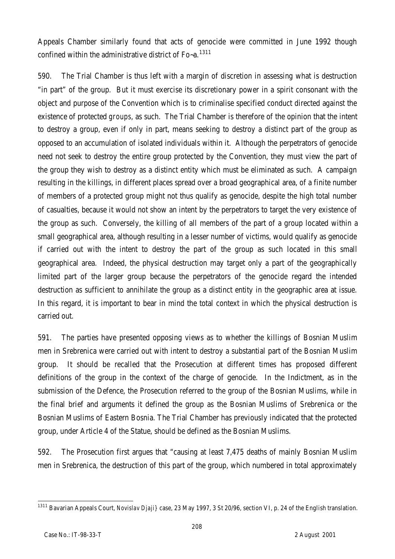Appeals Chamber similarly found that acts of genocide were committed in June 1992 though confined within the administrative district of  $Fo-a$ .<sup>1311</sup>

590. The Trial Chamber is thus left with a margin of discretion in assessing what is destruction "in part" of the group. But it must exercise its discretionary power in a spirit consonant with the object and purpose of the Convention which is to criminalise specified conduct directed against the existence of protected *groups*, as such. The Trial Chamber is therefore of the opinion that the intent to destroy a group, even if only in part, means seeking to destroy a distinct part of the group as opposed to an accumulation of isolated individuals within it. Although the perpetrators of genocide need not seek to destroy the entire group protected by the Convention, they must view the part of the group they wish to destroy as a distinct entity which must be eliminated as such. A campaign resulting in the killings, in different places spread over a broad geographical area, of a finite number of members of a protected group might not thus qualify as genocide, despite the high total number of casualties, because it would not show an intent by the perpetrators to target the very existence of the group as such. Conversely, the killing of all members of the part of a group located within a small geographical area, although resulting in a lesser number of victims, would qualify as genocide if carried out with the intent to destroy the part of the group as such located in this small geographical area. Indeed, the physical destruction may target only a part of the geographically limited part of the larger group because the perpetrators of the genocide regard the intended destruction as sufficient to annihilate the group as a distinct entity in the geographic area at issue. In this regard, it is important to bear in mind the total context in which the physical destruction is carried out.

591. The parties have presented opposing views as to whether the killings of Bosnian Muslim men in Srebrenica were carried out with intent to destroy a substantial part of the Bosnian Muslim group. It should be recalled that the Prosecution at different times has proposed different definitions of the group in the context of the charge of genocide. In the Indictment, as in the submission of the Defence, the Prosecution referred to the group of the Bosnian Muslims, while in the final brief and arguments it defined the group as the Bosnian Muslims of Srebrenica or the Bosnian Muslims of Eastern Bosnia. The Trial Chamber has previously indicated that the protected group, under Article 4 of the Statue, should be defined as the Bosnian Muslims.

592. The Prosecution first argues that "causing at least 7,475 deaths of mainly Bosnian Muslim men in Srebrenica, the destruction of this part of the group, which numbered in total approximately

 $\overline{a}$ <sup>1311</sup> Bavarian Appeals Court, *Novislav Djaji}* case, 23 May 1997, 3 St 20/96, section VI, p. 24 of the English translation.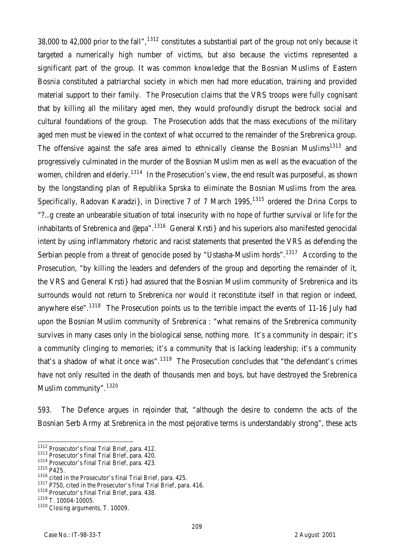38,000 to 42,000 prior to the fall",  $1312$  constitutes a substantial part of the group not only because it targeted a numerically high number of victims, but also because the victims represented a significant part of the group. It was common knowledge that the Bosnian Muslims of Eastern Bosnia constituted a patriarchal society in which men had more education, training and provided material support to their family. The Prosecution claims that the VRS troops were fully cognisant that by killing all the military aged men, they would profoundly disrupt the bedrock social and cultural foundations of the group. The Prosecution adds that the mass executions of the military aged men must be viewed in the context of what occurred to the remainder of the Srebrenica group. The offensive against the safe area aimed to ethnically cleanse the Bosnian Muslims<sup>1313</sup> and progressively culminated in the murder of the Bosnian Muslim men as well as the evacuation of the women, children and elderly.<sup>1314</sup> In the Prosecution's view, the end result was purposeful, as shown by the longstanding plan of Republika Sprska to eliminate the Bosnian Muslims from the area. Specifically, Radovan Karadzi}, in Directive 7 of 7 March 1995,  $1315$  ordered the Drina Corps to "?...g create an unbearable situation of total insecurity with no hope of further survival or life for the inhabitants of Srebrenica and @epa".<sup>1316</sup> General Krsti} and his superiors also manifested genocidal intent by using inflammatory rhetoric and racist statements that presented the VRS as defending the Serbian people from a threat of genocide posed by "Ustasha-Muslim hords".<sup>1317</sup> According to the Prosecution, "by killing the leaders and defenders of the group and deporting the remainder of it, the VRS and General Krsti} had assured that the Bosnian Muslim community of Srebrenica and its surrounds would not return to Srebrenica nor would it reconstitute itself in that region or indeed, anywhere else".<sup>1318</sup> The Prosecution points us to the terrible impact the events of 11-16 July had upon the Bosnian Muslim community of Srebrenica : "what remains of the Srebrenica community survives in many cases only in the biological sense, nothing more. It's a community in despair; it's a community clinging to memories; it's a community that is lacking leadership; it's a community that's a shadow of what it once was".<sup>1319</sup> The Prosecution concludes that "the defendant's crimes have not only resulted in the death of thousands men and boys, but have destroyed the Srebrenica Muslim community".<sup>1320</sup>

593. The Defence argues in rejoinder that, "although the desire to condemn the acts of the Bosnian Serb Army at Srebrenica in the most pejorative terms is understandably strong", these acts

 $\overline{a}$ <sup>1312</sup> Prosecutor's final Trial Brief, para. 412.

<sup>1313</sup> Prosecutor's final Trial Brief, para. 420.

<sup>1314</sup> Prosecutor's final Trial Brief, para. 423.

<sup>1315</sup> P425.

<sup>1316</sup> cited in the Prosecutor's final Trial Brief, para. 425.

<sup>1317</sup> P750, cited in the Prosecutor's final Trial Brief, para. 416.

<sup>1318</sup> Prosecutor's final Trial Brief, para. 438.

<sup>1319</sup> T. 10004-10005.

<sup>1320</sup> Closing arguments, T. 10009.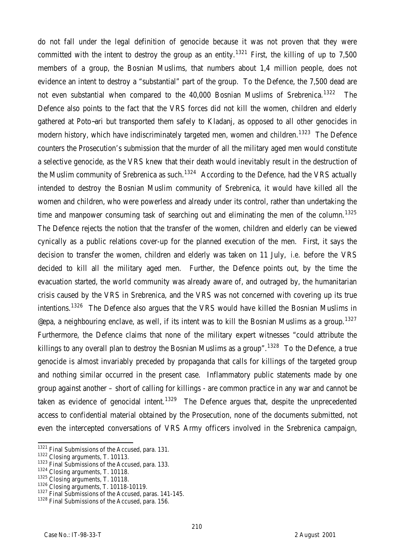do not fall under the legal definition of genocide because it was not proven that they were committed with the intent to destroy the group as an entity.<sup>1321</sup> First, the killing of up to 7,500 members of a group, the Bosnian Muslims, that numbers about 1,4 million people, does not evidence an intent to destroy a "substantial" part of the group. To the Defence, the 7,500 dead are not even substantial when compared to the  $40,000$  Bosnian Muslims of Srebrenica.<sup>1322</sup> The Defence also points to the fact that the VRS forces did not kill the women, children and elderly gathered at Poto~ari but transported them safely to Kladanj, as opposed to all other genocides in modern history, which have indiscriminately targeted men, women and children.<sup>1323</sup> The Defence counters the Prosecution's submission that the murder of all the military aged men would constitute a selective genocide, as the VRS knew that their death would inevitably result in the destruction of the Muslim community of Srebrenica as such.<sup>1324</sup> According to the Defence, had the VRS actually intended to destroy the Bosnian Muslim community of Srebrenica, it would have killed all the women and children, who were powerless and already under its control, rather than undertaking the time and manpower consuming task of searching out and eliminating the men of the column.<sup>1325</sup> The Defence rejects the notion that the transfer of the women, children and elderly can be viewed cynically as a public relations cover-up for the planned execution of the men. First, it says the decision to transfer the women, children and elderly was taken on 11 July, *i.e.* before the VRS decided to kill all the military aged men. Further, the Defence points out, by the time the evacuation started, the world community was already aware of, and outraged by, the humanitarian crisis caused by the VRS in Srebrenica, and the VRS was not concerned with covering up its true intentions.<sup>1326</sup> The Defence also argues that the VRS would have killed the Bosnian Muslims in eepa, a neighbouring enclave, as well, if its intent was to kill the Bosnian Muslims as a group.<sup>1327</sup> Furthermore, the Defence claims that none of the military expert witnesses "could attribute the killings to any overall plan to destroy the Bosnian Muslims as a group".<sup>1328</sup> To the Defence, a true genocide is almost invariably preceded by propaganda that calls for killings of the targeted group and nothing similar occurred in the present case. Inflammatory public statements made by one group against another – short of calling for killings - are common practice in any war and cannot be taken as evidence of genocidal intent.<sup>1329</sup> The Defence argues that, despite the unprecedented access to confidential material obtained by the Prosecution, none of the documents submitted, not even the intercepted conversations of VRS Army officers involved in the Srebrenica campaign,

 $\overline{a}$ 

<sup>&</sup>lt;sup>1321</sup> Final Submissions of the Accused, para. 131.

<sup>1322</sup> Closing arguments, T. 10113.

<sup>1323</sup> Final Submissions of the Accused, para. 133.

<sup>1324</sup> Closing arguments, T. 10118.

<sup>1325</sup> Closing arguments, T. 10118.

<sup>1326</sup> Closing arguments, T. 10118-10119.

<sup>1327</sup> Final Submissions of the Accused, paras. 141-145.

<sup>&</sup>lt;sup>1328</sup> Final Submissions of the Accused, para. 156.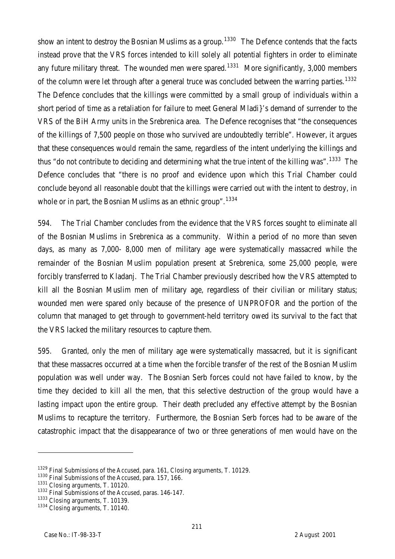show an intent to destroy the Bosnian Muslims as a group.<sup>1330</sup> The Defence contends that the facts instead prove that the VRS forces intended to kill solely all potential fighters in order to eliminate any future military threat. The wounded men were spared.<sup>1331</sup> More significantly, 3,000 members of the column were let through after a general truce was concluded between the warring parties.<sup>1332</sup> The Defence concludes that the killings were committed by a small group of individuals within a short period of time as a retaliation for failure to meet General Mladi}'s demand of surrender to the VRS of the BiH Army units in the Srebrenica area. The Defence recognises that "the consequences of the killings of 7,500 people on those who survived are undoubtedly terrible". However, it argues that these consequences would remain the same, regardless of the intent underlying the killings and thus "do not contribute to deciding and determining what the true intent of the killing was".<sup>1333</sup> The Defence concludes that "there is no proof and evidence upon which this Trial Chamber could conclude beyond all reasonable doubt that the killings were carried out with the intent to destroy, in whole or in part, the Bosnian Muslims as an ethnic group".<sup>1334</sup>

594. The Trial Chamber concludes from the evidence that the VRS forces sought to eliminate all of the Bosnian Muslims in Srebrenica as a community. Within a period of no more than seven days, as many as 7,000- 8,000 men of military age were systematically massacred while the remainder of the Bosnian Muslim population present at Srebrenica, some 25,000 people, were forcibly transferred to Kladanj. The Trial Chamber previously described how the VRS attempted to kill all the Bosnian Muslim men of military age, regardless of their civilian or military status; wounded men were spared only because of the presence of UNPROFOR and the portion of the column that managed to get through to government-held territory owed its survival to the fact that the VRS lacked the military resources to capture them.

595. Granted, only the men of military age were systematically massacred, but it is significant that these massacres occurred at a time when the forcible transfer of the rest of the Bosnian Muslim population was well under way. The Bosnian Serb forces could not have failed to know, by the time they decided to kill all the men, that this selective destruction of the group would have a lasting impact upon the entire group. Their death precluded any effective attempt by the Bosnian Muslims to recapture the territory. Furthermore, the Bosnian Serb forces had to be aware of the catastrophic impact that the disappearance of two or three generations of men would have on the

l

<sup>&</sup>lt;sup>1329</sup> Final Submissions of the Accused, para. 161, Closing arguments, T. 10129.

<sup>&</sup>lt;sup>1330</sup> Final Submissions of the Accused, para. 157, 166.

<sup>1331</sup> Closing arguments, T. 10120.

<sup>1332</sup> Final Submissions of the Accused, paras. 146-147.

<sup>&</sup>lt;sup>1333</sup> Closing arguments, T. 10139.

<sup>1334</sup> Closing arguments, T. 10140.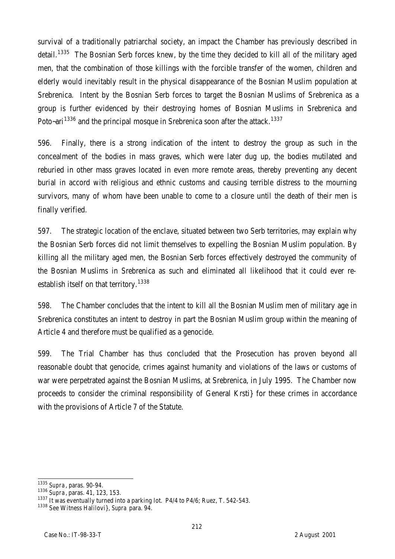survival of a traditionally patriarchal society, an impact the Chamber has previously described in detail.<sup>1335</sup> The Bosnian Serb forces knew, by the time they decided to kill all of the military aged men, that the combination of those killings with the forcible transfer of the women, children and elderly would inevitably result in the physical disappearance of the Bosnian Muslim population at Srebrenica. Intent by the Bosnian Serb forces to target the Bosnian Muslims of Srebrenica as a group is further evidenced by their destroying homes of Bosnian Muslims in Srebrenica and Poto~ari<sup>1336</sup> and the principal mosque in Srebrenica soon after the attack.<sup>1337</sup>

596. Finally, there is a strong indication of the intent to destroy the group as such in the concealment of the bodies in mass graves, which were later dug up, the bodies mutilated and reburied in other mass graves located in even more remote areas, thereby preventing any decent burial in accord with religious and ethnic customs and causing terrible distress to the mourning survivors, many of whom have been unable to come to a closure until the death of their men is finally verified.

597. The strategic location of the enclave, situated between two Serb territories, may explain why the Bosnian Serb forces did not limit themselves to expelling the Bosnian Muslim population. By killing all the military aged men, the Bosnian Serb forces effectively destroyed the community of the Bosnian Muslims in Srebrenica as such and eliminated all likelihood that it could ever reestablish itself on that territory.<sup>1338</sup>

598. The Chamber concludes that the intent to kill all the Bosnian Muslim men of military age in Srebrenica constitutes an intent to destroy in part the Bosnian Muslim group within the meaning of Article 4 and therefore must be qualified as a genocide.

599. The Trial Chamber has thus concluded that the Prosecution has proven beyond all reasonable doubt that genocide, crimes against humanity and violations of the laws or customs of war were perpetrated against the Bosnian Muslims, at Srebrenica, in July 1995. The Chamber now proceeds to consider the criminal responsibility of General Krsti} for these crimes in accordance with the provisions of Article 7 of the Statute.

 $\overline{a}$ 

<sup>1335</sup> *Supra*, paras. 90-94.

<sup>1336</sup> *Supra*, paras. 41, 123, 153.

<sup>1337</sup> It was eventually turned into a parking lot. P4/4 to P4/6; Ruez, T. 542-543.

<sup>1338</sup> See Witness Halilovi}, *Supra* para. 94.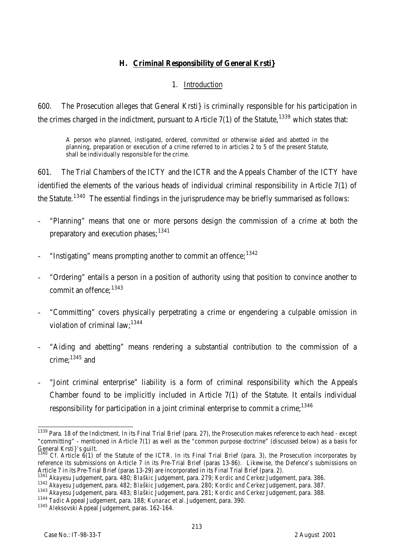## **H. Criminal Responsibility of General Krsti}**

### 1. Introduction

600. The Prosecution alleges that General Krsti} is criminally responsible for his participation in the crimes charged in the indictment, pursuant to Article 7(1) of the Statute,<sup>1339</sup> which states that:

A person who planned, instigated, ordered, committed or otherwise aided and abetted in the planning, preparation or execution of a crime referred to in articles 2 to 5 of the present Statute, shall be individually responsible for the crime.

601. The Trial Chambers of the ICTY and the ICTR and the Appeals Chamber of the ICTY have identified the elements of the various heads of individual criminal responsibility in Article 7(1) of the Statute.<sup>1340</sup> The essential findings in the jurisprudence may be briefly summarised as follows:

- "Planning" means that one or more persons design the commission of a crime at both the preparatory and execution phases;<sup>1341</sup>
- "Instigating" means prompting another to commit an offence:  $1342$
- "Ordering" entails a person in a position of authority using that position to convince another to commit an offence:  $1343$
- "Committing" covers physically perpetrating a crime or engendering a culpable omission in violation of criminal law;<sup>1344</sup>
- "Aiding and abetting" means rendering a substantial contribution to the commission of a crime: $1345$  and
- "Joint criminal enterprise" liability is a form of criminal responsibility which the Appeals Chamber found to be implicitly included in Article 7(1) of the Statute. It entails individual responsibility for participation in a joint criminal enterprise to commit a crime;  $1346$

 $\overline{a}$ <sup>1339</sup> Para. 18 of the Indictment. In its Final Trial Brief (para. 27), the Prosecution makes reference to each head - except "committing" - mentioned in Article 7(1) as well as the "common purpose doctrine" (discussed below) as a basis for General Krsti}'s guilt.

<sup>1340</sup> *Cf.* Article 6(1) of the Statute of the ICTR. In its Final Trial Brief (para. 3), the Prosecution incorporates by reference its submissions on Article 7 in its Pre-Trial Brief (paras 13-86). Likewise, the Defence's submissions on Article 7 in its Pre-Trial Brief (paras 13-29) are incorporated in its Final Trial Brief (para. 2).

<sup>1341</sup> *Akayesu* Judgement, para. 480; *Blaškic* Judgement, para. 279; *Kordic and Cerkez* Judgement, para. 386.

<sup>1342</sup> *Akayesu* Judgement, para. 482; *Blaškic* Judgement, para. 280; *Kordic and Cerkez* Judgement, para. 387.

<sup>1343</sup> *Akayesu* Judgement, para. 483; *Blaškic* Judgement, para. 281; *Kordic and Cerkez* Judgement, para. 388.

<sup>1344</sup> *Tadic* Appeal Judgement, para. 188; *Kunarac* et al.Judgement, para. 390.

<sup>1345</sup> *Aleksovski* Appeal Judgement, paras. 162-164.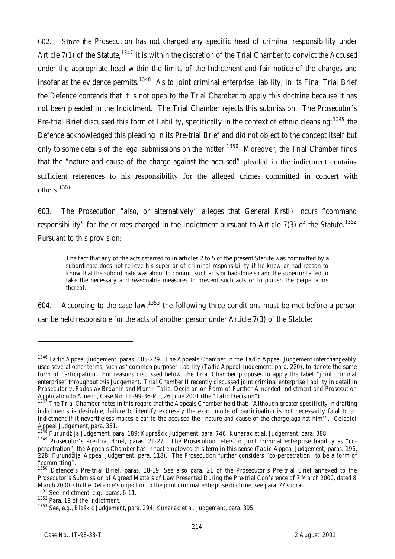602. Since the Prosecution has not charged any specific head of criminal responsibility under Article 7(1) of the Statute,  $1347$  it is within the discretion of the Trial Chamber to convict the Accused under the appropriate head within the limits of the Indictment and fair notice of the charges and insofar as the evidence permits.<sup>1348</sup> As to joint criminal enterprise liability, in its Final Trial Brief the Defence contends that it is not open to the Trial Chamber to apply this doctrine because it has not been pleaded in the Indictment. The Trial Chamber rejects this submission. The Prosecutor's Pre-trial Brief discussed this form of liability, specifically in the context of ethnic cleansing;<sup>1349</sup> the Defence acknowledged this pleading in its Pre-trial Brief and did not object to the concept itself but only to some details of the legal submissions on the matter.<sup>1350</sup> Moreover, the Trial Chamber finds that the "nature and cause of the charge against the accused" pleaded in the indictment contains sufficient references to his responsibility for the alleged crimes committed in concert with others.<sup>1351</sup>

603. The Prosecution "also, or alternatively" alleges that General Krsti} incurs "command responsibility" for the crimes charged in the Indictment pursuant to Article 7(3) of the Statute.<sup>1352</sup> Pursuant to this provision:

The fact that any of the acts referred to in articles 2 to 5 of the present Statute was committed by a subordinate does not relieve his superior of criminal responsibility if he knew or had reason to know that the subordinate was about to commit such acts or had done so and the superior failed to take the necessary and reasonable measures to prevent such acts or to punish the perpetrators thereof.

604. According to the case law,  $1353$  the following three conditions must be met before a person can be held responsible for the acts of another person under Article 7(3) of the Statute:

j

<sup>1346</sup> *Tadic* Appeal Judgement, paras. 185-229. The Appeals Chamber in the *Tadic* Appeal Judgement interchangeably used several other terms, such as "common purpose" liability (*Tadic* Appeal Judgement, para. 220), to denote the same form of participation. For reasons discussed below, the Trial Chamber proposes to apply the label "joint criminal enterprise" throughout this Judgement. Trial Chamber II recently discussed joint criminal enterprise liability in detail in *Prosecutor* v. *Radoslav Brdanin and Momir Talic*, Decision on Form of Further Amended Indictment and Prosecution Application to Amend, Case No. IT-99-36-PT, 26 June 2001 (the "*Talic* Decision").

 $137$  The Trial Chamber notes in this regard that the Appeals Chamber held that: "Although greater specificity in drafting indictments is desirable, failure to identify expressly the exact mode of participation is not necessarily fatal to an indictment if it nevertheless makes clear to the accused the 'nature and cause of the charge against him'". *Celebici* Appeal Judgement, para. 351.

<sup>1348</sup> *Furundžija* Judgement, para. 189; *Kupreškic* Judgement, para. 746; *Kunarac* et al*.* Judgement, para. 388.

<sup>1349</sup> Prosecutor's Pre-trial Brief, paras. 21-27. The Prosecution refers to joint criminal enterprise liability as "coperpetration"; the Appeals Chamber has in fact employed this term in this sense (*Tadic* Appeal Judgement, paras. 196, 228; *Furundžija* Appeal Judgement, para. 118). The Prosecution further considers "co-perpetration" to be a form of "committing".

<sup>1350</sup> Defence's Pre-trial Brief, paras. 18-19. See also para. 21 of the Prosecutor's Pre-trial Brief annexed to the Prosecutor's Submission of Agreed Matters of Law Presented During the Pre-trial Conference of 7 March 2000, dated 8 March 2000. On the Defence's objection to the joint criminal enterprise doctrine, see para. ?? *supra*.

<sup>&</sup>lt;sup>1351</sup> See Indictment, e.g., paras. 6-11.

<sup>1352</sup> Para. 19 of the Indictment.

<sup>1353</sup> See, e.g., *Blaškic* Judgement, para. 294; *Kunarac* et al. Judgement, para. 395.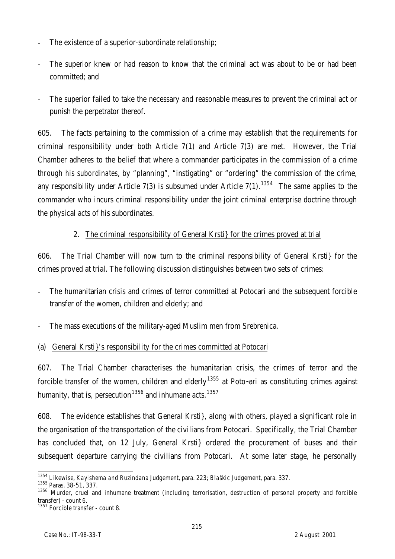- The existence of a superior-subordinate relationship;
- The superior knew or had reason to know that the criminal act was about to be or had been committed; and
- The superior failed to take the necessary and reasonable measures to prevent the criminal act or punish the perpetrator thereof.

605. The facts pertaining to the commission of a crime may establish that the requirements for criminal responsibility under both Article 7(1) and Article 7(3) are met. However, the Trial Chamber adheres to the belief that where a commander participates in the commission of a crime *through his subordinates*, by "planning", "instigating" or "ordering" the commission of the crime, any responsibility under Article 7(3) is subsumed under Article 7(1).<sup>1354</sup> The same applies to the commander who incurs criminal responsibility under the joint criminal enterprise doctrine through the physical acts of his subordinates.

### 2. The criminal responsibility of General Krsti} for the crimes proved at trial

606. The Trial Chamber will now turn to the criminal responsibility of General Krsti} for the crimes proved at trial. The following discussion distinguishes between two sets of crimes:

- The humanitarian crisis and crimes of terror committed at Potocari and the subsequent forcible transfer of the women, children and elderly; and
- The mass executions of the military-aged Muslim men from Srebrenica.
- (a) General Krsti}'s responsibility for the crimes committed at Potocari

607. The Trial Chamber characterises the humanitarian crisis, the crimes of terror and the forcible transfer of the women, children and elderly<sup>1355</sup> at Poto~ari as constituting crimes against humanity, that is, persecution<sup>1356</sup> and inhumane acts.<sup>1357</sup>

608. The evidence establishes that General Krsti}, along with others, played a significant role in the organisation of the transportation of the civilians from Potocari. Specifically, the Trial Chamber has concluded that, on 12 July, General Krsti} ordered the procurement of buses and their subsequent departure carrying the civilians from Potocari. At some later stage, he personally

 $\overline{a}$ <sup>1354</sup> Likewise, *Kayishema and Ruzindana* Judgement, para. 223; *Blaškic* Judgement, para. 337.

<sup>1355</sup> Paras. 38-51, 337.

<sup>1356</sup> Murder, cruel and inhumane treatment (including terrorisation, destruction of personal property and forcible transfer) - count 6. <sup>1357</sup> Forcible transfer - count 8.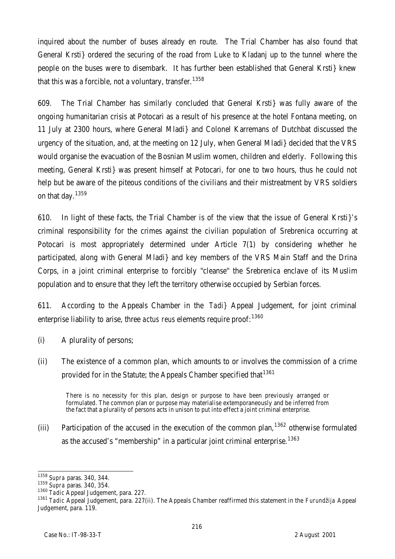inquired about the number of buses already en route. The Trial Chamber has also found that General Krsti} ordered the securing of the road from Luke to Kladanj up to the tunnel where the people on the buses were to disembark. It has further been established that General Krsti} knew that this was a forcible, not a voluntary, transfer.<sup>1358</sup>

609. The Trial Chamber has similarly concluded that General Krsti} was fully aware of the ongoing humanitarian crisis at Potocari as a result of his presence at the hotel Fontana meeting, on 11 July at 2300 hours, where General Mladi} and Colonel Karremans of Dutchbat discussed the urgency of the situation, and, at the meeting on 12 July, when General Mladi} decided that the VRS would organise the evacuation of the Bosnian Muslim women, children and elderly. Following this meeting, General Krsti} was present himself at Potocari, for one to two hours, thus he could not help but be aware of the piteous conditions of the civilians and their mistreatment by VRS soldiers on that day.<sup>1359</sup>

610. In light of these facts, the Trial Chamber is of the view that the issue of General Krsti}'s criminal responsibility for the crimes against the civilian population of Srebrenica occurring at Potocari is most appropriately determined under Article 7(1) by considering whether he participated, along with General Mladi} and key members of the VRS Main Staff and the Drina Corps, in a joint criminal enterprise to forcibly ''cleanse'' the Srebrenica enclave of its Muslim population and to ensure that they left the territory otherwise occupied by Serbian forces.

611. According to the Appeals Chamber in the *Tadi}* Appeal Judgement, for joint criminal enterprise liability to arise, three *actus reus* elements require proof:<sup>1360</sup>

- (i) A plurality of persons;
- (ii) The existence of a common plan, which amounts to or involves the commission of a crime provided for in the Statute; the Appeals Chamber specified that <sup>1361</sup>

There is no necessity for this plan, design or purpose to have been previously arranged or formulated. The common plan or purpose may materialise extemporaneously and be inferred from the fact that a plurality of persons acts in unison to put into effect a joint criminal enterprise.

(iii) Participation of the accused in the execution of the common plan,  $1362$  otherwise formulated as the accused's "membership" in a particular joint criminal enterprise.<sup>1363</sup>

 $\overline{a}$ <sup>1358</sup> *Supra* paras. 340, 344.

<sup>1359</sup> *Supra* paras. 340, 354.

<sup>1360</sup> *Tadic* Appeal Judgement, para. 227.

<sup>1361</sup> *Tadic* Appeal Judgement, para. 227(ii). The Appeals Chamber reaffirmed this statement in the *Furundžija* Appeal Judgement, para. 119.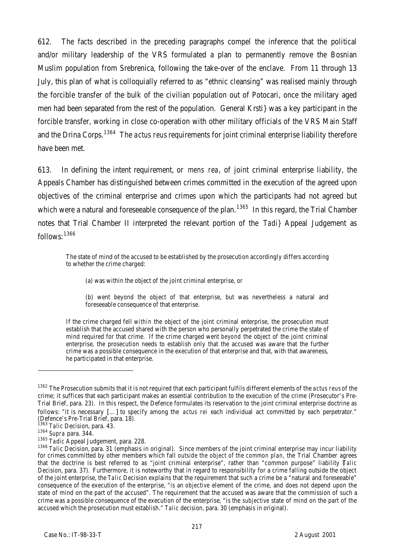612. The facts described in the preceding paragraphs compel the inference that the political and/or military leadership of the VRS formulated a plan to permanently remove the Bosnian Muslim population from Srebrenica, following the take-over of the enclave. From 11 through 13 July, this plan of what is colloquially referred to as "ethnic cleansing" was realised mainly through the forcible transfer of the bulk of the civilian population out of Potocari, once the military aged men had been separated from the rest of the population. General Krsti} was a key participant in the forcible transfer, working in close co-operation with other military officials of the VRS Main Staff and the Drina Corps.<sup>1364</sup> The *actus reus* requirements for joint criminal enterprise liability therefore have been met.

613. In defining the intent requirement, or *mens rea*, of joint criminal enterprise liability, the Appeals Chamber has distinguished between crimes committed in the execution of the agreed upon objectives of the criminal enterprise and crimes upon which the participants had not agreed but which were a natural and foreseeable consequence of the plan.<sup>1365</sup> In this regard, the Trial Chamber notes that Trial Chamber II interpreted the relevant portion of the *Tadi}* Appeal Judgement as follows: 1366

The state of mind of the accused to be established by the prosecution accordingly differs according to whether the crime charged:

(a) was within the object of the joint criminal enterprise, or

(b) went beyond the object of that enterprise, but was nevertheless a natural and foreseeable consequence of that enterprise.

If the crime charged fell *within* the object of the joint criminal enterprise, the prosecution must establish that the accused shared with the person who personally perpetrated the crime the state of mind required for that crime. If the crime charged went *beyond* the object of the joint criminal enterprise, the prosecution needs to establish only that the accused was aware that the further crime was a possible consequence in the execution of that enterprise and that, with that awareness, he participated in that enterprise.

<sup>1362</sup> The Prosecution submits that it is not required that each participant fulfils different elements of the *actus reus* of the crime; it suffices that each participant makes an essential contribution to the execution of the crime (Prosecutor's Pre-Trial Brief, para. 23). In this respect, the Defence formulates its reservation to the joint criminal enterprise doctrine as follows: "it is necessary […] to specify among the *actus rei* each individual act committed by each perpetrator." (Defence's Pre-Trial Brief, para. 18).

<sup>1363</sup> *Talic* Decision, para. 43.

<sup>1364</sup> *Supra* para. 344.

<sup>1365</sup> *Tadic* Appeal Judgement, para. 228.

<sup>1366</sup> *Talic* Decision, para. 31 (emphasis in original). Since members of the joint criminal enterprise may incur liability for crimes committed by other members which fall *outside the object of the common plan*, the Trial Chamber agrees that the doctrine is best referred to as "joint criminal enterprise", rather than "common purpose" liability (*Talic* Decision, para. 37). Furthermore, it is noteworthy that in regard to responsibility for a crime falling outside the object of the joint enterprise, the *Talic* Decision explains that the requirement that such a crime be a "natural and foreseeable" consequence of the execution of the enterprise, "is an *objective* element of the crime, and does not depend upon the state of mind on the part of the accused". The requirement that the accused was aware that the commission of such a crime was a possible consequence of the execution of the enterprise, "is the *subjective* state of mind on the part of the accused which the prosecution must establish." *Talic* decision, para. 30 (emphasis in original).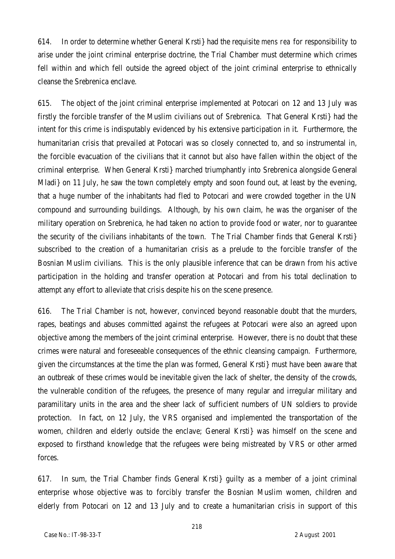614. In order to determine whether General Krsti} had the requisite *mens rea* for responsibility to arise under the joint criminal enterprise doctrine, the Trial Chamber must determine which crimes fell within and which fell outside the agreed object of the joint criminal enterprise to ethnically cleanse the Srebrenica enclave.

615. The object of the joint criminal enterprise implemented at Potocari on 12 and 13 July was firstly the forcible transfer of the Muslim civilians out of Srebrenica. That General Krsti} had the intent for this crime is indisputably evidenced by his extensive participation in it. Furthermore, the humanitarian crisis that prevailed at Potocari was so closely connected to, and so instrumental in, the forcible evacuation of the civilians that it cannot but also have fallen within the object of the criminal enterprise. When General Krsti} marched triumphantly into Srebrenica alongside General Mladi} on 11 July, he saw the town completely empty and soon found out, at least by the evening, that a huge number of the inhabitants had fled to Potocari and were crowded together in the UN compound and surrounding buildings. Although, by his own claim, he was the organiser of the military operation on Srebrenica, he had taken no action to provide food or water, nor to guarantee the security of the civilians inhabitants of the town. The Trial Chamber finds that General Krsti} subscribed to the creation of a humanitarian crisis as a prelude to the forcible transfer of the Bosnian Muslim civilians. This is the only plausible inference that can be drawn from his active participation in the holding and transfer operation at Potocari and from his total declination to attempt any effort to alleviate that crisis despite his on the scene presence.

616. The Trial Chamber is not, however, convinced beyond reasonable doubt that the murders, rapes, beatings and abuses committed against the refugees at Potocari were also an agreed upon objective among the members of the joint criminal enterprise. However, there is no doubt that these crimes were natural and foreseeable consequences of the ethnic cleansing campaign. Furthermore, given the circumstances at the time the plan was formed, General Krsti} must have been aware that an outbreak of these crimes would be inevitable given the lack of shelter, the density of the crowds, the vulnerable condition of the refugees, the presence of many regular and irregular military and paramilitary units in the area and the sheer lack of sufficient numbers of UN soldiers to provide protection. In fact, on 12 July, the VRS organised and implemented the transportation of the women, children and elderly outside the enclave; General Krsti} was himself on the scene and exposed to firsthand knowledge that the refugees were being mistreated by VRS or other armed forces.

617. In sum, the Trial Chamber finds General Krsti} guilty as a member of a joint criminal enterprise whose objective was to forcibly transfer the Bosnian Muslim women, children and elderly from Potocari on 12 and 13 July and to create a humanitarian crisis in support of this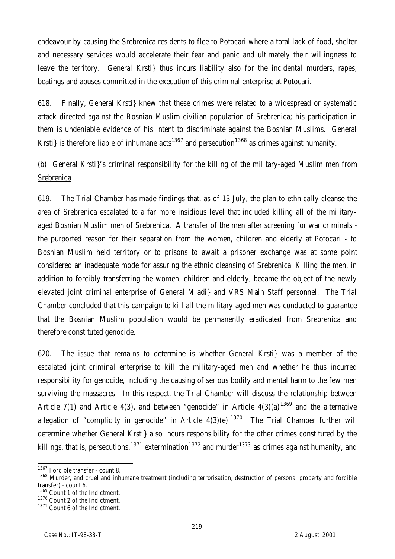endeavour by causing the Srebrenica residents to flee to Potocari where a total lack of food, shelter and necessary services would accelerate their fear and panic and ultimately their willingness to leave the territory. General Krsti} thus incurs liability also for the incidental murders, rapes, beatings and abuses committed in the execution of this criminal enterprise at Potocari.

618. Finally, General Krsti} knew that these crimes were related to a widespread or systematic attack directed against the Bosnian Muslim civilian population of Srebrenica; his participation in them is undeniable evidence of his intent to discriminate against the Bosnian Muslims. General Krsti} is therefore liable of inhumane acts<sup>1367</sup> and persecution<sup>1368</sup> as crimes against humanity.

# (b) General Krsti}'s criminal responsibility for the killing of the military-aged Muslim men from **Srebrenica**

619. The Trial Chamber has made findings that, as of 13 July, the plan to ethnically cleanse the area of Srebrenica escalated to a far more insidious level that included killing all of the militaryaged Bosnian Muslim men of Srebrenica. A transfer of the men after screening for war criminals the purported reason for their separation from the women, children and elderly at Potocari - to Bosnian Muslim held territory or to prisons to await a prisoner exchange was at some point considered an inadequate mode for assuring the ethnic cleansing of Srebrenica. Killing the men, in addition to forcibly transferring the women, children and elderly, became the object of the newly elevated joint criminal enterprise of General Mladi} and VRS Main Staff personnel. The Trial Chamber concluded that this campaign to kill all the military aged men was conducted to guarantee that the Bosnian Muslim population would be permanently eradicated from Srebrenica and therefore constituted genocide*.*

620. The issue that remains to determine is whether General Krsti} was a member of the escalated joint criminal enterprise to kill the military-aged men and whether he thus incurred responsibility for genocide, including the causing of serious bodily and mental harm to the few men surviving the massacres. In this respect, the Trial Chamber will discuss the relationship between Article 7(1) and Article 4(3), and between "genocide" in Article  $4(3)(a)^{1369}$  and the alternative allegation of "complicity in genocide" in Article  $4(3)(e)^{1370}$  The Trial Chamber further will determine whether General Krsti} also incurs responsibility for the other crimes constituted by the killings, that is, persecutions,  $1371$  extermination  $1372$  and murder  $1373$  as crimes against humanity, and

 $\overline{a}$ <sup>1367</sup> Forcible transfer - count 8.

<sup>1368</sup> Murder, and cruel and inhumane treatment (including terrorisation, destruction of personal property and forcible transfer) - count 6.

<sup>1369</sup> Count 1 of the Indictment.

<sup>1370</sup> Count 2 of the Indictment.

<sup>1371</sup> Count 6 of the Indictment.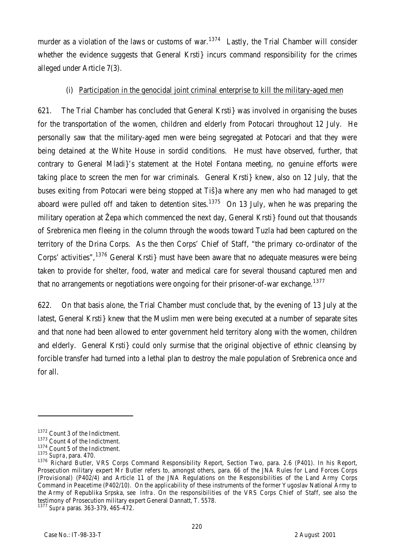murder as a violation of the laws or customs of war.<sup>1374</sup> Lastly, the Trial Chamber will consider whether the evidence suggests that General Krsti} incurs command responsibility for the crimes alleged under Article 7(3).

### (i) Participation in the genocidal joint criminal enterprise to kill the military-aged men

621. The Trial Chamber has concluded that General Krsti} was involved in organising the buses for the transportation of the women, children and elderly from Potocari throughout 12 July. He personally saw that the military-aged men were being segregated at Potocari and that they were being detained at the White House in sordid conditions. He must have observed, further, that contrary to General Mladi}'s statement at the Hotel Fontana meeting, no genuine efforts were taking place to screen the men for war criminals. General Krsti} knew, also on 12 July, that the buses exiting from Potocari were being stopped at Tiš}a where any men who had managed to get aboard were pulled off and taken to detention sites.<sup>1375</sup> On 13 July, when he was preparing the military operation at Žepa which commenced the next day, General Krsti} found out that thousands of Srebrenica men fleeing in the column through the woods toward Tuzla had been captured on the territory of the Drina Corps. As the then Corps' Chief of Staff, "the primary co-ordinator of the Corps' activities".<sup>1376</sup> General Krsti} must have been aware that no adequate measures were being taken to provide for shelter, food, water and medical care for several thousand captured men and that no arrangements or negotiations were ongoing for their prisoner-of-war exchange.<sup>1377</sup>

622. On that basis alone, the Trial Chamber must conclude that, by the evening of 13 July at the latest, General Krsti} knew that the Muslim men were being executed at a number of separate sites and that none had been allowed to enter government held territory along with the women, children and elderly. General Krsti} could only surmise that the original objective of ethnic cleansing by forcible transfer had turned into a lethal plan to destroy the male population of Srebrenica once and for all.

<sup>1372</sup> Count 3 of the Indictment.

<sup>1373</sup> Count 4 of the Indictment.

<sup>1374</sup> Count 5 of the Indictment.

<sup>1375</sup> *Supra,* para. 470.

<sup>&</sup>lt;sup>1376</sup> Richard Butler, VRS Corps Command Responsibility Report, Section Two, para. 2.6 (P401). In his Report, Prosecution military expert Mr Butler refers to, amongst others, para. 66 of the JNA Rules for Land Forces Corps (Provisional) (P402/4) and Article 11 of the JNA Regulations on the Responsibilities of the Land Army Corps Command in Peacetime (P402/10). On the applicability of these instruments of the former Yugoslav National Army to the Army of Republika Srpska, see *Infra*. On the responsibilities of the VRS Corps Chief of Staff, see also the testimony of Prosecution military expert General Dannatt, T. 5578.

<sup>1377</sup> *Supra* paras. 363-379, 465-472.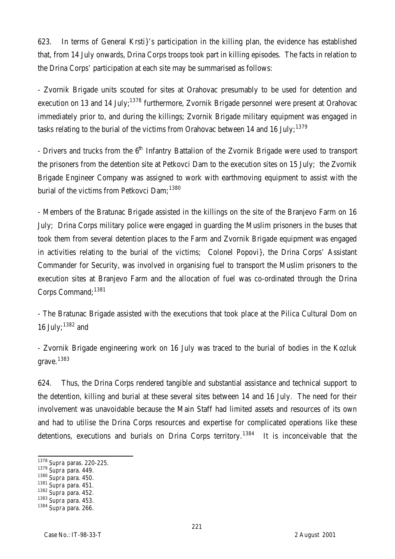623. In terms of General Krsti}'s participation in the killing plan, the evidence has established that, from 14 July onwards, Drina Corps troops took part in killing episodes. The facts in relation to the Drina Corps' participation at each site may be summarised as follows:

- Zvornik Brigade units scouted for sites at Orahovac presumably to be used for detention and execution on 13 and 14 July;<sup>1378</sup> furthermore, Zvornik Brigade personnel were present at Orahovac immediately prior to, and during the killings; Zvornik Brigade military equipment was engaged in tasks relating to the burial of the victims from Orahovac between 14 and 16 July;<sup>1379</sup>

- Drivers and trucks from the 6<sup>th</sup> Infantry Battalion of the Zvornik Brigade were used to transport the prisoners from the detention site at Petkovci Dam to the execution sites on 15 July; the Zvornik Brigade Engineer Company was assigned to work with earthmoving equipment to assist with the burial of the victims from Petkovci Dam;<sup>1380</sup>

- Members of the Bratunac Brigade assisted in the killings on the site of the Branjevo Farm on 16 July; Drina Corps military police were engaged in guarding the Muslim prisoners in the buses that took them from several detention places to the Farm and Zvornik Brigade equipment was engaged in activities relating to the burial of the victims; Colonel Popovi}, the Drina Corps' Assistant Commander for Security, was involved in organising fuel to transport the Muslim prisoners to the execution sites at Branjevo Farm and the allocation of fuel was co-ordinated through the Drina Corps Command; 1381

- The Bratunac Brigade assisted with the executions that took place at the Pilica Cultural Dom on 16 July;  $1382$  and

- Zvornik Brigade engineering work on 16 July was traced to the burial of bodies in the Kozluk grave.<sup>1383</sup>

624. Thus, the Drina Corps rendered tangible and substantial assistance and technical support to the detention, killing and burial at these several sites between 14 and 16 July. The need for their involvement was unavoidable because the Main Staff had limited assets and resources of its own and had to utilise the Drina Corps resources and expertise for complicated operations like these detentions, executions and burials on Drina Corps territory.<sup>1384</sup> It is inconceivable that the

 $\overline{a}$ 

<sup>1378</sup> *Supra* paras. 220-225.

<sup>1379</sup> *Supra* para. 449.

<sup>1380</sup> *Supra* para. 450.

<sup>1381</sup> *Supra* para. 451.

<sup>1382</sup> *Supra* para. 452.

<sup>1383</sup> *Supra* para. 453. <sup>1384</sup> *Supra* para. 266.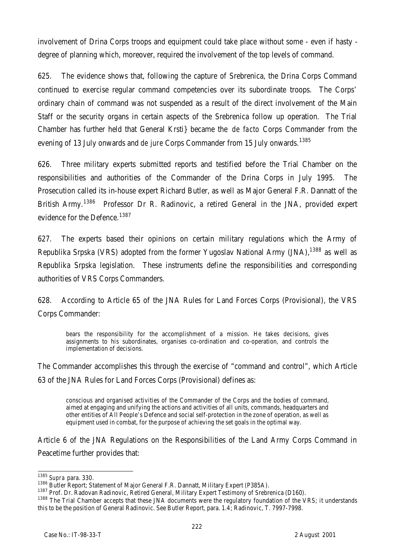involvement of Drina Corps troops and equipment could take place without some - even if hasty degree of planning which, moreover, required the involvement of the top levels of command.

625. The evidence shows that, following the capture of Srebrenica, the Drina Corps Command continued to exercise regular command competencies over its subordinate troops. The Corps' ordinary chain of command was not suspended as a result of the direct involvement of the Main Staff or the security organs in certain aspects of the Srebrenica follow up operation. The Trial Chamber has further held that General Krsti} became the *de facto* Corps Commander from the evening of 13 July onwards and *de jure* Corps Commander from 15 July onwards.<sup>1385</sup>

626. Three military experts submitted reports and testified before the Trial Chamber on the responsibilities and authorities of the Commander of the Drina Corps in July 1995. The Prosecution called its in-house expert Richard Butler, as well as Major General F.R. Dannatt of the British Army.<sup>1386</sup> Professor Dr R. Radinovic, a retired General in the JNA, provided expert evidence for the Defence.<sup>1387</sup>

627. The experts based their opinions on certain military regulations which the Army of Republika Srpska (VRS) adopted from the former Yugoslav National Army (JNA),<sup>1388</sup> as well as Republika Srpska legislation. These instruments define the responsibilities and corresponding authorities of VRS Corps Commanders.

628. According to Article 65 of the JNA Rules for Land Forces Corps (Provisional), the VRS Corps Commander:

bears the responsibility for the accomplishment of a mission. He takes decisions, gives assignments to his subordinates, organises co-ordination and co-operation, and controls the implementation of decisions.

The Commander accomplishes this through the exercise of "command and control", which Article 63 of the JNA Rules for Land Forces Corps (Provisional) defines as:

conscious and organised activities of the Commander of the Corps and the bodies of command, aimed at engaging and unifying the actions and activities of all units, commands, headquarters and other entities of All People's Defence and social self-protection in the zone of operation, as well as equipment used in combat, for the purpose of achieving the set goals in the optimal way.

Article 6 of the JNA Regulations on the Responsibilities of the Land Army Corps Command in Peacetime further provides that:

 $\overline{a}$ <sup>1385</sup> *Supra* para. 330.

<sup>1386</sup> Butler Report; Statement of Major General F.R. Dannatt, Military Expert (P385A).

<sup>1387</sup> Prof. Dr. Radovan Radinovic, Retired General, Military Expert Testimony of Srebrenica (D160).

<sup>&</sup>lt;sup>1388</sup> The Trial Chamber accepts that these JNA documents were the regulatory foundation of the VRS; it understands this to be the position of General Radinovic. See Butler Report, para. 1.4; Radinovic, T. 7997-7998.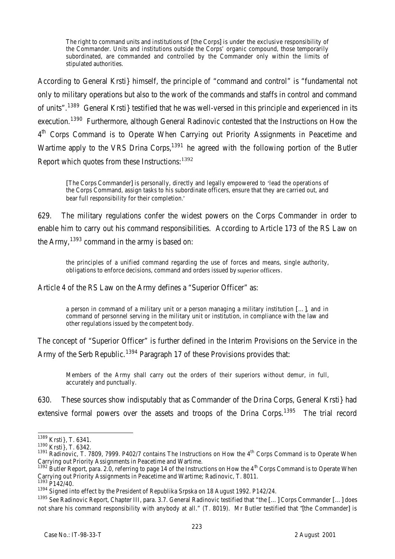The right to command units and institutions of [the Corps] is under the exclusive responsibility of the Commander. Units and institutions outside the Corps' organic compound, those temporarily subordinated, are commanded and controlled by the Commander only within the limits of stipulated authorities.

According to General Krsti} himself, the principle of "command and control" is "fundamental not only to military operations but also to the work of the commands and staffs in control and command of units".<sup>1389</sup> General Krsti} testified that he was well-versed in this principle and experienced in its execution.<sup>1390</sup> Furthermore, although General Radinovic contested that the Instructions on How the 4<sup>th</sup> Corps Command is to Operate When Carrying out Priority Assignments in Peacetime and Wartime apply to the VRS Drina Corps,<sup>1391</sup> he agreed with the following portion of the Butler Report which quotes from these Instructions: 1392

[The Corps Commander] is personally, directly and legally empowered to 'lead the operations of the Corps Command, assign tasks to his subordinate officers, ensure that they are carried out, and bear full responsibility for their completion.'

629. The military regulations confer the widest powers on the Corps Commander in order to enable him to carry out his command responsibilities. According to Article 173 of the RS Law on the Army,  $1393$  command in the army is based on:

the principles of a unified command regarding the use of forces and means, single authority, obligations to enforce decisions, command and orders issued by superior officers.

Article 4 of the RS Law on the Army defines a "Superior Officer" as:

a person in command of a military unit or a person managing a military institution […], and in command of personnel serving in the military unit or institution, in compliance with the law and other regulations issued by the competent body.

The concept of "Superior Officer" is further defined in the Interim Provisions on the Service in the Army of the Serb Republic.<sup>1394</sup> Paragraph 17 of these Provisions provides that:

Members of the Army shall carry out the orders of their superiors without demur, in full, accurately and punctually.

630. These sources show indisputably that as Commander of the Drina Corps, General Krsti} had extensive formal powers over the assets and troops of the Drina Corps.<sup>1395</sup> The trial record

 $\overline{a}$ 

<sup>&</sup>lt;sup>1389</sup> Krsti}, T. 6341.

<sup>1390</sup> Krsti}, T. 6342.

<sup>&</sup>lt;sup>1391</sup> Radinovic, T. 7809, 7999. P402/7 contains The Instructions on How the 4<sup>th</sup> Corps Command is to Operate When Carrying out Priority Assignments in Peacetime and Wartime.

 $1392$  Butler Report, para. 2.0, referring to page 14 of the Instructions on How the  $4<sup>th</sup>$  Corps Command is to Operate When Carrying out Priority Assignments in Peacetime and Wartime; Radinovic, T. 8011.  $1393$  P<sub>142</sub>/40.

<sup>&</sup>lt;sup>1394</sup> Signed into effect by the President of Republika Srpska on 18 August 1992. P142/24.

<sup>1395</sup> See Radinovic Report, Chapter III, para. 3.7. General Radinovic testified that "the [...] Corps Commander [...] does not share his command responsibility with anybody at all." (T. 8019). Mr Butler testified that "[the Commander] is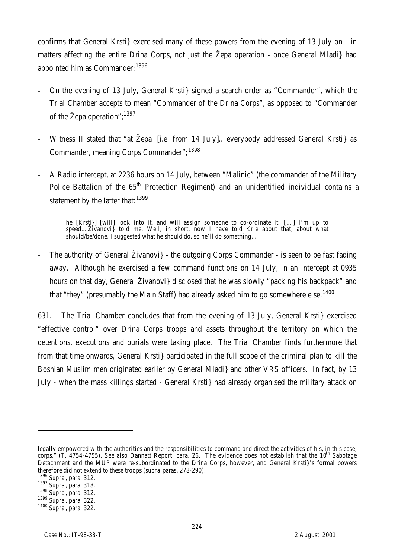confirms that General Krsti} exercised many of these powers from the evening of 13 July on - in matters affecting the entire Drina Corps, not just the Žepa operation - once General Mladi} had appointed him as Commander: 1396

- On the evening of 13 July, General Krsti} signed a search order as "Commander", which the Trial Chamber accepts to mean "Commander of the Drina Corps", as opposed to "Commander of the Žepa operation";<sup>1397</sup>
- Witness II stated that "at Žepa [i.e. from 14 July]...everybody addressed General Krsti} as Commander, meaning Corps Commander";<sup>1398</sup>
- A Radio intercept, at 2236 hours on 14 July, between "Malinic" (the commander of the Military Police Battalion of the  $65<sup>th</sup>$  Protection Regiment) and an unidentified individual contains a statement by the latter that:  $1399$

he [Krsti}] [will] look into it, and will assign someone to co-ordinate it [...] I'm up to speed... Živanovi} told me. Well, in short, now I have told Krle about that, about what should/be/done. I suggested what he should do, so he'll do something…

The authority of General Živanovi} - the outgoing Corps Commander - is seen to be fast fading away. Although he exercised a few command functions on 14 July, in an intercept at 0935 hours on that day, General Živanovi} disclosed that he was slowly "packing his backpack" and that "they" (presumably the Main Staff) had already asked him to go somewhere else.<sup>1400</sup>

631. The Trial Chamber concludes that from the evening of 13 July, General Krsti} exercised "effective control" over Drina Corps troops and assets throughout the territory on which the detentions, executions and burials were taking place. The Trial Chamber finds furthermore that from that time onwards, General Krsti} participated in the full scope of the criminal plan to kill the Bosnian Muslim men originated earlier by General Mladi} and other VRS officers. In fact, by 13 July - when the mass killings started - General Krsti} had already organised the military attack on

legally empowered with the authorities and the responsibilities to command and direct the activities of his, in this case, corps." (T. 4754-4755). See also Dannatt Report, para. 26. The evidence does not establish that the 10<sup>th</sup> Sabotage Detachment and the MUP were re-subordinated to the Drina Corps, however, and General Krsti}'s formal powers therefore did not extend to these troops (*supra* paras. 278-290).

<sup>1396</sup> *Supra*, para. 312.

<sup>1397</sup> *Supra*, para. 318.

<sup>1398</sup> *Supra*, para. 312.

<sup>1399</sup> *Supra*, para. 322.

<sup>1400</sup> *Supra*, para. 322.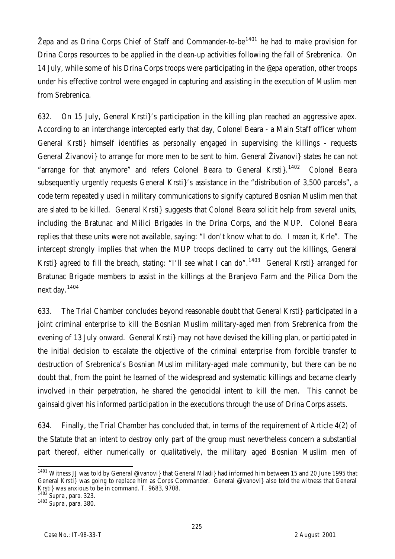Žepa and as Drina Corps Chief of Staff and Commander-to-be<sup>1401</sup> he had to make provision for Drina Corps resources to be applied in the clean-up activities following the fall of Srebrenica. On 14 July, while some of his Drina Corps troops were participating in the @epa operation, other troops under his effective control were engaged in capturing and assisting in the execution of Muslim men from Srebrenica.

632. On 15 July, General Krsti}'s participation in the killing plan reached an aggressive apex. According to an interchange intercepted early that day, Colonel Beara - a Main Staff officer whom General Krsti} himself identifies as personally engaged in supervising the killings - requests General Živanovi} to arrange for more men to be sent to him. General Živanovi} states he can not "arrange for that anymore" and refers Colonel Beara to General Krsti}.<sup>1402</sup> Colonel Beara subsequently urgently requests General Krsti}'s assistance in the "distribution of 3,500 parcels", a code term repeatedly used in military communications to signify captured Bosnian Muslim men that are slated to be killed. General Krsti} suggests that Colonel Beara solicit help from several units, including the Bratunac and Milici Brigades in the Drina Corps, and the MUP. Colonel Beara replies that these units were not available, saying: "I don't know what to do. I mean it, Krle". The intercept strongly implies that when the MUP troops declined to carry out the killings, General Krsti} agreed to fill the breach, stating: "I'll see what I can do".<sup>1403</sup> General Krsti} arranged for Bratunac Brigade members to assist in the killings at the Branjevo Farm and the Pilica Dom the next day.<sup>1404</sup>

633. The Trial Chamber concludes beyond reasonable doubt that General Krsti} participated in a joint criminal enterprise to kill the Bosnian Muslim military-aged men from Srebrenica from the evening of 13 July onward. General Krsti} may not have devised the killing plan, or participated in the initial decision to escalate the objective of the criminal enterprise from forcible transfer to destruction of Srebrenica's Bosnian Muslim military-aged male community, but there can be no doubt that, from the point he learned of the widespread and systematic killings and became clearly involved in their perpetration, he shared the genocidal intent to kill the men. This cannot be gainsaid given his informed participation in the executions through the use of Drina Corps assets.

634. Finally, the Trial Chamber has concluded that, in terms of the requirement of Article 4(2) of the Statute that an intent to destroy only part of the group must nevertheless concern a substantial part thereof, either numerically or qualitatively, the military aged Bosnian Muslim men of

 $\overline{a}$ <sup>1401</sup> Witness JJ was told by General @ivanovi} that General Mladi} had informed him between 15 and 20 June 1995 that General Krsti} was going to replace him as Corps Commander. General @ivanovi} also told the witness that General Krsti} was anxious to be in command. T. 9683, 9708.

<sup>1402</sup> *Supra*, para. 323.

<sup>1403</sup> *Supra*, para. 380.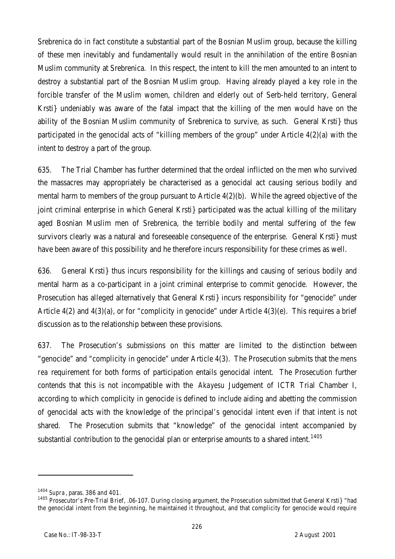Srebrenica do in fact constitute a substantial part of the Bosnian Muslim group, because the killing of these men inevitably and fundamentally would result in the annihilation of the entire Bosnian Muslim community at Srebrenica. In this respect, the intent to kill the men amounted to an intent to destroy a substantial part of the Bosnian Muslim group. Having already played a key role in the forcible transfer of the Muslim women, children and elderly out of Serb-held territory, General Krsti} undeniably was aware of the fatal impact that the killing of the men would have on the ability of the Bosnian Muslim community of Srebrenica to survive, as such. General Krsti} thus participated in the genocidal acts of "killing members of the group" under Article 4(2)(a) with the intent to destroy a part of the group.

635. The Trial Chamber has further determined that the ordeal inflicted on the men who survived the massacres may appropriately be characterised as a genocidal act causing serious bodily and mental harm to members of the group pursuant to Article 4(2)(b). While the agreed objective of the joint criminal enterprise in which General Krsti} participated was the actual killing of the military aged Bosnian Muslim men of Srebrenica, the terrible bodily and mental suffering of the few survivors clearly was a natural and foreseeable consequence of the enterprise. General Krsti} must have been aware of this possibility and he therefore incurs responsibility for these crimes as well.

636. General Krsti} thus incurs responsibility for the killings and causing of serious bodily and mental harm as a co-participant in a joint criminal enterprise to commit genocide. However, the Prosecution has alleged alternatively that General Krsti} incurs responsibility for "genocide" under Article 4(2) and 4(3)(a), or for "complicity in genocide" under Article 4(3)(e). This requires a brief discussion as to the relationship between these provisions.

637. The Prosecution's submissions on this matter are limited to the distinction between "genocide" and "complicity in genocide" under Article 4(3). The Prosecution submits that the *mens rea* requirement for both forms of participation entails genocidal intent. The Prosecution further contends that this is not incompatible with the *Akayesu* Judgement of ICTR Trial Chamber I, according to which complicity in genocide is defined to include aiding and abetting the commission of genocidal acts with the knowledge of the principal's genocidal intent even if that intent is not shared. The Prosecution submits that "knowledge" of the genocidal intent accompanied by substantial contribution to the genocidal plan or enterprise amounts to a shared intent.<sup>1405</sup>

<sup>1404</sup> *Supra*, paras. 386 and 401.

<sup>1405</sup> Prosecutor's Pre-Trial Brief, .06-107. During closing argument, the Prosecution submitted that General Krsti} "had the genocidal intent from the beginning, he maintained it throughout, and that complicity for genocide would require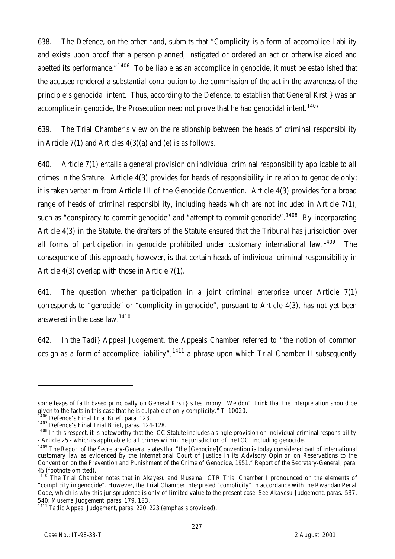638. The Defence, on the other hand, submits that "Complicity is a form of accomplice liability and exists upon proof that a person planned, instigated or ordered an act or otherwise aided and abetted its performance."<sup>1406</sup> To be liable as an accomplice in genocide, it must be established that the accused rendered a substantial contribution to the commission of the act in the awareness of the principle's genocidal intent. Thus, according to the Defence, to establish that General Krsti} was an accomplice in genocide, the Prosecution need not prove that he had genocidal intent.<sup>1407</sup>

639. The Trial Chamber's view on the relationship between the heads of criminal responsibility in Article 7(1) and Articles 4(3)(a) and (e) is as follows.

640. Article 7(1) entails a general provision on individual criminal responsibility applicable to all crimes in the Statute. Article 4(3) provides for heads of responsibility in relation to genocide only; it is taken *verbatim* from Article III of the Genocide Convention. Article 4(3) provides for a broad range of heads of criminal responsibility, including heads which are not included in Article 7(1), such as "conspiracy to commit genocide" and "attempt to commit genocide".<sup>1408</sup> By incorporating Article 4(3) in the Statute, the drafters of the Statute ensured that the Tribunal has jurisdiction over all forms of participation in genocide prohibited under customary international law.<sup>1409</sup> The consequence of this approach, however, is that certain heads of individual criminal responsibility in Article 4(3) overlap with those in Article 7(1).

641. The question whether participation in a joint criminal enterprise under Article 7(1) corresponds to "genocide" or "complicity in genocide", pursuant to Article 4(3), has not yet been answered in the case law.<sup>1410</sup>

642. In the *Tadi}* Appeal Judgement, the Appeals Chamber referred to "the notion of common design *as a form of accomplice liability*",<sup>1411</sup> a phrase upon which Trial Chamber II subsequently

some leaps of faith based principally on General Krsti}'s testimony. We don't think that the interpretation should be given to the facts in this case that he is culpable of only complicity." T 10020.

 $1406$  Defence's Final Trial Brief, para. 123.

<sup>1407</sup> Defence's Final Trial Brief, paras. 124-128.

<sup>1408</sup> In this respect, it is noteworthy that the ICC Statute includes a *single* provision on individual criminal responsibility - Article 25 - which is applicable to all crimes within the jurisdiction of the ICC, including genocide.

<sup>&</sup>lt;sup>1409</sup> The Report of the Secretary-General states that "the [Genocide] Convention is today considered part of international customary law as evidenced by the International Court of Justice in its Advisory Opinion on Reservations to the Convention on the Prevention and Punishment of the Crime of Genocide, 1951." Report of the Secretary-General, para. 45 (footnote omitted).

<sup>1410</sup> The Trial Chamber notes that in *Akayesu* and *Musema* ICTR Trial Chamber I pronounced on the elements of "complicity in genocide". However, the Trial Chamber interpreted "complicity" in accordance with the Rwandan Penal Code, which is why this jurisprudence is only of limited value to the present case. See *Akayesu* Judgement, paras. 537, 540; *Musema* Judgement, paras. 179, 183.

<sup>1411</sup> *Tadic* Appeal Judgement, paras. 220, 223 (emphasis provided).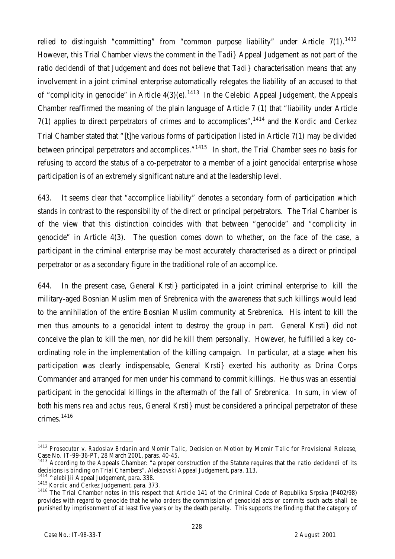relied to distinguish "committing" from "common purpose liability" under Article  $7(1)$ .<sup>1412</sup> However, this Trial Chamber views the comment in the *Tadi}* Appeal Judgement as not part of the *ratio decidendi* of that Judgement and does not believe that *Tadi}* characterisation means that any involvement in a joint criminal enterprise automatically relegates the liability of an accused to that of "complicity in genocide" in Article 4(3)(e).<sup>1413</sup> In the *Celebici* Appeal Judgement, the Appeals Chamber reaffirmed the meaning of the plain language of Article 7 (1) that "liability under Article 7(1) applies to direct perpetrators of crimes and to accomplices",<sup>1414</sup> and the *Kordic and Cerkez* Trial Chamber stated that "[t]he various forms of participation listed in Article 7(1) may be divided between principal perpetrators and accomplices."<sup>1415</sup> In short, the Trial Chamber sees no basis for refusing to accord the status of a co-perpetrator to a member of a joint genocidal enterprise whose participation is of an extremely significant nature and at the leadership level.

643. It seems clear that "accomplice liability" denotes a secondary form of participation which stands in contrast to the responsibility of the direct or principal perpetrators. The Trial Chamber is of the view that this distinction coincides with that between "genocide" and "complicity in genocide" in Article 4(3). The question comes down to whether, on the face of the case, a participant in the criminal enterprise may be most accurately characterised as a direct or principal perpetrator or as a secondary figure in the traditional role of an accomplice.

644. In the present case, General Krsti} participated in a joint criminal enterprise to kill the military-aged Bosnian Muslim men of Srebrenica with the awareness that such killings would lead to the annihilation of the entire Bosnian Muslim community at Srebrenica. His intent to kill the men thus amounts to a genocidal intent to destroy the group in part. General Krsti} did not conceive the plan to kill the men, nor did he kill them personally. However, he fulfilled a key coordinating role in the implementation of the killing campaign. In particular, at a stage when his participation was clearly indispensable, General Krsti} exerted his authority as Drina Corps Commander and arranged for men under his command to commit killings. He thus was an essential participant in the genocidal killings in the aftermath of the fall of Srebrenica. In sum, in view of both his *mens rea* and *actus reus*, General Krsti} must be considered a principal perpetrator of these crimes.<sup>1416</sup>

<sup>1414</sup> *^elebi}ii* Appeal Judgement, para. 338.

 $\overline{a}$ <sup>1412</sup> *Prosecutor* v. *Radoslav Brdanin and Momir Talic*, Decision on Motion by Momir Talic for Provisional Release, Case No. IT-99-36-PT, 28 March 2001, paras. 40-45.

<sup>1413</sup> According to the Appeals Chamber: "a proper construction of the Statute requires that the *ratio decidendi* of its decisions is binding on Trial Chambers". *Aleksovski* Appeal Judgement, para. 113.

<sup>1415</sup> *Kordic and Cerkez* Judgement, para. 373.

<sup>1416</sup> The Trial Chamber notes in this respect that Article 141 of the Criminal Code of Republika Srpska (P402/98) provides with regard to genocide that he who *orders* the commission of genocidal acts or *commits* such acts shall be punished by imprisonment of at least five years or by the death penalty. This supports the finding that the category of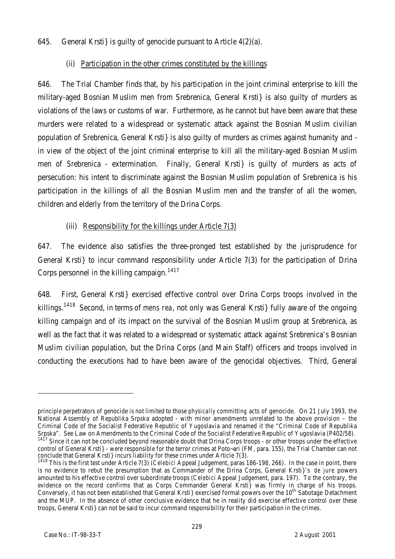645. General Krsti} is guilty of genocide pursuant to Article 4(2)(a).

## (ii) Participation in the other crimes constituted by the killings

646. The Trial Chamber finds that, by his participation in the joint criminal enterprise to kill the military-aged Bosnian Muslim men from Srebrenica, General Krsti} is also guilty of murders as violations of the laws or customs of war. Furthermore, as he cannot but have been aware that these murders were related to a widespread or systematic attack against the Bosnian Muslim civilian population of Srebrenica, General Krsti} is also guilty of murders as crimes against humanity and in view of the object of the joint criminal enterprise to kill all the military-aged Bosnian Muslim men of Srebrenica - extermination. Finally, General Krsti} is guilty of murders as acts of persecution: his intent to discriminate against the Bosnian Muslim population of Srebrenica is his participation in the killings of all the Bosnian Muslim men and the transfer of all the women, children and elderly from the territory of the Drina Corps.

## (iii) Responsibility for the killings under Article 7(3)

647. The evidence also satisfies the three-pronged test established by the jurisprudence for General Krsti} to incur command responsibility under Article 7(3) for the participation of Drina Corps personnel in the killing campaign.<sup>1417</sup>

648. First, General Krsti} exercised effective control over Drina Corps troops involved in the killings.<sup>1418</sup> Second, in terms of *mens rea*, not only was General Krsti} fully aware of the ongoing killing campaign and of its impact on the survival of the Bosnian Muslim group at Srebrenica, as well as the fact that it was related to a widespread or systematic attack against Srebrenica's Bosnian Muslim civilian population, but the Drina Corps (and Main Staff) officers and troops involved in conducting the executions had to have been aware of the genocidal objectives. Third, General

principle perpetrators of genocide is not limited to those *physically committing* acts of genocide. On 21 July 1993, the National Assembly of Republika Srpska adopted - with minor amendments unrelated to the above provision – the Criminal Code of the Socialist Federative Republic of Yugoslavia and renamed it the "Criminal Code of Republika Srpska". See Law on Amendments to the Criminal Code of the Socialist Federative Republic of Yugoslavia (P402/58).

<sup>&</sup>lt;sup>1417</sup> Since it can not be concluded beyond reasonable doubt that Drina Corps troops - or other troops under the effective control of General Krsti} - were responsible for the terror crimes at Poto~ari (FM, para. 155), the Trial Chamber can not conclude that General Krsti} incurs liability for these crimes under Article 7(3).

<sup>1418</sup> This is the first test under Article 7(3) (*Celebici* Appeal Judgement, paras 186-198, 266). In the case in point, there is no evidence to rebut the presumption that as Commander of the Drina Corps, General Krsti}'s *de jure* powers amounted to his effective control over subordinate troops (*Celebici* Appeal Judgement, para. 197). To the contrary, the evidence on the record confirms that as Corps Commander General Krsti} was firmly in charge of his troops. Conversely, it has not been established that General Krsti} exercised formal powers over the 10<sup>th</sup> Sabotage Detachment and the MUP. In the absence of other conclusive evidence that he in reality did exercise effective control over these troops, General Krsti} can not be said to incur command responsibility for their participation in the crimes.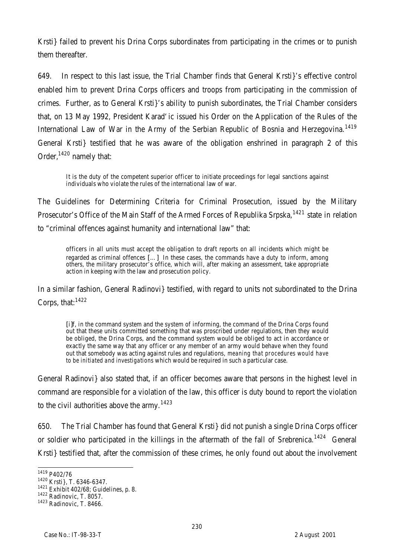Krsti} failed to prevent his Drina Corps subordinates from participating in the crimes or to punish them thereafter.

649. In respect to this last issue, the Trial Chamber finds that General Krsti}'s effective control enabled him to prevent Drina Corps officers and troops from participating in the commission of crimes. Further, as to General Krsti}'s ability to punish subordinates, the Trial Chamber considers that, on 13 May 1992, President Karad'ic issued his Order on the Application of the Rules of the International Law of War in the Army of the Serbian Republic of Bosnia and Herzegovina.<sup>1419</sup> General Krsti} testified that he was aware of the obligation enshrined in paragraph 2 of this Order, $1420$  namely that:

It is the duty of the competent superior officer to initiate proceedings for legal sanctions against individuals who violate the rules of the international law of war.

The Guidelines for Determining Criteria for Criminal Prosecution, issued by the Military Prosecutor's Office of the Main Staff of the Armed Forces of Republika Srpska,<sup>1421</sup> state in relation to "criminal offences against humanity and international law" that:

officers in all units must accept the obligation to draft reports on all incidents which might be regarded as criminal offences […] In these cases, the commands have a duty to inform, among others, the military prosecutor's office, which will, after making an assessment, take appropriate action in keeping with the law and prosecution policy.

In a similar fashion, General Radinovi} testified, with regard to units not subordinated to the Drina Corps, that:<sup>1422</sup>

[i]f, in the command system and the system of informing, the command of the Drina Corps found out that these units committed something that was proscribed under regulations, then they would be obliged, the Drina Corps, and the command system would be obliged to act in accordance or exactly the same way that any officer or any member of an army would behave when they found out that somebody was acting against rules and regulations, *meaning that procedures would have to be initiated and investigations* which would be required in such a particular case.

General Radinovi} also stated that, if an officer becomes aware that persons in the highest level in command are responsible for a violation of the law, this officer is duty bound to report the violation to the civil authorities above the army.<sup>1423</sup>

650. The Trial Chamber has found that General Krsti} did not punish a single Drina Corps officer or soldier who participated in the killings in the aftermath of the fall of Srebrenica.<sup>1424</sup> General Krsti} testified that, after the commission of these crimes, he only found out about the involvement

 $\overline{a}$ <sup>1419</sup> P402/76

<sup>1420</sup> Krsti}, T. 6346-6347.

<sup>1421</sup> Exhibit 402/68; Guidelines, p. 8.

 $1422$  Radinovic, T. 8057.

<sup>1423</sup> Radinovic, T. 8466.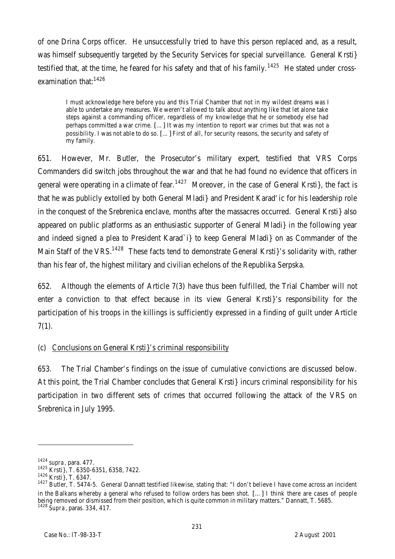of one Drina Corps officer. He unsuccessfully tried to have this person replaced and, as a result, was himself subsequently targeted by the Security Services for special surveillance. General Krsti} testified that, at the time, he feared for his safety and that of his family.<sup>1425</sup> He stated under crossexamination that: 1426

I must acknowledge here before you and this Trial Chamber that not in my wildest dreams was I able to undertake any measures. We weren't allowed to talk about anything like that let alone take steps against a commanding officer, regardless of my knowledge that he or somebody else had perhaps committed a war crime. […] It was my intention to report war crimes but that was not a possibility. I was not able to do so. […] First of all, for security reasons, the security and safety of my family.

651. However, Mr. Butler, the Prosecutor's military expert, testified that VRS Corps Commanders did switch jobs throughout the war and that he had found no evidence that officers in general were operating in a climate of fear.<sup>1427</sup> Moreover, in the case of General Krsti}, the fact is that he was publicly extolled by both General Mladi} and President Karad'ic for his leadership role in the conquest of the Srebrenica enclave, months after the massacres occurred. General Krsti} also appeared on public platforms as an enthusiastic supporter of General Mladi} in the following year and indeed signed a plea to President Karad`i} to keep General Mladi} on as Commander of the Main Staff of the VRS.<sup>1428</sup> These facts tend to demonstrate General Krsti}'s solidarity with, rather than his fear of, the highest military and civilian echelons of the Republika Serpska.

652. Although the elements of Article 7(3) have thus been fulfilled, the Trial Chamber will not enter a conviction to that effect because in its view General Krsti}'s responsibility for the participation of his troops in the killings is sufficiently expressed in a finding of guilt under Article 7(1).

#### (c) Conclusions on General Krsti}'s criminal responsibility

653. The Trial Chamber's findings on the issue of cumulative convictions are discussed below. At this point, the Trial Chamber concludes that General Krsti} incurs criminal responsibility for his participation in two different sets of crimes that occurred following the attack of the VRS on Srebrenica in July 1995.

<sup>1424</sup> *supra*, para. 477.

<sup>&</sup>lt;sup>1425</sup> Krsti}, T. 6350-6351, 6358, 7422.

<sup>1426</sup> Krsti}, T. 6347.

<sup>&</sup>lt;sup>1427</sup> Butler, T. 5474-5. General Dannatt testified likewise, stating that: "I don't believe I have come across an incident in the Balkans whereby a general who refused to follow orders has been shot. […] I think there are cases of people being removed or dismissed from their position, which is quite common in military matters." Dannatt, T. 5685. <sup>1428</sup> *Supra*, paras. 334, 417.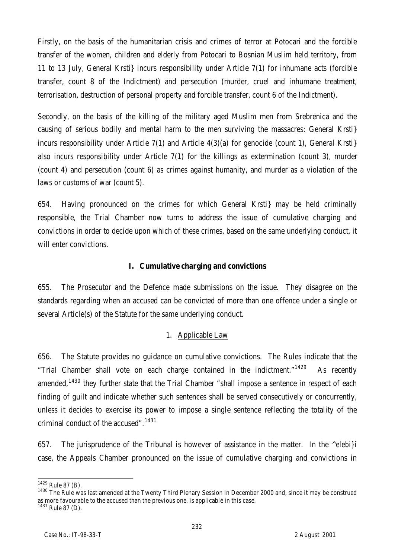Firstly, on the basis of the humanitarian crisis and crimes of terror at Potocari and the forcible transfer of the women, children and elderly from Potocari to Bosnian Muslim held territory, from 11 to 13 July, General Krsti} incurs responsibility under Article 7(1) for inhumane acts (forcible transfer, count 8 of the Indictment) and persecution (murder, cruel and inhumane treatment, terrorisation, destruction of personal property and forcible transfer, count 6 of the Indictment).

Secondly, on the basis of the killing of the military aged Muslim men from Srebrenica and the causing of serious bodily and mental harm to the men surviving the massacres: General Krsti} incurs responsibility under Article 7(1) and Article 4(3)(a) for genocide (count 1), General Krsti} also incurs responsibility under Article 7(1) for the killings as extermination (count 3), murder (count 4) and persecution (count 6) as crimes against humanity, and murder as a violation of the laws or customs of war (count 5).

654. Having pronounced on the crimes for which General Krsti} may be held criminally responsible, the Trial Chamber now turns to address the issue of cumulative charging and convictions in order to decide upon which of these crimes, based on the same underlying conduct, it will enter convictions.

#### **I. Cumulative charging and convictions**

655. The Prosecutor and the Defence made submissions on the issue. They disagree on the standards regarding when an accused can be convicted of more than one offence under a single or several Article(s) of the Statute for the same underlying conduct.

## 1. Applicable Law

656. The Statute provides no guidance on cumulative convictions. The Rules indicate that the "Trial Chamber shall vote on each charge contained in the indictment."<sup>1429</sup> As recently amended,<sup>1430</sup> they further state that the Trial Chamber "shall impose a sentence in respect of each finding of guilt and indicate whether such sentences shall be served consecutively or concurrently, unless it decides to exercise its power to impose a single sentence reflecting the totality of the criminal conduct of the accused".<sup>1431</sup>

657. The jurisprudence of the Tribunal is however of assistance in the matter. In the ^*elebi}i* case, the Appeals Chamber pronounced on the issue of cumulative charging and convictions in

 $\overline{a}$ <sup>1429</sup> Rule 87 (B).

<sup>&</sup>lt;sup>1430</sup> The Rule was last amended at the Twenty Third Plenary Session in December 2000 and, since it may be construed as more favourable to the accused than the previous one, is applicable in this case. <sup>1431</sup> Rule 87 (D).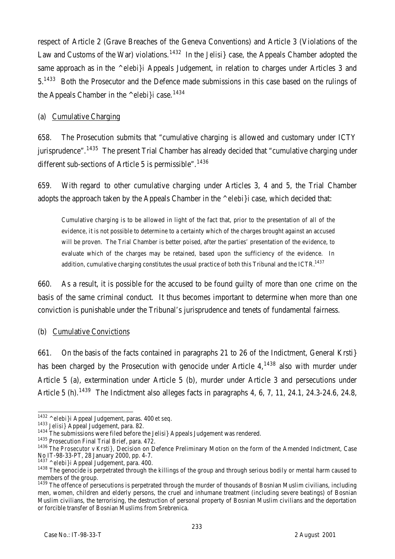respect of Article 2 (Grave Breaches of the Geneva Conventions) and Article 3 (Violations of the Law and Customs of the War) violations.<sup>1432</sup> In the *Jelisi*} case, the Appeals Chamber adopted the same approach as in the *^elebi}i* Appeals Judgement, in relation to charges under Articles 3 and 5.<sup>1433</sup> Both the Prosecutor and the Defence made submissions in this case based on the rulings of the Appeals Chamber in the  $\wedge$ *elebi}i* case.<sup>1434</sup>

#### (a) Cumulative Charging

658. The Prosecution submits that "cumulative charging is allowed and customary under ICTY jurisprudence".<sup>1435</sup> The present Trial Chamber has already decided that "cumulative charging under different sub-sections of Article 5 is permissible".<sup>1436</sup>

659. With regard to other cumulative charging under Articles 3, 4 and 5, the Trial Chamber adopts the approach taken by the Appeals Chamber in the *^elebi}i* case, which decided that:

Cumulative charging is to be allowed in light of the fact that, prior to the presentation of all of the evidence, it is not possible to determine to a certainty which of the charges brought against an accused will be proven. The Trial Chamber is better poised, after the parties' presentation of the evidence, to evaluate which of the charges may be retained, based upon the sufficiency of the evidence. In addition, cumulative charging constitutes the usual practice of both this Tribunal and the ICTR.<sup>1437</sup>

660. As a result, it is possible for the accused to be found guilty of more than one crime on the basis of the same criminal conduct. It thus becomes important to determine when more than one conviction is punishable under the Tribunal's jurisprudence and tenets of fundamental fairness.

#### (b) Cumulative Convictions

661. On the basis of the facts contained in paragraphs 21 to 26 of the Indictment, General Krsti} has been charged by the Prosecution with genocide under Article  $4.1438$  also with murder under Article 5 (a), extermination under Article 5 (b), murder under Article 3 and persecutions under Article 5 (h).<sup>1439</sup> The Indictment also alleges facts in paragraphs 4, 6, 7, 11, 24.1, 24.3-24.6, 24.8,

 $\overline{a}$ <sup>1432</sup> ^*elebi*}i Appeal Judgement, paras. 400 *et seq*.

<sup>1433</sup> *Jelisi}* Appeal Judgement, para. 82.

<sup>&</sup>lt;sup>1434</sup> The submissions were filed before the Jelisi} Appeals Judgement was rendered.

<sup>1435</sup> Prosecution Final Trial Brief, para. 472.

<sup>1436</sup> *The Prosecutor v Krsti},* Decision on Defence Preliminary Motion on the form of the Amended Indictment, Case No IT-98-33-PT, 28 January 2000, pp. 4-7.

<sup>1437</sup> *^elebi}i* Appeal Judgement, para. 400.

<sup>&</sup>lt;sup>1438</sup> The genocide is perpetrated through the killings of the group and through serious bodily or mental harm caused to members of the group.

<sup>&</sup>lt;sup>1439</sup> The offence of persecutions is perpetrated through the murder of thousands of Bosnian Muslim civilians, including men, women, children and elderly persons, the cruel and inhumane treatment (including severe beatings) of Bosnian Muslim civilians, the terrorising, the destruction of personal property of Bosnian Muslim civilians and the deportation or forcible transfer of Bosnian Muslims from Srebrenica.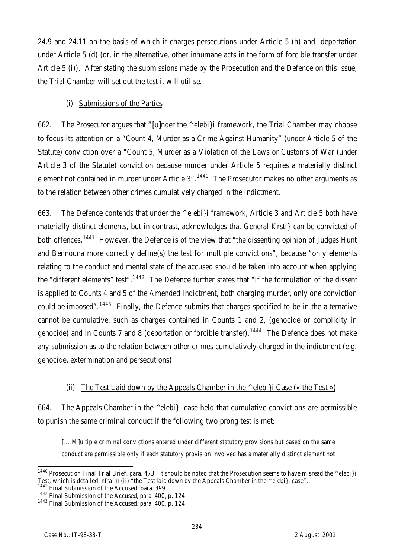24.9 and 24.11 on the basis of which it charges persecutions under Article 5 (h) and deportation under Article 5 (d) (or, in the alternative, other inhumane acts in the form of forcible transfer under Article 5 (i)). After stating the submissions made by the Prosecution and the Defence on this issue, the Trial Chamber will set out the test it will utilise.

## (i) Submissions of the Parties

662. The Prosecutor argues that "[u]nder the *^elebi}i* framework, the Trial Chamber may choose to focus its attention on a "Count 4, Murder as a Crime Against Humanity" (under Article 5 of the Statute) conviction over a "Count 5, Murder as a Violation of the Laws or Customs of War (under Article 3 of the Statute) conviction because murder under Article 5 requires a materially distinct element not contained in murder under Article 3".<sup>1440</sup> The Prosecutor makes no other arguments as to the relation between other crimes cumulatively charged in the Indictment.

663. The Defence contends that under the ^elebi}i framework, Article 3 and Article 5 both have materially distinct elements, but in contrast, acknowledges that General Krsti} can be convicted of both offences.<sup>1441</sup> However, the Defence is of the view that "the dissenting opinion of Judges Hunt and Bennouna more correctly define(s) the test for multiple convictions", because "only elements relating to the conduct and mental state of the accused should be taken into account when applying the "different elements" test".<sup>1442</sup> The Defence further states that "if the formulation of the dissent is applied to Counts 4 and 5 of the Amended Indictment, both charging murder, only one conviction could be imposed".<sup>1443</sup> Finally, the Defence submits that charges specified to be in the alternative cannot be cumulative, such as charges contained in Counts 1 and 2, (genocide or complicity in genocide) and in Counts 7 and 8 (deportation or forcible transfer).<sup>1444</sup> The Defence does not make any submission as to the relation between other crimes cumulatively charged in the indictment (e.g. genocide, extermination and persecutions).

#### (ii) The Test Laid down by the Appeals Chamber in the ^elebi}i Case (« the Test »)

664. The Appeals Chamber in the ^*elebi}i* case held that cumulative convictions are permissible to punish the same criminal conduct if the following two prong test is met:

[... M]ultiple criminal convictions entered under different statutory provisions but based on the same conduct are permissible only if each statutory provision involved has a materially distinct element not

 $\overline{a}$ <sup>1440</sup> Prosecution Final Trial Brief, para. 473. It should be noted that the Prosecution seems to have misread the ^*elebi}i* Test, which is detailed *Infra* in (ii) "the Test laid down by the Appeals Chamber in the ^elebi}i case". 1441 Final Submission of the Accused, para. 399.

<sup>&</sup>lt;sup>1442</sup> Final Submission of the Accused, para. 400, p. 124.

<sup>&</sup>lt;sup>1443</sup> Final Submission of the Accused, para. 400, p. 124.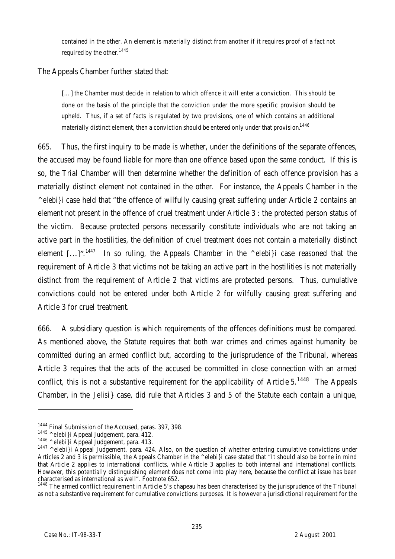contained in the other. An element is materially distinct from another if it requires proof of a fact not required by the other.<sup>1445</sup>

#### The Appeals Chamber further stated that:

[...] the Chamber must decide in relation to which offence it will enter a conviction. This should be done on the basis of the principle that the conviction under the more specific provision should be upheld. Thus, if a set of facts is regulated by two provisions, one of which contains an additional materially distinct element, then a conviction should be entered only under that provision.<sup>1446</sup>

665. Thus, the first inquiry to be made is whether, under the definitions of the separate offences, the accused may be found liable for more than one offence based upon the same conduct. If this is so, the Trial Chamber will then determine whether the definition of each offence provision has a materially distinct element not contained in the other. For instance, the Appeals Chamber in the *^elebi}i* case held that "the offence of wilfully causing great suffering under Article 2 contains an element not present in the offence of cruel treatment under Article 3 : the protected person status of the victim. Because protected persons necessarily constitute individuals who are not taking an active part in the hostilities, the definition of cruel treatment does not contain a materially distinct element […]". <sup>1447</sup> In so ruling, the Appeals Chamber in the *^elebi}i* case reasoned that the requirement of Article 3 that victims not be taking an active part in the hostilities is not materially distinct from the requirement of Article 2 that victims are protected persons. Thus, cumulative convictions could not be entered under both Article 2 for wilfully causing great suffering and Article 3 for cruel treatment.

666. A subsidiary question is which requirements of the offences definitions must be compared. As mentioned above, the Statute requires that both war crimes and crimes against humanity be committed during an armed conflict but, according to the jurisprudence of the Tribunal, whereas Article 3 requires that the acts of the accused be committed in close connection with an armed conflict, this is not a substantive requirement for the applicability of Article  $5.^{1448}$  The Appeals Chamber, in the *Jelisi*} case, did rule that Articles 3 and 5 of the Statute each contain a unique,

<sup>1444</sup> Final Submission of the Accused, paras. 397, 398.

<sup>1445</sup> *^elebi}i* Appeal Judgement, para. 412.

<sup>1446</sup> *^elebi}i* Appeal Judgement, para. 413.

<sup>1447</sup> ^*elebi*}i Appeal Judgement, para. 424. Also, on the question of whether entering cumulative convictions under Articles 2 and 3 is permissible, the Appeals Chamber in the ^elebi}i case stated that "It should also be borne in mind that Article 2 applies to international conflicts, while Article 3 applies to both internal and international conflicts. However, this potentially distinguishing element does not come into play here, because the conflict at issue has been characterised as international as well". Footnote 652.

<sup>&</sup>lt;sup>1448</sup> The armed conflict requirement in Article 5's chapeau has been characterised by the jurisprudence of the Tribunal as not a substantive requirement for cumulative convictions purposes. It is however a jurisdictional requirement for the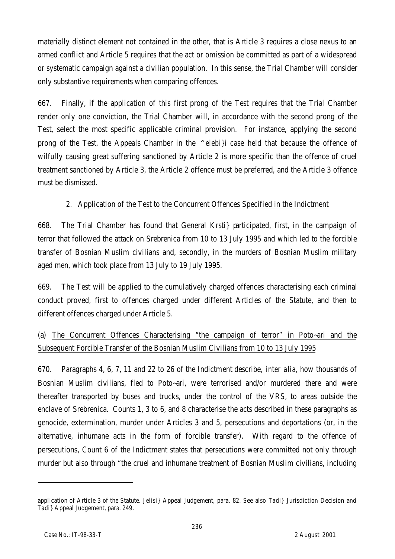materially distinct element not contained in the other, that is Article 3 requires a close nexus to an armed conflict and Article 5 requires that the act or omission be committed as part of a widespread or systematic campaign against a civilian population. In this sense, the Trial Chamber will consider only substantive requirements when comparing offences.

667. Finally, if the application of this first prong of the Test requires that the Trial Chamber render only one conviction, the Trial Chamber will, in accordance with the second prong of the Test, select the most specific applicable criminal provision. For instance, applying the second prong of the Test, the Appeals Chamber in the *^elebi}i* case held that because the offence of wilfully causing great suffering sanctioned by Article 2 is more specific than the offence of cruel treatment sanctioned by Article 3, the Article 2 offence must be preferred, and the Article 3 offence must be dismissed.

### 2. Application of the Test to the Concurrent Offences Specified in the Indictment

668. The Trial Chamber has found that General Krsti} participated, first, in the campaign of terror that followed the attack on Srebrenica from 10 to 13 July 1995 and which led to the forcible transfer of Bosnian Muslim civilians and, secondly, in the murders of Bosnian Muslim military aged men, which took place from 13 July to 19 July 1995.

669. The Test will be applied to the cumulatively charged offences characterising each criminal conduct proved, first to offences charged under different Articles of the Statute, and then to different offences charged under Article 5.

# (a) The Concurrent Offences Characterising "the campaign of terror" in Poto~ari and the Subsequent Forcible Transfer of the Bosnian Muslim Civilians from 10 to 13 July 1995

670. Paragraphs 4, 6, 7, 11 and 22 to 26 of the Indictment describe, *inter alia*, how thousands of Bosnian Muslim civilians, fled to Poto~ari, were terrorised and/or murdered there and were thereafter transported by buses and trucks, under the control of the VRS, to areas outside the enclave of Srebrenica. Counts 1, 3 to 6, and 8 characterise the acts described in these paragraphs as genocide, extermination, murder under Articles 3 and 5, persecutions and deportations (or, in the alternative, inhumane acts in the form of forcible transfer). With regard to the offence of persecutions, Count 6 of the Indictment states that persecutions were committed not only through murder but also through "the cruel and inhumane treatment of Bosnian Muslim civilians, including

application of Article 3 of the Statute. *Jelisi*} Appeal Judgement, para. 82. See also *Tadi*} Jurisdiction Decision and *Tadi*} Appeal Judgement, para. 249.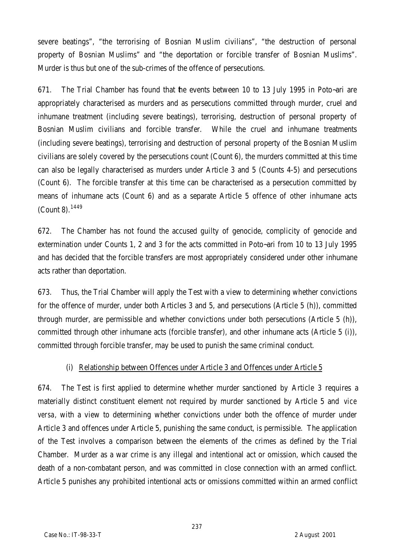severe beatings", "the terrorising of Bosnian Muslim civilians", "the destruction of personal property of Bosnian Muslims" and "the deportation or forcible transfer of Bosnian Muslims". Murder is thus but one of the sub-crimes of the offence of persecutions.

671. The Trial Chamber has found that the events between 10 to 13 July 1995 in Poto~ari are appropriately characterised as murders and as persecutions committed through murder, cruel and inhumane treatment (including severe beatings), terrorising, destruction of personal property of Bosnian Muslim civilians and forcible transfer. While the cruel and inhumane treatments (including severe beatings), terrorising and destruction of personal property of the Bosnian Muslim civilians are solely covered by the persecutions count (Count 6), the murders committed at this time can also be legally characterised as murders under Article 3 and 5 (Counts 4-5) and persecutions (Count 6). The forcible transfer at this time can be characterised as a persecution committed by means of inhumane acts (Count 6) and as a separate Article 5 offence of other inhumane acts  $(Count 8)$ .  $1449$ 

672. The Chamber has not found the accused guilty of genocide, complicity of genocide and extermination under Counts 1, 2 and 3 for the acts committed in Poto~ari from 10 to 13 July 1995 and has decided that the forcible transfers are most appropriately considered under other inhumane acts rather than deportation.

673. Thus, the Trial Chamber will apply the Test with a view to determining whether convictions for the offence of murder, under both Articles 3 and 5, and persecutions (Article 5 (h)), committed through murder, are permissible and whether convictions under both persecutions (Article 5 (h)), committed through other inhumane acts (forcible transfer), and other inhumane acts (Article 5 (i)), committed through forcible transfer, may be used to punish the same criminal conduct.

#### (i) Relationship between Offences under Article 3 and Offences under Article 5

674. The Test is first applied to determine whether murder sanctioned by Article 3 requires a materially distinct constituent element not required by murder sanctioned by Article 5 and *vice versa,* with a view to determining whether convictions under both the offence of murder under Article 3 and offences under Article 5, punishing the same conduct, is permissible. The application of the Test involves a comparison between the elements of the crimes as defined by the Trial Chamber. Murder as a war crime is any illegal and intentional act or omission, which caused the death of a non-combatant person, and was committed in close connection with an armed conflict. Article 5 punishes any prohibited intentional acts or omissions committed within an armed conflict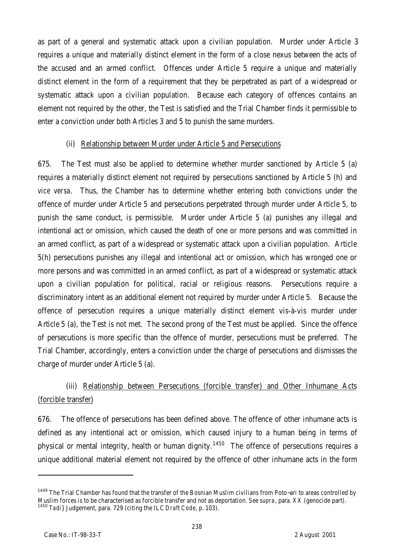as part of a general and systematic attack upon a civilian population. Murder under Article 3 requires a unique and materially distinct element in the form of a close nexus between the acts of the accused and an armed conflict. Offences under Article 5 require a unique and materially distinct element in the form of a requirement that they be perpetrated as part of a widespread or systematic attack upon a civilian population. Because each category of offences contains an element not required by the other, the Test is satisfied and the Trial Chamber finds it permissible to enter a conviction under both Articles 3 and 5 to punish the same murders.

#### (ii) Relationship between Murder under Article 5 and Persecutions

675. The Test must also be applied to determine whether murder sanctioned by Article 5 (a) requires a materially distinct element not required by persecutions sanctioned by Article 5 (h) and *vice versa.* Thus, the Chamber has to determine whether entering both convictions under the offence of murder under Article 5 and persecutions perpetrated through murder under Article 5, to punish the same conduct, is permissible. Murder under Article 5 (a) punishes any illegal and intentional act or omission, which caused the death of one or more persons and was committed in an armed conflict, as part of a widespread or systematic attack upon a civilian population. Article 5(h) persecutions punishes any illegal and intentional act or omission, which has wronged one or more persons and was committed in an armed conflict, as part of a widespread or systematic attack upon a civilian population for political, racial or religious reasons. Persecutions require a discriminatory intent as an additional element not required by murder under Article 5. Because the offence of persecution requires a unique materially distinct element vis-à-vis murder under Article 5 (a), the Test is not met. The second prong of the Test must be applied. Since the offence of persecutions is more specific than the offence of murder, persecutions must be preferred. The Trial Chamber, accordingly, enters a conviction under the charge of persecutions and dismisses the charge of murder under Article 5 (a).

# (iii) Relationship between Persecutions (forcible transfer) and Other Inhumane Acts (forcible transfer)

676. The offence of persecutions has been defined above. The offence of other inhumane acts is defined as any intentional act or omission, which caused injury to a human being in terms of physical or mental integrity, health or human dignity.<sup>1450</sup> The offence of persecutions requires a unique additional material element not required by the offence of other inhumane acts in the form

<sup>&</sup>lt;sup>1449</sup> The Trial Chamber has found that the transfer of the Bosnian Muslim civilians from Poto~ari to areas controlled by Muslim forces is to be characterised as forcible transfer and not as deportation. See *supra*, para. XX (genocide part). <sup>1450</sup> *Tadi*} Judgement, para. 729 (citing the ILC *Draft Code*, p. 103).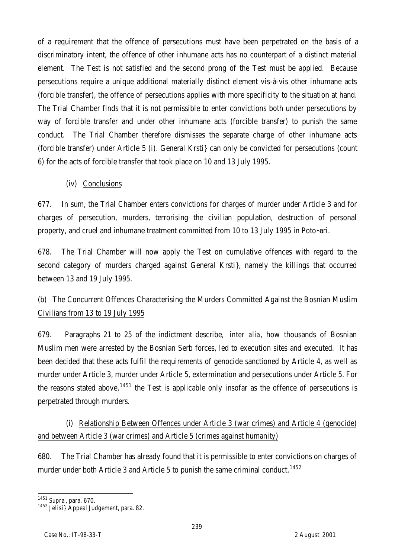of a requirement that the offence of persecutions must have been perpetrated on the basis of a discriminatory intent, the offence of other inhumane acts has no counterpart of a distinct material element. The Test is not satisfied and the second prong of the Test must be applied. Because persecutions require a unique additional materially distinct element vis-à-vis other inhumane acts (forcible transfer), the offence of persecutions applies with more specificity to the situation at hand. The Trial Chamber finds that it is not permissible to enter convictions both under persecutions by way of forcible transfer and under other inhumane acts (forcible transfer) to punish the same conduct. The Trial Chamber therefore dismisses the separate charge of other inhumane acts (forcible transfer) under Article 5 (i). General Krsti} can only be convicted for persecutions (count 6) for the acts of forcible transfer that took place on 10 and 13 July 1995.

### (iv) Conclusions

677. In sum, the Trial Chamber enters convictions for charges of murder under Article 3 and for charges of persecution, murders, terrorising the civilian population, destruction of personal property, and cruel and inhumane treatment committed from 10 to 13 July 1995 in Poto~ari.

678. The Trial Chamber will now apply the Test on cumulative offences with regard to the second category of murders charged against General Krsti}, namely the killings that occurred between 13 and 19 July 1995.

# (b) The Concurrent Offences Characterising the Murders Committed Against the Bosnian Muslim Civilians from 13 to 19 July 1995

679. Paragraphs 21 to 25 of the indictment describe, *inter alia*, how thousands of Bosnian Muslim men were arrested by the Bosnian Serb forces, led to execution sites and executed. It has been decided that these acts fulfil the requirements of genocide sanctioned by Article 4, as well as murder under Article 3, murder under Article 5, extermination and persecutions under Article 5. For the reasons stated above,  $1451$  the Test is applicable only insofar as the offence of persecutions is perpetrated through murders.

# (i) Relationship Between Offences under Article 3 (war crimes) and Article 4 (genocide) and between Article 3 (war crimes) and Article 5 (crimes against humanity)

680. The Trial Chamber has already found that it is permissible to enter convictions on charges of murder under both Article 3 and Article 5 to punish the same criminal conduct.<sup>1452</sup>

 $\overline{a}$ <sup>1451</sup> *Supra*, para. 670.

<sup>1452</sup> *Jelisi}* Appeal Judgement, para. 82.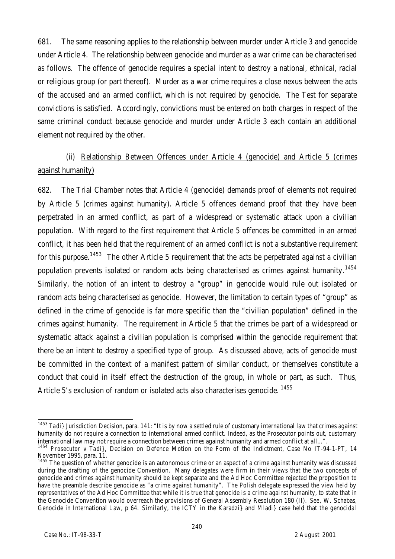681. The same reasoning applies to the relationship between murder under Article 3 and genocide under Article 4. The relationship between genocide and murder as a war crime can be characterised as follows. The offence of genocide requires a special intent to destroy a national, ethnical, racial or religious group (or part thereof). Murder as a war crime requires a close nexus between the acts of the accused and an armed conflict, which is not required by genocide. The Test for separate convictions is satisfied. Accordingly, convictions must be entered on both charges in respect of the same criminal conduct because genocide and murder under Article 3 each contain an additional element not required by the other.

# (ii) Relationship Between Offences under Article 4 (genocide) and Article 5 (crimes against humanity)

682. The Trial Chamber notes that Article 4 (genocide) demands proof of elements not required by Article 5 (crimes against humanity). Article 5 offences demand proof that they have been perpetrated in an armed conflict, as part of a widespread or systematic attack upon a civilian population. With regard to the first requirement that Article 5 offences be committed in an armed conflict, it has been held that the requirement of an armed conflict is not a substantive requirement for this purpose.<sup>1453</sup> The other Article 5 requirement that the acts be perpetrated against a civilian population prevents isolated or random acts being characterised as crimes against humanity.<sup>1454</sup> Similarly, the notion of an intent to destroy a "group" in genocide would rule out isolated or random acts being characterised as genocide. However, the limitation to certain types of "group" as defined in the crime of genocide is far more specific than the "civilian population" defined in the crimes against humanity. The requirement in Article 5 that the crimes be part of a widespread or systematic attack against a civilian population is comprised within the genocide requirement that there be an intent to destroy a specified type of group. As discussed above, acts of genocide must be committed in the context of a manifest pattern of similar conduct, or themselves constitute a conduct that could in itself effect the destruction of the group, in whole or part, as such. Thus, Article 5's exclusion of random or isolated acts also characterises genocide. <sup>1455</sup>

 $\overline{a}$ <sup>1453</sup> Tadi} Jurisdiction Decision, para. 141: "It is by now a settled rule of customary international law that crimes against humanity do not require a connection to international armed conflict. Indeed, as the Prosecutor points out, customary international law may not require a connection between crimes against humanity and armed conflict at all...".

<sup>1454</sup> *Prosecutor v Tadi}*, Decision on Defence Motion on the Form of the Indictment, Case No IT-94-1-PT, 14 November 1995, para. 11.

 $1455$  The question of whether genocide is an autonomous crime or an aspect of a crime against humanity was discussed during the drafting of the genocide Convention. Many delegates were firm in their views that the two concepts of genocide and crimes against humanity should be kept separate and the Ad Hoc Committee rejected the proposition to have the preamble describe genocide as "a crime against humanity". The Polish delegate expressed the view held by representatives of the Ad Hoc Committee that while it is true that genocide is a crime against humanity, to state that in the Genocide Convention would overreach the provisions of General Assembly Resolution 180 (II). *See*, W. Schabas, Genocide in International Law, p 64. Similarly, the ICTY in the Karadzi} and Mladi} case held that the genocidal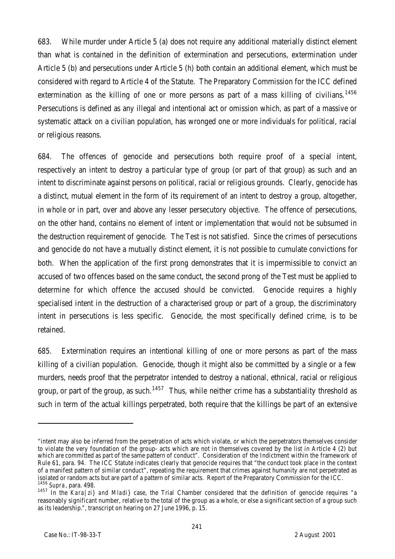683. While murder under Article 5 (a) does not require any additional materially distinct element than what is contained in the definition of extermination and persecutions, extermination under Article 5 (b) and persecutions under Article 5 (h) both contain an additional element, which must be considered with regard to Article 4 of the Statute. The Preparatory Commission for the ICC defined extermination as the killing of one or more persons as part of a mass killing of civilians.<sup>1456</sup> Persecutions is defined as any illegal and intentional act or omission which, as part of a massive or systematic attack on a civilian population, has wronged one or more individuals for political, racial or religious reasons.

684. The offences of genocide and persecutions both require proof of a special intent, respectively an intent to destroy a particular type of group (or part of that group) as such and an intent to discriminate against persons on political, racial or religious grounds. Clearly, genocide has a distinct, mutual element in the form of its requirement of an intent to destroy a group, altogether, in whole or in part, over and above any lesser persecutory objective. The offence of persecutions, on the other hand, contains no element of intent or implementation that would not be subsumed in the destruction requirement of genocide. The Test is not satisfied. Since the crimes of persecutions and genocide do not have a mutually distinct element, it is not possible to cumulate convictions for both. When the application of the first prong demonstrates that it is impermissible to convict an accused of two offences based on the same conduct, the second prong of the Test must be applied to determine for which offence the accused should be convicted. Genocide requires a highly specialised intent in the destruction of a characterised group or part of a group, the discriminatory intent in persecutions is less specific. Genocide, the most specifically defined crime, is to be retained.

685. Extermination requires an intentional killing of one or more persons as part of the mass killing of a civilian population. Genocide, though it might also be committed by a single or a few murders, needs proof that the perpetrator intended to destroy a national, ethnical, racial or religious group, or part of the group, as such.<sup>1457</sup> Thus, while neither crime has a substantiality threshold as such in term of the actual killings perpetrated, both require that the killings be part of an extensive

<sup>&</sup>quot;intent may also be inferred from the perpetration of acts which violate, or which the perpetrators themselves consider to violate the very foundation of the group- acts which are not in themselves covered by the list in Article 4 (2) but which are committed as part of the same pattern of conduct". Consideration of the Indictment within the framework of Rule 61, para. 94. The ICC Statute indicates clearly that genocide requires that "the conduct took place in the context of a manifest pattern of similar conduct", repeating the requirement that crimes against humanity are not perpetrated as isolated or random acts but are part of a pattern of similar acts. Report of the Preparatory Commission for the ICC. <sup>1456</sup> *Supra*, para. 498.

<sup>1457</sup> In the *Kara|zi} and Mladi*} case, the Trial Chamber considered that the definition of genocide requires "a reasonably significant number, relative to the total of the group as a whole, or else a significant section of a group such as its leadership.", transcript on hearing on 27 June 1996, p. 15.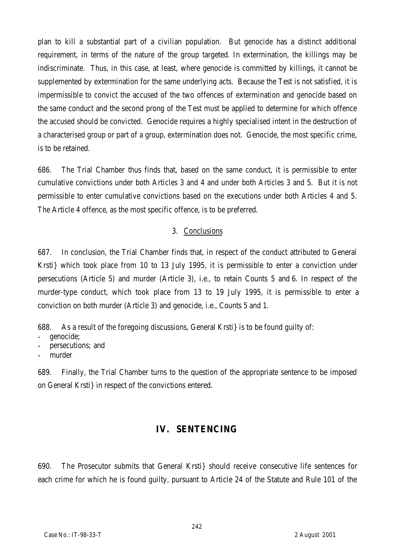plan to kill a substantial part of a civilian population. But genocide has a distinct additional requirement, in terms of the nature of the group targeted. In extermination, the killings may be indiscriminate. Thus, in this case, at least, where genocide is committed by killings, it cannot be supplemented by extermination for the same underlying acts. Because the Test is not satisfied, it is impermissible to convict the accused of the two offences of extermination and genocide based on the same conduct and the second prong of the Test must be applied to determine for which offence the accused should be convicted. Genocide requires a highly specialised intent in the destruction of a characterised group or part of a group, extermination does not. Genocide, the most specific crime, is to be retained.

686. The Trial Chamber thus finds that, based on the same conduct, it is permissible to enter cumulative convictions under both Articles 3 and 4 and under both Articles 3 and 5. But it is not permissible to enter cumulative convictions based on the executions under both Articles 4 and 5. The Article 4 offence, as the most specific offence, is to be preferred.

#### 3. Conclusions

687. In conclusion, the Trial Chamber finds that, in respect of the conduct attributed to General Krsti} which took place from 10 to 13 July 1995, it is permissible to enter a conviction under persecutions (Article 5) and murder (Article 3), i.e., to retain Counts 5 and 6. In respect of the murder-type conduct, which took place from 13 to 19 July 1995, it is permissible to enter a conviction on both murder (Article 3) and genocide, i.e., Counts 5 and 1.

688. As a result of the foregoing discussions, General Krsti} is to be found guilty of:

- qenocide;
- persecutions; and
- murder

689. Finally, the Trial Chamber turns to the question of the appropriate sentence to be imposed on General Krsti} in respect of the convictions entered.

## **IV. SENTENCING**

690. The Prosecutor submits that General Krsti} should receive consecutive life sentences for each crime for which he is found guilty, pursuant to Article 24 of the Statute and Rule 101 of the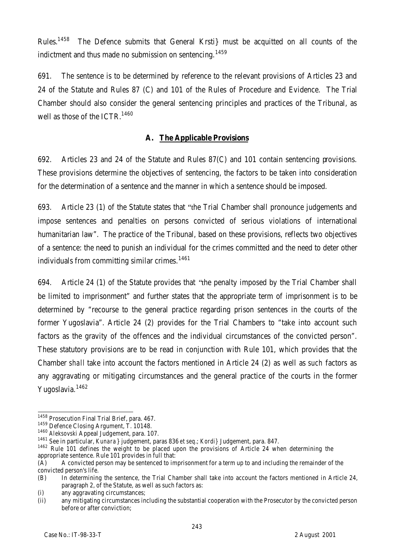Rules.<sup>1458</sup> The Defence submits that General Krsti} must be acquitted on all counts of the indictment and thus made no submission on sentencing.<sup>1459</sup>

691. The sentence is to be determined by reference to the relevant provisions of Articles 23 and 24 of the Statute and Rules 87 (C) and 101 of the Rules of Procedure and Evidence. The Trial Chamber should also consider the general sentencing principles and practices of the Tribunal, as well as those of the ICTR.<sup>1460</sup>

### **A. The Applicable Provisions**

692. Articles 23 and 24 of the Statute and Rules 87(C) and 101 contain sentencing provisions. These provisions determine the objectives of sentencing, the factors to be taken into consideration for the determination of a sentence and the manner in which a sentence should be imposed.

693. Article 23 (1) of the Statute states that "the Trial Chamber shall pronounce judgements and impose sentences and penalties on persons convicted of serious violations of international humanitarian law". The practice of the Tribunal, based on these provisions, reflects two objectives of a sentence: the need to punish an individual for the crimes committed and the need to deter other individuals from committing similar crimes.<sup>1461</sup>

694. Article 24 (1) of the Statute provides that "the penalty imposed by the Trial Chamber shall be limited to imprisonment" and further states that the appropriate term of imprisonment is to be determined by "recourse to the general practice regarding prison sentences in the courts of the former Yugoslavia". Article 24 (2) provides for the Trial Chambers to "take into account such factors as the gravity of the offences and the individual circumstances of the convicted person". These statutory provisions are to be read in conjunction with Rule 101, which provides that the Chamber *shall* take into account the factors mentioned in Article 24 (2) as well as *such* factors as any aggravating or mitigating circumstances and the general practice of the courts in the former Yugoslavia. <sup>1462</sup>

 $\overline{a}$ <sup>1458</sup> Prosecution Final Trial Brief, para. 467.

<sup>1459</sup> Defence Closing Argument, T. 10148.

<sup>1460</sup> *Aleksovski* Appeal Judgement, para. 107.

<sup>1461</sup> See in particular, *Kunara*} judgement, paras 836 *et seq*.; *Kordi}* Judgement, para. 847.

<sup>&</sup>lt;sup>1462</sup> Rule 101 defines the weight to be placed upon the provisions of Article 24 when determining the appropriate sentence. Rule 101 provides in full that:

<sup>(</sup>A) A convicted person may be sentenced to imprisonment for a term up to and including the remainder of the convicted person's life.

<sup>(</sup>B) In determining the sentence, the Trial Chamber shall take into account the factors mentioned in Article 24, paragraph 2, of the Statute, as well as such factors as:

<sup>(</sup>i) any aggravating circumstances;

<sup>(</sup>ii) any mitigating circumstances including the substantial cooperation with the Prosecutor by the convicted person before or after conviction;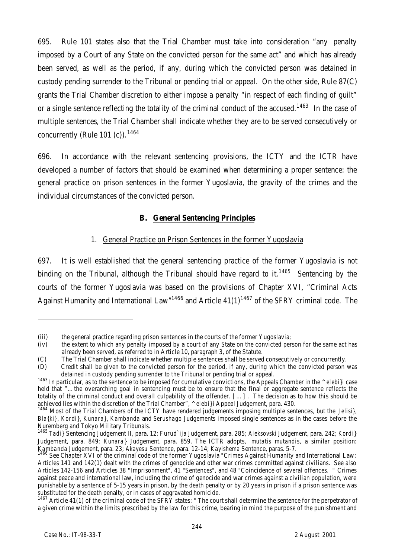695. Rule 101 states also that the Trial Chamber must take into consideration "any penalty imposed by a Court of any State on the convicted person for the same act" and which has already been served, as well as the period, if any, during which the convicted person was detained in custody pending surrender to the Tribunal or pending trial or appeal. On the other side, Rule 87(C) grants the Trial Chamber discretion to either impose a penalty "in respect of each finding of guilt" or a single sentence reflecting the totality of the criminal conduct of the accused.<sup>1463</sup> In the case of multiple sentences, the Trial Chamber shall indicate whether they are to be served consecutively or concurrently (Rule 101 (c)).  $1464$ 

696. In accordance with the relevant sentencing provisions, the ICTY and the ICTR have developed a number of factors that should be examined when determining a proper sentence: the general practice on prison sentences in the former Yugoslavia, the gravity of the crimes and the individual circumstances of the convicted person.

#### **B. General Sentencing Principles**

### 1. General Practice on Prison Sentences in the former Yugoslavia

697. It is well established that the general sentencing practice of the former Yugoslavia is not binding on the Tribunal, although the Tribunal should have regard to it.<sup>1465</sup> Sentencing by the courts of the former Yugoslavia was based on the provisions of Chapter XVI, "Criminal Acts Against Humanity and International Law<sup> $n$ 1466</sup> and Article 41(1)<sup>1467</sup> of the SFRY criminal code. The

j

<sup>(</sup>iii) the general practice regarding prison sentences in the courts of the former Yugoslavia;

<sup>(</sup>iv) the extent to which any penalty imposed by a court of any State on the convicted person for the same act has already been served, as referred to in Article 10, paragraph 3, of the Statute.

<sup>(</sup>C) The Trial Chamber shall indicate whether multiple sentences shall be served consecutively or concurrently.

<sup>(</sup>D) Credit shall be given to the convicted person for the period, if any, during which the convicted person was detained in custody pending surrender to the Tribunal or pending trial or appeal.

<sup>1463</sup> In particular, as to the sentence to be imposed for cumulative convictions, the Appeals Chamber in the ^*elebi}i* case held that "...the overarching goal in sentencing must be to ensure that the final or aggregate sentence reflects the totality of the criminal conduct and overall culpability of the offender. […]. The decision as to how this should be achieved lies within the discretion of the Trial Chamber", ^*elebi*}i Appeal Judgement, para. 430.

<sup>1464</sup> Most of the Trial Chambers of the ICTY have rendered judgements imposing multiple sentences, but the *Jelisi*}, *Bla{ki}, Kordi*}, *Kunara}*, *Kambanda* and *Serushago* Judgements imposed single sentences as in the cases before the Nuremberg and Tokyo Military Tribunals.

<sup>1465</sup> *Tadi*} Sentencing Judgement II, para. 12; *Furud`ija* Judgement, para. 285; *Aleksovski* Judgement, para. 242; *Kordi*} Judgement, para. 849; *Kunara*} Judgement, para. 859. The ICTR adopts, *mutatis mutandis*, a similar position: K*ambanda* Judgement, para. 23; *Akayesu* Sentence, para. 12-14; *Kayishema* Sentence, paras. 5-7.

<sup>&</sup>lt;sup>1466</sup> See Chapter XVI of the criminal code of the former Yugoslavia "Crimes Against Humanity and International Law: Articles 141 and 142(1) dealt with the crimes of genocide and other war crimes committed against civilians. See also Articles 142-156 and Articles 38 "Imprisonment", 41 "Sentences", and 48 "Coincidence of several offences. " Crimes against peace and international law, including the crime of genocide and war crimes against a civilian population, were punishable by a sentence of 5-15 years in prison, by the death penalty or by 20 years in prison if a prison sentence was substituted for the death penalty, or in cases of aggravated homicide.

<sup>&</sup>lt;sup>1467</sup> Article 41(1) of the criminal code of the SFRY states: " The court shall determine the sentence for the perpetrator of a given crime within the limits prescribed by the law for this crime, bearing in mind the purpose of the punishment and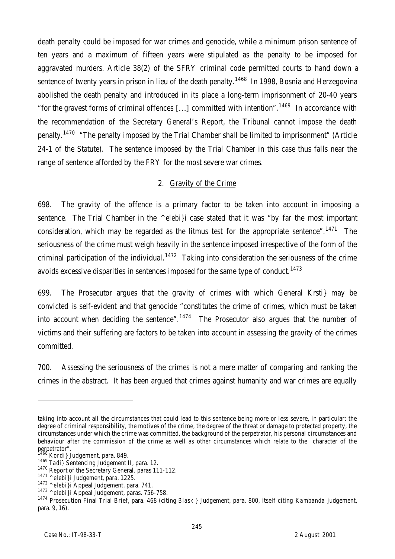death penalty could be imposed for war crimes and genocide, while a minimum prison sentence of ten years and a maximum of fifteen years were stipulated as the penalty to be imposed for aggravated murders. Article 38(2) of the SFRY criminal code permitted courts to hand down a sentence of twenty years in prison in lieu of the death penalty.<sup>1468</sup> In 1998, Bosnia and Herzegovina abolished the death penalty and introduced in its place a long-term imprisonment of 20-40 years "for the gravest forms of criminal offences [...] committed with intention".<sup>1469</sup> In accordance with the recommendation of the Secretary General's Report, the Tribunal cannot impose the death penalty.<sup>1470</sup> "The penalty imposed by the Trial Chamber shall be limited to imprisonment" (Article 24-1 of the Statute). The sentence imposed by the Trial Chamber in this case thus falls near the range of sentence afforded by the FRY for the most severe war crimes.

## 2. Gravity of the Crime

698. The gravity of the offence is a primary factor to be taken into account in imposing a sentence. The Trial Chamber in the *^elebi}i* case stated that it was "by far the most important consideration, which may be regarded as the litmus test for the appropriate sentence".<sup>1471</sup> The seriousness of the crime must weigh heavily in the sentence imposed irrespective of the form of the criminal participation of the individual.<sup>1472</sup> Taking into consideration the seriousness of the crime avoids excessive disparities in sentences imposed for the same type of conduct.<sup>1473</sup>

699. The Prosecutor argues that the gravity of crimes with which General Krsti} may be convicted is self-evident and that genocide "constitutes the crime of crimes, which must be taken into account when deciding the sentence".<sup>1474</sup> The Prosecutor also argues that the number of victims and their suffering are factors to be taken into account in assessing the gravity of the crimes committed.

700. Assessing the seriousness of the crimes is not a mere matter of comparing and ranking the crimes in the abstract. It has been argued that crimes against humanity and war crimes are equally

taking into account all the circumstances that could lead to this sentence being more or less severe, in particular: the degree of criminal responsibility, the motives of the crime, the degree of the threat or damage to protected property, the circumstances under which the crime was committed, the background of the perpetrator, his personal circumstances and behaviour after the commission of the crime as well as other circumstances which relate to the character of the perpetrator".

<sup>1468</sup> *Kordi*} Judgement, para. 849.

<sup>1469</sup> *Tadi}* Sentencing Judgement II, para. 12.

<sup>1470</sup> Report of the Secretary General, paras 111-112.

<sup>1471</sup> *^elebi}i* Judgement, para. 1225.

<sup>1472</sup> *^elebi}i* Appeal Judgement, para. 741.

<sup>1473</sup> *^elebi}i* Appeal Judgement, paras. 756-758.

<sup>1474</sup> Prosecution Final Trial Brief, para. 468 (citing *Blaski*} Judgement, para. 800, itself citing *Kambanda* judgement, para. 9, 16).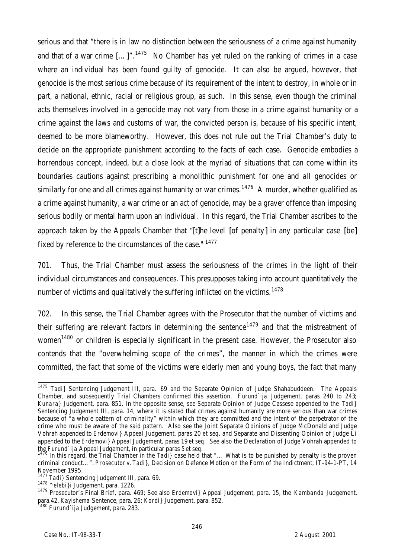serious and that "there is in law no distinction between the seriousness of a crime against humanity and that of a war crime  $\left[... \right]^{n}$ .<sup>1475</sup> No Chamber has yet ruled on the ranking of crimes in a case where an individual has been found guilty of genocide. It can also be argued, however, that genocide is the most serious crime because of its requirement of the intent to destroy, in whole or in part, a national, ethnic, racial or religious group, as such. In this sense, even though the criminal acts themselves involved in a genocide may not vary from those in a crime against humanity or a crime against the laws and customs of war, the convicted person is, because of his specific intent, deemed to be more blameworthy. However, this does not rule out the Trial Chamber's duty to decide on the appropriate punishment according to the facts of each case. Genocide embodies a horrendous concept, indeed, but a close look at the myriad of situations that can come within its boundaries cautions against prescribing a monolithic punishment for one and all genocides or similarly for one and all crimes against humanity or war crimes.<sup>1476</sup> A murder, whether qualified as a crime against humanity, a war crime or an act of genocide, may be a graver offence than imposing serious bodily or mental harm upon an individual. In this regard, the Trial Chamber ascribes to the approach taken by the Appeals Chamber that "[t]he level [of penalty] in any particular case [be] fixed by reference to the circumstances of the case." <sup>1477</sup>

701. Thus, the Trial Chamber must assess the seriousness of the crimes in the light of their individual circumstances and consequences. This presupposes taking into account quantitatively the number of victims and qualitatively the suffering inflicted on the victims.<sup>1478</sup>

702. In this sense, the Trial Chamber agrees with the Prosecutor that the number of victims and their suffering are relevant factors in determining the sentence<sup>1479</sup> and that the mistreatment of women<sup>1480</sup> or children is especially significant in the present case. However, the Prosecutor also contends that the "overwhelming scope of the crimes", the manner in which the crimes were committed, the fact that some of the victims were elderly men and young boys, the fact that many

 $\overline{a}$ <sup>1475</sup> *Tadi}* Sentencing Judgement III, para. 69 and the Separate Opinion of Judge Shahabuddeen. The Appeals Chamber, and subsequently Trial Chambers confirmed this assertion. *Furund`ija* Judgement, paras 240 to 243; *Kunara}* Judgement, para. 851. In the opposite sense, see Separate Opinion of Judge Cassese appended to the *Tadi}* Sentencing Judgement III, para. 14, where it is stated that crimes against humanity are more serious than war crimes because of "a whole pattern of criminality" within which they are committed and the intent of the perpetrator of the crime who must be aware of the said pattern. Also see the Joint Separate Opinions of Judge McDonald and Judge Vohrah appended to *Erdemovi}* Appeal Judgement, paras 20 *et seq*. and Separate and Dissenting Opinion of Judge Li appended to the *Erdemovi*} Appeal Judgement, paras 19 *et seq*. See also the Declaration of Judge Vohrah appended to the *Furund`ija* Appeal Judgement, in particular paras 5 *et seq*.

<sup>&</sup>lt;sup>1476</sup> In this regard, the Trial Chamber in the *Tadi}* case held that "… What is to be punished by penalty is the proven criminal conduct…". *Prosecutor v. Tadi*}, Decision on Defence Motion on the Form of the Indictment, IT-94-1-PT, 14 November 1995.

<sup>1477</sup> *Tadi}* Sentencing Judgement III, para. 69.

<sup>1478</sup> *^elebi}i* Judgement, para. 1226.

<sup>1479</sup> Prosecutor's Final Brief, para. 469; See also *Erdemovi}* Appeal Judgement, para. 15, the *Kambanda* Judgement, para.42, *Kayishema* Sentence, para. 26; *Kordi}* Judgement, para. 852.

<sup>1480</sup> *Furund`ija* Judgement, para. 283.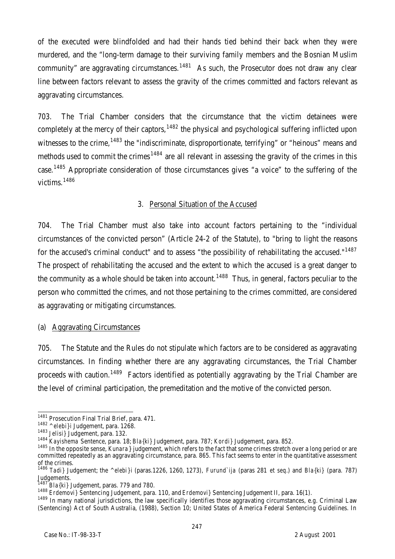of the executed were blindfolded and had their hands tied behind their back when they were murdered, and the "long-term damage to their surviving family members and the Bosnian Muslim community" are aggravating circumstances.<sup>1481</sup> As such, the Prosecutor does not draw any clear line between factors relevant to assess the gravity of the crimes committed and factors relevant as aggravating circumstances.

703. The Trial Chamber considers that the circumstance that the victim detainees were completely at the mercy of their captors,  $1482$  the physical and psychological suffering inflicted upon witnesses to the crime,<sup>1483</sup> the "indiscriminate, disproportionate, terrifying" or "heinous" means and methods used to commit the crimes<sup>1484</sup> are all relevant in assessing the gravity of the crimes in this case.<sup>1485</sup> Appropriate consideration of those circumstances gives "a voice" to the suffering of the victims.<sup>1486</sup>

#### 3. Personal Situation of the Accused

704. The Trial Chamber must also take into account factors pertaining to the "individual circumstances of the convicted person" (Article 24-2 of the Statute), to "bring to light the reasons for the accused's criminal conduct" and to assess "the possibility of rehabilitating the accused."<sup>1487</sup> The prospect of rehabilitating the accused and the extent to which the accused is a great danger to the community as a whole should be taken into account.<sup>1488</sup> Thus, in general, factors peculiar to the person who committed the crimes, and not those pertaining to the crimes committed, are considered as aggravating or mitigating circumstances.

#### (a) Aggravating Circumstances

705. The Statute and the Rules do not stipulate which factors are to be considered as aggravating circumstances. In finding whether there are any aggravating circumstances, the Trial Chamber proceeds with caution.<sup>1489</sup> Factors identified as potentially aggravating by the Trial Chamber are the level of criminal participation, the premeditation and the motive of the convicted person.

 $\overline{a}$ <sup>1481</sup> Prosecution Final Trial Brief, para. 471.

<sup>1482</sup> *^elebi}i* Judgement, para. 1268.

<sup>1483</sup> *Jelisi}* Judgement, para. 132.

<sup>1484</sup> *Kayishema* Sentence, para. 18; *Bla{ki}* Judgement, para. 787; *Kordi}* Judgement, para. 852.

<sup>1485</sup> In the opposite sense, *Kunara*} judgement, which refers to the fact that some crimes stretch over a long period or are committed repeatedly as an aggravating circumstance, para. 865. This fact seems to enter in the quantitative assessment of the crimes.

<sup>1486</sup> *Tadi}* Judgement; the *^elebi}i* (paras.1226, 1260, 1273), *Furund`ija* (paras 281 *et seq*.) and *Bla{ki}* (para. 787) Judgements.

<sup>&</sup>lt;sup>1487</sup> *Bla{ki}* Judgement, paras. 779 and 780.

<sup>1488</sup> *Erdemovi}* Sentencing Judgement, para. 110, and *Erdemovi}* Sentencing Judgement II, para. 16(1).

<sup>&</sup>lt;sup>1489</sup> In many national jurisdictions, the law specifically identifies those aggravating circumstances, e.g. Criminal Law (Sentencing) Act of South Australia, (1988), Section 10; United States of America Federal Sentencing Guidelines. In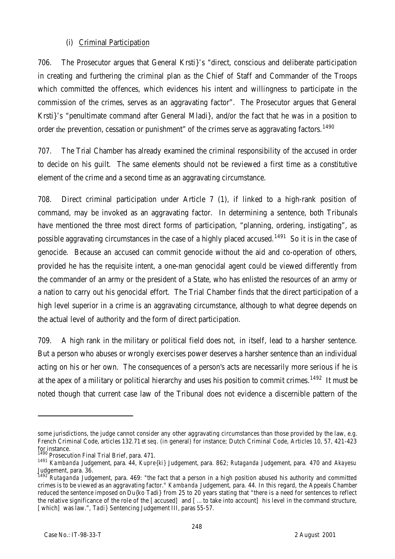#### (i) Criminal Participation

706. The Prosecutor argues that General Krsti}'s "direct, conscious and deliberate participation in creating and furthering the criminal plan as the Chief of Staff and Commander of the Troops which committed the offences, which evidences his intent and willingness to participate in the commission of the crimes, serves as an aggravating factor". The Prosecutor argues that General Krsti}'s "penultimate command after General Mladi}, and/or the fact that he was in a position to order the prevention, cessation or punishment" of the crimes serve as aggravating factors.<sup>1490</sup>

707. The Trial Chamber has already examined the criminal responsibility of the accused in order to decide on his guilt. The same elements should not be reviewed a first time as a constitutive element of the crime and a second time as an aggravating circumstance.

708. Direct criminal participation under Article 7 (1), if linked to a high-rank position of command, may be invoked as an aggravating factor. In determining a sentence, both Tribunals have mentioned the three most direct forms of participation, "planning, ordering, instigating", as possible aggravating circumstances in the case of a highly placed accused.<sup>1491</sup> So it is in the case of genocide. Because an accused can commit genocide without the aid and co-operation of others, provided he has the requisite intent, a one-man genocidal agent could be viewed differently from the commander of an army or the president of a State, who has enlisted the resources of an army or a nation to carry out his genocidal effort. The Trial Chamber finds that the direct participation of a high level superior in a crime is an aggravating circumstance, although to what degree depends on the actual level of authority and the form of direct participation.

709. A high rank in the military or political field does not, in itself, lead to a harsher sentence. But a person who abuses or wrongly exercises power deserves a harsher sentence than an individual acting on his or her own. The consequences of a person's acts are necessarily more serious if he is at the apex of a military or political hierarchy and uses his position to commit crimes.<sup>1492</sup> It must be noted though that current case law of the Tribunal does not evidence a discernible pattern of the

some jurisdictions, the judge cannot consider any other aggravating circumstances than those provided by the law, e.g. French Criminal Code, articles 132.71 *et seq*. (in general) for instance; Dutch Criminal Code, Articles 10, 57, 421-423 for instance.

<sup>&</sup>lt;sup>1490</sup> Prosecution Final Trial Brief, para. 471.

<sup>1491</sup> *Kambanda* Judgement, para. 44, *Kupre{ki}* Judgement, para. 862; *Rutaganda* Judgement, para. 470 and *Akayesu* Judgement, para. 36.

<sup>&</sup>lt;sup>1492</sup> *Rutaganda* Judgement, para. 469: "the fact that a person in a high position abused his authority and committed crimes is to be viewed as an aggravating factor." *Kambanda* Judgement, para. 44. In this regard, the Appeals Chamber reduced the sentence imposed on Du{ko Tadi} from 25 to 20 years stating that "there is a need for sentences to reflect the relative significance of the role of the [accused] and […to take into account] his level in the command structure, [which] was law.", *Tadi}* Sentencing Judgement III, paras 55-57.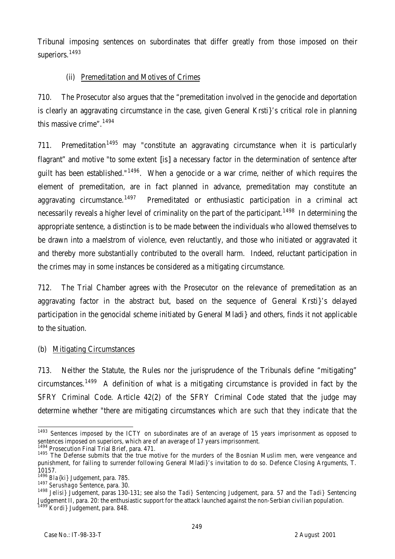Tribunal imposing sentences on subordinates that differ greatly from those imposed on their superiors.<sup>1493</sup>

## (ii) Premeditation and Motives of Crimes

710. The Prosecutor also argues that the "premeditation involved in the genocide and deportation is clearly an aggravating circumstance in the case, given General Krsti}'s critical role in planning this massive crime".<sup>1494</sup>

711. Premeditation<sup>1495</sup> may "constitute an aggravating circumstance when it is particularly flagrant" and motive "to some extent [is] a necessary factor in the determination of sentence after quilt has been established."<sup>1496</sup>. When a genocide or a war crime, neither of which requires the element of premeditation, are in fact planned in advance, premeditation may constitute an aggravating circumstance.<sup>1497</sup> Premeditated or enthusiastic participation in a criminal act necessarily reveals a higher level of criminality on the part of the participant.<sup>1498</sup> In determining the appropriate sentence, a distinction is to be made between the individuals who allowed themselves to be drawn into a maelstrom of violence, even reluctantly, and those who initiated or aggravated it and thereby more substantially contributed to the overall harm. Indeed, reluctant participation in the crimes may in some instances be considered as a mitigating circumstance.

712. The Trial Chamber agrees with the Prosecutor on the relevance of premeditation as an aggravating factor in the abstract but, based on the sequence of General Krsti}'s delayed participation in the genocidal scheme initiated by General Mladi} and others, finds it not applicable to the situation.

#### (b) Mitigating Circumstances

713. Neither the Statute, the Rules nor the jurisprudence of the Tribunals define "mitigating" circumstances.<sup>1499</sup> A definition of what is a mitigating circumstance is provided in fact by the SFRY Criminal Code. Article 42(2) of the SFRY Criminal Code stated that the judge may determine whether "there are mitigating circumstances *which are such that they indicate that the*

 $\overline{a}$ <sup>1493</sup> Sentences imposed by the ICTY on subordinates are of an average of 15 years imprisonment as opposed to sentences imposed on superiors, which are of an average of 17 years imprisonment.

<sup>1494</sup> Prosecution Final Trial Brief, para. 471.

<sup>1495</sup> The Defense submits that the true motive for the murders of the Bosnian Muslim men, were vengeance and punishment, for failing to surrender following General Mladi}'s invitation to do so. Defence Closing Arguments, T. 10157.

<sup>1496</sup> *Bla{ki}* Judgement, para. 785.

<sup>1497</sup> *Serushago* Sentence, para. 30.

<sup>1498</sup> *Jelisi}* Judgement, paras 130-131; see also the *Tadi}* Sentencing Judgement, para. 57 and the *Tadi}* Sentencing Judgement II, para. 20: the enthusiastic support for the attack launched against the non-Serbian civilian population. <sup>1499</sup> *Kordi}* Judgement, para. 848.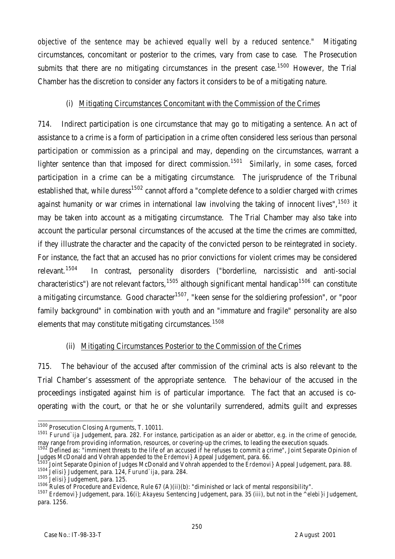*objective of the sentence may be achieved equally well by a reduced sentence*." Mitigating circumstances, concomitant or posterior to the crimes, vary from case to case. The Prosecution submits that there are no mitigating circumstances in the present case.<sup>1500</sup> However, the Trial Chamber has the discretion to consider any factors it considers to be of a mitigating nature.

# (i) Mitigating Circumstances Concomitant with the Commission of the Crimes

714. Indirect participation is one circumstance that may go to mitigating a sentence. An act of assistance to a crime is a form of participation in a crime often considered less serious than personal participation or commission as a principal and may, depending on the circumstances, warrant a lighter sentence than that imposed for direct commission.<sup>1501</sup> Similarly, in some cases, forced participation in a crime can be a mitigating circumstance. The jurisprudence of the Tribunal established that, while duress<sup>1502</sup> cannot afford a "complete defence to a soldier charged with crimes against humanity or war crimes in international law involving the taking of innocent lives".<sup>1503</sup> it may be taken into account as a mitigating circumstance. The Trial Chamber may also take into account the particular personal circumstances of the accused at the time the crimes are committed, if they illustrate the character and the capacity of the convicted person to be reintegrated in society. For instance, the fact that an accused has no prior convictions for violent crimes may be considered relevant.<sup>1504</sup> In contrast, personality disorders ("borderline, narcissistic and anti-social characteristics") are not relevant factors,  $1505$  although significant mental handicap<sup>1506</sup> can constitute a mitigating circumstance. Good character<sup>1507</sup>, "keen sense for the soldiering profession", or "poor family background" in combination with youth and an "immature and fragile" personality are also elements that may constitute mitigating circumstances.<sup>1508</sup>

#### (ii) Mitigating Circumstances Posterior to the Commission of the Crimes

715. The behaviour of the accused after commission of the criminal acts is also relevant to the Trial Chamber's assessment of the appropriate sentence. The behaviour of the accused in the proceedings instigated against him is of particular importance. The fact that an accused is cooperating with the court, or that he or she voluntarily surrendered, admits guilt and expresses

 $\overline{a}$ <sup>1500</sup> Prosecution Closing Arguments, T. 10011.

<sup>1501</sup> *Furund`ija* Judgement, para. 282. For instance, participation as an aider or abettor, e.g. in the crime of genocide, may range from providing information, resources, or covering-up the crimes, to leading the execution squads.

<sup>&</sup>lt;sup>1502</sup> Defined as: "imminent threats to the life of an accused if he refuses to commit a crime", Joint Separate Opinion of Judges McDonald and Vohrah appended to the *Erdemovi}* Appeal Judgement, para. 66.

<sup>1503</sup> Joint Separate Opinion of Judges McDonald and Vohrah appended to the *Erdemovi}* Appeal Judgement, para. 88. <sup>1504</sup> *Jelisi}* Judgement, para. 124, *Furund`ija*, para. 284.

<sup>1505</sup> *Jelisi}* Judgement, para. 125.

<sup>1506</sup> Rules of Procedure and Evidence, Rule 67 (A)(ii)(b): "diminished or lack of mental responsibility".

<sup>1507</sup> *Erdemovi}* Judgement, para. 16(i); *Akayesu* Sentencing Judgement, para. 35 (iii), but not in the *^elebi}i* Judgement, para. 1256.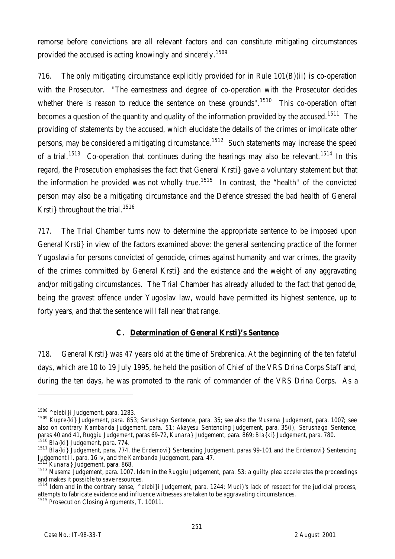remorse before convictions are all relevant factors and can constitute mitigating circumstances provided the accused is acting knowingly and sincerely.<sup>1509</sup>

716. The only mitigating circumstance explicitly provided for in Rule 101(B)(ii) is co-operation with the Prosecutor. "The earnestness and degree of co-operation with the Prosecutor decides whether there is reason to reduce the sentence on these grounds".<sup>1510</sup> This co-operation often becomes a question of the quantity and quality of the information provided by the accused.<sup>1511</sup> The providing of statements by the accused, which elucidate the details of the crimes or implicate other persons, may be considered a mitigating circumstance.<sup>1512</sup> Such statements may increase the speed of a trial.<sup>1513</sup> Co-operation that continues during the hearings may also be relevant.<sup>1514</sup> In this regard, the Prosecution emphasises the fact that General Krsti} gave a voluntary statement but that the information he provided was not wholly true.<sup>1515</sup> In contrast, the "health" of the convicted person may also be a mitigating circumstance and the Defence stressed the bad health of General Krsti} throughout the trial.<sup>1516</sup>

717. The Trial Chamber turns now to determine the appropriate sentence to be imposed upon General Krsti} in view of the factors examined above: the general sentencing practice of the former Yugoslavia for persons convicted of genocide, crimes against humanity and war crimes, the gravity of the crimes committed by General Krsti} and the existence and the weight of any aggravating and/or mitigating circumstances. The Trial Chamber has already alluded to the fact that genocide, being the gravest offence under Yugoslav law, would have permitted its highest sentence, up to forty years, and that the sentence will fall near that range.

#### **C. Determination of General Krsti}'s Sentence**

718. General Krsti} was 47 years old at the time of Srebrenica. At the beginning of the ten fateful days, which are 10 to 19 July 1995, he held the position of Chief of the VRS Drina Corps Staff and, during the ten days, he was promoted to the rank of commander of the VRS Drina Corps. As a

<sup>1508</sup> *^elebi}i* Judgement, para. 1283.

<sup>1509</sup> *Kupre{ki}* Judgement, para. 853; *Serushago* Sentence, para. 35; see also the *Musema* Judgement, para. 1007; see also on contrary *Kambanda* Judgement, para. 51; *Akayesu* Sentencing Judgement, para. 35(i), *Serushago* Sentence, paras 40 and 41, *Ruggiu* Judgement, paras 69-72, *Kunara}* Judgement, para. 869; *Bla{ki}* Judgement, para. 780. <sup>1510</sup> *Bla{ki}* Judgement, para. 774.

<sup>1511</sup> *Bla{ki}* Judgement, para. 774, the *Erdemovi}* Sentencing Judgement, paras 99-101 and the *Erdemovi}* Sentencing Judgement II, para. 16 iv, and the *Kambanda* Judgement, para. 47.

<sup>1512</sup> *Kunara*} Judgement, para. 868.

<sup>1513</sup> *Musema* Judgement, para. 1007. Idem in the *Ruggiu* Judgement, para. 53: a guilty plea accelerates the proceedings and makes it possible to save resources.

<sup>1514</sup> Idem and in the contrary sense, *^elebi}i* Judgement, para. 1244: Muci}'s lack of respect for the judicial process, attempts to fabricate evidence and influence witnesses are taken to be aggravating circumstances.

<sup>&</sup>lt;sup>1515</sup> Prosecution Closing Arguments, T. 10011.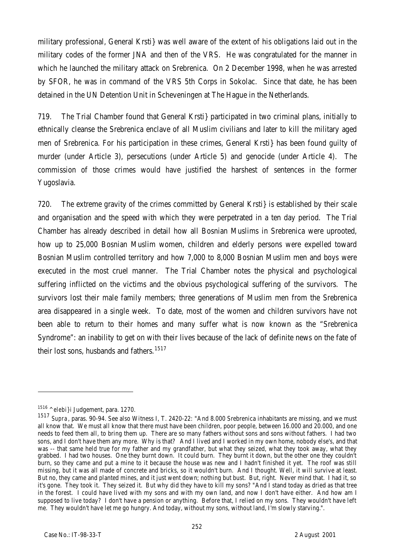military professional, General Krsti} was well aware of the extent of his obligations laid out in the military codes of the former JNA and then of the VRS. He was congratulated for the manner in which he launched the military attack on Srebrenica. On 2 December 1998, when he was arrested by SFOR, he was in command of the VRS 5th Corps in Sokolac. Since that date, he has been detained in the UN Detention Unit in Scheveningen at The Hague in the Netherlands.

719. The Trial Chamber found that General Krsti} participated in two criminal plans, initially to ethnically cleanse the Srebrenica enclave of all Muslim civilians and later to kill the military aged men of Srebrenica. For his participation in these crimes, General Krsti} has been found guilty of murder (under Article 3), persecutions (under Article 5) and genocide (under Article 4). The commission of those crimes would have justified the harshest of sentences in the former Yugoslavia.

720. The extreme gravity of the crimes committed by General Krsti} is established by their scale and organisation and the speed with which they were perpetrated in a ten day period. The Trial Chamber has already described in detail how all Bosnian Muslims in Srebrenica were uprooted, how up to 25,000 Bosnian Muslim women, children and elderly persons were expelled toward Bosnian Muslim controlled territory and how 7,000 to 8,000 Bosnian Muslim men and boys were executed in the most cruel manner. The Trial Chamber notes the physical and psychological suffering inflicted on the victims and the obvious psychological suffering of the survivors. The survivors lost their male family members; three generations of Muslim men from the Srebrenica area disappeared in a single week. To date, most of the women and children survivors have not been able to return to their homes and many suffer what is now known as the "Srebrenica Syndrome": an inability to get on with their lives because of the lack of definite news on the fate of their lost sons, husbands and fathers.<sup>1517</sup>

<sup>1516</sup> *^elebi}i* Judgement, para. 1270.

<sup>1517</sup> *Supra*, paras. 90-94. See also Witness I, T. 2420-22: "And 8.000 Srebrenica inhabitants are missing, and we must all know that. We must all know that there must have been children, poor people, between 16.000 and 20.000, and one needs to feed them all, to bring them up. There are so many fathers without sons and sons without fathers. I had two sons, and I don't have them any more. Why is that? And I lived and I worked in my own home, nobody else's, and that was -- that same held true for my father and my grandfather, but what they seized, what they took away, what they grabbed. I had two houses. One they burnt down. It could burn. They burnt it down, but the other one they couldn't burn, so they came and put a mine to it because the house was new and I hadn't finished it yet. The roof was still missing, but it was all made of concrete and bricks, so it wouldn't burn. And I thought. Well, it will survive at least. But no, they came and planted mines, and it just went down; nothing but bust. But, right. Never mind that. I had it, so it's gone. They took it. They seized it. But why did they have to kill my sons? "And I stand today as dried as that tree in the forest. I could have lived with my sons and with my own land, and now I don't have either. And how am I supposed to live today? I don't have a pension or anything. Before that, I relied on my sons. They wouldn't have left me. They wouldn't have let me go hungry. And today, without my sons, without land, I'm slowly starving.".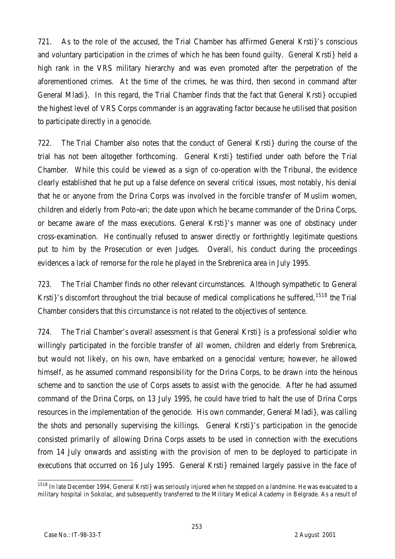721. As to the role of the accused, the Trial Chamber has affirmed General Krsti}'s conscious and voluntary participation in the crimes of which he has been found guilty. General Krsti} held a high rank in the VRS military hierarchy and was even promoted after the perpetration of the aforementioned crimes. At the time of the crimes, he was third, then second in command after General Mladi}. In this regard, the Trial Chamber finds that the fact that General Krsti} occupied the highest level of VRS Corps commander is an aggravating factor because he utilised that position to participate directly in a genocide.

722. The Trial Chamber also notes that the conduct of General Krsti} during the course of the trial has not been altogether forthcoming. General Krsti} testified under oath before the Trial Chamber. While this could be viewed as a sign of co-operation with the Tribunal, the evidence clearly established that he put up a false defence on several critical issues, most notably, his denial that he or anyone from the Drina Corps was involved in the forcible transfer of Muslim women, children and elderly from Poto~ari; the date upon which he became commander of the Drina Corps, or became aware of the mass executions. General Krsti}'s manner was one of obstinacy under cross-examination. He continually refused to answer directly or forthrightly legitimate questions put to him by the Prosecution or even Judges. Overall, his conduct during the proceedings evidences a lack of remorse for the role he played in the Srebrenica area in July 1995.

723. The Trial Chamber finds no other relevant circumstances. Although sympathetic to General Krsti}'s discomfort throughout the trial because of medical complications he suffered.<sup>1518</sup> the Trial Chamber considers that this circumstance is not related to the objectives of sentence.

724. The Trial Chamber's overall assessment is that General Krsti} is a professional soldier who willingly participated in the forcible transfer of all women, children and elderly from Srebrenica, but would not likely, on his own, have embarked on a genocidal venture; however, he allowed himself, as he assumed command responsibility for the Drina Corps, to be drawn into the heinous scheme and to sanction the use of Corps assets to assist with the genocide. After he had assumed command of the Drina Corps, on 13 July 1995, he could have tried to halt the use of Drina Corps resources in the implementation of the genocide. His own commander, General Mladi}, was calling the shots and personally supervising the killings. General Krsti}'s participation in the genocide consisted primarily of allowing Drina Corps assets to be used in connection with the executions from 14 July onwards and assisting with the provision of men to be deployed to participate in executions that occurred on 16 July 1995. General Krsti} remained largely passive in the face of

 $\overline{a}$ <sup>1518</sup> In late December 1994, General Krsti} was seriously injured when he stepped on a landmine. He was evacuated to a military hospital in Sokolac, and subsequently transferred to the Military Medical Academy in Belgrade. As a result of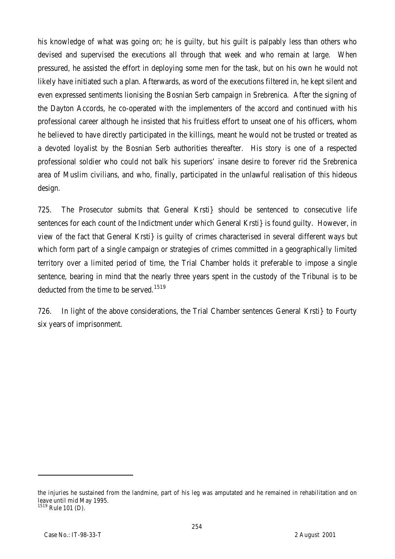his knowledge of what was going on; he is guilty, but his guilt is palpably less than others who devised and supervised the executions all through that week and who remain at large. When pressured, he assisted the effort in deploying some men for the task, but on his own he would not likely have initiated such a plan. Afterwards, as word of the executions filtered in, he kept silent and even expressed sentiments lionising the Bosnian Serb campaign in Srebrenica. After the signing of the Dayton Accords, he co-operated with the implementers of the accord and continued with his professional career although he insisted that his fruitless effort to unseat one of his officers, whom he believed to have directly participated in the killings, meant he would not be trusted or treated as a devoted loyalist by the Bosnian Serb authorities thereafter. His story is one of a respected professional soldier who could not balk his superiors' insane desire to forever rid the Srebrenica area of Muslim civilians, and who, finally, participated in the unlawful realisation of this hideous design.

725. The Prosecutor submits that General Krsti} should be sentenced to consecutive life sentences for each count of the Indictment under which General Krsti} is found guilty. However, in view of the fact that General Krsti} is guilty of crimes characterised in several different ways but which form part of a single campaign or strategies of crimes committed in a geographically limited territory over a limited period of time, the Trial Chamber holds it preferable to impose a single sentence, bearing in mind that the nearly three years spent in the custody of the Tribunal is to be deducted from the time to be served.<sup>1519</sup>

726. In light of the above considerations, the Trial Chamber sentences General Krsti} to Fourty six years of imprisonment.

the injuries he sustained from the landmine, part of his leg was amputated and he remained in rehabilitation and on leave until mid May 1995. <sup>1519</sup> Rule 101 (D).